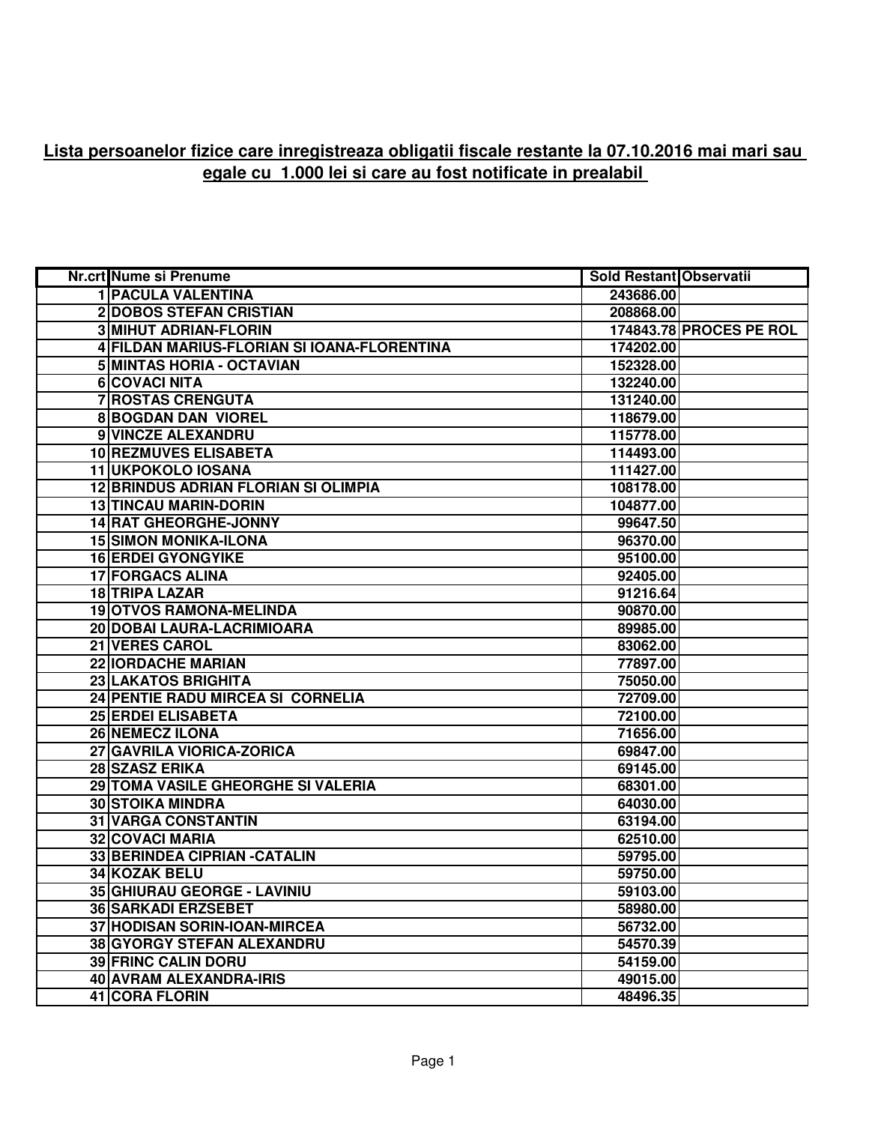## **Lista persoanelor fizice care inregistreaza obligatii fiscale restante la 07.10.2016 mai mari sau egale cu 1.000 lei si care au fost notificate in prealabil**

| Nr.crt Nume si Prenume                      | <b>Sold Restant Observatii</b> |                         |
|---------------------------------------------|--------------------------------|-------------------------|
| <b>1 PACULA VALENTINA</b>                   | 243686.00                      |                         |
| <b>2DOBOS STEFAN CRISTIAN</b>               | 208868.00                      |                         |
| <b>3 MIHUT ADRIAN-FLORIN</b>                |                                | 174843.78 PROCES PE ROL |
| 4 FILDAN MARIUS-FLORIAN SI IOANA-FLORENTINA | 174202.00                      |                         |
| 5 MINTAS HORIA - OCTAVIAN                   | 152328.00                      |                         |
| <b>6 COVACI NITA</b>                        | 132240.00                      |                         |
| <b>7 ROSTAS CRENGUTA</b>                    | 131240.00                      |                         |
| <b>8 BOGDAN DAN VIOREL</b>                  | 118679.00                      |                         |
| 9 VINCZE ALEXANDRU                          | 115778.00                      |                         |
| <b>10 REZMUVES ELISABETA</b>                | 114493.00                      |                         |
| 11 UKPOKOLO IOSANA                          | 111427.00                      |                         |
| <b>12 BRINDUS ADRIAN FLORIAN SI OLIMPIA</b> | 108178.00                      |                         |
| <b>13 TINCAU MARIN-DORIN</b>                | 104877.00                      |                         |
| <b>14 RAT GHEORGHE-JONNY</b>                | 99647.50                       |                         |
| <b>15 SIMON MONIKA-ILONA</b>                | 96370.00                       |                         |
| <b>16 ERDEI GYONGYIKE</b>                   | 95100.00                       |                         |
| <b>17 FORGACS ALINA</b>                     | 92405.00                       |                         |
| <b>18 TRIPA LAZAR</b>                       | 91216.64                       |                         |
| <b>19 OTVOS RAMONA-MELINDA</b>              | 90870.00                       |                         |
| 20 DOBAI LAURA-LACRIMIOARA                  | 89985.00                       |                         |
| 21 VERES CAROL                              | 83062.00                       |                         |
| <b>22 IORDACHE MARIAN</b>                   | 77897.00                       |                         |
| 23 LAKATOS BRIGHITA                         | 75050.00                       |                         |
| 24 PENTIE RADU MIRCEA SI CORNELIA           | 72709.00                       |                         |
| 25 ERDEI ELISABETA                          | 72100.00                       |                         |
| 26 NEMECZ ILONA                             | 71656.00                       |                         |
| 27 GAVRILA VIORICA-ZORICA                   | 69847.00                       |                         |
| 28 SZASZ ERIKA                              | 69145.00                       |                         |
| 29 TOMA VASILE GHEORGHE SI VALERIA          | 68301.00                       |                         |
| <b>30 STOIKA MINDRA</b>                     | 64030.00                       |                         |
| <b>31 VARGA CONSTANTIN</b>                  | 63194.00                       |                         |
| <b>32 COVACI MARIA</b>                      | 62510.00                       |                         |
| 33 BERINDEA CIPRIAN - CATALIN               | 59795.00                       |                         |
| 34 KOZAK BELU                               | 59750.00                       |                         |
| 35 GHIURAU GEORGE - LAVINIU                 | 59103.00                       |                         |
| <b>36 SARKADI ERZSEBET</b>                  | 58980.00                       |                         |
| 37 HODISAN SORIN-IOAN-MIRCEA                | 56732.00                       |                         |
| 38 GYORGY STEFAN ALEXANDRU                  | 54570.39                       |                         |
| <b>39 FRINC CALIN DORU</b>                  | 54159.00                       |                         |
| 40 AVRAM ALEXANDRA-IRIS                     | 49015.00                       |                         |
| 41 CORA FLORIN                              | 48496.35                       |                         |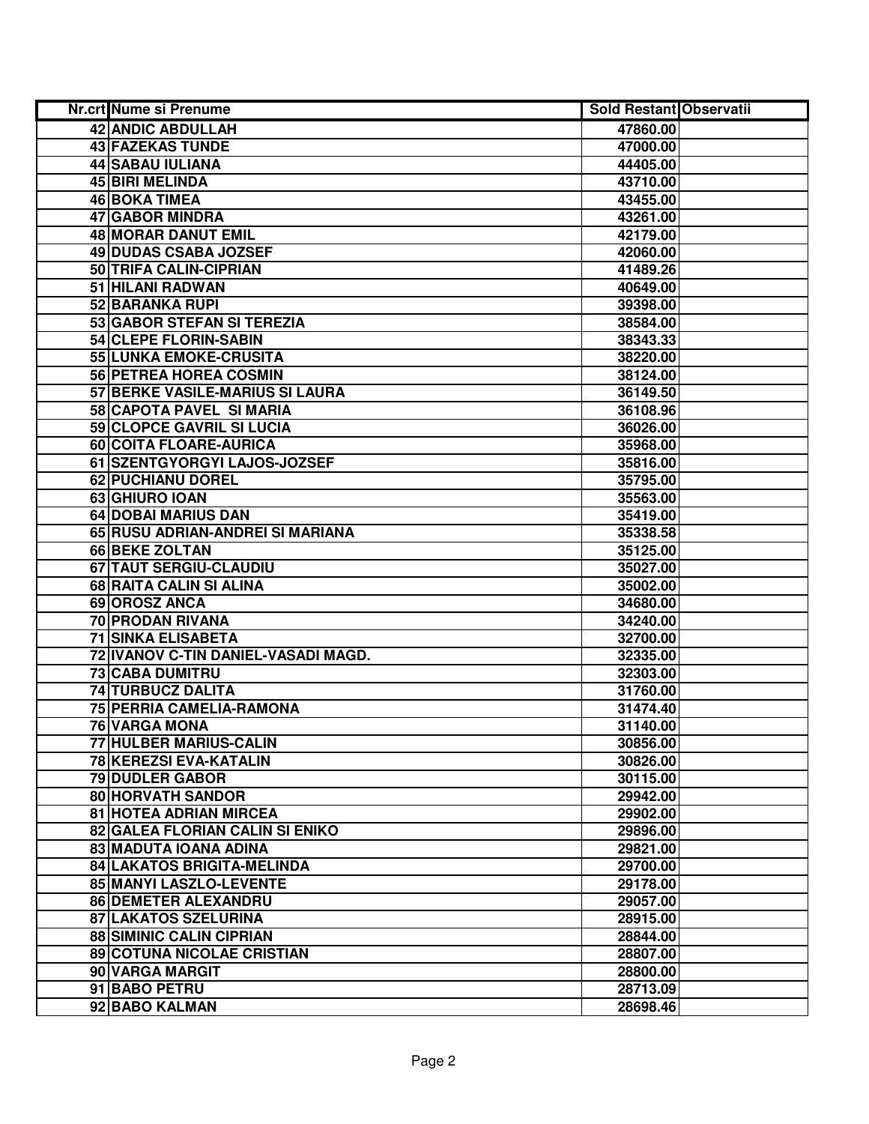| <b>Nr.crt Nume si Prenume</b>          | <b>Sold Restant Observatii</b> |  |
|----------------------------------------|--------------------------------|--|
| 42 ANDIC ABDULLAH                      | 47860.00                       |  |
| <b>43 FAZEKAS TUNDE</b>                | 47000.00                       |  |
| <b>44 SABAU IULIANA</b>                | 44405.00                       |  |
| <b>45 BIRI MELINDA</b>                 | 43710.00                       |  |
| <b>46 BOKA TIMEA</b>                   | 43455.00                       |  |
| 47 GABOR MINDRA                        | 43261.00                       |  |
| <b>48 MORAR DANUT EMIL</b>             | 42179.00                       |  |
| 49 DUDAS CSABA JOZSEF                  | 42060.00                       |  |
| 50 TRIFA CALIN-CIPRIAN                 | 41489.26                       |  |
| 51 HILANI RADWAN                       | 40649.00                       |  |
| 52 BARANKA RUPI                        | 39398.00                       |  |
| 53 GABOR STEFAN SI TEREZIA             | 38584.00                       |  |
| 54 CLEPE FLORIN-SABIN                  | 38343.33                       |  |
| 55 LUNKA EMOKE-CRUSITA                 | 38220.00                       |  |
| 56 PETREA HOREA COSMIN                 | 38124.00                       |  |
| 57 BERKE VASILE-MARIUS SI LAURA        | 36149.50                       |  |
| 58 CAPOTA PAVEL SI MARIA               | 36108.96                       |  |
| 59 CLOPCE GAVRIL SI LUCIA              | 36026.00                       |  |
| 60 COITA FLOARE-AURICA                 | 35968.00                       |  |
| 61 SZENTGYORGYI LAJOS-JOZSEF           | 35816.00                       |  |
| 62 PUCHIANU DOREL                      | 35795.00                       |  |
| 63 GHIURO IOAN                         | 35563.00                       |  |
| 64 DOBAI MARIUS DAN                    | 35419.00                       |  |
| 65 RUSU ADRIAN-ANDREI SI MARIANA       | 35338.58                       |  |
| 66 BEKE ZOLTAN                         | 35125.00                       |  |
| 67 TAUT SERGIU-CLAUDIU                 | 35027.00                       |  |
| 68 RAITA CALIN SI ALINA                | 35002.00                       |  |
| 69 OROSZ ANCA                          | 34680.00                       |  |
| 70 PRODAN RIVANA                       | 34240.00                       |  |
| <b>71 SINKA ELISABETA</b>              | 32700.00                       |  |
| 72 IVANOV C-TIN DANIEL-VASADI MAGD.    | 32335.00                       |  |
| 73 CABA DUMITRU                        | 32303.00                       |  |
| 74 TURBUCZ DALITA                      | 31760.00                       |  |
| 75 PERRIA CAMELIA-RAMONA               | 31474.40                       |  |
| <b>76 VARGA MONA</b>                   | 31140.00                       |  |
| 77 HULBER MARIUS-CALIN                 | 30856.00                       |  |
| 78 KEREZSI EVA-KATALIN                 | 30826.00                       |  |
| <b>79 DUDLER GABOR</b>                 | 30115.00                       |  |
| 80 HORVATH SANDOR                      | 29942.00                       |  |
| 81 HOTEA ADRIAN MIRCEA                 | 29902.00                       |  |
| <b>82 GALEA FLORIAN CALIN SI ENIKO</b> | 29896.00                       |  |
| 83 MADUTA IOANA ADINA                  | 29821.00                       |  |
| 84 LAKATOS BRIGITA-MELINDA             | 29700.00                       |  |
| 85 MANYI LASZLO-LEVENTE                | 29178.00                       |  |
| 86 DEMETER ALEXANDRU                   | 29057.00                       |  |
| 87 LAKATOS SZELURINA                   | 28915.00                       |  |
| <b>88 SIMINIC CALIN CIPRIAN</b>        | 28844.00                       |  |
| 89 COTUNA NICOLAE CRISTIAN             | 28807.00                       |  |
| 90 VARGA MARGIT                        | 28800.00                       |  |
| 91 BABO PETRU                          | 28713.09                       |  |
| 92 BABO KALMAN                         | 28698.46                       |  |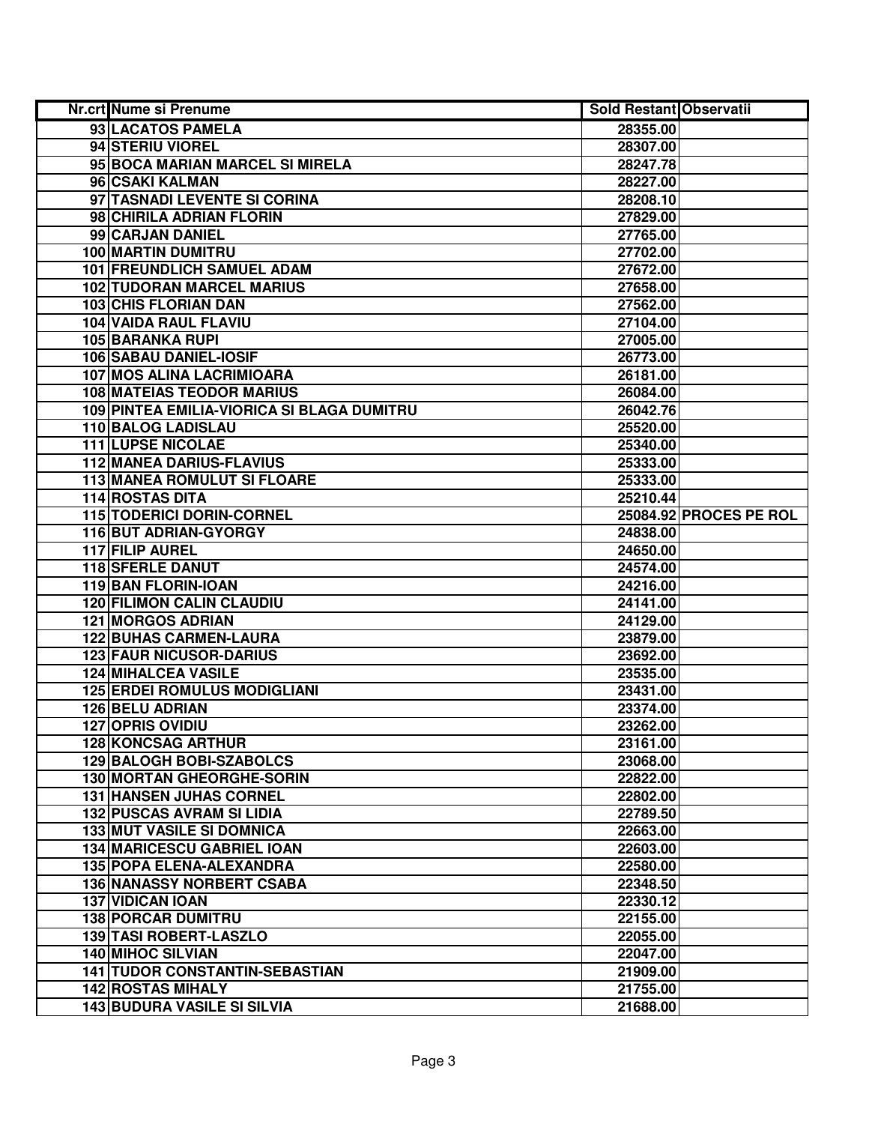| <b>Nr.crt Nume si Prenume</b>              | <b>Sold Restant Observatii</b> |                        |
|--------------------------------------------|--------------------------------|------------------------|
| 93 LACATOS PAMELA                          | 28355.00                       |                        |
| 94 STERIU VIOREL                           | 28307.00                       |                        |
| 95 BOCA MARIAN MARCEL SI MIRELA            | 28247.78                       |                        |
| 96 CSAKI KALMAN                            | 28227.00                       |                        |
| 97 TASNADI LEVENTE SI CORINA               | 28208.10                       |                        |
| 98 CHIRILA ADRIAN FLORIN                   | 27829.00                       |                        |
| 99 CARJAN DANIEL                           | 27765.00                       |                        |
| 100 MARTIN DUMITRU                         | 27702.00                       |                        |
| <b>101 FREUNDLICH SAMUEL ADAM</b>          | 27672.00                       |                        |
| <b>102 TUDORAN MARCEL MARIUS</b>           | 27658.00                       |                        |
| <b>103 CHIS FLORIAN DAN</b>                | 27562.00                       |                        |
| 104 VAIDA RAUL FLAVIU                      | 27104.00                       |                        |
| 105 BARANKA RUPI                           | 27005.00                       |                        |
| 106 SABAU DANIEL-IOSIF                     | 26773.00                       |                        |
| 107 MOS ALINA LACRIMIOARA                  | 26181.00                       |                        |
| <b>108 MATEIAS TEODOR MARIUS</b>           | 26084.00                       |                        |
| 109 PINTEA EMILIA-VIORICA SI BLAGA DUMITRU | 26042.76                       |                        |
| 110 BALOG LADISLAU                         | 25520.00                       |                        |
| <b>111 LUPSE NICOLAE</b>                   | 25340.00                       |                        |
| <b>112 MANEA DARIUS-FLAVIUS</b>            | 25333.00                       |                        |
| 113 MANEA ROMULUT SI FLOARE                | 25333.00                       |                        |
| <b>114 ROSTAS DITA</b>                     | 25210.44                       |                        |
| 115 TODERICI DORIN-CORNEL                  |                                | 25084.92 PROCES PE ROL |
| 116 BUT ADRIAN-GYORGY                      | 24838.00                       |                        |
| 117 FILIP AUREL                            | 24650.00                       |                        |
| 118 SFERLE DANUT                           | 24574.00                       |                        |
| 119 BAN FLORIN-IOAN                        | 24216.00                       |                        |
| <b>120 FILIMON CALIN CLAUDIU</b>           | 24141.00                       |                        |
| <b>121 MORGOS ADRIAN</b>                   | 24129.00                       |                        |
| <b>122 BUHAS CARMEN-LAURA</b>              | 23879.00                       |                        |
| <b>123 FAUR NICUSOR-DARIUS</b>             | 23692.00                       |                        |
| <b>124 MIHALCEA VASILE</b>                 | 23535.00                       |                        |
| <b>125 ERDEI ROMULUS MODIGLIANI</b>        | 23431.00                       |                        |
| <b>126 BELU ADRIAN</b>                     | 23374.00                       |                        |
| <b>127 OPRIS OVIDIU</b>                    | 23262.00                       |                        |
| <b>128 KONCSAG ARTHUR</b>                  | 23161.00                       |                        |
| <b>129 BALOGH BOBI-SZABOLCS</b>            | 23068.00                       |                        |
| 130 MORTAN GHEORGHE-SORIN                  | 22822.00                       |                        |
| <b>131 HANSEN JUHAS CORNEL</b>             | 22802.00                       |                        |
| <b>132 PUSCAS AVRAM SI LIDIA</b>           | 22789.50                       |                        |
| <b>133 MUT VASILE SI DOMNICA</b>           | 22663.00                       |                        |
| <b>134 MARICESCU GABRIEL IOAN</b>          | 22603.00                       |                        |
| 135 POPA ELENA-ALEXANDRA                   | 22580.00                       |                        |
| <b>136 NANASSY NORBERT CSABA</b>           | 22348.50                       |                        |
| <b>137 VIDICAN IOAN</b>                    | 22330.12                       |                        |
| <b>138 PORCAR DUMITRU</b>                  | 22155.00                       |                        |
| 139 TASI ROBERT-LASZLO                     | 22055.00                       |                        |
| <b>140 MIHOC SILVIAN</b>                   | 22047.00                       |                        |
| <b>141 TUDOR CONSTANTIN-SEBASTIAN</b>      | 21909.00                       |                        |
| <b>142 ROSTAS MIHALY</b>                   | 21755.00                       |                        |
| <b>143 BUDURA VASILE SI SILVIA</b>         | 21688.00                       |                        |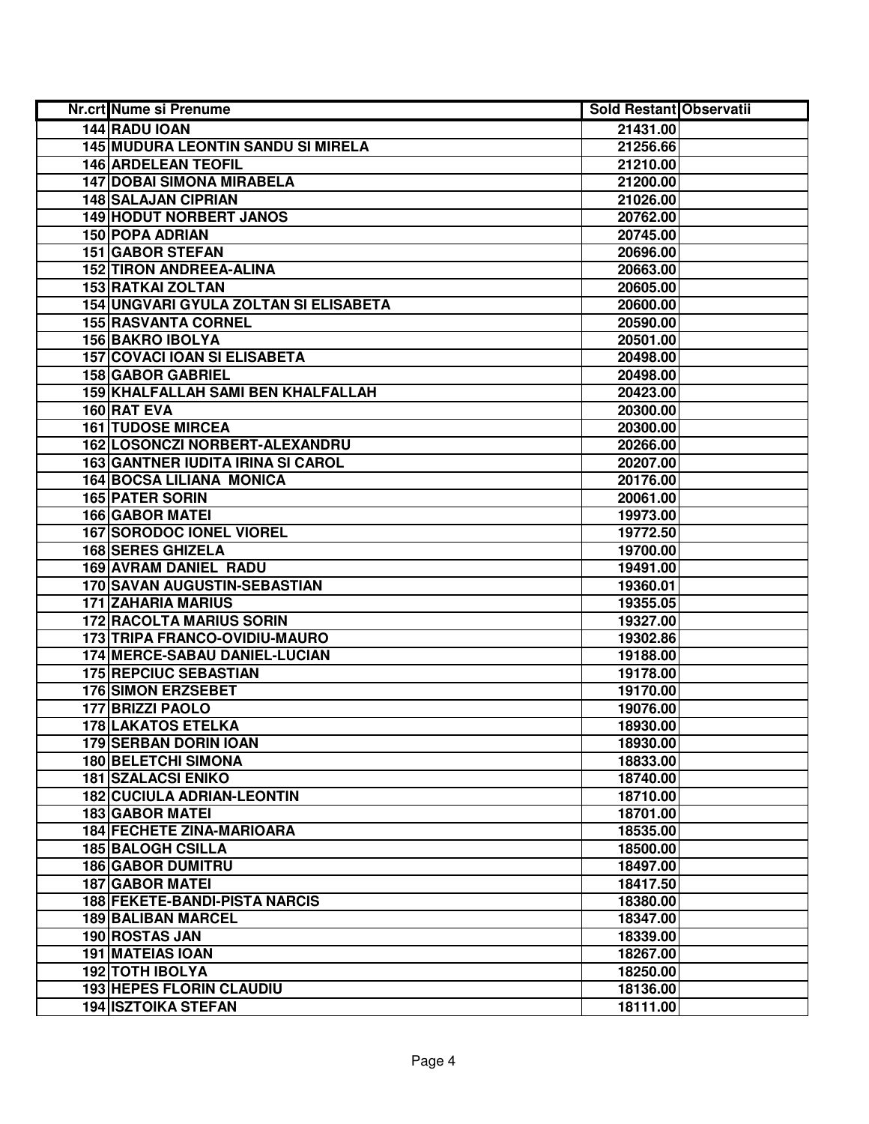| Nr.crt Nume si Prenume                       | <b>Sold Restant Observatii</b> |  |
|----------------------------------------------|--------------------------------|--|
| 144 RADU IOAN                                | 21431.00                       |  |
| <b>145 MUDURA LEONTIN SANDU SI MIRELA</b>    | 21256.66                       |  |
| <b>146 ARDELEAN TEOFIL</b>                   | 21210.00                       |  |
| <b>147 DOBAI SIMONA MIRABELA</b>             | 21200.00                       |  |
| <b>148 SALAJAN CIPRIAN</b>                   | 21026.00                       |  |
| <b>149 HODUT NORBERT JANOS</b>               | 20762.00                       |  |
| <b>150 POPA ADRIAN</b>                       | 20745.00                       |  |
| <b>151 GABOR STEFAN</b>                      | 20696.00                       |  |
| <b>152 TIRON ANDREEA-ALINA</b>               | 20663.00                       |  |
| <b>153 RATKAI ZOLTAN</b>                     | 20605.00                       |  |
| <b>154 UNGVARI GYULA ZOLTAN SI ELISABETA</b> | 20600.00                       |  |
| <b>155 RASVANTA CORNEL</b>                   | 20590.00                       |  |
| <b>156 BAKRO IBOLYA</b>                      | 20501.00                       |  |
| <b>157 COVACI IOAN SI ELISABETA</b>          | 20498.00                       |  |
| <b>158 GABOR GABRIEL</b>                     | 20498.00                       |  |
| 159 KHALFALLAH SAMI BEN KHALFALLAH           | 20423.00                       |  |
| 160 RAT EVA                                  | 20300.00                       |  |
| <b>161 TUDOSE MIRCEA</b>                     | 20300.00                       |  |
| 162 LOSONCZI NORBERT-ALEXANDRU               | 20266.00                       |  |
| <b>163 GANTNER IUDITA IRINA SI CAROL</b>     | 20207.00                       |  |
| <b>164 BOCSA LILIANA MONICA</b>              | 20176.00                       |  |
| <b>165 PATER SORIN</b>                       | 20061.00                       |  |
| <b>166 GABOR MATEI</b>                       | 19973.00                       |  |
| <b>167 SORODOC IONEL VIOREL</b>              | 19772.50                       |  |
| <b>168 SERES GHIZELA</b>                     | 19700.00                       |  |
| <b>169 AVRAM DANIEL RADU</b>                 | 19491.00                       |  |
| 170 SAVAN AUGUSTIN-SEBASTIAN                 | 19360.01                       |  |
| <b>171 ZAHARIA MARIUS</b>                    | 19355.05                       |  |
| <b>172 RACOLTA MARIUS SORIN</b>              | 19327.00                       |  |
| 173 TRIPA FRANCO-OVIDIU-MAURO                | 19302.86                       |  |
| 174 MERCE-SABAU DANIEL-LUCIAN                | 19188.00                       |  |
| <b>175 REPCIUC SEBASTIAN</b>                 | 19178.00                       |  |
| <b>176 SIMON ERZSEBET</b>                    | 19170.00                       |  |
| 177 BRIZZI PAOLO                             | 19076.00                       |  |
| <b>178 LAKATOS ETELKA</b>                    | 18930.00                       |  |
| <b>179 SERBAN DORIN IOAN</b>                 | 18930.00                       |  |
| <b>180 BELETCHI SIMONA</b>                   | 18833.00                       |  |
| <b>181 SZALACSI ENIKO</b>                    | 18740.00                       |  |
| <b>182 CUCIULA ADRIAN-LEONTIN</b>            | 18710.00                       |  |
| <b>183 GABOR MATEI</b>                       | 18701.00                       |  |
| <b>184 FECHETE ZINA-MARIOARA</b>             | 18535.00                       |  |
| <b>185 BALOGH CSILLA</b>                     | 18500.00                       |  |
| <b>186 GABOR DUMITRU</b>                     | 18497.00                       |  |
| <b>187 GABOR MATEL</b>                       | 18417.50                       |  |
| <b>188 FEKETE-BANDI-PISTA NARCIS</b>         | 18380.00                       |  |
| <b>189 BALIBAN MARCEL</b>                    | 18347.00                       |  |
| 190 ROSTAS JAN                               | 18339.00                       |  |
| 191 MATEIAS IOAN                             | 18267.00                       |  |
| <b>192 TOTH IBOLYA</b>                       | 18250.00                       |  |
| <b>193 HEPES FLORIN CLAUDIU</b>              | 18136.00                       |  |
| <b>194 ISZTOIKA STEFAN</b>                   | 18111.00                       |  |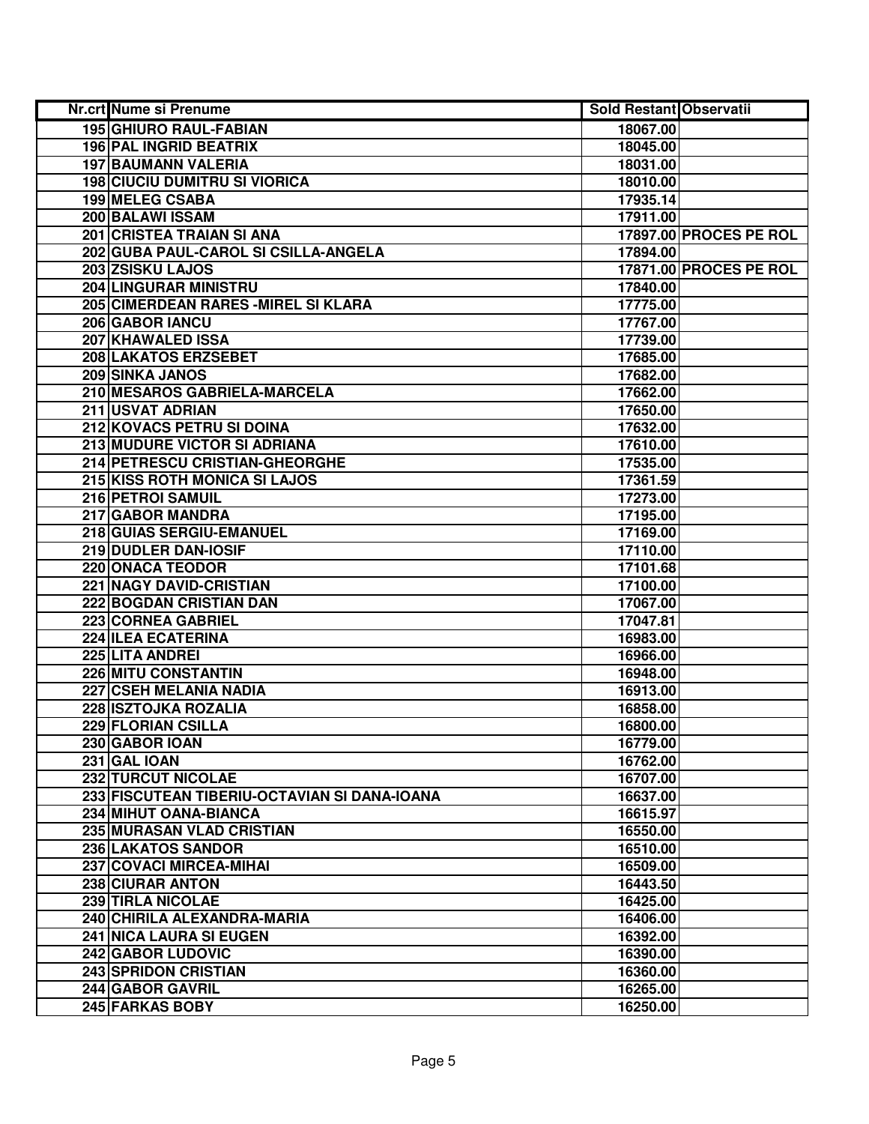| Nr.crt Nume si Prenume                       | <b>Sold Restant Observatii</b> |                        |
|----------------------------------------------|--------------------------------|------------------------|
| <b>195 GHIURO RAUL-FABIAN</b>                | 18067.00                       |                        |
| <b>196 PAL INGRID BEATRIX</b>                | 18045.00                       |                        |
| <b>197 BAUMANN VALERIA</b>                   | 18031.00                       |                        |
| <b>198 CIUCIU DUMITRU SI VIORICA</b>         | 18010.00                       |                        |
| 199 MELEG CSABA                              | 17935.14                       |                        |
| 200 BALAWI ISSAM                             | 17911.00                       |                        |
| 201 CRISTEA TRAIAN SI ANA                    |                                | 17897.00 PROCES PE ROL |
| 202 GUBA PAUL-CAROL SI CSILLA-ANGELA         | 17894.00                       |                        |
| 203 ZSISKU LAJOS                             |                                | 17871.00 PROCES PE ROL |
| <b>204 LINGURAR MINISTRU</b>                 | 17840.00                       |                        |
| 205 CIMERDEAN RARES - MIREL SI KLARA         | 17775.00                       |                        |
| 206 GABOR IANCU                              | 17767.00                       |                        |
| <b>207 KHAWALED ISSA</b>                     | 17739.00                       |                        |
| 208 LAKATOS ERZSEBET                         | 17685.00                       |                        |
| 209 SINKA JANOS                              | 17682.00                       |                        |
| 210 MESAROS GABRIELA-MARCELA                 | 17662.00                       |                        |
| 211 USVAT ADRIAN                             | 17650.00                       |                        |
| 212 KOVACS PETRU SI DOINA                    | 17632.00                       |                        |
| 213 MUDURE VICTOR SI ADRIANA                 | 17610.00                       |                        |
| 214 PETRESCU CRISTIAN-GHEORGHE               | 17535.00                       |                        |
| 215 KISS ROTH MONICA SI LAJOS                | 17361.59                       |                        |
| 216 PETROI SAMUIL                            | 17273.00                       |                        |
| 217 GABOR MANDRA                             | 17195.00                       |                        |
| 218 GUIAS SERGIU-EMANUEL                     | 17169.00                       |                        |
| 219 DUDLER DAN-IOSIF                         | 17110.00                       |                        |
| 220 ONACA TEODOR                             | 17101.68                       |                        |
| 221 NAGY DAVID-CRISTIAN                      | 17100.00                       |                        |
| 222 BOGDAN CRISTIAN DAN                      | 17067.00                       |                        |
| 223 CORNEA GABRIEL                           | 17047.81                       |                        |
| 224 ILEA ECATERINA                           | 16983.00                       |                        |
| 225 LITA ANDREI                              | 16966.00                       |                        |
| <b>226 MITU CONSTANTIN</b>                   | 16948.00                       |                        |
| 227 CSEH MELANIA NADIA                       | 16913.00                       |                        |
| 228 ISZTOJKA ROZALIA                         | 16858.00                       |                        |
| 229 FLORIAN CSILLA                           | 16800.00                       |                        |
| 230 GABOR IOAN                               | 16779.00                       |                        |
| 231 GAL IOAN                                 | 16762.00                       |                        |
| <b>232 TURCUT NICOLAE</b>                    | 16707.00                       |                        |
| 233 FISCUTEAN TIBERIU-OCTAVIAN SI DANA-IOANA | 16637.00                       |                        |
| 234 MIHUT OANA-BIANCA                        | 16615.97                       |                        |
| 235 MURASAN VLAD CRISTIAN                    | 16550.00                       |                        |
| 236 LAKATOS SANDOR                           | 16510.00                       |                        |
| 237 COVACI MIRCEA-MIHAI                      | 16509.00                       |                        |
| 238 CIURAR ANTON                             | 16443.50                       |                        |
| 239 TIRLA NICOLAE                            | 16425.00                       |                        |
| 240 CHIRILA ALEXANDRA-MARIA                  | 16406.00                       |                        |
| <b>241 NICA LAURA SI EUGEN</b>               | 16392.00                       |                        |
| <b>242 GABOR LUDOVIC</b>                     | 16390.00                       |                        |
| <b>243 SPRIDON CRISTIAN</b>                  | 16360.00                       |                        |
| 244 GABOR GAVRIL                             | 16265.00                       |                        |
| 245 FARKAS BOBY                              | 16250.00                       |                        |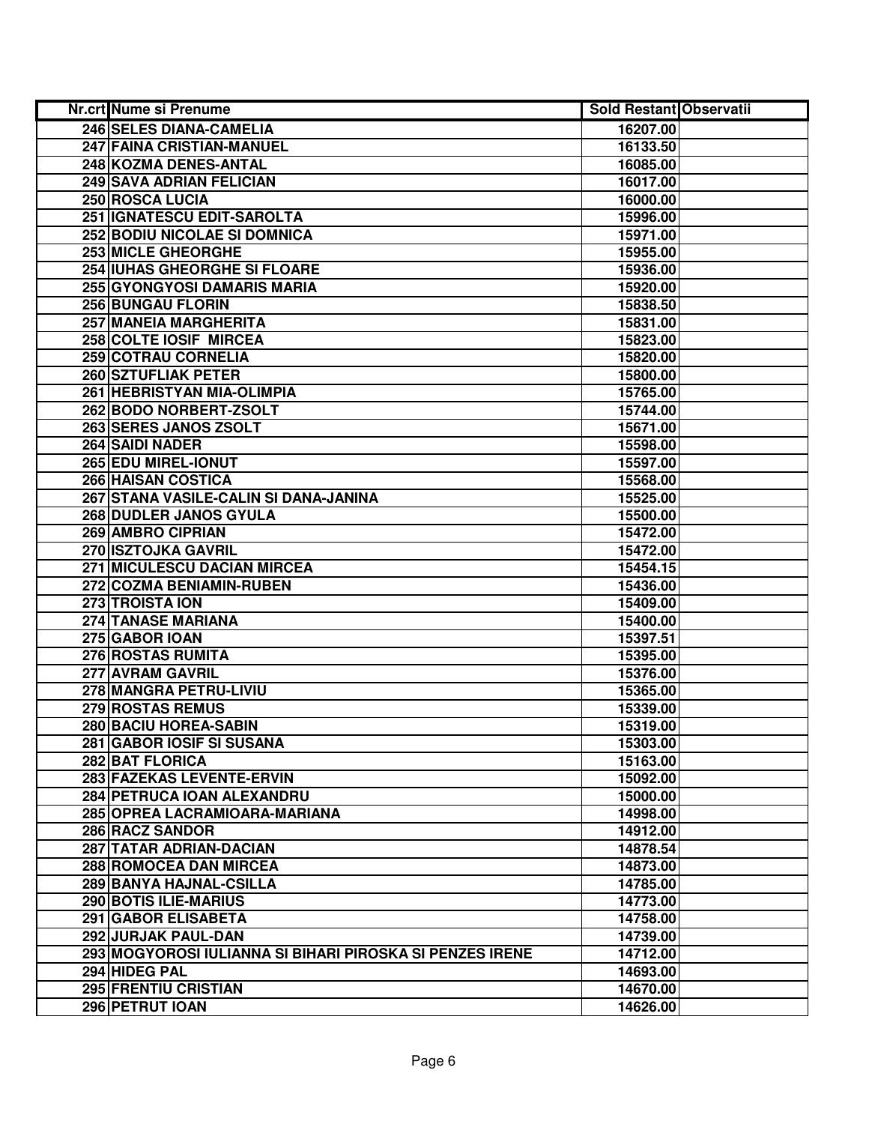| Nr.crt Nume si Prenume                                   | <b>Sold Restant Observatii</b> |  |
|----------------------------------------------------------|--------------------------------|--|
| 246 SELES DIANA-CAMELIA                                  | 16207.00                       |  |
| 247 FAINA CRISTIAN-MANUEL                                | 16133.50                       |  |
| 248 KOZMA DENES-ANTAL                                    | 16085.00                       |  |
| 249 SAVA ADRIAN FELICIAN                                 | 16017.00                       |  |
| 250 ROSCA LUCIA                                          | 16000.00                       |  |
| 251 IGNATESCU EDIT-SAROLTA                               | 15996.00                       |  |
| 252 BODIU NICOLAE SI DOMNICA                             | 15971.00                       |  |
| 253 MICLE GHEORGHE                                       | 15955.00                       |  |
| <b>254 IUHAS GHEORGHE SI FLOARE</b>                      | 15936.00                       |  |
| <b>255 GYONGYOSI DAMARIS MARIA</b>                       | 15920.00                       |  |
| <b>256 BUNGAU FLORIN</b>                                 | 15838.50                       |  |
| 257 MANEIA MARGHERITA                                    | 15831.00                       |  |
| 258 COLTE IOSIF MIRCEA                                   | 15823.00                       |  |
| <b>259 COTRAU CORNELIA</b>                               | 15820.00                       |  |
| 260 SZTUFLIAK PETER                                      | 15800.00                       |  |
| 261 HEBRISTYAN MIA-OLIMPIA                               | 15765.00                       |  |
| 262 BODO NORBERT-ZSOLT                                   | 15744.00                       |  |
| 263 SERES JANOS ZSOLT                                    | 15671.00                       |  |
| 264 SAIDI NADER                                          | 15598.00                       |  |
| 265 EDU MIREL-IONUT                                      | 15597.00                       |  |
| 266 HAISAN COSTICA                                       | 15568.00                       |  |
| 267 STANA VASILE-CALIN SI DANA-JANINA                    | 15525.00                       |  |
| 268 DUDLER JANOS GYULA                                   | 15500.00                       |  |
| 269 AMBRO CIPRIAN                                        | 15472.00                       |  |
| 270 ISZTOJKA GAVRIL                                      | 15472.00                       |  |
| 271 MICULESCU DACIAN MIRCEA                              | 15454.15                       |  |
| 272 COZMA BENIAMIN-RUBEN                                 | 15436.00                       |  |
| 273 TROISTA ION                                          | 15409.00                       |  |
| 274 TANASE MARIANA                                       | 15400.00                       |  |
| 275 GABOR IOAN                                           | 15397.51                       |  |
| 276 ROSTAS RUMITA                                        | 15395.00                       |  |
| 277 AVRAM GAVRIL                                         | 15376.00                       |  |
| 278 MANGRA PETRU-LIVIU                                   | 15365.00                       |  |
| 279 ROSTAS REMUS                                         | 15339.00                       |  |
| <b>280 BACIU HOREA-SABIN</b>                             | 15319.00                       |  |
| 281 GABOR IOSIF SI SUSANA                                | 15303.00                       |  |
| <b>282 BAT FLORICA</b>                                   | 15163.00                       |  |
| 283 FAZEKAS LEVENTE-ERVIN                                | 15092.00                       |  |
| 284 PETRUCA IOAN ALEXANDRU                               | 15000.00                       |  |
| 285 OPREA LACRAMIOARA-MARIANA                            | 14998.00                       |  |
| 286 RACZ SANDOR                                          | 14912.00                       |  |
| 287 TATAR ADRIAN-DACIAN                                  | 14878.54                       |  |
| 288 ROMOCEA DAN MIRCEA                                   | 14873.00                       |  |
| 289 BANYA HAJNAL-CSILLA                                  | 14785.00                       |  |
| 290 BOTIS ILIE-MARIUS                                    | 14773.00                       |  |
| 291 GABOR ELISABETA                                      | 14758.00                       |  |
| 292 JURJAK PAUL-DAN                                      | 14739.00                       |  |
| 293 MOGYOROSI IULIANNA SI BIHARI PIROSKA SI PENZES IRENE | 14712.00                       |  |
| 294 HIDEG PAL                                            | 14693.00                       |  |
| 295 FRENTIU CRISTIAN                                     | 14670.00                       |  |
| 296 PETRUT IOAN                                          | 14626.00                       |  |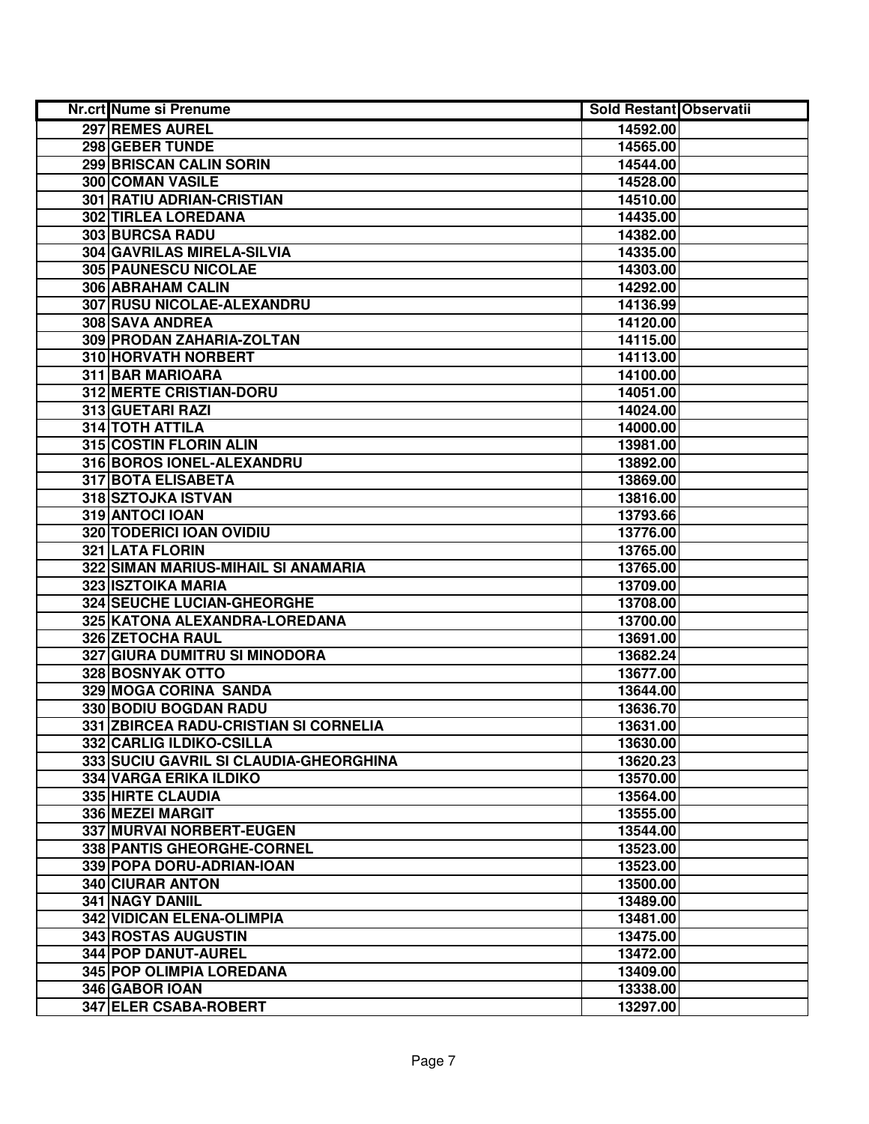| Nr.crt Nume si Prenume                 | <b>Sold Restant Observatii</b> |  |
|----------------------------------------|--------------------------------|--|
| 297 REMES AUREL                        | 14592.00                       |  |
| 298 GEBER TUNDE                        | 14565.00                       |  |
| 299 BRISCAN CALIN SORIN                | 14544.00                       |  |
| 300 COMAN VASILE                       | 14528.00                       |  |
| 301 RATIU ADRIAN-CRISTIAN              | 14510.00                       |  |
| 302 TIRLEA LOREDANA                    | 14435.00                       |  |
| 303 BURCSA RADU                        | 14382.00                       |  |
| 304 GAVRILAS MIRELA-SILVIA             | 14335.00                       |  |
| 305 PAUNESCU NICOLAE                   | 14303.00                       |  |
| 306 ABRAHAM CALIN                      | 14292.00                       |  |
| 307 RUSU NICOLAE-ALEXANDRU             | 14136.99                       |  |
| 308 SAVA ANDREA                        | 14120.00                       |  |
| 309 PRODAN ZAHARIA-ZOLTAN              | 14115.00                       |  |
| 310 HORVATH NORBERT                    | 14113.00                       |  |
| 311 BAR MARIOARA                       | 14100.00                       |  |
| <b>312 MERTE CRISTIAN-DORU</b>         | 14051.00                       |  |
| 313 GUETARI RAZI                       | 14024.00                       |  |
| <b>314 TOTH ATTILA</b>                 | 14000.00                       |  |
| 315 COSTIN FLORIN ALIN                 | 13981.00                       |  |
| 316 BOROS IONEL-ALEXANDRU              | 13892.00                       |  |
| 317 BOTA ELISABETA                     | 13869.00                       |  |
| 318 SZTOJKA ISTVAN                     | 13816.00                       |  |
| 319 ANTOCI IOAN                        | 13793.66                       |  |
| 320 TODERICI IOAN OVIDIU               | 13776.00                       |  |
| <b>321 LATA FLORIN</b>                 | 13765.00                       |  |
| 322 SIMAN MARIUS-MIHAIL SI ANAMARIA    | 13765.00                       |  |
| 323 ISZTOIKA MARIA                     | 13709.00                       |  |
| 324 SEUCHE LUCIAN-GHEORGHE             | 13708.00                       |  |
| 325 KATONA ALEXANDRA-LOREDANA          | 13700.00                       |  |
| 326 ZETOCHA RAUL                       | 13691.00                       |  |
| 327 GIURA DUMITRU SI MINODORA          | 13682.24                       |  |
| 328 BOSNYAK OTTO                       | 13677.00                       |  |
| 329 MOGA CORINA SANDA                  | 13644.00                       |  |
| 330 BODIU BOGDAN RADU                  | 13636.70                       |  |
| 331 ZBIRCEA RADU-CRISTIAN SI CORNELIA  | 13631.00                       |  |
| 332 CARLIG ILDIKO-CSILLA               | 13630.00                       |  |
| 333 SUCIU GAVRIL SI CLAUDIA-GHEORGHINA | 13620.23                       |  |
| <b>334 VARGA ERIKA ILDIKO</b>          | 13570.00                       |  |
| <b>335 HIRTE CLAUDIA</b>               | 13564.00                       |  |
| 336 MEZEI MARGIT                       | 13555.00                       |  |
| 337 MURVAI NORBERT-EUGEN               | 13544.00                       |  |
| 338 PANTIS GHEORGHE-CORNEL             | 13523.00                       |  |
| 339 POPA DORU-ADRIAN-IOAN              | 13523.00                       |  |
| 340 CIURAR ANTON                       | 13500.00                       |  |
| 341 NAGY DANIIL                        | 13489.00                       |  |
| 342 VIDICAN ELENA-OLIMPIA              | 13481.00                       |  |
| 343 ROSTAS AUGUSTIN                    | 13475.00                       |  |
| 344 POP DANUT-AUREL                    | 13472.00                       |  |
| 345 POP OLIMPIA LOREDANA               | 13409.00                       |  |
| 346 GABOR IOAN                         | 13338.00                       |  |
| 347 ELER CSABA-ROBERT                  | 13297.00                       |  |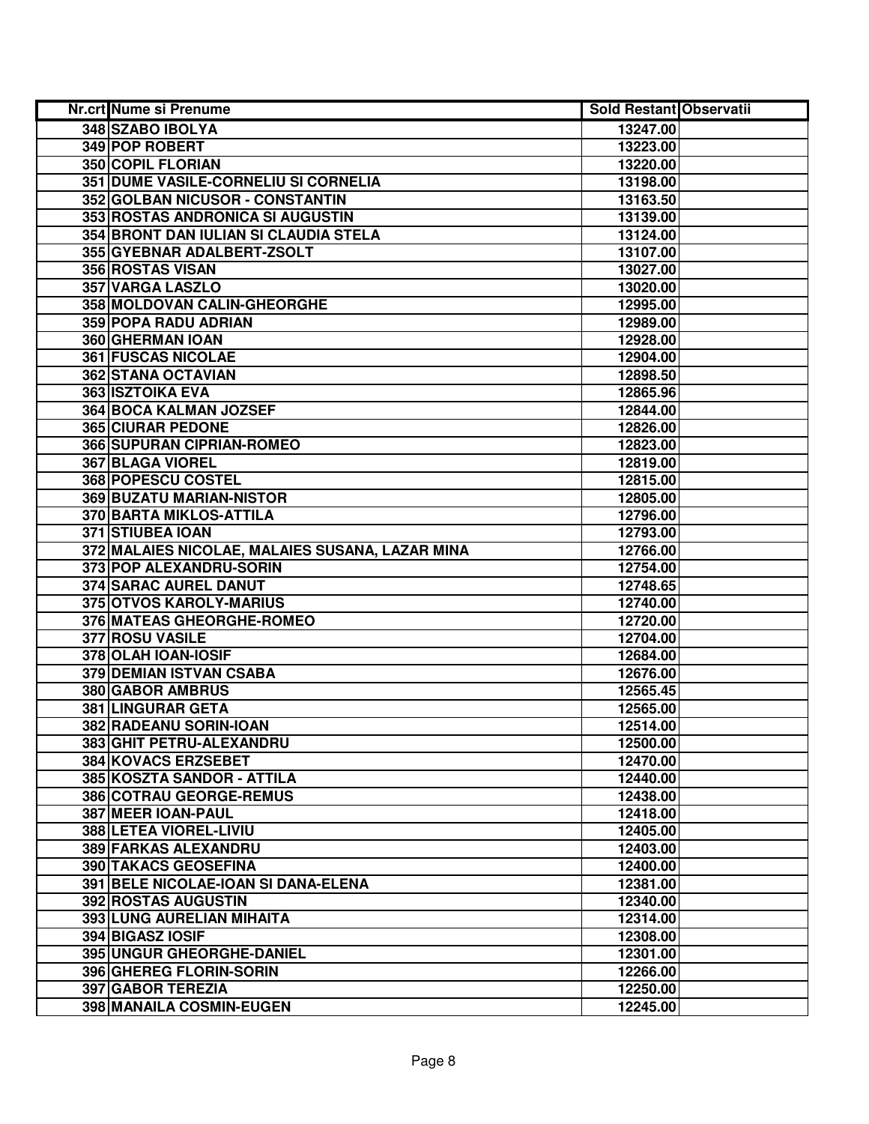| Nr.crt Nume si Prenume                          | <b>Sold Restant Observatii</b> |  |
|-------------------------------------------------|--------------------------------|--|
| 348 SZABO IBOLYA                                | 13247.00                       |  |
| 349 POP ROBERT                                  | 13223.00                       |  |
| <b>350 COPIL FLORIAN</b>                        | 13220.00                       |  |
| 351 DUME VASILE-CORNELIU SI CORNELIA            | 13198.00                       |  |
| 352 GOLBAN NICUSOR - CONSTANTIN                 | 13163.50                       |  |
| 353 ROSTAS ANDRONICA SI AUGUSTIN                | 13139.00                       |  |
| 354 BRONT DAN IULIAN SI CLAUDIA STELA           | 13124.00                       |  |
| 355 GYEBNAR ADALBERT-ZSOLT                      | 13107.00                       |  |
| <b>356 ROSTAS VISAN</b>                         | 13027.00                       |  |
| <b>357 VARGA LASZLO</b>                         | 13020.00                       |  |
| 358 MOLDOVAN CALIN-GHEORGHE                     | 12995.00                       |  |
| 359 POPA RADU ADRIAN                            | 12989.00                       |  |
| 360 GHERMAN IOAN                                | 12928.00                       |  |
| <b>361 FUSCAS NICOLAE</b>                       | 12904.00                       |  |
| 362 STANA OCTAVIAN                              | 12898.50                       |  |
| <b>363 ISZTOIKA EVA</b>                         | 12865.96                       |  |
| 364 BOCA KALMAN JOZSEF                          | 12844.00                       |  |
| <b>365 CIURAR PEDONE</b>                        | 12826.00                       |  |
| 366 SUPURAN CIPRIAN-ROMEO                       | 12823.00                       |  |
| 367 BLAGA VIOREL                                | 12819.00                       |  |
| 368 POPESCU COSTEL                              | 12815.00                       |  |
| 369 BUZATU MARIAN-NISTOR                        | 12805.00                       |  |
| 370 BARTA MIKLOS-ATTILA                         | 12796.00                       |  |
| 371 STIUBEA IOAN                                | 12793.00                       |  |
| 372 MALAIES NICOLAE, MALAIES SUSANA, LAZAR MINA | 12766.00                       |  |
| 373 POP ALEXANDRU-SORIN                         | 12754.00                       |  |
| 374 SARAC AUREL DANUT                           | 12748.65                       |  |
| 375 OTVOS KAROLY-MARIUS                         | 12740.00                       |  |
| 376 MATEAS GHEORGHE-ROMEO                       | 12720.00                       |  |
| 377 ROSU VASILE                                 | 12704.00                       |  |
| 378 OLAH IOAN-IOSIF                             | 12684.00                       |  |
| 379 DEMIAN ISTVAN CSABA                         | 12676.00                       |  |
| 380 GABOR AMBRUS                                | 12565.45                       |  |
| <b>381 LINGURAR GETA</b>                        | 12565.00                       |  |
| 382 RADEANU SORIN-IOAN                          | 12514.00                       |  |
| 383 GHIT PETRU-ALEXANDRU                        | 12500.00                       |  |
| <b>384 KOVACS ERZSEBET</b>                      | 12470.00                       |  |
| 385 KOSZTA SANDOR - ATTILA                      | 12440.00                       |  |
| 386 COTRAU GEORGE-REMUS                         | 12438.00                       |  |
| 387 MEER IOAN-PAUL                              | 12418.00                       |  |
| 388 LETEA VIOREL-LIVIU                          | 12405.00                       |  |
| 389 FARKAS ALEXANDRU                            | 12403.00                       |  |
| <b>390 TAKACS GEOSEFINA</b>                     | 12400.00                       |  |
| 391 BELE NICOLAE-IOAN SI DANA-ELENA             | 12381.00                       |  |
| 392 ROSTAS AUGUSTIN                             | 12340.00                       |  |
| 393 LUNG AURELIAN MIHAITA                       | 12314.00                       |  |
| 394 BIGASZ IOSIF                                | 12308.00                       |  |
| 395 UNGUR GHEORGHE-DANIEL                       | 12301.00                       |  |
| 396 GHEREG FLORIN-SORIN                         | 12266.00                       |  |
| 397 GABOR TEREZIA                               | 12250.00                       |  |
| 398 MANAILA COSMIN-EUGEN                        | 12245.00                       |  |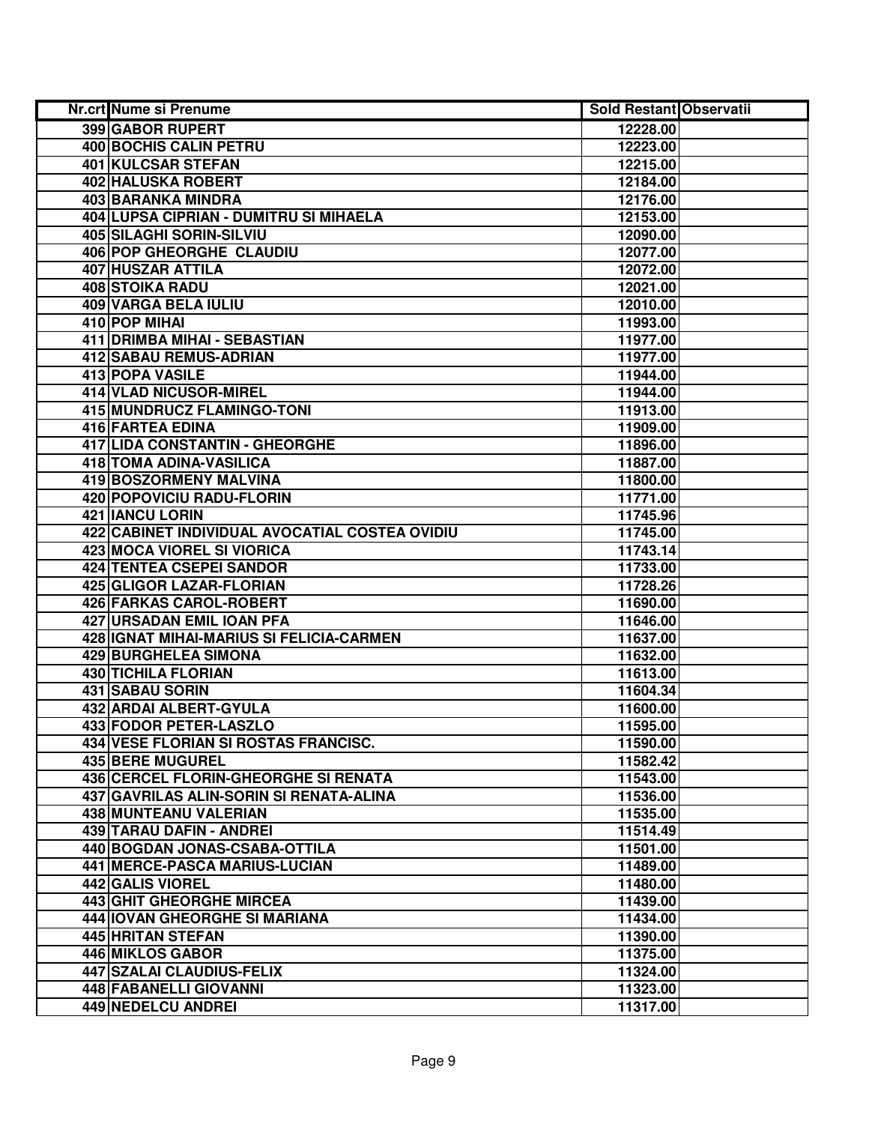| Nr.crt Nume si Prenume                         | <b>Sold Restant Observatii</b> |  |
|------------------------------------------------|--------------------------------|--|
| 399 GABOR RUPERT                               | 12228.00                       |  |
| <b>400 BOCHIS CALIN PETRU</b>                  | 12223.00                       |  |
| 401 KULCSAR STEFAN                             | 12215.00                       |  |
| 402 HALUSKA ROBERT                             | 12184.00                       |  |
| <b>403 BARANKA MINDRA</b>                      | 12176.00                       |  |
| 404 LUPSA CIPRIAN - DUMITRU SI MIHAELA         | 12153.00                       |  |
| 405 SILAGHI SORIN-SILVIU                       | 12090.00                       |  |
| 406 POP GHEORGHE CLAUDIU                       | 12077.00                       |  |
| 407 HUSZAR ATTILA                              | 12072.00                       |  |
| <b>408 STOIKA RADU</b>                         | 12021.00                       |  |
| <b>409 VARGA BELA IULIU</b>                    | 12010.00                       |  |
| 410 POP MIHAI                                  | 11993.00                       |  |
| 411 DRIMBA MIHAI - SEBASTIAN                   | 11977.00                       |  |
| 412 SABAU REMUS-ADRIAN                         | 11977.00                       |  |
| 413 POPA VASILE                                | 11944.00                       |  |
| 414 VLAD NICUSOR-MIREL                         | 11944.00                       |  |
| <b>415 MUNDRUCZ FLAMINGO-TONI</b>              | 11913.00                       |  |
| 416 FARTEA EDINA                               | 11909.00                       |  |
| 417 LIDA CONSTANTIN - GHEORGHE                 | 11896.00                       |  |
| 418 TOMA ADINA-VASILICA                        | 11887.00                       |  |
| 419 BOSZORMENY MALVINA                         | 11800.00                       |  |
| 420 POPOVICIU RADU-FLORIN                      | 11771.00                       |  |
| 421 IANCU LORIN                                | 11745.96                       |  |
| 422 CABINET INDIVIDUAL AVOCATIAL COSTEA OVIDIU | 11745.00                       |  |
| 423 MOCA VIOREL SI VIORICA                     | 11743.14                       |  |
| 424 TENTEA CSEPEI SANDOR                       | 11733.00                       |  |
| 425 GLIGOR LAZAR-FLORIAN                       | 11728.26                       |  |
| 426 FARKAS CAROL-ROBERT                        | 11690.00                       |  |
| 427 URSADAN EMIL IOAN PFA                      | 11646.00                       |  |
| 428 IGNAT MIHAI-MARIUS SI FELICIA-CARMEN       | 11637.00                       |  |
| <b>429 BURGHELEA SIMONA</b>                    | 11632.00                       |  |
| <b>430 TICHILA FLORIAN</b>                     | 11613.00                       |  |
| 431 SABAU SORIN                                | 11604.34                       |  |
| 432 ARDAI ALBERT-GYULA                         | 11600.00                       |  |
| 433 FODOR PETER-LASZLO                         | 11595.00                       |  |
| 434 VESE FLORIAN SI ROSTAS FRANCISC.           | 11590.00                       |  |
| <b>435 BERE MUGUREL</b>                        | 11582.42                       |  |
| 436 CERCEL FLORIN-GHEORGHE SI RENATA           | 11543.00                       |  |
| 437 GAVRILAS ALIN-SORIN SI RENATA-ALINA        | 11536.00                       |  |
| 438 MUNTEANU VALERIAN                          | 11535.00                       |  |
| 439 TARAU DAFIN - ANDREI                       | 11514.49                       |  |
| 440 BOGDAN JONAS-CSABA-OTTILA                  | 11501.00                       |  |
| 441 MERCE-PASCA MARIUS-LUCIAN                  | 11489.00                       |  |
| 442 GALIS VIOREL                               | 11480.00                       |  |
| <b>443 GHIT GHEORGHE MIRCEA</b>                | 11439.00                       |  |
| 444   IOVAN GHEORGHE SI MARIANA                | 11434.00                       |  |
| 445 HRITAN STEFAN                              | 11390.00                       |  |
| 446 MIKLOS GABOR                               | 11375.00                       |  |
| 447 SZALAI CLAUDIUS-FELIX                      | 11324.00                       |  |
| 448 FABANELLI GIOVANNI                         | 11323.00                       |  |
| 449 NEDELCU ANDREI                             | 11317.00                       |  |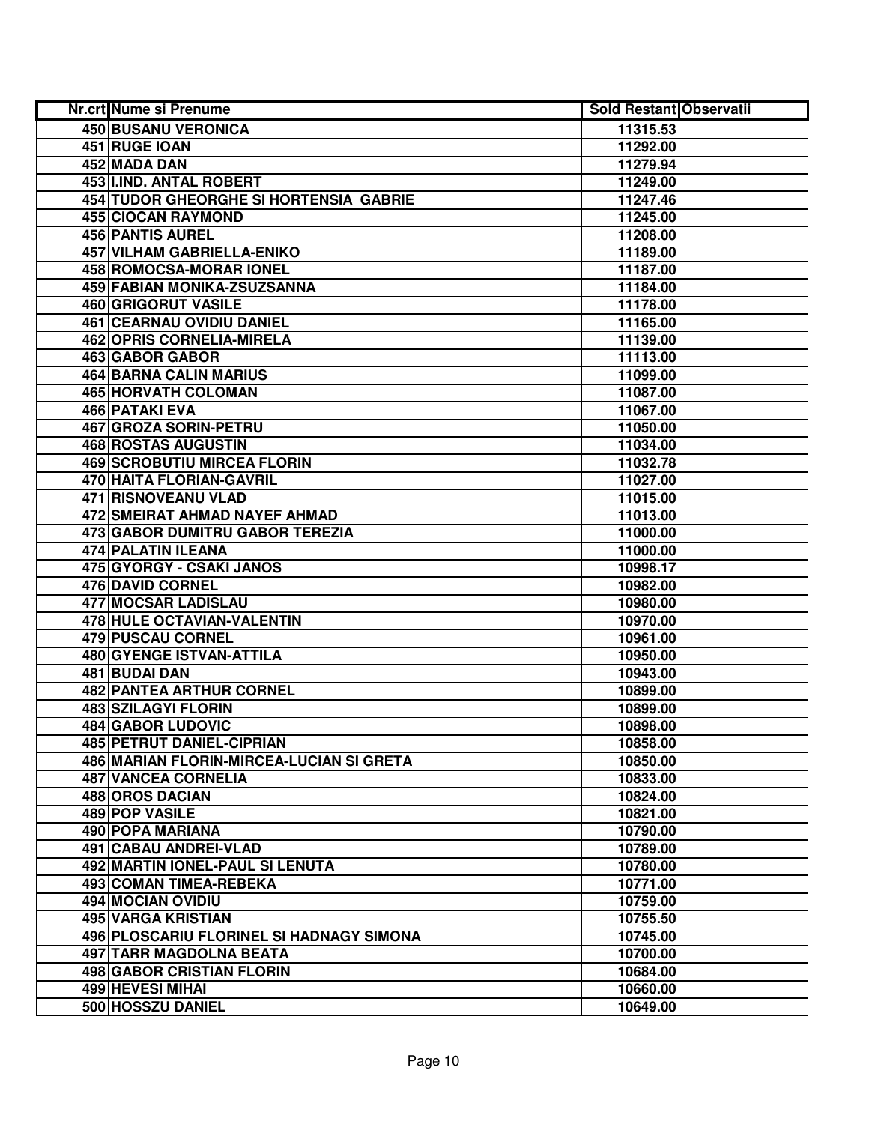| Nr.crt Nume si Prenume                          | <b>Sold Restant Observatii</b> |  |
|-------------------------------------------------|--------------------------------|--|
| 450 BUSANU VERONICA                             | 11315.53                       |  |
| 451 RUGE IOAN                                   | 11292.00                       |  |
| 452 MADA DAN                                    | 11279.94                       |  |
| 453 I.IND. ANTAL ROBERT                         | 11249.00                       |  |
| 454 TUDOR GHEORGHE SI HORTENSIA GABRIE          | 11247.46                       |  |
| 455 CIOCAN RAYMOND                              | 11245.00                       |  |
| 456 PANTIS AUREL                                | 11208.00                       |  |
| <b>457 VILHAM GABRIELLA-ENIKO</b>               | 11189.00                       |  |
| 458 ROMOCSA-MORAR IONEL                         | 11187.00                       |  |
| <b>459 FABIAN MONIKA-ZSUZSANNA</b>              | 11184.00                       |  |
| <b>460 GRIGORUT VASILE</b>                      | 11178.00                       |  |
| <b>461 CEARNAU OVIDIU DANIEL</b>                | 11165.00                       |  |
| 462 OPRIS CORNELIA-MIRELA                       | 11139.00                       |  |
| 463 GABOR GABOR                                 | 11113.00                       |  |
| 464 BARNA CALIN MARIUS                          | 11099.00                       |  |
| 465 HORVATH COLOMAN                             | 11087.00                       |  |
| 466 PATAKI EVA                                  | 11067.00                       |  |
| 467 GROZA SORIN-PETRU                           | 11050.00                       |  |
| 468 ROSTAS AUGUSTIN                             | 11034.00                       |  |
| <b>469 SCROBUTIU MIRCEA FLORIN</b>              | 11032.78                       |  |
| 470 HAITA FLORIAN-GAVRIL                        | 11027.00                       |  |
| <b>471 RISNOVEANU VLAD</b>                      | 11015.00                       |  |
| 472 SMEIRAT AHMAD NAYEF AHMAD                   | 11013.00                       |  |
| 473 GABOR DUMITRU GABOR TEREZIA                 | 11000.00                       |  |
| <b>474 PALATIN ILEANA</b>                       | 11000.00                       |  |
| 475 GYORGY - CSAKI JANOS                        | 10998.17                       |  |
| 476 DAVID CORNEL                                | 10982.00                       |  |
| 477 MOCSAR LADISLAU                             | 10980.00                       |  |
| 478 HULE OCTAVIAN-VALENTIN                      | 10970.00                       |  |
| 479 PUSCAU CORNEL                               | 10961.00                       |  |
| 480 GYENGE ISTVAN-ATTILA                        | 10950.00                       |  |
| 481 BUDAI DAN                                   | 10943.00                       |  |
| <b>482 PANTEA ARTHUR CORNEL</b>                 | 10899.00                       |  |
| <b>483 SZILAGYI FLORIN</b>                      | 10899.00                       |  |
| <b>484 GABOR LUDOVIC</b>                        | 10898.00                       |  |
| 485 PETRUT DANIEL-CIPRIAN                       | 10858.00                       |  |
| <b>486 MARIAN FLORIN-MIRCEA-LUCIAN SI GRETA</b> | 10850.00                       |  |
| <b>487 VANCEA CORNELIA</b>                      | 10833.00                       |  |
| 488 OROS DACIAN                                 | 10824.00                       |  |
| 489 POP VASILE                                  | 10821.00                       |  |
| <b>490 POPA MARIANA</b>                         | 10790.00                       |  |
| 491 CABAU ANDREI-VLAD                           | 10789.00                       |  |
| 492 MARTIN IONEL-PAUL SI LENUTA                 | 10780.00                       |  |
| 493 COMAN TIMEA-REBEKA                          | 10771.00                       |  |
| 494 MOCIAN OVIDIU                               | 10759.00                       |  |
| 495 VARGA KRISTIAN                              | 10755.50                       |  |
| 496 PLOSCARIU FLORINEL SI HADNAGY SIMONA        | 10745.00                       |  |
| 497 TARR MAGDOLNA BEATA                         | 10700.00                       |  |
| 498 GABOR CRISTIAN FLORIN                       | 10684.00                       |  |
| 499 HEVESI MIHAI                                | 10660.00                       |  |
| 500 HOSSZU DANIEL                               | 10649.00                       |  |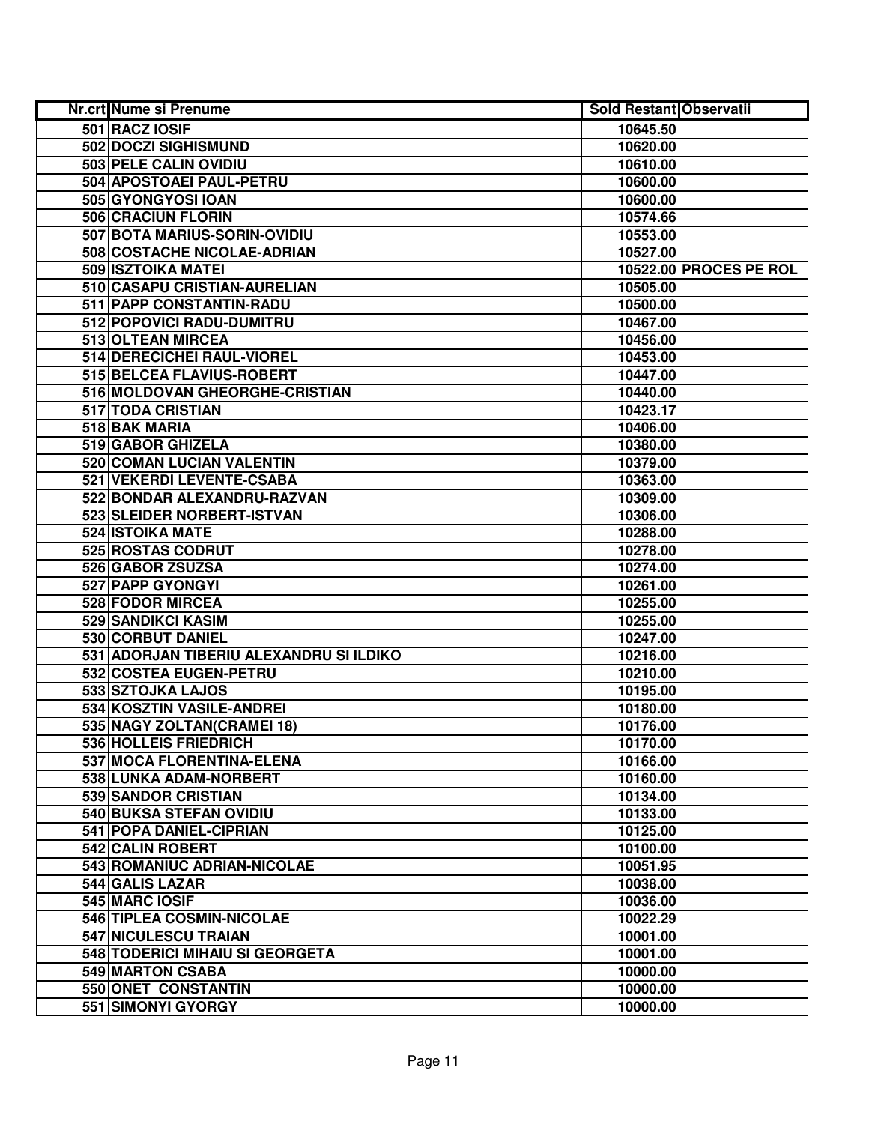| Nr.crt Nume si Prenume                  | <b>Sold Restant Observatii</b> |                               |
|-----------------------------------------|--------------------------------|-------------------------------|
| 501 RACZ IOSIF                          | 10645.50                       |                               |
| 502 DOCZI SIGHISMUND                    | 10620.00                       |                               |
| 503 PELE CALIN OVIDIU                   | 10610.00                       |                               |
| 504 APOSTOAEI PAUL-PETRU                | 10600.00                       |                               |
| 505 GYONGYOSI IOAN                      | 10600.00                       |                               |
| 506 CRACIUN FLORIN                      | 10574.66                       |                               |
| 507 BOTA MARIUS-SORIN-OVIDIU            | 10553.00                       |                               |
| 508 COSTACHE NICOLAE-ADRIAN             | 10527.00                       |                               |
| 509 ISZTOIKA MATEI                      |                                | <b>10522.00 PROCES PE ROL</b> |
| 510 CASAPU CRISTIAN-AURELIAN            | 10505.00                       |                               |
| 511 PAPP CONSTANTIN-RADU                | 10500.00                       |                               |
| 512 POPOVICI RADU-DUMITRU               | 10467.00                       |                               |
| 513 OLTEAN MIRCEA                       | 10456.00                       |                               |
| 514 DERECICHEI RAUL-VIOREL              | 10453.00                       |                               |
| 515 BELCEA FLAVIUS-ROBERT               | 10447.00                       |                               |
| 516 MOLDOVAN GHEORGHE-CRISTIAN          | 10440.00                       |                               |
| 517 TODA CRISTIAN                       | 10423.17                       |                               |
| 518 BAK MARIA                           | 10406.00                       |                               |
| 519 GABOR GHIZELA                       | 10380.00                       |                               |
| 520 COMAN LUCIAN VALENTIN               | 10379.00                       |                               |
| 521 VEKERDI LEVENTE-CSABA               | 10363.00                       |                               |
| 522 BONDAR ALEXANDRU-RAZVAN             | 10309.00                       |                               |
| 523 SLEIDER NORBERT-ISTVAN              | 10306.00                       |                               |
| <b>524 ISTOIKA MATE</b>                 | 10288.00                       |                               |
| 525 ROSTAS CODRUT                       | 10278.00                       |                               |
| 526 GABOR ZSUZSA                        | 10274.00                       |                               |
| 527 PAPP GYONGYI                        | 10261.00                       |                               |
| 528 FODOR MIRCEA                        | 10255.00                       |                               |
| 529 SANDIKCI KASIM                      | 10255.00                       |                               |
| 530 CORBUT DANIEL                       | 10247.00                       |                               |
| 531 ADORJAN TIBERIU ALEXANDRU SI ILDIKO | 10216.00                       |                               |
| 532 COSTEA EUGEN-PETRU                  | 10210.00                       |                               |
| 533 SZTOJKA LAJOS                       | 10195.00                       |                               |
| 534 KOSZTIN VASILE-ANDREI               | 10180.00                       |                               |
| 535 NAGY ZOLTAN(CRAMEI 18)              | 10176.00                       |                               |
| 536 HOLLEIS FRIEDRICH                   | 10170.00                       |                               |
| 537 MOCA FLORENTINA-ELENA               | 10166.00                       |                               |
| 538 LUNKA ADAM-NORBERT                  | 10160.00                       |                               |
| <b>539 SANDOR CRISTIAN</b>              | 10134.00                       |                               |
| 540 BUKSA STEFAN OVIDIU                 | 10133.00                       |                               |
| 541 POPA DANIEL-CIPRIAN                 | 10125.00                       |                               |
| 542 CALIN ROBERT                        | 10100.00                       |                               |
| 543 ROMANIUC ADRIAN-NICOLAE             | 10051.95                       |                               |
| 544 GALIS LAZAR                         | 10038.00                       |                               |
| 545 MARC IOSIF                          | 10036.00                       |                               |
| 546 TIPLEA COSMIN-NICOLAE               | 10022.29                       |                               |
| 547 NICULESCU TRAIAN                    | 10001.00                       |                               |
| 548 TODERICI MIHAIU SI GEORGETA         | 10001.00                       |                               |
| 549 MARTON CSABA                        | 10000.00                       |                               |
| 550 ONET CONSTANTIN                     | 10000.00                       |                               |
| 551 SIMONYI GYORGY                      | 10000.00                       |                               |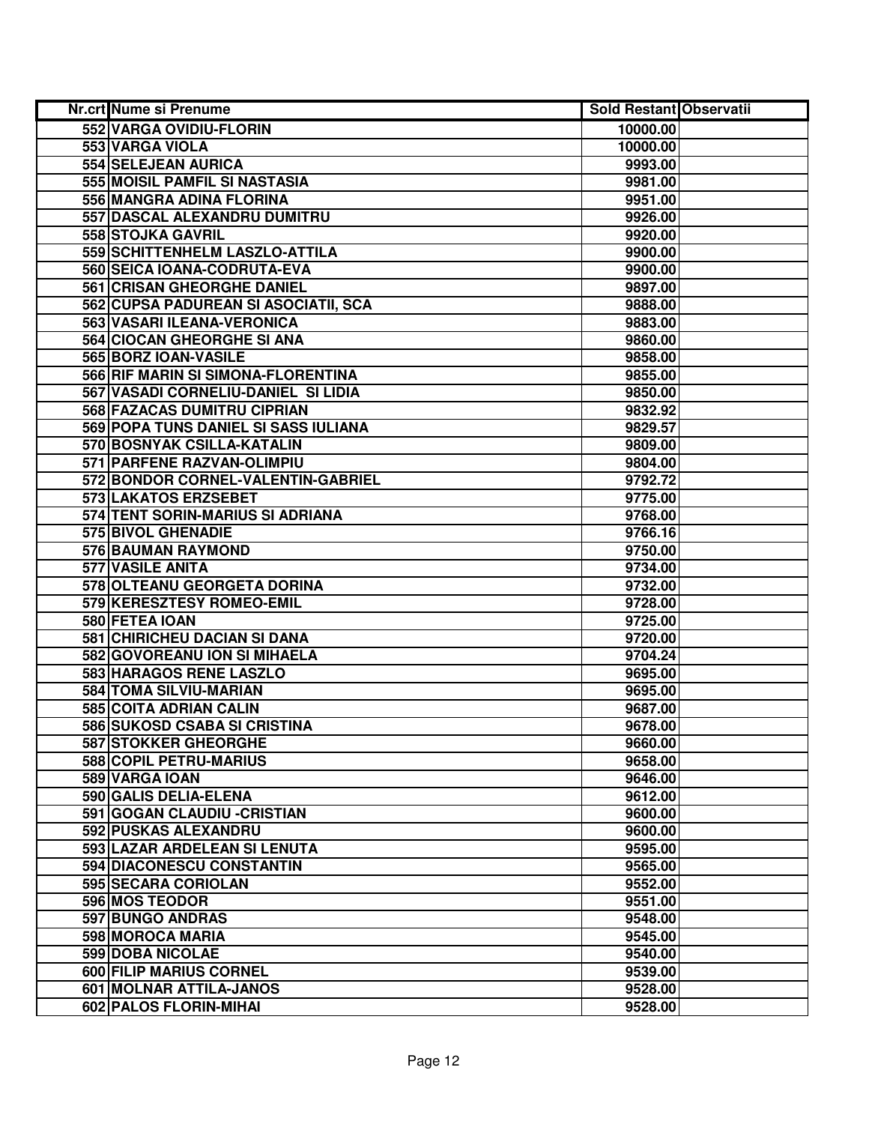| Nr.crt Nume si Prenume               | <b>Sold Restant Observatii</b> |  |
|--------------------------------------|--------------------------------|--|
| 552 VARGA OVIDIU-FLORIN              | 10000.00                       |  |
| 553 VARGA VIOLA                      | 10000.00                       |  |
| 554 SELEJEAN AURICA                  | 9993.00                        |  |
| 555 MOISIL PAMFIL SI NASTASIA        | 9981.00                        |  |
| 556 MANGRA ADINA FLORINA             | 9951.00                        |  |
| 557 DASCAL ALEXANDRU DUMITRU         | 9926.00                        |  |
| 558 STOJKA GAVRIL                    | 9920.00                        |  |
| 559 SCHITTENHELM LASZLO-ATTILA       | 9900.00                        |  |
| 560 SEICA IOANA-CODRUTA-EVA          | 9900.00                        |  |
| <b>561 CRISAN GHEORGHE DANIEL</b>    | 9897.00                        |  |
| 562 CUPSA PADUREAN SI ASOCIATII, SCA | 9888.00                        |  |
| 563 VASARI ILEANA-VERONICA           | 9883.00                        |  |
| 564 CIOCAN GHEORGHE SI ANA           | 9860.00                        |  |
| 565 BORZ IOAN-VASILE                 | 9858.00                        |  |
| 566 RIF MARIN SI SIMONA-FLORENTINA   | 9855.00                        |  |
| 567 VASADI CORNELIU-DANIEL SI LIDIA  | 9850.00                        |  |
| 568 FAZACAS DUMITRU CIPRIAN          | 9832.92                        |  |
| 569 POPA TUNS DANIEL SI SASS IULIANA | 9829.57                        |  |
| 570 BOSNYAK CSILLA-KATALIN           | 9809.00                        |  |
| 571 PARFENE RAZVAN-OLIMPIU           | 9804.00                        |  |
| 572 BONDOR CORNEL-VALENTIN-GABRIEL   | 9792.72                        |  |
| 573 LAKATOS ERZSEBET                 | 9775.00                        |  |
| 574 TENT SORIN-MARIUS SI ADRIANA     | 9768.00                        |  |
| 575 BIVOL GHENADIE                   | 9766.16                        |  |
| 576 BAUMAN RAYMOND                   | 9750.00                        |  |
| 577 VASILE ANITA                     | 9734.00                        |  |
| 578 OLTEANU GEORGETA DORINA          | 9732.00                        |  |
| 579 KERESZTESY ROMEO-EMIL            | 9728.00                        |  |
| 580 FETEA IOAN                       | 9725.00                        |  |
| 581 CHIRICHEU DACIAN SI DANA         | 9720.00                        |  |
| 582 GOVOREANU ION SI MIHAELA         | 9704.24                        |  |
| 583 HARAGOS RENE LASZLO              | 9695.00                        |  |
| 584 TOMA SILVIU-MARIAN               | 9695.00                        |  |
| 585 COITA ADRIAN CALIN               | 9687.00                        |  |
| 586 SUKOSD CSABA SI CRISTINA         | 9678.00                        |  |
| 587 STOKKER GHEORGHE                 | 9660.00                        |  |
| 588 COPIL PETRU-MARIUS               | 9658.00                        |  |
| 589 VARGA IOAN                       | 9646.00                        |  |
| 590 GALIS DELIA-ELENA                | 9612.00                        |  |
| 591 GOGAN CLAUDIU - CRISTIAN         | 9600.00                        |  |
| 592 PUSKAS ALEXANDRU                 | 9600.00                        |  |
| 593 LAZAR ARDELEAN SI LENUTA         | 9595.00                        |  |
| 594 DIACONESCU CONSTANTIN            | 9565.00                        |  |
| 595 SECARA CORIOLAN                  | 9552.00                        |  |
| 596 MOS TEODOR                       | 9551.00                        |  |
| 597 BUNGO ANDRAS                     | 9548.00                        |  |
| 598 MOROCA MARIA                     | 9545.00                        |  |
| 599 DOBA NICOLAE                     | 9540.00                        |  |
| 600 FILIP MARIUS CORNEL              | 9539.00                        |  |
| 601 MOLNAR ATTILA-JANOS              | 9528.00                        |  |
| 602 PALOS FLORIN-MIHAI               | 9528.00                        |  |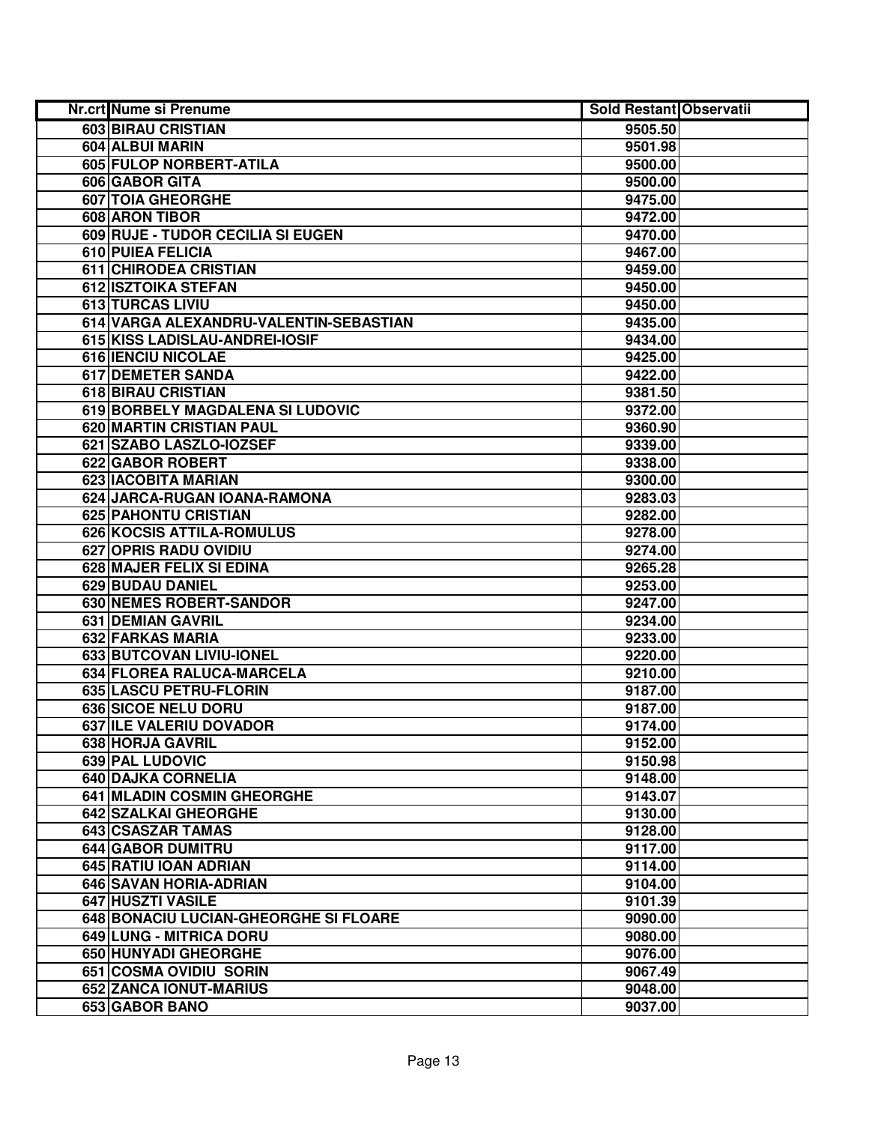| Nr.crt Nume si Prenume                 | <b>Sold Restant Observatii</b> |  |
|----------------------------------------|--------------------------------|--|
| 603 BIRAU CRISTIAN                     | 9505.50                        |  |
| 604 ALBUI MARIN                        | 9501.98                        |  |
| 605 FULOP NORBERT-ATILA                | 9500.00                        |  |
| 606 GABOR GITA                         | 9500.00                        |  |
| 607 TOIA GHEORGHE                      | 9475.00                        |  |
| 608 ARON TIBOR                         | 9472.00                        |  |
| 609 RUJE - TUDOR CECILIA SI EUGEN      | 9470.00                        |  |
| 610 PUIEA FELICIA                      | 9467.00                        |  |
| 611 CHIRODEA CRISTIAN                  | 9459.00                        |  |
| 612 ISZTOIKA STEFAN                    | 9450.00                        |  |
| <b>613 TURCAS LIVIU</b>                | 9450.00                        |  |
| 614 VARGA ALEXANDRU-VALENTIN-SEBASTIAN | 9435.00                        |  |
| 615 KISS LADISLAU-ANDREI-IOSIF         | 9434.00                        |  |
| 616 IENCIU NICOLAE                     | 9425.00                        |  |
| 617 DEMETER SANDA                      | 9422.00                        |  |
| 618 BIRAU CRISTIAN                     | 9381.50                        |  |
| 619 BORBELY MAGDALENA SI LUDOVIC       | 9372.00                        |  |
| 620 MARTIN CRISTIAN PAUL               | 9360.90                        |  |
| 621 SZABO LASZLO-IOZSEF                | 9339.00                        |  |
| 622 GABOR ROBERT                       | 9338.00                        |  |
| 623 IACOBITA MARIAN                    | 9300.00                        |  |
| 624 JARCA-RUGAN IOANA-RAMONA           | 9283.03                        |  |
| 625 PAHONTU CRISTIAN                   | 9282.00                        |  |
| 626 KOCSIS ATTILA-ROMULUS              | 9278.00                        |  |
| 627 OPRIS RADU OVIDIU                  | 9274.00                        |  |
| 628 MAJER FELIX SI EDINA               | 9265.28                        |  |
| 629 BUDAU DANIEL                       | 9253.00                        |  |
| 630 NEMES ROBERT-SANDOR                | 9247.00                        |  |
| 631 DEMIAN GAVRIL                      | 9234.00                        |  |
| 632 FARKAS MARIA                       | 9233.00                        |  |
| 633 BUTCOVAN LIVIU-IONEL               | 9220.00                        |  |
| 634 FLOREA RALUCA-MARCELA              | 9210.00                        |  |
| 635 LASCU PETRU-FLORIN                 | 9187.00                        |  |
| 636 SICOE NELU DORU                    | 9187.00                        |  |
| 637 ILE VALERIU DOVADOR                | 9174.00                        |  |
| <b>638 HORJA GAVRIL</b>                | 9152.00                        |  |
| 639 PAL LUDOVIC                        | 9150.98                        |  |
| 640 DAJKA CORNELIA                     | 9148.00                        |  |
| 641 MLADIN COSMIN GHEORGHE             | 9143.07                        |  |
| 642 SZALKAI GHEORGHE                   | 9130.00                        |  |
| 643 CSASZAR TAMAS                      | 9128.00                        |  |
| <b>644 GABOR DUMITRU</b>               | 9117.00                        |  |
| 645 RATIU IOAN ADRIAN                  | 9114.00                        |  |
| 646 SAVAN HORIA-ADRIAN                 | 9104.00                        |  |
| 647 HUSZTI VASILE                      | 9101.39                        |  |
| 648 BONACIU LUCIAN-GHEORGHE SI FLOARE  | 9090.00                        |  |
| 649 LUNG - MITRICA DORU                | 9080.00                        |  |
| 650 HUNYADI GHEORGHE                   | 9076.00                        |  |
| 651 COSMA OVIDIU SORIN                 | 9067.49                        |  |
| 652 ZANCA IONUT-MARIUS                 | 9048.00                        |  |
| 653 GABOR BANO                         | 9037.00                        |  |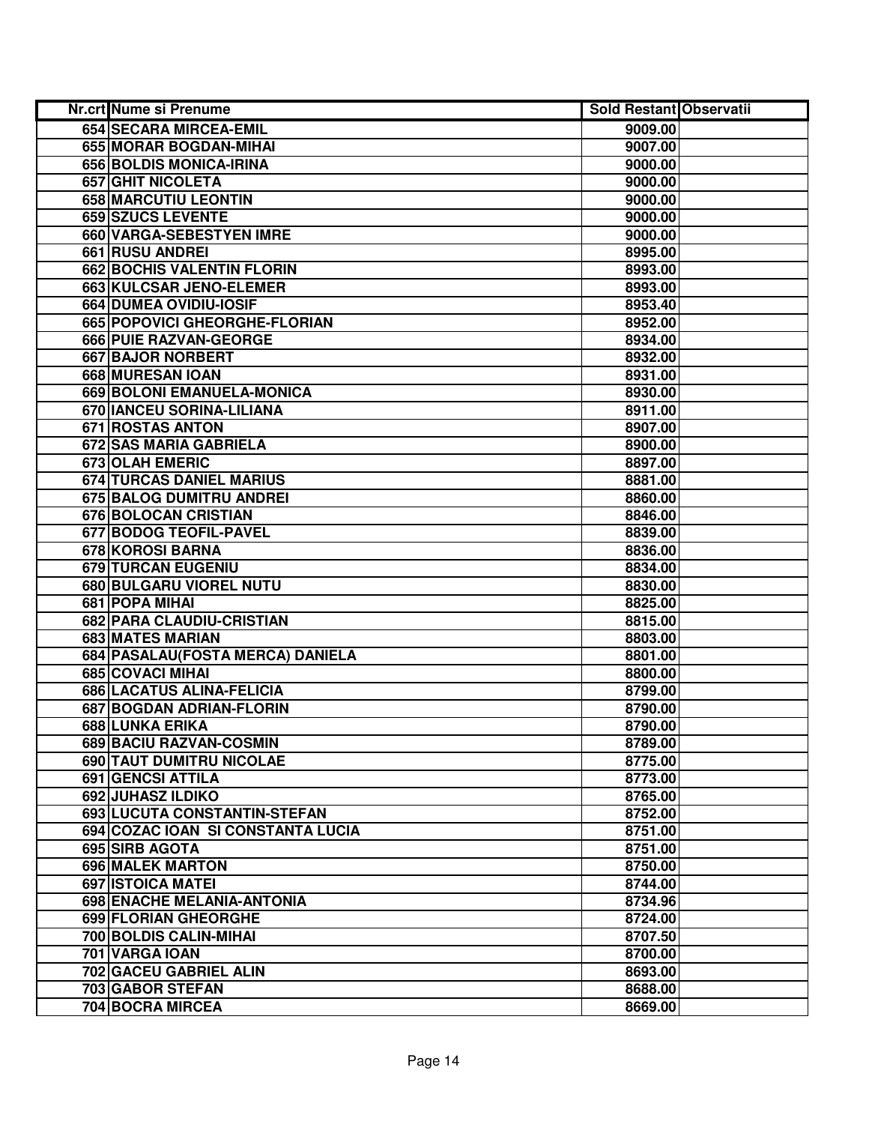| Nr.crt Nume si Prenume            | <b>Sold Restant Observatii</b> |  |
|-----------------------------------|--------------------------------|--|
| 654 SECARA MIRCEA-EMIL            | 9009.00                        |  |
| 655 MORAR BOGDAN-MIHAI            | 9007.00                        |  |
| 656 BOLDIS MONICA-IRINA           | 9000.00                        |  |
| <b>657 GHIT NICOLETA</b>          | 9000.00                        |  |
| 658 MARCUTIU LEONTIN              | 9000.00                        |  |
| 659 SZUCS LEVENTE                 | 9000.00                        |  |
| 660 VARGA-SEBESTYEN IMRE          | 9000.00                        |  |
| 661 RUSU ANDREI                   | 8995.00                        |  |
| <b>662 BOCHIS VALENTIN FLORIN</b> | 8993.00                        |  |
| 663 KULCSAR JENO-ELEMER           | 8993.00                        |  |
| 664 DUMEA OVIDIU-IOSIF            | 8953.40                        |  |
| 665 POPOVICI GHEORGHE-FLORIAN     | 8952.00                        |  |
| 666 PUIE RAZVAN-GEORGE            | 8934.00                        |  |
| 667 BAJOR NORBERT                 | 8932.00                        |  |
| 668 MURESAN IOAN                  | 8931.00                        |  |
| 669 BOLONI EMANUELA-MONICA        | 8930.00                        |  |
| 670 IANCEU SORINA-LILIANA         | 8911.00                        |  |
| <b>671 ROSTAS ANTON</b>           | 8907.00                        |  |
| <b>672 SAS MARIA GABRIELA</b>     | 8900.00                        |  |
| 673 OLAH EMERIC                   | 8897.00                        |  |
| 674 TURCAS DANIEL MARIUS          | 8881.00                        |  |
| 675 BALOG DUMITRU ANDREI          | 8860.00                        |  |
| 676 BOLOCAN CRISTIAN              | 8846.00                        |  |
| 677 BODOG TEOFIL-PAVEL            | 8839.00                        |  |
| 678 KOROSI BARNA                  | 8836.00                        |  |
| 679 TURCAN EUGENIU                | 8834.00                        |  |
| 680 BULGARU VIOREL NUTU           | 8830.00                        |  |
| 681 POPA MIHAI                    | 8825.00                        |  |
| 682 PARA CLAUDIU-CRISTIAN         | 8815.00                        |  |
| 683 MATES MARIAN                  | 8803.00                        |  |
| 684 PASALAU (FOSTA MERCA) DANIELA | 8801.00                        |  |
| 685 COVACI MIHAI                  | 8800.00                        |  |
| 686 LACATUS ALINA-FELICIA         | 8799.00                        |  |
| 687 BOGDAN ADRIAN-FLORIN          | 8790.00                        |  |
| <b>688 LUNKA ERIKA</b>            | 8790.00                        |  |
| 689 BACIU RAZVAN-COSMIN           | 8789.00                        |  |
| 690 TAUT DUMITRU NICOLAE          | 8775.00                        |  |
| <b>691 GENCSI ATTILA</b>          | 8773.00                        |  |
| <b>692 JUHASZ ILDIKO</b>          | 8765.00                        |  |
| 693 LUCUTA CONSTANTIN-STEFAN      | 8752.00                        |  |
| 694 COZAC IOAN SI CONSTANTA LUCIA | 8751.00                        |  |
| 695 SIRB AGOTA                    | 8751.00                        |  |
| <b>696 MALEK MARTON</b>           | 8750.00                        |  |
| 697 ISTOICA MATEI                 | 8744.00                        |  |
| 698 ENACHE MELANIA-ANTONIA        | 8734.96                        |  |
| 699 FLORIAN GHEORGHE              | 8724.00                        |  |
| 700 BOLDIS CALIN-MIHAI            | 8707.50                        |  |
| 701 VARGA IOAN                    | 8700.00                        |  |
| 702 GACEU GABRIEL ALIN            | 8693.00                        |  |
| 703 GABOR STEFAN                  | 8688.00                        |  |
| 704 BOCRA MIRCEA                  | 8669.00                        |  |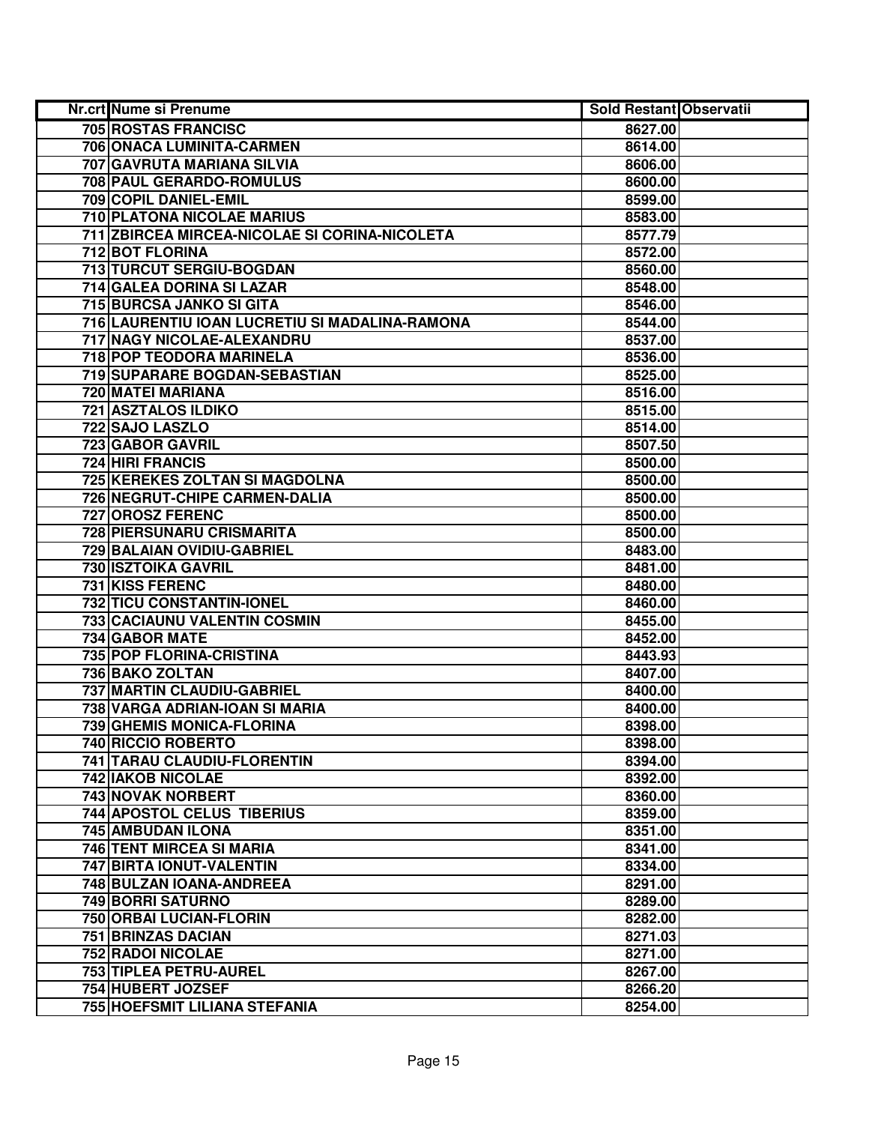| Nr.crt Nume si Prenume                         | Sold Restant Observatii |  |
|------------------------------------------------|-------------------------|--|
| <b>705 ROSTAS FRANCISC</b>                     | 8627.00                 |  |
| 706 ONACA LUMINITA-CARMEN                      | 8614.00                 |  |
| 707 GAVRUTA MARIANA SILVIA                     | 8606.00                 |  |
| 708 PAUL GERARDO-ROMULUS                       | 8600.00                 |  |
| 709 COPIL DANIEL-EMIL                          | 8599.00                 |  |
| 710 PLATONA NICOLAE MARIUS                     | 8583.00                 |  |
| 711 ZBIRCEA MIRCEA-NICOLAE SI CORINA-NICOLETA  | 8577.79                 |  |
| 712 BOT FLORINA                                | 8572.00                 |  |
| 713 TURCUT SERGIU-BOGDAN                       | 8560.00                 |  |
| 714 GALEA DORINA SI LAZAR                      | 8548.00                 |  |
| <b>715 BURCSA JANKO SI GITA</b>                | 8546.00                 |  |
| 716 LAURENTIU IOAN LUCRETIU SI MADALINA-RAMONA | 8544.00                 |  |
| 717 NAGY NICOLAE-ALEXANDRU                     | 8537.00                 |  |
| 718 POP TEODORA MARINELA                       | 8536.00                 |  |
| 719 SUPARARE BOGDAN-SEBASTIAN                  | 8525.00                 |  |
| 720 MATEI MARIANA                              | 8516.00                 |  |
| 721 ASZTALOS ILDIKO                            | 8515.00                 |  |
| 722 SAJO LASZLO                                | 8514.00                 |  |
| 723 GABOR GAVRIL                               | 8507.50                 |  |
| 724 HIRI FRANCIS                               | 8500.00                 |  |
| 725 KEREKES ZOLTAN SI MAGDOLNA                 | 8500.00                 |  |
| 726 NEGRUT-CHIPE CARMEN-DALIA                  | 8500.00                 |  |
| 727 OROSZ FERENC                               | 8500.00                 |  |
| 728 PIERSUNARU CRISMARITA                      | 8500.00                 |  |
| 729 BALAIAN OVIDIU-GABRIEL                     | 8483.00                 |  |
| 730 ISZTOIKA GAVRIL                            | 8481.00                 |  |
| <b>731 KISS FERENC</b>                         | 8480.00                 |  |
| 732 TICU CONSTANTIN-IONEL                      | 8460.00                 |  |
| 733 CACIAUNU VALENTIN COSMIN                   | 8455.00                 |  |
| 734 GABOR MATE                                 | 8452.00                 |  |
| 735 POP FLORINA-CRISTINA                       | 8443.93                 |  |
| 736 BAKO ZOLTAN                                | 8407.00                 |  |
| 737 MARTIN CLAUDIU-GABRIEL                     | 8400.00                 |  |
| 738 VARGA ADRIAN-IOAN SI MARIA                 | 8400.00                 |  |
| <b>739 GHEMIS MONICA-FLORINA</b>               | 8398.00                 |  |
| 740 RICCIO ROBERTO                             | 8398.00                 |  |
| 741 TARAU CLAUDIU-FLORENTIN                    | 8394.00                 |  |
| 742 IAKOB NICOLAE                              | 8392.00                 |  |
| 743 NOVAK NORBERT                              | 8360.00                 |  |
| 744 APOSTOL CELUS TIBERIUS                     | 8359.00                 |  |
| <b>745 AMBUDAN ILONA</b>                       | 8351.00                 |  |
| <b>746 TENT MIRCEA SI MARIA</b>                | 8341.00                 |  |
| 747 BIRTA IONUT-VALENTIN                       | 8334.00                 |  |
| 748 BULZAN IOANA-ANDREEA                       | 8291.00                 |  |
| 749 BORRI SATURNO                              | 8289.00                 |  |
| 750 ORBAI LUCIAN-FLORIN                        | 8282.00                 |  |
| 751 BRINZAS DACIAN                             | 8271.03                 |  |
| 752 RADOI NICOLAE                              | 8271.00                 |  |
| 753 TIPLEA PETRU-AUREL                         | 8267.00                 |  |
| 754 HUBERT JOZSEF                              | 8266.20                 |  |
| 755 HOEFSMIT LILIANA STEFANIA                  | 8254.00                 |  |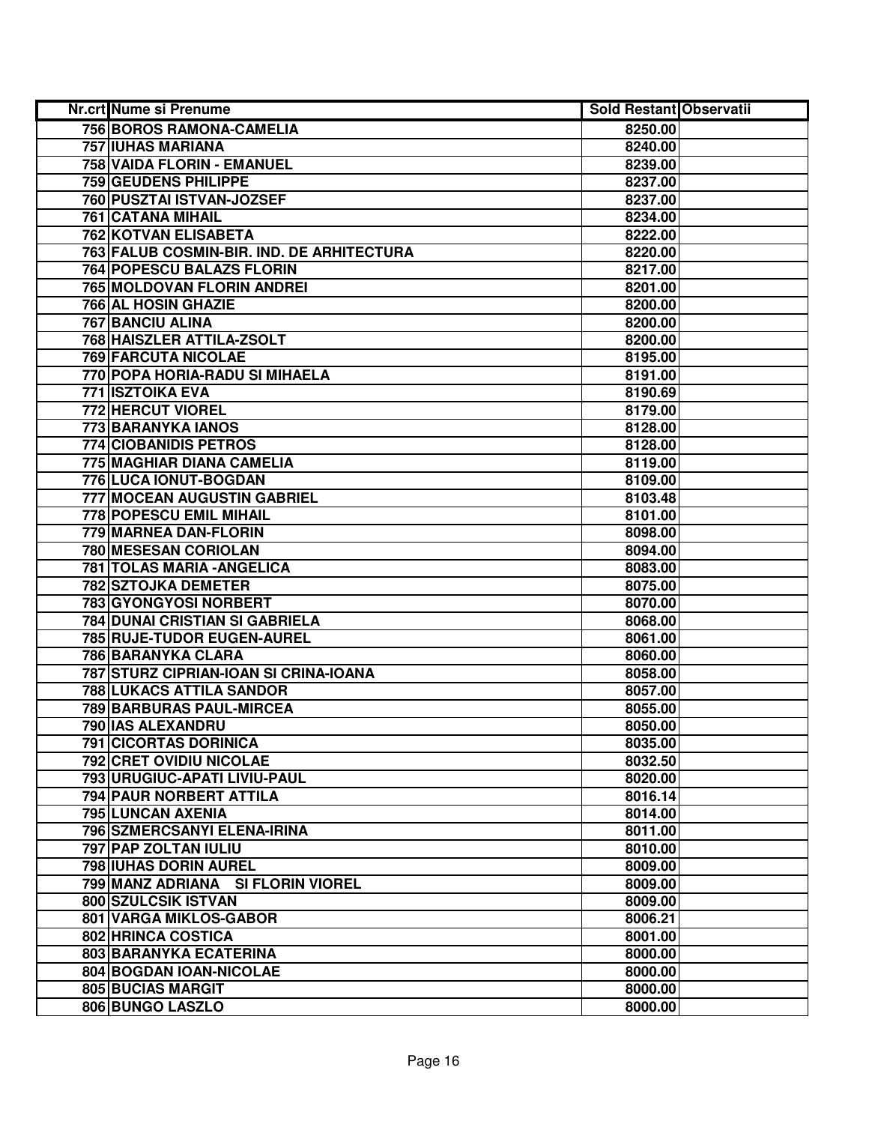| Nr.crt Nume si Prenume                    | <b>Sold Restant Observatii</b> |  |
|-------------------------------------------|--------------------------------|--|
| 756 BOROS RAMONA-CAMELIA                  | 8250.00                        |  |
| <b>757 IUHAS MARIANA</b>                  | 8240.00                        |  |
| 758 VAIDA FLORIN - EMANUEL                | 8239.00                        |  |
| <b>759 GEUDENS PHILIPPE</b>               | 8237.00                        |  |
| 760 PUSZTAI ISTVAN-JOZSEF                 | 8237.00                        |  |
| 761 CATANA MIHAIL                         | 8234.00                        |  |
| 762 KOTVAN ELISABETA                      | 8222.00                        |  |
| 763 FALUB COSMIN-BIR. IND. DE ARHITECTURA | 8220.00                        |  |
| <b>764 POPESCU BALAZS FLORIN</b>          | 8217.00                        |  |
| <b>765 MOLDOVAN FLORIN ANDREI</b>         | 8201.00                        |  |
| <b>766 AL HOSIN GHAZIE</b>                | 8200.00                        |  |
| <b>767 BANCIU ALINA</b>                   | 8200.00                        |  |
| 768 HAISZLER ATTILA-ZSOLT                 | 8200.00                        |  |
| <b>769 FARCUTA NICOLAE</b>                | 8195.00                        |  |
| 770 POPA HORIA-RADU SI MIHAELA            | 8191.00                        |  |
| 771 ISZTOIKA EVA                          | 8190.69                        |  |
| 772 HERCUT VIOREL                         | 8179.00                        |  |
| 773 BARANYKA IANOS                        | 8128.00                        |  |
| 774 CIOBANIDIS PETROS                     | 8128.00                        |  |
| 775 MAGHIAR DIANA CAMELIA                 | 8119.00                        |  |
| 776 LUCA IONUT-BOGDAN                     | 8109.00                        |  |
| 777 MOCEAN AUGUSTIN GABRIEL               | 8103.48                        |  |
| <b>778 POPESCU EMIL MIHAIL</b>            | 8101.00                        |  |
| 779 MARNEA DAN-FLORIN                     | 8098.00                        |  |
| 780 MESESAN CORIOLAN                      | 8094.00                        |  |
| 781 TOLAS MARIA - ANGELICA                | 8083.00                        |  |
| 782 SZTOJKA DEMETER                       | 8075.00                        |  |
| 783 GYONGYOSI NORBERT                     | 8070.00                        |  |
| 784 DUNAI CRISTIAN SI GABRIELA            | 8068.00                        |  |
| 785 RUJE-TUDOR EUGEN-AUREL                | 8061.00                        |  |
| 786 BARANYKA CLARA                        | 8060.00                        |  |
| 787 STURZ CIPRIAN-IOAN SI CRINA-IOANA     | 8058.00                        |  |
| <b>788 LUKACS ATTILA SANDOR</b>           | 8057.00                        |  |
| <b>789 BARBURAS PAUL-MIRCEA</b>           | 8055.00                        |  |
| 790 IAS ALEXANDRU                         | 8050.00                        |  |
| <b>791 CICORTAS DORINICA</b>              | 8035.00                        |  |
| 792 CRET OVIDIU NICOLAE                   | 8032.50                        |  |
| 793 URUGIUC-APATI LIVIU-PAUL              | 8020.00                        |  |
| 794 PAUR NORBERT ATTILA                   | 8016.14                        |  |
| 795 LUNCAN AXENIA                         | 8014.00                        |  |
| 796 SZMERCSANYI ELENA-IRINA               | 8011.00                        |  |
| 797 PAP ZOLTAN IULIU                      | 8010.00                        |  |
| 798 IUHAS DORIN AUREL                     | 8009.00                        |  |
| 799 MANZ ADRIANA SI FLORIN VIOREL         | 8009.00                        |  |
| 800 SZULCSIK ISTVAN                       | 8009.00                        |  |
| 801 VARGA MIKLOS-GABOR                    | 8006.21                        |  |
| 802 HRINCA COSTICA                        | 8001.00                        |  |
| 803 BARANYKA ECATERINA                    | 8000.00                        |  |
| 804 BOGDAN IOAN-NICOLAE                   | 8000.00                        |  |
| <b>805 BUCIAS MARGIT</b>                  | 8000.00                        |  |
| 806 BUNGO LASZLO                          | 8000.00                        |  |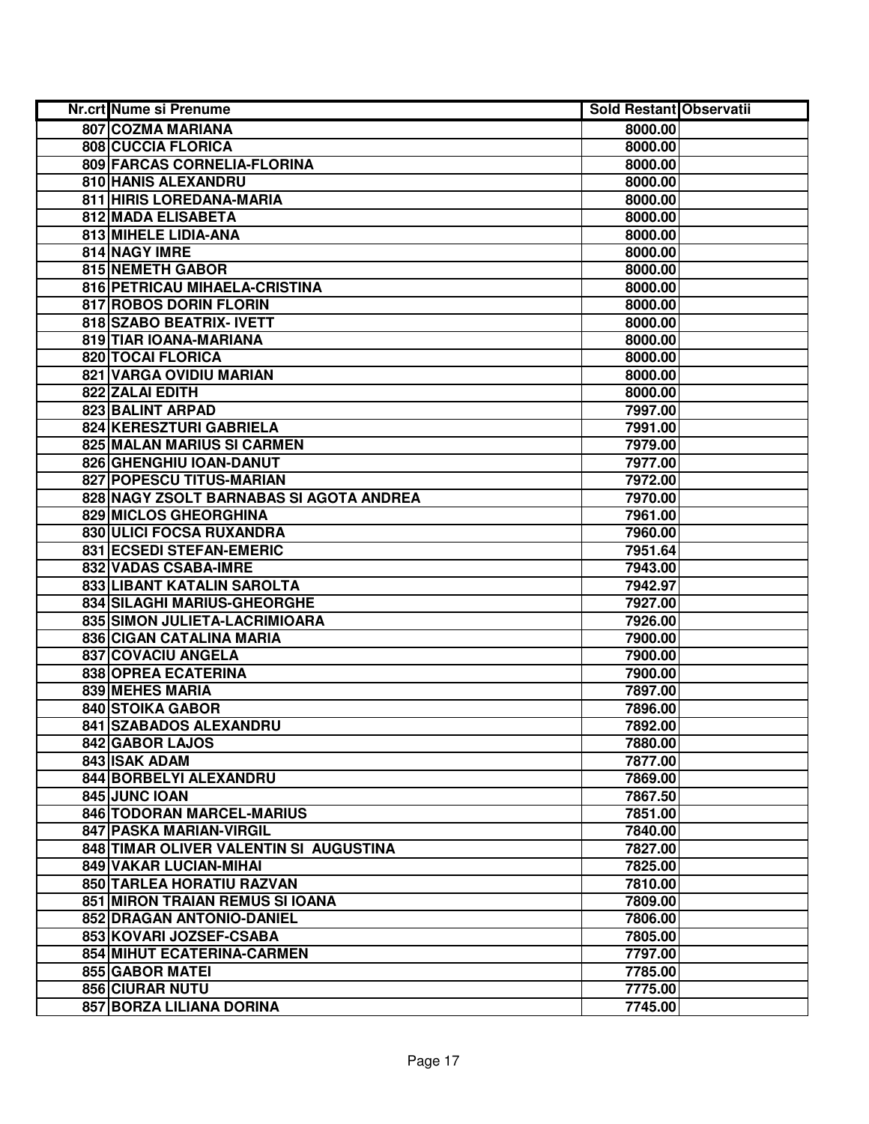| Nr.crt Nume si Prenume                  | <b>Sold Restant Observatii</b> |  |
|-----------------------------------------|--------------------------------|--|
| 807 COZMA MARIANA                       | 8000.00                        |  |
| 808 CUCCIA FLORICA                      | 8000.00                        |  |
| 809 FARCAS CORNELIA-FLORINA             | 8000.00                        |  |
| 810 HANIS ALEXANDRU                     | 8000.00                        |  |
| 811 HIRIS LOREDANA-MARIA                | 8000.00                        |  |
| 812 MADA ELISABETA                      | 8000.00                        |  |
| 813 MIHELE LIDIA-ANA                    | 8000.00                        |  |
| 814 NAGY IMRE                           | 8000.00                        |  |
| 815 NEMETH GABOR                        | 8000.00                        |  |
| 816 PETRICAU MIHAELA-CRISTINA           | 8000.00                        |  |
| 817 ROBOS DORIN FLORIN                  | 8000.00                        |  |
| 818 SZABO BEATRIX- IVETT                | 8000.00                        |  |
| 819 TIAR IOANA-MARIANA                  | 8000.00                        |  |
| 820 TOCAI FLORICA                       | 8000.00                        |  |
| 821 VARGA OVIDIU MARIAN                 | 8000.00                        |  |
| 822 ZALAI EDITH                         | 8000.00                        |  |
| 823 BALINT ARPAD                        | 7997.00                        |  |
| 824 KERESZTURI GABRIELA                 | 7991.00                        |  |
| 825 MALAN MARIUS SI CARMEN              | 7979.00                        |  |
| 826 GHENGHIU IOAN-DANUT                 | 7977.00                        |  |
| 827 POPESCU TITUS-MARIAN                | 7972.00                        |  |
| 828 NAGY ZSOLT BARNABAS SI AGOTA ANDREA | 7970.00                        |  |
| 829 MICLOS GHEORGHINA                   | 7961.00                        |  |
| 830 ULICI FOCSA RUXANDRA                | 7960.00                        |  |
| 831 ECSEDI STEFAN-EMERIC                | 7951.64                        |  |
| 832 VADAS CSABA-IMRE                    | 7943.00                        |  |
| 833 LIBANT KATALIN SAROLTA              | 7942.97                        |  |
| 834 SILAGHI MARIUS-GHEORGHE             | 7927.00                        |  |
| 835 SIMON JULIETA-LACRIMIOARA           | 7926.00                        |  |
| 836 CIGAN CATALINA MARIA                | 7900.00                        |  |
| 837 COVACIU ANGELA                      | 7900.00                        |  |
| 838 OPREA ECATERINA                     | 7900.00                        |  |
| 839 MEHES MARIA                         | 7897.00                        |  |
| <b>840 STOIKA GABOR</b>                 | 7896.00                        |  |
| 841 SZABADOS ALEXANDRU                  | 7892.00                        |  |
| 842 GABOR LAJOS                         | 7880.00                        |  |
| 843 ISAK ADAM                           | 7877.00                        |  |
| 844 BORBELYI ALEXANDRU                  | 7869.00                        |  |
| 845 JUNC IOAN                           | 7867.50                        |  |
| 846 TODORAN MARCEL-MARIUS               | 7851.00                        |  |
| <b>847 PASKA MARIAN-VIRGIL</b>          | 7840.00                        |  |
| 848 TIMAR OLIVER VALENTIN SI AUGUSTINA  | 7827.00                        |  |
| 849 VAKAR LUCIAN-MIHAI                  | 7825.00                        |  |
| 850 TARLEA HORATIU RAZVAN               | 7810.00                        |  |
| 851 MIRON TRAIAN REMUS SI IOANA         | 7809.00                        |  |
| 852 DRAGAN ANTONIO-DANIEL               | 7806.00                        |  |
| 853 KOVARI JOZSEF-CSABA                 | 7805.00                        |  |
| 854 MIHUT ECATERINA-CARMEN              | 7797.00                        |  |
| 855 GABOR MATEI                         | 7785.00                        |  |
| <b>856 CIURAR NUTU</b>                  | 7775.00                        |  |
| 857 BORZA LILIANA DORINA                | 7745.00                        |  |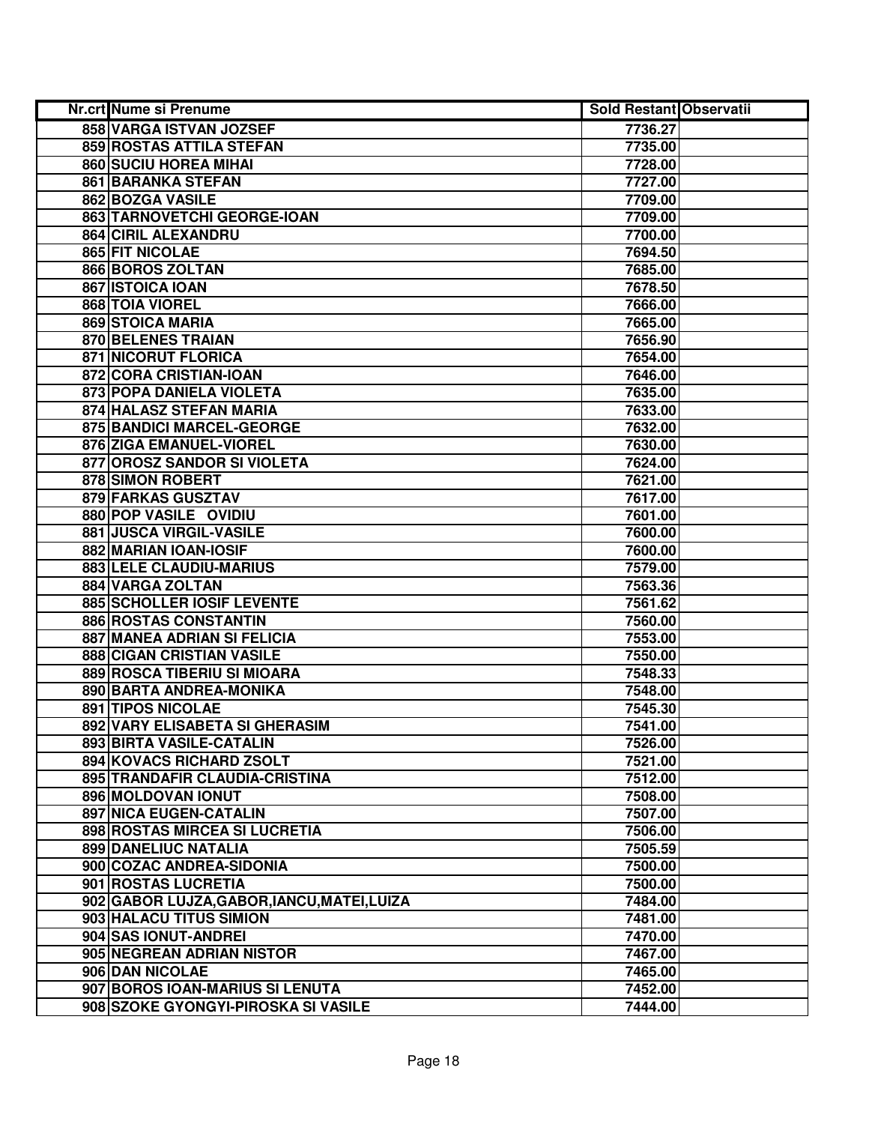| Nr.crt Nume si Prenume                      | <b>Sold Restant Observatii</b> |  |
|---------------------------------------------|--------------------------------|--|
| 858 VARGA ISTVAN JOZSEF                     | 7736.27                        |  |
| 859 ROSTAS ATTILA STEFAN                    | 7735.00                        |  |
| 860 SUCIU HOREA MIHAI                       | 7728.00                        |  |
| 861 BARANKA STEFAN                          | 7727.00                        |  |
| 862 BOZGA VASILE                            | 7709.00                        |  |
| 863 TARNOVETCHI GEORGE-IOAN                 | 7709.00                        |  |
| 864 CIRIL ALEXANDRU                         | 7700.00                        |  |
| 865 FIT NICOLAE                             | 7694.50                        |  |
| 866 BOROS ZOLTAN                            | 7685.00                        |  |
| 867 ISTOICA IOAN                            | 7678.50                        |  |
| 868 TOIA VIOREL                             | 7666.00                        |  |
| 869 STOICA MARIA                            | 7665.00                        |  |
| 870 BELENES TRAIAN                          | 7656.90                        |  |
| <b>871 NICORUT FLORICA</b>                  | 7654.00                        |  |
| 872 CORA CRISTIAN-IOAN                      | 7646.00                        |  |
| 873 POPA DANIELA VIOLETA                    | 7635.00                        |  |
| 874 HALASZ STEFAN MARIA                     | 7633.00                        |  |
| 875 BANDICI MARCEL-GEORGE                   | 7632.00                        |  |
| 876 ZIGA EMANUEL-VIOREL                     | 7630.00                        |  |
| 877 OROSZ SANDOR SI VIOLETA                 | 7624.00                        |  |
| 878 SIMON ROBERT                            | 7621.00                        |  |
| 879 FARKAS GUSZTAV                          | 7617.00                        |  |
| 880 POP VASILE OVIDIU                       | 7601.00                        |  |
| 881 JUSCA VIRGIL-VASILE                     | 7600.00                        |  |
| 882 MARIAN IOAN-IOSIF                       | 7600.00                        |  |
| 883 LELE CLAUDIU-MARIUS                     | 7579.00                        |  |
| 884 VARGA ZOLTAN                            | 7563.36                        |  |
| 885 SCHOLLER IOSIF LEVENTE                  | 7561.62                        |  |
| 886 ROSTAS CONSTANTIN                       | 7560.00                        |  |
| 887 MANEA ADRIAN SI FELICIA                 | 7553.00                        |  |
| 888 CIGAN CRISTIAN VASILE                   | 7550.00                        |  |
| 889 ROSCA TIBERIU SI MIOARA                 | 7548.33                        |  |
| 890 BARTA ANDREA-MONIKA                     | 7548.00                        |  |
| 891 TIPOS NICOLAE                           | 7545.30                        |  |
| 892 VARY ELISABETA SI GHERASIM              | 7541.00                        |  |
| 893 BIRTA VASILE-CATALIN                    | 7526.00                        |  |
| 894 KOVACS RICHARD ZSOLT                    | 7521.00                        |  |
| 895 TRANDAFIR CLAUDIA-CRISTINA              | 7512.00                        |  |
| 896 MOLDOVAN IONUT                          | 7508.00                        |  |
| 897 NICA EUGEN-CATALIN                      | 7507.00                        |  |
| 898 ROSTAS MIRCEA SI LUCRETIA               | 7506.00                        |  |
| 899 DANELIUC NATALIA                        | 7505.59                        |  |
| 900 COZAC ANDREA-SIDONIA                    | 7500.00                        |  |
| 901 ROSTAS LUCRETIA                         | 7500.00                        |  |
| 902 GABOR LUJZA, GABOR, IANCU, MATEI, LUIZA | 7484.00                        |  |
| 903 HALACU TITUS SIMION                     | 7481.00                        |  |
| 904 SAS IONUT-ANDREI                        | 7470.00                        |  |
| 905 NEGREAN ADRIAN NISTOR                   | 7467.00                        |  |
| 906 DAN NICOLAE                             | 7465.00                        |  |
| 907 BOROS IOAN-MARIUS SI LENUTA             | 7452.00                        |  |
| 908 SZOKE GYONGYI-PIROSKA SI VASILE         | 7444.00                        |  |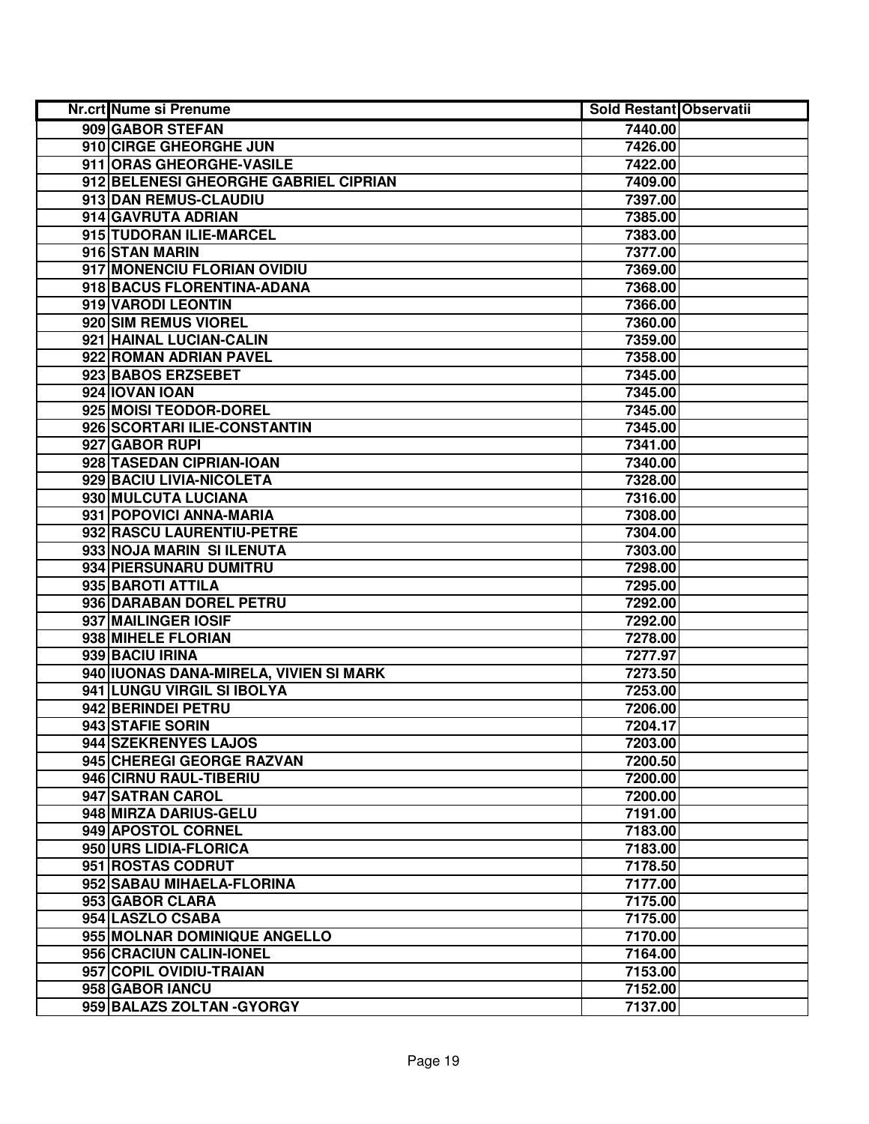| Nr.crt Nume si Prenume                 | <b>Sold Restant Observatii</b> |  |
|----------------------------------------|--------------------------------|--|
| 909 GABOR STEFAN                       | 7440.00                        |  |
| 910 CIRGE GHEORGHE JUN                 | 7426.00                        |  |
| 911 ORAS GHEORGHE-VASILE               | 7422.00                        |  |
| 912 BELENESI GHEORGHE GABRIEL CIPRIAN  | 7409.00                        |  |
| 913 DAN REMUS-CLAUDIU                  | 7397.00                        |  |
| 914 GAVRUTA ADRIAN                     | 7385.00                        |  |
| 915 TUDORAN ILIE-MARCEL                | 7383.00                        |  |
| 916 STAN MARIN                         | 7377.00                        |  |
| 917 MONENCIU FLORIAN OVIDIU            | 7369.00                        |  |
| 918 BACUS FLORENTINA-ADANA             | 7368.00                        |  |
| 919 VARODI LEONTIN                     | 7366.00                        |  |
| 920 SIM REMUS VIOREL                   | 7360.00                        |  |
| 921 HAINAL LUCIAN-CALIN                | 7359.00                        |  |
| 922 ROMAN ADRIAN PAVEL                 | 7358.00                        |  |
| 923 BABOS ERZSEBET                     | 7345.00                        |  |
| 924 IOVAN IOAN                         | 7345.00                        |  |
| 925 MOISI TEODOR-DOREL                 | 7345.00                        |  |
| 926 SCORTARI ILIE-CONSTANTIN           | 7345.00                        |  |
| 927 GABOR RUPI                         | 7341.00                        |  |
| 928 TASEDAN CIPRIAN-IOAN               | 7340.00                        |  |
| 929 BACIU LIVIA-NICOLETA               | 7328.00                        |  |
| 930 MULCUTA LUCIANA                    | 7316.00                        |  |
| 931 POPOVICI ANNA-MARIA                | 7308.00                        |  |
| 932 RASCU LAURENTIU-PETRE              | 7304.00                        |  |
| 933 NOJA MARIN SI ILENUTA              | 7303.00                        |  |
| 934 PIERSUNARU DUMITRU                 | 7298.00                        |  |
| 935 BAROTI ATTILA                      | 7295.00                        |  |
| 936 DARABAN DOREL PETRU                | 7292.00                        |  |
| 937 MAILINGER IOSIF                    | 7292.00                        |  |
| 938 MIHELE FLORIAN                     | 7278.00                        |  |
| 939 BACIU IRINA                        | 7277.97                        |  |
| 940 IUONAS DANA-MIRELA, VIVIEN SI MARK | 7273.50                        |  |
| 941 LUNGU VIRGIL SI IBOLYA             | 7253.00                        |  |
| 942 BERINDEI PETRU                     | 7206.00                        |  |
| 943 STAFIE SORIN                       | 7204.17                        |  |
| 944 SZEKRENYES LAJOS                   | 7203.00                        |  |
| 945 CHEREGI GEORGE RAZVAN              | 7200.50                        |  |
| 946 CIRNU RAUL-TIBERIU                 | 7200.00                        |  |
| 947 SATRAN CAROL                       | 7200.00                        |  |
| 948 MIRZA DARIUS-GELU                  | 7191.00                        |  |
| 949 APOSTOL CORNEL                     | 7183.00                        |  |
| 950 URS LIDIA-FLORICA                  | 7183.00                        |  |
| 951 ROSTAS CODRUT                      | 7178.50                        |  |
| 952 SABAU MIHAELA-FLORINA              | 7177.00                        |  |
| 953 GABOR CLARA                        | 7175.00                        |  |
| 954 LASZLO CSABA                       | 7175.00                        |  |
| 955 MOLNAR DOMINIQUE ANGELLO           | 7170.00                        |  |
| 956 CRACIUN CALIN-IONEL                | 7164.00                        |  |
| 957 COPIL OVIDIU-TRAIAN                | 7153.00                        |  |
| 958 GABOR IANCU                        | 7152.00                        |  |
| 959 BALAZS ZOLTAN - GYORGY             | 7137.00                        |  |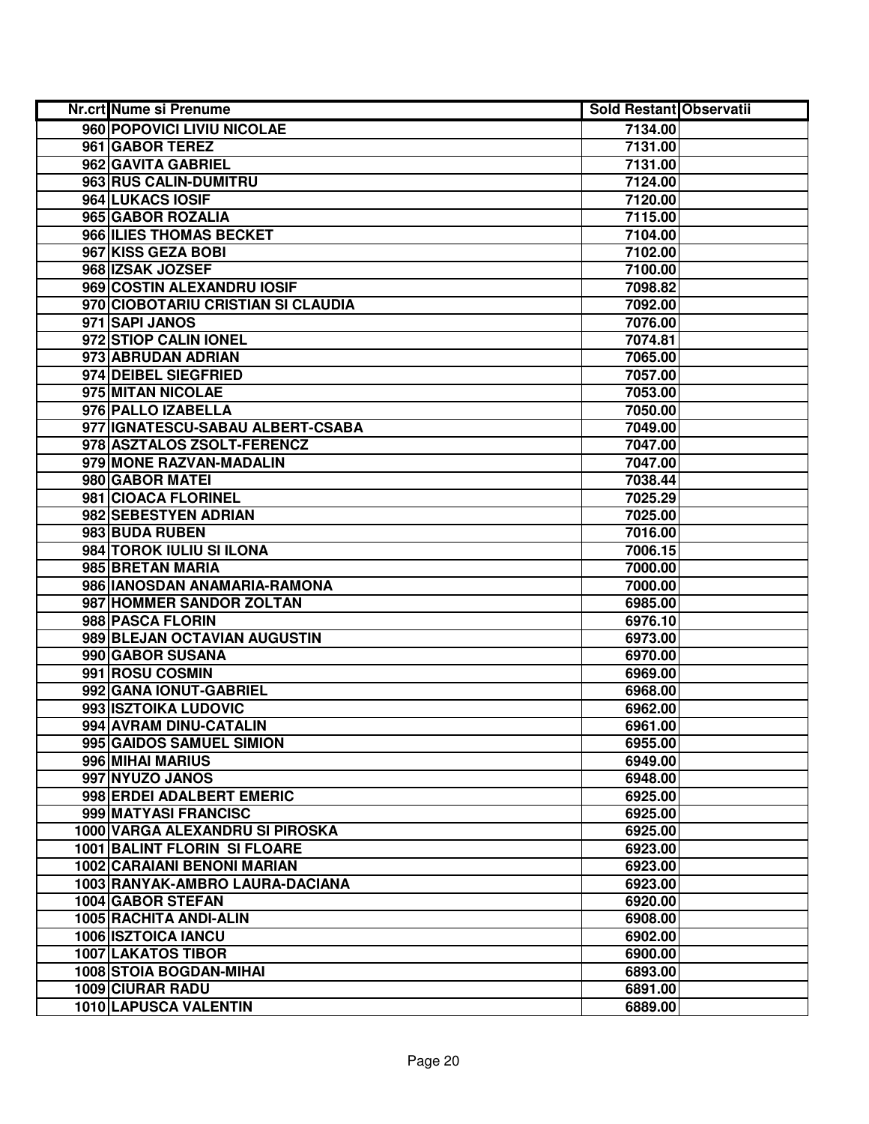| <b>Nr.crt Nume si Prenume</b>       | <b>Sold Restant Observatii</b> |  |
|-------------------------------------|--------------------------------|--|
| 960 POPOVICI LIVIU NICOLAE          | 7134.00                        |  |
| 961 GABOR TEREZ                     | 7131.00                        |  |
| 962 GAVITA GABRIEL                  | 7131.00                        |  |
| 963 RUS CALIN-DUMITRU               | 7124.00                        |  |
| 964 LUKACS IOSIF                    | 7120.00                        |  |
| 965 GABOR ROZALIA                   | 7115.00                        |  |
| 966 ILIES THOMAS BECKET             | 7104.00                        |  |
| 967 KISS GEZA BOBI                  | 7102.00                        |  |
| 968 IZSAK JOZSEF                    | 7100.00                        |  |
| 969 COSTIN ALEXANDRU IOSIF          | 7098.82                        |  |
| 970 CIOBOTARIU CRISTIAN SI CLAUDIA  | 7092.00                        |  |
| 971 SAPI JANOS                      | 7076.00                        |  |
| 972 STIOP CALIN IONEL               | 7074.81                        |  |
| 973 ABRUDAN ADRIAN                  | 7065.00                        |  |
| 974 DEIBEL SIEGFRIED                | 7057.00                        |  |
| 975 MITAN NICOLAE                   | 7053.00                        |  |
| 976 PALLO IZABELLA                  | 7050.00                        |  |
| 977 IGNATESCU-SABAU ALBERT-CSABA    | 7049.00                        |  |
| 978 ASZTALOS ZSOLT-FERENCZ          | 7047.00                        |  |
| 979 MONE RAZVAN-MADALIN             | 7047.00                        |  |
| 980 GABOR MATEI                     | 7038.44                        |  |
| 981 CIOACA FLORINEL                 | 7025.29                        |  |
| 982 SEBESTYEN ADRIAN                | 7025.00                        |  |
| 983 BUDA RUBEN                      | 7016.00                        |  |
| 984 TOROK IULIU SI ILONA            | 7006.15                        |  |
| 985 BRETAN MARIA                    | 7000.00                        |  |
| 986 IANOSDAN ANAMARIA-RAMONA        | 7000.00                        |  |
| 987 HOMMER SANDOR ZOLTAN            | 6985.00                        |  |
| 988 PASCA FLORIN                    | 6976.10                        |  |
| 989 BLEJAN OCTAVIAN AUGUSTIN        | 6973.00                        |  |
| 990 GABOR SUSANA                    | 6970.00                        |  |
| 991 ROSU COSMIN                     | 6969.00                        |  |
| 992 GANA IONUT-GABRIEL              | 6968.00                        |  |
| 993 ISZTOIKA LUDOVIC                | 6962.00                        |  |
| 994 AVRAM DINU-CATALIN              | 6961.00                        |  |
| 995 GAIDOS SAMUEL SIMION            | 6955.00                        |  |
| 996 MIHAI MARIUS                    | 6949.00                        |  |
| 997 NYUZO JANOS                     | 6948.00                        |  |
| 998 ERDEI ADALBERT EMERIC           | 6925.00                        |  |
| 999 MATYASI FRANCISC                | 6925.00                        |  |
| 1000 VARGA ALEXANDRU SI PIROSKA     | 6925.00                        |  |
| <b>1001 BALINT FLORIN SI FLOARE</b> | 6923.00                        |  |
| <b>1002 CARAIANI BENONI MARIAN</b>  | 6923.00                        |  |
| 1003 RANYAK-AMBRO LAURA-DACIANA     | 6923.00                        |  |
| 1004 GABOR STEFAN                   | 6920.00                        |  |
| 1005 RACHITA ANDI-ALIN              | 6908.00                        |  |
| 1006 ISZTOICA IANCU                 | 6902.00                        |  |
| 1007 LAKATOS TIBOR                  | 6900.00                        |  |
| 1008 STOIA BOGDAN-MIHAI             | 6893.00                        |  |
| 1009 CIURAR RADU                    | 6891.00                        |  |
| 1010 LAPUSCA VALENTIN               | 6889.00                        |  |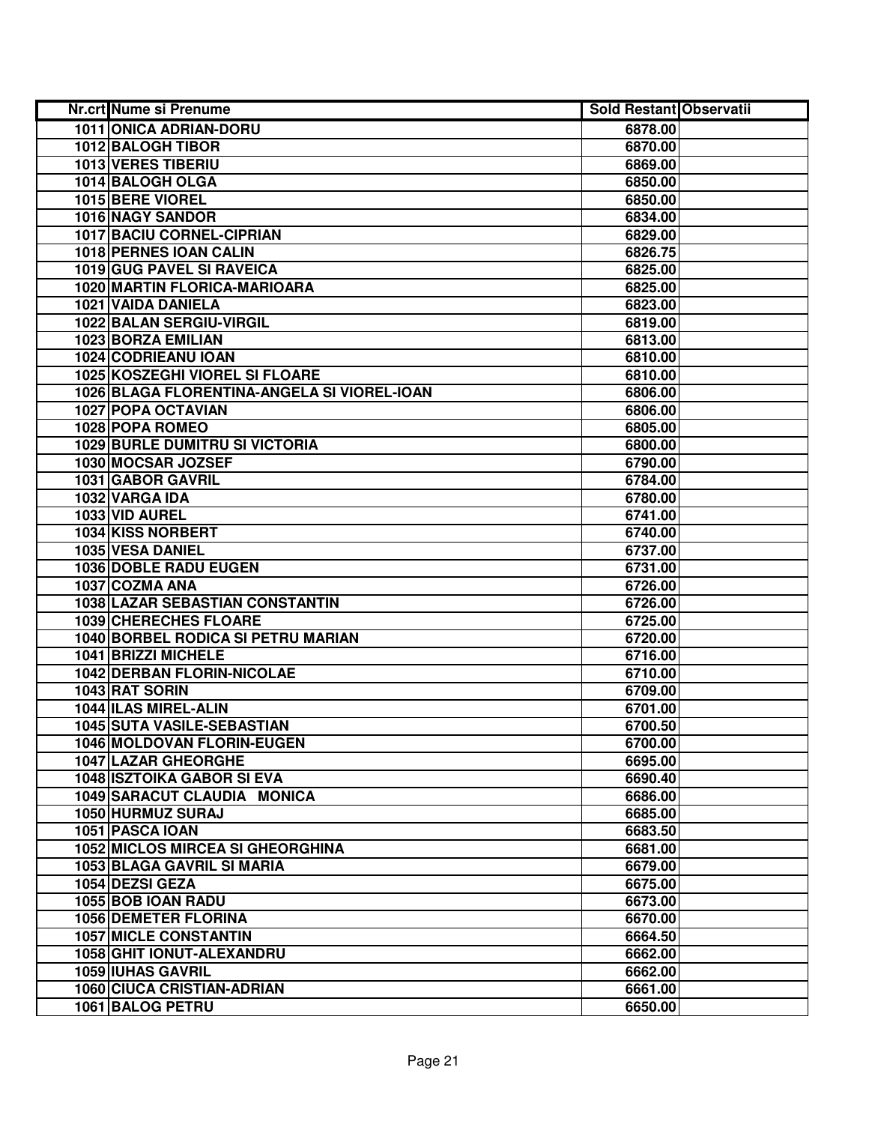| Nr.crt Nume si Prenume                      | <b>Sold Restant Observatii</b> |  |
|---------------------------------------------|--------------------------------|--|
| 1011 ONICA ADRIAN-DORU                      | 6878.00                        |  |
| 1012 BALOGH TIBOR                           | 6870.00                        |  |
| 1013 VERES TIBERIU                          | 6869.00                        |  |
| 1014 BALOGH OLGA                            | 6850.00                        |  |
| 1015 BERE VIOREL                            | 6850.00                        |  |
| 1016 NAGY SANDOR                            | 6834.00                        |  |
| 1017 BACIU CORNEL-CIPRIAN                   | 6829.00                        |  |
| 1018 PERNES IOAN CALIN                      | 6826.75                        |  |
| 1019 GUG PAVEL SI RAVEICA                   | 6825.00                        |  |
| 1020 MARTIN FLORICA-MARIOARA                | 6825.00                        |  |
| 1021 VAIDA DANIELA                          | 6823.00                        |  |
| 1022 BALAN SERGIU-VIRGIL                    | 6819.00                        |  |
| 1023 BORZA EMILIAN                          | 6813.00                        |  |
| 1024 CODRIEANU IOAN                         | 6810.00                        |  |
| 1025 KOSZEGHI VIOREL SI FLOARE              | 6810.00                        |  |
| 1026 BLAGA FLORENTINA-ANGELA SI VIOREL-IOAN | 6806.00                        |  |
| 1027 POPA OCTAVIAN                          | 6806.00                        |  |
| 1028 POPA ROMEO                             | 6805.00                        |  |
| <b>1029 BURLE DUMITRU SI VICTORIA</b>       | 6800.00                        |  |
| 1030 MOCSAR JOZSEF                          | 6790.00                        |  |
| 1031 GABOR GAVRIL                           | 6784.00                        |  |
| 1032 VARGA IDA                              | 6780.00                        |  |
| 1033 VID AUREL                              | 6741.00                        |  |
| 1034 KISS NORBERT                           | 6740.00                        |  |
| 1035 VESA DANIEL                            | 6737.00                        |  |
| 1036 DOBLE RADU EUGEN                       | 6731.00                        |  |
| 1037 COZMA ANA                              | 6726.00                        |  |
| 1038 LAZAR SEBASTIAN CONSTANTIN             | 6726.00                        |  |
| 1039 CHERECHES FLOARE                       | 6725.00                        |  |
| 1040 BORBEL RODICA SI PETRU MARIAN          | 6720.00                        |  |
| 1041 BRIZZI MICHELE                         | 6716.00                        |  |
| <b>1042 DERBAN FLORIN-NICOLAE</b>           | 6710.00                        |  |
| 1043 RAT SORIN                              | 6709.00                        |  |
| 1044 ILAS MIREL-ALIN                        | 6701.00                        |  |
| <b>1045 SUTA VASILE-SEBASTIAN</b>           | 6700.50                        |  |
| 1046 MOLDOVAN FLORIN-EUGEN                  | 6700.00                        |  |
| <b>1047 LAZAR GHEORGHE</b>                  | 6695.00                        |  |
| <b>1048 ISZTOIKA GABOR SI EVA</b>           | 6690.40                        |  |
| 1049 SARACUT CLAUDIA MONICA                 | 6686.00                        |  |
| 1050 HURMUZ SURAJ                           | 6685.00                        |  |
| 1051 PASCA IOAN                             | 6683.50                        |  |
| 1052 MICLOS MIRCEA SI GHEORGHINA            | 6681.00                        |  |
| 1053 BLAGA GAVRIL SI MARIA                  | 6679.00                        |  |
| 1054 DEZSI GEZA                             | 6675.00                        |  |
| 1055 BOB IOAN RADU                          | 6673.00                        |  |
| 1056 DEMETER FLORINA                        | 6670.00                        |  |
| <b>1057 MICLE CONSTANTIN</b>                | 6664.50                        |  |
| 1058 GHIT IONUT-ALEXANDRU                   | 6662.00                        |  |
| <b>1059 IUHAS GAVRIL</b>                    | 6662.00                        |  |
| <b>1060 CIUCA CRISTIAN-ADRIAN</b>           | 6661.00                        |  |
| 1061 BALOG PETRU                            | 6650.00                        |  |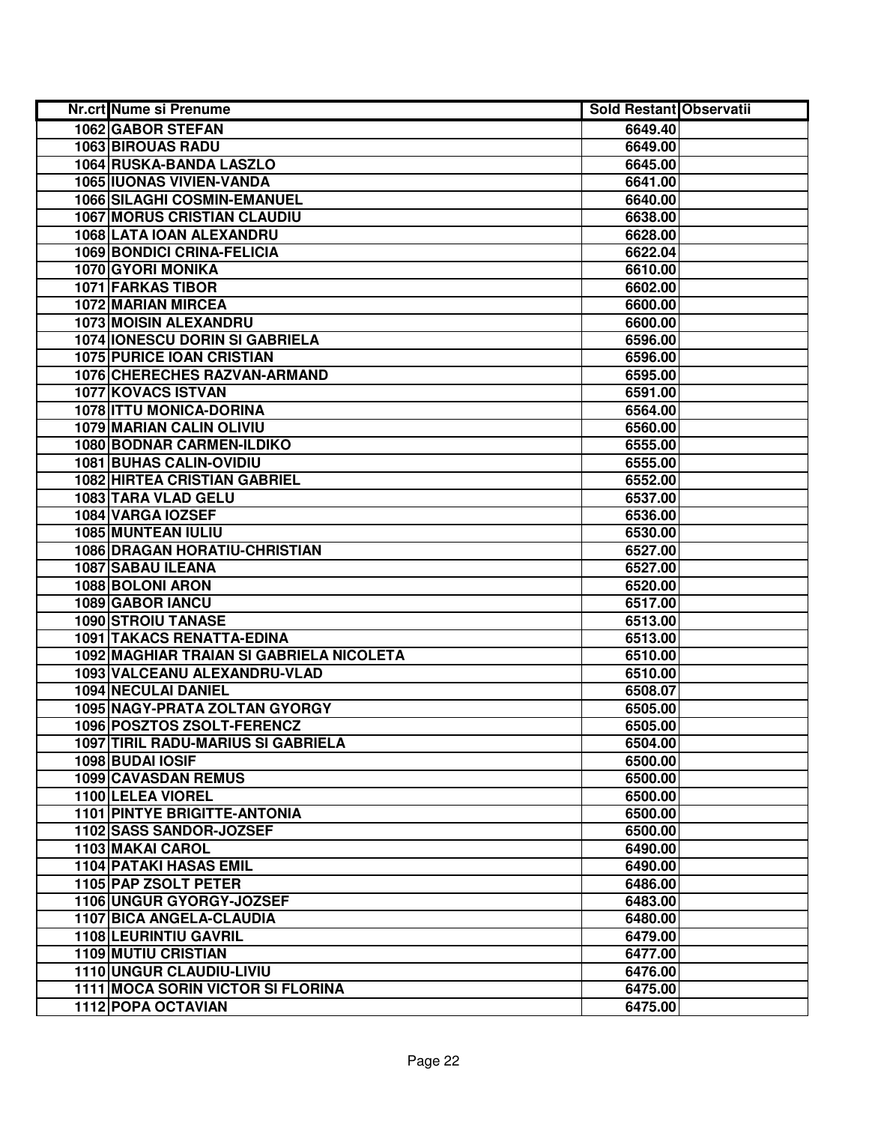| Nr.crt Nume si Prenume                    | <b>Sold Restant Observatii</b> |  |
|-------------------------------------------|--------------------------------|--|
| 1062 GABOR STEFAN                         | 6649.40                        |  |
| <b>1063 BIROUAS RADU</b>                  | 6649.00                        |  |
| 1064 RUSKA-BANDA LASZLO                   | 6645.00                        |  |
| <b>1065 IUONAS VIVIEN-VANDA</b>           | 6641.00                        |  |
| 1066 SILAGHI COSMIN-EMANUEL               | 6640.00                        |  |
| <b>1067 MORUS CRISTIAN CLAUDIU</b>        | 6638.00                        |  |
| 1068 LATA IOAN ALEXANDRU                  | 6628.00                        |  |
| <b>1069 BONDICI CRINA-FELICIA</b>         | 6622.04                        |  |
| 1070 GYORI MONIKA                         | 6610.00                        |  |
| <b>1071 FARKAS TIBOR</b>                  | 6602.00                        |  |
| 1072 MARIAN MIRCEA                        | 6600.00                        |  |
| <b>1073 MOISIN ALEXANDRU</b>              | 6600.00                        |  |
| <b>1074 IONESCU DORIN SI GABRIELA</b>     | 6596.00                        |  |
| <b>1075 PURICE IOAN CRISTIAN</b>          | 6596.00                        |  |
| 1076 CHERECHES RAZVAN-ARMAND              | 6595.00                        |  |
| 1077 KOVACS ISTVAN                        | 6591.00                        |  |
| 1078 ITTU MONICA-DORINA                   | 6564.00                        |  |
| 1079 MARIAN CALIN OLIVIU                  | 6560.00                        |  |
| 1080 BODNAR CARMEN-ILDIKO                 | 6555.00                        |  |
| 1081 BUHAS CALIN-OVIDIU                   | 6555.00                        |  |
| 1082 HIRTEA CRISTIAN GABRIEL              | 6552.00                        |  |
| 1083 TARA VLAD GELU                       | 6537.00                        |  |
| 1084 VARGA IOZSEF                         | 6536.00                        |  |
| 1085 MUNTEAN IULIU                        | 6530.00                        |  |
| <b>1086 DRAGAN HORATIU-CHRISTIAN</b>      | 6527.00                        |  |
| 1087 SABAU ILEANA                         | 6527.00                        |  |
| 1088 BOLONI ARON                          | 6520.00                        |  |
| 1089 GABOR IANCU                          | 6517.00                        |  |
| 1090 STROIU TANASE                        | 6513.00                        |  |
| <b>1091 TAKACS RENATTA-EDINA</b>          | 6513.00                        |  |
| 1092 MAGHIAR TRAIAN SI GABRIELA NICOLETA  | 6510.00                        |  |
| 1093 VALCEANU ALEXANDRU-VLAD              | 6510.00                        |  |
| 1094 NECULAI DANIEL                       | 6508.07                        |  |
| 1095 NAGY-PRATA ZOLTAN GYORGY             | 6505.00                        |  |
| 1096 POSZTOS ZSOLT-FERENCZ                | 6505.00                        |  |
| <b>1097 TIRIL RADU-MARIUS SI GABRIELA</b> | 6504.00                        |  |
| 1098 BUDAI IOSIF                          | 6500.00                        |  |
| 1099 CAVASDAN REMUS                       | 6500.00                        |  |
| <b>1100 LELEA VIOREL</b>                  | 6500.00                        |  |
| <b>1101 PINTYE BRIGITTE-ANTONIA</b>       | 6500.00                        |  |
| 1102 SASS SANDOR-JOZSEF                   | 6500.00                        |  |
| 1103 MAKAI CAROL                          | 6490.00                        |  |
| <b>1104 PATAKI HASAS EMIL</b>             | 6490.00                        |  |
| 1105 PAP ZSOLT PETER                      | 6486.00                        |  |
| 1106 UNGUR GYORGY-JOZSEF                  | 6483.00                        |  |
| 1107 BICA ANGELA-CLAUDIA                  | 6480.00                        |  |
| 1108 LEURINTIU GAVRIL                     | 6479.00                        |  |
| <b>1109 MUTIU CRISTIAN</b>                | 6477.00                        |  |
| 1110 UNGUR CLAUDIU-LIVIU                  | 6476.00                        |  |
| 1111 MOCA SORIN VICTOR SI FLORINA         | 6475.00                        |  |
| 1112 POPA OCTAVIAN                        | 6475.00                        |  |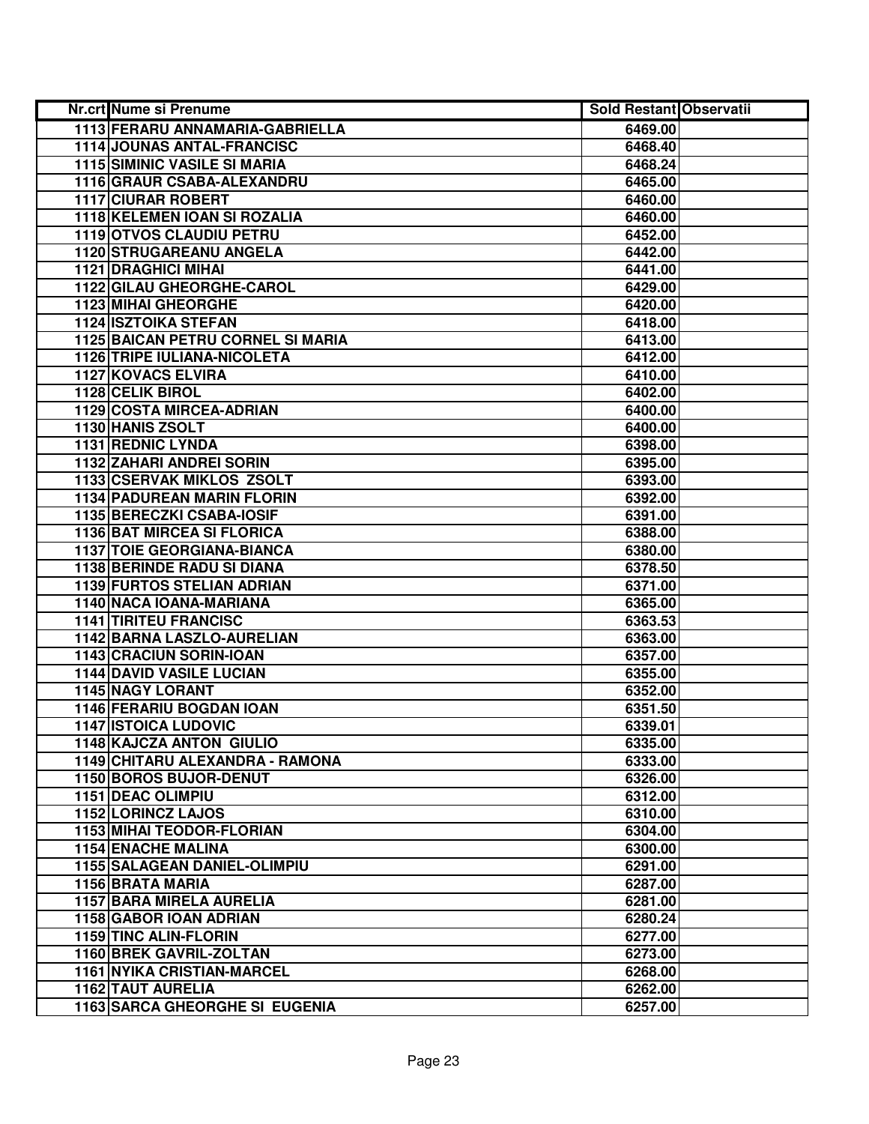| Nr.crt Nume si Prenume                | <b>Sold Restant Observatii</b> |
|---------------------------------------|--------------------------------|
| 1113 FERARU ANNAMARIA-GABRIELLA       | 6469.00                        |
| 1114 JOUNAS ANTAL-FRANCISC            | 6468.40                        |
| <b>1115 SIMINIC VASILE SI MARIA</b>   | 6468.24                        |
| 1116 GRAUR CSABA-ALEXANDRU            | 6465.00                        |
| 1117 CIURAR ROBERT                    | 6460.00                        |
| 1118 KELEMEN IOAN SI ROZALIA          | 6460.00                        |
| 1119 OTVOS CLAUDIU PETRU              | 6452.00                        |
| <b>1120 STRUGAREANU ANGELA</b>        | 6442.00                        |
| <b>1121 DRAGHICI MIHAI</b>            | 6441.00                        |
| 1122 GILAU GHEORGHE-CAROL             | 6429.00                        |
| <b>1123 MIHAI GHEORGHE</b>            | 6420.00                        |
| <b>1124 ISZTOIKA STEFAN</b>           | 6418.00                        |
| 1125 BAICAN PETRU CORNEL SI MARIA     | 6413.00                        |
| <b>1126 TRIPE IULIANA-NICOLETA</b>    | 6412.00                        |
| <b>1127 KOVACS ELVIRA</b>             | 6410.00                        |
| 1128 CELIK BIROL                      | 6402.00                        |
| <b>1129 COSTA MIRCEA-ADRIAN</b>       | 6400.00                        |
| 1130 HANIS ZSOLT                      | 6400.00                        |
| 1131 REDNIC LYNDA                     | 6398.00                        |
| 1132 ZAHARI ANDREI SORIN              | 6395.00                        |
| 1133 CSERVAK MIKLOS ZSOLT             | 6393.00                        |
| 1134 PADUREAN MARIN FLORIN            | 6392.00                        |
| 1135 BERECZKI CSABA-IOSIF             | 6391.00                        |
| <b>1136 BAT MIRCEA SI FLORICA</b>     | 6388.00                        |
| <b>1137 TOIE GEORGIANA-BIANCA</b>     | 6380.00                        |
| <b>1138 BERINDE RADU SI DIANA</b>     | 6378.50                        |
| <b>1139 FURTOS STELIAN ADRIAN</b>     | 6371.00                        |
| 1140 NACA IOANA-MARIANA               | 6365.00                        |
| <b>1141 TIRITEU FRANCISC</b>          | 6363.53                        |
| 1142 BARNA LASZLO-AURELIAN            | 6363.00                        |
| 1143 CRACIUN SORIN-IOAN               | 6357.00                        |
| <b>1144 DAVID VASILE LUCIAN</b>       | 6355.00                        |
| 1145 NAGY LORANT                      | 6352.00                        |
| <b>1146 FERARIU BOGDAN IOAN</b>       | 6351.50                        |
| <b>1147 ISTOICA LUDOVIC</b>           | 6339.01                        |
| 1148 KAJCZA ANTON GIULIO              | 6335.00                        |
| 1149 CHITARU ALEXANDRA - RAMONA       | 6333.00                        |
| 1150 BOROS BUJOR-DENUT                | 6326.00                        |
| <b>1151 DEAC OLIMPIU</b>              | 6312.00                        |
| 1152 LORINCZ LAJOS                    | 6310.00                        |
| <b>1153 MIHAI TEODOR-FLORIAN</b>      | 6304.00                        |
| <b>1154 ENACHE MALINA</b>             | 6300.00                        |
| 1155 SALAGEAN DANIEL-OLIMPIU          | 6291.00                        |
| 1156 BRATA MARIA                      | 6287.00                        |
| <b>1157 BARA MIRELA AURELIA</b>       | 6281.00                        |
| 1158 GABOR IOAN ADRIAN                | 6280.24                        |
| 1159 TINC ALIN-FLORIN                 | 6277.00                        |
| 1160 BREK GAVRIL-ZOLTAN               | 6273.00                        |
| <b>1161 NYIKA CRISTIAN-MARCEL</b>     | 6268.00                        |
| 1162 TAUT AURELIA                     | 6262.00                        |
| <b>1163 SARCA GHEORGHE SI EUGENIA</b> | 6257.00                        |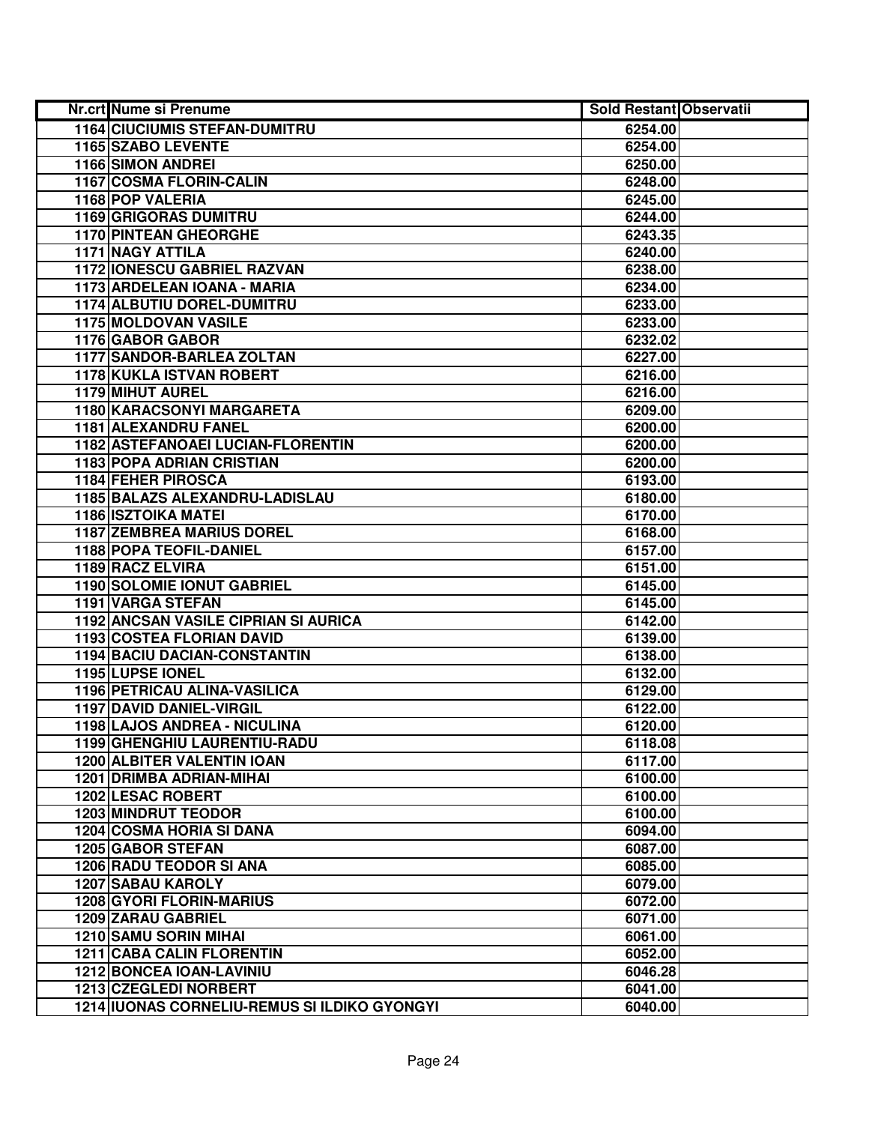| Nr.crt Nume si Prenume                       | <b>Sold Restant Observatii</b> |  |
|----------------------------------------------|--------------------------------|--|
| 1164 CIUCIUMIS STEFAN-DUMITRU                | 6254.00                        |  |
| 1165 SZABO LEVENTE                           | 6254.00                        |  |
| <b>1166 SIMON ANDREI</b>                     | 6250.00                        |  |
| 1167 COSMA FLORIN-CALIN                      | 6248.00                        |  |
| 1168 POP VALERIA                             | 6245.00                        |  |
| <b>1169 GRIGORAS DUMITRU</b>                 | 6244.00                        |  |
| 1170 PINTEAN GHEORGHE                        | 6243.35                        |  |
| <b>1171 NAGY ATTILA</b>                      | 6240.00                        |  |
| <b>1172 IONESCU GABRIEL RAZVAN</b>           | 6238.00                        |  |
| 1173 ARDELEAN IOANA - MARIA                  | 6234.00                        |  |
| 1174 ALBUTIU DOREL-DUMITRU                   | 6233.00                        |  |
| <b>1175 MOLDOVAN VASILE</b>                  | 6233.00                        |  |
| 1176 GABOR GABOR                             | 6232.02                        |  |
| <b>1177 SANDOR-BARLEA ZOLTAN</b>             | 6227.00                        |  |
| 1178 KUKLA ISTVAN ROBERT                     | 6216.00                        |  |
| <b>1179 MIHUT AUREL</b>                      | 6216.00                        |  |
| 1180 KARACSONYI MARGARETA                    | 6209.00                        |  |
| 1181 ALEXANDRU FANEL                         | 6200.00                        |  |
| 1182 ASTEFANOAEI LUCIAN-FLORENTIN            | 6200.00                        |  |
| <b>1183 POPA ADRIAN CRISTIAN</b>             | 6200.00                        |  |
| 1184 FEHER PIROSCA                           | 6193.00                        |  |
| 1185 BALAZS ALEXANDRU-LADISLAU               | 6180.00                        |  |
| <b>1186 ISZTOIKA MATEI</b>                   | 6170.00                        |  |
| <b>1187 ZEMBREA MARIUS DOREL</b>             | 6168.00                        |  |
| 1188 POPA TEOFIL-DANIEL                      | 6157.00                        |  |
| 1189 RACZ ELVIRA                             | 6151.00                        |  |
| 1190 SOLOMIE IONUT GABRIEL                   | 6145.00                        |  |
| 1191 VARGA STEFAN                            | 6145.00                        |  |
| 1192 ANCSAN VASILE CIPRIAN SI AURICA         | 6142.00                        |  |
| 1193 COSTEA FLORIAN DAVID                    | 6139.00                        |  |
| 1194 BACIU DACIAN-CONSTANTIN                 | 6138.00                        |  |
| 1195 LUPSE IONEL                             | 6132.00                        |  |
| 1196 PETRICAU ALINA-VASILICA                 | 6129.00                        |  |
| <b>1197 DAVID DANIEL-VIRGIL</b>              | 6122.00                        |  |
| 1198 LAJOS ANDREA - NICULINA                 | 6120.00                        |  |
| 1199 GHENGHIU LAURENTIU-RADU                 | 6118.08                        |  |
| <b>1200 ALBITER VALENTIN IOAN</b>            | 6117.00                        |  |
| <b>1201 DRIMBA ADRIAN-MIHAI</b>              | 6100.00                        |  |
| <b>1202 LESAC ROBERT</b>                     | 6100.00                        |  |
| <b>1203 MINDRUT TEODOR</b>                   | 6100.00                        |  |
| <b>1204 COSMA HORIA SI DANA</b>              | 6094.00                        |  |
| 1205 GABOR STEFAN                            | 6087.00                        |  |
| <b>1206 RADU TEODOR SI ANA</b>               | 6085.00                        |  |
| <b>1207 SABAU KAROLY</b>                     | 6079.00                        |  |
| 1208 GYORI FLORIN-MARIUS                     | 6072.00                        |  |
| 1209 ZARAU GABRIEL                           | 6071.00                        |  |
| 1210 SAMU SORIN MIHAI                        | 6061.00                        |  |
| <b>1211 CABA CALIN FLORENTIN</b>             | 6052.00                        |  |
| <b>1212 BONCEA IOAN-LAVINIU</b>              | 6046.28                        |  |
| 1213 CZEGLEDI NORBERT                        | 6041.00                        |  |
| 1214 IUONAS CORNELIU-REMUS SI ILDIKO GYONGYI | 6040.00                        |  |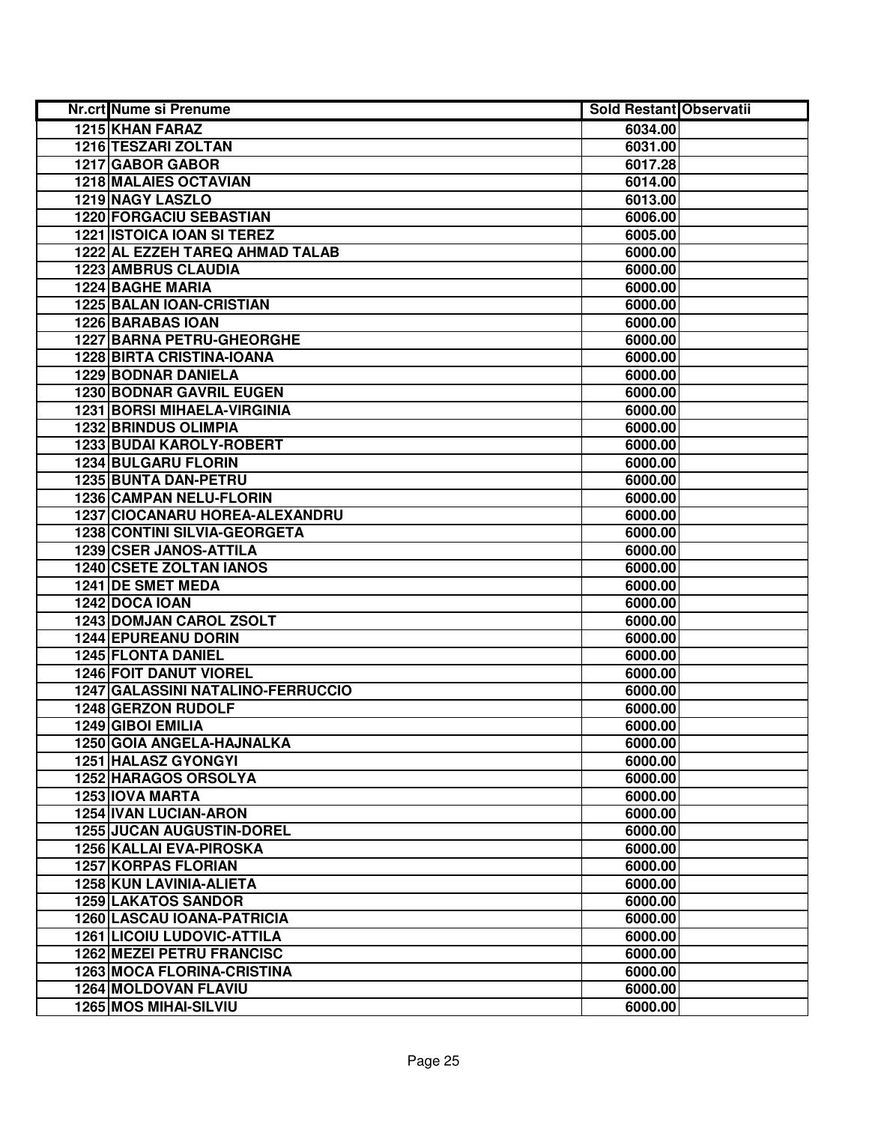| Nr.crt Nume si Prenume             | <b>Sold Restant Observatii</b> |  |
|------------------------------------|--------------------------------|--|
| <b>1215 KHAN FARAZ</b>             | 6034.00                        |  |
| 1216 TESZARI ZOLTAN                | 6031.00                        |  |
| 1217 GABOR GABOR                   | 6017.28                        |  |
| <b>1218 MALAIES OCTAVIAN</b>       | 6014.00                        |  |
| 1219 NAGY LASZLO                   | 6013.00                        |  |
| 1220 FORGACIU SEBASTIAN            | 6006.00                        |  |
| 1221 ISTOICA IOAN SI TEREZ         | 6005.00                        |  |
| 1222 AL EZZEH TAREQ AHMAD TALAB    | 6000.00                        |  |
| <b>1223 AMBRUS CLAUDIA</b>         | 6000.00                        |  |
| <b>1224 BAGHE MARIA</b>            | 6000.00                        |  |
| 1225 BALAN IOAN-CRISTIAN           | 6000.00                        |  |
| <b>1226 BARABAS IOAN</b>           | 6000.00                        |  |
| <b>1227 BARNA PETRU-GHEORGHE</b>   | 6000.00                        |  |
| <b>1228 BIRTA CRISTINA-IOANA</b>   | 6000.00                        |  |
| <b>1229 BODNAR DANIELA</b>         | 6000.00                        |  |
| <b>1230 BODNAR GAVRIL EUGEN</b>    | 6000.00                        |  |
| <b>1231 BORSI MIHAELA-VIRGINIA</b> | 6000.00                        |  |
| 1232 BRINDUS OLIMPIA               | 6000.00                        |  |
| 1233 BUDAI KAROLY-ROBERT           | 6000.00                        |  |
| <b>1234 BULGARU FLORIN</b>         | 6000.00                        |  |
| 1235 BUNTA DAN-PETRU               | 6000.00                        |  |
| 1236 CAMPAN NELU-FLORIN            | 6000.00                        |  |
| 1237 CIOCANARU HOREA-ALEXANDRU     | 6000.00                        |  |
| 1238 CONTINI SILVIA-GEORGETA       | 6000.00                        |  |
| 1239 CSER JANOS-ATTILA             | 6000.00                        |  |
| 1240 CSETE ZOLTAN IANOS            | 6000.00                        |  |
| 1241 DE SMET MEDA                  | 6000.00                        |  |
| 1242 DOCA IOAN                     | 6000.00                        |  |
| 1243 DOMJAN CAROL ZSOLT            | 6000.00                        |  |
| 1244 EPUREANU DORIN                | 6000.00                        |  |
| 1245 FLONTA DANIEL                 | 6000.00                        |  |
| <b>1246 FOIT DANUT VIOREL</b>      | 6000.00                        |  |
| 1247 GALASSINI NATALINO-FERRUCCIO  | 6000.00                        |  |
| 1248 GERZON RUDOLF                 | 6000.00                        |  |
| 1249 GIBOI EMILIA                  | 6000.00                        |  |
| 1250 GOIA ANGELA-HAJNALKA          | 6000.00                        |  |
| <b>1251 HALASZ GYONGYI</b>         | 6000.00                        |  |
| <b>1252 HARAGOS ORSOLYA</b>        | 6000.00                        |  |
| 1253 IOVA MARTA                    | 6000.00                        |  |
| 1254 IVAN LUCIAN-ARON              | 6000.00                        |  |
| <b>1255 JUCAN AUGUSTIN-DOREL</b>   | 6000.00                        |  |
| 1256 KALLAI EVA-PIROSKA            | 6000.00                        |  |
| <b>1257 KORPAS FLORIAN</b>         | 6000.00                        |  |
| 1258 KUN LAVINIA-ALIETA            | 6000.00                        |  |
| <b>1259 LAKATOS SANDOR</b>         | 6000.00                        |  |
| <b>1260 LASCAU IOANA-PATRICIA</b>  | 6000.00                        |  |
| <b>1261 LICOIU LUDOVIC-ATTILA</b>  | 6000.00                        |  |
| <b>1262 MEZEI PETRU FRANCISC</b>   | 6000.00                        |  |
| <b>1263 MOCA FLORINA-CRISTINA</b>  | 6000.00                        |  |
| <b>1264 MOLDOVAN FLAVIU</b>        | 6000.00                        |  |
| 1265 MOS MIHAI-SILVIU              | 6000.00                        |  |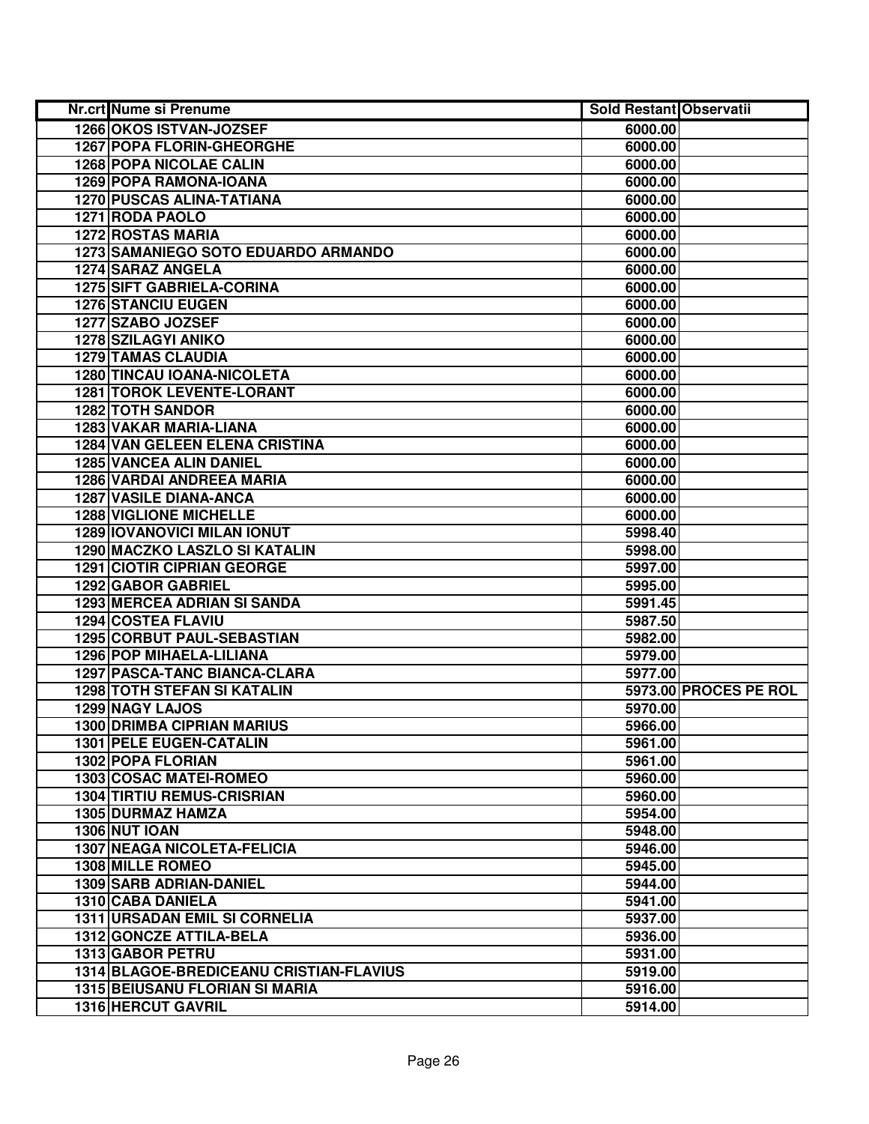| Nr.crt Nume si Prenume                  | <b>Sold Restant Observatii</b> |                       |
|-----------------------------------------|--------------------------------|-----------------------|
| 1266 OKOS ISTVAN-JOZSEF                 | 6000.00                        |                       |
| 1267 POPA FLORIN-GHEORGHE               | 6000.00                        |                       |
| <b>1268 POPA NICOLAE CALIN</b>          | 6000.00                        |                       |
| 1269 POPA RAMONA-IOANA                  | 6000.00                        |                       |
| <b>1270 PUSCAS ALINA-TATIANA</b>        | 6000.00                        |                       |
| 1271 RODA PAOLO                         | 6000.00                        |                       |
| <b>1272 ROSTAS MARIA</b>                | 6000.00                        |                       |
| 1273 SAMANIEGO SOTO EDUARDO ARMANDO     | 6000.00                        |                       |
| <b>1274 SARAZ ANGELA</b>                | 6000.00                        |                       |
| <b>1275 SIFT GABRIELA-CORINA</b>        | 6000.00                        |                       |
| <b>1276 STANCIU EUGEN</b>               | 6000.00                        |                       |
| 1277 SZABO JOZSEF                       | 6000.00                        |                       |
| 1278 SZILAGYI ANIKO                     | 6000.00                        |                       |
| <b>1279 TAMAS CLAUDIA</b>               | 6000.00                        |                       |
| <b>1280 TINCAU IOANA-NICOLETA</b>       | 6000.00                        |                       |
| <b>1281 TOROK LEVENTE-LORANT</b>        | 6000.00                        |                       |
| <b>1282 TOTH SANDOR</b>                 | 6000.00                        |                       |
| 1283 VAKAR MARIA-LIANA                  | 6000.00                        |                       |
| <b>1284 VAN GELEEN ELENA CRISTINA</b>   | 6000.00                        |                       |
| 1285 VANCEA ALIN DANIEL                 | 6000.00                        |                       |
| 1286 VARDAI ANDREEA MARIA               | 6000.00                        |                       |
| <b>1287 VASILE DIANA-ANCA</b>           | 6000.00                        |                       |
| <b>1288 VIGLIONE MICHELLE</b>           | 6000.00                        |                       |
| <b>1289 IOVANOVICI MILAN IONUT</b>      | 5998.40                        |                       |
| 1290 MACZKO LASZLO SI KATALIN           | 5998.00                        |                       |
| <b>1291 CIOTIR CIPRIAN GEORGE</b>       | 5997.00                        |                       |
| 1292 GABOR GABRIEL                      | 5995.00                        |                       |
| 1293 MERCEA ADRIAN SI SANDA             | 5991.45                        |                       |
| <b>1294 COSTEA FLAVIU</b>               | 5987.50                        |                       |
| 1295 CORBUT PAUL-SEBASTIAN              | 5982.00                        |                       |
| 1296 POP MIHAELA-LILIANA                | 5979.00                        |                       |
| 1297 PASCA-TANC BIANCA-CLARA            | 5977.00                        |                       |
| <b>1298 TOTH STEFAN SI KATALIN</b>      |                                | 5973.00 PROCES PE ROL |
| <b>1299 NAGY LAJOS</b>                  | 5970.00                        |                       |
| <b>1300 DRIMBA CIPRIAN MARIUS</b>       | 5966.00                        |                       |
| <b>1301 PELE EUGEN-CATALIN</b>          | 5961.00                        |                       |
| 1302 POPA FLORIAN                       | 5961.00                        |                       |
| <b>1303 COSAC MATEI-ROMEO</b>           | 5960.00                        |                       |
| <b>1304 TIRTIU REMUS-CRISRIAN</b>       | 5960.00                        |                       |
| 1305 DURMAZ HAMZA                       | 5954.00                        |                       |
| <b>1306 NUT IOAN</b>                    | 5948.00                        |                       |
| <b>1307 NEAGA NICOLETA-FELICIA</b>      | 5946.00                        |                       |
| <b>1308 MILLE ROMEO</b>                 | 5945.00                        |                       |
| <b>1309 SARB ADRIAN-DANIEL</b>          | 5944.00                        |                       |
| 1310 CABA DANIELA                       | 5941.00                        |                       |
| 1311 URSADAN EMIL SI CORNELIA           | 5937.00                        |                       |
| 1312 GONCZE ATTILA-BELA                 | 5936.00                        |                       |
| 1313 GABOR PETRU                        | 5931.00                        |                       |
| 1314 BLAGOE-BREDICEANU CRISTIAN-FLAVIUS | 5919.00                        |                       |
| <b>1315 BEIUSANU FLORIAN SI MARIA</b>   | 5916.00                        |                       |
| <b>1316 HERCUT GAVRIL</b>               | 5914.00                        |                       |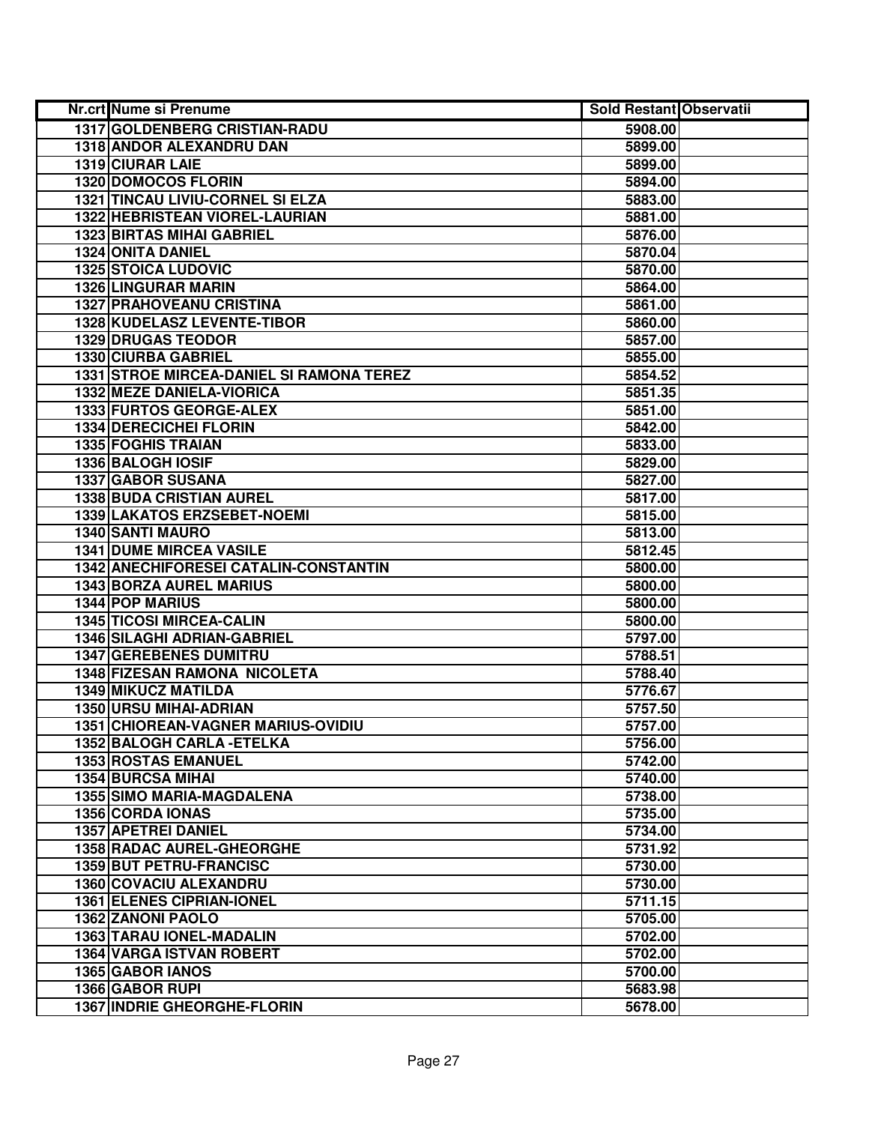| Nr.crt Nume si Prenume                   | <b>Sold Restant Observatii</b> |  |
|------------------------------------------|--------------------------------|--|
| 1317 GOLDENBERG CRISTIAN-RADU            | 5908.00                        |  |
| 1318 ANDOR ALEXANDRU DAN                 | 5899.00                        |  |
| 1319 CIURAR LAIE                         | 5899.00                        |  |
| 1320 DOMOCOS FLORIN                      | 5894.00                        |  |
| 1321 TINCAU LIVIU-CORNEL SI ELZA         | 5883.00                        |  |
| 1322 HEBRISTEAN VIOREL-LAURIAN           | 5881.00                        |  |
| <b>1323 BIRTAS MIHAI GABRIEL</b>         | 5876.00                        |  |
| 1324 ONITA DANIEL                        | 5870.04                        |  |
| <b>1325 STOICA LUDOVIC</b>               | 5870.00                        |  |
| <b>1326 LINGURAR MARIN</b>               | 5864.00                        |  |
| <b>1327 PRAHOVEANU CRISTINA</b>          | 5861.00                        |  |
| 1328 KUDELASZ LEVENTE-TIBOR              | 5860.00                        |  |
| <b>1329 DRUGAS TEODOR</b>                | 5857.00                        |  |
| 1330 CIURBA GABRIEL                      | 5855.00                        |  |
| 1331 STROE MIRCEA-DANIEL SI RAMONA TEREZ | 5854.52                        |  |
| 1332 MEZE DANIELA-VIORICA                | 5851.35                        |  |
| 1333 FURTOS GEORGE-ALEX                  | 5851.00                        |  |
| 1334 DERECICHEI FLORIN                   | 5842.00                        |  |
| <b>1335 FOGHIS TRAIAN</b>                | 5833.00                        |  |
| 1336 BALOGH IOSIF                        | 5829.00                        |  |
| 1337 GABOR SUSANA                        | 5827.00                        |  |
| <b>1338 BUDA CRISTIAN AUREL</b>          | 5817.00                        |  |
| 1339 LAKATOS ERZSEBET-NOEMI              | 5815.00                        |  |
| 1340 SANTI MAURO                         | 5813.00                        |  |
| <b>1341 DUME MIRCEA VASILE</b>           | 5812.45                        |  |
| 1342 ANECHIFORESEI CATALIN-CONSTANTIN    | 5800.00                        |  |
| <b>1343 BORZA AUREL MARIUS</b>           | 5800.00                        |  |
| 1344 POP MARIUS                          | 5800.00                        |  |
| <b>1345 TICOSI MIRCEA-CALIN</b>          | 5800.00                        |  |
| <b>1346 SILAGHI ADRIAN-GABRIEL</b>       | 5797.00                        |  |
| <b>1347 GEREBENES DUMITRU</b>            | 5788.51                        |  |
| 1348 FIZESAN RAMONA NICOLETA             | 5788.40                        |  |
| <b>1349 MIKUCZ MATILDA</b>               | 5776.67                        |  |
| 1350 URSU MIHAI-ADRIAN                   | 5757.50                        |  |
| 1351 CHIOREAN-VAGNER MARIUS-OVIDIU       | 5757.00                        |  |
| 1352 BALOGH CARLA - ETELKA               | 5756.00                        |  |
| <b>1353 ROSTAS EMANUEL</b>               | 5742.00                        |  |
| <b>1354 BURCSA MIHAI</b>                 | 5740.00                        |  |
| <b>1355 SIMO MARIA-MAGDALENA</b>         | 5738.00                        |  |
| 1356 CORDA IONAS                         | 5735.00                        |  |
| <b>1357 APETREI DANIEL</b>               | 5734.00                        |  |
| <b>1358 RADAC AUREL-GHEORGHE</b>         | 5731.92                        |  |
| 1359 BUT PETRU-FRANCISC                  | 5730.00                        |  |
| 1360 COVACIU ALEXANDRU                   | 5730.00                        |  |
| <b>1361 ELENES CIPRIAN-IONEL</b>         | 5711.15                        |  |
| 1362 ZANONI PAOLO                        | 5705.00                        |  |
| 1363 TARAU IONEL-MADALIN                 | 5702.00                        |  |
| <b>1364 VARGA ISTVAN ROBERT</b>          | 5702.00                        |  |
| 1365 GABOR IANOS                         | 5700.00                        |  |
| 1366 GABOR RUPI                          | 5683.98                        |  |
| <b>1367 INDRIE GHEORGHE-FLORIN</b>       | 5678.00                        |  |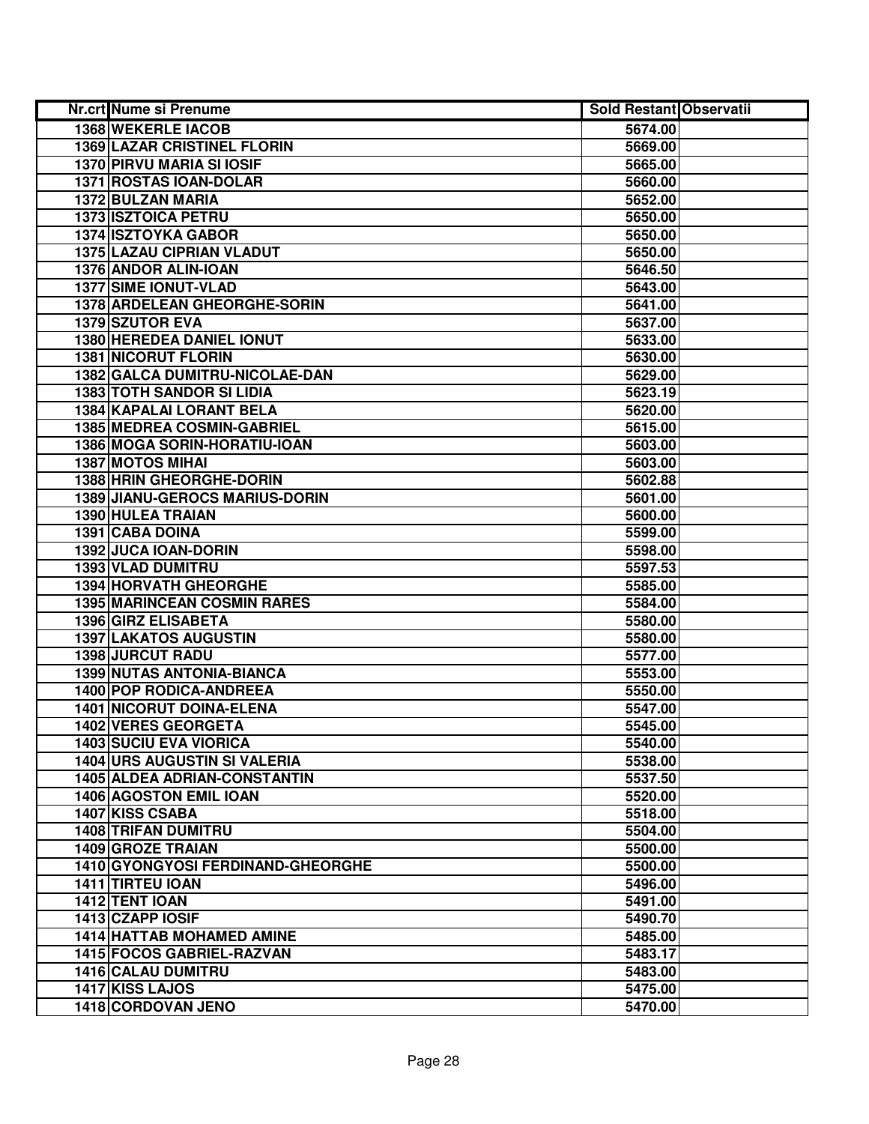| Nr.crt Nume si Prenume              | <b>Sold Restant Observatii</b> |  |
|-------------------------------------|--------------------------------|--|
| <b>1368 WEKERLE IACOB</b>           | 5674.00                        |  |
| <b>1369 LAZAR CRISTINEL FLORIN</b>  | 5669.00                        |  |
| 1370 PIRVU MARIA SI IOSIF           | 5665.00                        |  |
| 1371 ROSTAS IOAN-DOLAR              | 5660.00                        |  |
| 1372 BULZAN MARIA                   | 5652.00                        |  |
| 1373 ISZTOICA PETRU                 | 5650.00                        |  |
| <b>1374 ISZTOYKA GABOR</b>          | 5650.00                        |  |
| 1375 LAZAU CIPRIAN VLADUT           | 5650.00                        |  |
| 1376 ANDOR ALIN-IOAN                | 5646.50                        |  |
| <b>1377 SIME IONUT-VLAD</b>         | 5643.00                        |  |
| 1378 ARDELEAN GHEORGHE-SORIN        | 5641.00                        |  |
| 1379 SZUTOR EVA                     | 5637.00                        |  |
| <b>1380 HEREDEA DANIEL IONUT</b>    | 5633.00                        |  |
| <b>1381 NICORUT FLORIN</b>          | 5630.00                        |  |
| 1382 GALCA DUMITRU-NICOLAE-DAN      | 5629.00                        |  |
| <b>1383 TOTH SANDOR SI LIDIA</b>    | 5623.19                        |  |
| 1384 KAPALAI LORANT BELA            | 5620.00                        |  |
| 1385 MEDREA COSMIN-GABRIEL          | 5615.00                        |  |
| 1386 MOGA SORIN-HORATIU-IOAN        | 5603.00                        |  |
| <b>1387 MOTOS MIHAI</b>             | 5603.00                        |  |
| 1388 HRIN GHEORGHE-DORIN            | 5602.88                        |  |
| 1389 JIANU-GEROCS MARIUS-DORIN      | 5601.00                        |  |
| 1390 HULEA TRAIAN                   | 5600.00                        |  |
| 1391 CABA DOINA                     | 5599.00                        |  |
| 1392 JUCA IOAN-DORIN                | 5598.00                        |  |
| 1393 VLAD DUMITRU                   | 5597.53                        |  |
| 1394 HORVATH GHEORGHE               | 5585.00                        |  |
| <b>1395 MARINCEAN COSMIN RARES</b>  | 5584.00                        |  |
| 1396 GIRZ ELISABETA                 | 5580.00                        |  |
| <b>1397 LAKATOS AUGUSTIN</b>        | 5580.00                        |  |
| 1398 JURCUT RADU                    | 5577.00                        |  |
| <b>1399 NUTAS ANTONIA-BIANCA</b>    | 5553.00                        |  |
| <b>1400 POP RODICA-ANDREEA</b>      | 5550.00                        |  |
| <b>1401 NICORUT DOINA-ELENA</b>     | 5547.00                        |  |
| <b>1402 VERES GEORGETA</b>          | 5545.00                        |  |
| <b>1403 SUCIU EVA VIORICA</b>       | 5540.00                        |  |
| <b>1404 URS AUGUSTIN SI VALERIA</b> | 5538.00                        |  |
| <b>1405 ALDEA ADRIAN-CONSTANTIN</b> | 5537.50                        |  |
| <b>1406 AGOSTON EMIL IOAN</b>       | 5520.00                        |  |
| <b>1407 KISS CSABA</b>              | 5518.00                        |  |
| <b>1408 TRIFAN DUMITRU</b>          | 5504.00                        |  |
| <b>1409 GROZE TRAIAN</b>            | 5500.00                        |  |
| 1410 GYONGYOSI FERDINAND-GHEORGHE   | 5500.00                        |  |
| 1411 TIRTEU IOAN                    | 5496.00                        |  |
| 1412 TENT IOAN                      | 5491.00                        |  |
| 1413 CZAPP IOSIF                    | 5490.70                        |  |
| <b>1414 HATTAB MOHAMED AMINE</b>    | 5485.00                        |  |
| 1415 FOCOS GABRIEL-RAZVAN           | 5483.17                        |  |
| 1416 CALAU DUMITRU                  | 5483.00                        |  |
| 1417 KISS LAJOS                     | 5475.00                        |  |
| 1418 CORDOVAN JENO                  | 5470.00                        |  |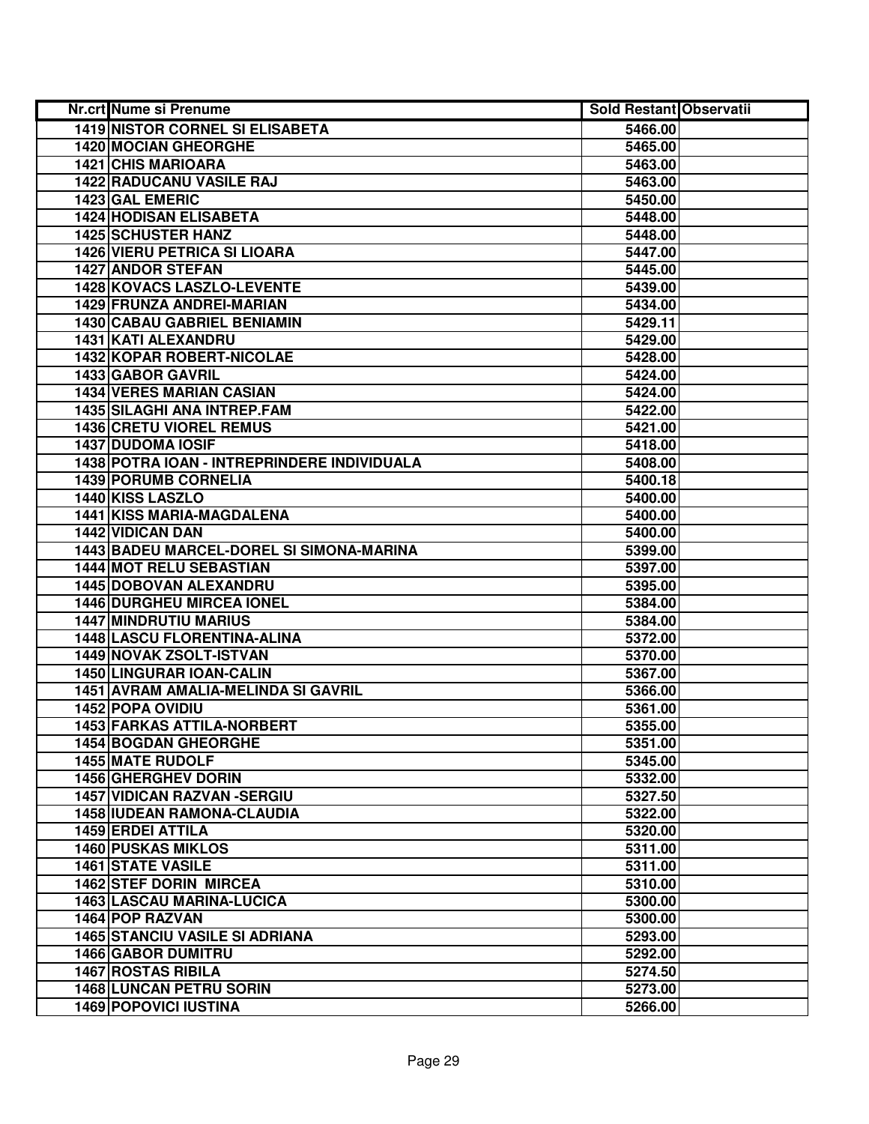| Nr.crt Nume si Prenume                      | <b>Sold Restant Observatii</b> |  |
|---------------------------------------------|--------------------------------|--|
| <b>1419 NISTOR CORNEL SI ELISABETA</b>      | 5466.00                        |  |
| 1420 MOCIAN GHEORGHE                        | 5465.00                        |  |
| <b>1421 CHIS MARIOARA</b>                   | 5463.00                        |  |
| 1422 RADUCANU VASILE RAJ                    | 5463.00                        |  |
| 1423 GAL EMERIC                             | 5450.00                        |  |
| <b>1424 HODISAN ELISABETA</b>               | 5448.00                        |  |
| <b>1425 SCHUSTER HANZ</b>                   | 5448.00                        |  |
| <b>1426 VIERU PETRICA SI LIOARA</b>         | 5447.00                        |  |
| <b>1427 ANDOR STEFAN</b>                    | 5445.00                        |  |
| 1428 KOVACS LASZLO-LEVENTE                  | 5439.00                        |  |
| 1429 FRUNZA ANDREI-MARIAN                   | 5434.00                        |  |
| 1430 CABAU GABRIEL BENIAMIN                 | 5429.11                        |  |
| 1431 KATI ALEXANDRU                         | 5429.00                        |  |
| <b>1432 KOPAR ROBERT-NICOLAE</b>            | 5428.00                        |  |
| 1433 GABOR GAVRIL                           | 5424.00                        |  |
| <b>1434 VERES MARIAN CASIAN</b>             | 5424.00                        |  |
| <b>1435 SILAGHI ANA INTREP.FAM</b>          | 5422.00                        |  |
| <b>1436 CRETU VIOREL REMUS</b>              | 5421.00                        |  |
| <b>1437 DUDOMA IOSIF</b>                    | 5418.00                        |  |
| 1438 POTRA IOAN - INTREPRINDERE INDIVIDUALA | 5408.00                        |  |
| <b>1439 PORUMB CORNELIA</b>                 | 5400.18                        |  |
| 1440 KISS LASZLO                            | 5400.00                        |  |
| 1441 KISS MARIA-MAGDALENA                   | 5400.00                        |  |
| 1442 VIDICAN DAN                            | 5400.00                        |  |
| 1443 BADEU MARCEL-DOREL SI SIMONA-MARINA    | 5399.00                        |  |
| 1444 MOT RELU SEBASTIAN                     | 5397.00                        |  |
| 1445 DOBOVAN ALEXANDRU                      | 5395.00                        |  |
| <b>1446 DURGHEU MIRCEA IONEL</b>            | 5384.00                        |  |
| <b>1447 MINDRUTIU MARIUS</b>                | 5384.00                        |  |
| 1448 LASCU FLORENTINA-ALINA                 | 5372.00                        |  |
| 1449 NOVAK ZSOLT-ISTVAN                     | 5370.00                        |  |
| <b>1450 LINGURAR IOAN-CALIN</b>             | 5367.00                        |  |
| 1451 AVRAM AMALIA-MELINDA SI GAVRIL         | 5366.00                        |  |
| 1452 POPA OVIDIU                            | 5361.00                        |  |
| <b>1453 FARKAS ATTILA-NORBERT</b>           | 5355.00                        |  |
| <b>1454 BOGDAN GHEORGHE</b>                 | 5351.00                        |  |
| <b>1455 MATE RUDOLF</b>                     | 5345.00                        |  |
| <b>1456 GHERGHEV DORIN</b>                  | 5332.00                        |  |
| <b>1457 VIDICAN RAZVAN -SERGIU</b>          | 5327.50                        |  |
| <b>1458 IUDEAN RAMONA-CLAUDIA</b>           | 5322.00                        |  |
| 1459 ERDEI ATTILA                           | 5320.00                        |  |
| <b>1460 PUSKAS MIKLOS</b>                   | 5311.00                        |  |
| <b>1461 STATE VASILE</b>                    | 5311.00                        |  |
| <b>1462 STEF DORIN MIRCEA</b>               | 5310.00                        |  |
| 1463 LASCAU MARINA-LUCICA                   | 5300.00                        |  |
| 1464 POP RAZVAN                             | 5300.00                        |  |
| <b>1465 STANCIU VASILE SI ADRIANA</b>       | 5293.00                        |  |
| <b>1466 GABOR DUMITRU</b>                   | 5292.00                        |  |
| <b>1467 ROSTAS RIBILA</b>                   | 5274.50                        |  |
| <b>1468 LUNCAN PETRU SORIN</b>              | 5273.00                        |  |
| <b>1469 POPOVICI IUSTINA</b>                | 5266.00                        |  |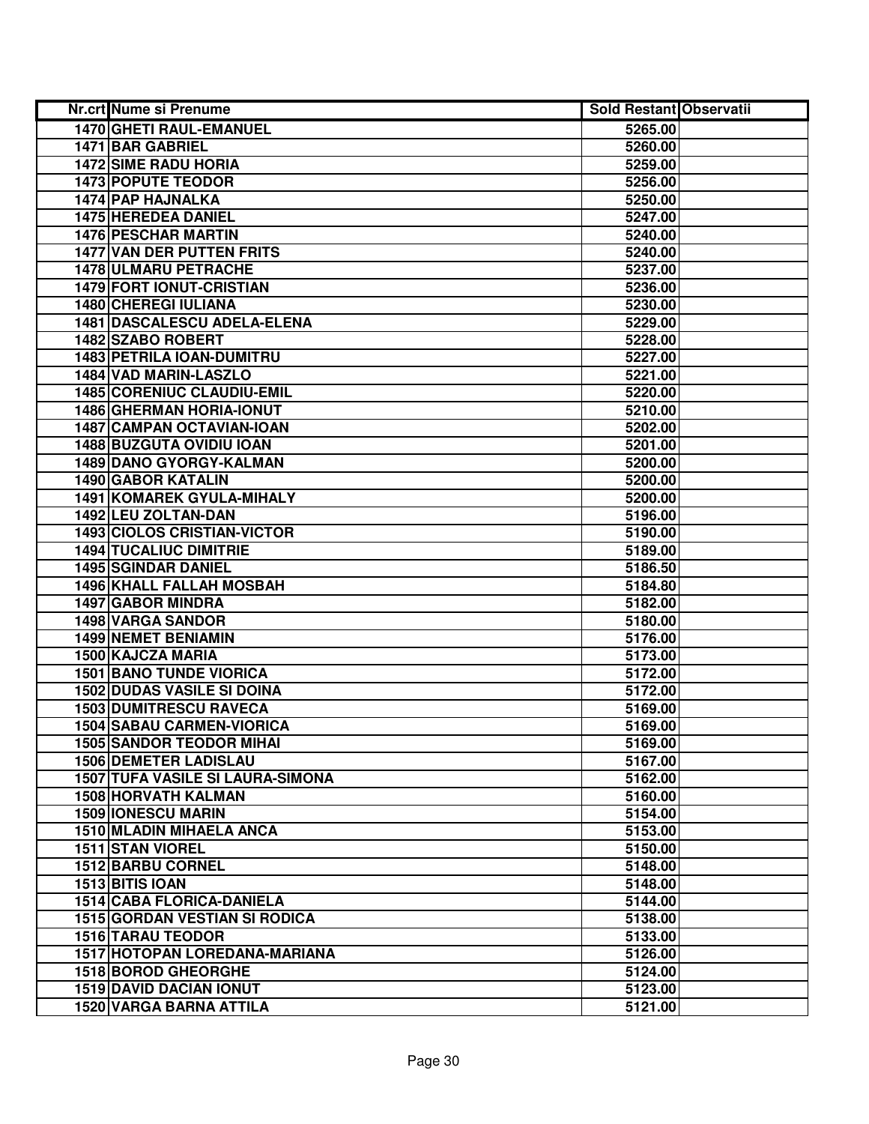| Nr.crt Nume si Prenume                  | <b>Sold Restant Observatii</b> |  |
|-----------------------------------------|--------------------------------|--|
| 1470 GHETI RAUL-EMANUEL                 | 5265.00                        |  |
| 1471 BAR GABRIEL                        | 5260.00                        |  |
| <b>1472 SIME RADU HORIA</b>             | 5259.00                        |  |
| <b>1473 POPUTE TEODOR</b>               | 5256.00                        |  |
| 1474 PAP HAJNALKA                       | 5250.00                        |  |
| 1475 HEREDEA DANIEL                     | 5247.00                        |  |
| <b>1476 PESCHAR MARTIN</b>              | 5240.00                        |  |
| <b>1477 VAN DER PUTTEN FRITS</b>        | 5240.00                        |  |
| <b>1478 ULMARU PETRACHE</b>             | 5237.00                        |  |
| <b>1479 FORT IONUT-CRISTIAN</b>         | 5236.00                        |  |
| <b>1480 CHEREGI IULIANA</b>             | 5230.00                        |  |
| 1481 DASCALESCU ADELA-ELENA             | 5229.00                        |  |
| 1482 SZABO ROBERT                       | 5228.00                        |  |
| 1483 PETRILA IOAN-DUMITRU               | 5227.00                        |  |
| 1484 VAD MARIN-LASZLO                   | 5221.00                        |  |
| 1485 CORENIUC CLAUDIU-EMIL              | 5220.00                        |  |
| <b>1486 GHERMAN HORIA-IONUT</b>         | 5210.00                        |  |
| 1487 CAMPAN OCTAVIAN-IOAN               | 5202.00                        |  |
| 1488 BUZGUTA OVIDIU IOAN                | 5201.00                        |  |
| 1489 DANO GYORGY-KALMAN                 | 5200.00                        |  |
| 1490 GABOR KATALIN                      | 5200.00                        |  |
| <b>1491 KOMAREK GYULA-MIHALY</b>        | 5200.00                        |  |
| 1492 LEU ZOLTAN-DAN                     | 5196.00                        |  |
| <b>1493 CIOLOS CRISTIAN-VICTOR</b>      | 5190.00                        |  |
| <b>1494 TUCALIUC DIMITRIE</b>           | 5189.00                        |  |
| 1495 SGINDAR DANIEL                     | 5186.50                        |  |
| <b>1496 KHALL FALLAH MOSBAH</b>         | 5184.80                        |  |
| 1497 GABOR MINDRA                       | 5182.00                        |  |
| 1498 VARGA SANDOR                       | 5180.00                        |  |
| 1499 NEMET BENIAMIN                     | 5176.00                        |  |
| 1500 KAJCZA MARIA                       | 5173.00                        |  |
| <b>1501 BANO TUNDE VIORICA</b>          | 5172.00                        |  |
| <b>1502 DUDAS VASILE SI DOINA</b>       | 5172.00                        |  |
| <b>1503 DUMITRESCU RAVECA</b>           | 5169.00                        |  |
| <b>1504 SABAU CARMEN-VIORICA</b>        | 5169.00                        |  |
| <b>1505 SANDOR TEODOR MIHAI</b>         | 5169.00                        |  |
| <b>1506 DEMETER LADISLAU</b>            | 5167.00                        |  |
| <b>1507 TUFA VASILE SI LAURA-SIMONA</b> | 5162.00                        |  |
| <b>1508 HORVATH KALMAN</b>              | 5160.00                        |  |
| <b>1509 IONESCU MARIN</b>               | 5154.00                        |  |
| 1510 MLADIN MIHAELA ANCA                | 5153.00                        |  |
| 1511 STAN VIOREL                        | 5150.00                        |  |
| 1512 BARBU CORNEL                       | 5148.00                        |  |
| 1513 BITIS IOAN                         | 5148.00                        |  |
| 1514 CABA FLORICA-DANIELA               | 5144.00                        |  |
| <b>1515 GORDAN VESTIAN SI RODICA</b>    | 5138.00                        |  |
| <b>1516 TARAU TEODOR</b>                | 5133.00                        |  |
| 1517 HOTOPAN LOREDANA-MARIANA           | 5126.00                        |  |
| <b>1518 BOROD GHEORGHE</b>              | 5124.00                        |  |
| <b>1519 DAVID DACIAN IONUT</b>          | 5123.00                        |  |
| 1520 VARGA BARNA ATTILA                 | 5121.00                        |  |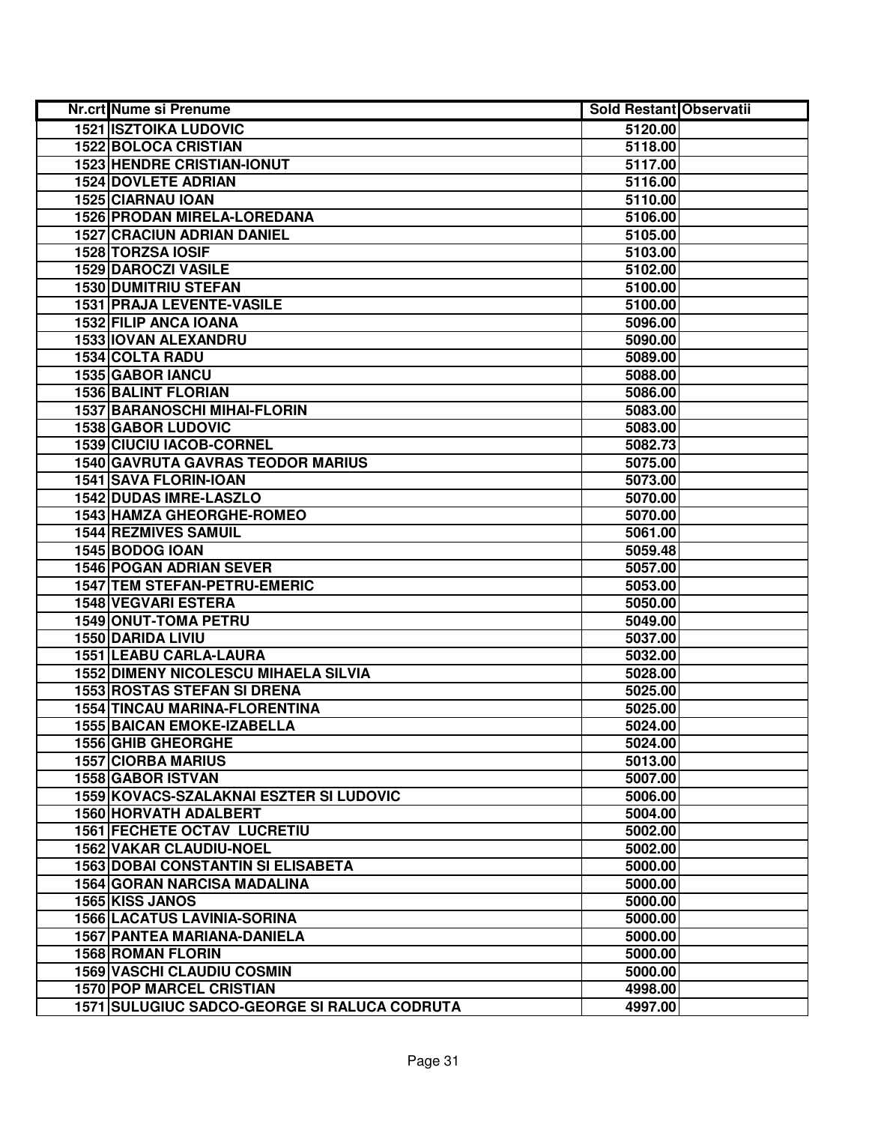| Nr.crt Nume si Prenume                       | <b>Sold Restant Observatii</b> |  |
|----------------------------------------------|--------------------------------|--|
| <b>1521 ISZTOIKA LUDOVIC</b>                 | 5120.00                        |  |
| <b>1522 BOLOCA CRISTIAN</b>                  | 5118.00                        |  |
| <b>1523 HENDRE CRISTIAN-IONUT</b>            | 5117.00                        |  |
| <b>1524 DOVLETE ADRIAN</b>                   | 5116.00                        |  |
| 1525 CIARNAU IOAN                            | 5110.00                        |  |
| 1526 PRODAN MIRELA-LOREDANA                  | 5106.00                        |  |
| <b>1527 CRACIUN ADRIAN DANIEL</b>            | 5105.00                        |  |
| 1528 TORZSA IOSIF                            | 5103.00                        |  |
| <b>1529 DAROCZI VASILE</b>                   | 5102.00                        |  |
| <b>1530 DUMITRIU STEFAN</b>                  | 5100.00                        |  |
| <b>1531 PRAJA LEVENTE-VASILE</b>             | 5100.00                        |  |
| 1532 FILIP ANCA IOANA                        | 5096.00                        |  |
| 1533 IOVAN ALEXANDRU                         | 5090.00                        |  |
| 1534 COLTA RADU                              | 5089.00                        |  |
| 1535 GABOR IANCU                             | 5088.00                        |  |
| <b>1536 BALINT FLORIAN</b>                   | 5086.00                        |  |
| <b>1537 BARANOSCHI MIHAI-FLORIN</b>          | 5083.00                        |  |
| <b>1538 GABOR LUDOVIC</b>                    | 5083.00                        |  |
| <b>1539 CIUCIU IACOB-CORNEL</b>              | 5082.73                        |  |
| 1540 GAVRUTA GAVRAS TEODOR MARIUS            | 5075.00                        |  |
| 1541 SAVA FLORIN-IOAN                        | 5073.00                        |  |
| 1542 DUDAS IMRE-LASZLO                       | 5070.00                        |  |
| <b>1543 HAMZA GHEORGHE-ROMEO</b>             | 5070.00                        |  |
| 1544 REZMIVES SAMUIL                         | 5061.00                        |  |
| 1545 BODOG IOAN                              | 5059.48                        |  |
| <b>1546 POGAN ADRIAN SEVER</b>               | 5057.00                        |  |
| 1547 TEM STEFAN-PETRU-EMERIC                 | 5053.00                        |  |
| 1548 VEGVARI ESTERA                          | 5050.00                        |  |
| 1549 ONUT-TOMA PETRU                         | 5049.00                        |  |
| 1550 DARIDA LIVIU                            | 5037.00                        |  |
| 1551 LEABU CARLA-LAURA                       | 5032.00                        |  |
| <b>1552 DIMENY NICOLESCU MIHAELA SILVIA</b>  | 5028.00                        |  |
| <b>1553 ROSTAS STEFAN SI DRENA</b>           | 5025.00                        |  |
| <b>1554 TINCAU MARINA-FLORENTINA</b>         | 5025.00                        |  |
| <b>1555 BAICAN EMOKE-IZABELLA</b>            | 5024.00                        |  |
| <b>1556 GHIB GHEORGHE</b>                    | 5024.00                        |  |
| <b>1557 CIORBA MARIUS</b>                    | 5013.00                        |  |
| <b>1558 GABOR ISTVAN</b>                     | 5007.00                        |  |
| 1559 KOVACS-SZALAKNAI ESZTER SI LUDOVIC      | 5006.00                        |  |
| <b>1560 HORVATH ADALBERT</b>                 | 5004.00                        |  |
| <b>1561 FECHETE OCTAV LUCRETIU</b>           | 5002.00                        |  |
| 1562 VAKAR CLAUDIU-NOEL                      | 5002.00                        |  |
| <b>1563 DOBAI CONSTANTIN SI ELISABETA</b>    | 5000.00                        |  |
| <b>1564 GORAN NARCISA MADALINA</b>           | 5000.00                        |  |
| 1565 KISS JANOS                              | 5000.00                        |  |
| <b>1566 LACATUS LAVINIA-SORINA</b>           | 5000.00                        |  |
| <b>1567 PANTEA MARIANA-DANIELA</b>           | 5000.00                        |  |
| <b>1568 ROMAN FLORIN</b>                     | 5000.00                        |  |
| <b>1569 VASCHI CLAUDIU COSMIN</b>            | 5000.00                        |  |
| <b>1570 POP MARCEL CRISTIAN</b>              | 4998.00                        |  |
| 1571 SULUGIUC SADCO-GEORGE SI RALUCA CODRUTA | 4997.00                        |  |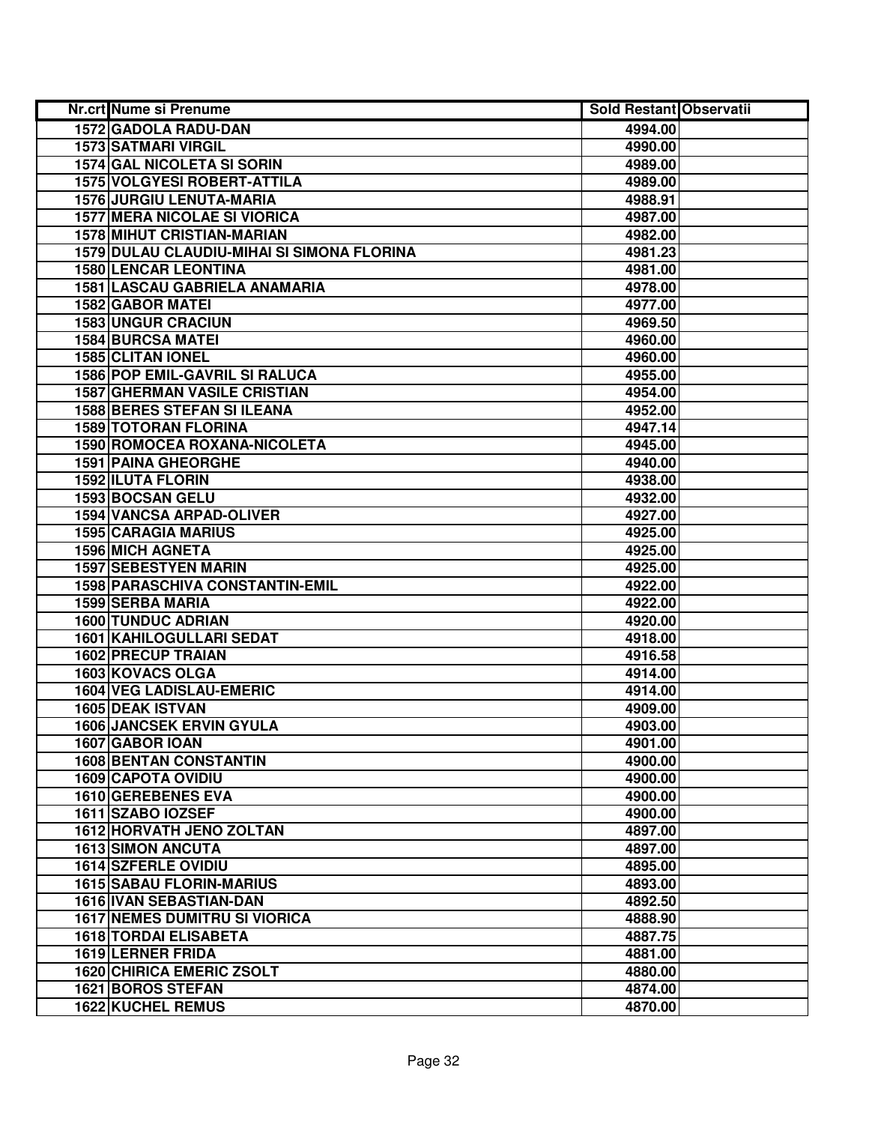| Nr.crt Nume si Prenume                     | <b>Sold Restant Observatii</b> |  |
|--------------------------------------------|--------------------------------|--|
| 1572 GADOLA RADU-DAN                       | 4994.00                        |  |
| <b>1573 SATMARI VIRGIL</b>                 | 4990.00                        |  |
| 1574 GAL NICOLETA SI SORIN                 | 4989.00                        |  |
| <b>1575 VOLGYESI ROBERT-ATTILA</b>         | 4989.00                        |  |
| <b>1576 JURGIU LENUTA-MARIA</b>            | 4988.91                        |  |
| <b>1577 MERA NICOLAE SI VIORICA</b>        | 4987.00                        |  |
| <b>1578 MIHUT CRISTIAN-MARIAN</b>          | 4982.00                        |  |
| 1579 DULAU CLAUDIU-MIHAI SI SIMONA FLORINA | 4981.23                        |  |
| <b>1580 LENCAR LEONTINA</b>                | 4981.00                        |  |
| 1581 LASCAU GABRIELA ANAMARIA              | 4978.00                        |  |
| <b>1582 GABOR MATEI</b>                    | 4977.00                        |  |
| <b>1583 UNGUR CRACIUN</b>                  | 4969.50                        |  |
| <b>1584 BURCSA MATEI</b>                   | 4960.00                        |  |
| <b>1585 CLITAN IONEL</b>                   | 4960.00                        |  |
| 1586 POP EMIL-GAVRIL SI RALUCA             | 4955.00                        |  |
| <b>1587 GHERMAN VASILE CRISTIAN</b>        | 4954.00                        |  |
| <b>1588 BERES STEFAN SI ILEANA</b>         | 4952.00                        |  |
| 1589 TOTORAN FLORINA                       | 4947.14                        |  |
| 1590 ROMOCEA ROXANA-NICOLETA               | 4945.00                        |  |
| <b>1591 PAINA GHEORGHE</b>                 | 4940.00                        |  |
| 1592 ILUTA FLORIN                          | 4938.00                        |  |
| 1593 BOCSAN GELU                           | 4932.00                        |  |
| <b>1594 VANCSA ARPAD-OLIVER</b>            | 4927.00                        |  |
| <b>1595 CARAGIA MARIUS</b>                 | 4925.00                        |  |
| <b>1596 MICH AGNETA</b>                    | 4925.00                        |  |
| <b>1597 SEBESTYEN MARIN</b>                | 4925.00                        |  |
| 1598 PARASCHIVA CONSTANTIN-EMIL            | 4922.00                        |  |
| 1599 SERBA MARIA                           | 4922.00                        |  |
| <b>1600 TUNDUC ADRIAN</b>                  | 4920.00                        |  |
| 1601 KAHILOGULLARI SEDAT                   | 4918.00                        |  |
| 1602 PRECUP TRAIAN                         | 4916.58                        |  |
| 1603 KOVACS OLGA                           | 4914.00                        |  |
| 1604 VEG LADISLAU-EMERIC                   | 4914.00                        |  |
| <b>1605 DEAK ISTVAN</b>                    | 4909.00                        |  |
| <b>1606 JANCSEK ERVIN GYULA</b>            | 4903.00                        |  |
| 1607 GABOR IOAN                            | 4901.00                        |  |
| <b>1608 BENTAN CONSTANTIN</b>              | 4900.00                        |  |
| <b>1609 CAPOTA OVIDIU</b>                  | 4900.00                        |  |
| 1610 GEREBENES EVA                         | 4900.00                        |  |
| 1611 SZABO IOZSEF                          | 4900.00                        |  |
| 1612 HORVATH JENO ZOLTAN                   | 4897.00                        |  |
| <b>1613 SIMON ANCUTA</b>                   | 4897.00                        |  |
| 1614 SZFERLE OVIDIU                        | 4895.00                        |  |
| <b>1615 SABAU FLORIN-MARIUS</b>            | 4893.00                        |  |
| 1616 IVAN SEBASTIAN-DAN                    | 4892.50                        |  |
| <b>1617 NEMES DUMITRU SI VIORICA</b>       | 4888.90                        |  |
| <b>1618 TORDAI ELISABETA</b>               | 4887.75                        |  |
| 1619 LERNER FRIDA                          | 4881.00                        |  |
| <b>1620 CHIRICA EMERIC ZSOLT</b>           | 4880.00                        |  |
| 1621 BOROS STEFAN                          | 4874.00                        |  |
| <b>1622 KUCHEL REMUS</b>                   | 4870.00                        |  |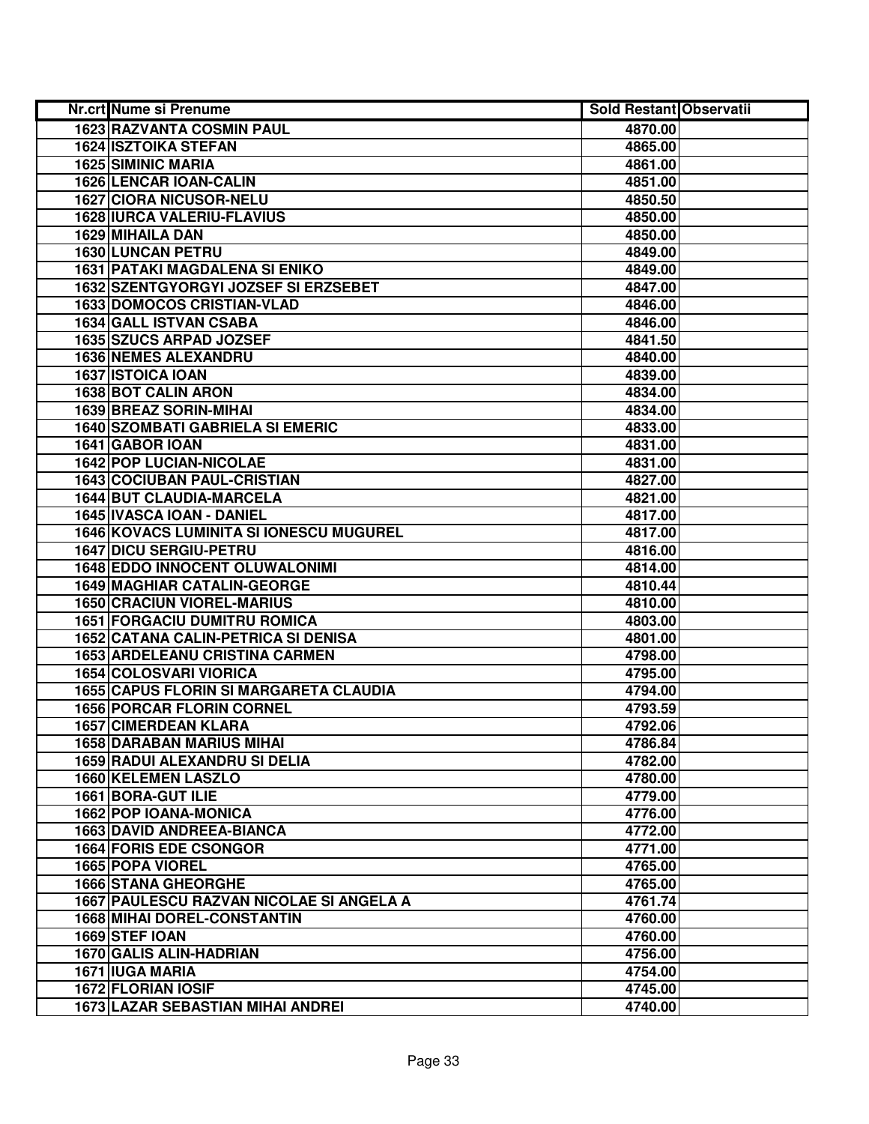| Nr.crt Nume si Prenume                        | <b>Sold Restant Observatii</b> |  |
|-----------------------------------------------|--------------------------------|--|
| <b>1623 RAZVANTA COSMIN PAUL</b>              | 4870.00                        |  |
| <b>1624 ISZTOIKA STEFAN</b>                   | 4865.00                        |  |
| 1625 SIMINIC MARIA                            | 4861.00                        |  |
| <b>1626 LENCAR IOAN-CALIN</b>                 | 4851.00                        |  |
| <b>1627 CIORA NICUSOR-NELU</b>                | 4850.50                        |  |
| <b>1628 IURCA VALERIU-FLAVIUS</b>             | 4850.00                        |  |
| 1629 MIHAILA DAN                              | 4850.00                        |  |
| <b>1630 LUNCAN PETRU</b>                      | 4849.00                        |  |
| <b>1631 PATAKI MAGDALENA SI ENIKO</b>         | 4849.00                        |  |
| 1632 SZENTGYORGYI JOZSEF SI ERZSEBET          | 4847.00                        |  |
| <b>1633 DOMOCOS CRISTIAN-VLAD</b>             | 4846.00                        |  |
| <b>1634 GALL ISTVAN CSABA</b>                 | 4846.00                        |  |
| <b>1635 SZUCS ARPAD JOZSEF</b>                | 4841.50                        |  |
| <b>1636 NEMES ALEXANDRU</b>                   | 4840.00                        |  |
| 1637 ISTOICA IOAN                             | 4839.00                        |  |
| <b>1638 BOT CALIN ARON</b>                    | 4834.00                        |  |
| 1639 BREAZ SORIN-MIHAI                        | 4834.00                        |  |
| <b>1640 SZOMBATI GABRIELA SI EMERIC</b>       | 4833.00                        |  |
| 1641 GABOR IOAN                               | 4831.00                        |  |
| 1642 POP LUCIAN-NICOLAE                       | 4831.00                        |  |
| <b>1643 COCIUBAN PAUL-CRISTIAN</b>            | 4827.00                        |  |
| <b>1644 BUT CLAUDIA-MARCELA</b>               | 4821.00                        |  |
| 1645 IVASCA IOAN - DANIEL                     | 4817.00                        |  |
| 1646 KOVACS LUMINITA SI IONESCU MUGUREL       | 4817.00                        |  |
| <b>1647 DICU SERGIU-PETRU</b>                 | 4816.00                        |  |
| <b>1648 EDDO INNOCENT OLUWALONIMI</b>         | 4814.00                        |  |
| 1649 MAGHIAR CATALIN-GEORGE                   | 4810.44                        |  |
| <b>1650 CRACIUN VIOREL-MARIUS</b>             | 4810.00                        |  |
| <b>1651 FORGACIU DUMITRU ROMICA</b>           | 4803.00                        |  |
| 1652 CATANA CALIN-PETRICA SI DENISA           | 4801.00                        |  |
| <b>1653 ARDELEANU CRISTINA CARMEN</b>         | 4798.00                        |  |
| <b>1654 COLOSVARI VIORICA</b>                 | 4795.00                        |  |
| <b>1655 CAPUS FLORIN SI MARGARETA CLAUDIA</b> | 4794.00                        |  |
| <b>1656 PORCAR FLORIN CORNEL</b>              | 4793.59                        |  |
| <b>1657 CIMERDEAN KLARA</b>                   | 4792.06                        |  |
| <b>1658 DARABAN MARIUS MIHAI</b>              | 4786.84                        |  |
| 1659 RADUI ALEXANDRU SI DELIA                 | 4782.00                        |  |
| <b>1660 KELEMEN LASZLO</b>                    | 4780.00                        |  |
| 1661 BORA-GUT ILIE                            | 4779.00                        |  |
| <b>1662 POP IOANA-MONICA</b>                  | 4776.00                        |  |
| <b>1663 DAVID ANDREEA-BIANCA</b>              | 4772.00                        |  |
| <b>1664 FORIS EDE CSONGOR</b>                 | 4771.00                        |  |
| <b>1665 POPA VIOREL</b>                       | 4765.00                        |  |
| <b>1666 STANA GHEORGHE</b>                    | 4765.00                        |  |
| 1667 PAULESCU RAZVAN NICOLAE SI ANGELA A      | 4761.74                        |  |
| <b>1668 MIHAI DOREL-CONSTANTIN</b>            | 4760.00                        |  |
| 1669 STEF IOAN                                | 4760.00                        |  |
| 1670 GALIS ALIN-HADRIAN                       | 4756.00                        |  |
| 1671 IUGA MARIA                               | 4754.00                        |  |
| 1672 FLORIAN IOSIF                            | 4745.00                        |  |
| 1673 LAZAR SEBASTIAN MIHAI ANDREI             | 4740.00                        |  |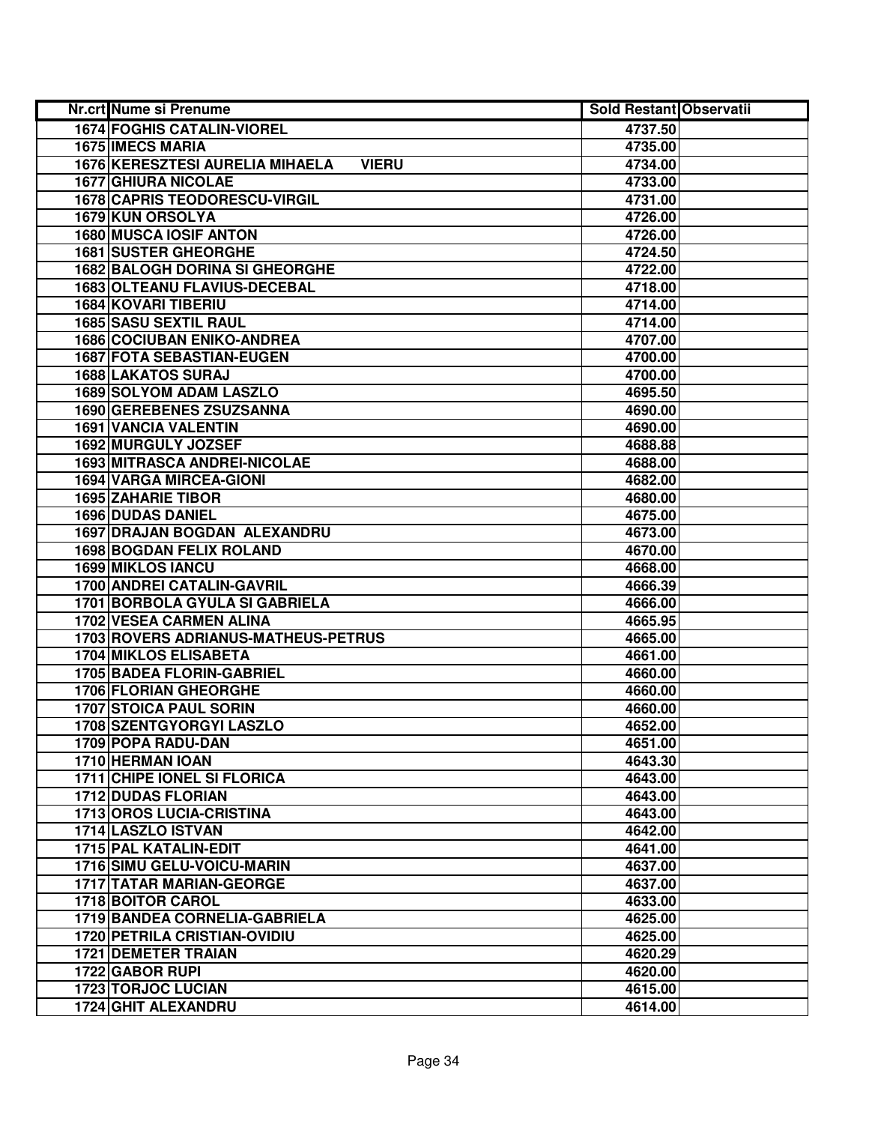| Nr.crt Nume si Prenume                          | <b>Sold Restant Observatii</b> |  |
|-------------------------------------------------|--------------------------------|--|
| <b>1674 FOGHIS CATALIN-VIOREL</b>               | 4737.50                        |  |
| 1675 IMECS MARIA                                | 4735.00                        |  |
| 1676 KERESZTESI AURELIA MIHAELA<br><b>VIERU</b> | 4734.00                        |  |
| <b>1677 GHIURA NICOLAE</b>                      | 4733.00                        |  |
| <b>1678 CAPRIS TEODORESCU-VIRGIL</b>            | 4731.00                        |  |
| 1679 KUN ORSOLYA                                | 4726.00                        |  |
| 1680 MUSCA IOSIF ANTON                          | 4726.00                        |  |
| 1681 SUSTER GHEORGHE                            | 4724.50                        |  |
| <b>1682 BALOGH DORINA SI GHEORGHE</b>           | 4722.00                        |  |
| 1683 OLTEANU FLAVIUS-DECEBAL                    | 4718.00                        |  |
| <b>1684 KOVARI TIBERIU</b>                      | 4714.00                        |  |
| <b>1685 SASU SEXTIL RAUL</b>                    | 4714.00                        |  |
| <b>1686 COCIUBAN ENIKO-ANDREA</b>               | 4707.00                        |  |
| <b>1687 FOTA SEBASTIAN-EUGEN</b>                | 4700.00                        |  |
| <b>1688 LAKATOS SURAJ</b>                       | 4700.00                        |  |
| <b>1689 SOLYOM ADAM LASZLO</b>                  | 4695.50                        |  |
| <b>1690 GEREBENES ZSUZSANNA</b>                 | 4690.00                        |  |
| 1691 VANCIA VALENTIN                            | 4690.00                        |  |
| 1692 MURGULY JOZSEF                             | 4688.88                        |  |
| <b>1693 MITRASCA ANDREI-NICOLAE</b>             | 4688.00                        |  |
| 1694 VARGA MIRCEA-GIONI                         | 4682.00                        |  |
| <b>1695 ZAHARIE TIBOR</b>                       | 4680.00                        |  |
| <b>1696 DUDAS DANIEL</b>                        | 4675.00                        |  |
| 1697 DRAJAN BOGDAN ALEXANDRU                    | 4673.00                        |  |
| <b>1698 BOGDAN FELIX ROLAND</b>                 | 4670.00                        |  |
| 1699 MIKLOS IANCU                               | 4668.00                        |  |
| 1700 ANDREI CATALIN-GAVRIL                      | 4666.39                        |  |
| 1701 BORBOLA GYULA SI GABRIELA                  | 4666.00                        |  |
| <b>1702 VESEA CARMEN ALINA</b>                  | 4665.95                        |  |
| 1703 ROVERS ADRIANUS-MATHEUS-PETRUS             | 4665.00                        |  |
| <b>1704 MIKLOS ELISABETA</b>                    | 4661.00                        |  |
| 1705 BADEA FLORIN-GABRIEL                       | 4660.00                        |  |
| 1706 FLORIAN GHEORGHE                           | 4660.00                        |  |
| <b>1707 STOICA PAUL SORIN</b>                   | 4660.00                        |  |
| <b>1708 SZENTGYORGYI LASZLO</b>                 | 4652.00                        |  |
| 1709 POPA RADU-DAN                              | 4651.00                        |  |
| 1710 HERMAN IOAN                                | 4643.30                        |  |
| <b>1711 CHIPE IONEL SI FLORICA</b>              | 4643.00                        |  |
| <b>1712 DUDAS FLORIAN</b>                       | 4643.00                        |  |
| <b>1713 OROS LUCIA-CRISTINA</b>                 | 4643.00                        |  |
| 1714 LASZLO ISTVAN                              | 4642.00                        |  |
| 1715 PAL KATALIN-EDIT                           | 4641.00                        |  |
| <b>1716 SIMU GELU-VOICU-MARIN</b>               | 4637.00                        |  |
| 1717 TATAR MARIAN-GEORGE                        | 4637.00                        |  |
| <b>1718 BOITOR CAROL</b>                        | 4633.00                        |  |
| 1719 BANDEA CORNELIA-GABRIELA                   | 4625.00                        |  |
| <b>1720 PETRILA CRISTIAN-OVIDIU</b>             | 4625.00                        |  |
| <b>1721 DEMETER TRAIAN</b>                      | 4620.29                        |  |
| 1722 GABOR RUPI                                 | 4620.00                        |  |
| <b>1723 TORJOC LUCIAN</b>                       | 4615.00                        |  |
| 1724 GHIT ALEXANDRU                             | 4614.00                        |  |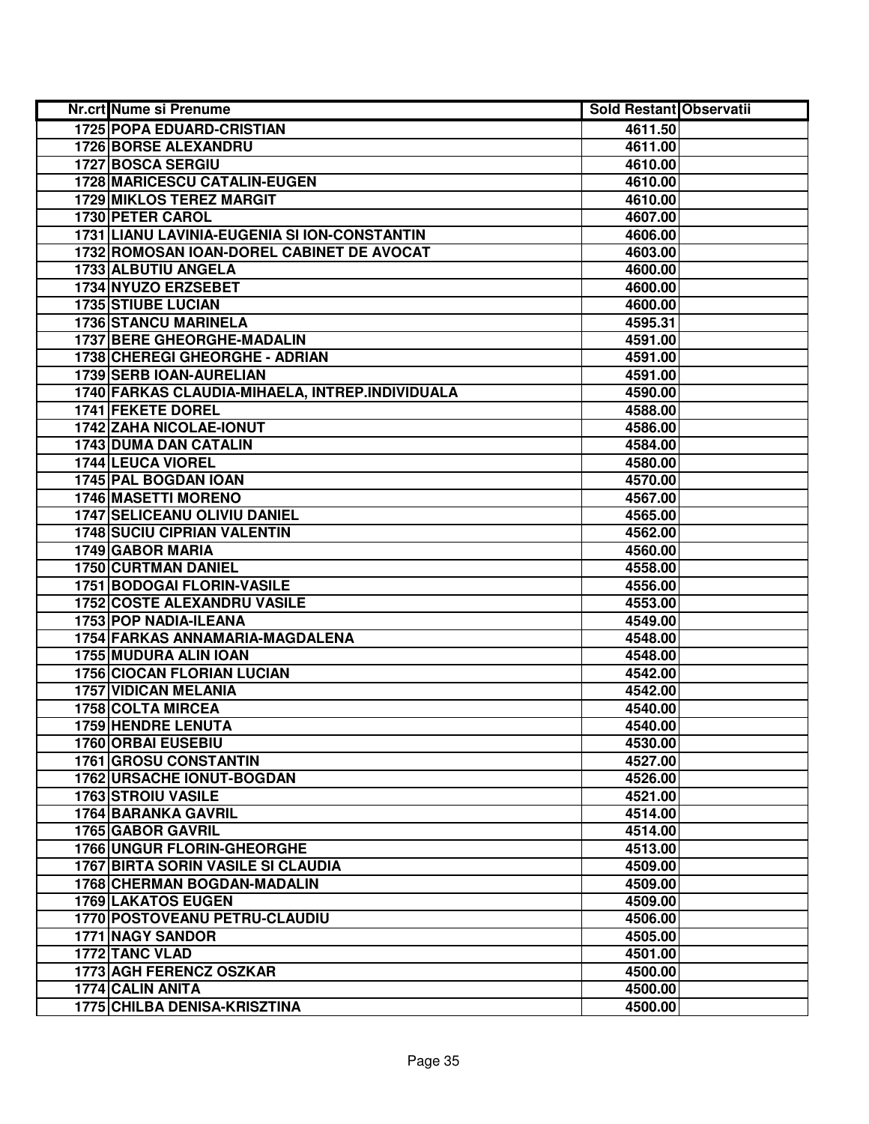| Nr.crt Nume si Prenume                          | <b>Sold Restant Observatii</b> |  |
|-------------------------------------------------|--------------------------------|--|
| <b>1725 POPA EDUARD-CRISTIAN</b>                | 4611.50                        |  |
| <b>1726 BORSE ALEXANDRU</b>                     | 4611.00                        |  |
| 1727 BOSCA SERGIU                               | 4610.00                        |  |
| 1728 MARICESCU CATALIN-EUGEN                    | 4610.00                        |  |
| 1729 MIKLOS TEREZ MARGIT                        | 4610.00                        |  |
| 1730 PETER CAROL                                | 4607.00                        |  |
| 1731 LIANU LAVINIA-EUGENIA SI ION-CONSTANTIN    | 4606.00                        |  |
| 1732 ROMOSAN IOAN-DOREL CABINET DE AVOCAT       | 4603.00                        |  |
| 1733 ALBUTIU ANGELA                             | 4600.00                        |  |
| 1734 NYUZO ERZSEBET                             | 4600.00                        |  |
| <b>1735 STIUBE LUCIAN</b>                       | 4600.00                        |  |
| <b>1736 STANCU MARINELA</b>                     | 4595.31                        |  |
| <b>1737 BERE GHEORGHE-MADALIN</b>               | 4591.00                        |  |
| 1738 CHEREGI GHEORGHE - ADRIAN                  | 4591.00                        |  |
| 1739 SERB IOAN-AURELIAN                         | 4591.00                        |  |
| 1740 FARKAS CLAUDIA-MIHAELA, INTREP.INDIVIDUALA | 4590.00                        |  |
| 1741 FEKETE DOREL                               | 4588.00                        |  |
| 1742 ZAHA NICOLAE-IONUT                         | 4586.00                        |  |
| 1743 DUMA DAN CATALIN                           | 4584.00                        |  |
| 1744 LEUCA VIOREL                               | 4580.00                        |  |
| 1745 PAL BOGDAN IOAN                            | 4570.00                        |  |
| 1746 MASETTI MORENO                             | 4567.00                        |  |
| <b>1747 SELICEANU OLIVIU DANIEL</b>             | 4565.00                        |  |
| <b>1748 SUCIU CIPRIAN VALENTIN</b>              | 4562.00                        |  |
| <b>1749 GABOR MARIA</b>                         | 4560.00                        |  |
| <b>1750 CURTMAN DANIEL</b>                      | 4558.00                        |  |
| 1751 BODOGAI FLORIN-VASILE                      | 4556.00                        |  |
| <b>1752 COSTE ALEXANDRU VASILE</b>              | 4553.00                        |  |
| 1753 POP NADIA-ILEANA                           | 4549.00                        |  |
| 1754 FARKAS ANNAMARIA-MAGDALENA                 | 4548.00                        |  |
| 1755 MUDURA ALIN IOAN                           | 4548.00                        |  |
| <b>1756 CIOCAN FLORIAN LUCIAN</b>               | 4542.00                        |  |
| 1757 VIDICAN MELANIA                            | 4542.00                        |  |
| <b>1758 COLTA MIRCEA</b>                        | 4540.00                        |  |
| <b>1759 HENDRE LENUTA</b>                       | 4540.00                        |  |
| 1760 ORBAI EUSEBIU                              | 4530.00                        |  |
| <b>1761 GROSU CONSTANTIN</b>                    | 4527.00                        |  |
| <b>1762 URSACHE IONUT-BOGDAN</b>                | 4526.00                        |  |
| <b>1763 STROIU VASILE</b>                       | 4521.00                        |  |
| <b>1764 BARANKA GAVRIL</b>                      | 4514.00                        |  |
| <b>1765 GABOR GAVRIL</b>                        | 4514.00                        |  |
| <b>1766 UNGUR FLORIN-GHEORGHE</b>               | 4513.00                        |  |
| <b>1767 BIRTA SORIN VASILE SI CLAUDIA</b>       | 4509.00                        |  |
| <b>1768 CHERMAN BOGDAN-MADALIN</b>              | 4509.00                        |  |
| 1769 LAKATOS EUGEN                              | 4509.00                        |  |
| 1770 POSTOVEANU PETRU-CLAUDIU                   | 4506.00                        |  |
| 1771 NAGY SANDOR                                | 4505.00                        |  |
| 1772 TANC VLAD                                  | 4501.00                        |  |
| 1773 AGH FERENCZ OSZKAR                         | 4500.00                        |  |
| 1774 CALIN ANITA                                | 4500.00                        |  |
| 1775 CHILBA DENISA-KRISZTINA                    | 4500.00                        |  |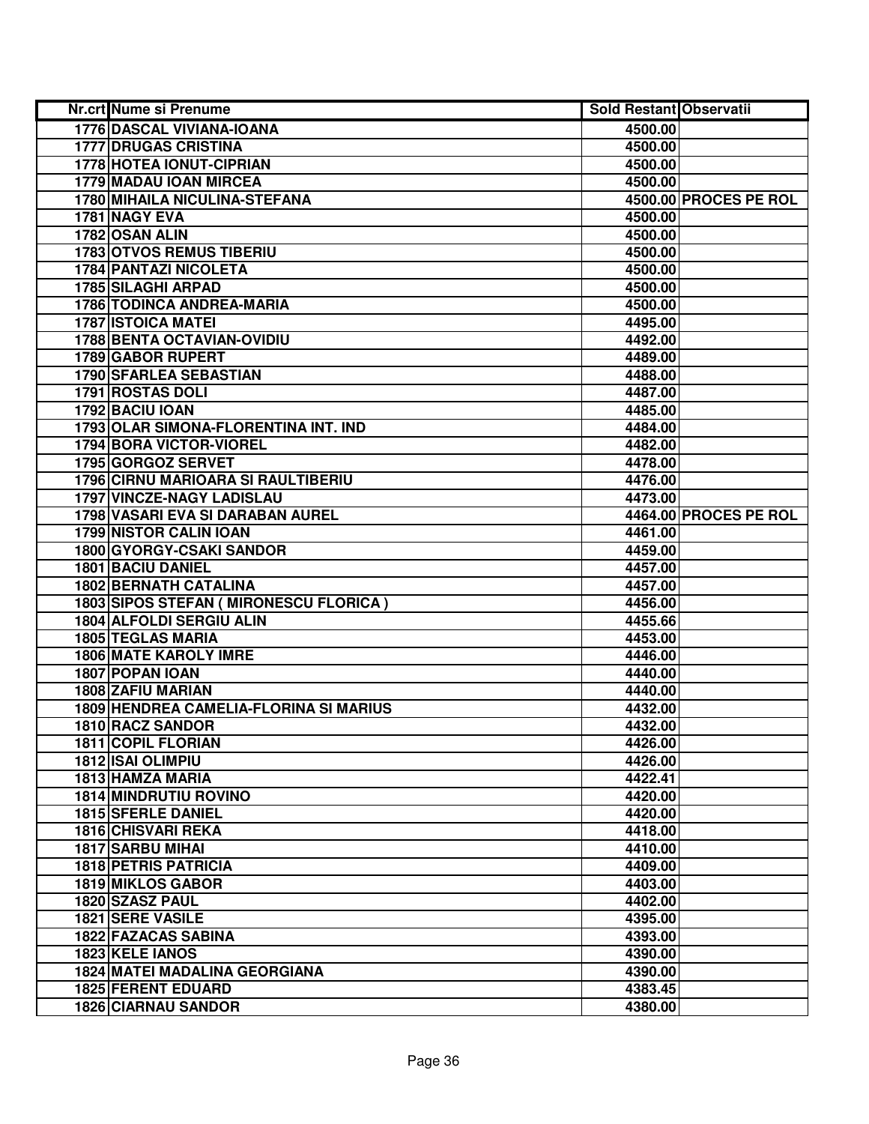| Nr.crt Nume si Prenume                  | <b>Sold Restant Observatii</b> |                       |
|-----------------------------------------|--------------------------------|-----------------------|
| 1776 DASCAL VIVIANA-IOANA               | 4500.00                        |                       |
| <b>1777 DRUGAS CRISTINA</b>             | 4500.00                        |                       |
| 1778 HOTEA IONUT-CIPRIAN                | 4500.00                        |                       |
| 1779 MADAU IOAN MIRCEA                  | 4500.00                        |                       |
| 1780 MIHAILA NICULINA-STEFANA           |                                | 4500.00 PROCES PE ROL |
| 1781 NAGY EVA                           | 4500.00                        |                       |
| 1782 OSAN ALIN                          | 4500.00                        |                       |
| <b>1783 OTVOS REMUS TIBERIU</b>         | 4500.00                        |                       |
| <b>1784 PANTAZI NICOLETA</b>            | 4500.00                        |                       |
| <b>1785 SILAGHI ARPAD</b>               | 4500.00                        |                       |
| 1786 TODINCA ANDREA-MARIA               | 4500.00                        |                       |
| <b>1787 ISTOICA MATEI</b>               | 4495.00                        |                       |
| <b>1788 BENTA OCTAVIAN-OVIDIU</b>       | 4492.00                        |                       |
| <b>1789 GABOR RUPERT</b>                | 4489.00                        |                       |
| 1790 SFARLEA SEBASTIAN                  | 4488.00                        |                       |
| <b>1791 ROSTAS DOLI</b>                 | 4487.00                        |                       |
| 1792 BACIU IOAN                         | 4485.00                        |                       |
| 1793 OLAR SIMONA-FLORENTINA INT. IND    | 4484.00                        |                       |
| 1794 BORA VICTOR-VIOREL                 | 4482.00                        |                       |
| 1795 GORGOZ SERVET                      | 4478.00                        |                       |
| 1796 CIRNU MARIOARA SI RAULTIBERIU      | 4476.00                        |                       |
| 1797 VINCZE-NAGY LADISLAU               | 4473.00                        |                       |
| 1798 VASARI EVA SI DARABAN AUREL        |                                | 4464.00 PROCES PE ROL |
| <b>1799 NISTOR CALIN IOAN</b>           | 4461.00                        |                       |
| 1800 GYORGY-CSAKI SANDOR                | 4459.00                        |                       |
| 1801 BACIU DANIEL                       | 4457.00                        |                       |
| <b>1802 BERNATH CATALINA</b>            | 4457.00                        |                       |
| 1803 SIPOS STEFAN ( MIRONESCU FLORICA ) | 4456.00                        |                       |
| 1804 ALFOLDI SERGIU ALIN                | 4455.66                        |                       |
| <b>1805 TEGLAS MARIA</b>                | 4453.00                        |                       |
| <b>1806 MATE KAROLY IMRE</b>            | 4446.00                        |                       |
| 1807 POPAN IOAN                         | 4440.00                        |                       |
| 1808 ZAFIU MARIAN                       | 4440.00                        |                       |
| 1809 HENDREA CAMELIA-FLORINA SI MARIUS  | 4432.00                        |                       |
| 1810 RACZ SANDOR                        | 4432.00                        |                       |
| 1811 COPIL FLORIAN                      | 4426.00                        |                       |
| 1812 ISAI OLIMPIU                       | 4426.00                        |                       |
| <b>1813 HAMZA MARIA</b>                 | 4422.41                        |                       |
| <b>1814 MINDRUTIU ROVINO</b>            | 4420.00                        |                       |
| <b>1815 SFERLE DANIEL</b>               | 4420.00                        |                       |
| <b>1816 CHISVARI REKA</b>               | 4418.00                        |                       |
| <b>1817 SARBU MIHAI</b>                 | 4410.00                        |                       |
| <b>1818 PETRIS PATRICIA</b>             | 4409.00                        |                       |
| 1819 MIKLOS GABOR                       | 4403.00                        |                       |
| 1820 SZASZ PAUL                         | 4402.00                        |                       |
| 1821 SERE VASILE                        | 4395.00                        |                       |
| <b>1822 FAZACAS SABINA</b>              | 4393.00                        |                       |
| 1823 KELE IANOS                         | 4390.00                        |                       |
| <b>1824 MATEI MADALINA GEORGIANA</b>    | 4390.00                        |                       |
| <b>1825 FERENT EDUARD</b>               | 4383.45                        |                       |
| <b>1826 CIARNAU SANDOR</b>              | 4380.00                        |                       |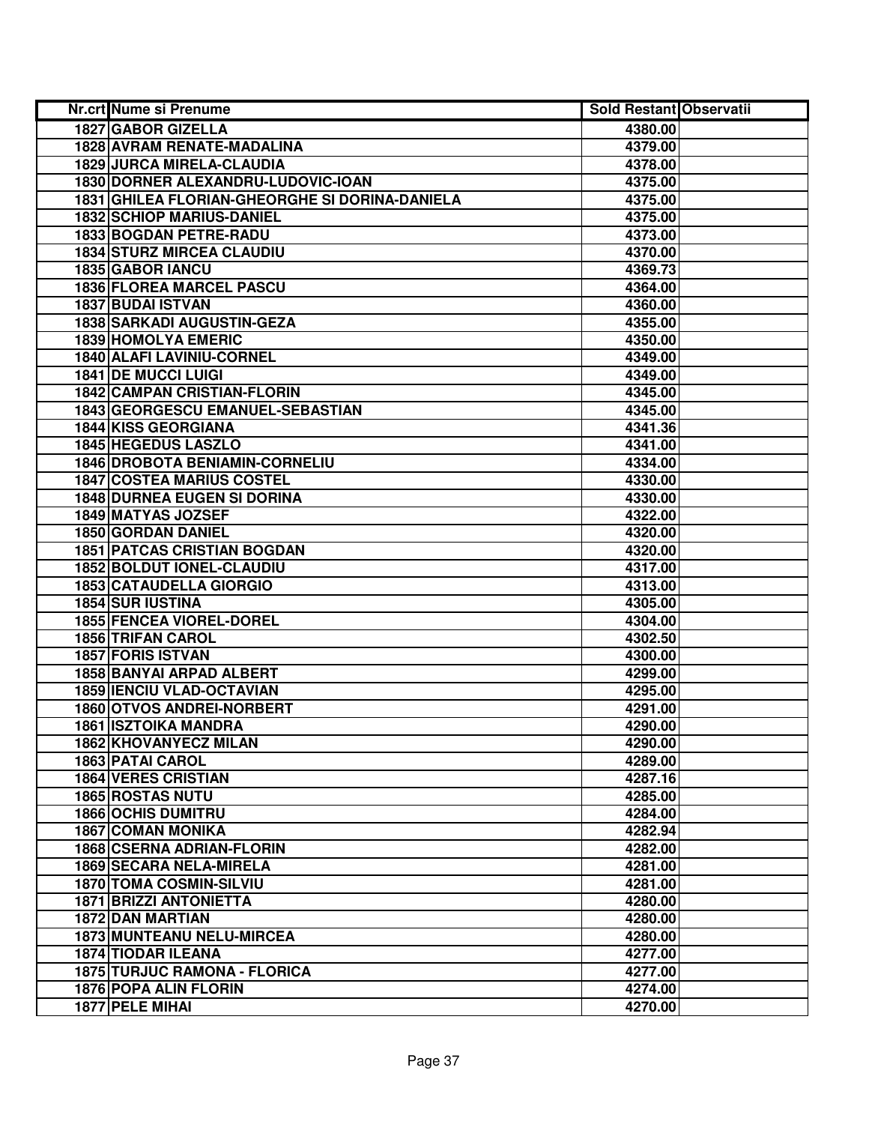| Nr.crt Nume si Prenume                         | <b>Sold Restant Observatii</b> |  |
|------------------------------------------------|--------------------------------|--|
| 1827 GABOR GIZELLA                             | 4380.00                        |  |
| 1828 AVRAM RENATE-MADALINA                     | 4379.00                        |  |
| <b>1829 JURCA MIRELA-CLAUDIA</b>               | 4378.00                        |  |
| 1830 DORNER ALEXANDRU-LUDOVIC-IOAN             | 4375.00                        |  |
| 1831 GHILEA FLORIAN-GHEORGHE SI DORINA-DANIELA | 4375.00                        |  |
| <b>1832 SCHIOP MARIUS-DANIEL</b>               | 4375.00                        |  |
| 1833 BOGDAN PETRE-RADU                         | 4373.00                        |  |
| <b>1834 STURZ MIRCEA CLAUDIU</b>               | 4370.00                        |  |
| <b>1835 GABOR IANCU</b>                        | 4369.73                        |  |
| <b>1836 FLOREA MARCEL PASCU</b>                | 4364.00                        |  |
| <b>1837 BUDAI ISTVAN</b>                       | 4360.00                        |  |
| <b>1838 SARKADI AUGUSTIN-GEZA</b>              | 4355.00                        |  |
| <b>1839 HOMOLYA EMERIC</b>                     | 4350.00                        |  |
| 1840 ALAFI LAVINIU-CORNEL                      | 4349.00                        |  |
| <b>1841 DE MUCCI LUIGI</b>                     | 4349.00                        |  |
| <b>1842 CAMPAN CRISTIAN-FLORIN</b>             | 4345.00                        |  |
| 1843 GEORGESCU EMANUEL-SEBASTIAN               | 4345.00                        |  |
| 1844 KISS GEORGIANA                            | 4341.36                        |  |
| 1845 HEGEDUS LASZLO                            | 4341.00                        |  |
| 1846 DROBOTA BENIAMIN-CORNELIU                 | 4334.00                        |  |
| <b>1847 COSTEA MARIUS COSTEL</b>               | 4330.00                        |  |
| <b>1848 DURNEA EUGEN SI DORINA</b>             | 4330.00                        |  |
| 1849 MATYAS JOZSEF                             | 4322.00                        |  |
| 1850 GORDAN DANIEL                             | 4320.00                        |  |
| <b>1851 PATCAS CRISTIAN BOGDAN</b>             | 4320.00                        |  |
| 1852 BOLDUT IONEL-CLAUDIU                      | 4317.00                        |  |
| <b>1853 CATAUDELLA GIORGIO</b>                 | 4313.00                        |  |
| <b>1854 SUR IUSTINA</b>                        | 4305.00                        |  |
| <b>1855 FENCEA VIOREL-DOREL</b>                | 4304.00                        |  |
| <b>1856 TRIFAN CAROL</b>                       | 4302.50                        |  |
| <b>1857 FORIS ISTVAN</b>                       | 4300.00                        |  |
| 1858 BANYAI ARPAD ALBERT                       | 4299.00                        |  |
| <b>1859 IENCIU VLAD-OCTAVIAN</b>               | 4295.00                        |  |
| <b>1860 OTVOS ANDREI-NORBERT</b>               | 4291.00                        |  |
| <b>1861 ISZTOIKA MANDRA</b>                    | 4290.00                        |  |
| <b>1862 KHOVANYECZ MILAN</b>                   | 4290.00                        |  |
| 1863 PATAI CAROL                               | 4289.00                        |  |
| <b>1864 VERES CRISTIAN</b>                     | 4287.16                        |  |
| <b>1865 ROSTAS NUTU</b>                        | 4285.00                        |  |
| <b>1866 OCHIS DUMITRU</b>                      | 4284.00                        |  |
| <b>1867 COMAN MONIKA</b>                       | 4282.94                        |  |
| <b>1868 CSERNA ADRIAN-FLORIN</b>               | 4282.00                        |  |
| <b>1869 SECARA NELA-MIRELA</b>                 | 4281.00                        |  |
| <b>1870 TOMA COSMIN-SILVIU</b>                 | 4281.00                        |  |
| <b>1871 BRIZZI ANTONIETTA</b>                  | 4280.00                        |  |
| <b>1872 DAN MARTIAN</b>                        | 4280.00                        |  |
| 1873 MUNTEANU NELU-MIRCEA                      | 4280.00                        |  |
| <b>1874 TIODAR ILEANA</b>                      | 4277.00                        |  |
| 1875 TURJUC RAMONA - FLORICA                   | 4277.00                        |  |
| <b>1876 POPA ALIN FLORIN</b>                   | 4274.00                        |  |
| 1877 PELE MIHAI                                | 4270.00                        |  |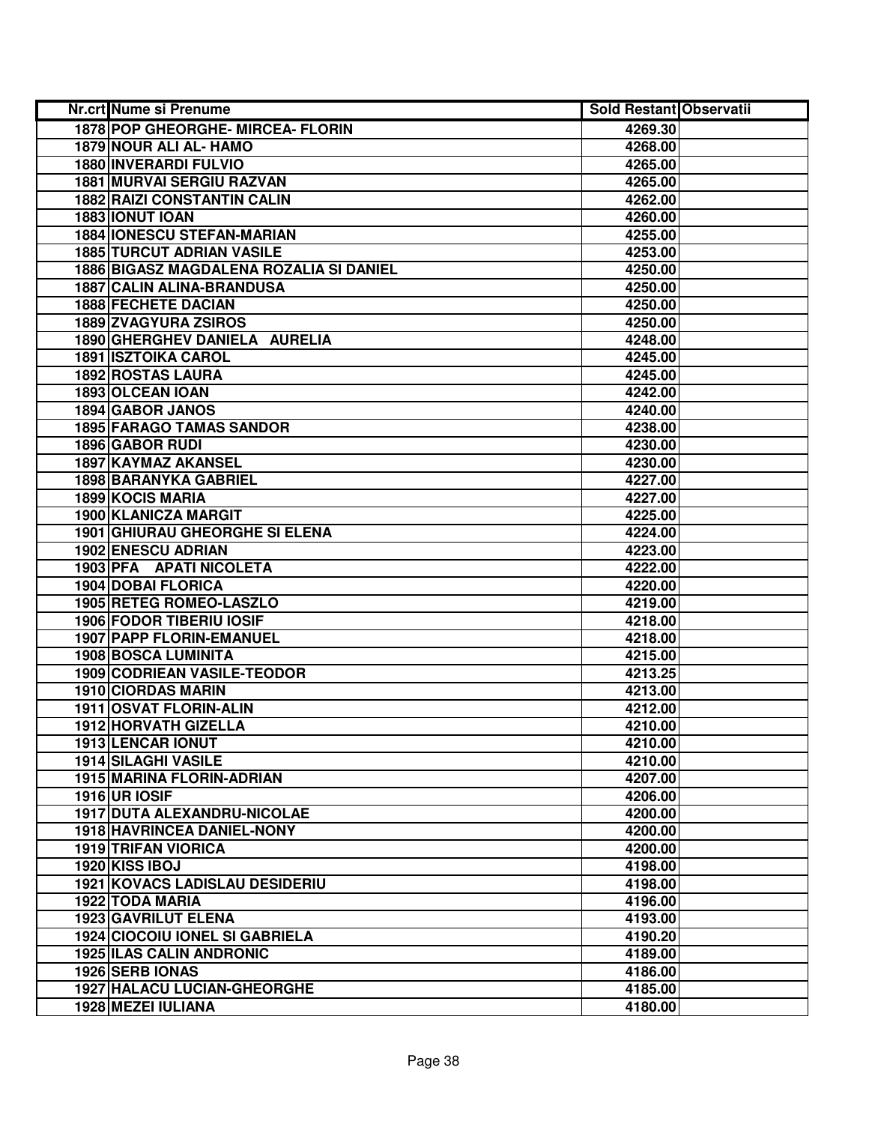| <b>Nr.crt Nume si Prenume</b>                  | <b>Sold Restant Observatii</b> |  |
|------------------------------------------------|--------------------------------|--|
| 1878 POP GHEORGHE- MIRCEA- FLORIN              | 4269.30                        |  |
| 1879 NOUR ALI AL- HAMO                         | 4268.00                        |  |
| <b>1880 INVERARDI FULVIO</b>                   | 4265.00                        |  |
| <b>1881 MURVAI SERGIU RAZVAN</b>               | 4265.00                        |  |
| <b>1882 RAIZI CONSTANTIN CALIN</b>             | 4262.00                        |  |
| 1883 IONUT IOAN                                | 4260.00                        |  |
| <b>1884 IONESCU STEFAN-MARIAN</b>              | 4255.00                        |  |
| <b>1885 TURCUT ADRIAN VASILE</b>               | 4253.00                        |  |
| 1886 BIGASZ MAGDALENA ROZALIA SI DANIEL        | 4250.00                        |  |
| 1887 CALIN ALINA-BRANDUSA                      | 4250.00                        |  |
| <b>1888 FECHETE DACIAN</b>                     | 4250.00                        |  |
| <b>1889 ZVAGYURA ZSIROS</b>                    | 4250.00                        |  |
| 1890 GHERGHEV DANIELA AURELIA                  | 4248.00                        |  |
| <b>1891 ISZTOIKA CAROL</b>                     | 4245.00                        |  |
| 1892 ROSTAS LAURA                              | 4245.00                        |  |
| 1893 OLCEAN IOAN                               | 4242.00                        |  |
| 1894 GABOR JANOS                               | 4240.00                        |  |
| <b>1895 FARAGO TAMAS SANDOR</b>                | 4238.00                        |  |
| 1896 GABOR RUDI                                | 4230.00                        |  |
| 1897 KAYMAZ AKANSEL                            | 4230.00                        |  |
| 1898 BARANYKA GABRIEL                          | 4227.00                        |  |
| 1899 KOCIS MARIA                               | 4227.00                        |  |
| 1900 KLANICZA MARGIT                           | 4225.00                        |  |
| <b>1901 GHIURAU GHEORGHE SI ELENA</b>          | 4224.00                        |  |
| 1902 ENESCU ADRIAN                             | 4223.00                        |  |
| 1903 PFA APATI NICOLETA                        | 4222.00                        |  |
| 1904 DOBAI FLORICA                             | 4220.00                        |  |
| 1905 RETEG ROMEO-LASZLO                        | 4219.00                        |  |
| 1906 FODOR TIBERIU IOSIF                       | 4218.00                        |  |
| 1907 PAPP FLORIN-EMANUEL                       | 4218.00                        |  |
| <b>1908 BOSCA LUMINITA</b>                     | 4215.00                        |  |
| 1909 CODRIEAN VASILE-TEODOR                    | 4213.25                        |  |
| 1910 CIORDAS MARIN                             | 4213.00                        |  |
| 1911 OSVAT FLORIN-ALIN                         | 4212.00                        |  |
| 1912 HORVATH GIZELLA                           | 4210.00                        |  |
| <b>1913 LENCAR IONUT</b>                       | 4210.00                        |  |
| 1914 SILAGHI VASILE                            | 4210.00                        |  |
| <b>1915 MARINA FLORIN-ADRIAN</b>               | 4207.00                        |  |
| <b>1916 UR IOSIF</b>                           | 4206.00                        |  |
| 1917 DUTA ALEXANDRU-NICOLAE                    | 4200.00                        |  |
| 1918 HAVRINCEA DANIEL-NONY                     | 4200.00                        |  |
| <b>1919 TRIFAN VIORICA</b>                     | 4200.00                        |  |
| 1920 KISS IBOJ                                 | 4198.00                        |  |
| <b>1921 KOVACS LADISLAU DESIDERIU</b>          | 4198.00                        |  |
| 1922 TODA MARIA                                | 4196.00                        |  |
| 1923 GAVRILUT ELENA                            | 4193.00                        |  |
| <b>1924 CIOCOIU IONEL SI GABRIELA</b>          | 4190.20                        |  |
| <b>1925 ILAS CALIN ANDRONIC</b>                | 4189.00                        |  |
| 1926 SERB IONAS<br>1927 HALACU LUCIAN-GHEORGHE | 4186.00                        |  |
| 1928 MEZEI IULIANA                             | 4185.00                        |  |
|                                                | 4180.00                        |  |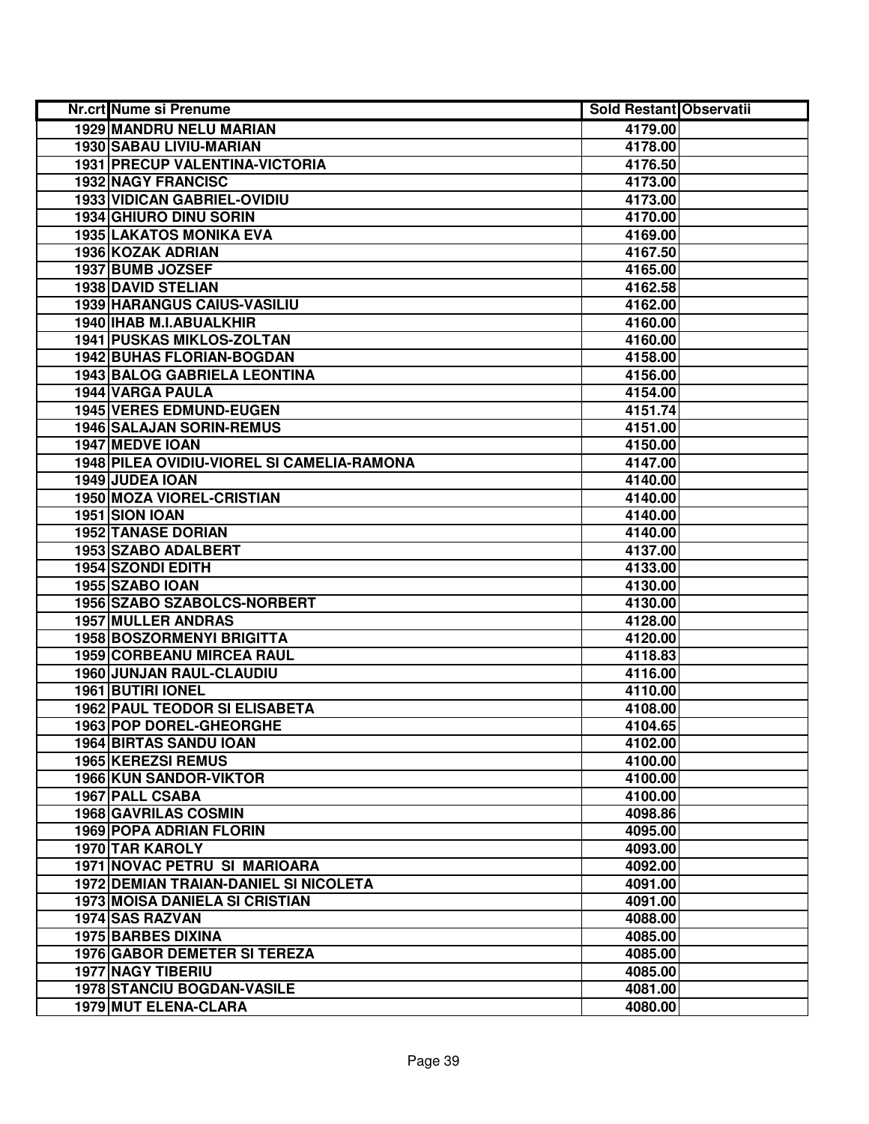| Nr.crt Nume si Prenume                     | <b>Sold Restant Observatii</b> |  |
|--------------------------------------------|--------------------------------|--|
| 1929 MANDRU NELU MARIAN                    | 4179.00                        |  |
| 1930 SABAU LIVIU-MARIAN                    | 4178.00                        |  |
| 1931 PRECUP VALENTINA-VICTORIA             | 4176.50                        |  |
| <b>1932 NAGY FRANCISC</b>                  | 4173.00                        |  |
| 1933 VIDICAN GABRIEL-OVIDIU                | 4173.00                        |  |
| 1934 GHIURO DINU SORIN                     | 4170.00                        |  |
| <b>1935 LAKATOS MONIKA EVA</b>             | 4169.00                        |  |
| 1936 KOZAK ADRIAN                          | 4167.50                        |  |
| 1937 BUMB JOZSEF                           | 4165.00                        |  |
| <b>1938 DAVID STELIAN</b>                  | 4162.58                        |  |
| <b>1939 HARANGUS CAIUS-VASILIU</b>         | 4162.00                        |  |
| 1940 IHAB M.I.ABUALKHIR                    | 4160.00                        |  |
| <b>1941 PUSKAS MIKLOS-ZOLTAN</b>           | 4160.00                        |  |
| <b>1942 BUHAS FLORIAN-BOGDAN</b>           | 4158.00                        |  |
| 1943 BALOG GABRIELA LEONTINA               | 4156.00                        |  |
| 1944 VARGA PAULA                           | 4154.00                        |  |
| <b>1945 VERES EDMUND-EUGEN</b>             | 4151.74                        |  |
| <b>1946 SALAJAN SORIN-REMUS</b>            | 4151.00                        |  |
| 1947 MEDVE IOAN                            | 4150.00                        |  |
| 1948 PILEA OVIDIU-VIOREL SI CAMELIA-RAMONA | 4147.00                        |  |
| 1949 JUDEA IOAN                            | 4140.00                        |  |
| 1950 MOZA VIOREL-CRISTIAN                  | 4140.00                        |  |
| 1951 SION IOAN                             | 4140.00                        |  |
| <b>1952 TANASE DORIAN</b>                  | 4140.00                        |  |
| 1953 SZABO ADALBERT                        | 4137.00                        |  |
| 1954 SZONDI EDITH                          | 4133.00                        |  |
| 1955 SZABO IOAN                            | 4130.00                        |  |
| 1956 SZABO SZABOLCS-NORBERT                | 4130.00                        |  |
| <b>1957 MULLER ANDRAS</b>                  | 4128.00                        |  |
| <b>1958 BOSZORMENYI BRIGITTA</b>           | 4120.00                        |  |
| <b>1959 CORBEANU MIRCEA RAUL</b>           | 4118.83                        |  |
| 1960 JUNJAN RAUL-CLAUDIU                   | 4116.00                        |  |
| <b>1961 BUTIRI IONEL</b>                   | 4110.00                        |  |
| <b>1962 PAUL TEODOR SI ELISABETA</b>       | 4108.00                        |  |
| <b>1963 POP DOREL-GHEORGHE</b>             | 4104.65                        |  |
| 1964 BIRTAS SANDU IOAN                     | 4102.00                        |  |
| <b>1965 KEREZSI REMUS</b>                  | 4100.00                        |  |
| <b>1966 KUN SANDOR-VIKTOR</b>              | 4100.00                        |  |
| <b>1967 PALL CSABA</b>                     | 4100.00                        |  |
| 1968 GAVRILAS COSMIN                       | 4098.86                        |  |
| <b>1969 POPA ADRIAN FLORIN</b>             | 4095.00                        |  |
| 1970 TAR KAROLY                            | 4093.00                        |  |
| 1971 NOVAC PETRU SI MARIOARA               | 4092.00                        |  |
| 1972 DEMIAN TRAIAN-DANIEL SI NICOLETA      | 4091.00                        |  |
| 1973 MOISA DANIELA SI CRISTIAN             | 4091.00                        |  |
| 1974 SAS RAZVAN                            | 4088.00                        |  |
| <b>1975 BARBES DIXINA</b>                  | 4085.00                        |  |
| 1976 GABOR DEMETER SI TEREZA               | 4085.00                        |  |
| <b>1977 NAGY TIBERIU</b>                   | 4085.00                        |  |
| 1978 STANCIU BOGDAN-VASILE                 | 4081.00                        |  |
| 1979 MUT ELENA-CLARA                       | 4080.00                        |  |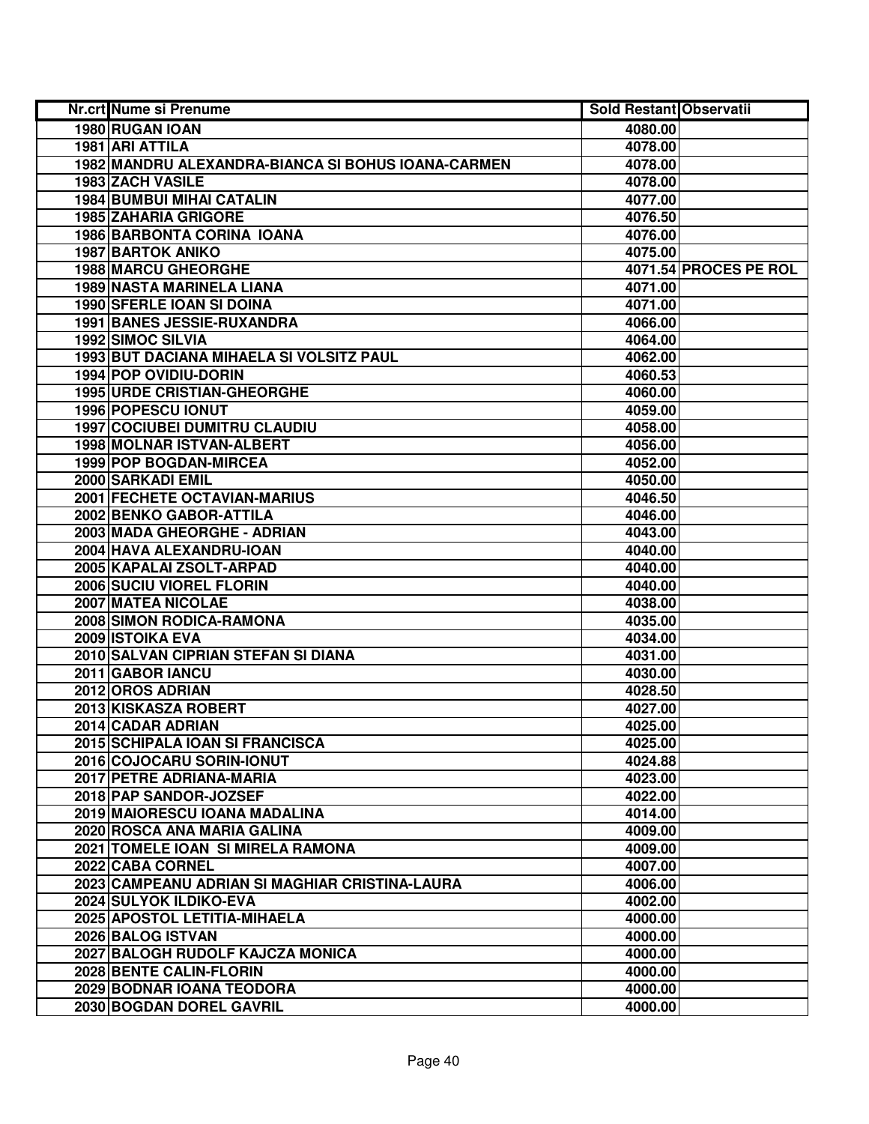| Nr.crt Nume si Prenume                             | <b>Sold Restant Observatii</b> |                       |
|----------------------------------------------------|--------------------------------|-----------------------|
| 1980 RUGAN IOAN                                    | 4080.00                        |                       |
| 1981 ARI ATTILA                                    | 4078.00                        |                       |
| 1982 MANDRU ALEXANDRA-BIANCA SI BOHUS IOANA-CARMEN | 4078.00                        |                       |
| 1983 ZACH VASILE                                   | 4078.00                        |                       |
| <b>1984 BUMBUI MIHAI CATALIN</b>                   | 4077.00                        |                       |
| 1985 ZAHARIA GRIGORE                               | 4076.50                        |                       |
| 1986 BARBONTA CORINA IOANA                         | 4076.00                        |                       |
| <b>1987 BARTOK ANIKO</b>                           | 4075.00                        |                       |
| <b>1988 MARCU GHEORGHE</b>                         |                                | 4071.54 PROCES PE ROL |
| <b>1989 NASTA MARINELA LIANA</b>                   | 4071.00                        |                       |
| <b>1990 SFERLE IOAN SI DOINA</b>                   | 4071.00                        |                       |
| 1991 BANES JESSIE-RUXANDRA                         | 4066.00                        |                       |
| 1992 SIMOC SILVIA                                  | 4064.00                        |                       |
| 1993 BUT DACIANA MIHAELA SI VOLSITZ PAUL           | 4062.00                        |                       |
| 1994 POP OVIDIU-DORIN                              | 4060.53                        |                       |
| <b>1995 URDE CRISTIAN-GHEORGHE</b>                 | 4060.00                        |                       |
| 1996 POPESCU IONUT                                 | 4059.00                        |                       |
| <b>1997 COCIUBEI DUMITRU CLAUDIU</b>               | 4058.00                        |                       |
| 1998 MOLNAR ISTVAN-ALBERT                          | 4056.00                        |                       |
| 1999 POP BOGDAN-MIRCEA                             | 4052.00                        |                       |
| 2000 SARKADI EMIL                                  | 4050.00                        |                       |
| 2001 FECHETE OCTAVIAN-MARIUS                       | 4046.50                        |                       |
| 2002 BENKO GABOR-ATTILA                            | 4046.00                        |                       |
| 2003 MADA GHEORGHE - ADRIAN                        | 4043.00                        |                       |
| 2004 HAVA ALEXANDRU-IOAN                           | 4040.00                        |                       |
| 2005 KAPALAI ZSOLT-ARPAD                           | 4040.00                        |                       |
| 2006 SUCIU VIOREL FLORIN                           | 4040.00                        |                       |
| 2007 MATEA NICOLAE                                 | 4038.00                        |                       |
| 2008 SIMON RODICA-RAMONA                           | 4035.00                        |                       |
| 2009 ISTOIKA EVA                                   | 4034.00                        |                       |
| 2010 SALVAN CIPRIAN STEFAN SI DIANA                | 4031.00                        |                       |
| 2011 GABOR IANCU                                   | 4030.00                        |                       |
| 2012 OROS ADRIAN                                   | 4028.50                        |                       |
| 2013 KISKASZA ROBERT                               | 4027.00                        |                       |
| 2014 CADAR ADRIAN                                  | 4025.00                        |                       |
| 2015 SCHIPALA IOAN SI FRANCISCA                    | 4025.00                        |                       |
| 2016 COJOCARU SORIN-IONUT                          | 4024.88                        |                       |
| 2017 PETRE ADRIANA-MARIA                           | 4023.00                        |                       |
| 2018 PAP SANDOR-JOZSEF                             | 4022.00                        |                       |
| 2019 MAIORESCU IOANA MADALINA                      | 4014.00                        |                       |
| 2020 ROSCA ANA MARIA GALINA                        | 4009.00                        |                       |
| 2021 TOMELE IOAN SI MIRELA RAMONA                  | 4009.00                        |                       |
| 2022 CABA CORNEL                                   | 4007.00                        |                       |
| 2023 CAMPEANU ADRIAN SI MAGHIAR CRISTINA-LAURA     | 4006.00                        |                       |
| 2024 SULYOK ILDIKO-EVA                             | 4002.00                        |                       |
| 2025 APOSTOL LETITIA-MIHAELA                       | 4000.00                        |                       |
| 2026 BALOG ISTVAN                                  | 4000.00                        |                       |
| 2027 BALOGH RUDOLF KAJCZA MONICA                   | 4000.00                        |                       |
| 2028 BENTE CALIN-FLORIN                            | 4000.00                        |                       |
| 2029 BODNAR IOANA TEODORA                          | 4000.00                        |                       |
| 2030 BOGDAN DOREL GAVRIL                           | 4000.00                        |                       |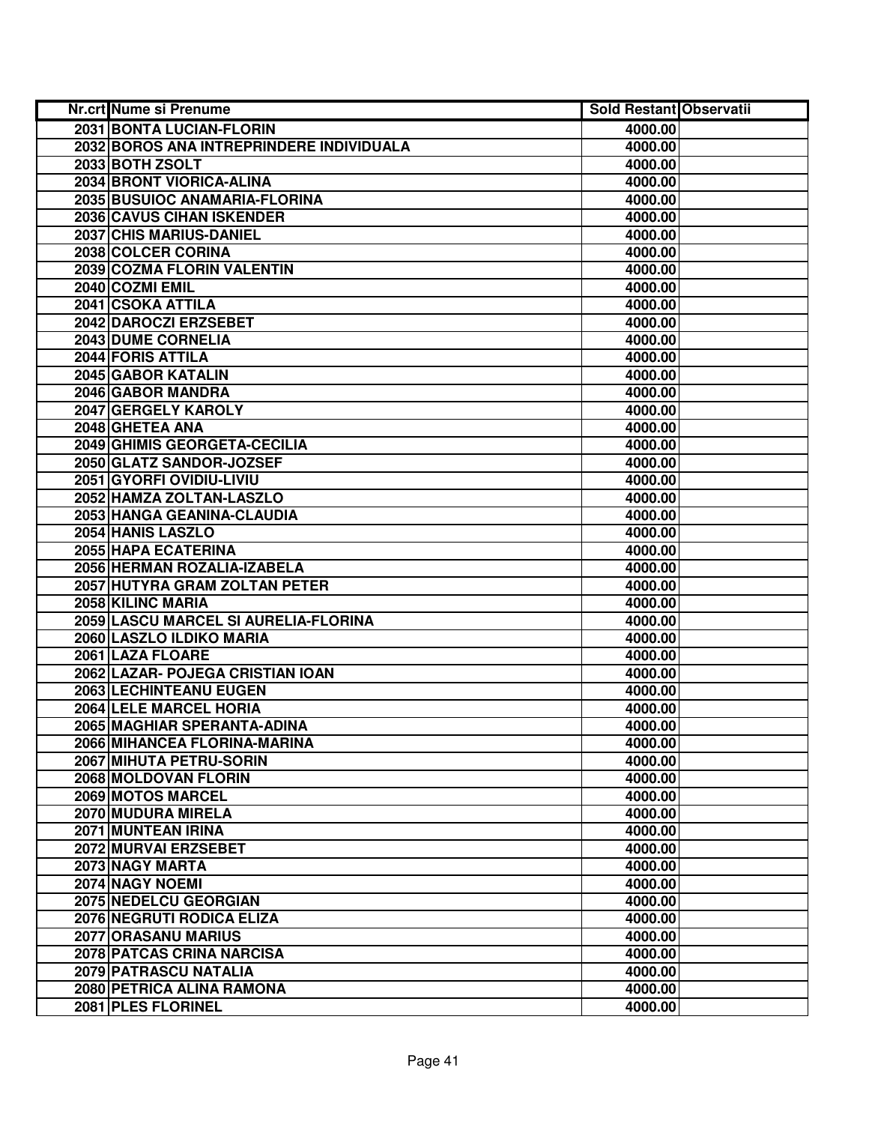| <b>Nr.crt Nume si Prenume</b>            | <b>Sold Restant Observatii</b> |  |
|------------------------------------------|--------------------------------|--|
| <b>2031 BONTA LUCIAN-FLORIN</b>          | 4000.00                        |  |
| 2032 BOROS ANA INTREPRINDERE INDIVIDUALA | 4000.00                        |  |
| 2033 BOTH ZSOLT                          | 4000.00                        |  |
| 2034 BRONT VIORICA-ALINA                 | 4000.00                        |  |
| 2035 BUSUIOC ANAMARIA-FLORINA            | 4000.00                        |  |
| <b>2036 CAVUS CIHAN ISKENDER</b>         | 4000.00                        |  |
| 2037 CHIS MARIUS-DANIEL                  | 4000.00                        |  |
| 2038 COLCER CORINA                       | 4000.00                        |  |
| 2039 COZMA FLORIN VALENTIN               | 4000.00                        |  |
| 2040 COZMI EMIL                          | 4000.00                        |  |
| 2041 CSOKA ATTILA                        | 4000.00                        |  |
| 2042 DAROCZI ERZSEBET                    | 4000.00                        |  |
| 2043 DUME CORNELIA                       | 4000.00                        |  |
| <b>2044 FORIS ATTILA</b>                 | 4000.00                        |  |
| 2045 GABOR KATALIN                       | 4000.00                        |  |
| 2046 GABOR MANDRA                        | 4000.00                        |  |
| 2047 GERGELY KAROLY                      | 4000.00                        |  |
| 2048 GHETEA ANA                          | 4000.00                        |  |
| 2049 GHIMIS GEORGETA-CECILIA             | 4000.00                        |  |
| 2050 GLATZ SANDOR-JOZSEF                 | 4000.00                        |  |
| 2051 GYORFI OVIDIU-LIVIU                 | 4000.00                        |  |
| 2052 HAMZA ZOLTAN-LASZLO                 | 4000.00                        |  |
| 2053 HANGA GEANINA-CLAUDIA               | 4000.00                        |  |
| 2054 HANIS LASZLO                        | 4000.00                        |  |
| 2055 HAPA ECATERINA                      | 4000.00                        |  |
| 2056 HERMAN ROZALIA-IZABELA              | 4000.00                        |  |
| 2057 HUTYRA GRAM ZOLTAN PETER            | 4000.00                        |  |
| 2058 KILINC MARIA                        | 4000.00                        |  |
| 2059 LASCU MARCEL SI AURELIA-FLORINA     | 4000.00                        |  |
| 2060 LASZLO ILDIKO MARIA                 | 4000.00                        |  |
| 2061 LAZA FLOARE                         | 4000.00                        |  |
| 2062 LAZAR- POJEGA CRISTIAN IOAN         | 4000.00                        |  |
| 2063 LECHINTEANU EUGEN                   | 4000.00                        |  |
| 2064 LELE MARCEL HORIA                   | 4000.00                        |  |
| 2065 MAGHIAR SPERANTA-ADINA              | 4000.00                        |  |
| 2066 MIHANCEA FLORINA-MARINA             | 4000.00                        |  |
| 2067 MIHUTA PETRU-SORIN                  | 4000.00                        |  |
| 2068 MOLDOVAN FLORIN                     | 4000.00                        |  |
| 2069 MOTOS MARCEL                        | 4000.00                        |  |
| 2070 MUDURA MIRELA                       | 4000.00                        |  |
| 2071 MUNTEAN IRINA                       | 4000.00                        |  |
| 2072 MURVAI ERZSEBET                     | 4000.00                        |  |
| 2073 NAGY MARTA                          | 4000.00                        |  |
| 2074 NAGY NOEMI                          | 4000.00                        |  |
| 2075 NEDELCU GEORGIAN                    | 4000.00                        |  |
| 2076 NEGRUTI RODICA ELIZA                | 4000.00                        |  |
| 2077 ORASANU MARIUS                      | 4000.00                        |  |
| 2078 PATCAS CRINA NARCISA                | 4000.00                        |  |
| 2079 PATRASCU NATALIA                    | 4000.00                        |  |
| 2080 PETRICA ALINA RAMONA                | 4000.00                        |  |
| 2081 PLES FLORINEL                       | 4000.00                        |  |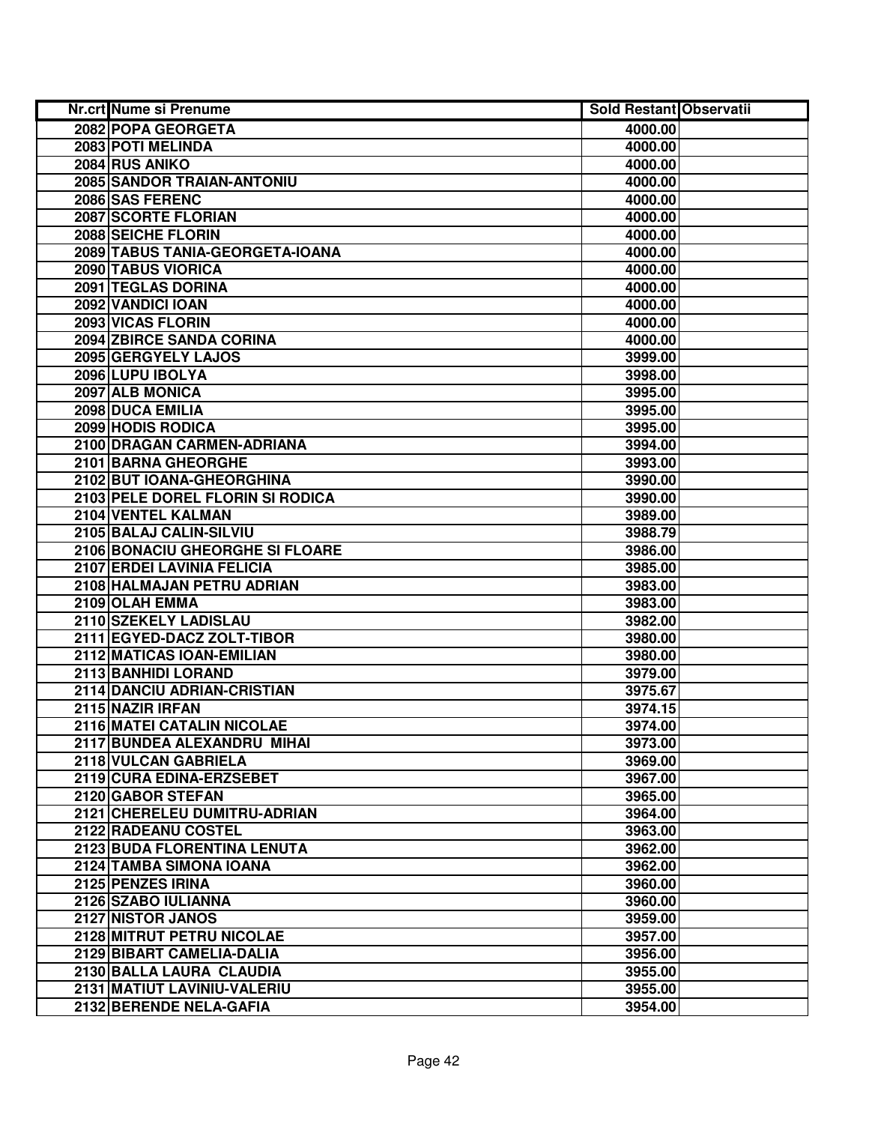| Nr.crt Nume si Prenume           | <b>Sold Restant Observatii</b> |  |
|----------------------------------|--------------------------------|--|
| 2082 POPA GEORGETA               | 4000.00                        |  |
| 2083 POTI MELINDA                | 4000.00                        |  |
| 2084 RUS ANIKO                   | 4000.00                        |  |
| 2085 SANDOR TRAIAN-ANTONIU       | 4000.00                        |  |
| 2086 SAS FERENC                  | 4000.00                        |  |
| 2087 SCORTE FLORIAN              | 4000.00                        |  |
| 2088 SEICHE FLORIN               | 4000.00                        |  |
| 2089 TABUS TANIA-GEORGETA-IOANA  | 4000.00                        |  |
| 2090 TABUS VIORICA               | 4000.00                        |  |
| 2091 TEGLAS DORINA               | 4000.00                        |  |
| 2092 VANDICI IOAN                | 4000.00                        |  |
| 2093 VICAS FLORIN                | 4000.00                        |  |
| 2094 ZBIRCE SANDA CORINA         | 4000.00                        |  |
| 2095 GERGYELY LAJOS              | 3999.00                        |  |
| 2096 LUPU IBOLYA                 | 3998.00                        |  |
| 2097 ALB MONICA                  | 3995.00                        |  |
| 2098 DUCA EMILIA                 | 3995.00                        |  |
| 2099 HODIS RODICA                | 3995.00                        |  |
| 2100 DRAGAN CARMEN-ADRIANA       | 3994.00                        |  |
| 2101 BARNA GHEORGHE              | 3993.00                        |  |
| 2102 BUT IOANA-GHEORGHINA        | 3990.00                        |  |
| 2103 PELE DOREL FLORIN SI RODICA | 3990.00                        |  |
| 2104 VENTEL KALMAN               | 3989.00                        |  |
| 2105 BALAJ CALIN-SILVIU          | 3988.79                        |  |
| 2106 BONACIU GHEORGHE SI FLOARE  | 3986.00                        |  |
| 2107 ERDEI LAVINIA FELICIA       | 3985.00                        |  |
| 2108 HALMAJAN PETRU ADRIAN       | 3983.00                        |  |
| 2109 OLAH EMMA                   | 3983.00                        |  |
| 2110 SZEKELY LADISLAU            | 3982.00                        |  |
| 2111 EGYED-DACZ ZOLT-TIBOR       | 3980.00                        |  |
| 2112 MATICAS IOAN-EMILIAN        | 3980.00                        |  |
| 2113 BANHIDI LORAND              | 3979.00                        |  |
| 2114 DANCIU ADRIAN-CRISTIAN      | 3975.67                        |  |
| 2115 NAZIR IRFAN                 | 3974.15                        |  |
| 2116 MATEI CATALIN NICOLAE       | 3974.00                        |  |
| 2117 BUNDEA ALEXANDRU MIHAI      | 3973.00                        |  |
| 2118 VULCAN GABRIELA             | 3969.00                        |  |
| 2119 CURA EDINA-ERZSEBET         | 3967.00                        |  |
| 2120 GABOR STEFAN                | 3965.00                        |  |
| 2121 CHERELEU DUMITRU-ADRIAN     | 3964.00                        |  |
| 2122 RADEANU COSTEL              | 3963.00                        |  |
| 2123 BUDA FLORENTINA LENUTA      | 3962.00                        |  |
| 2124 TAMBA SIMONA IOANA          | 3962.00                        |  |
| 2125 PENZES IRINA                | 3960.00                        |  |
| 2126 SZABO IULIANNA              | 3960.00                        |  |
| 2127 NISTOR JANOS                | 3959.00                        |  |
| 2128 MITRUT PETRU NICOLAE        | 3957.00                        |  |
| 2129 BIBART CAMELIA-DALIA        | 3956.00                        |  |
| 2130 BALLA LAURA CLAUDIA         | 3955.00                        |  |
| 2131 MATIUT LAVINIU-VALERIU      | 3955.00                        |  |
| 2132 BERENDE NELA-GAFIA          | 3954.00                        |  |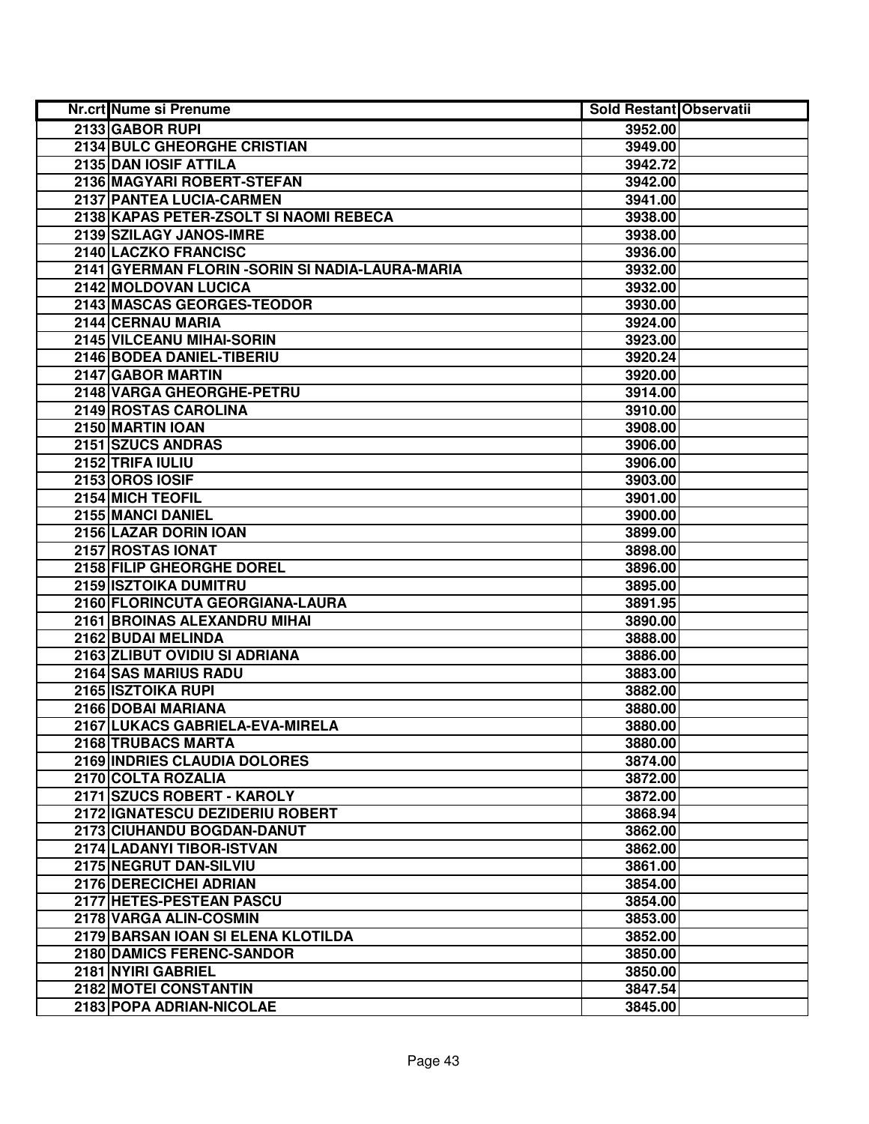| Nr.crt Nume si Prenume                           | Sold Restant Observatii |  |
|--------------------------------------------------|-------------------------|--|
| 2133 GABOR RUPI                                  | 3952.00                 |  |
| 2134 BULC GHEORGHE CRISTIAN                      | 3949.00                 |  |
| 2135 DAN IOSIF ATTILA                            | 3942.72                 |  |
| 2136 MAGYARI ROBERT-STEFAN                       | 3942.00                 |  |
| 2137 PANTEA LUCIA-CARMEN                         | 3941.00                 |  |
| 2138 KAPAS PETER-ZSOLT SI NAOMI REBECA           | 3938.00                 |  |
| 2139 SZILAGY JANOS-IMRE                          | 3938.00                 |  |
| 2140 LACZKO FRANCISC                             | 3936.00                 |  |
| 2141 GYERMAN FLORIN - SORIN SI NADIA-LAURA-MARIA | 3932.00                 |  |
| 2142 MOLDOVAN LUCICA                             | 3932.00                 |  |
| 2143 MASCAS GEORGES-TEODOR                       | 3930.00                 |  |
| 2144 CERNAU MARIA                                | 3924.00                 |  |
| 2145 VILCEANU MIHAI-SORIN                        | 3923.00                 |  |
| 2146 BODEA DANIEL-TIBERIU                        | 3920.24                 |  |
| 2147 GABOR MARTIN                                | 3920.00                 |  |
| 2148 VARGA GHEORGHE-PETRU                        | 3914.00                 |  |
| 2149 ROSTAS CAROLINA                             | 3910.00                 |  |
| 2150 MARTIN IOAN                                 | 3908.00                 |  |
| 2151 SZUCS ANDRAS                                | 3906.00                 |  |
| 2152 TRIFA IULIU                                 | 3906.00                 |  |
| 2153 OROS IOSIF                                  | 3903.00                 |  |
| 2154 MICH TEOFIL                                 | 3901.00                 |  |
| 2155 MANCI DANIEL                                | 3900.00                 |  |
| 2156 LAZAR DORIN IOAN                            | 3899.00                 |  |
| 2157 ROSTAS IONAT                                | 3898.00                 |  |
| 2158 FILIP GHEORGHE DOREL                        | 3896.00                 |  |
| 2159 ISZTOIKA DUMITRU                            | 3895.00                 |  |
| 2160 FLORINCUTA GEORGIANA-LAURA                  | 3891.95                 |  |
| 2161 BROINAS ALEXANDRU MIHAI                     | 3890.00                 |  |
| 2162 BUDAI MELINDA                               | 3888.00                 |  |
| 2163 ZLIBUT OVIDIU SI ADRIANA                    | 3886.00                 |  |
| 2164 SAS MARIUS RADU                             | 3883.00                 |  |
| 2165 ISZTOIKA RUPI                               | 3882.00                 |  |
| 2166 DOBAI MARIANA                               | 3880.00                 |  |
| 2167 LUKACS GABRIELA-EVA-MIRELA                  | 3880.00                 |  |
| 2168 TRUBACS MARTA                               | 3880.00                 |  |
| 2169 INDRIES CLAUDIA DOLORES                     | 3874.00                 |  |
| 2170 COLTA ROZALIA                               | 3872.00                 |  |
| 2171 SZUCS ROBERT - KAROLY                       | 3872.00                 |  |
| 2172 IGNATESCU DEZIDERIU ROBERT                  | 3868.94                 |  |
| 2173 CIUHANDU BOGDAN-DANUT                       | 3862.00                 |  |
| 2174 LADANYI TIBOR-ISTVAN                        | 3862.00                 |  |
| 2175 NEGRUT DAN-SILVIU                           | 3861.00                 |  |
| 2176 DERECICHEI ADRIAN                           | 3854.00                 |  |
| 2177 HETES-PESTEAN PASCU                         | 3854.00                 |  |
| 2178 VARGA ALIN-COSMIN                           | 3853.00                 |  |
| 2179 BARSAN IOAN SI ELENA KLOTILDA               | 3852.00                 |  |
| 2180 DAMICS FERENC-SANDOR                        | 3850.00                 |  |
| 2181 NYIRI GABRIEL                               | 3850.00                 |  |
| 2182 MOTEI CONSTANTIN                            | 3847.54                 |  |
| 2183 POPA ADRIAN-NICOLAE                         | 3845.00                 |  |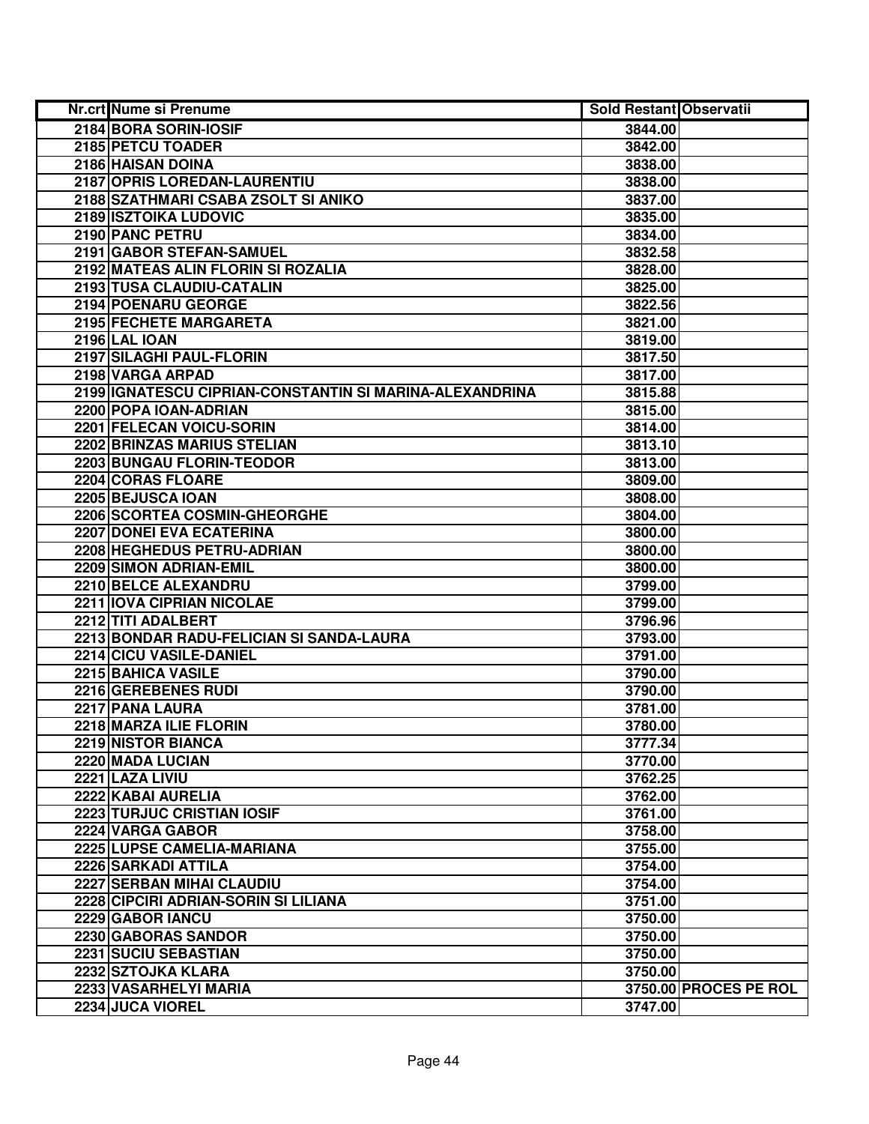| <b>Nr.crt Nume si Prenume</b>                           | <b>Sold Restant Observatii</b> |                       |
|---------------------------------------------------------|--------------------------------|-----------------------|
| 2184 BORA SORIN-IOSIF                                   | 3844.00                        |                       |
| 2185 PETCU TOADER                                       | 3842.00                        |                       |
| 2186 HAISAN DOINA                                       | 3838.00                        |                       |
| 2187 OPRIS LOREDAN-LAURENTIU                            | 3838.00                        |                       |
| 2188 SZATHMARI CSABA ZSOLT SI ANIKO                     | 3837.00                        |                       |
| 2189 ISZTOIKA LUDOVIC                                   | 3835.00                        |                       |
| 2190 PANC PETRU                                         | 3834.00                        |                       |
| 2191 GABOR STEFAN-SAMUEL                                | 3832.58                        |                       |
| 2192 MATEAS ALIN FLORIN SI ROZALIA                      | 3828.00                        |                       |
| 2193 TUSA CLAUDIU-CATALIN                               | 3825.00                        |                       |
| 2194 POENARU GEORGE                                     | 3822.56                        |                       |
| 2195 FECHETE MARGARETA                                  | 3821.00                        |                       |
| <b>2196 LAL IOAN</b>                                    | 3819.00                        |                       |
| 2197 SILAGHI PAUL-FLORIN                                | 3817.50                        |                       |
| 2198 VARGA ARPAD                                        | 3817.00                        |                       |
| 2199 IGNATESCU CIPRIAN-CONSTANTIN SI MARINA-ALEXANDRINA | 3815.88                        |                       |
| 2200 POPA IOAN-ADRIAN                                   | 3815.00                        |                       |
| 2201 FELECAN VOICU-SORIN                                | 3814.00                        |                       |
| 2202 BRINZAS MARIUS STELIAN                             | 3813.10                        |                       |
| 2203 BUNGAU FLORIN-TEODOR                               | 3813.00                        |                       |
| 2204 CORAS FLOARE                                       | 3809.00                        |                       |
| 2205 BEJUSCA IOAN                                       | 3808.00                        |                       |
| 2206 SCORTEA COSMIN-GHEORGHE                            | 3804.00                        |                       |
| 2207 DONEI EVA ECATERINA                                | 3800.00                        |                       |
| 2208 HEGHEDUS PETRU-ADRIAN                              | 3800.00                        |                       |
| 2209 SIMON ADRIAN-EMIL                                  | 3800.00                        |                       |
| 2210 BELCE ALEXANDRU                                    | 3799.00                        |                       |
| 2211 IOVA CIPRIAN NICOLAE                               | 3799.00                        |                       |
| 2212 TITI ADALBERT                                      | 3796.96                        |                       |
| 2213 BONDAR RADU-FELICIAN SI SANDA-LAURA                | 3793.00                        |                       |
| 2214 CICU VASILE-DANIEL                                 | 3791.00                        |                       |
| 2215 BAHICA VASILE                                      | 3790.00                        |                       |
| 2216 GEREBENES RUDI                                     | 3790.00                        |                       |
| 2217 PANA LAURA                                         | 3781.00                        |                       |
| 2218 MARZA ILIE FLORIN                                  | 3780.00                        |                       |
| 2219 NISTOR BIANCA                                      | 3777.34                        |                       |
| 2220 MADA LUCIAN                                        | 3770.00                        |                       |
| 2221 LAZA LIVIU                                         | 3762.25                        |                       |
| 2222 KABAI AURELIA                                      | 3762.00                        |                       |
| 2223 TURJUC CRISTIAN IOSIF                              | 3761.00                        |                       |
| 2224 VARGA GABOR                                        | 3758.00                        |                       |
| 2225 LUPSE CAMELIA-MARIANA                              | 3755.00                        |                       |
| 2226 SARKADI ATTILA                                     | 3754.00                        |                       |
| 2227 SERBAN MIHAI CLAUDIU                               | 3754.00                        |                       |
| 2228 CIPCIRI ADRIAN-SORIN SI LILIANA                    | 3751.00                        |                       |
| 2229 GABOR IANCU                                        | 3750.00                        |                       |
| 2230 GABORAS SANDOR                                     | 3750.00                        |                       |
| 2231 SUCIU SEBASTIAN                                    | 3750.00                        |                       |
| 2232 SZTOJKA KLARA                                      | 3750.00                        |                       |
| 2233 VASARHELYI MARIA                                   |                                | 3750.00 PROCES PE ROL |
| 2234 JUCA VIOREL                                        | 3747.00                        |                       |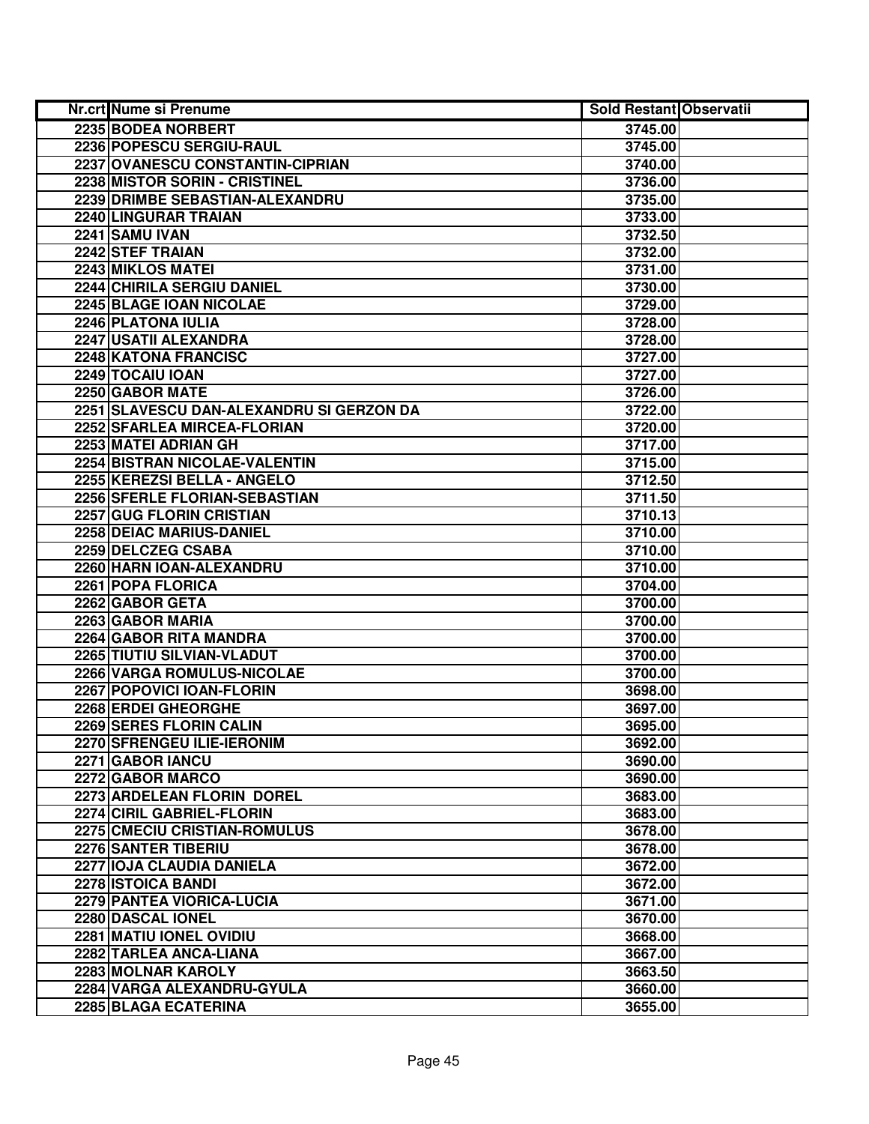| <b>Nr.crt Nume si Prenume</b>            | <b>Sold Restant Observatii</b> |  |
|------------------------------------------|--------------------------------|--|
| 2235 BODEA NORBERT                       | 3745.00                        |  |
| 2236 POPESCU SERGIU-RAUL                 | 3745.00                        |  |
| 2237 OVANESCU CONSTANTIN-CIPRIAN         | 3740.00                        |  |
| 2238 MISTOR SORIN - CRISTINEL            | 3736.00                        |  |
| 2239 DRIMBE SEBASTIAN-ALEXANDRU          | 3735.00                        |  |
| 2240 LINGURAR TRAIAN                     | 3733.00                        |  |
| 2241 SAMU IVAN                           | 3732.50                        |  |
| 2242 STEF TRAIAN                         | 3732.00                        |  |
| 2243 MIKLOS MATEI                        | 3731.00                        |  |
| 2244 CHIRILA SERGIU DANIEL               | 3730.00                        |  |
| 2245 BLAGE IOAN NICOLAE                  | 3729.00                        |  |
| 2246 PLATONA IULIA                       | 3728.00                        |  |
| 2247 USATII ALEXANDRA                    | 3728.00                        |  |
| 2248 KATONA FRANCISC                     | 3727.00                        |  |
| 2249 TOCAIU IOAN                         | 3727.00                        |  |
| 2250 GABOR MATE                          | 3726.00                        |  |
| 2251 SLAVESCU DAN-ALEXANDRU SI GERZON DA | 3722.00                        |  |
| <b>2252 SFARLEA MIRCEA-FLORIAN</b>       | 3720.00                        |  |
| 2253 MATEI ADRIAN GH                     | 3717.00                        |  |
| 2254 BISTRAN NICOLAE-VALENTIN            | 3715.00                        |  |
| 2255 KEREZSI BELLA - ANGELO              | 3712.50                        |  |
| 2256 SFERLE FLORIAN-SEBASTIAN            | 3711.50                        |  |
| 2257 GUG FLORIN CRISTIAN                 | 3710.13                        |  |
| 2258 DEIAC MARIUS-DANIEL                 | 3710.00                        |  |
| 2259 DELCZEG CSABA                       | 3710.00                        |  |
| 2260 HARN IOAN-ALEXANDRU                 | 3710.00                        |  |
| 2261 POPA FLORICA                        | 3704.00                        |  |
| 2262 GABOR GETA                          | 3700.00                        |  |
| 2263 GABOR MARIA                         | 3700.00                        |  |
| 2264 GABOR RITA MANDRA                   | 3700.00                        |  |
| 2265 TIUTIU SILVIAN-VLADUT               | 3700.00                        |  |
| 2266 VARGA ROMULUS-NICOLAE               | 3700.00                        |  |
| 2267 POPOVICI IOAN-FLORIN                | 3698.00                        |  |
| 2268 ERDEI GHEORGHE                      | 3697.00                        |  |
| 2269 SERES FLORIN CALIN                  | 3695.00                        |  |
| 2270 SFRENGEU ILIE-IERONIM               | 3692.00                        |  |
| 2271 GABOR IANCU                         | 3690.00                        |  |
| 2272 GABOR MARCO                         | 3690.00                        |  |
| 2273 ARDELEAN FLORIN DOREL               | 3683.00                        |  |
| 2274 CIRIL GABRIEL-FLORIN                | 3683.00                        |  |
| 2275 CMECIU CRISTIAN-ROMULUS             | 3678.00                        |  |
| 2276 SANTER TIBERIU                      | 3678.00                        |  |
| 2277 IOJA CLAUDIA DANIELA                | 3672.00                        |  |
| 2278 ISTOICA BANDI                       | 3672.00                        |  |
| 2279 PANTEA VIORICA-LUCIA                | 3671.00                        |  |
| 2280 DASCAL IONEL                        | 3670.00                        |  |
| 2281 MATIU IONEL OVIDIU                  | 3668.00                        |  |
| 2282 TARLEA ANCA-LIANA                   | 3667.00                        |  |
| 2283 MOLNAR KAROLY                       | 3663.50                        |  |
| 2284 VARGA ALEXANDRU-GYULA               | 3660.00                        |  |
| 2285 BLAGA ECATERINA                     | 3655.00                        |  |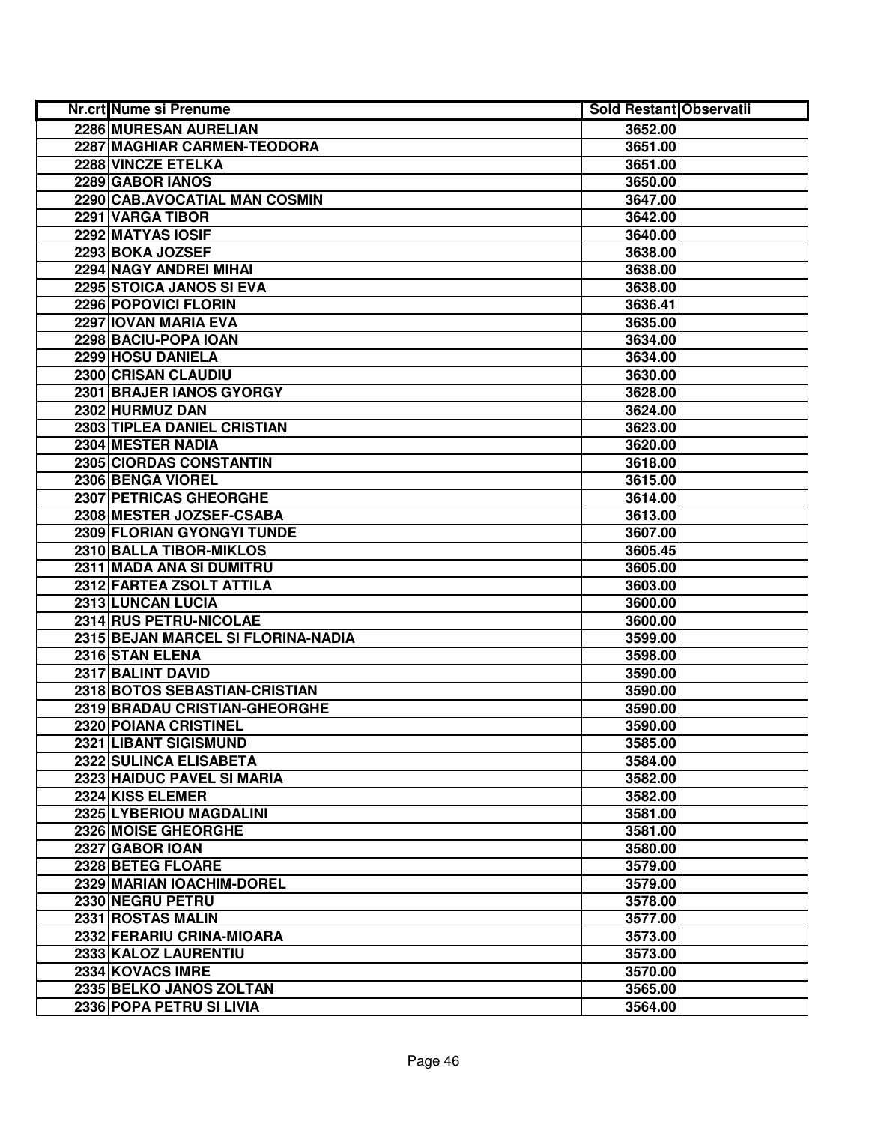| <b>Nr.crt Nume si Prenume</b>      | <b>Sold Restant Observatii</b> |  |
|------------------------------------|--------------------------------|--|
| 2286 MURESAN AURELIAN              | 3652.00                        |  |
| 2287 MAGHIAR CARMEN-TEODORA        | 3651.00                        |  |
| 2288 VINCZE ETELKA                 | 3651.00                        |  |
| 2289 GABOR IANOS                   | 3650.00                        |  |
| 2290 CAB.AVOCATIAL MAN COSMIN      | 3647.00                        |  |
| 2291 VARGA TIBOR                   | 3642.00                        |  |
| 2292 MATYAS IOSIF                  | 3640.00                        |  |
| 2293 BOKA JOZSEF                   | 3638.00                        |  |
| 2294 NAGY ANDREI MIHAI             | 3638.00                        |  |
| 2295 STOICA JANOS SI EVA           | 3638.00                        |  |
| 2296 POPOVICI FLORIN               | 3636.41                        |  |
| 2297 IOVAN MARIA EVA               | 3635.00                        |  |
| 2298 BACIU-POPA IOAN               | 3634.00                        |  |
| 2299 HOSU DANIELA                  | 3634.00                        |  |
| 2300 CRISAN CLAUDIU                | 3630.00                        |  |
| 2301 BRAJER IANOS GYORGY           | 3628.00                        |  |
| 2302 HURMUZ DAN                    | 3624.00                        |  |
| 2303 TIPLEA DANIEL CRISTIAN        | 3623.00                        |  |
| 2304 MESTER NADIA                  | 3620.00                        |  |
| 2305 CIORDAS CONSTANTIN            | 3618.00                        |  |
| 2306 BENGA VIOREL                  | 3615.00                        |  |
| 2307 PETRICAS GHEORGHE             | 3614.00                        |  |
| 2308 MESTER JOZSEF-CSABA           | 3613.00                        |  |
| 2309 FLORIAN GYONGYI TUNDE         | 3607.00                        |  |
| 2310 BALLA TIBOR-MIKLOS            | 3605.45                        |  |
| 2311 MADA ANA SI DUMITRU           | 3605.00                        |  |
| 2312 FARTEA ZSOLT ATTILA           | 3603.00                        |  |
| 2313 LUNCAN LUCIA                  | 3600.00                        |  |
| 2314 RUS PETRU-NICOLAE             | 3600.00                        |  |
| 2315 BEJAN MARCEL SI FLORINA-NADIA | 3599.00                        |  |
| 2316 STAN ELENA                    | 3598.00                        |  |
| 2317 BALINT DAVID                  | 3590.00                        |  |
| 2318 BOTOS SEBASTIAN-CRISTIAN      | 3590.00                        |  |
| 2319 BRADAU CRISTIAN-GHEORGHE      | 3590.00                        |  |
| 2320 POIANA CRISTINEL              | 3590.00                        |  |
| 2321 LIBANT SIGISMUND              | 3585.00                        |  |
| 2322 SULINCA ELISABETA             | 3584.00                        |  |
| 2323 HAIDUC PAVEL SI MARIA         | 3582.00                        |  |
| 2324 KISS ELEMER                   | 3582.00                        |  |
| 2325 LYBERIOU MAGDALINI            | 3581.00                        |  |
| 2326 MOISE GHEORGHE                | 3581.00                        |  |
| 2327 GABOR IOAN                    | 3580.00                        |  |
| 2328 BETEG FLOARE                  | 3579.00                        |  |
| 2329 MARIAN IOACHIM-DOREL          | 3579.00                        |  |
| 2330 NEGRU PETRU                   | 3578.00                        |  |
| 2331 ROSTAS MALIN                  | 3577.00                        |  |
| 2332 FERARIU CRINA-MIOARA          | 3573.00                        |  |
| 2333 KALOZ LAURENTIU               | 3573.00                        |  |
| 2334 KOVACS IMRE                   | 3570.00                        |  |
| 2335 BELKO JANOS ZOLTAN            | 3565.00                        |  |
| 2336 POPA PETRU SI LIVIA           | 3564.00                        |  |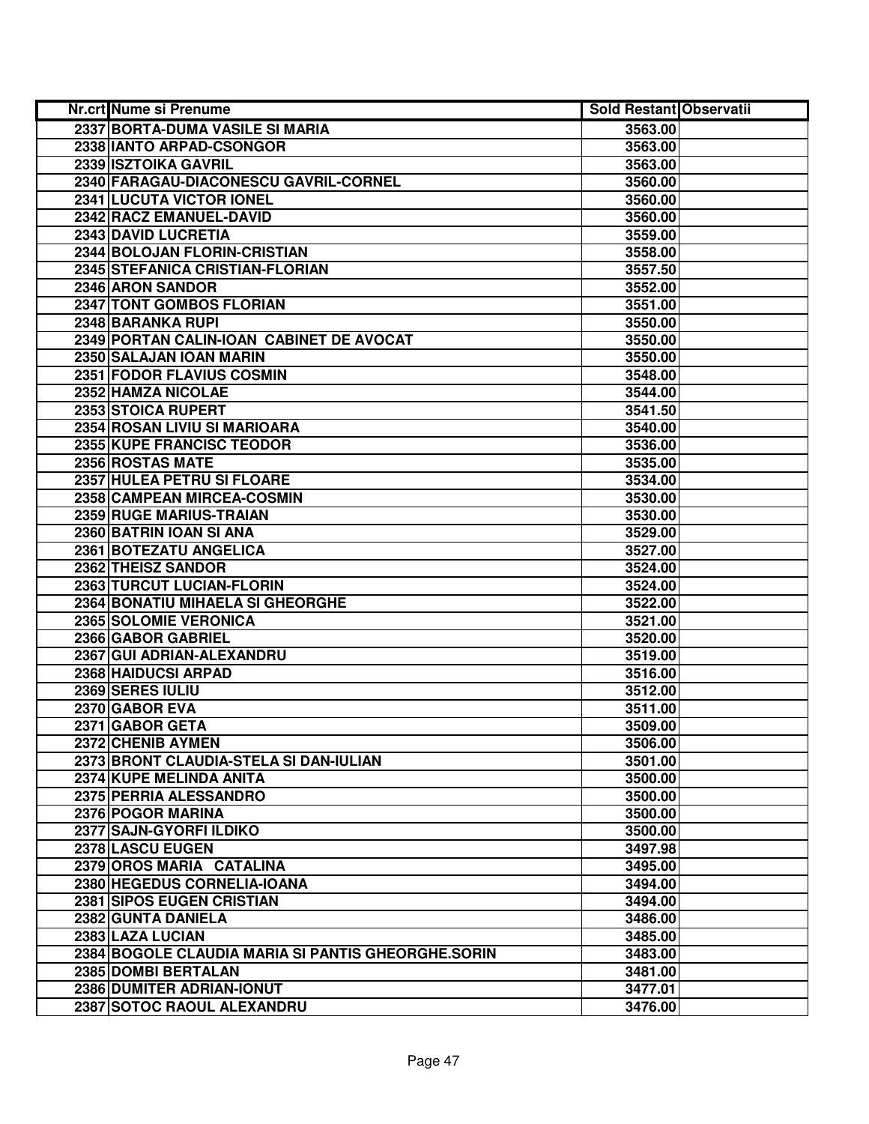| Nr.crt Nume si Prenume                             | <b>Sold Restant Observatii</b> |  |
|----------------------------------------------------|--------------------------------|--|
| 2337 BORTA-DUMA VASILE SI MARIA                    | 3563.00                        |  |
| 2338 IANTO ARPAD-CSONGOR                           | 3563.00                        |  |
| 2339 ISZTOIKA GAVRIL                               | 3563.00                        |  |
| 2340 FARAGAU-DIACONESCU GAVRIL-CORNEL              | 3560.00                        |  |
| 2341 LUCUTA VICTOR IONEL                           | 3560.00                        |  |
| 2342 RACZ EMANUEL-DAVID                            | 3560.00                        |  |
| 2343 DAVID LUCRETIA                                | 3559.00                        |  |
| 2344 BOLOJAN FLORIN-CRISTIAN                       | 3558.00                        |  |
| 2345 STEFANICA CRISTIAN-FLORIAN                    | 3557.50                        |  |
| 2346 ARON SANDOR                                   | 3552.00                        |  |
| 2347 TONT GOMBOS FLORIAN                           | 3551.00                        |  |
| 2348 BARANKA RUPI                                  | 3550.00                        |  |
| 2349 PORTAN CALIN-IOAN CABINET DE AVOCAT           | 3550.00                        |  |
| 2350 SALAJAN IOAN MARIN                            | 3550.00                        |  |
| 2351 FODOR FLAVIUS COSMIN                          | 3548.00                        |  |
| 2352 HAMZA NICOLAE                                 | 3544.00                        |  |
| 2353 STOICA RUPERT                                 | 3541.50                        |  |
| 2354 ROSAN LIVIU SI MARIOARA                       | 3540.00                        |  |
| 2355 KUPE FRANCISC TEODOR                          | 3536.00                        |  |
| 2356 ROSTAS MATE                                   | 3535.00                        |  |
| 2357 HULEA PETRU SI FLOARE                         | 3534.00                        |  |
| 2358 CAMPEAN MIRCEA-COSMIN                         | 3530.00                        |  |
| 2359 RUGE MARIUS-TRAIAN                            | 3530.00                        |  |
| 2360 BATRIN IOAN SI ANA                            | 3529.00                        |  |
| 2361 BOTEZATU ANGELICA                             | 3527.00                        |  |
| 2362 THEISZ SANDOR                                 | 3524.00                        |  |
| 2363 TURCUT LUCIAN-FLORIN                          | 3524.00                        |  |
| 2364 BONATIU MIHAELA SI GHEORGHE                   | 3522.00                        |  |
| 2365 SOLOMIE VERONICA                              | 3521.00                        |  |
| 2366 GABOR GABRIEL                                 | 3520.00                        |  |
| 2367 GUI ADRIAN-ALEXANDRU                          | 3519.00                        |  |
| 2368 HAIDUCSI ARPAD                                | 3516.00                        |  |
| 2369 SERES IULIU                                   | 3512.00                        |  |
| 2370 GABOR EVA                                     | 3511.00                        |  |
| 2371 GABOR GETA                                    | 3509.00                        |  |
| 2372 CHENIB AYMEN                                  | 3506.00                        |  |
| 2373 BRONT CLAUDIA-STELA SI DAN-IULIAN             | 3501.00                        |  |
| 2374 KUPE MELINDA ANITA                            | 3500.00                        |  |
| 2375 PERRIA ALESSANDRO                             | 3500.00                        |  |
| 2376 POGOR MARINA                                  | 3500.00                        |  |
| 2377 SAJN-GYORFI ILDIKO                            | 3500.00                        |  |
| 2378 LASCU EUGEN                                   | 3497.98                        |  |
| 2379 OROS MARIA CATALINA                           | 3495.00                        |  |
| 2380 HEGEDUS CORNELIA-IOANA                        | 3494.00                        |  |
| 2381 SIPOS EUGEN CRISTIAN                          | 3494.00                        |  |
| 2382 GUNTA DANIELA                                 | 3486.00                        |  |
| 2383 LAZA LUCIAN                                   | 3485.00                        |  |
| 2384 BOGOLE CLAUDIA MARIA SI PANTIS GHEORGHE.SORIN | 3483.00                        |  |
| 2385 DOMBI BERTALAN                                | 3481.00                        |  |
| 2386 DUMITER ADRIAN-IONUT                          | 3477.01                        |  |
| 2387 SOTOC RAOUL ALEXANDRU                         | 3476.00                        |  |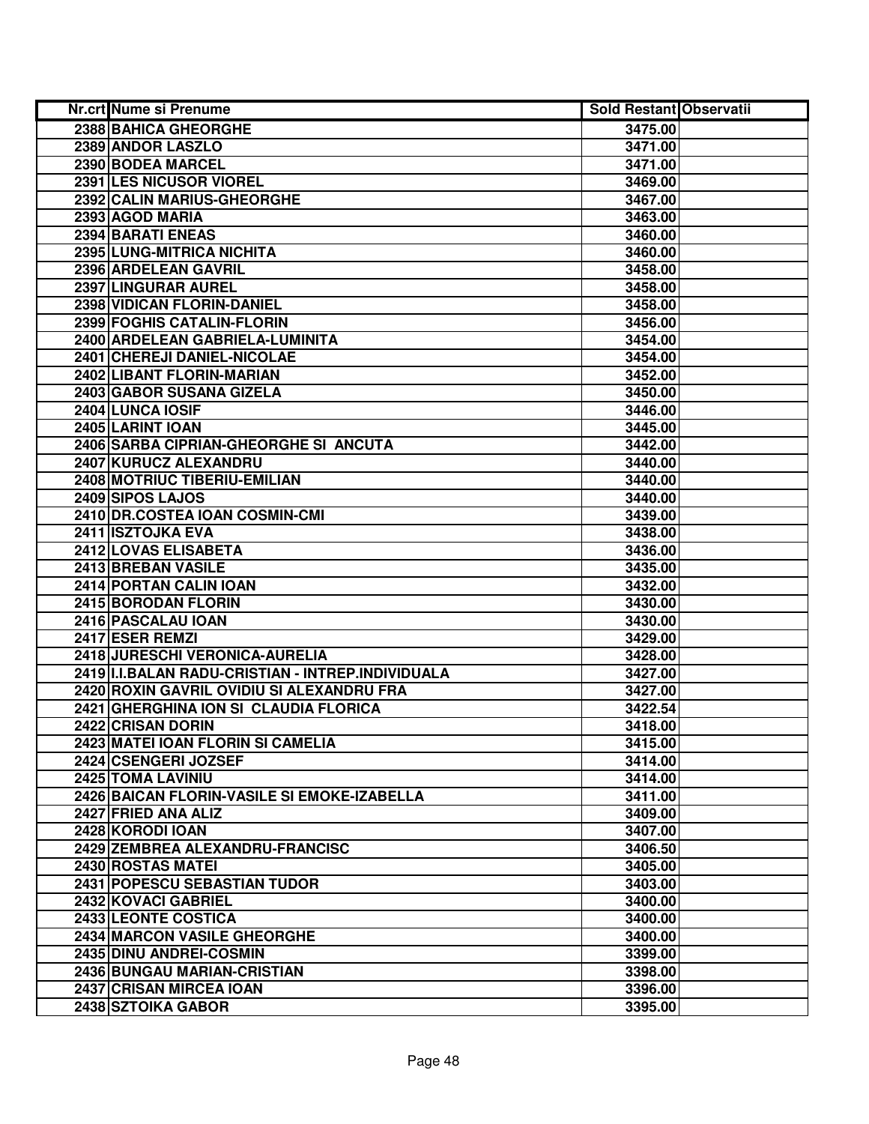| Nr.crt Nume si Prenume                            | <b>Sold Restant Observatii</b> |  |
|---------------------------------------------------|--------------------------------|--|
| 2388 BAHICA GHEORGHE                              | 3475.00                        |  |
| 2389 ANDOR LASZLO                                 | 3471.00                        |  |
| 2390 BODEA MARCEL                                 | 3471.00                        |  |
| 2391 LES NICUSOR VIOREL                           | 3469.00                        |  |
| 2392 CALIN MARIUS-GHEORGHE                        | 3467.00                        |  |
| 2393 AGOD MARIA                                   | 3463.00                        |  |
| 2394 BARATI ENEAS                                 | 3460.00                        |  |
| 2395 LUNG-MITRICA NICHITA                         | 3460.00                        |  |
| 2396 ARDELEAN GAVRIL                              | 3458.00                        |  |
| 2397 LINGURAR AUREL                               | 3458.00                        |  |
| 2398 VIDICAN FLORIN-DANIEL                        | 3458.00                        |  |
| 2399 FOGHIS CATALIN-FLORIN                        | 3456.00                        |  |
| 2400 ARDELEAN GABRIELA-LUMINITA                   | 3454.00                        |  |
| 2401 CHEREJI DANIEL-NICOLAE                       | 3454.00                        |  |
| 2402 LIBANT FLORIN-MARIAN                         | 3452.00                        |  |
| 2403 GABOR SUSANA GIZELA                          | 3450.00                        |  |
| 2404 LUNCA IOSIF                                  | 3446.00                        |  |
| 2405 LARINT IOAN                                  | 3445.00                        |  |
| 2406 SARBA CIPRIAN-GHEORGHE SI ANCUTA             | 3442.00                        |  |
| 2407 KURUCZ ALEXANDRU                             | 3440.00                        |  |
| 2408 MOTRIUC TIBERIU-EMILIAN                      | 3440.00                        |  |
| 2409 SIPOS LAJOS                                  | 3440.00                        |  |
| 2410 DR.COSTEA IOAN COSMIN-CMI                    | 3439.00                        |  |
| 2411 ISZTOJKA EVA                                 | 3438.00                        |  |
| 2412 LOVAS ELISABETA                              | 3436.00                        |  |
| 2413 BREBAN VASILE                                | 3435.00                        |  |
| 2414 PORTAN CALIN IOAN                            | 3432.00                        |  |
| 2415 BORODAN FLORIN                               | 3430.00                        |  |
| 2416 PASCALAU IOAN                                | 3430.00                        |  |
| 2417 ESER REMZI                                   | 3429.00                        |  |
| 2418 JURESCHI VERONICA-AURELIA                    | 3428.00                        |  |
| 2419 I.I.BALAN RADU-CRISTIAN - INTREP.INDIVIDUALA | 3427.00                        |  |
| 2420 ROXIN GAVRIL OVIDIU SI ALEXANDRU FRA         | 3427.00                        |  |
| 2421 GHERGHINA ION SI CLAUDIA FLORICA             | 3422.54                        |  |
| 2422 CRISAN DORIN                                 | 3418.00                        |  |
| 2423 MATEI IOAN FLORIN SI CAMELIA                 | 3415.00                        |  |
| 2424 CSENGERI JOZSEF                              | 3414.00                        |  |
| 2425 TOMA LAVINIU                                 | 3414.00                        |  |
| 2426 BAICAN FLORIN-VASILE SI EMOKE-IZABELLA       | 3411.00                        |  |
| 2427 FRIED ANA ALIZ                               | 3409.00                        |  |
| 2428 KORODI IOAN                                  | 3407.00                        |  |
| 2429 ZEMBREA ALEXANDRU-FRANCISC                   | 3406.50                        |  |
| 2430 ROSTAS MATEI                                 | 3405.00                        |  |
| 2431 POPESCU SEBASTIAN TUDOR                      | 3403.00                        |  |
| 2432 KOVACI GABRIEL                               | 3400.00                        |  |
| 2433 LEONTE COSTICA                               | 3400.00                        |  |
| 2434 MARCON VASILE GHEORGHE                       | 3400.00                        |  |
| 2435 DINU ANDREI-COSMIN                           | 3399.00                        |  |
| 2436 BUNGAU MARIAN-CRISTIAN                       | 3398.00                        |  |
| 2437 CRISAN MIRCEA IOAN                           | 3396.00                        |  |
| 2438 SZTOIKA GABOR                                | 3395.00                        |  |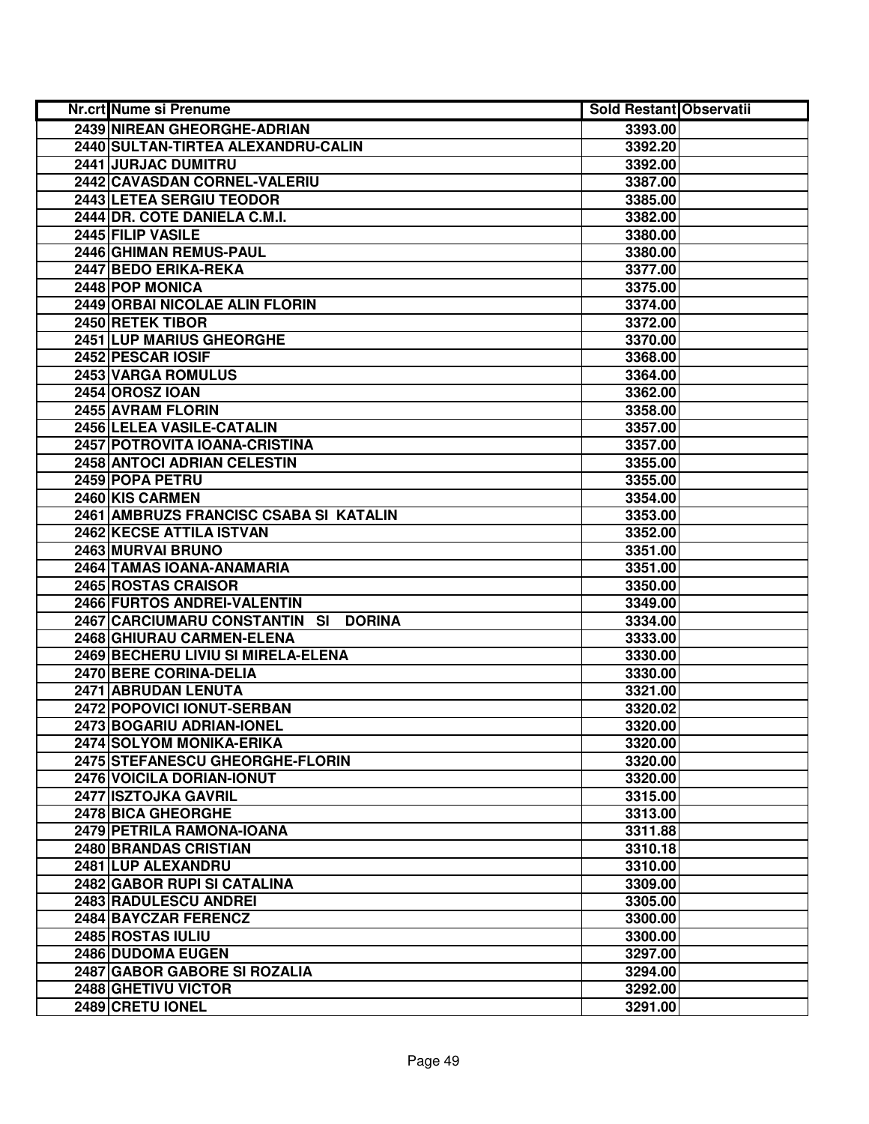| Nr.crt Nume si Prenume                         | <b>Sold Restant Observatii</b> |  |
|------------------------------------------------|--------------------------------|--|
| 2439 NIREAN GHEORGHE-ADRIAN                    | 3393.00                        |  |
| 2440 SULTAN-TIRTEA ALEXANDRU-CALIN             | 3392.20                        |  |
| 2441 JURJAC DUMITRU                            | 3392.00                        |  |
| 2442 CAVASDAN CORNEL-VALERIU                   | 3387.00                        |  |
| 2443 LETEA SERGIU TEODOR                       | 3385.00                        |  |
| 2444 DR. COTE DANIELA C.M.I.                   | 3382.00                        |  |
| 2445 FILIP VASILE                              | 3380.00                        |  |
| 2446 GHIMAN REMUS-PAUL                         | 3380.00                        |  |
| 2447 BEDO ERIKA-REKA                           | 3377.00                        |  |
| 2448 POP MONICA                                | 3375.00                        |  |
| 2449 ORBAI NICOLAE ALIN FLORIN                 | 3374.00                        |  |
| 2450 RETEK TIBOR                               | 3372.00                        |  |
| 2451 LUP MARIUS GHEORGHE                       | 3370.00                        |  |
| 2452 PESCAR IOSIF                              | 3368.00                        |  |
| 2453 VARGA ROMULUS                             | 3364.00                        |  |
| <b>2454 OROSZ IOAN</b>                         | 3362.00                        |  |
| 2455 AVRAM FLORIN                              | 3358.00                        |  |
| 2456 LELEA VASILE-CATALIN                      | 3357.00                        |  |
| 2457 POTROVITA IOANA-CRISTINA                  | 3357.00                        |  |
| 2458 ANTOCI ADRIAN CELESTIN                    | 3355.00                        |  |
| 2459 POPA PETRU                                | 3355.00                        |  |
| 2460 KIS CARMEN                                | 3354.00                        |  |
| 2461 AMBRUZS FRANCISC CSABA SI KATALIN         | 3353.00                        |  |
| 2462 KECSE ATTILA ISTVAN                       | 3352.00                        |  |
| 2463 MURVAI BRUNO                              | 3351.00                        |  |
| 2464 TAMAS IOANA-ANAMARIA                      | 3351.00                        |  |
| 2465 ROSTAS CRAISOR                            | 3350.00                        |  |
| 2466 FURTOS ANDREI-VALENTIN                    | 3349.00                        |  |
| 2467 CARCIUMARU CONSTANTIN SI<br><b>DORINA</b> | 3334.00                        |  |
| 2468 GHIURAU CARMEN-ELENA                      | 3333.00                        |  |
| 2469 BECHERU LIVIU SI MIRELA-ELENA             | 3330.00                        |  |
| 2470 BERE CORINA-DELIA                         | 3330.00                        |  |
| 2471 ABRUDAN LENUTA                            | 3321.00                        |  |
| <b>2472 POPOVICI IONUT-SERBAN</b>              | 3320.02                        |  |
| <b>2473 BOGARIU ADRIAN-IONEL</b>               | 3320.00                        |  |
| 2474 SOLYOM MONIKA-ERIKA                       | 3320.00                        |  |
| 2475 STEFANESCU GHEORGHE-FLORIN                | 3320.00                        |  |
| 2476 VOICILA DORIAN-IONUT                      | 3320.00                        |  |
| 2477 ISZTOJKA GAVRIL                           | 3315.00                        |  |
| 2478 BICA GHEORGHE                             | 3313.00                        |  |
| 2479 PETRILA RAMONA-IOANA                      | 3311.88                        |  |
| 2480 BRANDAS CRISTIAN                          | 3310.18                        |  |
| 2481 LUP ALEXANDRU                             | 3310.00                        |  |
| 2482 GABOR RUPI SI CATALINA                    | 3309.00                        |  |
| 2483 RADULESCU ANDREI                          | 3305.00                        |  |
| 2484 BAYCZAR FERENCZ                           | 3300.00                        |  |
| 2485 ROSTAS IULIU                              | 3300.00                        |  |
| 2486 DUDOMA EUGEN                              | 3297.00                        |  |
| 2487 GABOR GABORE SI ROZALIA                   | 3294.00                        |  |
| 2488 GHETIVU VICTOR                            | 3292.00                        |  |
| 2489 CRETU IONEL                               | 3291.00                        |  |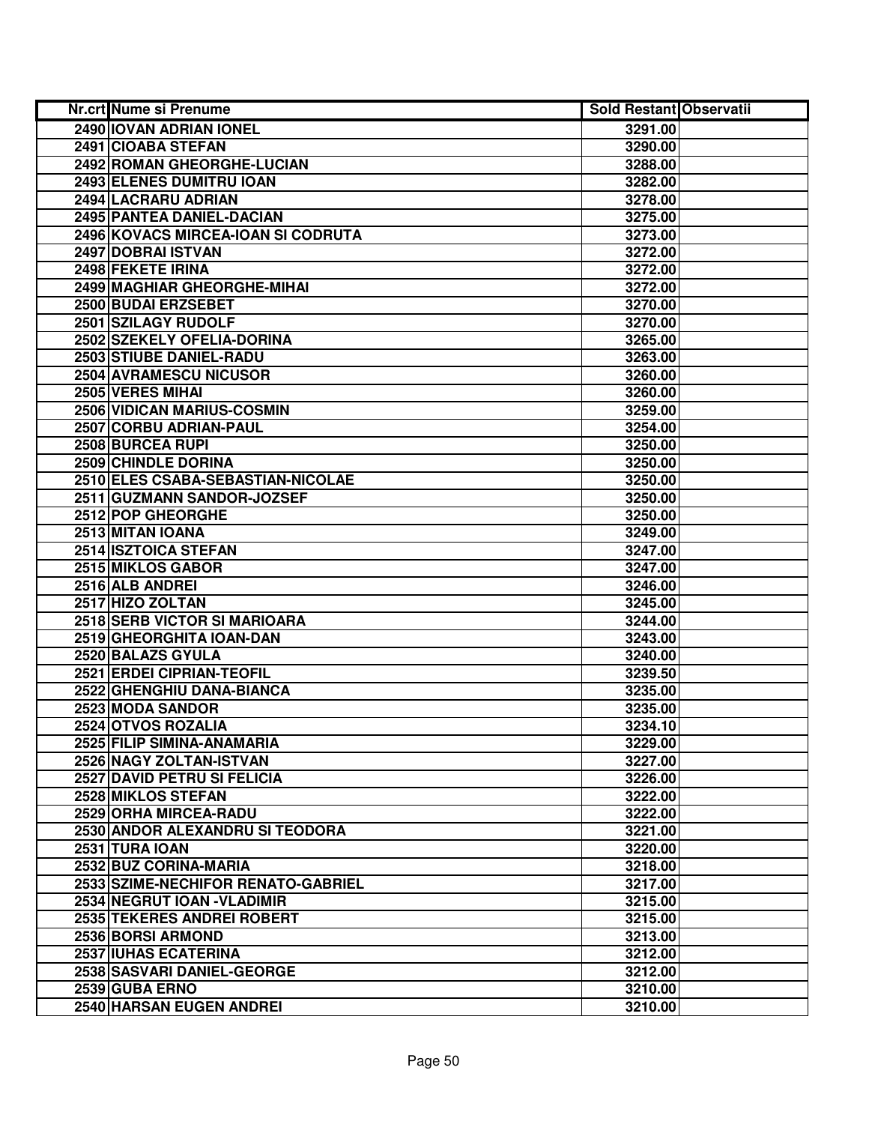| Nr.crt Nume si Prenume             | <b>Sold Restant Observatii</b> |  |
|------------------------------------|--------------------------------|--|
| 2490 IOVAN ADRIAN IONEL            | 3291.00                        |  |
| 2491 CIOABA STEFAN                 | 3290.00                        |  |
| 2492 ROMAN GHEORGHE-LUCIAN         | 3288.00                        |  |
| 2493 ELENES DUMITRU IOAN           | 3282.00                        |  |
| 2494 LACRARU ADRIAN                | 3278.00                        |  |
| 2495 PANTEA DANIEL-DACIAN          | 3275.00                        |  |
| 2496 KOVACS MIRCEA-IOAN SI CODRUTA | 3273.00                        |  |
| 2497 DOBRAI ISTVAN                 | 3272.00                        |  |
| 2498 FEKETE IRINA                  | 3272.00                        |  |
| <b>2499 MAGHIAR GHEORGHE-MIHAL</b> | 3272.00                        |  |
| 2500 BUDAI ERZSEBET                | 3270.00                        |  |
| 2501 SZILAGY RUDOLF                | 3270.00                        |  |
| 2502 SZEKELY OFELIA-DORINA         | 3265.00                        |  |
| 2503 STIUBE DANIEL-RADU            | 3263.00                        |  |
| 2504 AVRAMESCU NICUSOR             | 3260.00                        |  |
| 2505 VERES MIHAI                   | 3260.00                        |  |
| 2506 VIDICAN MARIUS-COSMIN         | 3259.00                        |  |
| 2507 CORBU ADRIAN-PAUL             | 3254.00                        |  |
| 2508 BURCEA RUPI                   | 3250.00                        |  |
| 2509 CHINDLE DORINA                | 3250.00                        |  |
| 2510 ELES CSABA-SEBASTIAN-NICOLAE  | 3250.00                        |  |
| 2511 GUZMANN SANDOR-JOZSEF         | 3250.00                        |  |
| 2512 POP GHEORGHE                  | 3250.00                        |  |
| 2513 MITAN IOANA                   | 3249.00                        |  |
| 2514 ISZTOICA STEFAN               | 3247.00                        |  |
| 2515 MIKLOS GABOR                  | 3247.00                        |  |
| 2516 ALB ANDREI                    | 3246.00                        |  |
| 2517 HIZO ZOLTAN                   | 3245.00                        |  |
| 2518 SERB VICTOR SI MARIOARA       | 3244.00                        |  |
| 2519 GHEORGHITA IOAN-DAN           | 3243.00                        |  |
| 2520 BALAZS GYULA                  | 3240.00                        |  |
| 2521 ERDEI CIPRIAN-TEOFIL          | 3239.50                        |  |
| 2522 GHENGHIU DANA-BIANCA          | 3235.00                        |  |
| 2523 MODA SANDOR                   | 3235.00                        |  |
| 2524 OTVOS ROZALIA                 | 3234.10                        |  |
| 2525 FILIP SIMINA-ANAMARIA         | 3229.00                        |  |
| 2526 NAGY ZOLTAN-ISTVAN            | 3227.00                        |  |
| 2527 DAVID PETRU SI FELICIA        | 3226.00                        |  |
| 2528 MIKLOS STEFAN                 | 3222.00                        |  |
| 2529 ORHA MIRCEA-RADU              | 3222.00                        |  |
| 2530 ANDOR ALEXANDRU SI TEODORA    | 3221.00                        |  |
| 2531 TURA IOAN                     | 3220.00                        |  |
| 2532 BUZ CORINA-MARIA              | 3218.00                        |  |
| 2533 SZIME-NECHIFOR RENATO-GABRIEL | 3217.00                        |  |
| 2534 NEGRUT IOAN - VLADIMIR        | 3215.00                        |  |
| 2535 TEKERES ANDREI ROBERT         | 3215.00                        |  |
| 2536 BORSI ARMOND                  | 3213.00                        |  |
| 2537 IUHAS ECATERINA               | 3212.00                        |  |
| 2538 SASVARI DANIEL-GEORGE         | 3212.00                        |  |
| 2539 GUBA ERNO                     | 3210.00                        |  |
| 2540 HARSAN EUGEN ANDREI           | 3210.00                        |  |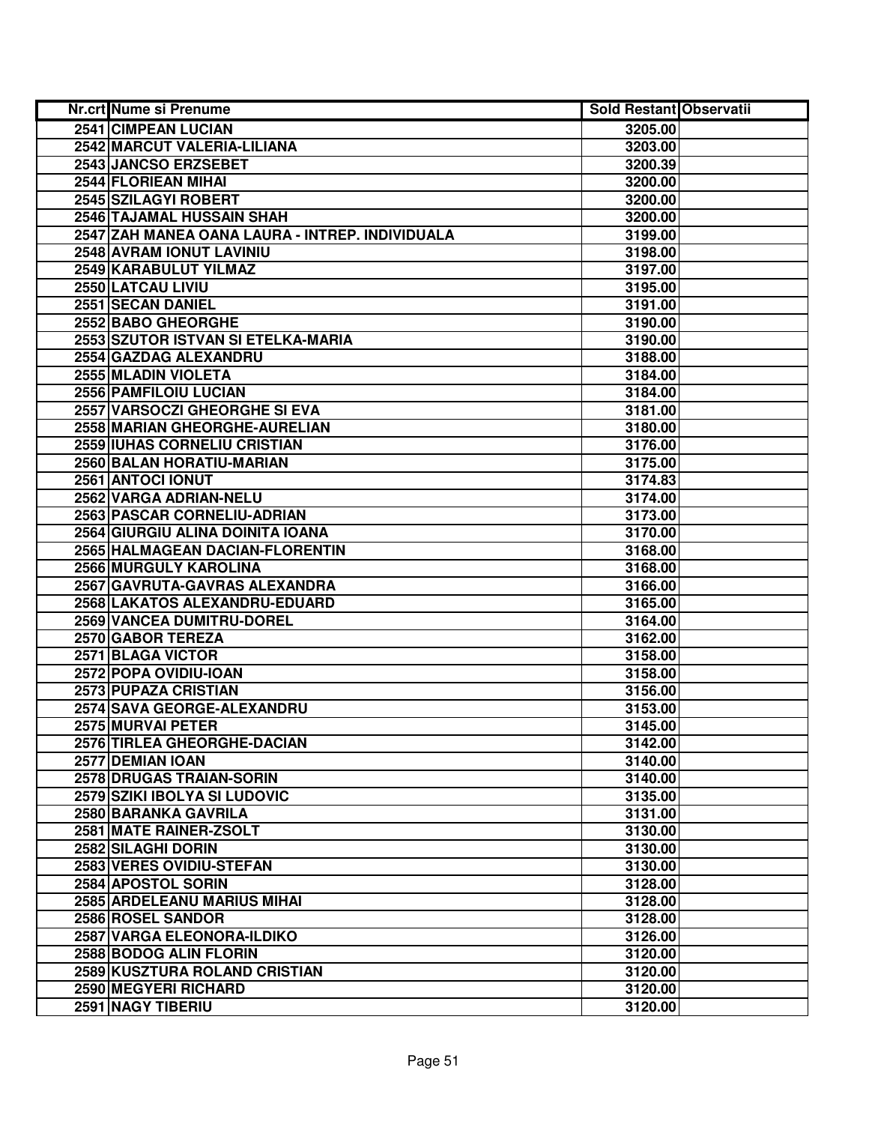| <b>Nr.crt Nume si Prenume</b>                   | <b>Sold Restant Observatii</b> |  |
|-------------------------------------------------|--------------------------------|--|
| 2541 CIMPEAN LUCIAN                             | 3205.00                        |  |
| 2542 MARCUT VALERIA-LILIANA                     | 3203.00                        |  |
| 2543 JANCSO ERZSEBET                            | 3200.39                        |  |
| 2544 FLORIEAN MIHAI                             | 3200.00                        |  |
| 2545 SZILAGYI ROBERT                            | 3200.00                        |  |
| 2546 TAJAMAL HUSSAIN SHAH                       | 3200.00                        |  |
| 2547 ZAH MANEA OANA LAURA - INTREP. INDIVIDUALA | 3199.00                        |  |
| 2548 AVRAM IONUT LAVINIU                        | 3198.00                        |  |
| 2549 KARABULUT YILMAZ                           | 3197.00                        |  |
| 2550 LATCAU LIVIU                               | 3195.00                        |  |
| 2551 SECAN DANIEL                               | 3191.00                        |  |
| 2552 BABO GHEORGHE                              | 3190.00                        |  |
| 2553 SZUTOR ISTVAN SI ETELKA-MARIA              | 3190.00                        |  |
| 2554 GAZDAG ALEXANDRU                           | 3188.00                        |  |
| 2555 MLADIN VIOLETA                             | 3184.00                        |  |
| 2556 PAMFILOIU LUCIAN                           | 3184.00                        |  |
| 2557 VARSOCZI GHEORGHE SI EVA                   | 3181.00                        |  |
| 2558 MARIAN GHEORGHE-AURELIAN                   | 3180.00                        |  |
| 2559 IUHAS CORNELIU CRISTIAN                    | 3176.00                        |  |
| 2560 BALAN HORATIU-MARIAN                       | 3175.00                        |  |
| 2561 ANTOCI IONUT                               | 3174.83                        |  |
| 2562 VARGA ADRIAN-NELU                          | 3174.00                        |  |
| 2563 PASCAR CORNELIU-ADRIAN                     | 3173.00                        |  |
| 2564 GIURGIU ALINA DOINITA IOANA                | 3170.00                        |  |
| 2565 HALMAGEAN DACIAN-FLORENTIN                 | 3168.00                        |  |
| 2566 MURGULY KAROLINA                           | 3168.00                        |  |
| 2567 GAVRUTA-GAVRAS ALEXANDRA                   | 3166.00                        |  |
| 2568 LAKATOS ALEXANDRU-EDUARD                   | 3165.00                        |  |
| 2569 VANCEA DUMITRU-DOREL                       | 3164.00                        |  |
| 2570 GABOR TEREZA                               | 3162.00                        |  |
| 2571 BLAGA VICTOR                               | 3158.00                        |  |
| 2572 POPA OVIDIU-IOAN                           | 3158.00                        |  |
| 2573 PUPAZA CRISTIAN                            | 3156.00                        |  |
| 2574 SAVA GEORGE-ALEXANDRU                      | 3153.00                        |  |
| 2575 MURVAI PETER                               | 3145.00                        |  |
| 2576 TIRLEA GHEORGHE-DACIAN                     | 3142.00                        |  |
| 2577 DEMIAN IOAN                                | 3140.00                        |  |
| <b>2578 DRUGAS TRAIAN-SORIN</b>                 | 3140.00                        |  |
| 2579 SZIKI IBOLYA SI LUDOVIC                    | 3135.00                        |  |
| 2580 BARANKA GAVRILA                            | 3131.00                        |  |
| 2581 MATE RAINER-ZSOLT                          | 3130.00                        |  |
| 2582 SILAGHI DORIN                              | 3130.00                        |  |
| 2583 VERES OVIDIU-STEFAN                        | 3130.00                        |  |
| 2584 APOSTOL SORIN                              | 3128.00                        |  |
| 2585 ARDELEANU MARIUS MIHAI                     | 3128.00                        |  |
| 2586 ROSEL SANDOR                               | 3128.00                        |  |
| 2587 VARGA ELEONORA-ILDIKO                      | 3126.00                        |  |
| 2588 BODOG ALIN FLORIN                          | 3120.00                        |  |
| 2589 KUSZTURA ROLAND CRISTIAN                   | 3120.00                        |  |
| 2590 MEGYERI RICHARD                            | 3120.00                        |  |
| 2591 NAGY TIBERIU                               | 3120.00                        |  |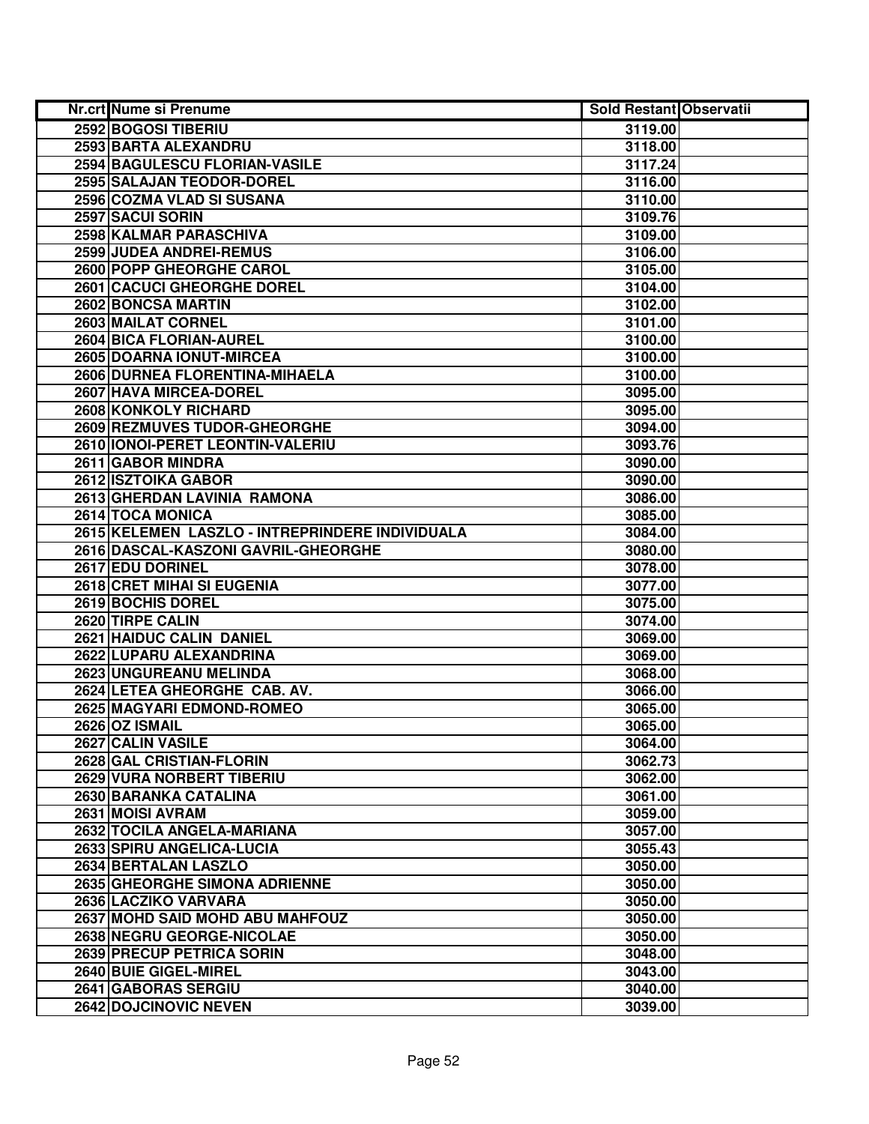| Nr.crt Nume si Prenume                          | <b>Sold Restant Observatii</b> |  |
|-------------------------------------------------|--------------------------------|--|
| 2592 BOGOSI TIBERIU                             | 3119.00                        |  |
| 2593 BARTA ALEXANDRU                            | 3118.00                        |  |
| 2594 BAGULESCU FLORIAN-VASILE                   | 3117.24                        |  |
| 2595 SALAJAN TEODOR-DOREL                       | 3116.00                        |  |
| 2596 COZMA VLAD SI SUSANA                       | 3110.00                        |  |
| 2597 SACUI SORIN                                | 3109.76                        |  |
| 2598 KALMAR PARASCHIVA                          | 3109.00                        |  |
| 2599 JUDEA ANDREI-REMUS                         | 3106.00                        |  |
| 2600 POPP GHEORGHE CAROL                        | 3105.00                        |  |
| <b>2601 CACUCI GHEORGHE DOREL</b>               | 3104.00                        |  |
| 2602 BONCSA MARTIN                              | 3102.00                        |  |
| 2603 MAILAT CORNEL                              | 3101.00                        |  |
| 2604 BICA FLORIAN-AUREL                         | 3100.00                        |  |
| 2605 DOARNA IONUT-MIRCEA                        | 3100.00                        |  |
| 2606 DURNEA FLORENTINA-MIHAELA                  | 3100.00                        |  |
| 2607 HAVA MIRCEA-DOREL                          | 3095.00                        |  |
| 2608 KONKOLY RICHARD                            | 3095.00                        |  |
| 2609 REZMUVES TUDOR-GHEORGHE                    | 3094.00                        |  |
| 2610 IONOI-PERET LEONTIN-VALERIU                | 3093.76                        |  |
| 2611 GABOR MINDRA                               | 3090.00                        |  |
| 2612 ISZTOIKA GABOR                             | 3090.00                        |  |
| 2613 GHERDAN LAVINIA RAMONA                     | 3086.00                        |  |
| 2614 TOCA MONICA                                | 3085.00                        |  |
| 2615 KELEMEN LASZLO - INTREPRINDERE INDIVIDUALA | 3084.00                        |  |
| 2616 DASCAL-KASZONI GAVRIL-GHEORGHE             | 3080.00                        |  |
| 2617 EDU DORINEL                                | 3078.00                        |  |
| 2618 CRET MIHAI SI EUGENIA                      | 3077.00                        |  |
| 2619 BOCHIS DOREL                               | 3075.00                        |  |
| 2620 TIRPE CALIN                                | 3074.00                        |  |
| 2621 HAIDUC CALIN DANIEL                        | 3069.00                        |  |
| 2622 LUPARU ALEXANDRINA                         | 3069.00                        |  |
| 2623 UNGUREANU MELINDA                          | 3068.00                        |  |
| 2624 LETEA GHEORGHE CAB. AV.                    | 3066.00                        |  |
| 2625 MAGYARI EDMOND-ROMEO                       | 3065.00                        |  |
| <b>2626 OZ ISMAIL</b>                           | 3065.00                        |  |
| 2627 CALIN VASILE                               | 3064.00                        |  |
| 2628 GAL CRISTIAN-FLORIN                        | 3062.73                        |  |
| 2629 VURA NORBERT TIBERIU                       | 3062.00                        |  |
| 2630 BARANKA CATALINA                           | 3061.00                        |  |
| 2631 MOISI AVRAM                                | 3059.00                        |  |
| 2632 TOCILA ANGELA-MARIANA                      | 3057.00                        |  |
| 2633 SPIRU ANGELICA-LUCIA                       | 3055.43                        |  |
| 2634 BERTALAN LASZLO                            | 3050.00                        |  |
| 2635 GHEORGHE SIMONA ADRIENNE                   | 3050.00                        |  |
| 2636 LACZIKO VARVARA                            | 3050.00                        |  |
| <b>2637 MOHD SAID MOHD ABU MAHFOUZ</b>          | 3050.00                        |  |
| 2638 NEGRU GEORGE-NICOLAE                       | 3050.00                        |  |
| 2639 PRECUP PETRICA SORIN                       | 3048.00                        |  |
| 2640 BUIE GIGEL-MIREL                           | 3043.00                        |  |
| 2641 GABORAS SERGIU                             | 3040.00                        |  |
| 2642 DOJCINOVIC NEVEN                           | 3039.00                        |  |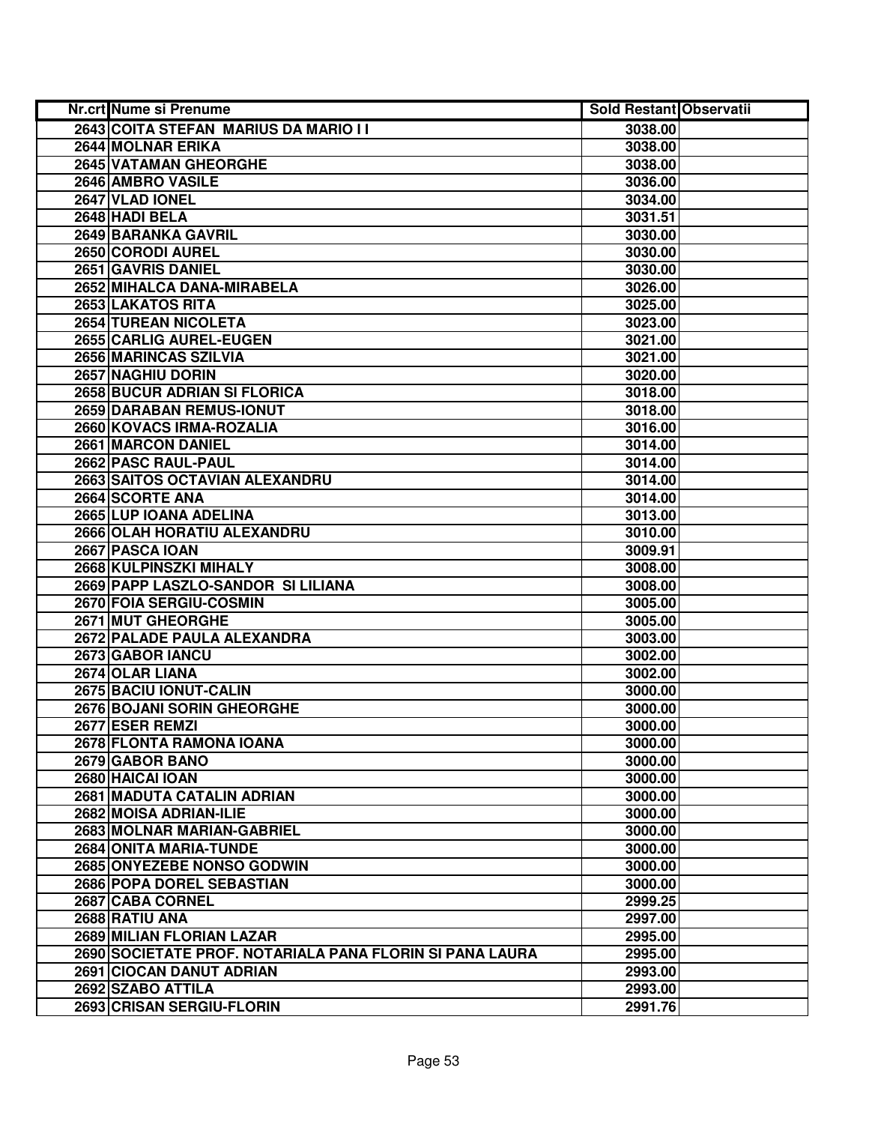| Nr.crt Nume si Prenume                                   | <b>Sold Restant Observatii</b> |  |
|----------------------------------------------------------|--------------------------------|--|
| 2643 COITA STEFAN MARIUS DA MARIO I I                    | 3038.00                        |  |
| 2644 MOLNAR ERIKA                                        | 3038.00                        |  |
| 2645 VATAMAN GHEORGHE                                    | 3038.00                        |  |
| 2646 AMBRO VASILE                                        | 3036.00                        |  |
| 2647 VLAD IONEL                                          | 3034.00                        |  |
| 2648 HADI BELA                                           | 3031.51                        |  |
| 2649 BARANKA GAVRIL                                      | 3030.00                        |  |
| 2650 CORODI AUREL                                        | 3030.00                        |  |
| 2651 GAVRIS DANIEL                                       | 3030.00                        |  |
| 2652 MIHALCA DANA-MIRABELA                               | 3026.00                        |  |
| 2653 LAKATOS RITA                                        | 3025.00                        |  |
| 2654 TUREAN NICOLETA                                     | 3023.00                        |  |
| 2655 CARLIG AUREL-EUGEN                                  | 3021.00                        |  |
| 2656 MARINCAS SZILVIA                                    | 3021.00                        |  |
| 2657 NAGHIU DORIN                                        | 3020.00                        |  |
| 2658 BUCUR ADRIAN SI FLORICA                             | 3018.00                        |  |
| 2659 DARABAN REMUS-IONUT                                 | 3018.00                        |  |
| 2660 KOVACS IRMA-ROZALIA                                 | 3016.00                        |  |
| 2661 MARCON DANIEL                                       | 3014.00                        |  |
| 2662 PASC RAUL-PAUL                                      | 3014.00                        |  |
| 2663 SAITOS OCTAVIAN ALEXANDRU                           | 3014.00                        |  |
| 2664 SCORTE ANA                                          | 3014.00                        |  |
| 2665 LUP IOANA ADELINA                                   | 3013.00                        |  |
| 2666 OLAH HORATIU ALEXANDRU                              | 3010.00                        |  |
| 2667 PASCA IOAN                                          | 3009.91                        |  |
| 2668 KULPINSZKI MIHALY                                   | 3008.00                        |  |
| 2669 PAPP LASZLO-SANDOR SI LILIANA                       | 3008.00                        |  |
| 2670 FOIA SERGIU-COSMIN                                  | 3005.00                        |  |
| 2671 MUT GHEORGHE                                        | 3005.00                        |  |
| 2672 PALADE PAULA ALEXANDRA                              | 3003.00                        |  |
| 2673 GABOR IANCU                                         | 3002.00                        |  |
| 2674 OLAR LIANA                                          | 3002.00                        |  |
| 2675 BACIU IONUT-CALIN                                   | 3000.00                        |  |
| <b>2676 BOJANI SORIN GHEORGHE</b>                        | 3000.00                        |  |
| 2677 ESER REMZI                                          | 3000.00                        |  |
| 2678 FLONTA RAMONA IOANA                                 | 3000.00                        |  |
| 2679 GABOR BANO                                          | 3000.00                        |  |
| 2680 HAICAI IOAN                                         | 3000.00                        |  |
| 2681 MADUTA CATALIN ADRIAN                               | 3000.00                        |  |
| 2682 MOISA ADRIAN-ILIE                                   | 3000.00                        |  |
| 2683 MOLNAR MARIAN-GABRIEL                               | 3000.00                        |  |
| 2684 ONITA MARIA-TUNDE                                   | 3000.00                        |  |
| 2685 ONYEZEBE NONSO GODWIN                               | 3000.00                        |  |
| 2686 POPA DOREL SEBASTIAN                                | 3000.00                        |  |
| 2687 CABA CORNEL                                         | 2999.25                        |  |
| 2688 RATIU ANA                                           | 2997.00                        |  |
| 2689 MILIAN FLORIAN LAZAR                                | 2995.00                        |  |
| 2690 SOCIETATE PROF. NOTARIALA PANA FLORIN SI PANA LAURA | 2995.00                        |  |
| 2691 CIOCAN DANUT ADRIAN                                 | 2993.00                        |  |
| 2692 SZABO ATTILA                                        | 2993.00                        |  |
| 2693 CRISAN SERGIU-FLORIN                                | 2991.76                        |  |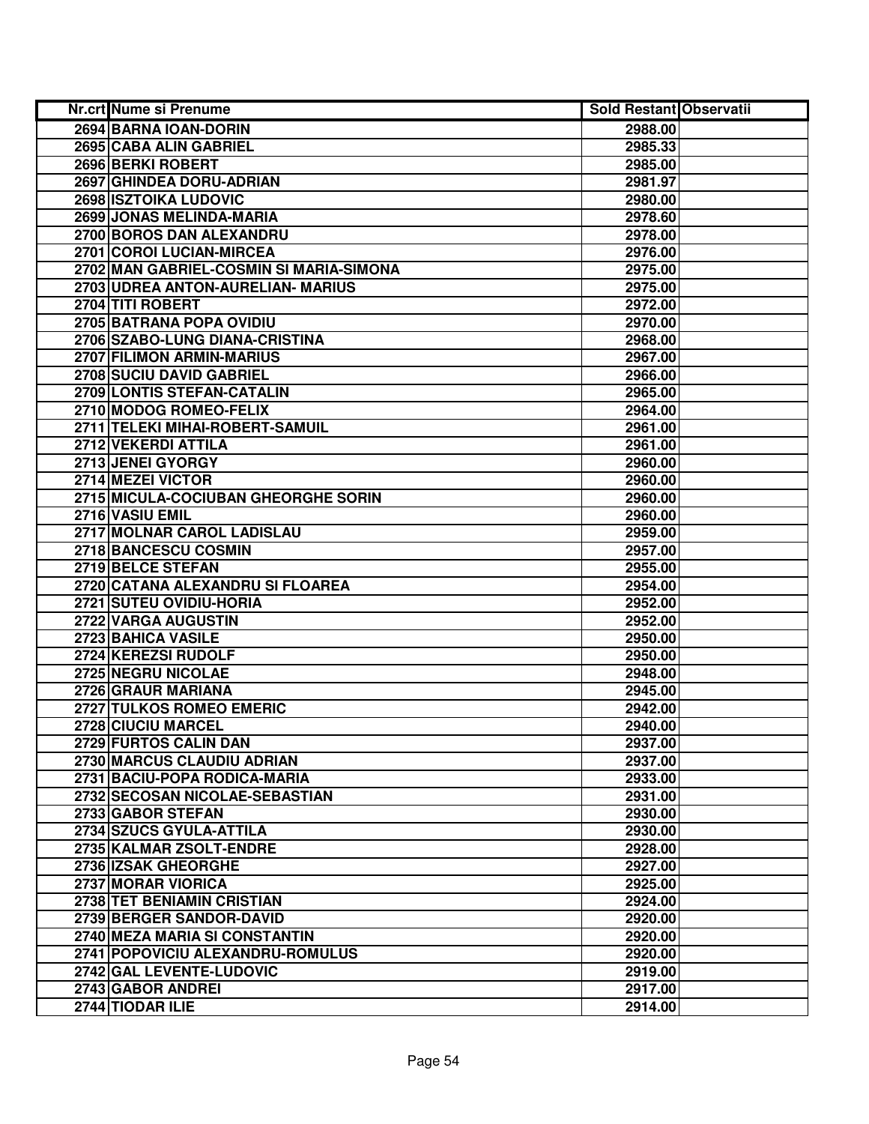| Nr.crt Nume si Prenume                  | <b>Sold Restant Observatii</b> |  |
|-----------------------------------------|--------------------------------|--|
| 2694 BARNA IOAN-DORIN                   | 2988.00                        |  |
| 2695 CABA ALIN GABRIEL                  | 2985.33                        |  |
| 2696 BERKI ROBERT                       | 2985.00                        |  |
| 2697 GHINDEA DORU-ADRIAN                | 2981.97                        |  |
| 2698 ISZTOIKA LUDOVIC                   | 2980.00                        |  |
| 2699 JONAS MELINDA-MARIA                | 2978.60                        |  |
| 2700 BOROS DAN ALEXANDRU                | 2978.00                        |  |
| 2701 COROI LUCIAN-MIRCEA                | 2976.00                        |  |
| 2702 MAN GABRIEL-COSMIN SI MARIA-SIMONA | 2975.00                        |  |
| 2703 UDREA ANTON-AURELIAN- MARIUS       | 2975.00                        |  |
| 2704 TITI ROBERT                        | 2972.00                        |  |
| 2705 BATRANA POPA OVIDIU                | 2970.00                        |  |
| 2706 SZABO-LUNG DIANA-CRISTINA          | 2968.00                        |  |
| 2707 FILIMON ARMIN-MARIUS               | 2967.00                        |  |
| 2708 SUCIU DAVID GABRIEL                | 2966.00                        |  |
| 2709 LONTIS STEFAN-CATALIN              | 2965.00                        |  |
| 2710 MODOG ROMEO-FELIX                  | 2964.00                        |  |
| 2711 TELEKI MIHAI-ROBERT-SAMUIL         | 2961.00                        |  |
| 2712 VEKERDI ATTILA                     | 2961.00                        |  |
| 2713 JENEI GYORGY                       | 2960.00                        |  |
| 2714 MEZEI VICTOR                       | 2960.00                        |  |
| 2715 MICULA-COCIUBAN GHEORGHE SORIN     | 2960.00                        |  |
| 2716 VASIU EMIL                         | 2960.00                        |  |
| 2717 MOLNAR CAROL LADISLAU              | 2959.00                        |  |
| 2718 BANCESCU COSMIN                    | 2957.00                        |  |
| 2719 BELCE STEFAN                       | 2955.00                        |  |
| 2720 CATANA ALEXANDRU SI FLOAREA        | 2954.00                        |  |
| 2721 SUTEU OVIDIU-HORIA                 | 2952.00                        |  |
| 2722 VARGA AUGUSTIN                     | 2952.00                        |  |
| 2723 BAHICA VASILE                      | 2950.00                        |  |
| 2724 KEREZSI RUDOLF                     | 2950.00                        |  |
| 2725 NEGRU NICOLAE                      | 2948.00                        |  |
| 2726 GRAUR MARIANA                      | 2945.00                        |  |
| 2727 TULKOS ROMEO EMERIC                | 2942.00                        |  |
| 2728 CIUCIU MARCEL                      | 2940.00                        |  |
| 2729 FURTOS CALIN DAN                   | 2937.00                        |  |
| 2730 MARCUS CLAUDIU ADRIAN              | 2937.00                        |  |
| 2731 BACIU-POPA RODICA-MARIA            | 2933.00                        |  |
| 2732 SECOSAN NICOLAE-SEBASTIAN          | 2931.00                        |  |
| 2733 GABOR STEFAN                       | 2930.00                        |  |
| 2734 SZUCS GYULA-ATTILA                 | 2930.00                        |  |
| 2735 KALMAR ZSOLT-ENDRE                 | 2928.00                        |  |
| 2736 IZSAK GHEORGHE                     | 2927.00                        |  |
| 2737 MORAR VIORICA                      | 2925.00                        |  |
| 2738 TET BENIAMIN CRISTIAN              | 2924.00                        |  |
| 2739 BERGER SANDOR-DAVID                | 2920.00                        |  |
| 2740 MEZA MARIA SI CONSTANTIN           | 2920.00                        |  |
| 2741 POPOVICIU ALEXANDRU-ROMULUS        | 2920.00                        |  |
| 2742 GAL LEVENTE-LUDOVIC                | 2919.00                        |  |
| 2743 GABOR ANDREI                       | 2917.00                        |  |
| 2744 TIODAR ILIE                        | 2914.00                        |  |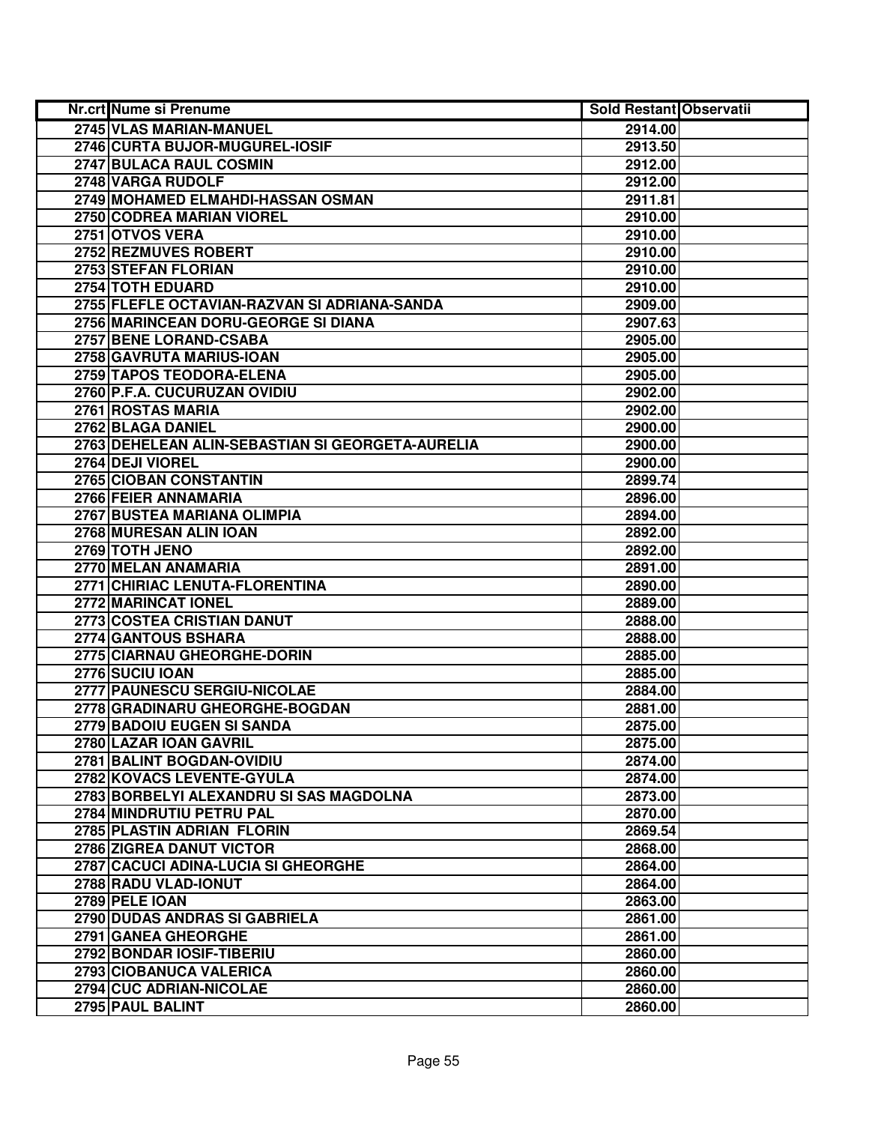| Nr.crt Nume si Prenume                           | <b>Sold Restant Observatii</b> |  |
|--------------------------------------------------|--------------------------------|--|
| 2745 VLAS MARIAN-MANUEL                          | 2914.00                        |  |
| 2746 CURTA BUJOR-MUGUREL-IOSIF                   | 2913.50                        |  |
| 2747 BULACA RAUL COSMIN                          | 2912.00                        |  |
| 2748 VARGA RUDOLF                                | 2912.00                        |  |
| 2749 MOHAMED ELMAHDI-HASSAN OSMAN                | 2911.81                        |  |
| 2750 CODREA MARIAN VIOREL                        | 2910.00                        |  |
| 2751 OTVOS VERA                                  | 2910.00                        |  |
| 2752 REZMUVES ROBERT                             | 2910.00                        |  |
| 2753 STEFAN FLORIAN                              | 2910.00                        |  |
| 2754 TOTH EDUARD                                 | 2910.00                        |  |
| 2755 FLEFLE OCTAVIAN-RAZVAN SI ADRIANA-SANDA     | 2909.00                        |  |
| 2756 MARINCEAN DORU-GEORGE SI DIANA              | 2907.63                        |  |
| 2757 BENE LORAND-CSABA                           | 2905.00                        |  |
| 2758 GAVRUTA MARIUS-IOAN                         | 2905.00                        |  |
| 2759 TAPOS TEODORA-ELENA                         | 2905.00                        |  |
| 2760 P.F.A. CUCURUZAN OVIDIU                     | 2902.00                        |  |
| 2761 ROSTAS MARIA                                | 2902.00                        |  |
| 2762 BLAGA DANIEL                                | 2900.00                        |  |
| 2763 DEHELEAN ALIN-SEBASTIAN SI GEORGETA-AURELIA | 2900.00                        |  |
| 2764 DEJI VIOREL                                 | 2900.00                        |  |
| 2765 CIOBAN CONSTANTIN                           | 2899.74                        |  |
| 2766 FEIER ANNAMARIA                             | 2896.00                        |  |
| 2767 BUSTEA MARIANA OLIMPIA                      | 2894.00                        |  |
| 2768 MURESAN ALIN IOAN                           | 2892.00                        |  |
| 2769 TOTH JENO                                   | 2892.00                        |  |
| 2770 MELAN ANAMARIA                              | 2891.00                        |  |
| 2771 CHIRIAC LENUTA-FLORENTINA                   | 2890.00                        |  |
| 2772 MARINCAT IONEL                              | 2889.00                        |  |
| 2773 COSTEA CRISTIAN DANUT                       | 2888.00                        |  |
| 2774 GANTOUS BSHARA                              | 2888.00                        |  |
| 2775 CIARNAU GHEORGHE-DORIN                      | 2885.00                        |  |
| 2776 SUCIU IOAN                                  | 2885.00                        |  |
| 2777 PAUNESCU SERGIU-NICOLAE                     | 2884.00                        |  |
| 2778 GRADINARU GHEORGHE-BOGDAN                   | 2881.00                        |  |
| 2779 BADOIU EUGEN SI SANDA                       | 2875.00                        |  |
| 2780 LAZAR IOAN GAVRIL                           | 2875.00                        |  |
| 2781 BALINT BOGDAN-OVIDIU                        | 2874.00                        |  |
| 2782 KOVACS LEVENTE-GYULA                        | 2874.00                        |  |
| 2783 BORBELYI ALEXANDRU SI SAS MAGDOLNA          | 2873.00                        |  |
| 2784 MINDRUTIU PETRU PAL                         | 2870.00                        |  |
| 2785 PLASTIN ADRIAN FLORIN                       | 2869.54                        |  |
| 2786 ZIGREA DANUT VICTOR                         | 2868.00                        |  |
| 2787 CACUCI ADINA-LUCIA SI GHEORGHE              | 2864.00                        |  |
| 2788 RADU VLAD-IONUT                             | 2864.00                        |  |
| 2789 PELE IOAN                                   | 2863.00                        |  |
| 2790 DUDAS ANDRAS SI GABRIELA                    | 2861.00                        |  |
| 2791 GANEA GHEORGHE                              | 2861.00                        |  |
| 2792 BONDAR IOSIF-TIBERIU                        | 2860.00                        |  |
| 2793 CIOBANUCA VALERICA                          | 2860.00                        |  |
| 2794 CUC ADRIAN-NICOLAE                          | 2860.00                        |  |
| 2795 PAUL BALINT                                 | 2860.00                        |  |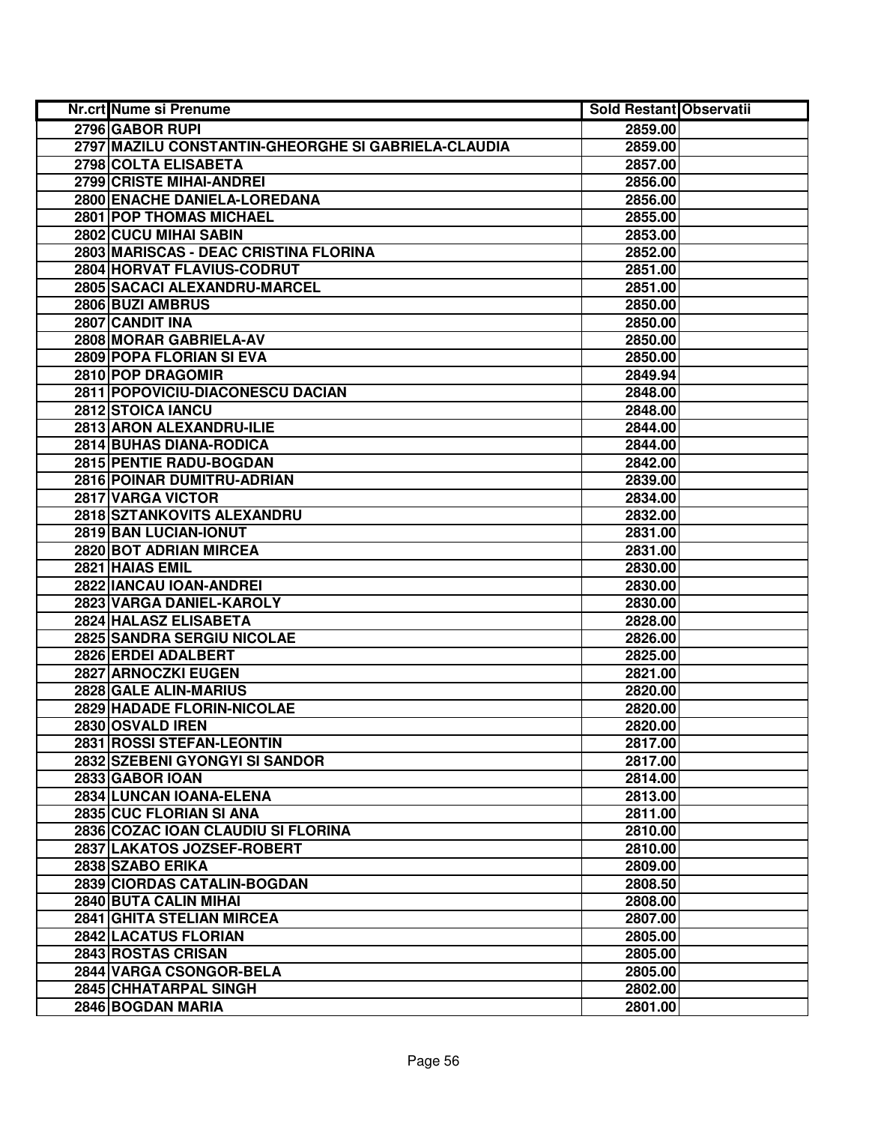| <b>Nr.crt Nume si Prenume</b>                       | <b>Sold Restant Observatii</b> |  |
|-----------------------------------------------------|--------------------------------|--|
| 2796 GABOR RUPI                                     | 2859.00                        |  |
| 2797 MAZILU CONSTANTIN-GHEORGHE SI GABRIELA-CLAUDIA | 2859.00                        |  |
| 2798 COLTA ELISABETA                                | 2857.00                        |  |
| 2799 CRISTE MIHAI-ANDREI                            | 2856.00                        |  |
| 2800 ENACHE DANIELA-LOREDANA                        | 2856.00                        |  |
| 2801 POP THOMAS MICHAEL                             | 2855.00                        |  |
| 2802 CUCU MIHAI SABIN                               | 2853.00                        |  |
| 2803 MARISCAS - DEAC CRISTINA FLORINA               | 2852.00                        |  |
| 2804 HORVAT FLAVIUS-CODRUT                          | 2851.00                        |  |
| 2805 SACACI ALEXANDRU-MARCEL                        | 2851.00                        |  |
| 2806 BUZI AMBRUS                                    | 2850.00                        |  |
| 2807 CANDIT INA                                     | 2850.00                        |  |
| 2808 MORAR GABRIELA-AV                              | 2850.00                        |  |
| 2809 POPA FLORIAN SI EVA                            | 2850.00                        |  |
| 2810 POP DRAGOMIR                                   | 2849.94                        |  |
| 2811 POPOVICIU-DIACONESCU DACIAN                    | 2848.00                        |  |
| 2812 STOICA IANCU                                   | 2848.00                        |  |
| 2813 ARON ALEXANDRU-ILIE                            | 2844.00                        |  |
| 2814 BUHAS DIANA-RODICA                             | 2844.00                        |  |
| 2815 PENTIE RADU-BOGDAN                             | 2842.00                        |  |
| <b>2816 POINAR DUMITRU-ADRIAN</b>                   | 2839.00                        |  |
| 2817 VARGA VICTOR                                   | 2834.00                        |  |
| 2818 SZTANKOVITS ALEXANDRU                          | 2832.00                        |  |
| 2819 BAN LUCIAN-IONUT                               | 2831.00                        |  |
| 2820 BOT ADRIAN MIRCEA                              | 2831.00                        |  |
| 2821 HAIAS EMIL                                     | 2830.00                        |  |
| 2822 IANCAU IOAN-ANDREI                             | 2830.00                        |  |
| 2823 VARGA DANIEL-KAROLY                            | 2830.00                        |  |
| 2824 HALASZ ELISABETA                               | 2828.00                        |  |
| 2825 SANDRA SERGIU NICOLAE                          | 2826.00                        |  |
| 2826 ERDEI ADALBERT                                 | 2825.00                        |  |
| 2827 ARNOCZKI EUGEN                                 | 2821.00                        |  |
| 2828 GALE ALIN-MARIUS                               | 2820.00                        |  |
| <b>2829 HADADE FLORIN-NICOLAE</b>                   | 2820.00                        |  |
| 2830 OSVALD IREN                                    | 2820.00                        |  |
| 2831 ROSSI STEFAN-LEONTIN                           | 2817.00                        |  |
| 2832 SZEBENI GYONGYI SI SANDOR                      | 2817.00                        |  |
| 2833 GABOR IOAN                                     | 2814.00                        |  |
| 2834 LUNCAN IOANA-ELENA                             | 2813.00                        |  |
| 2835 CUC FLORIAN SI ANA                             | 2811.00                        |  |
| 2836 COZAC IOAN CLAUDIU SI FLORINA                  | 2810.00                        |  |
| 2837 LAKATOS JOZSEF-ROBERT                          | 2810.00                        |  |
| 2838 SZABO ERIKA                                    | 2809.00                        |  |
| 2839 CIORDAS CATALIN-BOGDAN                         | 2808.50                        |  |
| 2840 BUTA CALIN MIHAI                               | 2808.00                        |  |
| 2841 GHITA STELIAN MIRCEA                           | 2807.00                        |  |
| 2842 LACATUS FLORIAN                                | 2805.00                        |  |
| 2843 ROSTAS CRISAN                                  | 2805.00                        |  |
| 2844 VARGA CSONGOR-BELA                             | 2805.00                        |  |
| 2845 CHHATARPAL SINGH                               | 2802.00                        |  |
| 2846 BOGDAN MARIA                                   | 2801.00                        |  |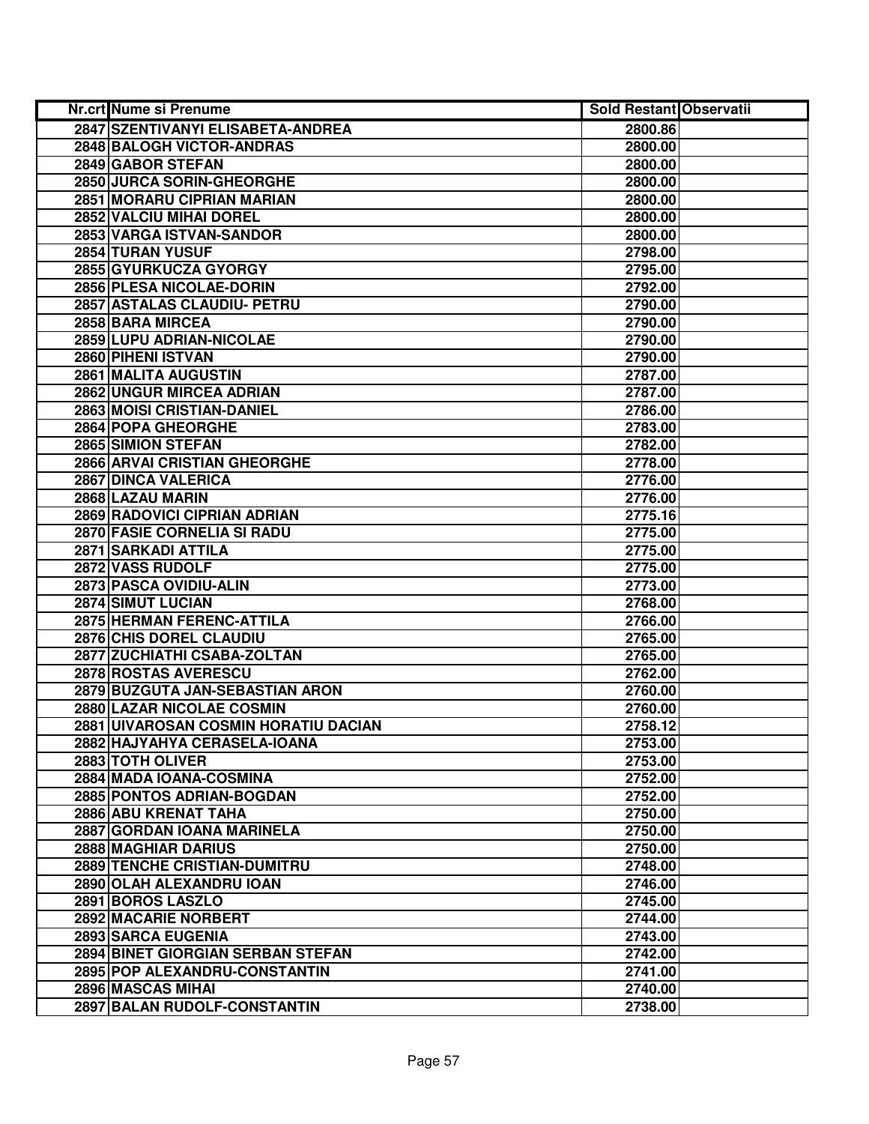| Nr.crt Nume si Prenume               | <b>Sold Restant Observatii</b> |  |
|--------------------------------------|--------------------------------|--|
| 2847 SZENTIVANYI ELISABETA-ANDREA    | 2800.86                        |  |
| 2848 BALOGH VICTOR-ANDRAS            | 2800.00                        |  |
| 2849 GABOR STEFAN                    | 2800.00                        |  |
| 2850 JURCA SORIN-GHEORGHE            | 2800.00                        |  |
| <b>2851 MORARU CIPRIAN MARIAN</b>    | 2800.00                        |  |
| 2852 VALCIU MIHAI DOREL              | 2800.00                        |  |
| 2853 VARGA ISTVAN-SANDOR             | 2800.00                        |  |
| 2854 TURAN YUSUF                     | 2798.00                        |  |
| 2855 GYURKUCZA GYORGY                | 2795.00                        |  |
| 2856 PLESA NICOLAE-DORIN             | 2792.00                        |  |
| 2857 ASTALAS CLAUDIU- PETRU          | 2790.00                        |  |
| 2858 BARA MIRCEA                     | 2790.00                        |  |
| 2859 LUPU ADRIAN-NICOLAE             | 2790.00                        |  |
| 2860 PIHENI ISTVAN                   | 2790.00                        |  |
| 2861 MALITA AUGUSTIN                 | 2787.00                        |  |
| 2862 UNGUR MIRCEA ADRIAN             | 2787.00                        |  |
| 2863 MOISI CRISTIAN-DANIEL           | 2786.00                        |  |
| 2864 POPA GHEORGHE                   | 2783.00                        |  |
| 2865 SIMION STEFAN                   | 2782.00                        |  |
| 2866 ARVAI CRISTIAN GHEORGHE         | 2778.00                        |  |
| 2867 DINCA VALERICA                  | 2776.00                        |  |
| 2868 LAZAU MARIN                     | 2776.00                        |  |
| 2869 RADOVICI CIPRIAN ADRIAN         | 2775.16                        |  |
| 2870 FASIE CORNELIA SI RADU          | 2775.00                        |  |
| 2871 SARKADI ATTILA                  | 2775.00                        |  |
| 2872 VASS RUDOLF                     | 2775.00                        |  |
| 2873 PASCA OVIDIU-ALIN               | 2773.00                        |  |
| 2874 SIMUT LUCIAN                    | 2768.00                        |  |
| 2875 HERMAN FERENC-ATTILA            | 2766.00                        |  |
| 2876 CHIS DOREL CLAUDIU              | 2765.00                        |  |
| 2877 ZUCHIATHI CSABA-ZOLTAN          | 2765.00                        |  |
| 2878 ROSTAS AVERESCU                 | 2762.00                        |  |
| 2879 BUZGUTA JAN-SEBASTIAN ARON      | 2760.00                        |  |
| <b>2880 LAZAR NICOLAE COSMIN</b>     | 2760.00                        |  |
| 2881 UIVAROSAN COSMIN HORATIU DACIAN | 2758.12                        |  |
| 2882 HAJYAHYA CERASELA-IOANA         | 2753.00                        |  |
| 2883 TOTH OLIVER                     | 2753.00                        |  |
| 2884 MADA IOANA-COSMINA              | 2752.00                        |  |
| 2885 PONTOS ADRIAN-BOGDAN            | 2752.00                        |  |
| 2886 ABU KRENAT TAHA                 | 2750.00                        |  |
| 2887 GORDAN IOANA MARINELA           | 2750.00                        |  |
| 2888 MAGHIAR DARIUS                  | 2750.00                        |  |
| 2889 TENCHE CRISTIAN-DUMITRU         | 2748.00                        |  |
| 2890 OLAH ALEXANDRU IOAN             | 2746.00                        |  |
| 2891 BOROS LASZLO                    | 2745.00                        |  |
| 2892 MACARIE NORBERT                 | 2744.00                        |  |
| 2893 SARCA EUGENIA                   | 2743.00                        |  |
| 2894 BINET GIORGIAN SERBAN STEFAN    | 2742.00                        |  |
| 2895 POP ALEXANDRU-CONSTANTIN        | 2741.00                        |  |
| 2896 MASCAS MIHAI                    | 2740.00                        |  |
| 2897 BALAN RUDOLF-CONSTANTIN         | 2738.00                        |  |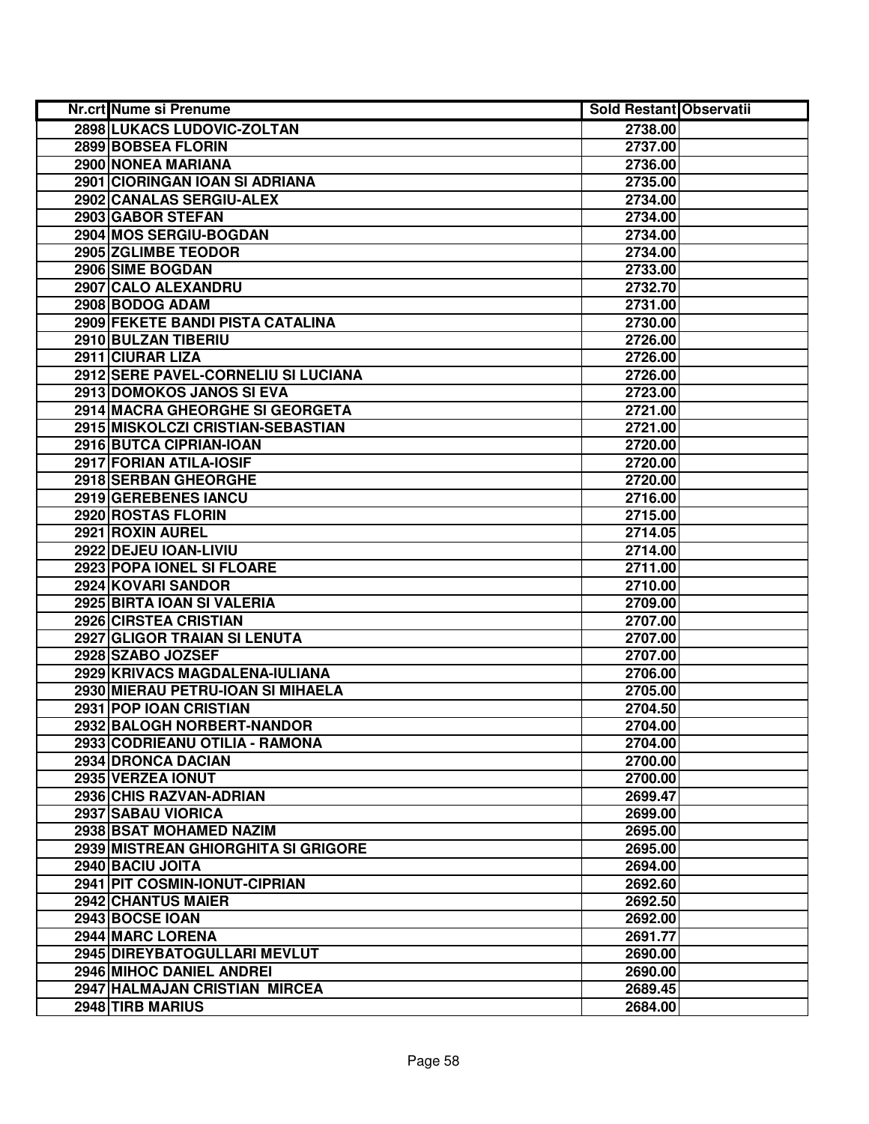| Nr.crt Nume si Prenume              | <b>Sold Restant Observatii</b> |  |
|-------------------------------------|--------------------------------|--|
| 2898 LUKACS LUDOVIC-ZOLTAN          | 2738.00                        |  |
| 2899 BOBSEA FLORIN                  | 2737.00                        |  |
| 2900 NONEA MARIANA                  | 2736.00                        |  |
| 2901 CIORINGAN IOAN SI ADRIANA      | 2735.00                        |  |
| 2902 CANALAS SERGIU-ALEX            | 2734.00                        |  |
| 2903 GABOR STEFAN                   | 2734.00                        |  |
| 2904 MOS SERGIU-BOGDAN              | 2734.00                        |  |
| 2905 ZGLIMBE TEODOR                 | 2734.00                        |  |
| 2906 SIME BOGDAN                    | 2733.00                        |  |
| 2907 CALO ALEXANDRU                 | 2732.70                        |  |
| 2908 BODOG ADAM                     | 2731.00                        |  |
| 2909 FEKETE BANDI PISTA CATALINA    | 2730.00                        |  |
| 2910 BULZAN TIBERIU                 | 2726.00                        |  |
| 2911 CIURAR LIZA                    | 2726.00                        |  |
| 2912 SERE PAVEL-CORNELIU SI LUCIANA | 2726.00                        |  |
| 2913 DOMOKOS JANOS SI EVA           | 2723.00                        |  |
| 2914 MACRA GHEORGHE SI GEORGETA     | 2721.00                        |  |
| 2915 MISKOLCZI CRISTIAN-SEBASTIAN   | 2721.00                        |  |
| 2916 BUTCA CIPRIAN-IOAN             | 2720.00                        |  |
| 2917 FORIAN ATILA-IOSIF             | 2720.00                        |  |
| 2918 SERBAN GHEORGHE                | 2720.00                        |  |
| 2919 GEREBENES IANCU                | 2716.00                        |  |
| 2920 ROSTAS FLORIN                  | 2715.00                        |  |
| 2921 ROXIN AUREL                    | 2714.05                        |  |
| 2922 DEJEU IOAN-LIVIU               | 2714.00                        |  |
| 2923 POPA IONEL SI FLOARE           | 2711.00                        |  |
| 2924 KOVARI SANDOR                  | 2710.00                        |  |
| 2925 BIRTA IOAN SI VALERIA          | 2709.00                        |  |
| 2926 CIRSTEA CRISTIAN               | 2707.00                        |  |
| 2927 GLIGOR TRAIAN SI LENUTA        | 2707.00                        |  |
| 2928 SZABO JOZSEF                   | 2707.00                        |  |
| 2929 KRIVACS MAGDALENA-IULIANA      | 2706.00                        |  |
| 2930 MIERAU PETRU-IOAN SI MIHAELA   | 2705.00                        |  |
| 2931 POP IOAN CRISTIAN              | 2704.50                        |  |
| 2932 BALOGH NORBERT-NANDOR          | 2704.00                        |  |
| 2933 CODRIEANU OTILIA - RAMONA      | 2704.00                        |  |
| <b>2934 DRONCA DACIAN</b>           | 2700.00                        |  |
| 2935 VERZEA IONUT                   | 2700.00                        |  |
| 2936 CHIS RAZVAN-ADRIAN             | 2699.47                        |  |
| 2937 SABAU VIORICA                  | 2699.00                        |  |
| 2938 BSAT MOHAMED NAZIM             | 2695.00                        |  |
| 2939 MISTREAN GHIORGHITA SI GRIGORE | 2695.00                        |  |
| 2940 BACIU JOITA                    | 2694.00                        |  |
| 2941 PIT COSMIN-IONUT-CIPRIAN       | 2692.60                        |  |
| 2942 CHANTUS MAIER                  | 2692.50                        |  |
| 2943 BOCSE IOAN                     | 2692.00                        |  |
| 2944 MARC LORENA                    | 2691.77                        |  |
| 2945 DIREYBATOGULLARI MEVLUT        | 2690.00                        |  |
| 2946 MIHOC DANIEL ANDREI            | 2690.00                        |  |
| 2947 HALMAJAN CRISTIAN MIRCEA       | 2689.45                        |  |
| 2948 TIRB MARIUS                    | 2684.00                        |  |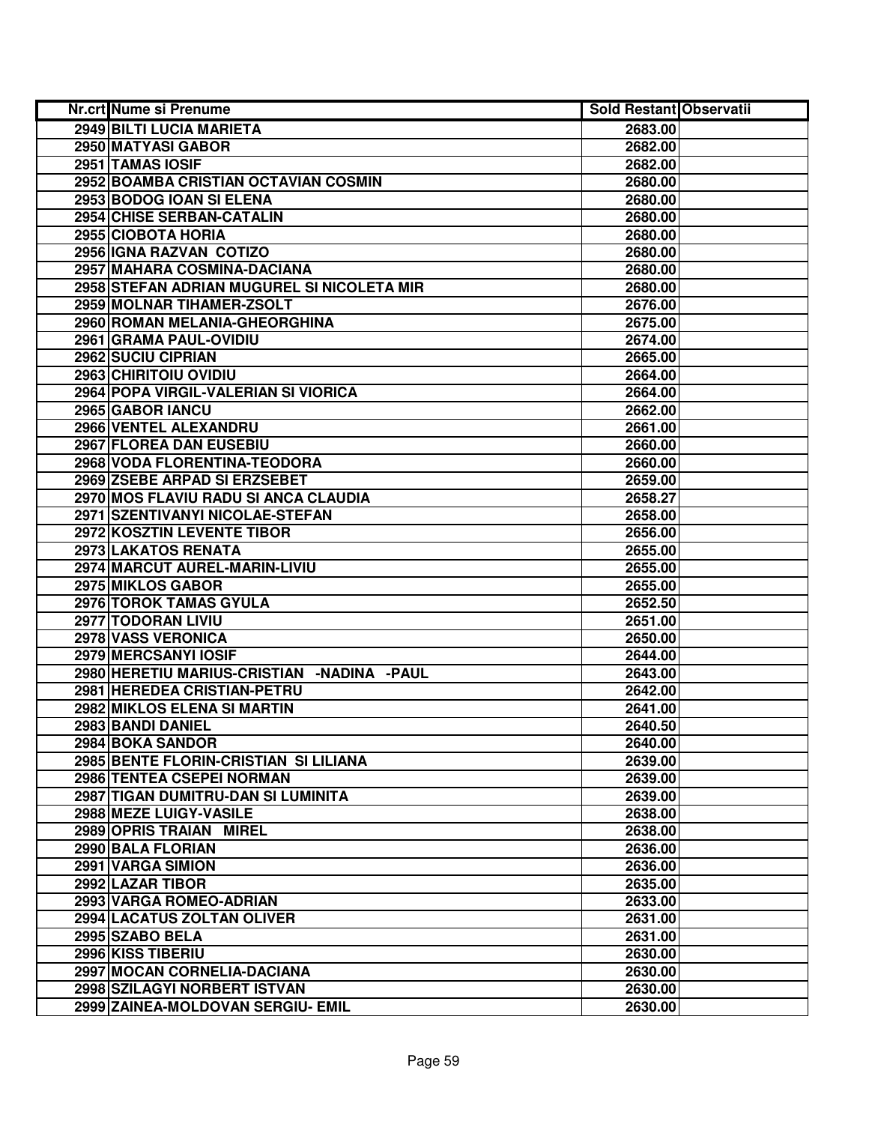| <b>Nr.crt Nume si Prenume</b>                | <b>Sold Restant Observatii</b> |  |
|----------------------------------------------|--------------------------------|--|
| 2949 BILTI LUCIA MARIETA                     | 2683.00                        |  |
| 2950 MATYASI GABOR                           | 2682.00                        |  |
| 2951 TAMAS IOSIF                             | 2682.00                        |  |
| 2952 BOAMBA CRISTIAN OCTAVIAN COSMIN         | 2680.00                        |  |
| 2953 BODOG IOAN SI ELENA                     | 2680.00                        |  |
| 2954 CHISE SERBAN-CATALIN                    | 2680.00                        |  |
| 2955 CIOBOTA HORIA                           | 2680.00                        |  |
| 2956 IGNA RAZVAN COTIZO                      | 2680.00                        |  |
| 2957 MAHARA COSMINA-DACIANA                  | 2680.00                        |  |
| 2958 STEFAN ADRIAN MUGUREL SI NICOLETA MIR   | 2680.00                        |  |
| 2959 MOLNAR TIHAMER-ZSOLT                    | 2676.00                        |  |
| 2960 ROMAN MELANIA-GHEORGHINA                | 2675.00                        |  |
| 2961 GRAMA PAUL-OVIDIU                       | 2674.00                        |  |
| 2962 SUCIU CIPRIAN                           | 2665.00                        |  |
| 2963 CHIRITOIU OVIDIU                        | 2664.00                        |  |
| 2964 POPA VIRGIL-VALERIAN SI VIORICA         | 2664.00                        |  |
| 2965 GABOR IANCU                             | 2662.00                        |  |
| 2966 VENTEL ALEXANDRU                        | 2661.00                        |  |
| 2967 FLOREA DAN EUSEBIU                      | 2660.00                        |  |
| 2968 VODA FLORENTINA-TEODORA                 | 2660.00                        |  |
| 2969 ZSEBE ARPAD SI ERZSEBET                 | 2659.00                        |  |
| 2970 MOS FLAVIU RADU SI ANCA CLAUDIA         | 2658.27                        |  |
| 2971 SZENTIVANYI NICOLAE-STEFAN              | 2658.00                        |  |
| 2972 KOSZTIN LEVENTE TIBOR                   | 2656.00                        |  |
| 2973 LAKATOS RENATA                          | 2655.00                        |  |
| 2974 MARCUT AUREL-MARIN-LIVIU                | 2655.00                        |  |
| 2975 MIKLOS GABOR                            | 2655.00                        |  |
| 2976 TOROK TAMAS GYULA                       | 2652.50                        |  |
| 2977 TODORAN LIVIU                           | 2651.00                        |  |
| 2978 VASS VERONICA                           | 2650.00                        |  |
| 2979 MERCSANYI IOSIF                         | 2644.00                        |  |
| 2980 HERETIU MARIUS-CRISTIAN - NADINA - PAUL | 2643.00                        |  |
| 2981 HEREDEA CRISTIAN-PETRU                  | 2642.00                        |  |
| 2982 MIKLOS ELENA SI MARTIN                  | 2641.00                        |  |
| 2983 BANDI DANIEL                            | 2640.50                        |  |
| 2984 BOKA SANDOR                             | 2640.00                        |  |
| 2985 BENTE FLORIN-CRISTIAN SI LILIANA        | 2639.00                        |  |
| 2986 TENTEA CSEPEI NORMAN                    | 2639.00                        |  |
| 2987 TIGAN DUMITRU-DAN SI LUMINITA           | 2639.00                        |  |
| 2988 MEZE LUIGY-VASILE                       | 2638.00                        |  |
| 2989 OPRIS TRAIAN MIREL                      | 2638.00                        |  |
| 2990 BALA FLORIAN                            | 2636.00                        |  |
| 2991 VARGA SIMION                            | 2636.00                        |  |
| 2992 LAZAR TIBOR                             | 2635.00                        |  |
| 2993 VARGA ROMEO-ADRIAN                      | 2633.00                        |  |
| 2994 LACATUS ZOLTAN OLIVER                   | 2631.00                        |  |
| 2995 SZABO BELA                              | 2631.00                        |  |
| 2996 KISS TIBERIU                            | 2630.00                        |  |
| 2997 MOCAN CORNELIA-DACIANA                  | 2630.00                        |  |
| 2998 SZILAGYI NORBERT ISTVAN                 | 2630.00                        |  |
| 2999 ZAINEA-MOLDOVAN SERGIU- EMIL            | 2630.00                        |  |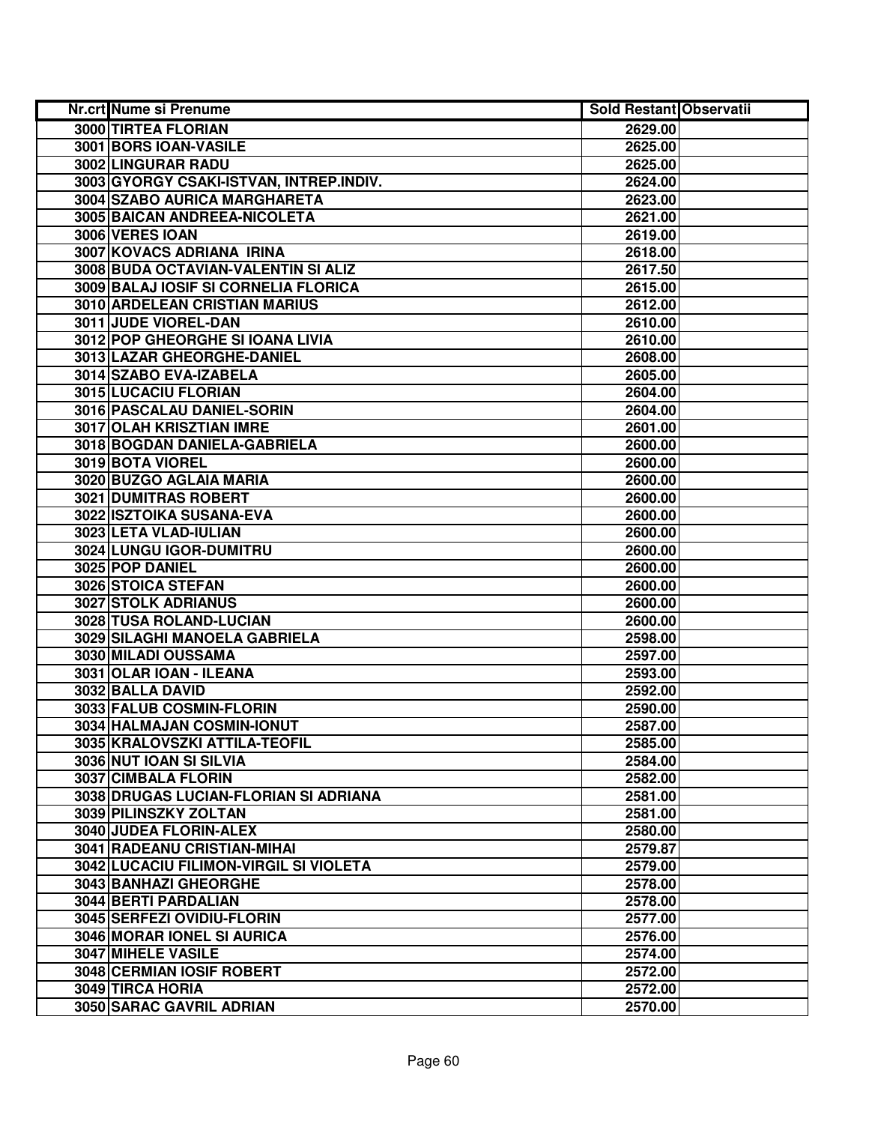| Nr.crt Nume si Prenume                        | <b>Sold Restant Observatii</b> |  |
|-----------------------------------------------|--------------------------------|--|
| 3000 TIRTEA FLORIAN                           | 2629.00                        |  |
| 3001 BORS IOAN-VASILE                         | 2625.00                        |  |
| 3002 LINGURAR RADU                            | 2625.00                        |  |
| 3003 GYORGY CSAKI-ISTVAN, INTREP.INDIV.       | 2624.00                        |  |
| 3004 SZABO AURICA MARGHARETA                  | 2623.00                        |  |
| 3005 BAICAN ANDREEA-NICOLETA                  | 2621.00                        |  |
| 3006 VERES IOAN                               | 2619.00                        |  |
| 3007 KOVACS ADRIANA IRINA                     | 2618.00                        |  |
| 3008 BUDA OCTAVIAN-VALENTIN SI ALIZ           | 2617.50                        |  |
| 3009 BALAJ IOSIF SI CORNELIA FLORICA          | 2615.00                        |  |
| <b>3010 ARDELEAN CRISTIAN MARIUS</b>          | 2612.00                        |  |
| 3011 JUDE VIOREL-DAN                          | 2610.00                        |  |
| 3012 POP GHEORGHE SI IOANA LIVIA              | 2610.00                        |  |
| 3013 LAZAR GHEORGHE-DANIEL                    | 2608.00                        |  |
| 3014 SZABO EVA-IZABELA                        | 2605.00                        |  |
| 3015 LUCACIU FLORIAN                          | 2604.00                        |  |
| 3016 PASCALAU DANIEL-SORIN                    | 2604.00                        |  |
| 3017 OLAH KRISZTIAN IMRE                      | 2601.00                        |  |
| 3018 BOGDAN DANIELA-GABRIELA                  | 2600.00                        |  |
| 3019 BOTA VIOREL                              | 2600.00                        |  |
| 3020 BUZGO AGLAIA MARIA                       | 2600.00                        |  |
| 3021 DUMITRAS ROBERT                          | 2600.00                        |  |
| 3022 ISZTOIKA SUSANA-EVA                      | 2600.00                        |  |
| 3023 LETA VLAD-IULIAN                         | 2600.00                        |  |
| 3024 LUNGU IGOR-DUMITRU                       | 2600.00                        |  |
| 3025 POP DANIEL                               | 2600.00                        |  |
| 3026 STOICA STEFAN                            | 2600.00                        |  |
| 3027 STOLK ADRIANUS                           | 2600.00                        |  |
| 3028 TUSA ROLAND-LUCIAN                       | 2600.00                        |  |
| 3029 SILAGHI MANOELA GABRIELA                 | 2598.00                        |  |
| 3030 MILADI OUSSAMA                           | 2597.00                        |  |
| 3031 OLAR IOAN - ILEANA                       | 2593.00                        |  |
| 3032 BALLA DAVID                              | 2592.00                        |  |
| 3033 FALUB COSMIN-FLORIN                      | 2590.00                        |  |
| 3034 HALMAJAN COSMIN-IONUT                    | 2587.00                        |  |
| 3035 KRALOVSZKI ATTILA-TEOFIL                 | 2585.00                        |  |
| 3036 NUT IOAN SI SILVIA                       | 2584.00                        |  |
| 3037 CIMBALA FLORIN                           | 2582.00                        |  |
| 3038 DRUGAS LUCIAN-FLORIAN SI ADRIANA         | 2581.00                        |  |
| 3039 PILINSZKY ZOLTAN                         | 2581.00                        |  |
| 3040 JUDEA FLORIN-ALEX                        | 2580.00                        |  |
| 3041 RADEANU CRISTIAN-MIHAI                   | 2579.87                        |  |
| <b>3042 LUCACIU FILIMON-VIRGIL SI VIOLETA</b> | 2579.00                        |  |
| 3043 BANHAZI GHEORGHE                         | 2578.00                        |  |
| 3044 BERTI PARDALIAN                          | 2578.00                        |  |
| 3045 SERFEZI OVIDIU-FLORIN                    | 2577.00                        |  |
| 3046 MORAR IONEL SI AURICA                    | 2576.00                        |  |
| 3047 MIHELE VASILE                            | 2574.00                        |  |
| 3048 CERMIAN IOSIF ROBERT                     | 2572.00                        |  |
| 3049 TIRCA HORIA                              | 2572.00                        |  |
| 3050 SARAC GAVRIL ADRIAN                      | 2570.00                        |  |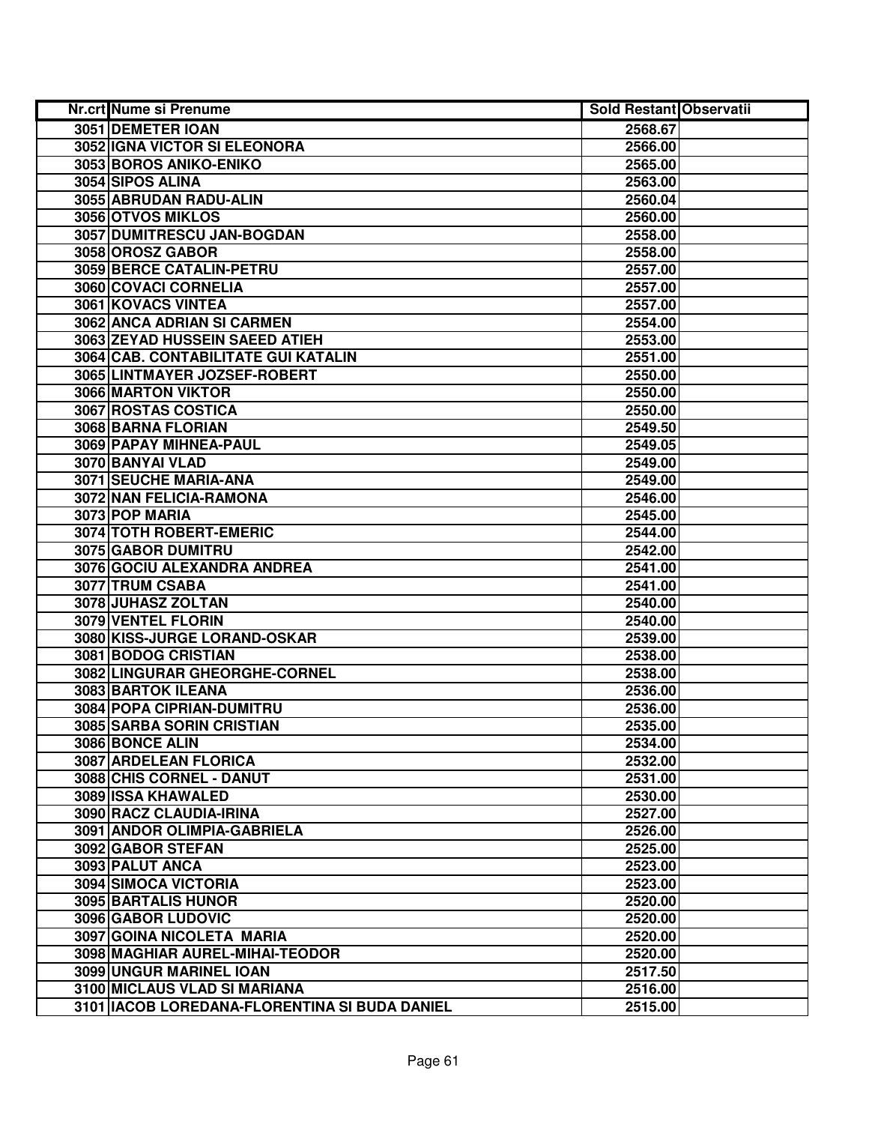| Nr.crt Nume si Prenume                          | <b>Sold Restant Observatii</b> |  |
|-------------------------------------------------|--------------------------------|--|
| 3051 DEMETER IOAN                               | 2568.67                        |  |
| 3052 IGNA VICTOR SI ELEONORA                    | 2566.00                        |  |
| 3053 BOROS ANIKO-ENIKO                          | 2565.00                        |  |
| 3054 SIPOS ALINA                                | 2563.00                        |  |
| 3055 ABRUDAN RADU-ALIN                          | 2560.04                        |  |
| 3056 OTVOS MIKLOS                               | 2560.00                        |  |
| 3057 DUMITRESCU JAN-BOGDAN                      | 2558.00                        |  |
| 3058 OROSZ GABOR                                | 2558.00                        |  |
| <b>3059 BERCE CATALIN-PETRU</b>                 | 2557.00                        |  |
| 3060 COVACI CORNELIA                            | 2557.00                        |  |
| <b>3061 KOVACS VINTEA</b>                       | 2557.00                        |  |
| 3062 ANCA ADRIAN SI CARMEN                      | 2554.00                        |  |
| 3063 ZEYAD HUSSEIN SAEED ATIEH                  | 2553.00                        |  |
| 3064 CAB. CONTABILITATE GUI KATALIN             | 2551.00                        |  |
| 3065 LINTMAYER JOZSEF-ROBERT                    | 2550.00                        |  |
| 3066 MARTON VIKTOR                              | 2550.00                        |  |
| 3067 ROSTAS COSTICA                             | 2550.00                        |  |
| 3068 BARNA FLORIAN                              | 2549.50                        |  |
| 3069 PAPAY MIHNEA-PAUL                          | 2549.05                        |  |
| 3070 BANYAI VLAD                                | 2549.00                        |  |
| 3071 SEUCHE MARIA-ANA                           | 2549.00                        |  |
| 3072 NAN FELICIA-RAMONA                         | 2546.00                        |  |
| 3073 POP MARIA                                  | 2545.00                        |  |
| 3074 TOTH ROBERT-EMERIC                         | 2544.00                        |  |
| 3075 GABOR DUMITRU                              | 2542.00                        |  |
| 3076 GOCIU ALEXANDRA ANDREA                     | 2541.00                        |  |
| 3077 TRUM CSABA                                 | 2541.00                        |  |
| 3078 JUHASZ ZOLTAN                              | 2540.00                        |  |
| 3079 VENTEL FLORIN                              | 2540.00                        |  |
| 3080 KISS-JURGE LORAND-OSKAR                    | 2539.00                        |  |
| 3081 BODOG CRISTIAN                             | 2538.00                        |  |
| 3082 LINGURAR GHEORGHE-CORNEL                   | 2538.00                        |  |
| 3083 BARTOK ILEANA                              | 2536.00                        |  |
| <b>3084 POPA CIPRIAN-DUMITRU</b>                | 2536.00                        |  |
| 3085 SARBA SORIN CRISTIAN                       | 2535.00                        |  |
| 3086 BONCE ALIN                                 | 2534.00                        |  |
| 3087 ARDELEAN FLORICA                           | 2532.00                        |  |
| 3088 CHIS CORNEL - DANUT                        | 2531.00                        |  |
| <b>3089 ISSA KHAWALED</b>                       | 2530.00                        |  |
| 3090 RACZ CLAUDIA-IRINA                         | 2527.00                        |  |
| 3091 ANDOR OLIMPIA-GABRIELA                     | 2526.00                        |  |
| 3092 GABOR STEFAN                               | 2525.00                        |  |
| 3093 PALUT ANCA                                 | 2523.00                        |  |
| 3094 SIMOCA VICTORIA                            | 2523.00                        |  |
| <b>3095 BARTALIS HUNOR</b>                      | 2520.00                        |  |
| 3096 GABOR LUDOVIC                              | 2520.00                        |  |
| 3097 GOINA NICOLETA MARIA                       | 2520.00                        |  |
| 3098 MAGHIAR AUREL-MIHAI-TEODOR                 | 2520.00                        |  |
| 3099 UNGUR MARINEL IOAN                         | 2517.50                        |  |
| 3100 MICLAUS VLAD SI MARIANA                    | 2516.00                        |  |
| 3101   IACOB LOREDANA-FLORENTINA SI BUDA DANIEL | 2515.00                        |  |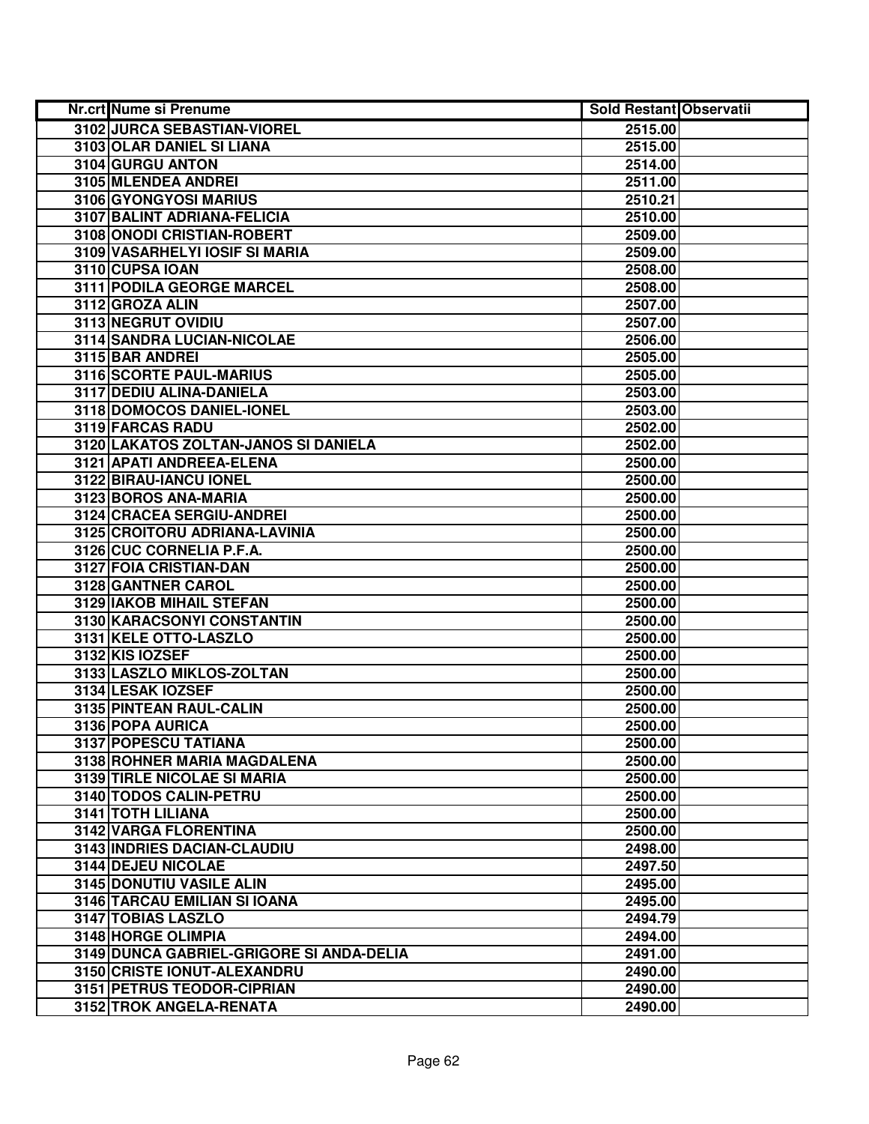| <b>Nr.crt Nume si Prenume</b>            | <b>Sold Restant Observatii</b> |  |
|------------------------------------------|--------------------------------|--|
| 3102 JURCA SEBASTIAN-VIOREL              | 2515.00                        |  |
| 3103 OLAR DANIEL SI LIANA                | 2515.00                        |  |
| 3104 GURGU ANTON                         | 2514.00                        |  |
| 3105 MLENDEA ANDREI                      | 2511.00                        |  |
| 3106 GYONGYOSI MARIUS                    | 2510.21                        |  |
| 3107 BALINT ADRIANA-FELICIA              | 2510.00                        |  |
| 3108 ONODI CRISTIAN-ROBERT               | 2509.00                        |  |
| 3109 VASARHELYI IOSIF SI MARIA           | 2509.00                        |  |
| 3110 CUPSA IOAN                          | 2508.00                        |  |
| 3111 PODILA GEORGE MARCEL                | 2508.00                        |  |
| 3112 GROZA ALIN                          | 2507.00                        |  |
| 3113 NEGRUT OVIDIU                       | 2507.00                        |  |
| 3114 SANDRA LUCIAN-NICOLAE               | 2506.00                        |  |
| 3115 BAR ANDREI                          | 2505.00                        |  |
| 3116 SCORTE PAUL-MARIUS                  | 2505.00                        |  |
| 3117 DEDIU ALINA-DANIELA                 | 2503.00                        |  |
| 3118 DOMOCOS DANIEL-IONEL                | 2503.00                        |  |
| 3119 FARCAS RADU                         | 2502.00                        |  |
| 3120 LAKATOS ZOLTAN-JANOS SI DANIELA     | 2502.00                        |  |
| 3121 APATI ANDREEA-ELENA                 | 2500.00                        |  |
| 3122 BIRAU-IANCU IONEL                   | 2500.00                        |  |
| 3123 BOROS ANA-MARIA                     | 2500.00                        |  |
| 3124 CRACEA SERGIU-ANDREI                | 2500.00                        |  |
| 3125 CROITORU ADRIANA-LAVINIA            | 2500.00                        |  |
| 3126 CUC CORNELIA P.F.A.                 | 2500.00                        |  |
| 3127 FOIA CRISTIAN-DAN                   | 2500.00                        |  |
| 3128 GANTNER CAROL                       | 2500.00                        |  |
| 3129 IAKOB MIHAIL STEFAN                 | 2500.00                        |  |
| 3130 KARACSONYI CONSTANTIN               | 2500.00                        |  |
| 3131 KELE OTTO-LASZLO                    | 2500.00                        |  |
| 3132 KIS IOZSEF                          | 2500.00                        |  |
| 3133 LASZLO MIKLOS-ZOLTAN                | 2500.00                        |  |
| 3134 LESAK IOZSEF                        | 2500.00                        |  |
| 3135 PINTEAN RAUL-CALIN                  | 2500.00                        |  |
| 3136 POPA AURICA                         | 2500.00                        |  |
| 3137 POPESCU TATIANA                     | 2500.00                        |  |
| 3138 ROHNER MARIA MAGDALENA              | 2500.00                        |  |
| <b>3139 TIRLE NICOLAE SI MARIA</b>       | 2500.00                        |  |
| 3140 TODOS CALIN-PETRU                   | 2500.00                        |  |
| 3141 TOTH LILIANA                        | 2500.00                        |  |
| <b>3142 VARGA FLORENTINA</b>             | 2500.00                        |  |
| <b>3143 INDRIES DACIAN-CLAUDIU</b>       | 2498.00                        |  |
| 3144 DEJEU NICOLAE                       | 2497.50                        |  |
| 3145 DONUTIU VASILE ALIN                 | 2495.00                        |  |
| 3146 TARCAU EMILIAN SI IOANA             | 2495.00                        |  |
| 3147 TOBIAS LASZLO                       | 2494.79                        |  |
| 3148 HORGE OLIMPIA                       | 2494.00                        |  |
| 3149 DUNCA GABRIEL-GRIGORE SI ANDA-DELIA | 2491.00                        |  |
| 3150 CRISTE IONUT-ALEXANDRU              | 2490.00                        |  |
| 3151 PETRUS TEODOR-CIPRIAN               | 2490.00                        |  |
| 3152 TROK ANGELA-RENATA                  | 2490.00                        |  |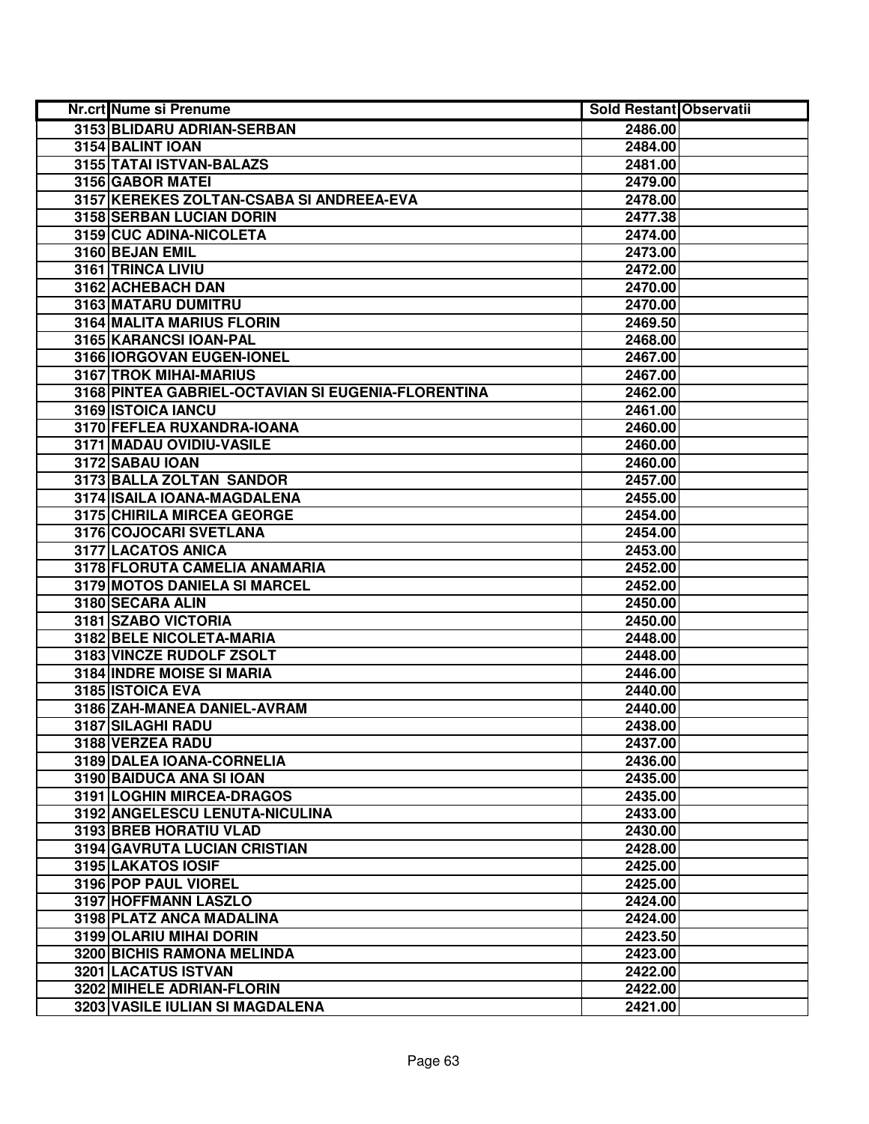| Nr.crt Nume si Prenume                             | <b>Sold Restant Observatii</b> |  |
|----------------------------------------------------|--------------------------------|--|
| 3153 BLIDARU ADRIAN-SERBAN                         | 2486.00                        |  |
| 3154 BALINT IOAN                                   | 2484.00                        |  |
| 3155 TATAI ISTVAN-BALAZS                           | 2481.00                        |  |
| 3156 GABOR MATEI                                   | 2479.00                        |  |
| 3157 KEREKES ZOLTAN-CSABA SI ANDREEA-EVA           | 2478.00                        |  |
| 3158 SERBAN LUCIAN DORIN                           | 2477.38                        |  |
| 3159 CUC ADINA-NICOLETA                            | 2474.00                        |  |
| 3160 BEJAN EMIL                                    | 2473.00                        |  |
| 3161 TRINCA LIVIU                                  | 2472.00                        |  |
| 3162 ACHEBACH DAN                                  | 2470.00                        |  |
| 3163 MATARU DUMITRU                                | 2470.00                        |  |
| 3164 MALITA MARIUS FLORIN                          | 2469.50                        |  |
| 3165 KARANCSI IOAN-PAL                             | 2468.00                        |  |
| 3166 IORGOVAN EUGEN-IONEL                          | 2467.00                        |  |
| 3167 TROK MIHAI-MARIUS                             | 2467.00                        |  |
| 3168 PINTEA GABRIEL-OCTAVIAN SI EUGENIA-FLORENTINA | 2462.00                        |  |
| 3169 ISTOICA IANCU                                 | 2461.00                        |  |
| 3170 FEFLEA RUXANDRA-IOANA                         | 2460.00                        |  |
| 3171 MADAU OVIDIU-VASILE                           | 2460.00                        |  |
| 3172 SABAU IOAN                                    | 2460.00                        |  |
| 3173 BALLA ZOLTAN SANDOR                           | 2457.00                        |  |
| 3174 ISAILA IOANA-MAGDALENA                        | 2455.00                        |  |
| 3175 CHIRILA MIRCEA GEORGE                         | 2454.00                        |  |
| 3176 COJOCARI SVETLANA                             | 2454.00                        |  |
| 3177 LACATOS ANICA                                 | 2453.00                        |  |
| 3178 FLORUTA CAMELIA ANAMARIA                      | 2452.00                        |  |
| 3179 MOTOS DANIELA SI MARCEL                       | 2452.00                        |  |
| 3180 SECARA ALIN                                   | 2450.00                        |  |
| 3181 SZABO VICTORIA                                | 2450.00                        |  |
| 3182 BELE NICOLETA-MARIA                           | 2448.00                        |  |
| 3183 VINCZE RUDOLF ZSOLT                           | 2448.00                        |  |
| <b>3184 INDRE MOISE SI MARIA</b>                   | 2446.00                        |  |
| 3185 ISTOICA EVA                                   | 2440.00                        |  |
| 3186 ZAH-MANEA DANIEL-AVRAM                        | 2440.00                        |  |
| 3187 SILAGHI RADU                                  | 2438.00                        |  |
| 3188 VERZEA RADU                                   | 2437.00                        |  |
| 3189 DALEA IOANA-CORNELIA                          | 2436.00                        |  |
| 3190 BAIDUCA ANA SI IOAN                           | 2435.00                        |  |
| 3191 LOGHIN MIRCEA-DRAGOS                          | 2435.00                        |  |
| 3192 ANGELESCU LENUTA-NICULINA                     | 2433.00                        |  |
| 3193 BREB HORATIU VLAD                             | 2430.00                        |  |
| 3194 GAVRUTA LUCIAN CRISTIAN                       | 2428.00                        |  |
| 3195 LAKATOS IOSIF                                 | 2425.00                        |  |
| 3196 POP PAUL VIOREL                               | 2425.00                        |  |
| 3197 HOFFMANN LASZLO                               | 2424.00                        |  |
| 3198 PLATZ ANCA MADALINA                           | 2424.00                        |  |
| 3199 OLARIU MIHAI DORIN                            | 2423.50                        |  |
| 3200 BICHIS RAMONA MELINDA                         | 2423.00                        |  |
| 3201 LACATUS ISTVAN                                | 2422.00                        |  |
| 3202 MIHELE ADRIAN-FLORIN                          | 2422.00                        |  |
| 3203 VASILE IULIAN SI MAGDALENA                    | 2421.00                        |  |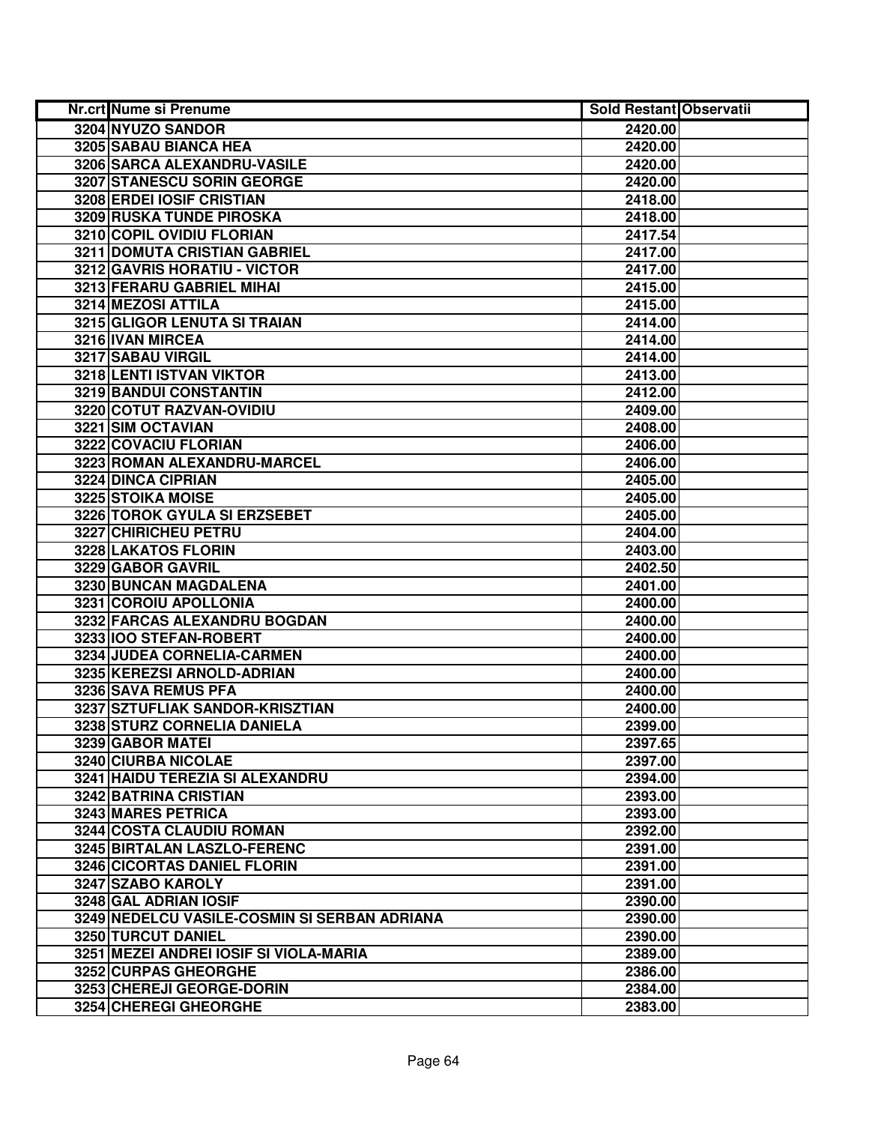| Nr.crt Nume si Prenume                       | <b>Sold Restant Observatii</b> |  |
|----------------------------------------------|--------------------------------|--|
| 3204 NYUZO SANDOR                            | 2420.00                        |  |
| 3205 SABAU BIANCA HEA                        | 2420.00                        |  |
| 3206 SARCA ALEXANDRU-VASILE                  | 2420.00                        |  |
| 3207 STANESCU SORIN GEORGE                   | 2420.00                        |  |
| 3208 ERDEI IOSIF CRISTIAN                    | 2418.00                        |  |
| 3209 RUSKA TUNDE PIROSKA                     | 2418.00                        |  |
| 3210 COPIL OVIDIU FLORIAN                    | 2417.54                        |  |
| 3211 DOMUTA CRISTIAN GABRIEL                 | 2417.00                        |  |
| 3212 GAVRIS HORATIU - VICTOR                 | 2417.00                        |  |
| 3213 FERARU GABRIEL MIHAI                    | 2415.00                        |  |
| <b>3214 MEZOSI ATTILA</b>                    | 2415.00                        |  |
| 3215 GLIGOR LENUTA SI TRAIAN                 | 2414.00                        |  |
| 3216 IVAN MIRCEA                             | 2414.00                        |  |
| 3217 SABAU VIRGIL                            | 2414.00                        |  |
| 3218 LENTI ISTVAN VIKTOR                     | 2413.00                        |  |
| 3219 BANDUI CONSTANTIN                       | 2412.00                        |  |
| 3220 COTUT RAZVAN-OVIDIU                     | 2409.00                        |  |
| 3221 SIM OCTAVIAN                            | 2408.00                        |  |
| 3222 COVACIU FLORIAN                         | 2406.00                        |  |
| 3223 ROMAN ALEXANDRU-MARCEL                  | 2406.00                        |  |
| 3224 DINCA CIPRIAN                           | 2405.00                        |  |
| 3225 STOIKA MOISE                            | 2405.00                        |  |
| 3226 TOROK GYULA SI ERZSEBET                 | 2405.00                        |  |
| 3227 CHIRICHEU PETRU                         | 2404.00                        |  |
| 3228 LAKATOS FLORIN                          | 2403.00                        |  |
| 3229 GABOR GAVRIL                            | 2402.50                        |  |
| 3230 BUNCAN MAGDALENA                        | 2401.00                        |  |
| 3231 COROIU APOLLONIA                        | 2400.00                        |  |
| 3232 FARCAS ALEXANDRU BOGDAN                 | 2400.00                        |  |
| 3233 IOO STEFAN-ROBERT                       | 2400.00                        |  |
| 3234 JUDEA CORNELIA-CARMEN                   | 2400.00                        |  |
| 3235 KEREZSI ARNOLD-ADRIAN                   | 2400.00                        |  |
| 3236 SAVA REMUS PFA                          | 2400.00                        |  |
| 3237 SZTUFLIAK SANDOR-KRISZTIAN              | 2400.00                        |  |
| 3238 STURZ CORNELIA DANIELA                  | 2399.00                        |  |
| 3239 GABOR MATEI                             | 2397.65                        |  |
| 3240 CIURBA NICOLAE                          | 2397.00                        |  |
| 3241 HAIDU TEREZIA SI ALEXANDRU              | 2394.00                        |  |
| 3242 BATRINA CRISTIAN                        | 2393.00                        |  |
| 3243 MARES PETRICA                           | 2393.00                        |  |
| 3244 COSTA CLAUDIU ROMAN                     | 2392.00                        |  |
| 3245 BIRTALAN LASZLO-FERENC                  | 2391.00                        |  |
| 3246 CICORTAS DANIEL FLORIN                  | 2391.00                        |  |
| 3247 SZABO KAROLY                            | 2391.00                        |  |
| 3248 GAL ADRIAN IOSIF                        | 2390.00                        |  |
| 3249 NEDELCU VASILE-COSMIN SI SERBAN ADRIANA | 2390.00                        |  |
| 3250 TURCUT DANIEL                           | 2390.00                        |  |
| 3251 MEZEI ANDREI IOSIF SI VIOLA-MARIA       | 2389.00                        |  |
| 3252 CURPAS GHEORGHE                         | 2386.00                        |  |
| 3253 CHEREJI GEORGE-DORIN                    | 2384.00                        |  |
| 3254 CHEREGI GHEORGHE                        | 2383.00                        |  |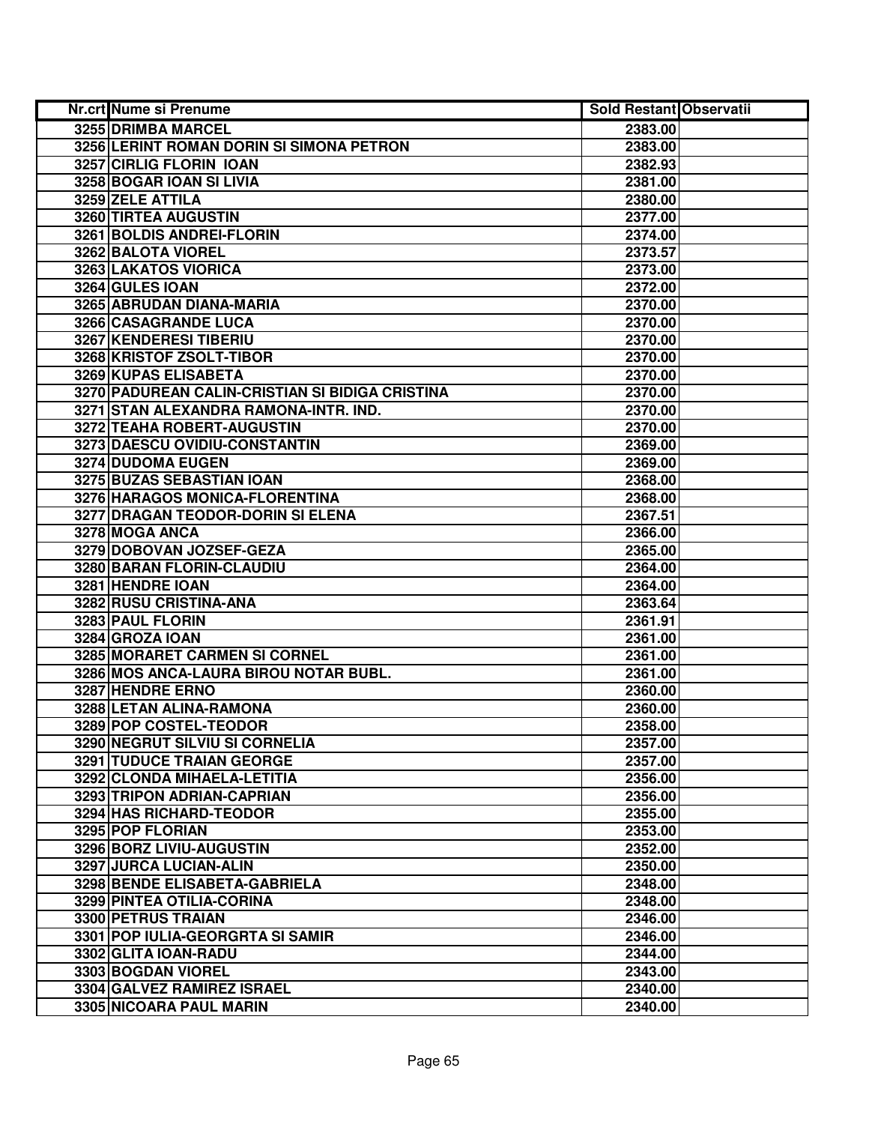| Nr.crt Nume si Prenume                          | <b>Sold Restant Observatii</b> |  |
|-------------------------------------------------|--------------------------------|--|
| 3255 DRIMBA MARCEL                              | 2383.00                        |  |
| 3256 LERINT ROMAN DORIN SI SIMONA PETRON        | 2383.00                        |  |
| 3257 CIRLIG FLORIN IOAN                         | 2382.93                        |  |
| 3258 BOGAR IOAN SI LIVIA                        | 2381.00                        |  |
| 3259 ZELE ATTILA                                | 2380.00                        |  |
| <b>3260 TIRTEA AUGUSTIN</b>                     | 2377.00                        |  |
| 3261 BOLDIS ANDREI-FLORIN                       | 2374.00                        |  |
| 3262 BALOTA VIOREL                              | 2373.57                        |  |
| <b>3263 LAKATOS VIORICA</b>                     | 2373.00                        |  |
| 3264 GULES IOAN                                 | 2372.00                        |  |
| 3265 ABRUDAN DIANA-MARIA                        | 2370.00                        |  |
| 3266 CASAGRANDE LUCA                            | 2370.00                        |  |
| 3267 KENDERESI TIBERIU                          | 2370.00                        |  |
| 3268 KRISTOF ZSOLT-TIBOR                        | 2370.00                        |  |
| 3269 KUPAS ELISABETA                            | 2370.00                        |  |
| 3270 PADUREAN CALIN-CRISTIAN SI BIDIGA CRISTINA | 2370.00                        |  |
| 3271 STAN ALEXANDRA RAMONA-INTR. IND.           | 2370.00                        |  |
| 3272 TEAHA ROBERT-AUGUSTIN                      | 2370.00                        |  |
| 3273 DAESCU OVIDIU-CONSTANTIN                   | 2369.00                        |  |
| 3274 DUDOMA EUGEN                               | 2369.00                        |  |
| 3275 BUZAS SEBASTIAN IOAN                       | 2368.00                        |  |
| 3276 HARAGOS MONICA-FLORENTINA                  | 2368.00                        |  |
| 3277 DRAGAN TEODOR-DORIN SI ELENA               | 2367.51                        |  |
| 3278 MOGA ANCA                                  | 2366.00                        |  |
| 3279 DOBOVAN JOZSEF-GEZA                        | 2365.00                        |  |
| 3280 BARAN FLORIN-CLAUDIU                       | 2364.00                        |  |
| 3281 HENDRE IOAN                                | 2364.00                        |  |
| 3282 RUSU CRISTINA-ANA                          | 2363.64                        |  |
| 3283 PAUL FLORIN                                | 2361.91                        |  |
| 3284 GROZA IOAN                                 | 2361.00                        |  |
| 3285 MORARET CARMEN SI CORNEL                   | 2361.00                        |  |
| 3286 MOS ANCA-LAURA BIROU NOTAR BUBL.           | 2361.00                        |  |
| 3287 HENDRE ERNO                                | 2360.00                        |  |
| 3288 LETAN ALINA-RAMONA                         | 2360.00                        |  |
| 3289 POP COSTEL-TEODOR                          | 2358.00                        |  |
| 3290 NEGRUT SILVIU SI CORNELIA                  | 2357.00                        |  |
| <b>3291 TUDUCE TRAIAN GEORGE</b>                | 2357.00                        |  |
| 3292 CLONDA MIHAELA-LETITIA                     | 2356.00                        |  |
| 3293 TRIPON ADRIAN-CAPRIAN                      | 2356.00                        |  |
| 3294 HAS RICHARD-TEODOR                         | 2355.00                        |  |
| 3295 POP FLORIAN                                | 2353.00                        |  |
| 3296 BORZ LIVIU-AUGUSTIN                        | 2352.00                        |  |
| 3297 JURCA LUCIAN-ALIN                          | 2350.00                        |  |
| 3298 BENDE ELISABETA-GABRIELA                   | 2348.00                        |  |
| 3299 PINTEA OTILIA-CORINA                       | 2348.00                        |  |
| 3300 PETRUS TRAIAN                              | 2346.00                        |  |
| 3301 POP IULIA-GEORGRTA SI SAMIR                | 2346.00                        |  |
| 3302 GLITA IOAN-RADU                            | 2344.00                        |  |
| 3303 BOGDAN VIOREL                              | 2343.00                        |  |
| 3304 GALVEZ RAMIREZ ISRAEL                      | 2340.00                        |  |
| 3305 NICOARA PAUL MARIN                         | 2340.00                        |  |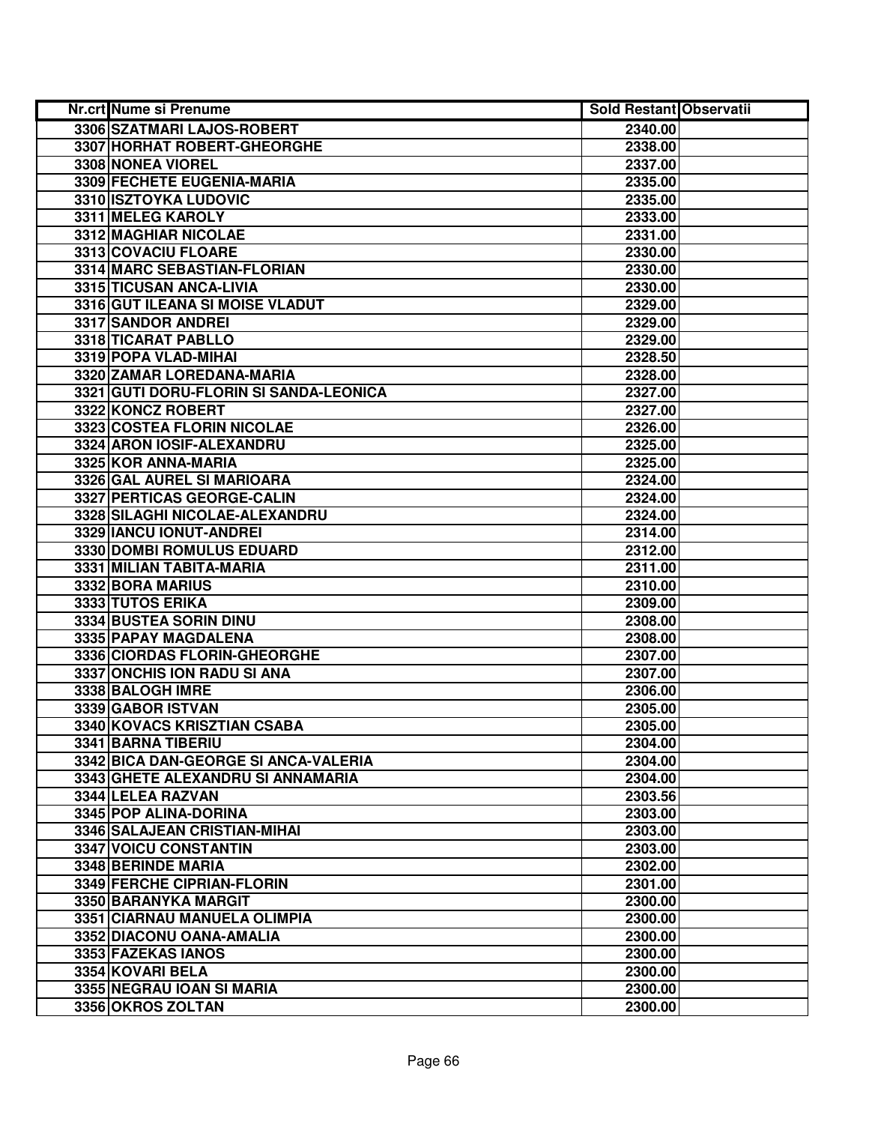| Nr.crt Nume si Prenume                 | <b>Sold Restant Observatii</b> |  |
|----------------------------------------|--------------------------------|--|
| 3306 SZATMARI LAJOS-ROBERT             | 2340.00                        |  |
| 3307 HORHAT ROBERT-GHEORGHE            | 2338.00                        |  |
| 3308 NONEA VIOREL                      | 2337.00                        |  |
| 3309 FECHETE EUGENIA-MARIA             | 2335.00                        |  |
| 3310 ISZTOYKA LUDOVIC                  | 2335.00                        |  |
| 3311 MELEG KAROLY                      | 2333.00                        |  |
| 3312 MAGHIAR NICOLAE                   | 2331.00                        |  |
| 3313 COVACIU FLOARE                    | 2330.00                        |  |
| 3314 MARC SEBASTIAN-FLORIAN            | 2330.00                        |  |
| 3315 TICUSAN ANCA-LIVIA                | 2330.00                        |  |
| 3316 GUT ILEANA SI MOISE VLADUT        | 2329.00                        |  |
| 3317 SANDOR ANDREI                     | 2329.00                        |  |
| 3318 TICARAT PABLLO                    | 2329.00                        |  |
| 3319 POPA VLAD-MIHAI                   | 2328.50                        |  |
| 3320 ZAMAR LOREDANA-MARIA              | 2328.00                        |  |
| 3321 GUTI DORU-FLORIN SI SANDA-LEONICA | 2327.00                        |  |
| 3322 KONCZ ROBERT                      | 2327.00                        |  |
| 3323 COSTEA FLORIN NICOLAE             | 2326.00                        |  |
| 3324 ARON IOSIF-ALEXANDRU              | 2325.00                        |  |
| 3325 KOR ANNA-MARIA                    | 2325.00                        |  |
| 3326 GAL AUREL SI MARIOARA             | 2324.00                        |  |
| 3327 PERTICAS GEORGE-CALIN             | 2324.00                        |  |
| 3328 SILAGHI NICOLAE-ALEXANDRU         | 2324.00                        |  |
| 3329 IANCU IONUT-ANDREI                | 2314.00                        |  |
| 3330 DOMBI ROMULUS EDUARD              | 2312.00                        |  |
| 3331 MILIAN TABITA-MARIA               | 2311.00                        |  |
| 3332 BORA MARIUS                       | 2310.00                        |  |
| 3333 TUTOS ERIKA                       | 2309.00                        |  |
| 3334 BUSTEA SORIN DINU                 | 2308.00                        |  |
| 3335 PAPAY MAGDALENA                   | 2308.00                        |  |
| 3336 CIORDAS FLORIN-GHEORGHE           | 2307.00                        |  |
| 3337 ONCHIS ION RADU SI ANA            | 2307.00                        |  |
| 3338 BALOGH IMRE                       | 2306.00                        |  |
| 3339 GABOR ISTVAN                      | 2305.00                        |  |
| 3340 KOVACS KRISZTIAN CSABA            | 2305.00                        |  |
| 3341 BARNA TIBERIU                     | 2304.00                        |  |
| 3342 BICA DAN-GEORGE SI ANCA-VALERIA   | 2304.00                        |  |
| 3343 GHETE ALEXANDRU SI ANNAMARIA      | 2304.00                        |  |
| 3344 LELEA RAZVAN                      | 2303.56                        |  |
| 3345 POP ALINA-DORINA                  | 2303.00                        |  |
| 3346 SALAJEAN CRISTIAN-MIHAI           | 2303.00                        |  |
| 3347 VOICU CONSTANTIN                  | 2303.00                        |  |
| 3348 BERINDE MARIA                     | 2302.00                        |  |
| 3349 FERCHE CIPRIAN-FLORIN             | 2301.00                        |  |
| 3350 BARANYKA MARGIT                   | 2300.00                        |  |
| 3351 CIARNAU MANUELA OLIMPIA           | 2300.00                        |  |
| 3352 DIACONU OANA-AMALIA               | 2300.00                        |  |
| 3353 FAZEKAS IANOS                     | 2300.00                        |  |
| 3354 KOVARI BELA                       | 2300.00                        |  |
| 3355 NEGRAU IOAN SI MARIA              | 2300.00                        |  |
| 3356 OKROS ZOLTAN                      | 2300.00                        |  |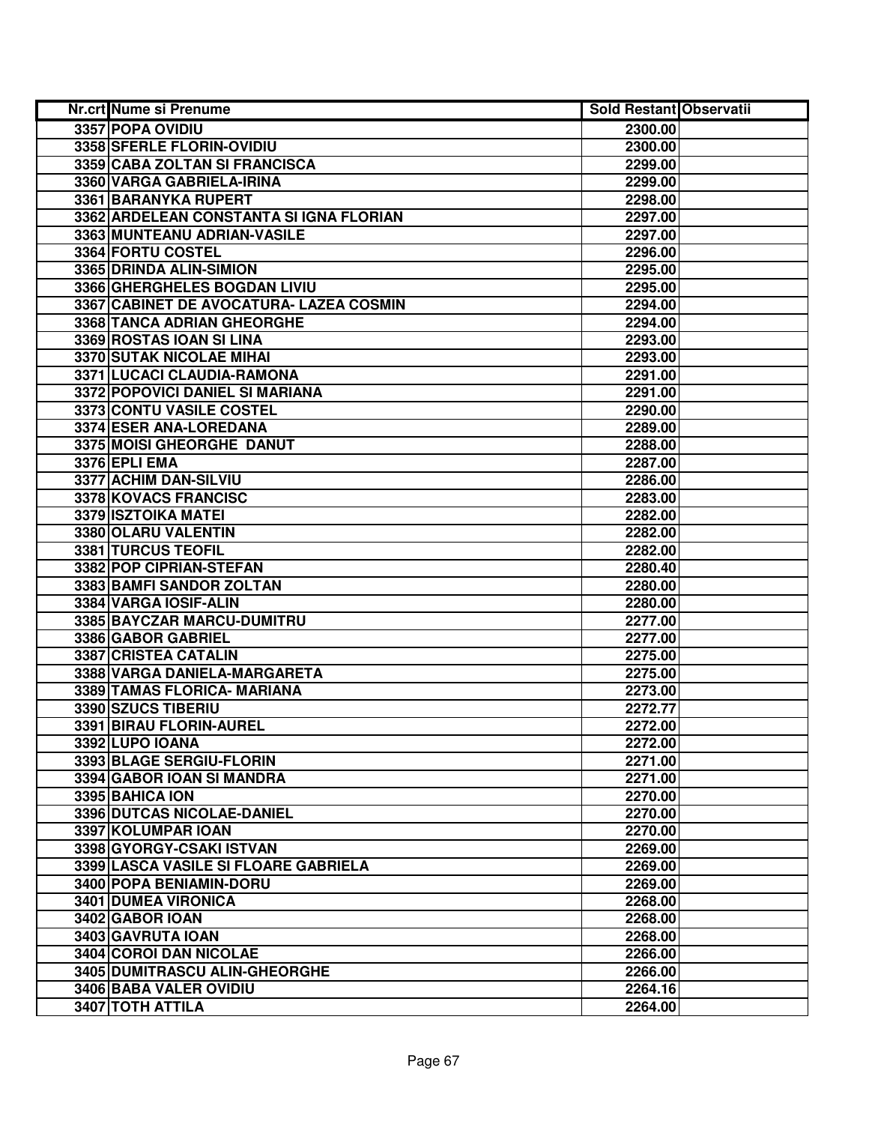| Nr.crt Nume si Prenume                  | <b>Sold Restant Observatii</b> |  |
|-----------------------------------------|--------------------------------|--|
| 3357 POPA OVIDIU                        | 2300.00                        |  |
| 3358 SFERLE FLORIN-OVIDIU               | 2300.00                        |  |
| 3359 CABA ZOLTAN SI FRANCISCA           | 2299.00                        |  |
| 3360 VARGA GABRIELA-IRINA               | 2299.00                        |  |
| 3361 BARANYKA RUPERT                    | 2298.00                        |  |
| 3362 ARDELEAN CONSTANTA SI IGNA FLORIAN | 2297.00                        |  |
| 3363 MUNTEANU ADRIAN-VASILE             | 2297.00                        |  |
| 3364 FORTU COSTEL                       | 2296.00                        |  |
| 3365 DRINDA ALIN-SIMION                 | 2295.00                        |  |
| 3366 GHERGHELES BOGDAN LIVIU            | 2295.00                        |  |
| 3367 CABINET DE AVOCATURA- LAZEA COSMIN | 2294.00                        |  |
| 3368 TANCA ADRIAN GHEORGHE              | 2294.00                        |  |
| 3369 ROSTAS IOAN SI LINA                | 2293.00                        |  |
| 3370 SUTAK NICOLAE MIHAI                | 2293.00                        |  |
| 3371 LUCACI CLAUDIA-RAMONA              | 2291.00                        |  |
| 3372 POPOVICI DANIEL SI MARIANA         | 2291.00                        |  |
| 3373 CONTU VASILE COSTEL                | 2290.00                        |  |
| 3374 ESER ANA-LOREDANA                  | 2289.00                        |  |
| 3375 MOISI GHEORGHE DANUT               | 2288.00                        |  |
| 3376 EPLI EMA                           | 2287.00                        |  |
| 3377 ACHIM DAN-SILVIU                   | 2286.00                        |  |
| 3378 KOVACS FRANCISC                    | 2283.00                        |  |
| 3379 ISZTOIKA MATEI                     | 2282.00                        |  |
| 3380 OLARU VALENTIN                     | 2282.00                        |  |
| 3381 TURCUS TEOFIL                      | 2282.00                        |  |
| 3382 POP CIPRIAN-STEFAN                 | 2280.40                        |  |
| 3383 BAMFI SANDOR ZOLTAN                | 2280.00                        |  |
| 3384 VARGA IOSIF-ALIN                   | 2280.00                        |  |
| 3385 BAYCZAR MARCU-DUMITRU              | 2277.00                        |  |
| 3386 GABOR GABRIEL                      | 2277.00                        |  |
| 3387 CRISTEA CATALIN                    | 2275.00                        |  |
| 3388 VARGA DANIELA-MARGARETA            | 2275.00                        |  |
| 3389 TAMAS FLORICA- MARIANA             | 2273.00                        |  |
| 3390 SZUCS TIBERIU                      | 2272.77                        |  |
| 3391 BIRAU FLORIN-AUREL                 | 2272.00                        |  |
| 3392 LUPO IOANA                         | 2272.00                        |  |
| 3393 BLAGE SERGIU-FLORIN                | 2271.00                        |  |
| 3394 GABOR IOAN SI MANDRA               | 2271.00                        |  |
| 3395 BAHICA ION                         | 2270.00                        |  |
| 3396 DUTCAS NICOLAE-DANIEL              | 2270.00                        |  |
| 3397 KOLUMPAR IOAN                      | 2270.00                        |  |
| 3398 GYORGY-CSAKI ISTVAN                | 2269.00                        |  |
| 3399 LASCA VASILE SI FLOARE GABRIELA    | 2269.00                        |  |
| 3400 POPA BENIAMIN-DORU                 | 2269.00                        |  |
| 3401 DUMEA VIRONICA                     | 2268.00                        |  |
| 3402 GABOR IOAN                         | 2268.00                        |  |
| 3403 GAVRUTA IOAN                       | 2268.00                        |  |
| <b>3404 COROI DAN NICOLAE</b>           | 2266.00                        |  |
| 3405 DUMITRASCU ALIN-GHEORGHE           | 2266.00                        |  |
| 3406 BABA VALER OVIDIU                  | 2264.16                        |  |
| 3407 TOTH ATTILA                        | 2264.00                        |  |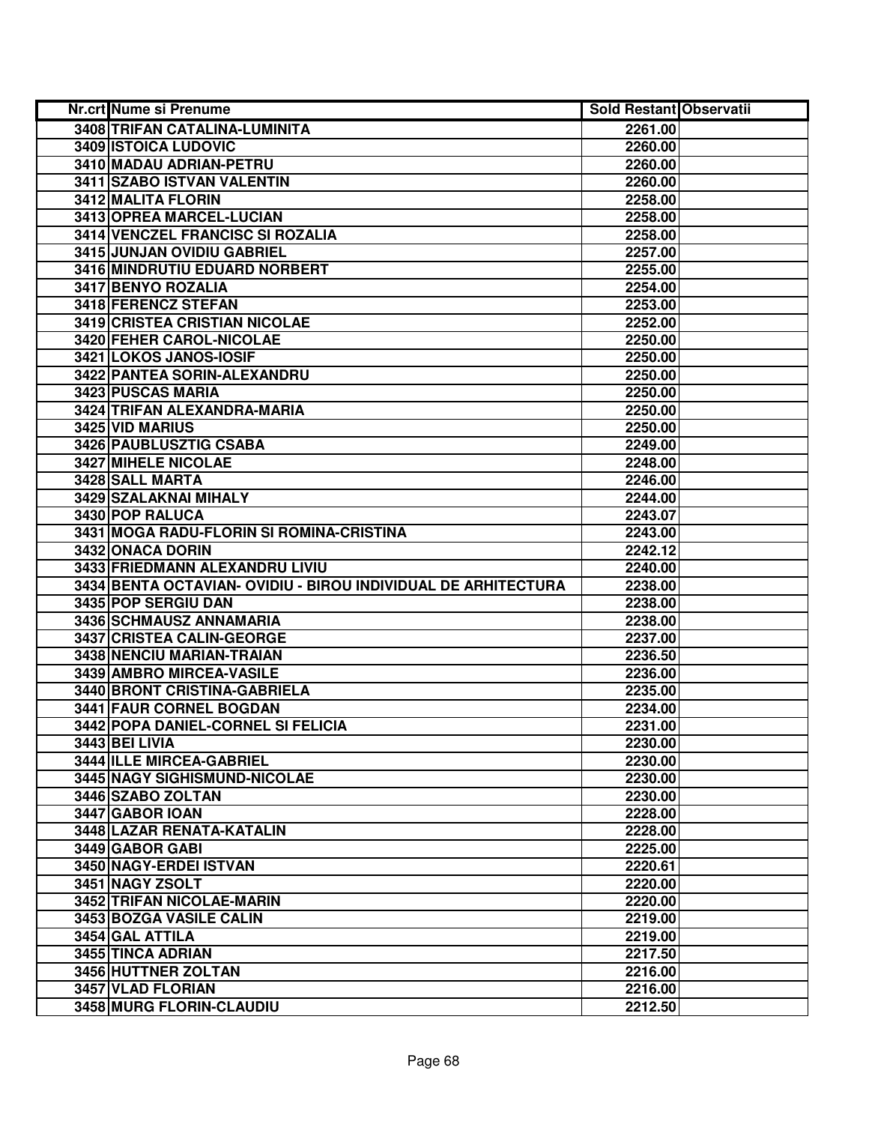| <b>Nr.crt Nume si Prenume</b>                                 | <b>Sold Restant Observatii</b> |  |
|---------------------------------------------------------------|--------------------------------|--|
| 3408 TRIFAN CATALINA-LUMINITA                                 | 2261.00                        |  |
| 3409 ISTOICA LUDOVIC                                          | 2260.00                        |  |
| 3410 MADAU ADRIAN-PETRU                                       | 2260.00                        |  |
| 3411 SZABO ISTVAN VALENTIN                                    | 2260.00                        |  |
| 3412 MALITA FLORIN                                            | 2258.00                        |  |
| 3413 OPREA MARCEL-LUCIAN                                      | 2258.00                        |  |
| 3414 VENCZEL FRANCISC SI ROZALIA                              | 2258.00                        |  |
| 3415 JUNJAN OVIDIU GABRIEL                                    | 2257.00                        |  |
| 3416 MINDRUTIU EDUARD NORBERT                                 | 2255,00                        |  |
| 3417 BENYO ROZALIA                                            | 2254.00                        |  |
| 3418 FERENCZ STEFAN                                           | 2253.00                        |  |
| 3419 CRISTEA CRISTIAN NICOLAE                                 | 2252.00                        |  |
| 3420 FEHER CAROL-NICOLAE                                      | 2250.00                        |  |
| 3421 LOKOS JANOS-IOSIF                                        | 2250.00                        |  |
| 3422 PANTEA SORIN-ALEXANDRU                                   | 2250.00                        |  |
| 3423 PUSCAS MARIA                                             | 2250.00                        |  |
| 3424 TRIFAN ALEXANDRA-MARIA                                   | 2250.00                        |  |
| 3425 VID MARIUS                                               | 2250.00                        |  |
| 3426 PAUBLUSZTIG CSABA                                        | 2249.00                        |  |
| 3427 MIHELE NICOLAE                                           | 2248.00                        |  |
| 3428 SALL MARTA                                               | 2246.00                        |  |
| 3429 SZALAKNAI MIHALY                                         | 2244.00                        |  |
| 3430 POP RALUCA                                               | 2243.07                        |  |
| 3431 MOGA RADU-FLORIN SI ROMINA-CRISTINA                      | 2243.00                        |  |
| 3432 ONACA DORIN                                              | 2242.12                        |  |
| 3433 FRIEDMANN ALEXANDRU LIVIU                                | 2240.00                        |  |
| 3434 BENTA OCTAVIAN- OVIDIU - BIROU INDIVIDUAL DE ARHITECTURA | 2238.00                        |  |
| 3435 POP SERGIU DAN                                           | 2238.00                        |  |
| 3436 SCHMAUSZ ANNAMARIA                                       | 2238.00                        |  |
| 3437 CRISTEA CALIN-GEORGE                                     | 2237.00                        |  |
| 3438 NENCIU MARIAN-TRAIAN                                     | 2236.50                        |  |
| 3439 AMBRO MIRCEA-VASILE                                      | 2236.00                        |  |
| 3440 BRONT CRISTINA-GABRIELA                                  | 2235.00                        |  |
| <b>3441 FAUR CORNEL BOGDAN</b>                                | 2234.00                        |  |
| 3442 POPA DANIEL-CORNEL SI FELICIA                            | 2231.00                        |  |
| <b>3443 BEI LIVIA</b>                                         | 2230.00                        |  |
| 3444 ILLE MIRCEA-GABRIEL                                      | 2230.00                        |  |
| 3445 NAGY SIGHISMUND-NICOLAE                                  | 2230.00                        |  |
| 3446 SZABO ZOLTAN                                             | 2230.00                        |  |
| 3447 GABOR IOAN                                               | 2228.00                        |  |
| 3448 LAZAR RENATA-KATALIN                                     | 2228.00                        |  |
| 3449 GABOR GABI                                               | 2225.00                        |  |
| 3450 NAGY-ERDEI ISTVAN                                        | 2220.61                        |  |
| 3451 NAGY ZSOLT                                               | 2220.00                        |  |
| 3452 TRIFAN NICOLAE-MARIN                                     | 2220.00                        |  |
| 3453 BOZGA VASILE CALIN                                       | 2219.00                        |  |
| 3454 GAL ATTILA                                               | 2219.00                        |  |
| 3455 TINCA ADRIAN                                             | 2217.50                        |  |
| 3456 HUTTNER ZOLTAN                                           | 2216.00                        |  |
| 3457 VLAD FLORIAN                                             | 2216.00                        |  |
| 3458 MURG FLORIN-CLAUDIU                                      | 2212.50                        |  |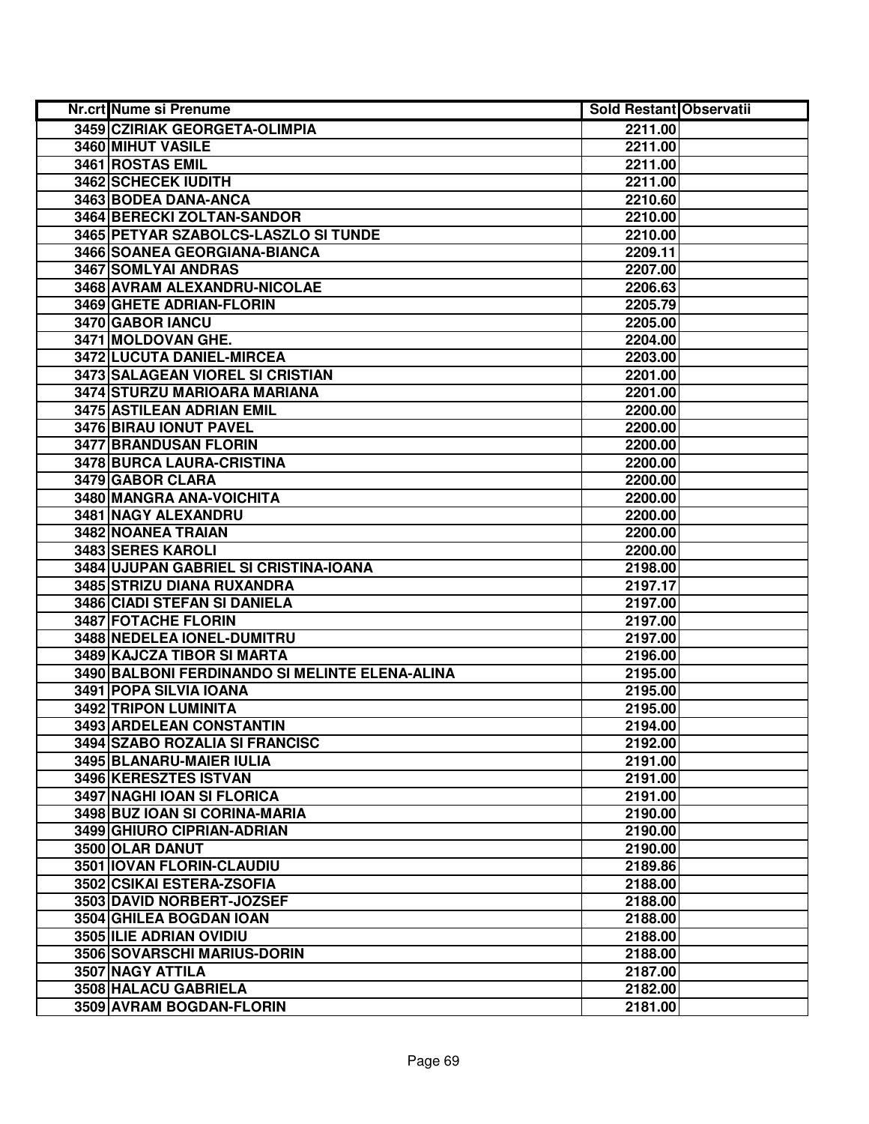| <b>Nr.crt Nume si Prenume</b>                  | <b>Sold Restant Observatii</b> |  |
|------------------------------------------------|--------------------------------|--|
| 3459 CZIRIAK GEORGETA-OLIMPIA                  | 2211.00                        |  |
| 3460 MIHUT VASILE                              | 2211.00                        |  |
| 3461 ROSTAS EMIL                               | 2211.00                        |  |
| 3462 SCHECEK IUDITH                            | 2211.00                        |  |
| 3463 BODEA DANA-ANCA                           | 2210.60                        |  |
| 3464 BERECKI ZOLTAN-SANDOR                     | 2210.00                        |  |
| 3465 PETYAR SZABOLCS-LASZLO SI TUNDE           | 2210.00                        |  |
| 3466 SOANEA GEORGIANA-BIANCA                   | 2209.11                        |  |
| 3467 SOMLYAI ANDRAS                            | 2207.00                        |  |
| 3468 AVRAM ALEXANDRU-NICOLAE                   | 2206.63                        |  |
| 3469 GHETE ADRIAN-FLORIN                       | 2205.79                        |  |
| 3470 GABOR IANCU                               | 2205.00                        |  |
| 3471 MOLDOVAN GHE.                             | 2204.00                        |  |
| 3472 LUCUTA DANIEL-MIRCEA                      | 2203.00                        |  |
| 3473 SALAGEAN VIOREL SI CRISTIAN               | 2201.00                        |  |
| 3474 STURZU MARIOARA MARIANA                   | 2201.00                        |  |
| 3475 ASTILEAN ADRIAN EMIL                      | 2200.00                        |  |
| 3476 BIRAU IONUT PAVEL                         | 2200.00                        |  |
| 3477 BRANDUSAN FLORIN                          | 2200.00                        |  |
| 3478 BURCA LAURA-CRISTINA                      | 2200.00                        |  |
| 3479 GABOR CLARA                               | 2200.00                        |  |
| 3480 MANGRA ANA-VOICHITA                       | 2200.00                        |  |
| 3481 NAGY ALEXANDRU                            | 2200.00                        |  |
| 3482 NOANEA TRAIAN                             | 2200.00                        |  |
| 3483 SERES KAROLI                              | 2200.00                        |  |
| 3484 UJUPAN GABRIEL SI CRISTINA-IOANA          | 2198.00                        |  |
| 3485 STRIZU DIANA RUXANDRA                     | 2197.17                        |  |
| 3486 CIADI STEFAN SI DANIELA                   | 2197.00                        |  |
| 3487 FOTACHE FLORIN                            | 2197.00                        |  |
| 3488 NEDELEA IONEL-DUMITRU                     | 2197.00                        |  |
| 3489 KAJCZA TIBOR SI MARTA                     | 2196.00                        |  |
| 3490 BALBONI FERDINANDO SI MELINTE ELENA-ALINA | 2195.00                        |  |
| 3491 POPA SILVIA IOANA                         | 2195.00                        |  |
| 3492 TRIPON LUMINITA                           | 2195.00                        |  |
| 3493 ARDELEAN CONSTANTIN                       | 2194.00                        |  |
| 3494 SZABO ROZALIA SI FRANCISC                 | 2192.00                        |  |
| 3495 BLANARU-MAIER IULIA                       | 2191.00                        |  |
| 3496 KERESZTES ISTVAN                          | 2191.00                        |  |
| 3497 NAGHI IOAN SI FLORICA                     | 2191.00                        |  |
| 3498 BUZ IOAN SI CORINA-MARIA                  | 2190.00                        |  |
| 3499 GHIURO CIPRIAN-ADRIAN                     | 2190.00                        |  |
| 3500 OLAR DANUT                                | 2190.00                        |  |
| 3501 IOVAN FLORIN-CLAUDIU                      | 2189.86                        |  |
| 3502 CSIKAI ESTERA-ZSOFIA                      | 2188.00                        |  |
| 3503 DAVID NORBERT-JOZSEF                      | 2188.00                        |  |
| 3504 GHILEA BOGDAN IOAN                        | 2188.00                        |  |
| 3505 ILIE ADRIAN OVIDIU                        | 2188.00                        |  |
| 3506 SOVARSCHI MARIUS-DORIN                    | 2188.00                        |  |
| 3507 NAGY ATTILA                               | 2187.00                        |  |
| 3508 HALACU GABRIELA                           | 2182.00                        |  |
| 3509 AVRAM BOGDAN-FLORIN                       | 2181.00                        |  |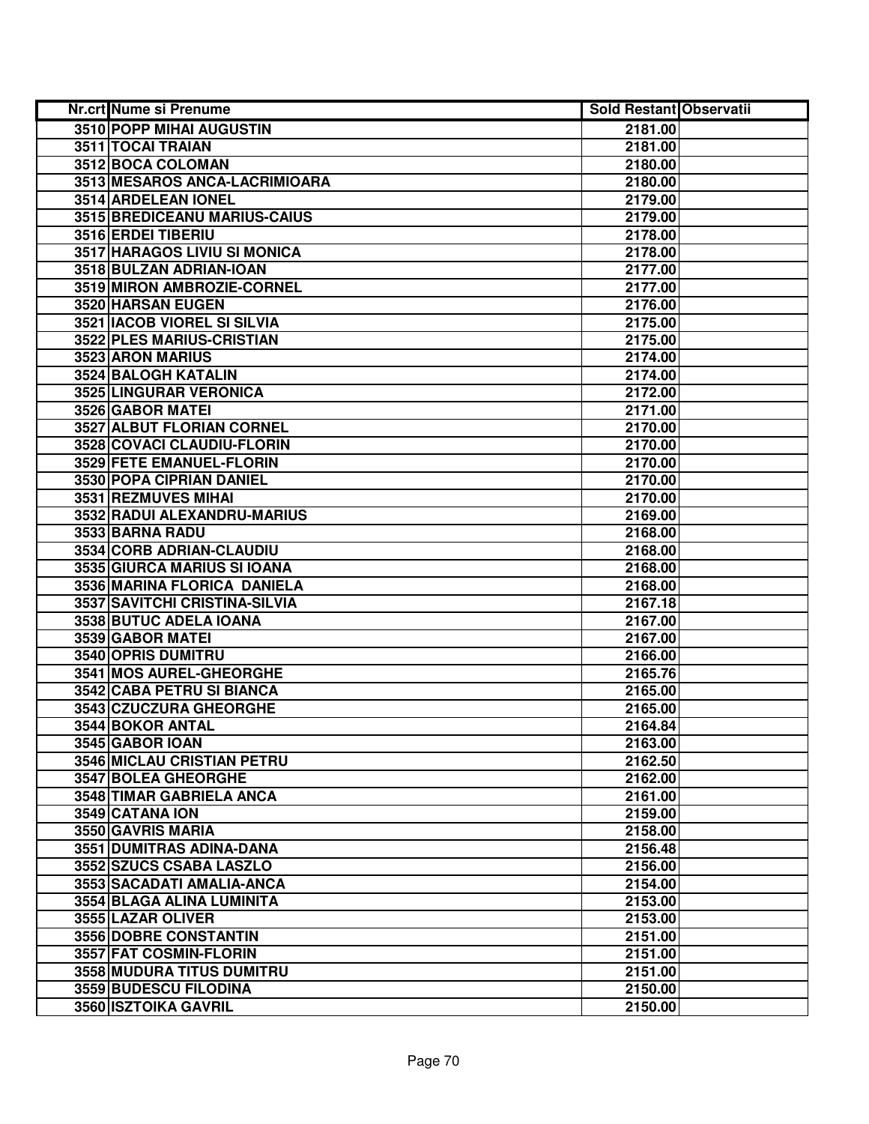| <b>Nr.crt Nume si Prenume</b>    | <b>Sold Restant Observatii</b> |  |
|----------------------------------|--------------------------------|--|
| 3510 POPP MIHAI AUGUSTIN         | 2181.00                        |  |
| 3511 TOCAI TRAIAN                | 2181.00                        |  |
| 3512 BOCA COLOMAN                | 2180.00                        |  |
| 3513 MESAROS ANCA-LACRIMIOARA    | 2180.00                        |  |
| 3514 ARDELEAN IONEL              | 2179.00                        |  |
| 3515 BREDICEANU MARIUS-CAIUS     | 2179.00                        |  |
| 3516 ERDEI TIBERIU               | 2178.00                        |  |
| 3517 HARAGOS LIVIU SI MONICA     | 2178.00                        |  |
| 3518 BULZAN ADRIAN-IOAN          | 2177.00                        |  |
| 3519 MIRON AMBROZIE-CORNEL       | 2177.00                        |  |
| 3520 HARSAN EUGEN                | 2176.00                        |  |
| 3521 IACOB VIOREL SI SILVIA      | 2175.00                        |  |
| 3522 PLES MARIUS-CRISTIAN        | 2175.00                        |  |
| 3523 ARON MARIUS                 | 2174.00                        |  |
| 3524 BALOGH KATALIN              | 2174.00                        |  |
| 3525 LINGURAR VERONICA           | 2172.00                        |  |
| 3526 GABOR MATEI                 | 2171.00                        |  |
| <b>3527 ALBUT FLORIAN CORNEL</b> | 2170.00                        |  |
| 3528 COVACI CLAUDIU-FLORIN       | 2170.00                        |  |
| 3529 FETE EMANUEL-FLORIN         | 2170.00                        |  |
| 3530 POPA CIPRIAN DANIEL         | 2170.00                        |  |
| 3531 REZMUVES MIHAI              | 2170.00                        |  |
| 3532 RADUI ALEXANDRU-MARIUS      | 2169.00                        |  |
| 3533 BARNA RADU                  | 2168.00                        |  |
| 3534 CORB ADRIAN-CLAUDIU         | 2168.00                        |  |
| 3535 GIURCA MARIUS SI IOANA      | 2168.00                        |  |
| 3536 MARINA FLORICA DANIELA      | 2168.00                        |  |
| 3537 SAVITCHI CRISTINA-SILVIA    | 2167.18                        |  |
| 3538 BUTUC ADELA IOANA           | 2167.00                        |  |
| 3539 GABOR MATEI                 | 2167.00                        |  |
| 3540 OPRIS DUMITRU               | 2166.00                        |  |
| 3541 MOS AUREL-GHEORGHE          | 2165.76                        |  |
| 3542 CABA PETRU SI BIANCA        | 2165.00                        |  |
| 3543 CZUCZURA GHEORGHE           | 2165.00                        |  |
| <b>3544 BOKOR ANTAL</b>          | 2164.84                        |  |
| 3545 GABOR IOAN                  | 2163.00                        |  |
| 3546 MICLAU CRISTIAN PETRU       | 2162.50                        |  |
| <b>3547 BOLEA GHEORGHE</b>       | 2162.00                        |  |
| 3548 TIMAR GABRIELA ANCA         | 2161.00                        |  |
| 3549 CATANA ION                  | 2159.00                        |  |
| 3550 GAVRIS MARIA                | 2158.00                        |  |
| 3551 DUMITRAS ADINA-DANA         | 2156.48                        |  |
| 3552 SZUCS CSABA LASZLO          | 2156.00                        |  |
| 3553 SACADATI AMALIA-ANCA        | 2154.00                        |  |
| 3554 BLAGA ALINA LUMINITA        | 2153.00                        |  |
| 3555 LAZAR OLIVER                | 2153.00                        |  |
| 3556 DOBRE CONSTANTIN            | 2151.00                        |  |
| 3557 FAT COSMIN-FLORIN           | 2151.00                        |  |
| 3558 MUDURA TITUS DUMITRU        | 2151.00                        |  |
| 3559 BUDESCU FILODINA            | 2150.00                        |  |
| 3560 ISZTOIKA GAVRIL             | 2150.00                        |  |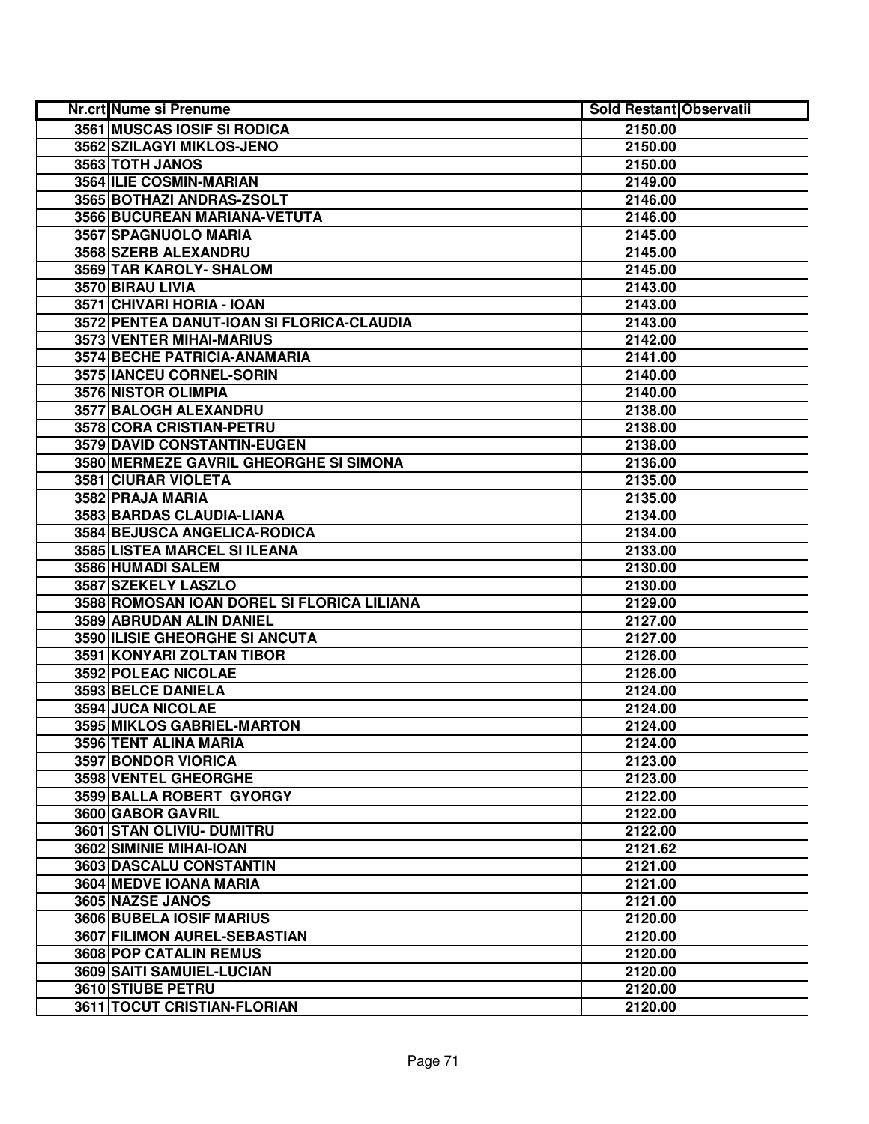| <b>Nr.crt Nume si Prenume</b>              | <b>Sold Restant Observatii</b> |  |
|--------------------------------------------|--------------------------------|--|
| 3561 MUSCAS IOSIF SI RODICA                | 2150.00                        |  |
| 3562 SZILAGYI MIKLOS-JENO                  | 2150.00                        |  |
| 3563 TOTH JANOS                            | 2150.00                        |  |
| 3564 ILIE COSMIN-MARIAN                    | 2149.00                        |  |
| 3565 BOTHAZI ANDRAS-ZSOLT                  | 2146.00                        |  |
| 3566 BUCUREAN MARIANA-VETUTA               | 2146.00                        |  |
| 3567 SPAGNUOLO MARIA                       | 2145.00                        |  |
| 3568 SZERB ALEXANDRU                       | 2145.00                        |  |
| 3569 TAR KAROLY- SHALOM                    | 2145.00                        |  |
| 3570 BIRAU LIVIA                           | 2143.00                        |  |
| 3571 CHIVARI HORIA - IOAN                  | 2143.00                        |  |
| 3572 PENTEA DANUT-IOAN SI FLORICA-CLAUDIA  | 2143.00                        |  |
| 3573 VENTER MIHAI-MARIUS                   | 2142.00                        |  |
| 3574 BECHE PATRICIA-ANAMARIA               | 2141.00                        |  |
| 3575 IANCEU CORNEL-SORIN                   | 2140.00                        |  |
| 3576 NISTOR OLIMPIA                        | 2140.00                        |  |
| 3577 BALOGH ALEXANDRU                      | 2138.00                        |  |
| 3578 CORA CRISTIAN-PETRU                   | 2138.00                        |  |
| 3579 DAVID CONSTANTIN-EUGEN                | 2138.00                        |  |
| 3580 MERMEZE GAVRIL GHEORGHE SI SIMONA     | 2136.00                        |  |
| 3581 CIURAR VIOLETA                        | 2135.00                        |  |
| 3582 PRAJA MARIA                           | 2135.00                        |  |
| 3583 BARDAS CLAUDIA-LIANA                  | 2134.00                        |  |
| 3584 BEJUSCA ANGELICA-RODICA               | 2134.00                        |  |
| 3585 LISTEA MARCEL SI ILEANA               | 2133.00                        |  |
| 3586 HUMADI SALEM                          | 2130.00                        |  |
| 3587 SZEKELY LASZLO                        | 2130.00                        |  |
| 3588 ROMOSAN IOAN DOREL SI FLORICA LILIANA | 2129.00                        |  |
| 3589 ABRUDAN ALIN DANIEL                   | 2127.00                        |  |
| 3590 ILISIE GHEORGHE SI ANCUTA             | 2127.00                        |  |
| 3591 KONYARI ZOLTAN TIBOR                  | 2126.00                        |  |
| 3592 POLEAC NICOLAE                        | 2126.00                        |  |
| 3593 BELCE DANIELA                         | 2124.00                        |  |
| <b>3594 JUCA NICOLAE</b>                   | 2124.00                        |  |
| 3595 MIKLOS GABRIEL-MARTON                 | 2124.00                        |  |
| 3596 TENT ALINA MARIA                      | 2124.00                        |  |
| <b>3597 BONDOR VIORICA</b>                 | 2123.00                        |  |
| 3598 VENTEL GHEORGHE                       | 2123.00                        |  |
| 3599 BALLA ROBERT GYORGY                   | 2122.00                        |  |
| 3600 GABOR GAVRIL                          | 2122.00                        |  |
| 3601 STAN OLIVIU- DUMITRU                  | 2122.00                        |  |
| 3602 SIMINIE MIHAI-IOAN                    | 2121.62                        |  |
| 3603 DASCALU CONSTANTIN                    | 2121.00                        |  |
| 3604 MEDVE IOANA MARIA                     | 2121.00                        |  |
| 3605 NAZSE JANOS                           | 2121.00                        |  |
| 3606 BUBELA IOSIF MARIUS                   | 2120.00                        |  |
| 3607 FILIMON AUREL-SEBASTIAN               | 2120.00                        |  |
| 3608 POP CATALIN REMUS                     | 2120.00                        |  |
| 3609 SAITI SAMUIEL-LUCIAN                  | 2120.00                        |  |
| 3610 STIUBE PETRU                          | 2120.00                        |  |
| 3611 TOCUT CRISTIAN-FLORIAN                | 2120.00                        |  |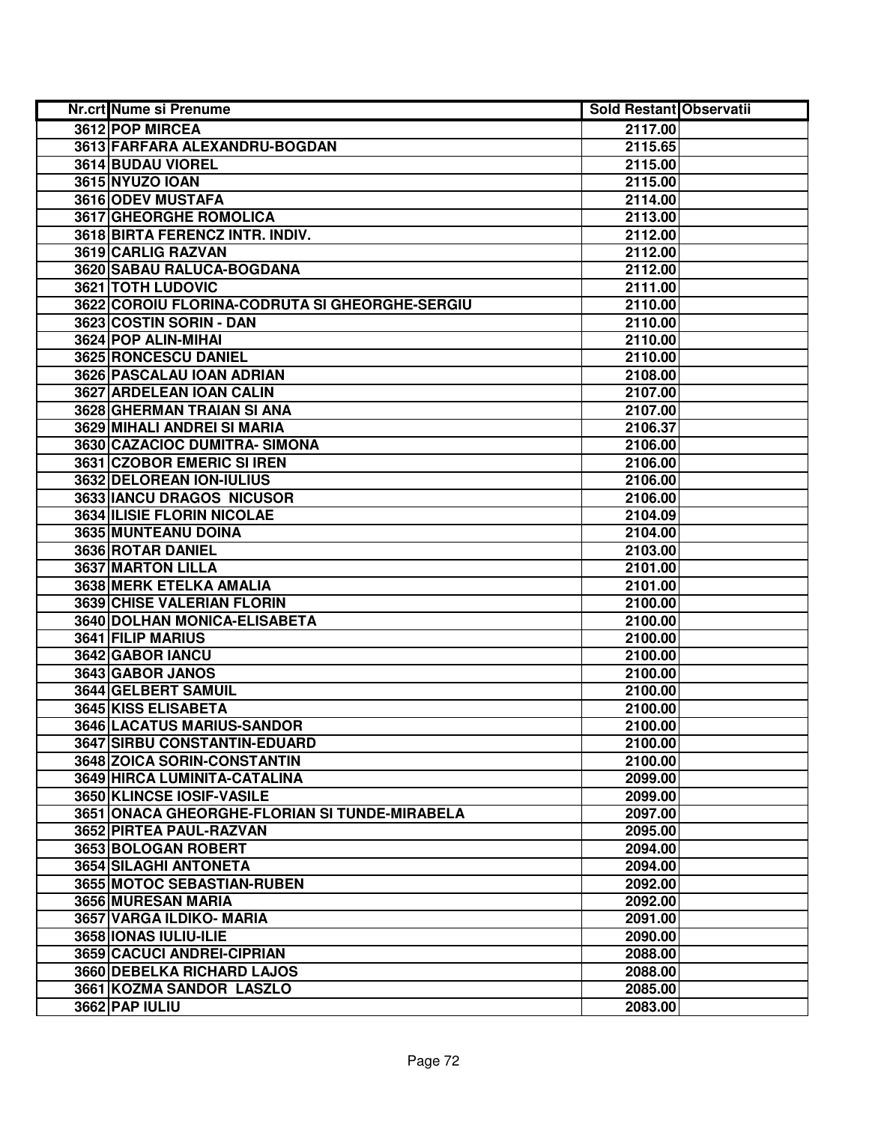| Nr.crt Nume si Prenume                         | <b>Sold Restant Observatii</b> |  |
|------------------------------------------------|--------------------------------|--|
| 3612 POP MIRCEA                                | 2117.00                        |  |
| 3613 FARFARA ALEXANDRU-BOGDAN                  | 2115.65                        |  |
| 3614 BUDAU VIOREL                              | 2115.00                        |  |
| 3615 NYUZO IOAN                                | 2115.00                        |  |
| 3616 ODEV MUSTAFA                              | 2114.00                        |  |
| 3617 GHEORGHE ROMOLICA                         | 2113.00                        |  |
| 3618 BIRTA FERENCZ INTR. INDIV.                | 2112.00                        |  |
| 3619 CARLIG RAZVAN                             | 2112.00                        |  |
| 3620 SABAU RALUCA-BOGDANA                      | 2112.00                        |  |
| 3621 TOTH LUDOVIC                              | 2111.00                        |  |
| 3622 COROIU FLORINA-CODRUTA SI GHEORGHE-SERGIU | 2110.00                        |  |
| 3623 COSTIN SORIN - DAN                        | 2110.00                        |  |
| 3624 POP ALIN-MIHAI                            | 2110.00                        |  |
| 3625 RONCESCU DANIEL                           | 2110.00                        |  |
| 3626 PASCALAU IOAN ADRIAN                      | 2108.00                        |  |
| 3627 ARDELEAN IOAN CALIN                       | 2107.00                        |  |
| 3628 GHERMAN TRAIAN SI ANA                     | 2107.00                        |  |
| 3629 MIHALI ANDREI SI MARIA                    | 2106.37                        |  |
| 3630 CAZACIOC DUMITRA-SIMONA                   | 2106.00                        |  |
| 3631 CZOBOR EMERIC SI IREN                     | 2106.00                        |  |
| 3632 DELOREAN ION-IULIUS                       | 2106.00                        |  |
| 3633 IANCU DRAGOS NICUSOR                      | 2106.00                        |  |
| <b>3634 ILISIE FLORIN NICOLAE</b>              | 2104.09                        |  |
| 3635 MUNTEANU DOINA                            | 2104.00                        |  |
| 3636 ROTAR DANIEL                              | 2103.00                        |  |
| 3637 MARTON LILLA                              | 2101.00                        |  |
| 3638 MERK ETELKA AMALIA                        | 2101.00                        |  |
| 3639 CHISE VALERIAN FLORIN                     | 2100.00                        |  |
| 3640 DOLHAN MONICA-ELISABETA                   | 2100.00                        |  |
| 3641 FILIP MARIUS                              | 2100.00                        |  |
| 3642 GABOR IANCU                               | 2100.00                        |  |
| 3643 GABOR JANOS                               | 2100.00                        |  |
| 3644 GELBERT SAMUIL                            | 2100.00                        |  |
| 3645 KISS ELISABETA                            | 2100.00                        |  |
| 3646 LACATUS MARIUS-SANDOR                     | 2100.00                        |  |
| 3647 SIRBU CONSTANTIN-EDUARD                   | 2100.00                        |  |
| 3648 ZOICA SORIN-CONSTANTIN                    | 2100.00                        |  |
| 3649 HIRCA LUMINITA-CATALINA                   | 2099.00                        |  |
| 3650 KLINCSE IOSIF-VASILE                      | 2099.00                        |  |
| 3651 ONACA GHEORGHE-FLORIAN SI TUNDE-MIRABELA  | 2097.00                        |  |
| 3652 PIRTEA PAUL-RAZVAN                        | 2095.00                        |  |
| 3653 BOLOGAN ROBERT                            | 2094.00                        |  |
| 3654 SILAGHI ANTONETA                          | 2094.00                        |  |
| 3655 MOTOC SEBASTIAN-RUBEN                     | 2092.00                        |  |
| 3656 MURESAN MARIA                             | 2092.00                        |  |
| 3657 VARGA ILDIKO- MARIA                       | 2091.00                        |  |
| 3658 IONAS IULIU-ILIE                          | 2090.00                        |  |
| 3659 CACUCI ANDREI-CIPRIAN                     | 2088.00                        |  |
| 3660 DEBELKA RICHARD LAJOS                     | 2088.00                        |  |
| 3661 KOZMA SANDOR LASZLO                       | 2085.00                        |  |
| 3662 PAP IULIU                                 | 2083.00                        |  |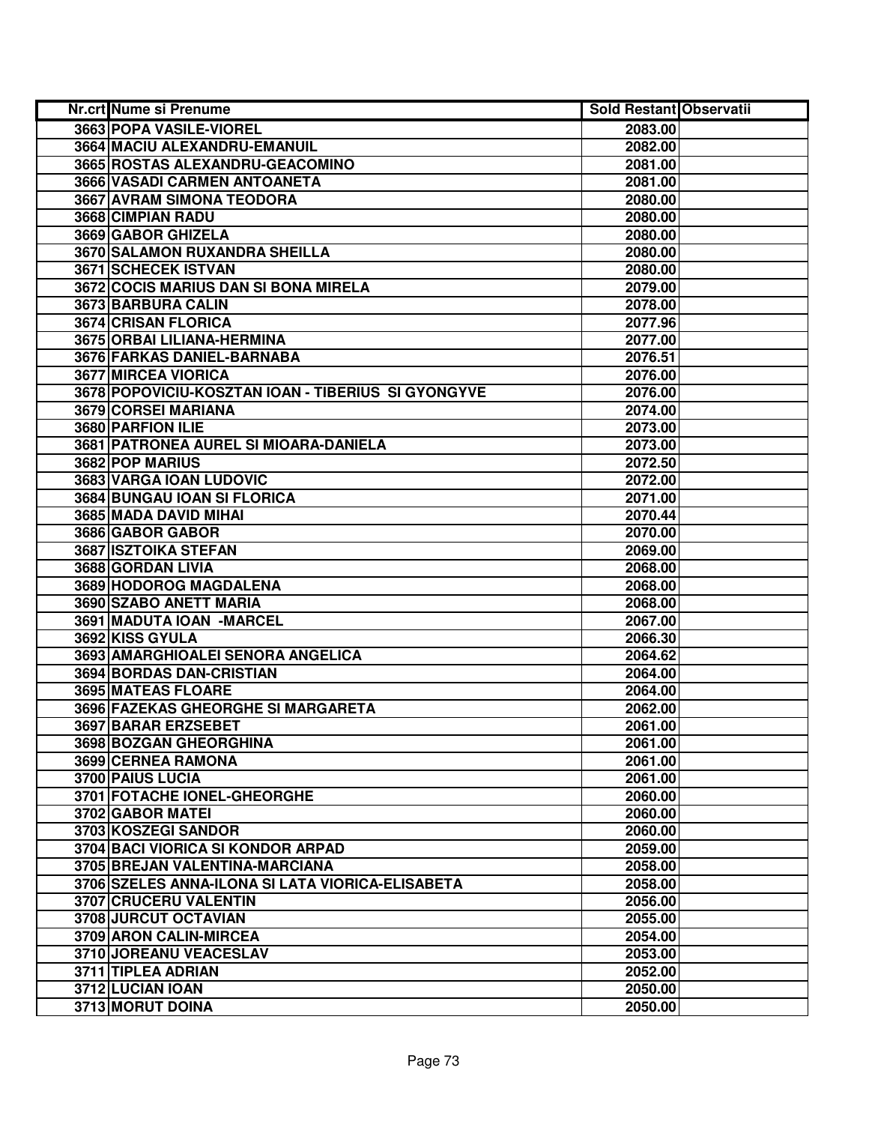| Nr.crt Nume si Prenume                             | <b>Sold Restant Observatii</b> |  |
|----------------------------------------------------|--------------------------------|--|
| 3663 POPA VASILE-VIOREL                            | 2083.00                        |  |
| 3664 MACIU ALEXANDRU-EMANUIL                       | 2082.00                        |  |
| 3665 ROSTAS ALEXANDRU-GEACOMINO                    | 2081.00                        |  |
| 3666 VASADI CARMEN ANTOANETA                       | 2081.00                        |  |
| 3667 AVRAM SIMONA TEODORA                          | 2080.00                        |  |
| 3668 CIMPIAN RADU                                  | 2080.00                        |  |
| 3669 GABOR GHIZELA                                 | 2080.00                        |  |
| 3670 SALAMON RUXANDRA SHEILLA                      | 2080.00                        |  |
| <b>3671 SCHECEK ISTVAN</b>                         | 2080.00                        |  |
| 3672 COCIS MARIUS DAN SI BONA MIRELA               | 2079.00                        |  |
| 3673 BARBURA CALIN                                 | 2078.00                        |  |
| 3674 CRISAN FLORICA                                | 2077.96                        |  |
| 3675 ORBAI LILIANA-HERMINA                         | 2077.00                        |  |
| 3676 FARKAS DANIEL-BARNABA                         | 2076.51                        |  |
| 3677 MIRCEA VIORICA                                | 2076.00                        |  |
| 3678 POPOVICIU-KOSZTAN IOAN - TIBERIUS SI GYONGYVE | 2076.00                        |  |
| 3679 CORSEI MARIANA                                | 2074.00                        |  |
| 3680 PARFION ILIE                                  | 2073.00                        |  |
| 3681 PATRONEA AUREL SI MIOARA-DANIELA              | 2073.00                        |  |
| 3682 POP MARIUS                                    | 2072.50                        |  |
| 3683 VARGA IOAN LUDOVIC                            | 2072.00                        |  |
| 3684 BUNGAU IOAN SI FLORICA                        | 2071.00                        |  |
| 3685 MADA DAVID MIHAI                              | 2070.44                        |  |
| 3686 GABOR GABOR                                   | 2070.00                        |  |
| 3687 ISZTOIKA STEFAN                               | 2069.00                        |  |
| 3688 GORDAN LIVIA                                  | 2068.00                        |  |
| 3689 HODOROG MAGDALENA                             | 2068.00                        |  |
| 3690 SZABO ANETT MARIA                             | 2068.00                        |  |
| 3691 MADUTA IOAN - MARCEL                          | 2067.00                        |  |
| 3692 KISS GYULA                                    | 2066.30                        |  |
| 3693 AMARGHIOALEI SENORA ANGELICA                  | 2064.62                        |  |
| 3694 BORDAS DAN-CRISTIAN                           | 2064.00                        |  |
| 3695 MATEAS FLOARE                                 | 2064.00                        |  |
| 3696 FAZEKAS GHEORGHE SI MARGARETA                 | 2062.00                        |  |
| 3697 BARAR ERZSEBET                                | 2061.00                        |  |
| 3698 BOZGAN GHEORGHINA                             | 2061.00                        |  |
| 3699 CERNEA RAMONA                                 | 2061.00                        |  |
| 3700 PAIUS LUCIA                                   | 2061.00                        |  |
| 3701 FOTACHE IONEL-GHEORGHE                        | 2060.00                        |  |
| 3702 GABOR MATEI                                   | 2060.00                        |  |
| 3703 KOSZEGI SANDOR                                | 2060.00                        |  |
| <b>3704 BACI VIORICA SI KONDOR ARPAD</b>           | 2059.00                        |  |
| 3705 BREJAN VALENTINA-MARCIANA                     | 2058.00                        |  |
| 3706 SZELES ANNA-ILONA SI LATA VIORICA-ELISABETA   | 2058.00                        |  |
| 3707 CRUCERU VALENTIN                              | 2056.00                        |  |
| 3708 JURCUT OCTAVIAN                               | 2055.00                        |  |
| 3709 ARON CALIN-MIRCEA                             | 2054.00                        |  |
| 3710 JOREANU VEACESLAV                             | 2053.00                        |  |
| 3711 TIPLEA ADRIAN                                 | 2052.00                        |  |
| 3712 LUCIAN IOAN                                   | 2050.00                        |  |
| 3713 MORUT DOINA                                   | 2050.00                        |  |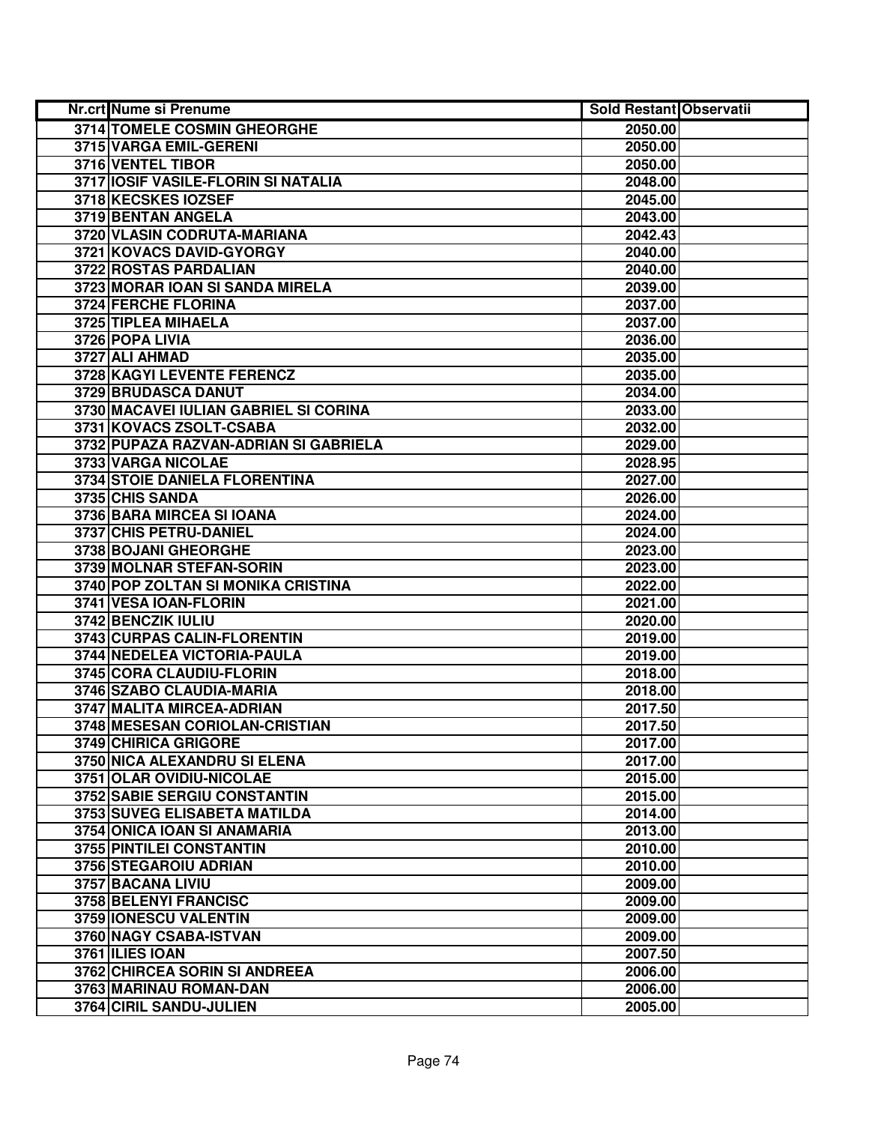| <b>Nr.crt Nume si Prenume</b>         | <b>Sold Restant Observatii</b> |  |
|---------------------------------------|--------------------------------|--|
| 3714 TOMELE COSMIN GHEORGHE           | 2050.00                        |  |
| 3715 VARGA EMIL-GERENI                | 2050.00                        |  |
| 3716 VENTEL TIBOR                     | 2050.00                        |  |
| 3717 IOSIF VASILE-FLORIN SI NATALIA   | 2048.00                        |  |
| 3718 KECSKES IOZSEF                   | 2045.00                        |  |
| 3719 BENTAN ANGELA                    | 2043.00                        |  |
| 3720 VLASIN CODRUTA-MARIANA           | 2042.43                        |  |
| 3721 KOVACS DAVID-GYORGY              | 2040.00                        |  |
| 3722 ROSTAS PARDALIAN                 | 2040.00                        |  |
| 3723 MORAR IOAN SI SANDA MIRELA       | 2039.00                        |  |
| 3724 FERCHE FLORINA                   | 2037.00                        |  |
| 3725 TIPLEA MIHAELA                   | 2037.00                        |  |
| 3726 POPA LIVIA                       | 2036.00                        |  |
| 3727 ALI AHMAD                        | 2035.00                        |  |
| 3728 KAGYI LEVENTE FERENCZ            | 2035.00                        |  |
| 3729 BRUDASCA DANUT                   | 2034.00                        |  |
| 3730 MACAVEI IULIAN GABRIEL SI CORINA | 2033.00                        |  |
| 3731 KOVACS ZSOLT-CSABA               | 2032.00                        |  |
| 3732 PUPAZA RAZVAN-ADRIAN SI GABRIELA | 2029.00                        |  |
| 3733 VARGA NICOLAE                    | 2028.95                        |  |
| <b>3734 STOIE DANIELA FLORENTINA</b>  | 2027.00                        |  |
| 3735 CHIS SANDA                       | 2026.00                        |  |
| 3736 BARA MIRCEA SI IOANA             | 2024.00                        |  |
| 3737 CHIS PETRU-DANIEL                | 2024.00                        |  |
| 3738 BOJANI GHEORGHE                  | 2023.00                        |  |
| 3739 MOLNAR STEFAN-SORIN              | 2023.00                        |  |
| 3740 POP ZOLTAN SI MONIKA CRISTINA    | 2022.00                        |  |
| 3741 VESA IOAN-FLORIN                 | 2021.00                        |  |
| 3742 BENCZIK IULIU                    | 2020.00                        |  |
| 3743 CURPAS CALIN-FLORENTIN           | 2019.00                        |  |
| 3744 NEDELEA VICTORIA-PAULA           | 2019.00                        |  |
| 3745 CORA CLAUDIU-FLORIN              | 2018.00                        |  |
| 3746 SZABO CLAUDIA-MARIA              | 2018.00                        |  |
| 3747 MALITA MIRCEA-ADRIAN             | 2017.50                        |  |
| 3748 MESESAN CORIOLAN-CRISTIAN        | 2017.50                        |  |
| 3749 CHIRICA GRIGORE                  | 2017.00                        |  |
| 3750 NICA ALEXANDRU SI ELENA          | 2017.00                        |  |
| 3751 OLAR OVIDIU-NICOLAE              | 2015.00                        |  |
| <b>3752 SABIE SERGIU CONSTANTIN</b>   | 2015.00                        |  |
| 3753 SUVEG ELISABETA MATILDA          | 2014.00                        |  |
| 3754 ONICA IOAN SI ANAMARIA           | 2013.00                        |  |
| 3755 PINTILEI CONSTANTIN              | 2010.00                        |  |
| 3756 STEGAROIU ADRIAN                 | 2010.00                        |  |
| 3757 BACANA LIVIU                     | 2009.00                        |  |
| 3758 BELENYI FRANCISC                 | 2009.00                        |  |
| 3759 IONESCU VALENTIN                 | 2009.00                        |  |
| 3760 NAGY CSABA-ISTVAN                | 2009.00                        |  |
| 3761 ILIES IOAN                       | 2007.50                        |  |
| 3762 CHIRCEA SORIN SI ANDREEA         | 2006.00                        |  |
| 3763 MARINAU ROMAN-DAN                | 2006.00                        |  |
| 3764 CIRIL SANDU-JULIEN               | 2005.00                        |  |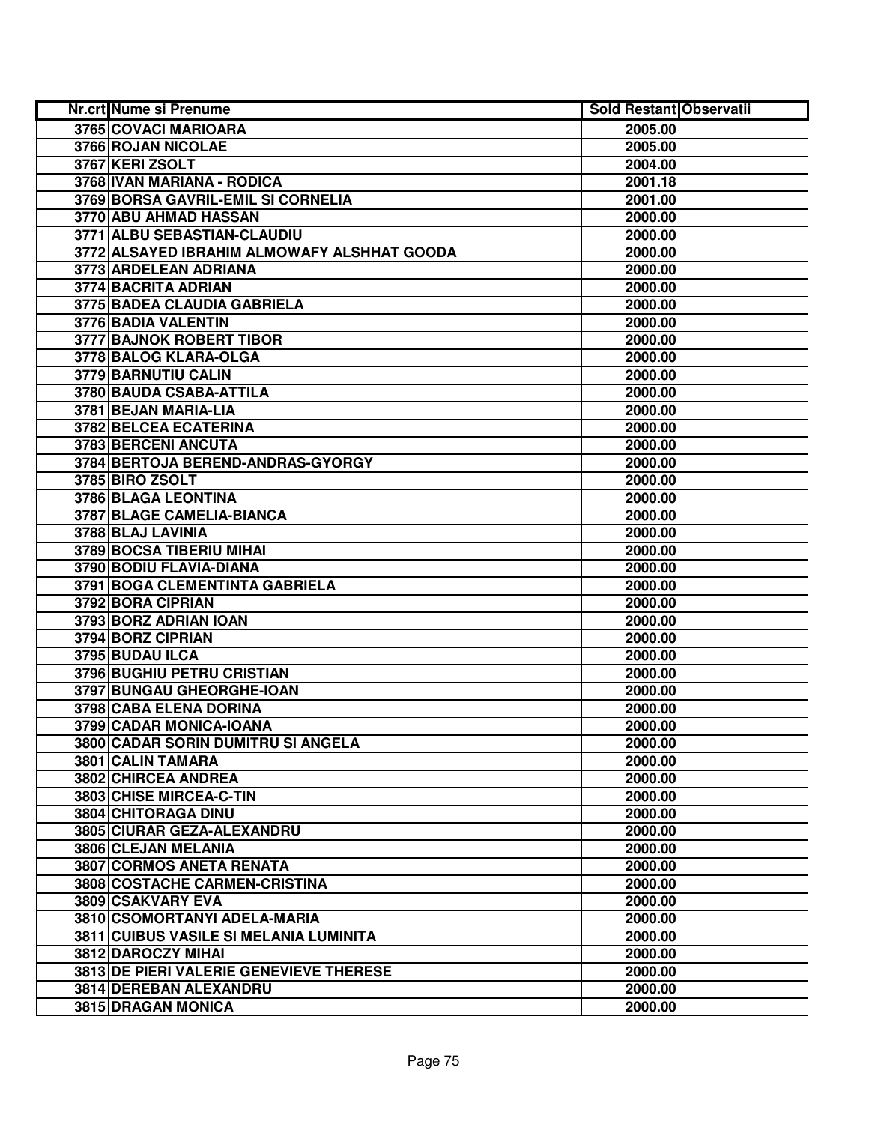| <b>Nr.crt Nume si Prenume</b>               | Sold Restant Observatii |  |
|---------------------------------------------|-------------------------|--|
| 3765 COVACI MARIOARA                        | 2005.00                 |  |
| 3766 ROJAN NICOLAE                          | 2005.00                 |  |
| 3767 KERI ZSOLT                             | 2004.00                 |  |
| 3768 IVAN MARIANA - RODICA                  | 2001.18                 |  |
| 3769 BORSA GAVRIL-EMIL SI CORNELIA          | 2001.00                 |  |
| 3770 ABU AHMAD HASSAN                       | 2000.00                 |  |
| 3771 ALBU SEBASTIAN-CLAUDIU                 | 2000.00                 |  |
| 3772 ALSAYED IBRAHIM ALMOWAFY ALSHHAT GOODA | 2000.00                 |  |
| 3773 ARDELEAN ADRIANA                       | 2000.00                 |  |
| <b>3774 BACRITA ADRIAN</b>                  | 2000.00                 |  |
| <b>3775 BADEA CLAUDIA GABRIELA</b>          | 2000.00                 |  |
| 3776 BADIA VALENTIN                         | 2000.00                 |  |
| <b>3777 BAJNOK ROBERT TIBOR</b>             | 2000.00                 |  |
| 3778 BALOG KLARA-OLGA                       | 2000.00                 |  |
| 3779 BARNUTIU CALIN                         | 2000.00                 |  |
| 3780 BAUDA CSABA-ATTILA                     | 2000.00                 |  |
| 3781 BEJAN MARIA-LIA                        | 2000.00                 |  |
| 3782 BELCEA ECATERINA                       | 2000.00                 |  |
| 3783 BERCENI ANCUTA                         | 2000.00                 |  |
| 3784 BERTOJA BEREND-ANDRAS-GYORGY           | 2000.00                 |  |
| 3785 BIRO ZSOLT                             | 2000.00                 |  |
| 3786 BLAGA LEONTINA                         | 2000.00                 |  |
| 3787 BLAGE CAMELIA-BIANCA                   | 2000.00                 |  |
| 3788 BLAJ LAVINIA                           | 2000.00                 |  |
| 3789 BOCSA TIBERIU MIHAI                    | 2000.00                 |  |
| 3790 BODIU FLAVIA-DIANA                     | 2000.00                 |  |
| 3791 BOGA CLEMENTINTA GABRIELA              | 2000.00                 |  |
| 3792 BORA CIPRIAN                           | 2000.00                 |  |
| 3793 BORZ ADRIAN IOAN                       | 2000.00                 |  |
| 3794 BORZ CIPRIAN                           | 2000.00                 |  |
| 3795 BUDAU ILCA                             | 2000.00                 |  |
| 3796 BUGHIU PETRU CRISTIAN                  | 2000.00                 |  |
| 3797 BUNGAU GHEORGHE-IOAN                   | 2000.00                 |  |
| 3798 CABA ELENA DORINA                      | 2000.00                 |  |
| 3799 CADAR MONICA-IOANA                     | 2000.00                 |  |
| 3800 CADAR SORIN DUMITRU SI ANGELA          | 2000.00                 |  |
| 3801 CALIN TAMARA                           | 2000.00                 |  |
| 3802 CHIRCEA ANDREA                         | 2000.00                 |  |
| 3803 CHISE MIRCEA-C-TIN                     | 2000.00                 |  |
| 3804 CHITORAGA DINU                         | 2000.00                 |  |
| 3805 CIURAR GEZA-ALEXANDRU                  | 2000.00                 |  |
| 3806 CLEJAN MELANIA                         | 2000.00                 |  |
| 3807 CORMOS ANETA RENATA                    | 2000.00                 |  |
| 3808 COSTACHE CARMEN-CRISTINA               | 2000.00                 |  |
| 3809 CSAKVARY EVA                           | 2000.00                 |  |
| 3810 CSOMORTANYI ADELA-MARIA                | 2000.00                 |  |
| 3811 CUIBUS VASILE SI MELANIA LUMINITA      | 2000.00                 |  |
| 3812 DAROCZY MIHAI                          | 2000.00                 |  |
| 3813 DE PIERI VALERIE GENEVIEVE THERESE     | 2000.00                 |  |
| 3814 DEREBAN ALEXANDRU                      | 2000.00                 |  |
| 3815 DRAGAN MONICA                          | 2000.00                 |  |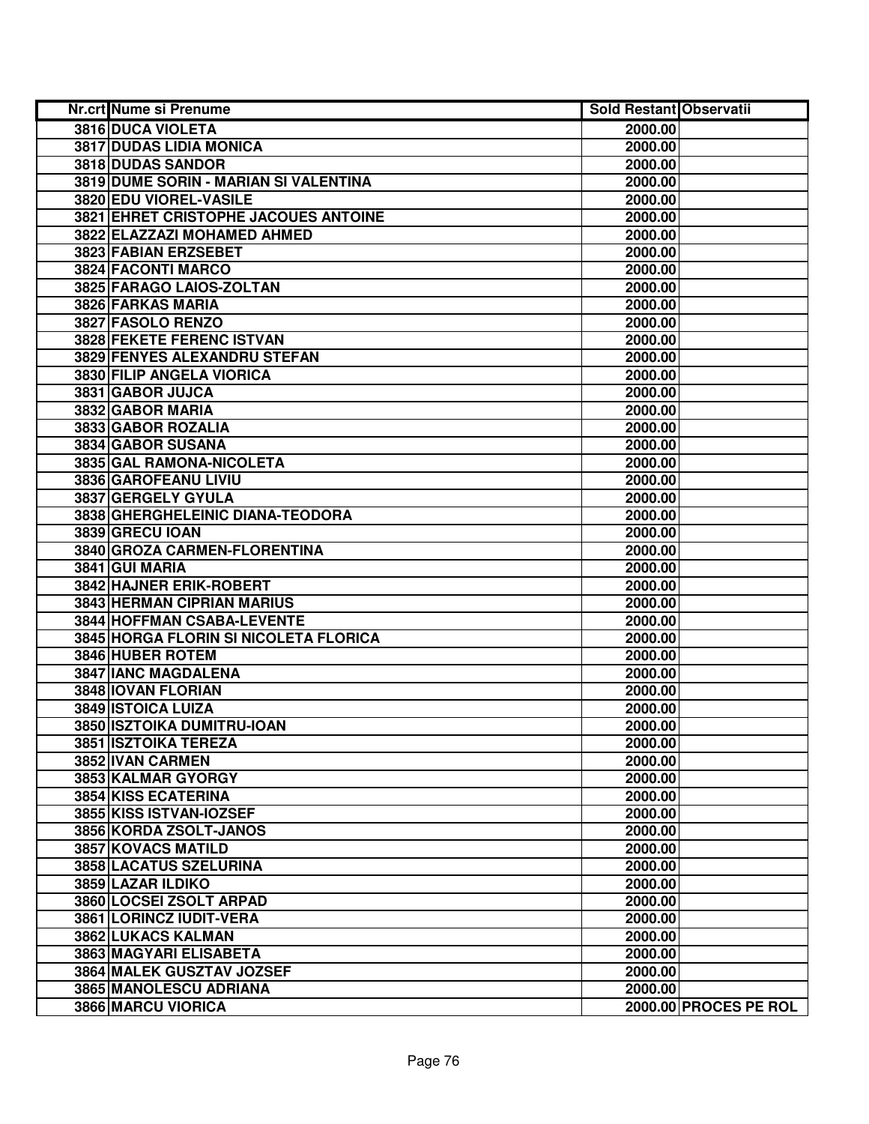| Nr.crt Nume si Prenume                | <b>Sold Restant Observatii</b> |                       |
|---------------------------------------|--------------------------------|-----------------------|
| 3816 DUCA VIOLETA                     | 2000.00                        |                       |
| <b>3817 DUDAS LIDIA MONICA</b>        | 2000.00                        |                       |
| 3818 DUDAS SANDOR                     | 2000.00                        |                       |
| 3819 DUME SORIN - MARIAN SI VALENTINA | 2000.00                        |                       |
| 3820 EDU VIOREL-VASILE                | 2000.00                        |                       |
| 3821 EHRET CRISTOPHE JACOUES ANTOINE  | 2000.00                        |                       |
| 3822 ELAZZAZI MOHAMED AHMED           | 2000.00                        |                       |
| 3823 FABIAN ERZSEBET                  | 2000.00                        |                       |
| 3824 FACONTI MARCO                    | 2000.00                        |                       |
| 3825 FARAGO LAIOS-ZOLTAN              | 2000.00                        |                       |
| 3826 FARKAS MARIA                     | 2000.00                        |                       |
| 3827 FASOLO RENZO                     | 2000.00                        |                       |
| <b>3828 FEKETE FERENC ISTVAN</b>      | 2000.00                        |                       |
| 3829 FENYES ALEXANDRU STEFAN          | 2000.00                        |                       |
| 3830 FILIP ANGELA VIORICA             | 2000.00                        |                       |
| 3831 GABOR JUJCA                      | 2000.00                        |                       |
| 3832 GABOR MARIA                      | 2000.00                        |                       |
| 3833 GABOR ROZALIA                    | 2000.00                        |                       |
| 3834 GABOR SUSANA                     | 2000.00                        |                       |
| 3835 GAL RAMONA-NICOLETA              | 2000.00                        |                       |
| 3836 GAROFEANU LIVIU                  | 2000.00                        |                       |
| 3837 GERGELY GYULA                    | 2000.00                        |                       |
| 3838 GHERGHELEINIC DIANA-TEODORA      | 2000.00                        |                       |
| 3839 GRECU IOAN                       | 2000.00                        |                       |
| 3840 GROZA CARMEN-FLORENTINA          | 2000.00                        |                       |
| 3841 GUI MARIA                        | 2000.00                        |                       |
| 3842 HAJNER ERIK-ROBERT               | 2000.00                        |                       |
| 3843 HERMAN CIPRIAN MARIUS            | 2000.00                        |                       |
| 3844 HOFFMAN CSABA-LEVENTE            | 2000.00                        |                       |
| 3845 HORGA FLORIN SI NICOLETA FLORICA | 2000.00                        |                       |
| 3846 HUBER ROTEM                      | 2000.00                        |                       |
| <b>3847 IANC MAGDALENA</b>            | 2000.00                        |                       |
| 3848 IOVAN FLORIAN                    | 2000.00                        |                       |
| 3849 ISTOICA LUIZA                    | 2000.00                        |                       |
| 3850 ISZTOIKA DUMITRU-IOAN            | 2000.00                        |                       |
| 3851 ISZTOIKA TEREZA                  | 2000.00                        |                       |
| 3852 IVAN CARMEN                      | 2000.00                        |                       |
| 3853 KALMAR GYORGY                    | 2000.00                        |                       |
| <b>3854 KISS ECATERINA</b>            | 2000.00                        |                       |
| 3855 KISS ISTVAN-IOZSEF               | 2000.00                        |                       |
| 3856 KORDA ZSOLT-JANOS                | 2000.00                        |                       |
| 3857 KOVACS MATILD                    | 2000.00                        |                       |
| 3858 LACATUS SZELURINA                | 2000.00                        |                       |
| 3859 LAZAR ILDIKO                     | 2000.00                        |                       |
| 3860 LOCSEI ZSOLT ARPAD               | 2000.00                        |                       |
| 3861 LORINCZ IUDIT-VERA               | 2000.00                        |                       |
| 3862 LUKACS KALMAN                    | 2000.00                        |                       |
| 3863 MAGYARI ELISABETA                | 2000.00                        |                       |
| 3864 MALEK GUSZTAV JOZSEF             | 2000.00                        |                       |
| 3865 MANOLESCU ADRIANA                | 2000.00                        |                       |
| 3866 MARCU VIORICA                    |                                | 2000.00 PROCES PE ROL |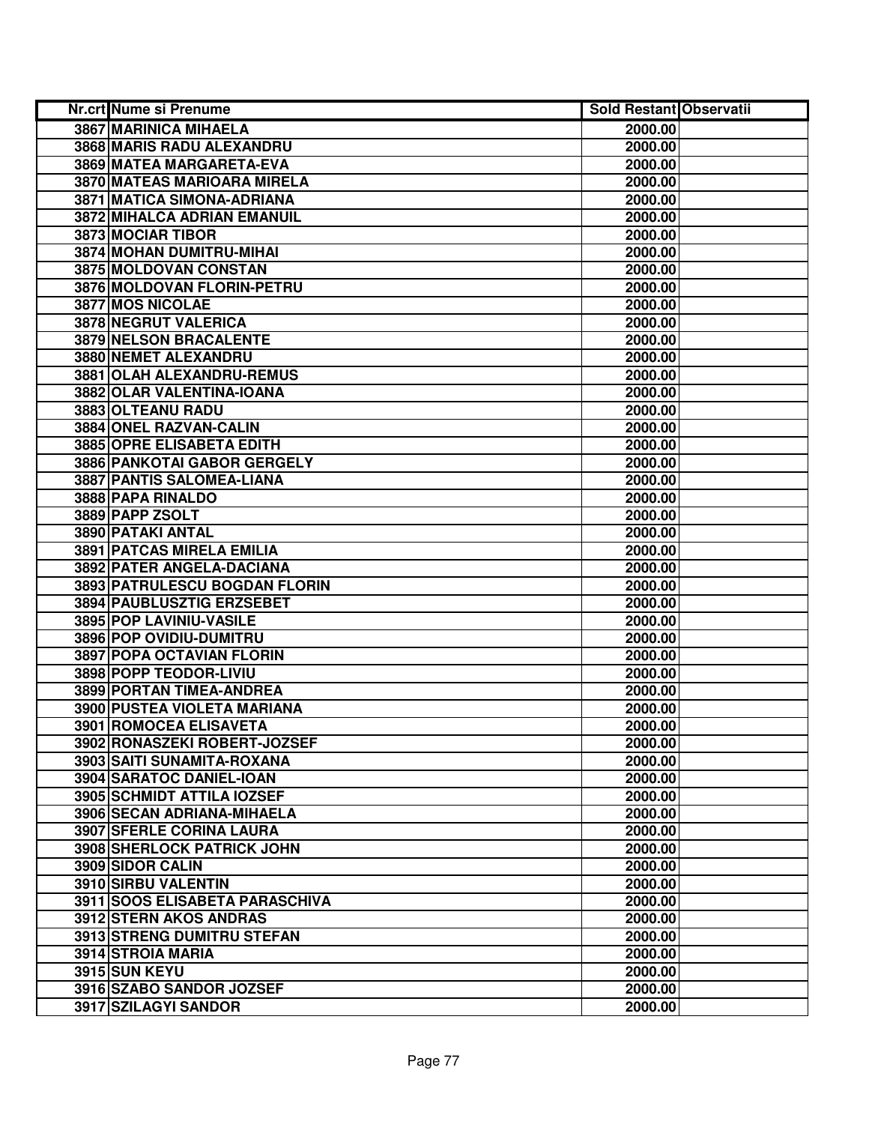| Nr.crt Nume si Prenume            | <b>Sold Restant Observatii</b> |  |
|-----------------------------------|--------------------------------|--|
| 3867 MARINICA MIHAELA             | 2000.00                        |  |
| <b>3868 MARIS RADU ALEXANDRU</b>  | 2000.00                        |  |
| 3869 MATEA MARGARETA-EVA          | 2000.00                        |  |
| 3870 MATEAS MARIOARA MIRELA       | 2000.00                        |  |
| 3871 MATICA SIMONA-ADRIANA        | 2000.00                        |  |
| 3872 MIHALCA ADRIAN EMANUIL       | 2000.00                        |  |
| 3873 MOCIAR TIBOR                 | 2000.00                        |  |
| 3874 MOHAN DUMITRU-MIHAI          | 2000.00                        |  |
| 3875 MOLDOVAN CONSTAN             | 2000.00                        |  |
| 3876 MOLDOVAN FLORIN-PETRU        | 2000.00                        |  |
| <b>3877 MOS NICOLAE</b>           | 2000.00                        |  |
| 3878 NEGRUT VALERICA              | 2000.00                        |  |
| 3879 NELSON BRACALENTE            | 2000.00                        |  |
| 3880 NEMET ALEXANDRU              | 2000.00                        |  |
| 3881 OLAH ALEXANDRU-REMUS         | 2000.00                        |  |
| 3882 OLAR VALENTINA-IOANA         | 2000.00                        |  |
| 3883 OLTEANU RADU                 | 2000.00                        |  |
| 3884 ONEL RAZVAN-CALIN            | 2000.00                        |  |
| 3885 OPRE ELISABETA EDITH         | 2000.00                        |  |
| 3886 PANKOTAI GABOR GERGELY       | 2000.00                        |  |
| 3887 PANTIS SALOMEA-LIANA         | 2000.00                        |  |
| 3888 PAPA RINALDO                 | 2000.00                        |  |
| 3889 PAPP ZSOLT                   | 2000.00                        |  |
| 3890 PATAKI ANTAL                 | 2000.00                        |  |
| 3891 PATCAS MIRELA EMILIA         | 2000.00                        |  |
| 3892 PATER ANGELA-DACIANA         | 2000.00                        |  |
| 3893 PATRULESCU BOGDAN FLORIN     | 2000.00                        |  |
| 3894 PAUBLUSZTIG ERZSEBET         | 2000.00                        |  |
| 3895 POP LAVINIU-VASILE           | 2000.00                        |  |
| 3896 POP OVIDIU-DUMITRU           | 2000.00                        |  |
| 3897 POPA OCTAVIAN FLORIN         | 2000.00                        |  |
| 3898 POPP TEODOR-LIVIU            | 2000.00                        |  |
| 3899 PORTAN TIMEA-ANDREA          | 2000.00                        |  |
| 3900 PUSTEA VIOLETA MARIANA       | 2000.00                        |  |
| <b>3901 ROMOCEA ELISAVETA</b>     | 2000.00                        |  |
| 3902 RONASZEKI ROBERT-JOZSEF      | 2000.00                        |  |
| 3903 SAITI SUNAMITA-ROXANA        | 2000.00                        |  |
| 3904 SARATOC DANIEL-IOAN          | 2000.00                        |  |
| 3905 SCHMIDT ATTILA IOZSEF        | 2000.00                        |  |
| 3906 SECAN ADRIANA-MIHAELA        | 2000.00                        |  |
| <b>3907 SFERLE CORINA LAURA</b>   | 2000.00                        |  |
| <b>3908 SHERLOCK PATRICK JOHN</b> | 2000.00                        |  |
| 3909 SIDOR CALIN                  | 2000.00                        |  |
| 3910 SIRBU VALENTIN               | 2000.00                        |  |
| 3911 SOOS ELISABETA PARASCHIVA    | 2000.00                        |  |
| 3912 STERN AKOS ANDRAS            | 2000.00                        |  |
| 3913 STRENG DUMITRU STEFAN        | 2000.00                        |  |
| 3914 STROIA MARIA                 | 2000.00                        |  |
| 3915 SUN KEYU                     | 2000.00                        |  |
| 3916 SZABO SANDOR JOZSEF          | 2000.00                        |  |
| 3917 SZILAGYI SANDOR              | 2000.00                        |  |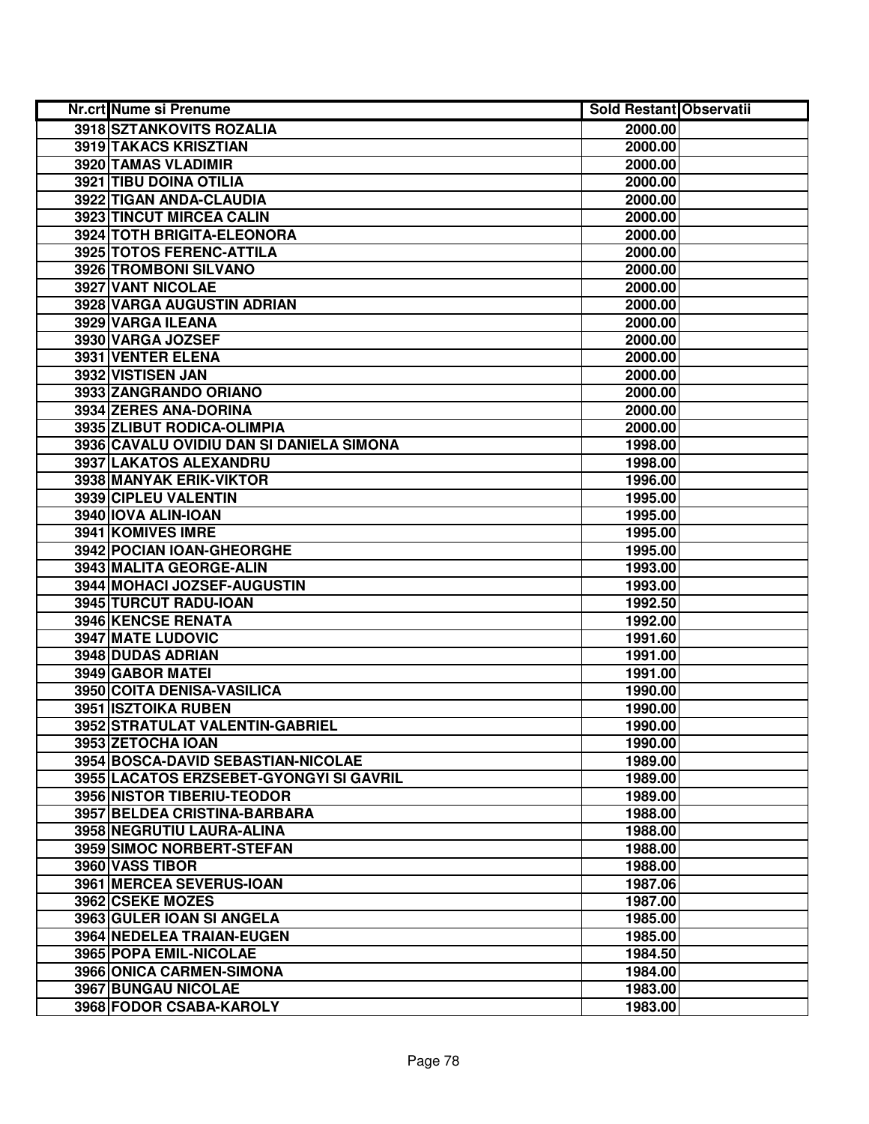| Nr.crt Nume si Prenume                   | <b>Sold Restant Observatii</b> |  |
|------------------------------------------|--------------------------------|--|
| 3918 SZTANKOVITS ROZALIA                 | 2000.00                        |  |
| 3919 TAKACS KRISZTIAN                    | 2000.00                        |  |
| 3920 TAMAS VLADIMIR                      | 2000.00                        |  |
| 3921 TIBU DOINA OTILIA                   | 2000.00                        |  |
| 3922 TIGAN ANDA-CLAUDIA                  | 2000.00                        |  |
| 3923 TINCUT MIRCEA CALIN                 | 2000.00                        |  |
| 3924 TOTH BRIGITA-ELEONORA               | 2000.00                        |  |
| 3925 TOTOS FERENC-ATTILA                 | 2000.00                        |  |
| 3926 TROMBONI SILVANO                    | 2000.00                        |  |
| 3927 VANT NICOLAE                        | 2000.00                        |  |
| 3928 VARGA AUGUSTIN ADRIAN               | 2000.00                        |  |
| 3929 VARGA ILEANA                        | 2000.00                        |  |
| 3930 VARGA JOZSEF                        | 2000.00                        |  |
| 3931 VENTER ELENA                        | 2000.00                        |  |
| 3932 VISTISEN JAN                        | 2000.00                        |  |
| 3933 ZANGRANDO ORIANO                    | 2000.00                        |  |
| 3934 ZERES ANA-DORINA                    | 2000.00                        |  |
| 3935 ZLIBUT RODICA-OLIMPIA               | 2000.00                        |  |
| 3936 CAVALU OVIDIU DAN SI DANIELA SIMONA | 1998.00                        |  |
| 3937 LAKATOS ALEXANDRU                   | 1998.00                        |  |
| 3938 MANYAK ERIK-VIKTOR                  | 1996.00                        |  |
| 3939 CIPLEU VALENTIN                     | 1995.00                        |  |
| 3940 IOVA ALIN-IOAN                      | 1995.00                        |  |
| 3941 KOMIVES IMRE                        | 1995.00                        |  |
| 3942 POCIAN IOAN-GHEORGHE                | 1995.00                        |  |
| 3943 MALITA GEORGE-ALIN                  | 1993.00                        |  |
| 3944 MOHACI JOZSEF-AUGUSTIN              | 1993.00                        |  |
| 3945 TURCUT RADU-IOAN                    | 1992.50                        |  |
| 3946 KENCSE RENATA                       | 1992.00                        |  |
| 3947 MATE LUDOVIC                        | 1991.60                        |  |
| 3948 DUDAS ADRIAN                        | 1991.00                        |  |
| 3949 GABOR MATEI                         | 1991.00                        |  |
| 3950 COITA DENISA-VASILICA               | 1990.00                        |  |
| <b>3951 ISZTOIKA RUBEN</b>               | 1990.00                        |  |
| 3952 STRATULAT VALENTIN-GABRIEL          | 1990.00                        |  |
| 3953 ZETOCHA IOAN                        | 1990.00                        |  |
| 3954 BOSCA-DAVID SEBASTIAN-NICOLAE       | 1989.00                        |  |
| 3955 LACATOS ERZSEBET-GYONGYI SI GAVRIL  | 1989.00                        |  |
| <b>3956 NISTOR TIBERIU-TEODOR</b>        | 1989.00                        |  |
| 3957 BELDEA CRISTINA-BARBARA             | 1988.00                        |  |
| 3958 NEGRUTIU LAURA-ALINA                | 1988.00                        |  |
| 3959 SIMOC NORBERT-STEFAN                | 1988.00                        |  |
| 3960 VASS TIBOR                          | 1988.00                        |  |
| 3961 MERCEA SEVERUS-IOAN                 | 1987.06                        |  |
| 3962 CSEKE MOZES                         | 1987.00                        |  |
| 3963 GULER IOAN SI ANGELA                | 1985.00                        |  |
| 3964 NEDELEA TRAIAN-EUGEN                | 1985.00                        |  |
| 3965 POPA EMIL-NICOLAE                   | 1984.50                        |  |
| 3966 ONICA CARMEN-SIMONA                 | 1984.00                        |  |
| 3967 BUNGAU NICOLAE                      | 1983.00                        |  |
| 3968 FODOR CSABA-KAROLY                  | 1983.00                        |  |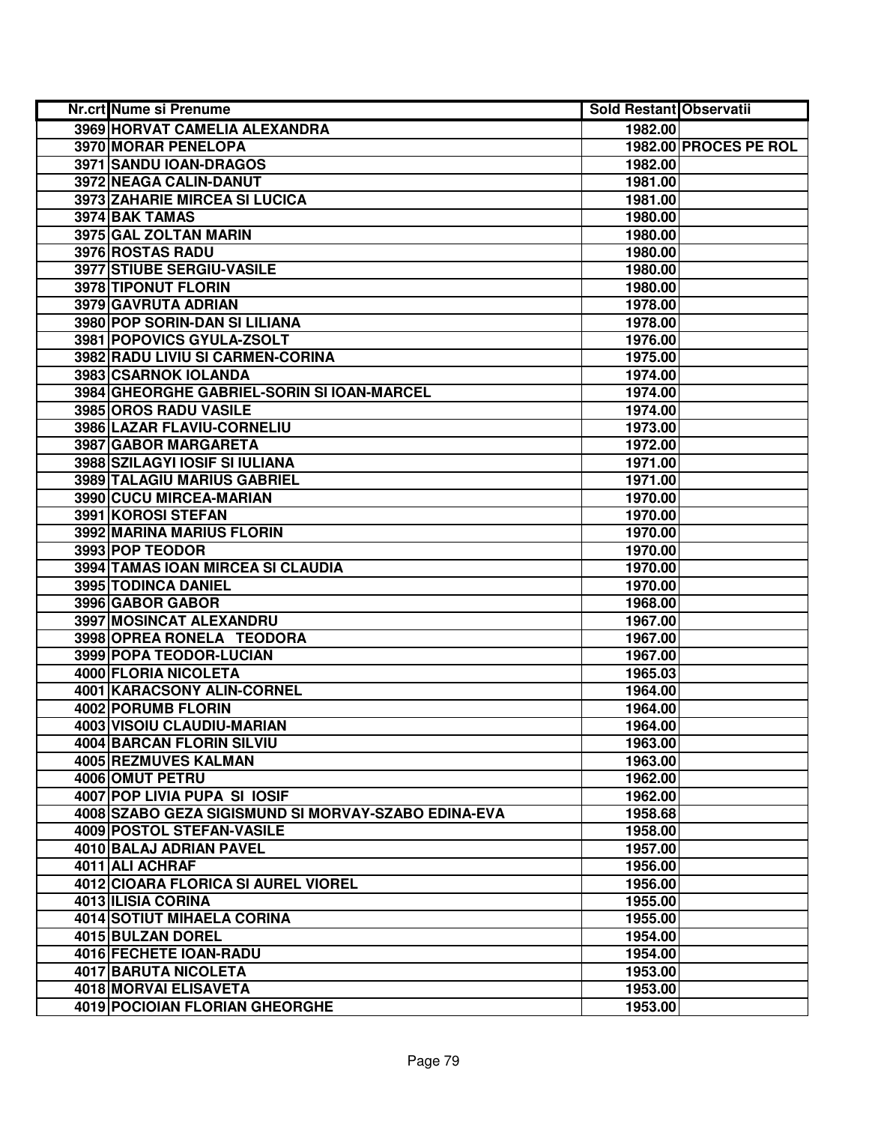| Nr.crt Nume si Prenume                              | <b>Sold Restant Observatii</b> |                       |
|-----------------------------------------------------|--------------------------------|-----------------------|
| 3969 HORVAT CAMELIA ALEXANDRA                       | 1982.00                        |                       |
| <b>3970 MORAR PENELOPA</b>                          |                                | 1982.00 PROCES PE ROL |
| 3971 SANDU IOAN-DRAGOS                              | 1982.00                        |                       |
| 3972 NEAGA CALIN-DANUT                              | 1981.00                        |                       |
| 3973 ZAHARIE MIRCEA SI LUCICA                       | 1981.00                        |                       |
| 3974 BAK TAMAS                                      | 1980.00                        |                       |
| 3975 GAL ZOLTAN MARIN                               | 1980.00                        |                       |
| 3976 ROSTAS RADU                                    | 1980.00                        |                       |
| <b>3977 STIUBE SERGIU-VASILE</b>                    | 1980.00                        |                       |
| 3978 TIPONUT FLORIN                                 | 1980.00                        |                       |
| 3979 GAVRUTA ADRIAN                                 | 1978.00                        |                       |
| 3980 POP SORIN-DAN SI LILIANA                       | 1978.00                        |                       |
| 3981 POPOVICS GYULA-ZSOLT                           | 1976.00                        |                       |
| 3982 RADU LIVIU SI CARMEN-CORINA                    | 1975.00                        |                       |
| 3983 CSARNOK IOLANDA                                | 1974.00                        |                       |
| 3984 GHEORGHE GABRIEL-SORIN SI IOAN-MARCEL          | 1974.00                        |                       |
| 3985 OROS RADU VASILE                               | 1974.00                        |                       |
| 3986 LAZAR FLAVIU-CORNELIU                          | 1973.00                        |                       |
| 3987 GABOR MARGARETA                                | 1972.00                        |                       |
| 3988 SZILAGYI IOSIF SI IULIANA                      | 1971.00                        |                       |
| 3989 TALAGIU MARIUS GABRIEL                         | 1971.00                        |                       |
| 3990 CUCU MIRCEA-MARIAN                             | 1970.00                        |                       |
| 3991 KOROSI STEFAN                                  | 1970.00                        |                       |
| 3992 MARINA MARIUS FLORIN                           | 1970.00                        |                       |
| 3993 POP TEODOR                                     | 1970.00                        |                       |
| 3994 TAMAS IOAN MIRCEA SI CLAUDIA                   | 1970.00                        |                       |
| 3995 TODINCA DANIEL                                 | 1970.00                        |                       |
| 3996 GABOR GABOR                                    | 1968.00                        |                       |
| 3997 MOSINCAT ALEXANDRU                             | 1967.00                        |                       |
| 3998 OPREA RONELA TEODORA                           | 1967.00                        |                       |
| 3999 POPA TEODOR-LUCIAN                             | 1967.00                        |                       |
| 4000 FLORIA NICOLETA                                | 1965.03                        |                       |
| 4001 KARACSONY ALIN-CORNEL                          | 1964.00                        |                       |
| 4002 PORUMB FLORIN                                  | 1964.00                        |                       |
| <b>4003 VISOIU CLAUDIU-MARIAN</b>                   | 1964.00                        |                       |
| <b>4004 BARCAN FLORIN SILVIU</b>                    | 1963.00                        |                       |
| 4005 REZMUVES KALMAN                                | 1963.00                        |                       |
| 4006 OMUT PETRU                                     | 1962.00                        |                       |
| <b>4007 POP LIVIA PUPA SI IOSIF</b>                 | 1962.00                        |                       |
| 4008 SZABO GEZA SIGISMUND SI MORVAY-SZABO EDINA-EVA | 1958.68                        |                       |
| 4009 POSTOL STEFAN-VASILE                           | 1958.00                        |                       |
| 4010 BALAJ ADRIAN PAVEL                             | 1957.00                        |                       |
| 4011 ALI ACHRAF                                     | 1956.00                        |                       |
| 4012 CIOARA FLORICA SI AUREL VIOREL                 | 1956.00                        |                       |
| 4013 ILISIA CORINA                                  | 1955.00                        |                       |
| <b>4014 SOTIUT MIHAELA CORINA</b>                   | 1955.00                        |                       |
| 4015 BULZAN DOREL                                   | 1954.00                        |                       |
| 4016 FECHETE IOAN-RADU                              | 1954.00                        |                       |
| 4017 BARUTA NICOLETA                                | 1953.00                        |                       |
| 4018 MORVAI ELISAVETA                               | 1953.00                        |                       |
| 4019 POCIOIAN FLORIAN GHEORGHE                      | 1953.00                        |                       |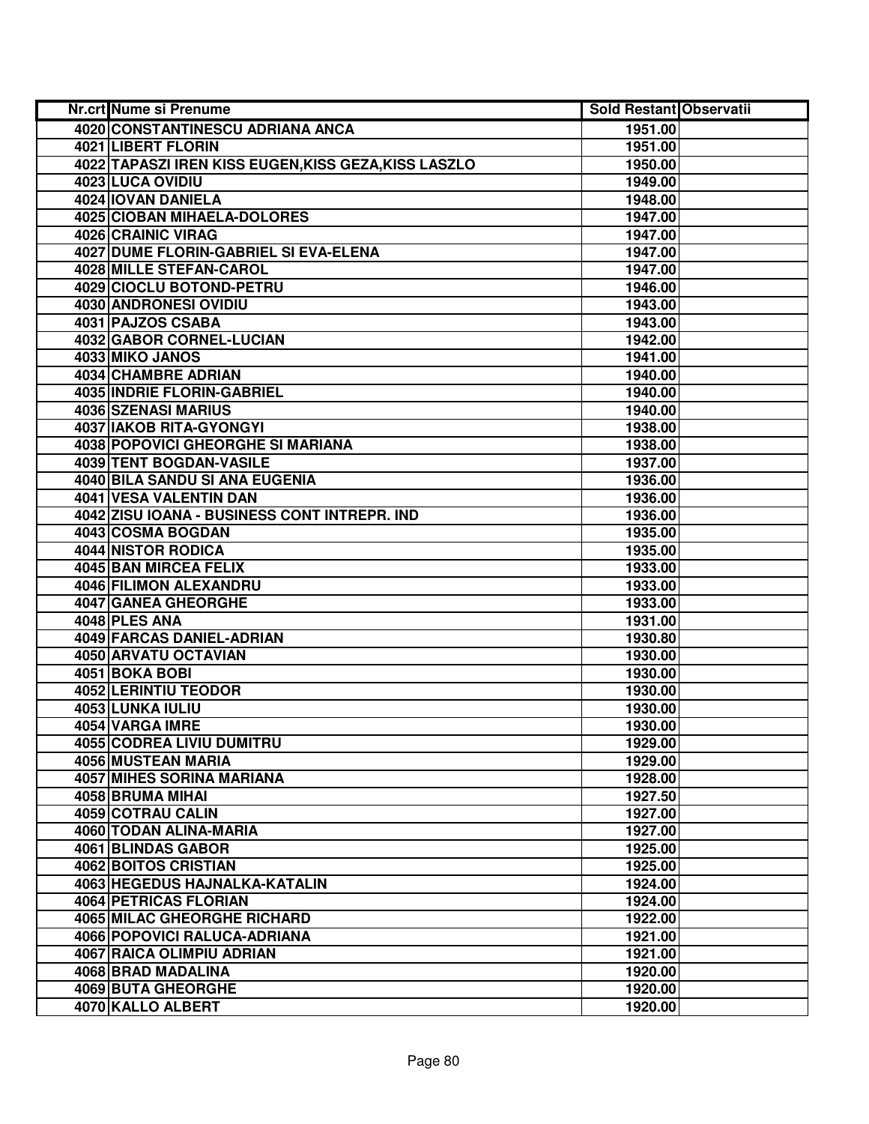| Nr.crt Nume si Prenume                               | <b>Sold Restant Observatii</b> |  |
|------------------------------------------------------|--------------------------------|--|
| 4020 CONSTANTINESCU ADRIANA ANCA                     | 1951.00                        |  |
| 4021 LIBERT FLORIN                                   | 1951.00                        |  |
| 4022 TAPASZI IREN KISS EUGEN, KISS GEZA, KISS LASZLO | 1950.00                        |  |
| 4023 LUCA OVIDIU                                     | 1949.00                        |  |
| 4024 IOVAN DANIELA                                   | 1948.00                        |  |
| 4025 CIOBAN MIHAELA-DOLORES                          | 1947.00                        |  |
| 4026 CRAINIC VIRAG                                   | 1947.00                        |  |
| 4027 DUME FLORIN-GABRIEL SI EVA-ELENA                | 1947.00                        |  |
| 4028 MILLE STEFAN-CAROL                              | 1947.00                        |  |
| 4029 CIOCLU BOTOND-PETRU                             | 1946.00                        |  |
| 4030 ANDRONESI OVIDIU                                | 1943.00                        |  |
| 4031 PAJZOS CSABA                                    | 1943.00                        |  |
| 4032 GABOR CORNEL-LUCIAN                             | 1942.00                        |  |
| 4033 MIKO JANOS                                      | 1941.00                        |  |
| 4034 CHAMBRE ADRIAN                                  | 1940.00                        |  |
| <b>4035 INDRIE FLORIN-GABRIEL</b>                    | 1940.00                        |  |
| 4036 SZENASI MARIUS                                  | 1940.00                        |  |
| 4037 IAKOB RITA-GYONGYI                              | 1938.00                        |  |
| 4038 POPOVICI GHEORGHE SI MARIANA                    | 1938.00                        |  |
| 4039 TENT BOGDAN-VASILE                              | 1937.00                        |  |
| 4040 BILA SANDU SI ANA EUGENIA                       | 1936.00                        |  |
| 4041 VESA VALENTIN DAN                               | 1936.00                        |  |
| 4042 ZISU IOANA - BUSINESS CONT INTREPR. IND         | 1936.00                        |  |
| 4043 COSMA BOGDAN                                    | 1935.00                        |  |
| 4044 NISTOR RODICA                                   | 1935.00                        |  |
| 4045 BAN MIRCEA FELIX                                | 1933.00                        |  |
| 4046 FILIMON ALEXANDRU                               | 1933.00                        |  |
| 4047 GANEA GHEORGHE                                  | 1933.00                        |  |
| 4048 PLES ANA                                        | 1931.00                        |  |
| 4049 FARCAS DANIEL-ADRIAN                            | 1930.80                        |  |
| 4050 ARVATU OCTAVIAN                                 | 1930.00                        |  |
| 4051 BOKA BOBI                                       | 1930.00                        |  |
| 4052 LERINTIU TEODOR                                 | 1930.00                        |  |
| 4053 LUNKA IULIU                                     | 1930.00                        |  |
| 4054 VARGA IMRE                                      | 1930.00                        |  |
| 4055 CODREA LIVIU DUMITRU                            | 1929.00                        |  |
| 4056 MUSTEAN MARIA                                   | 1929.00                        |  |
| 4057 MIHES SORINA MARIANA                            | 1928.00                        |  |
| 4058 BRUMA MIHAI                                     | 1927.50                        |  |
| 4059 COTRAU CALIN<br>4060 TODAN ALINA-MARIA          | 1927.00                        |  |
|                                                      | 1927.00                        |  |
| 4061 BLINDAS GABOR<br>4062 BOITOS CRISTIAN           | 1925.00                        |  |
| 4063 HEGEDUS HAJNALKA-KATALIN                        | 1925.00                        |  |
|                                                      | 1924.00                        |  |
| 4064 PETRICAS FLORIAN<br>4065 MILAC GHEORGHE RICHARD | 1924.00<br>1922.00             |  |
| 4066 POPOVICI RALUCA-ADRIANA                         |                                |  |
| 4067 RAICA OLIMPIU ADRIAN                            | 1921.00<br>1921.00             |  |
| 4068 BRAD MADALINA                                   | 1920.00                        |  |
| 4069 BUTA GHEORGHE                                   | 1920.00                        |  |
| 4070 KALLO ALBERT                                    | 1920.00                        |  |
|                                                      |                                |  |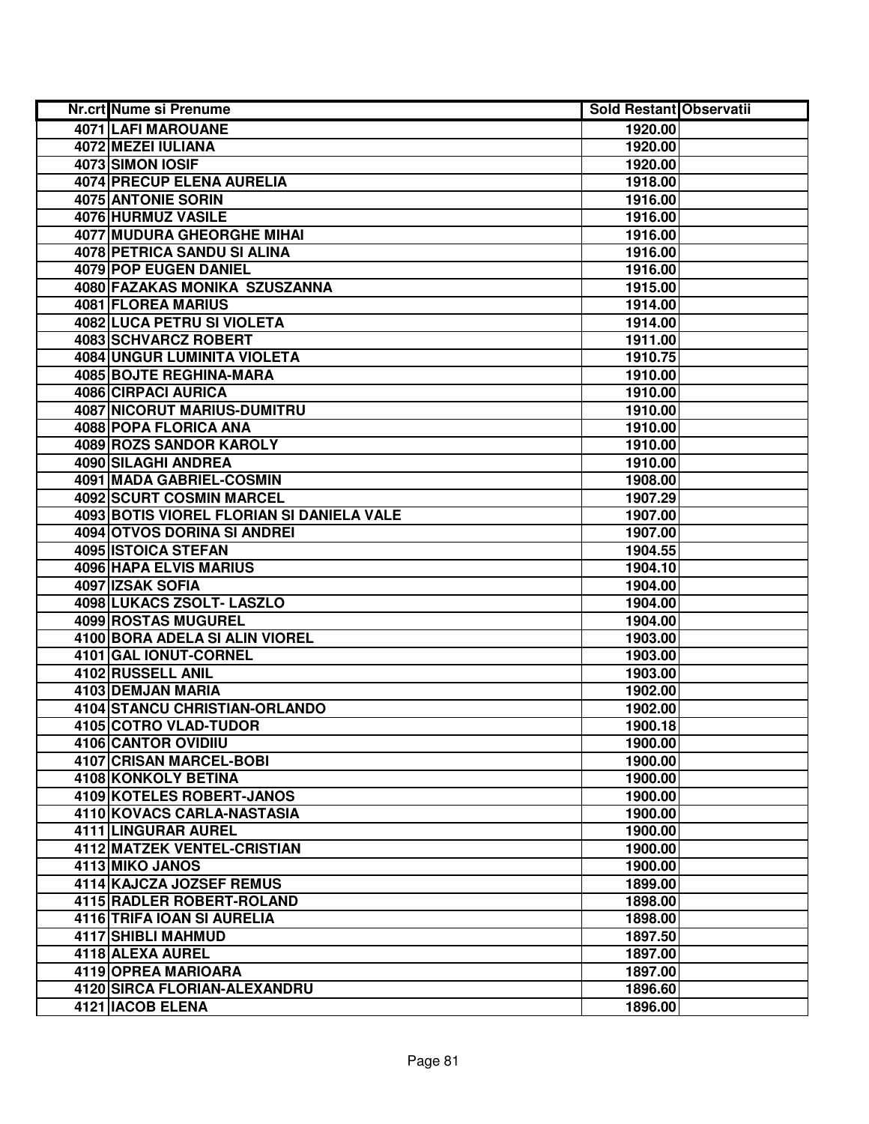| Nr.crt Nume si Prenume                    | <b>Sold Restant Observatii</b> |  |
|-------------------------------------------|--------------------------------|--|
| 4071 LAFI MAROUANE                        | 1920.00                        |  |
| 4072 MEZEI IULIANA                        | 1920.00                        |  |
| 4073 SIMON IOSIF                          | 1920.00                        |  |
| <b>4074 PRECUP ELENA AURELIA</b>          | 1918.00                        |  |
| 4075 ANTONIE SORIN                        | 1916.00                        |  |
| 4076 HURMUZ VASILE                        | 1916.00                        |  |
| <b>4077 MUDURA GHEORGHE MIHAI</b>         | 1916.00                        |  |
| <b>4078 PETRICA SANDU SI ALINA</b>        | 1916.00                        |  |
| <b>4079 POP EUGEN DANIEL</b>              | 1916.00                        |  |
| 4080 FAZAKAS MONIKA SZUSZANNA             | 1915.00                        |  |
| 4081 FLOREA MARIUS                        | 1914.00                        |  |
| <b>4082 LUCA PETRU SI VIOLETA</b>         | 1914.00                        |  |
| 4083 SCHVARCZ ROBERT                      | 1911.00                        |  |
| 4084 UNGUR LUMINITA VIOLETA               | 1910.75                        |  |
| 4085 BOJTE REGHINA-MARA                   | 1910.00                        |  |
| 4086 CIRPACI AURICA                       | 1910.00                        |  |
| 4087 NICORUT MARIUS-DUMITRU               | 1910.00                        |  |
| 4088 POPA FLORICA ANA                     | 1910.00                        |  |
| 4089 ROZS SANDOR KAROLY                   | 1910.00                        |  |
| 4090 SILAGHI ANDREA                       | 1910.00                        |  |
| 4091 MADA GABRIEL-COSMIN                  | 1908.00                        |  |
| <b>4092 SCURT COSMIN MARCEL</b>           | 1907.29                        |  |
| 4093 BOTIS VIOREL FLORIAN SI DANIELA VALE | 1907.00                        |  |
| 4094 OTVOS DORINA SI ANDREI               | 1907.00                        |  |
| 4095 ISTOICA STEFAN                       | 1904.55                        |  |
| 4096 HAPA ELVIS MARIUS                    | 1904.10                        |  |
| 4097 IZSAK SOFIA                          | 1904.00                        |  |
| 4098 LUKACS ZSOLT- LASZLO                 | 1904.00                        |  |
| 4099 ROSTAS MUGUREL                       | 1904.00                        |  |
| 4100 BORA ADELA SI ALIN VIOREL            | 1903.00                        |  |
| 4101 GAL IONUT-CORNEL                     | 1903.00                        |  |
| 4102 RUSSELL ANIL                         | 1903.00                        |  |
| 4103 DEMJAN MARIA                         | 1902.00                        |  |
| 4104 STANCU CHRISTIAN-ORLANDO             | 1902.00                        |  |
| 4105 COTRO VLAD-TUDOR                     | 1900.18                        |  |
| 4106 CANTOR OVIDIIU                       | 1900.00                        |  |
| 4107 CRISAN MARCEL-BOBI                   | 1900.00                        |  |
| 4108 KONKOLY BETINA                       | 1900.00                        |  |
| <b>4109 KOTELES ROBERT-JANOS</b>          | 1900.00                        |  |
| 4110 KOVACS CARLA-NASTASIA                | 1900.00                        |  |
| 4111 LINGURAR AUREL                       | 1900.00                        |  |
| 4112 MATZEK VENTEL-CRISTIAN               | 1900.00                        |  |
| 4113 MIKO JANOS                           | 1900.00                        |  |
| 4114 KAJCZA JOZSEF REMUS                  | 1899.00                        |  |
| 4115 RADLER ROBERT-ROLAND                 | 1898.00                        |  |
| 4116 TRIFA IOAN SI AURELIA                | 1898.00                        |  |
| 4117 SHIBLI MAHMUD                        | 1897.50                        |  |
| 4118 ALEXA AUREL                          | 1897.00                        |  |
| 4119 OPREA MARIOARA                       | 1897.00                        |  |
| 4120 SIRCA FLORIAN-ALEXANDRU              | 1896.60                        |  |
| 4121 IACOB ELENA                          | 1896.00                        |  |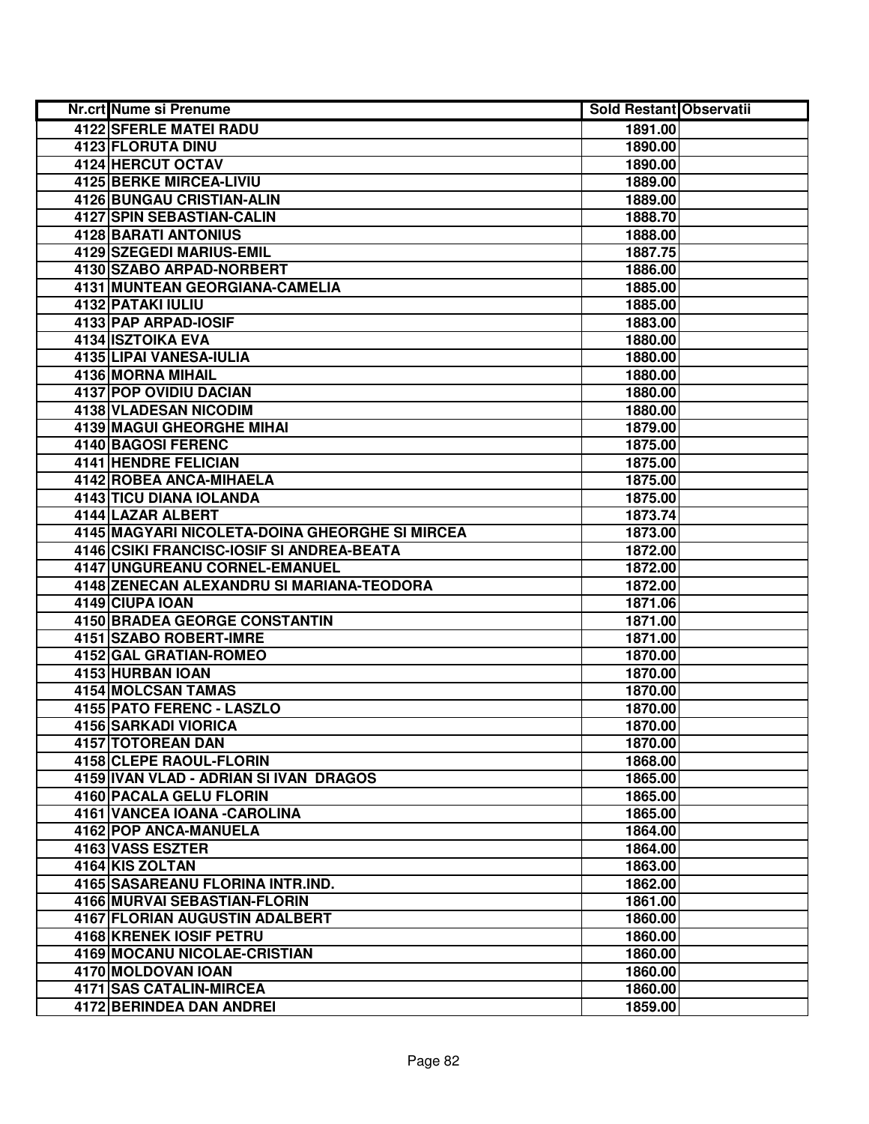| Nr.crt Nume si Prenume                                    | <b>Sold Restant Observatii</b> |  |
|-----------------------------------------------------------|--------------------------------|--|
| 4122 SFERLE MATEI RADU                                    | 1891.00                        |  |
| 4123 FLORUTA DINU                                         | 1890.00                        |  |
| 4124 HERCUT OCTAV                                         | 1890.00                        |  |
| <b>4125 BERKE MIRCEA-LIVIU</b>                            | 1889.00                        |  |
| 4126 BUNGAU CRISTIAN-ALIN                                 | 1889.00                        |  |
| 4127 SPIN SEBASTIAN-CALIN                                 | 1888.70                        |  |
| 4128 BARATI ANTONIUS                                      | 1888.00                        |  |
| 4129 SZEGEDI MARIUS-EMIL                                  | 1887.75                        |  |
| 4130 SZABO ARPAD-NORBERT                                  | 1886.00                        |  |
| 4131 MUNTEAN GEORGIANA-CAMELIA                            | 1885.00                        |  |
| 4132 PATAKI IULIU                                         | 1885.00                        |  |
| 4133 PAP ARPAD-IOSIF                                      | 1883.00                        |  |
| 4134 ISZTOIKA EVA                                         | 1880.00                        |  |
| 4135 LIPAI VANESA-IULIA                                   | 1880.00                        |  |
| 4136 MORNA MIHAIL                                         | 1880.00                        |  |
| <b>4137 POP OVIDIU DACIAN</b>                             | 1880.00                        |  |
| 4138 VLADESAN NICODIM                                     | 1880.00                        |  |
| <b>4139 MAGUI GHEORGHE MIHAI</b>                          | 1879.00                        |  |
| <b>4140 BAGOSI FERENC</b>                                 | 1875.00                        |  |
| 4141 HENDRE FELICIAN                                      | 1875.00                        |  |
| 4142 ROBEA ANCA-MIHAELA                                   | 1875.00                        |  |
| 4143 TICU DIANA IOLANDA                                   | 1875.00                        |  |
| 4144 LAZAR ALBERT                                         | 1873.74                        |  |
| 4145 MAGYARI NICOLETA-DOINA GHEORGHE SI MIRCEA            | 1873.00                        |  |
| 4146 CSIKI FRANCISC-IOSIF SI ANDREA-BEATA                 | 1872.00                        |  |
| 4147 UNGUREANU CORNEL-EMANUEL                             | 1872.00                        |  |
| 4148 ZENECAN ALEXANDRU SI MARIANA-TEODORA                 | 1872.00                        |  |
| 4149 CIUPA IOAN                                           | 1871.06                        |  |
| 4150 BRADEA GEORGE CONSTANTIN                             | 1871.00                        |  |
| 4151 SZABO ROBERT-IMRE                                    | 1871.00                        |  |
| 4152 GAL GRATIAN-ROMEO                                    | 1870.00                        |  |
| 4153 HURBAN IOAN                                          | 1870.00                        |  |
| 4154 MOLCSAN TAMAS                                        | 1870.00                        |  |
| <b>4155 PATO FERENC - LASZLO</b>                          | 1870.00                        |  |
| <b>4156 SARKADI VIORICA</b>                               | 1870.00                        |  |
| <b>4157 TOTOREAN DAN</b>                                  | 1870.00                        |  |
| 4158 CLEPE RAOUL-FLORIN                                   | 1868.00                        |  |
| 4159 IVAN VLAD - ADRIAN SI IVAN DRAGOS                    | 1865.00                        |  |
| 4160 PACALA GELU FLORIN                                   | 1865.00                        |  |
| 4161 VANCEA IOANA - CAROLINA                              | 1865.00                        |  |
| 4162 POP ANCA-MANUELA                                     | 1864.00                        |  |
| 4163 VASS ESZTER                                          | 1864.00                        |  |
| 4164 KIS ZOLTAN                                           | 1863.00                        |  |
| 4165 SASAREANU FLORINA INTR.IND.                          | 1862.00                        |  |
| 4166 MURVAI SEBASTIAN-FLORIN                              | 1861.00                        |  |
| 4167 FLORIAN AUGUSTIN ADALBERT<br>4168 KRENEK IOSIF PETRU | 1860.00<br>1860.00             |  |
| 4169 MOCANU NICOLAE-CRISTIAN                              | 1860.00                        |  |
| 4170 MOLDOVAN IOAN                                        | 1860.00                        |  |
| 4171 SAS CATALIN-MIRCEA                                   | 1860.00                        |  |
| 4172 BERINDEA DAN ANDREI                                  | 1859.00                        |  |
|                                                           |                                |  |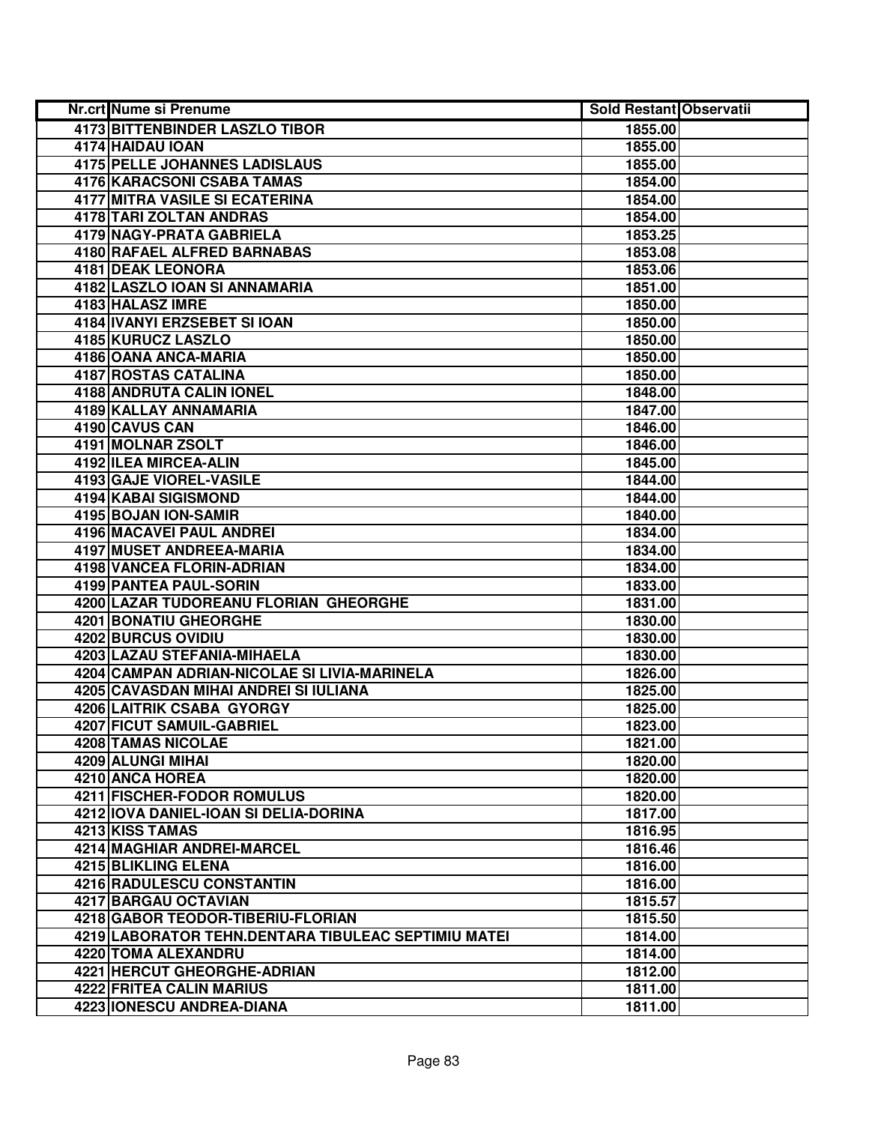| Nr.crt Nume si Prenume                              | <b>Sold Restant Observatii</b> |  |
|-----------------------------------------------------|--------------------------------|--|
| <b>4173 BITTENBINDER LASZLO TIBOR</b>               | 1855.00                        |  |
| 4174 HAIDAU JOAN                                    | 1855.00                        |  |
| <b>4175 PELLE JOHANNES LADISLAUS</b>                | 1855.00                        |  |
| <b>4176 KARACSONI CSABA TAMAS</b>                   | 1854.00                        |  |
| <b>4177 MITRA VASILE SI ECATERINA</b>               | 1854.00                        |  |
| 4178 TARI ZOLTAN ANDRAS                             | 1854.00                        |  |
| 4179 NAGY-PRATA GABRIELA                            | 1853.25                        |  |
| 4180 RAFAEL ALFRED BARNABAS                         | 1853.08                        |  |
| 4181 DEAK LEONORA                                   | 1853.06                        |  |
| 4182 LASZLO IOAN SI ANNAMARIA                       | 1851.00                        |  |
| 4183 HALASZ IMRE                                    | 1850.00                        |  |
| <b>4184 IVANYI ERZSEBET SI IOAN</b>                 | 1850.00                        |  |
| 4185 KURUCZ LASZLO                                  | 1850.00                        |  |
| 4186 OANA ANCA-MARIA                                | 1850.00                        |  |
| 4187 ROSTAS CATALINA                                | 1850.00                        |  |
| 4188 ANDRUTA CALIN IONEL                            | 1848.00                        |  |
| 4189 KALLAY ANNAMARIA                               | 1847.00                        |  |
| 4190 CAVUS CAN                                      | 1846.00                        |  |
| 4191 MOLNAR ZSOLT                                   | 1846.00                        |  |
| 4192 ILEA MIRCEA-ALIN                               | 1845.00                        |  |
| 4193 GAJE VIOREL-VASILE                             | 1844.00                        |  |
| <b>4194 KABAI SIGISMOND</b>                         | 1844.00                        |  |
| 4195 BOJAN ION-SAMIR                                | 1840.00                        |  |
| 4196 MACAVEI PAUL ANDREI                            | 1834.00                        |  |
| 4197 MUSET ANDREEA-MARIA                            | 1834.00                        |  |
| 4198 VANCEA FLORIN-ADRIAN                           | 1834.00                        |  |
| 4199 PANTEA PAUL-SORIN                              | 1833.00                        |  |
| 4200 LAZAR TUDOREANU FLORIAN GHEORGHE               | 1831.00                        |  |
| 4201 BONATIU GHEORGHE                               | 1830.00                        |  |
| 4202 BURCUS OVIDIU                                  | 1830.00                        |  |
| 4203 LAZAU STEFANIA-MIHAELA                         | 1830.00                        |  |
| 4204 CAMPAN ADRIAN-NICOLAE SI LIVIA-MARINELA        | 1826.00                        |  |
| 4205 CAVASDAN MIHAI ANDREI SI IULIANA               | 1825.00                        |  |
| 4206 LAITRIK CSABA GYORGY                           | 1825.00                        |  |
| 4207 FICUT SAMUIL-GABRIEL                           | 1823.00                        |  |
| 4208 TAMAS NICOLAE                                  | 1821.00                        |  |
| 4209 ALUNGI MIHAI                                   | 1820.00                        |  |
| 4210 ANCA HOREA<br>4211 FISCHER-FODOR ROMULUS       | 1820.00                        |  |
| 4212 IOVA DANIEL-IOAN SI DELIA-DORINA               | 1820.00                        |  |
| 4213 KISS TAMAS                                     | 1817.00                        |  |
| <b>4214 MAGHIAR ANDREI-MARCEL</b>                   | 1816.95<br>1816.46             |  |
| 4215 BLIKLING ELENA                                 | 1816.00                        |  |
|                                                     | 1816.00                        |  |
| 4216 RADULESCU CONSTANTIN<br>4217 BARGAU OCTAVIAN   | 1815.57                        |  |
| 4218 GABOR TEODOR-TIBERIU-FLORIAN                   | 1815.50                        |  |
| 4219 LABORATOR TEHN.DENTARA TIBULEAC SEPTIMIU MATEI | 1814.00                        |  |
| 4220 TOMA ALEXANDRU                                 | 1814.00                        |  |
| 4221 HERCUT GHEORGHE-ADRIAN                         | 1812.00                        |  |
| 4222 FRITEA CALIN MARIUS                            | 1811.00                        |  |
| 4223 IONESCU ANDREA-DIANA                           | 1811.00                        |  |
|                                                     |                                |  |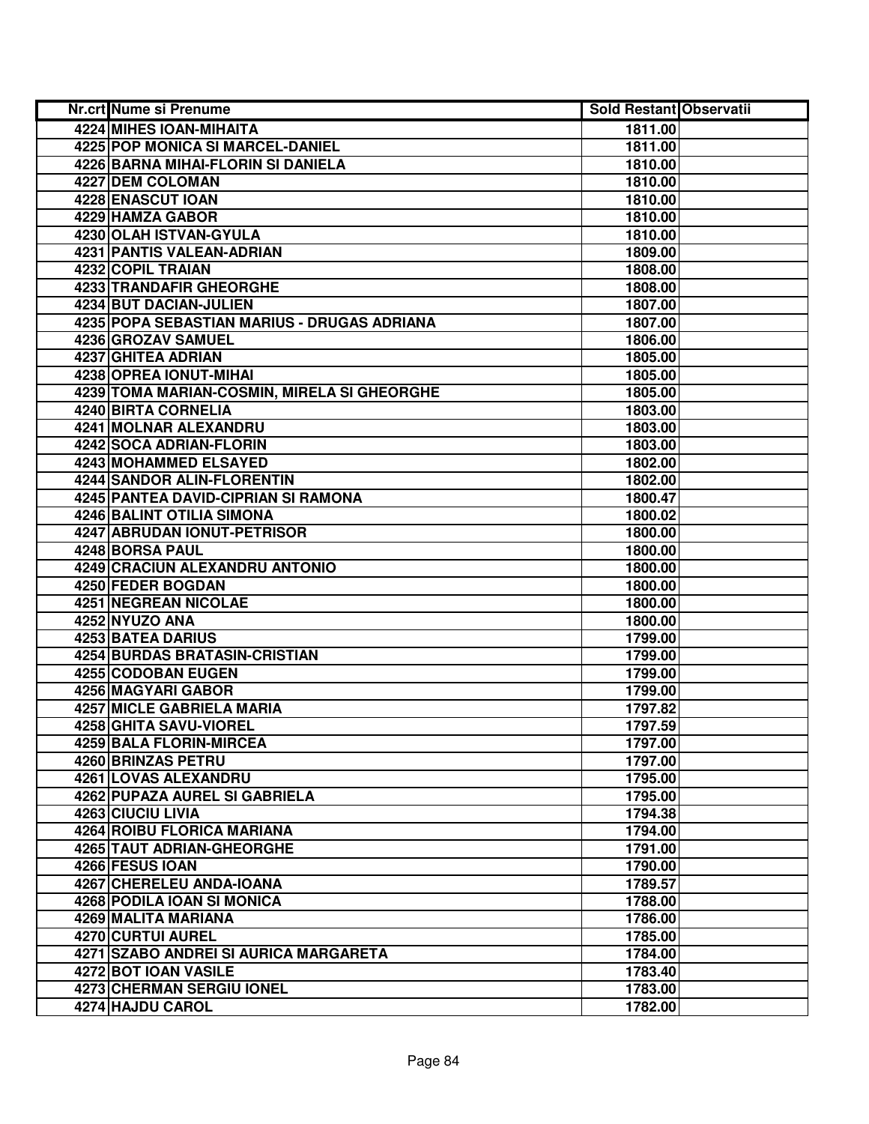| Nr.crt Nume si Prenume                      | <b>Sold Restant Observatii</b> |  |
|---------------------------------------------|--------------------------------|--|
| 4224 MIHES IOAN-MIHAITA                     | 1811.00                        |  |
| <b>4225 POP MONICA SI MARCEL-DANIEL</b>     | 1811.00                        |  |
| 4226 BARNA MIHAI-FLORIN SI DANIELA          | 1810.00                        |  |
| 4227 DEM COLOMAN                            | 1810.00                        |  |
| 4228 ENASCUT IOAN                           | 1810.00                        |  |
| 4229 HAMZA GABOR                            | 1810.00                        |  |
| 4230 OLAH ISTVAN-GYULA                      | 1810.00                        |  |
| 4231 PANTIS VALEAN-ADRIAN                   | 1809.00                        |  |
| <b>4232 COPIL TRAIAN</b>                    | 1808.00                        |  |
| <b>4233 TRANDAFIR GHEORGHE</b>              | 1808.00                        |  |
| 4234 BUT DACIAN-JULIEN                      | 1807.00                        |  |
| 4235 POPA SEBASTIAN MARIUS - DRUGAS ADRIANA | 1807.00                        |  |
| 4236 GROZAV SAMUEL                          | 1806.00                        |  |
| 4237 GHITEA ADRIAN                          | 1805.00                        |  |
| 4238 OPREA IONUT-MIHAI                      | 1805.00                        |  |
| 4239 TOMA MARIAN-COSMIN, MIRELA SI GHEORGHE | 1805.00                        |  |
| 4240 BIRTA CORNELIA                         | 1803.00                        |  |
| 4241 MOLNAR ALEXANDRU                       | 1803.00                        |  |
| 4242 SOCA ADRIAN-FLORIN                     | 1803.00                        |  |
| 4243 MOHAMMED ELSAYED                       | 1802.00                        |  |
| 4244 SANDOR ALIN-FLORENTIN                  | 1802.00                        |  |
| 4245 PANTEA DAVID-CIPRIAN SI RAMONA         | 1800.47                        |  |
| <b>4246 BALINT OTILIA SIMONA</b>            | 1800.02                        |  |
| 4247 ABRUDAN IONUT-PETRISOR                 | 1800.00                        |  |
| 4248 BORSA PAUL                             | 1800.00                        |  |
| 4249 CRACIUN ALEXANDRU ANTONIO              | 1800.00                        |  |
| 4250 FEDER BOGDAN                           | 1800.00                        |  |
| 4251 NEGREAN NICOLAE                        | 1800.00                        |  |
| 4252 NYUZO ANA                              | 1800.00                        |  |
| 4253 BATEA DARIUS                           | 1799.00                        |  |
| 4254 BURDAS BRATASIN-CRISTIAN               | 1799.00                        |  |
| 4255 CODOBAN EUGEN                          | 1799.00                        |  |
| 4256 MAGYARI GABOR                          | 1799.00                        |  |
| <b>4257 MICLE GABRIELA MARIA</b>            | 1797.82                        |  |
| 4258 GHITA SAVU-VIOREL                      | 1797.59                        |  |
| 4259 BALA FLORIN-MIRCEA                     | 1797.00                        |  |
| <b>4260 BRINZAS PETRU</b>                   | 1797.00                        |  |
| <b>4261 LOVAS ALEXANDRU</b>                 | 1795.00                        |  |
| 4262 PUPAZA AUREL SI GABRIELA               | 1795.00                        |  |
| 4263 CIUCIU LIVIA                           | 1794.38                        |  |
| 4264 ROIBU FLORICA MARIANA                  | 1794.00                        |  |
| <b>4265 TAUT ADRIAN-GHEORGHE</b>            | 1791.00                        |  |
| 4266 FESUS IOAN                             | 1790.00                        |  |
| 4267 CHERELEU ANDA-IOANA                    | 1789.57                        |  |
| 4268 PODILA IOAN SI MONICA                  | 1788.00                        |  |
| 4269 MALITA MARIANA                         | 1786.00                        |  |
| 4270 CURTUI AUREL                           | 1785.00                        |  |
| 4271 SZABO ANDREI SI AURICA MARGARETA       | 1784.00                        |  |
| 4272 BOT IOAN VASILE                        | 1783.40                        |  |
| 4273 CHERMAN SERGIU IONEL                   | 1783.00                        |  |
| 4274 HAJDU CAROL                            | 1782.00                        |  |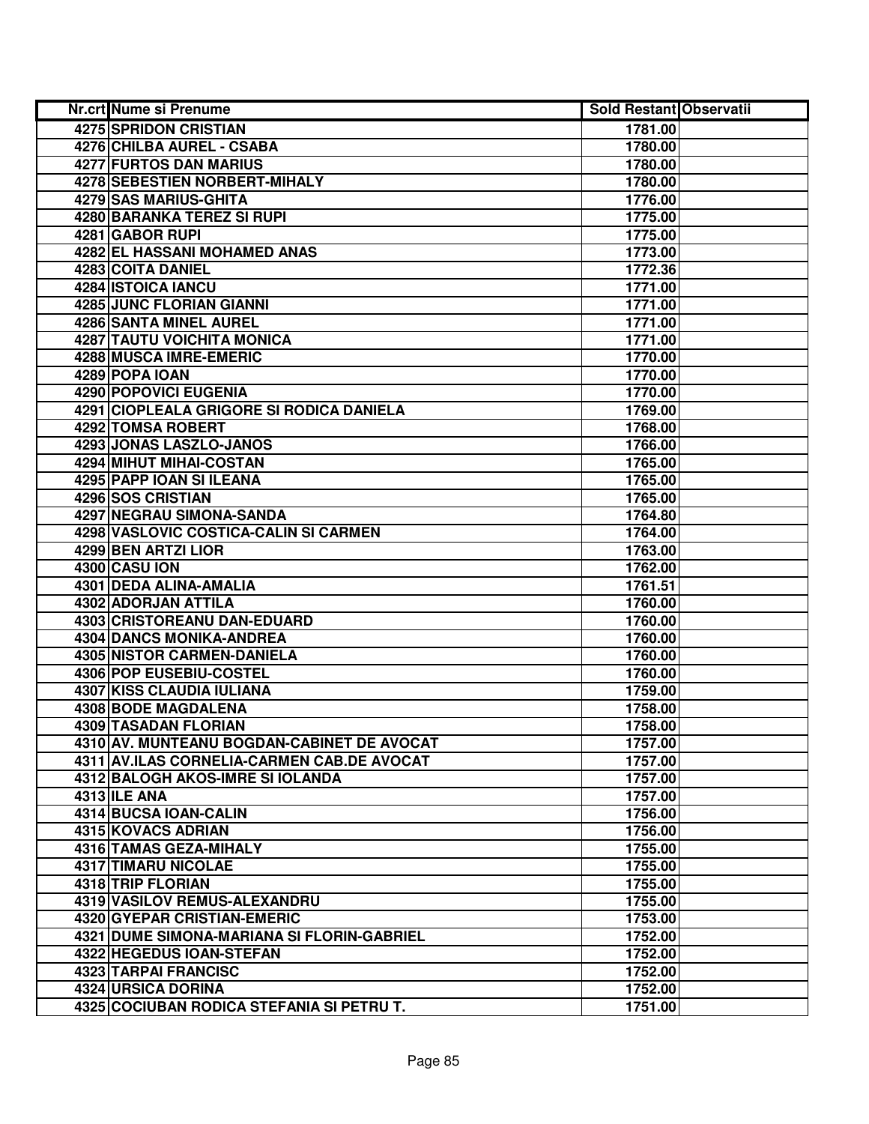| Nr.crt Nume si Prenume                     | <b>Sold Restant Observatii</b> |  |
|--------------------------------------------|--------------------------------|--|
| 4275 SPRIDON CRISTIAN                      | 1781.00                        |  |
| 4276 CHILBA AUREL - CSABA                  | 1780.00                        |  |
| 4277 FURTOS DAN MARIUS                     | 1780.00                        |  |
| 4278 SEBESTIEN NORBERT-MIHALY              | 1780.00                        |  |
| 4279 SAS MARIUS-GHITA                      | 1776.00                        |  |
| <b>4280 BARANKA TEREZ SI RUPI</b>          | 1775.00                        |  |
| 4281 GABOR RUPI                            | 1775.00                        |  |
| 4282 EL HASSANI MOHAMED ANAS               | 1773.00                        |  |
| 4283 COITA DANIEL                          | 1772.36                        |  |
| 4284 ISTOICA IANCU                         | 1771.00                        |  |
| 4285 JUNC FLORIAN GIANNI                   | 1771.00                        |  |
| 4286 SANTA MINEL AUREL                     | 1771.00                        |  |
| <b>4287 TAUTU VOICHITA MONICA</b>          | 1771.00                        |  |
| 4288 MUSCA IMRE-EMERIC                     | 1770.00                        |  |
| 4289 POPA IOAN                             | 1770.00                        |  |
| 4290 POPOVICI EUGENIA                      | 1770.00                        |  |
| 4291 CIOPLEALA GRIGORE SI RODICA DANIELA   | 1769.00                        |  |
| 4292 TOMSA ROBERT                          | 1768.00                        |  |
| 4293 JONAS LASZLO-JANOS                    | 1766.00                        |  |
| 4294 MIHUT MIHAI-COSTAN                    | 1765.00                        |  |
| 4295 PAPP IOAN SI ILEANA                   | 1765.00                        |  |
| 4296 SOS CRISTIAN                          | 1765.00                        |  |
| 4297 NEGRAU SIMONA-SANDA                   | 1764.80                        |  |
| 4298 VASLOVIC COSTICA-CALIN SI CARMEN      | 1764.00                        |  |
| 4299 BEN ARTZI LIOR                        | 1763.00                        |  |
| 4300 CASU ION                              | 1762.00                        |  |
| 4301 DEDA ALINA-AMALIA                     | 1761.51                        |  |
| 4302 ADORJAN ATTILA                        | 1760.00                        |  |
| 4303 CRISTOREANU DAN-EDUARD                | 1760.00                        |  |
| 4304 DANCS MONIKA-ANDREA                   | 1760.00                        |  |
| 4305 NISTOR CARMEN-DANIELA                 | 1760.00                        |  |
| 4306 POP EUSEBIU-COSTEL                    | 1760.00                        |  |
| 4307 KISS CLAUDIA IULIANA                  | 1759.00                        |  |
| 4308 BODE MAGDALENA                        | 1758.00                        |  |
| <b>4309 TASADAN FLORIAN</b>                | 1758.00                        |  |
| 4310 AV. MUNTEANU BOGDAN-CABINET DE AVOCAT | 1757.00                        |  |
| 4311 AV.ILAS CORNELIA-CARMEN CAB.DE AVOCAT | 1757.00                        |  |
| 4312 BALOGH AKOS-IMRE SI IOLANDA           | 1757.00                        |  |
| <b>4313 ILE ANA</b>                        | 1757.00                        |  |
| 4314 BUCSA IOAN-CALIN                      | 1756.00                        |  |
| 4315 KOVACS ADRIAN                         | 1756.00                        |  |
| 4316 TAMAS GEZA-MIHALY                     | 1755.00                        |  |
| 4317 TIMARU NICOLAE                        | 1755.00                        |  |
| 4318 TRIP FLORIAN                          | 1755.00                        |  |
| 4319 VASILOV REMUS-ALEXANDRU               | 1755.00                        |  |
| 4320 GYEPAR CRISTIAN-EMERIC                | 1753.00                        |  |
| 4321 DUME SIMONA-MARIANA SI FLORIN-GABRIEL | 1752.00                        |  |
| 4322 HEGEDUS IOAN-STEFAN                   | 1752.00                        |  |
| 4323 TARPAI FRANCISC                       | 1752.00                        |  |
| 4324 URSICA DORINA                         | 1752.00                        |  |
| 4325 COCIUBAN RODICA STEFANIA SI PETRU T.  | 1751.00                        |  |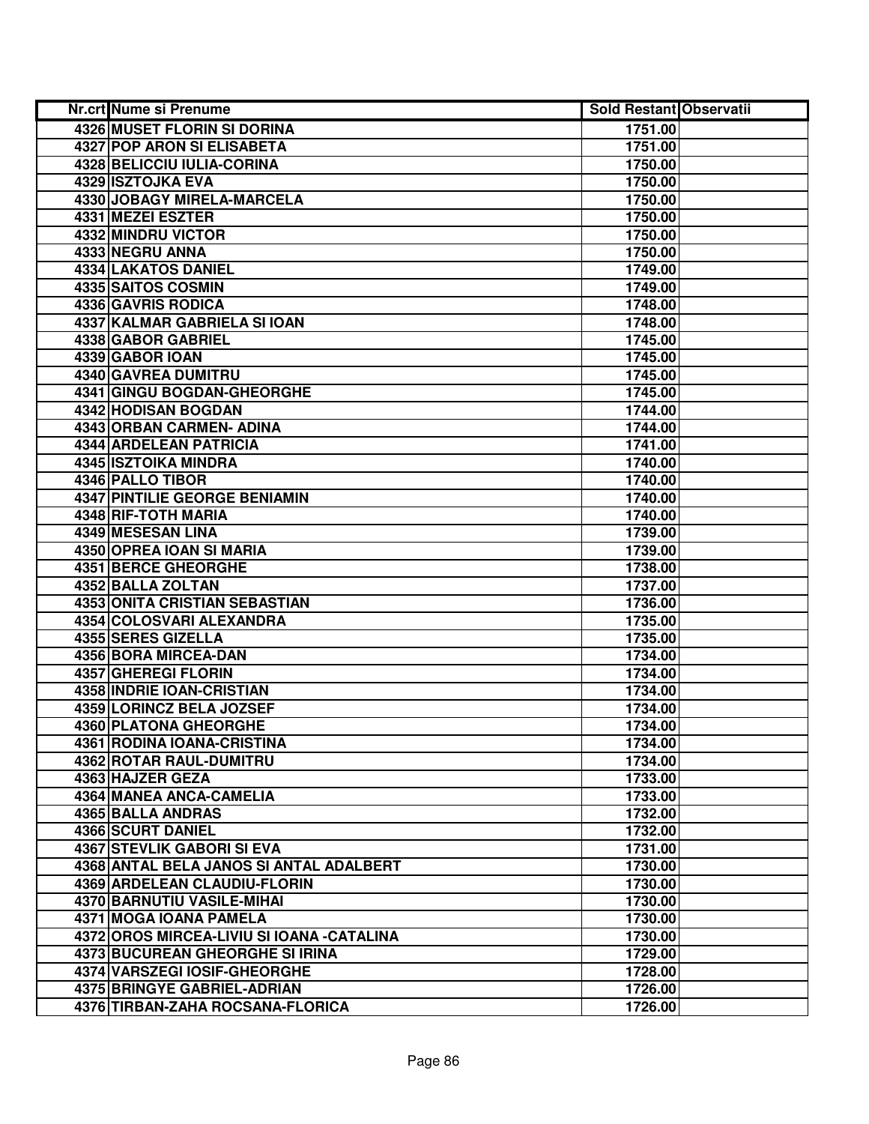| Nr.crt Nume si Prenume                     | <b>Sold Restant Observatii</b> |
|--------------------------------------------|--------------------------------|
| <b>4326 MUSET FLORIN SI DORINA</b>         | 1751.00                        |
| <b>4327 POP ARON SI ELISABETA</b>          | 1751.00                        |
| 4328 BELICCIU IULIA-CORINA                 | 1750.00                        |
| <b>4329 ISZTOJKA EVA</b>                   | 1750.00                        |
| 4330 JOBAGY MIRELA-MARCELA                 | 1750.00                        |
| 4331 MEZEI ESZTER                          | 1750.00                        |
| 4332 MINDRU VICTOR                         | 1750.00                        |
| 4333 NEGRU ANNA                            | 1750.00                        |
| <b>4334 LAKATOS DANIEL</b>                 | 1749.00                        |
| 4335 SAITOS COSMIN                         | 1749.00                        |
| 4336 GAVRIS RODICA                         | 1748.00                        |
| 4337 KALMAR GABRIELA SI IOAN               | 1748.00                        |
| 4338 GABOR GABRIEL                         | 1745.00                        |
| 4339 GABOR IOAN                            | 1745.00                        |
| 4340 GAVREA DUMITRU                        | 1745.00                        |
| 4341 GINGU BOGDAN-GHEORGHE                 | 1745.00                        |
| 4342 HODISAN BOGDAN                        | 1744.00                        |
| 4343 ORBAN CARMEN- ADINA                   | 1744.00                        |
| 4344 ARDELEAN PATRICIA                     | 1741.00                        |
| 4345   ISZTOIKA MINDRA                     | 1740.00                        |
| 4346 PALLO TIBOR                           | 1740.00                        |
| 4347 PINTILIE GEORGE BENIAMIN              | 1740.00                        |
| 4348 RIF-TOTH MARIA                        | 1740.00                        |
| 4349 MESESAN LINA                          | 1739.00                        |
| 4350 OPREA IOAN SI MARIA                   | 1739.00                        |
| 4351 BERCE GHEORGHE                        | 1738.00                        |
| 4352 BALLA ZOLTAN                          | 1737.00                        |
| 4353 ONITA CRISTIAN SEBASTIAN              | 1736.00                        |
| 4354 COLOSVARI ALEXANDRA                   | 1735.00                        |
| 4355 SERES GIZELLA                         | 1735.00                        |
| 4356 BORA MIRCEA-DAN                       | 1734.00                        |
| 4357 GHEREGI FLORIN                        | 1734.00                        |
| 4358 INDRIE IOAN-CRISTIAN                  | 1734.00                        |
| 4359 LORINCZ BELA JOZSEF                   | 1734.00                        |
| <b>4360 PLATONA GHEORGHE</b>               | 1734.00                        |
| 4361 RODINA IOANA-CRISTINA                 | 1734.00                        |
| <b>4362 ROTAR RAUL-DUMITRU</b>             | 1734.00                        |
| 4363 HAJZER GEZA                           | 1733.00                        |
| 4364 MANEA ANCA-CAMELIA                    | 1733.00                        |
| 4365 BALLA ANDRAS                          | 1732.00                        |
| 4366 SCURT DANIEL                          | 1732.00                        |
| <b>4367 STEVLIK GABORI SI EVA</b>          | 1731.00                        |
| 4368 ANTAL BELA JANOS SI ANTAL ADALBERT    | 1730.00                        |
| 4369 ARDELEAN CLAUDIU-FLORIN               | 1730.00                        |
| 4370 BARNUTIU VASILE-MIHAI                 | 1730.00                        |
| 4371 MOGA IOANA PAMELA                     | 1730.00                        |
| 4372 OROS MIRCEA-LIVIU SI IOANA - CATALINA | 1730.00                        |
| 4373 BUCUREAN GHEORGHE SI IRINA            | 1729.00                        |
| 4374 VARSZEGI IOSIF-GHEORGHE               | 1728.00                        |
| 4375 BRINGYE GABRIEL-ADRIAN                | 1726.00                        |
| 4376 TIRBAN-ZAHA ROCSANA-FLORICA           | 1726.00                        |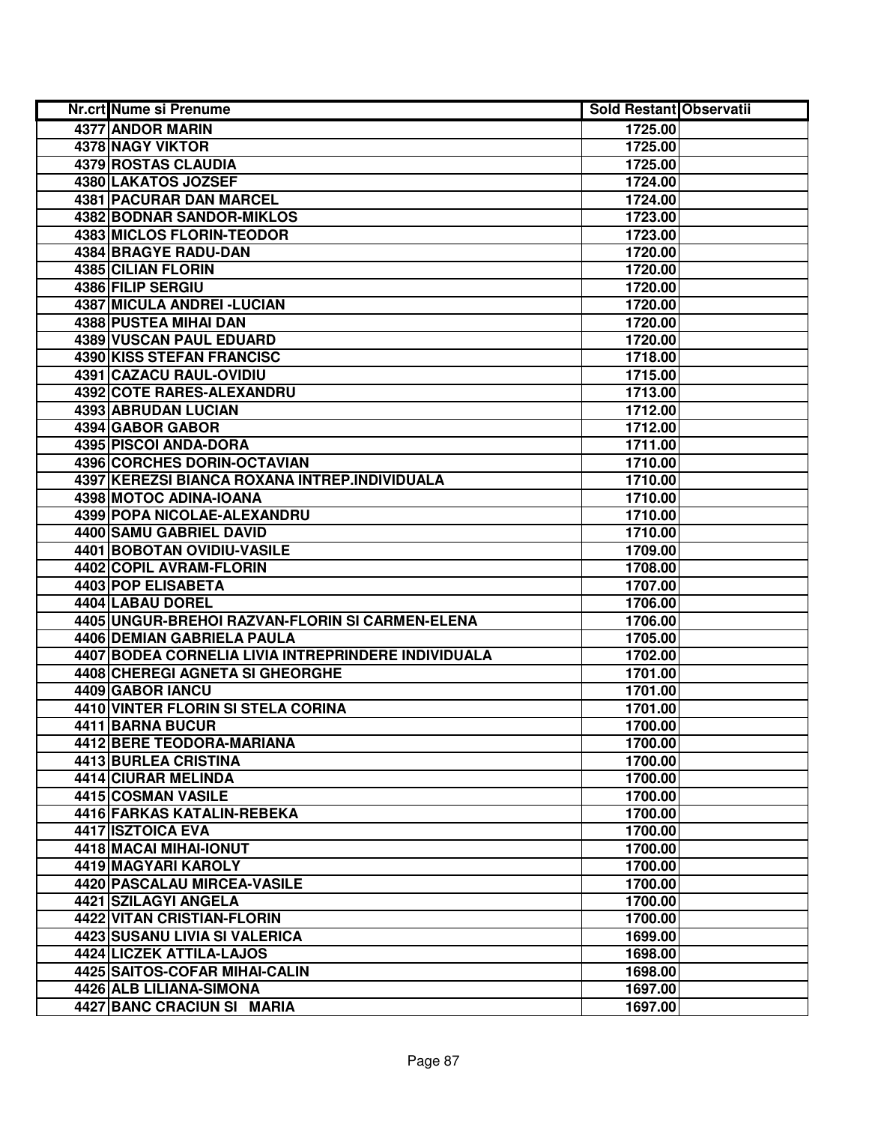| Nr.crt Nume si Prenume                              | <b>Sold Restant Observatii</b> |  |
|-----------------------------------------------------|--------------------------------|--|
| 4377 ANDOR MARIN                                    | 1725.00                        |  |
| <b>4378 NAGY VIKTOR</b>                             | 1725.00                        |  |
| 4379 ROSTAS CLAUDIA                                 | 1725.00                        |  |
| 4380 LAKATOS JOZSEF                                 | 1724.00                        |  |
| 4381 PACURAR DAN MARCEL                             | 1724.00                        |  |
| <b>4382 BODNAR SANDOR-MIKLOS</b>                    | 1723.00                        |  |
| 4383 MICLOS FLORIN-TEODOR                           | 1723.00                        |  |
| <b>4384 BRAGYE RADU-DAN</b>                         | 1720.00                        |  |
| <b>4385 CILIAN FLORIN</b>                           | 1720.00                        |  |
| 4386 FILIP SERGIU                                   | 1720.00                        |  |
| 4387 MICULA ANDREI - LUCIAN                         | 1720.00                        |  |
| <b>4388 PUSTEA MIHAI DAN</b>                        | 1720.00                        |  |
| 4389 VUSCAN PAUL EDUARD                             | 1720.00                        |  |
| <b>4390 KISS STEFAN FRANCISC</b>                    | 1718.00                        |  |
| 4391 CAZACU RAUL-OVIDIU                             | 1715.00                        |  |
| 4392 COTE RARES-ALEXANDRU                           | 1713.00                        |  |
| 4393 ABRUDAN LUCIAN                                 | 1712.00                        |  |
| 4394 GABOR GABOR                                    | 1712.00                        |  |
| 4395 PISCOI ANDA-DORA                               | 1711.00                        |  |
| 4396 CORCHES DORIN-OCTAVIAN                         | 1710.00                        |  |
| 4397 KEREZSI BIANCA ROXANA INTREP.INDIVIDUALA       | 1710.00                        |  |
| 4398 MOTOC ADINA-IOANA                              | 1710.00                        |  |
| 4399 POPA NICOLAE-ALEXANDRU                         | 1710.00                        |  |
| 4400 SAMU GABRIEL DAVID                             | 1710.00                        |  |
| 4401 BOBOTAN OVIDIU-VASILE                          | 1709.00                        |  |
| 4402 COPIL AVRAM-FLORIN                             | 1708.00                        |  |
| 4403 POP ELISABETA                                  | 1707.00                        |  |
| 4404 LABAU DOREL                                    | 1706.00                        |  |
| 4405 UNGUR-BREHOI RAZVAN-FLORIN SI CARMEN-ELENA     | 1706.00                        |  |
| 4406 DEMIAN GABRIELA PAULA                          | 1705.00                        |  |
| 4407 BODEA CORNELIA LIVIA INTREPRINDERE INDIVIDUALA | 1702.00                        |  |
| 4408 CHEREGI AGNETA SI GHEORGHE                     | 1701.00                        |  |
| 4409 GABOR IANCU                                    | 1701.00                        |  |
| <b>4410 VINTER FLORIN SI STELA CORINA</b>           | 1701.00                        |  |
| <b>4411 BARNA BUCUR</b>                             | 1700.00                        |  |
| 4412 BERE TEODORA-MARIANA                           | 1700.00                        |  |
| 4413 BURLEA CRISTINA                                | 1700.00                        |  |
| 4414 CIURAR MELINDA                                 | 1700.00                        |  |
| 4415 COSMAN VASILE                                  | 1700.00                        |  |
| 4416 FARKAS KATALIN-REBEKA                          | 1700.00                        |  |
| 4417 ISZTOICA EVA                                   | 1700.00                        |  |
| 4418 MACAI MIHAI-IONUT                              | 1700.00                        |  |
| 4419 MAGYARI KAROLY                                 | 1700.00                        |  |
| 4420 PASCALAU MIRCEA-VASILE                         | 1700.00                        |  |
| 4421 SZILAGYI ANGELA                                | 1700.00                        |  |
| 4422 VITAN CRISTIAN-FLORIN                          | 1700.00                        |  |
| 4423 SUSANU LIVIA SI VALERICA                       | 1699.00                        |  |
| 4424 LICZEK ATTILA-LAJOS                            | 1698.00                        |  |
| 4425 SAITOS-COFAR MIHAI-CALIN                       | 1698.00                        |  |
| 4426 ALB LILIANA-SIMONA                             | 1697.00                        |  |
| 4427 BANC CRACIUN SI MARIA                          | 1697.00                        |  |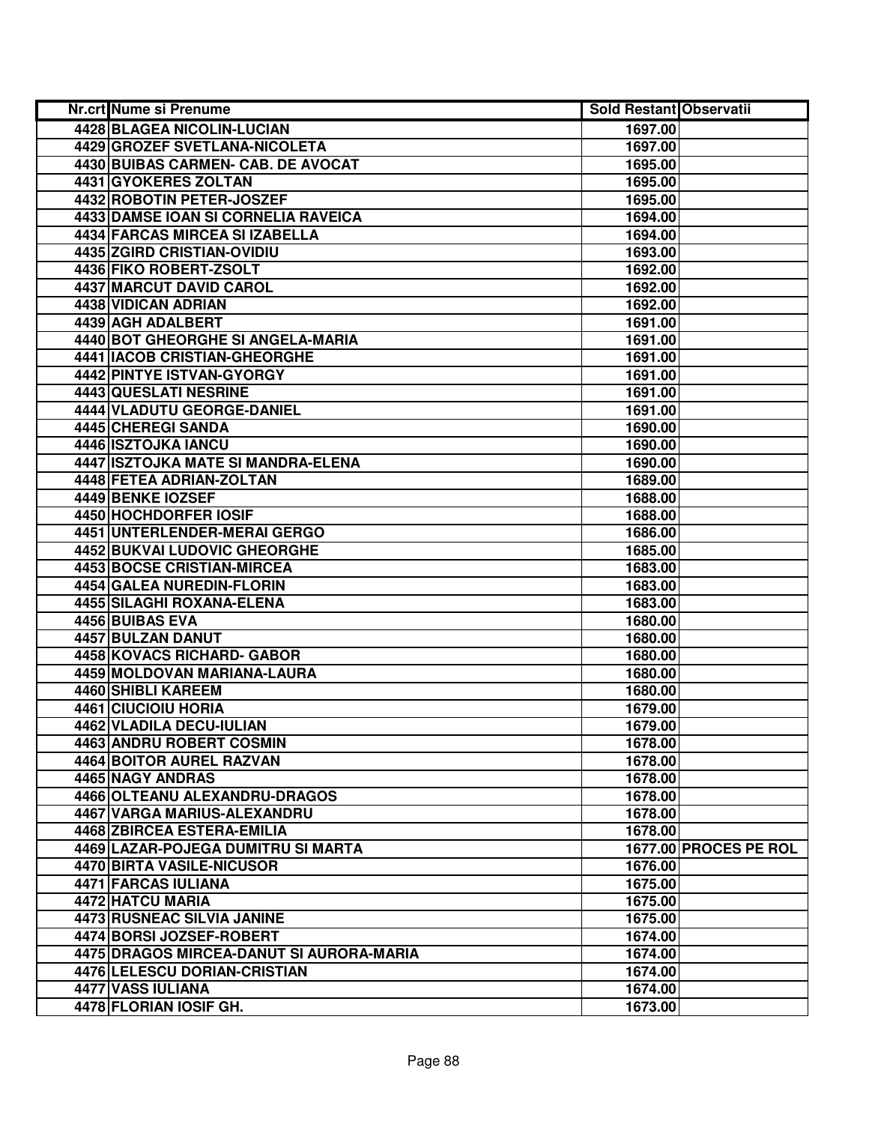| Nr.crt Nume si Prenume                   | <b>Sold Restant Observatii</b> |                       |
|------------------------------------------|--------------------------------|-----------------------|
| 4428 BLAGEA NICOLIN-LUCIAN               | 1697.00                        |                       |
| <b>4429 GROZEF SVETLANA-NICOLETA</b>     | 1697.00                        |                       |
| 4430 BUIBAS CARMEN- CAB. DE AVOCAT       | 1695.00                        |                       |
| 4431 GYOKERES ZOLTAN                     | 1695.00                        |                       |
| 4432 ROBOTIN PETER-JOSZEF                | 1695.00                        |                       |
| 4433 DAMSE IOAN SI CORNELIA RAVEICA      | 1694.00                        |                       |
| 4434 FARCAS MIRCEA SI IZABELLA           | 1694.00                        |                       |
| 4435 ZGIRD CRISTIAN-OVIDIU               | 1693.00                        |                       |
| 4436 FIKO ROBERT-ZSOLT                   | 1692.00                        |                       |
| <b>4437 MARCUT DAVID CAROL</b>           | 1692.00                        |                       |
| 4438 VIDICAN ADRIAN                      | 1692.00                        |                       |
| <b>4439 AGH ADALBERT</b>                 | 1691.00                        |                       |
| 4440 BOT GHEORGHE SI ANGELA-MARIA        | 1691.00                        |                       |
| 4441 IACOB CRISTIAN-GHEORGHE             | 1691.00                        |                       |
| 4442 PINTYE ISTVAN-GYORGY                | 1691.00                        |                       |
| 4443 QUESLATI NESRINE                    | 1691.00                        |                       |
| 4444 VLADUTU GEORGE-DANIEL               | 1691.00                        |                       |
| 4445 CHEREGI SANDA                       | 1690.00                        |                       |
| 4446 ISZTOJKA IANCU                      | 1690.00                        |                       |
| 4447 ISZTOJKA MATE SI MANDRA-ELENA       | 1690.00                        |                       |
| 4448 FETEA ADRIAN-ZOLTAN                 | 1689.00                        |                       |
| 4449 BENKE IOZSEF                        | 1688.00                        |                       |
| 4450 HOCHDORFER IOSIF                    | 1688.00                        |                       |
| 4451 UNTERLENDER-MERAI GERGO             | 1686.00                        |                       |
| 4452 BUKVAI LUDOVIC GHEORGHE             | 1685.00                        |                       |
| 4453 BOCSE CRISTIAN-MIRCEA               | 1683.00                        |                       |
| 4454 GALEA NUREDIN-FLORIN                | 1683.00                        |                       |
| 4455 SILAGHI ROXANA-ELENA                | 1683.00                        |                       |
| 4456 BUIBAS EVA                          | 1680.00                        |                       |
| 4457 BULZAN DANUT                        | 1680.00                        |                       |
| 4458 KOVACS RICHARD- GABOR               | 1680.00                        |                       |
| 4459 MOLDOVAN MARIANA-LAURA              | 1680.00                        |                       |
| 4460 SHIBLI KAREEM                       | 1680.00                        |                       |
| 4461 CIUCIOIU HORIA                      | 1679.00                        |                       |
| 4462 VLADILA DECU-IULIAN                 | 1679.00                        |                       |
| <b>4463 ANDRU ROBERT COSMIN</b>          | 1678.00                        |                       |
| 4464 BOITOR AUREL RAZVAN                 | 1678.00                        |                       |
| <b>4465 NAGY ANDRAS</b>                  | 1678.00                        |                       |
| 4466 OLTEANU ALEXANDRU-DRAGOS            | 1678.00                        |                       |
| 4467 VARGA MARIUS-ALEXANDRU              | 1678.00                        |                       |
| 4468 ZBIRCEA ESTERA-EMILIA               | 1678.00                        |                       |
| 4469 LAZAR-POJEGA DUMITRU SI MARTA       |                                | 1677.00 PROCES PE ROL |
| <b>4470 BIRTA VASILE-NICUSOR</b>         | 1676.00                        |                       |
| 4471 FARCAS IULIANA                      | 1675.00                        |                       |
| 4472 HATCU MARIA                         | 1675.00                        |                       |
| 4473 RUSNEAC SILVIA JANINE               | 1675.00                        |                       |
| 4474 BORSI JOZSEF-ROBERT                 | 1674.00                        |                       |
| 4475 DRAGOS MIRCEA-DANUT SI AURORA-MARIA | 1674.00                        |                       |
| 4476 LELESCU DORIAN-CRISTIAN             | 1674.00                        |                       |
| 4477 VASS IULIANA                        | 1674.00                        |                       |
| 4478 FLORIAN IOSIF GH.                   | 1673.00                        |                       |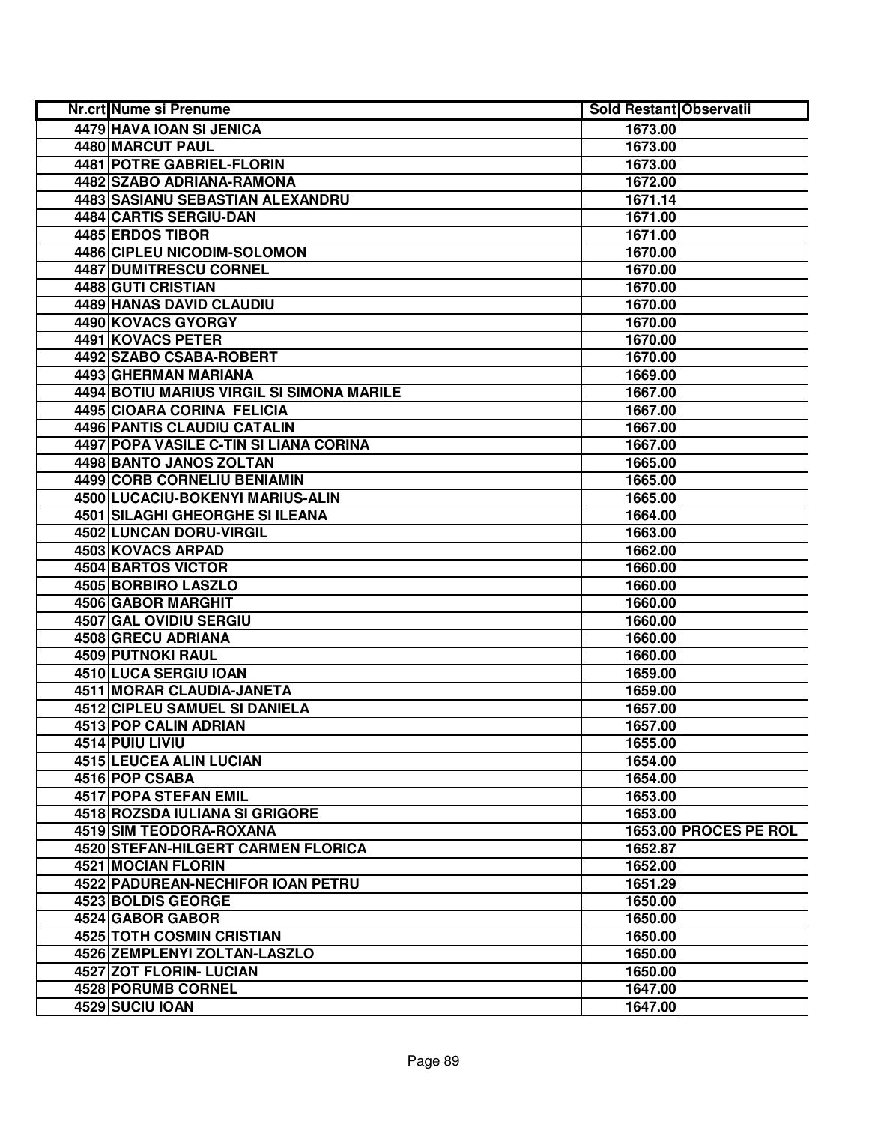| Nr.crt Nume si Prenume                    | <b>Sold Restant Observatii</b> |                       |
|-------------------------------------------|--------------------------------|-----------------------|
| <b>4479 HAVA IOAN SI JENICA</b>           | 1673.00                        |                       |
| <b>4480 MARCUT PAUL</b>                   | 1673.00                        |                       |
| 4481 POTRE GABRIEL-FLORIN                 | 1673.00                        |                       |
| 4482 SZABO ADRIANA-RAMONA                 | 1672.00                        |                       |
| 4483 SASIANU SEBASTIAN ALEXANDRU          | 1671.14                        |                       |
| 4484 CARTIS SERGIU-DAN                    | 1671.00                        |                       |
| 4485 ERDOS TIBOR                          | 1671.00                        |                       |
| 4486 CIPLEU NICODIM-SOLOMON               | 1670.00                        |                       |
| <b>4487 DUMITRESCU CORNEL</b>             | 1670.00                        |                       |
| 4488 GUTI CRISTIAN                        | 1670.00                        |                       |
| <b>4489 HANAS DAVID CLAUDIU</b>           | 1670.00                        |                       |
| 4490 KOVACS GYORGY                        | 1670.00                        |                       |
| 4491 KOVACS PETER                         | 1670.00                        |                       |
| 4492 SZABO CSABA-ROBERT                   | 1670.00                        |                       |
| 4493 GHERMAN MARIANA                      | 1669.00                        |                       |
| 4494 BOTIU MARIUS VIRGIL SI SIMONA MARILE | 1667.00                        |                       |
| 4495 CIOARA CORINA FELICIA                | 1667.00                        |                       |
| 4496 PANTIS CLAUDIU CATALIN               | 1667.00                        |                       |
| 4497 POPA VASILE C-TIN SI LIANA CORINA    | 1667.00                        |                       |
| 4498 BANTO JANOS ZOLTAN                   | 1665.00                        |                       |
| 4499 CORB CORNELIU BENIAMIN               | 1665.00                        |                       |
| 4500 LUCACIU-BOKENYI MARIUS-ALIN          | 1665.00                        |                       |
| 4501 SILAGHI GHEORGHE SI ILEANA           | 1664.00                        |                       |
| 4502 LUNCAN DORU-VIRGIL                   | 1663.00                        |                       |
| 4503 KOVACS ARPAD                         | 1662.00                        |                       |
| 4504 BARTOS VICTOR                        | 1660.00                        |                       |
| 4505 BORBIRO LASZLO                       | 1660.00                        |                       |
| 4506 GABOR MARGHIT                        | 1660.00                        |                       |
| 4507 GAL OVIDIU SERGIU                    | 1660.00                        |                       |
| 4508 GRECU ADRIANA                        | 1660.00                        |                       |
| 4509 PUTNOKI RAUL                         | 1660.00                        |                       |
| 4510 LUCA SERGIU IOAN                     | 1659.00                        |                       |
| 4511 MORAR CLAUDIA-JANETA                 | 1659.00                        |                       |
| <b>4512 CIPLEU SAMUEL SI DANIELA</b>      | 1657.00                        |                       |
| <b>4513 POP CALIN ADRIAN</b>              | 1657.00                        |                       |
| 4514 PUIU LIVIU                           | 1655.00                        |                       |
| <b>4515 LEUCEA ALIN LUCIAN</b>            | 1654.00                        |                       |
| 4516 POP CSABA                            | 1654.00                        |                       |
| <b>4517 POPA STEFAN EMIL</b>              | 1653.00                        |                       |
| 4518 ROZSDA IULIANA SI GRIGORE            | 1653.00                        |                       |
| <b>4519 SIM TEODORA-ROXANA</b>            |                                | 1653.00 PROCES PE ROL |
| 4520 STEFAN-HILGERT CARMEN FLORICA        | 1652.87                        |                       |
| 4521 MOCIAN FLORIN                        | 1652.00                        |                       |
| 4522 PADUREAN-NECHIFOR IOAN PETRU         | 1651.29                        |                       |
| 4523 BOLDIS GEORGE                        | 1650.00                        |                       |
| 4524 GABOR GABOR                          | 1650.00                        |                       |
| <b>4525 TOTH COSMIN CRISTIAN</b>          | 1650.00                        |                       |
| 4526 ZEMPLENYI ZOLTAN-LASZLO              | 1650.00                        |                       |
| 4527 ZOT FLORIN- LUCIAN                   | 1650.00                        |                       |
| 4528 PORUMB CORNEL                        | 1647.00                        |                       |
| 4529 SUCIU IOAN                           | 1647.00                        |                       |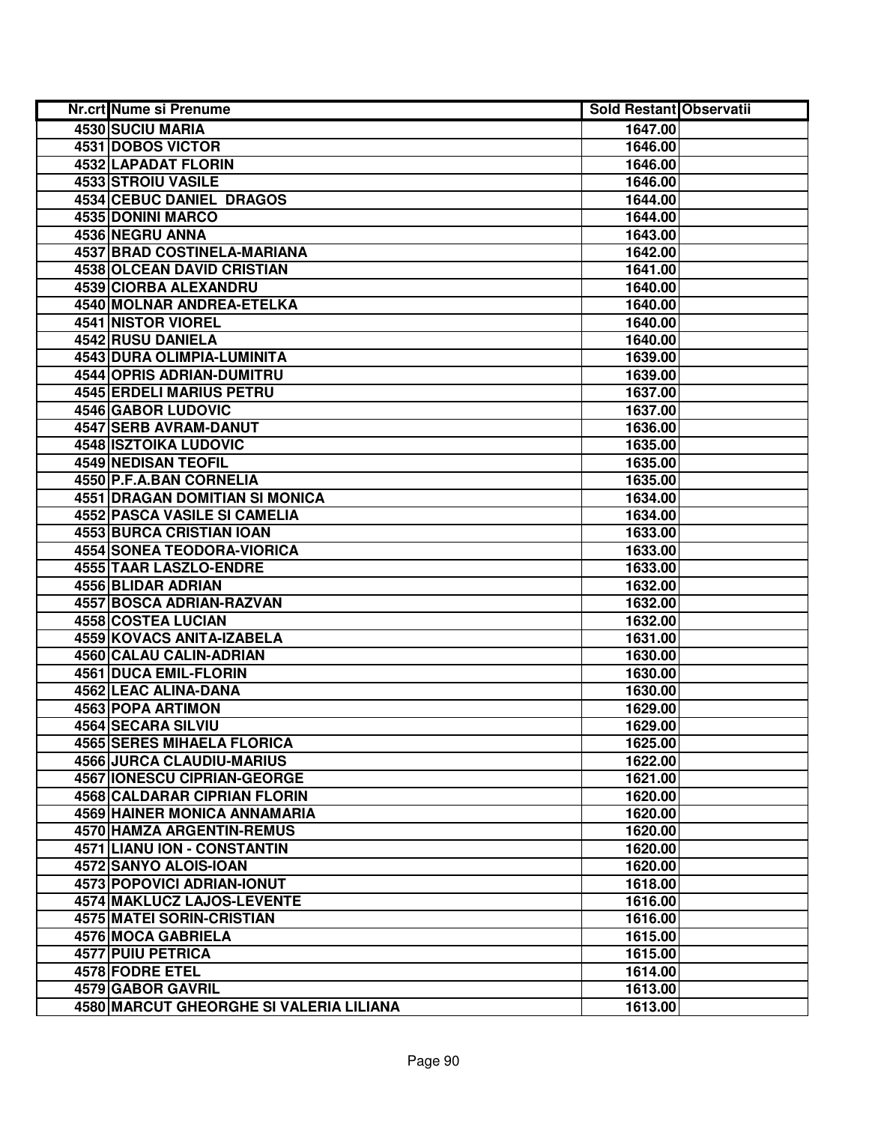| <b>Nr.crt Nume si Prenume</b>           | <b>Sold Restant Observatii</b> |  |
|-----------------------------------------|--------------------------------|--|
| 4530 SUCIU MARIA                        | 1647.00                        |  |
| <b>4531 DOBOS VICTOR</b>                | 1646.00                        |  |
| 4532 LAPADAT FLORIN                     | 1646.00                        |  |
| 4533 STROIU VASILE                      | 1646.00                        |  |
| 4534 CEBUC DANIEL DRAGOS                | 1644.00                        |  |
| 4535 DONINI MARCO                       | 1644.00                        |  |
| 4536 NEGRU ANNA                         | 1643.00                        |  |
| 4537 BRAD COSTINELA-MARIANA             | 1642.00                        |  |
| <b>4538 OLCEAN DAVID CRISTIAN</b>       | 1641.00                        |  |
| 4539 CIORBA ALEXANDRU                   | 1640.00                        |  |
| <b>4540 MOLNAR ANDREA-ETELKA</b>        | 1640.00                        |  |
| 4541 NISTOR VIOREL                      | 1640.00                        |  |
| <b>4542 RUSU DANIELA</b>                | 1640.00                        |  |
| 4543 DURA OLIMPIA-LUMINITA              | 1639.00                        |  |
| 4544 OPRIS ADRIAN-DUMITRU               | 1639.00                        |  |
| <b>4545 ERDELI MARIUS PETRU</b>         | 1637.00                        |  |
| 4546 GABOR LUDOVIC                      | 1637.00                        |  |
| 4547 SERB AVRAM-DANUT                   | 1636.00                        |  |
| 4548 ISZTOIKA LUDOVIC                   | 1635.00                        |  |
| 4549 NEDISAN TEOFIL                     | 1635.00                        |  |
| 4550 P.F.A.BAN CORNELIA                 | 1635.00                        |  |
| 4551 DRAGAN DOMITIAN SI MONICA          | 1634.00                        |  |
| 4552 PASCA VASILE SI CAMELIA            | 1634.00                        |  |
| 4553 BURCA CRISTIAN IOAN                | 1633.00                        |  |
| 4554 SONEA TEODORA-VIORICA              | 1633.00                        |  |
| 4555 TAAR LASZLO-ENDRE                  | 1633.00                        |  |
| 4556 BLIDAR ADRIAN                      | 1632.00                        |  |
| 4557 BOSCA ADRIAN-RAZVAN                | 1632.00                        |  |
| 4558 COSTEA LUCIAN                      | 1632.00                        |  |
| 4559 KOVACS ANITA-IZABELA               | 1631.00                        |  |
| 4560 CALAU CALIN-ADRIAN                 | 1630.00                        |  |
| 4561 DUCA EMIL-FLORIN                   | 1630.00                        |  |
| 4562 LEAC ALINA-DANA                    | 1630.00                        |  |
| 4563 POPA ARTIMON                       | 1629.00                        |  |
| 4564 SECARA SILVIU                      | 1629.00                        |  |
| <b>4565 SERES MIHAELA FLORICA</b>       | 1625.00                        |  |
| 4566 JURCA CLAUDIU-MARIUS               | 1622.00                        |  |
| <b>4567 IONESCU CIPRIAN-GEORGE</b>      | 1621.00                        |  |
| <b>4568 CALDARAR CIPRIAN FLORIN</b>     | 1620.00                        |  |
| <b>4569 HAINER MONICA ANNAMARIA</b>     | 1620.00                        |  |
| 4570 HAMZA ARGENTIN-REMUS               | 1620.00                        |  |
| <b>4571 LIANU ION - CONSTANTIN</b>      | 1620.00                        |  |
| 4572 SANYO ALOIS-IOAN                   | 1620.00                        |  |
| 4573 POPOVICI ADRIAN-IONUT              | 1618.00                        |  |
| 4574 MAKLUCZ LAJOS-LEVENTE              | 1616.00                        |  |
| 4575 MATEI SORIN-CRISTIAN               | 1616.00                        |  |
| 4576 MOCA GABRIELA                      | 1615.00                        |  |
| 4577 PUIU PETRICA                       | 1615.00                        |  |
| 4578 FODRE ETEL                         | 1614.00                        |  |
| 4579 GABOR GAVRIL                       | 1613.00                        |  |
| 4580 MARCUT GHEORGHE SI VALERIA LILIANA | 1613.00                        |  |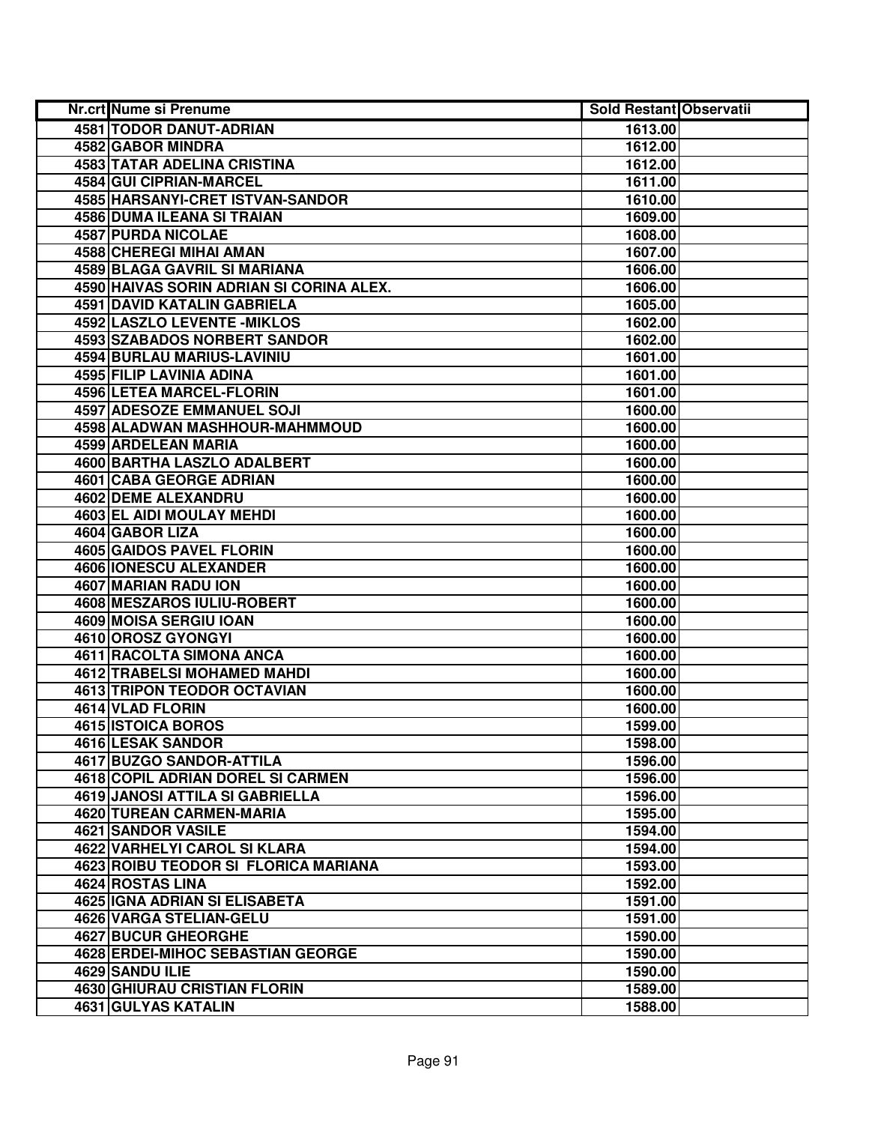| Nr.crt Nume si Prenume                   | <b>Sold Restant Observatii</b> |  |
|------------------------------------------|--------------------------------|--|
| <b>4581 TODOR DANUT-ADRIAN</b>           | 1613.00                        |  |
| 4582 GABOR MINDRA                        | 1612.00                        |  |
| 4583 TATAR ADELINA CRISTINA              | 1612.00                        |  |
| 4584 GUI CIPRIAN-MARCEL                  | 1611.00                        |  |
| 4585 HARSANYI-CRET ISTVAN-SANDOR         | 1610.00                        |  |
| 4586 DUMA ILEANA SI TRAIAN               | 1609.00                        |  |
| 4587 PURDA NICOLAE                       | 1608.00                        |  |
| 4588 CHEREGI MIHAI AMAN                  | 1607.00                        |  |
| 4589 BLAGA GAVRIL SI MARIANA             | 1606.00                        |  |
| 4590 HAIVAS SORIN ADRIAN SI CORINA ALEX. | 1606.00                        |  |
| <b>4591 DAVID KATALIN GABRIELA</b>       | 1605.00                        |  |
| <b>4592 LASZLO LEVENTE - MIKLOS</b>      | 1602.00                        |  |
| 4593 SZABADOS NORBERT SANDOR             | 1602.00                        |  |
| 4594 BURLAU MARIUS-LAVINIU               | 1601.00                        |  |
| 4595 FILIP LAVINIA ADINA                 | 1601.00                        |  |
| <b>4596 LETEA MARCEL-FLORIN</b>          | 1601.00                        |  |
| <b>4597 ADESOZE EMMANUEL SOJI</b>        | 1600.00                        |  |
| 4598 ALADWAN MASHHOUR-MAHMMOUD           | 1600.00                        |  |
| 4599 ARDELEAN MARIA                      | 1600.00                        |  |
| 4600 BARTHA LASZLO ADALBERT              | 1600.00                        |  |
| 4601 CABA GEORGE ADRIAN                  | 1600.00                        |  |
| <b>4602 DEME ALEXANDRU</b>               | 1600.00                        |  |
| 4603 EL AIDI MOULAY MEHDI                | 1600.00                        |  |
| 4604 GABOR LIZA                          | 1600.00                        |  |
| 4605 GAIDOS PAVEL FLORIN                 | 1600.00                        |  |
| 4606 IONESCU ALEXANDER                   | 1600.00                        |  |
| 4607 MARIAN RADU ION                     | 1600.00                        |  |
| 4608 MESZAROS IULIU-ROBERT               | 1600.00                        |  |
| 4609 MOISA SERGIU IOAN                   | 1600.00                        |  |
| 4610 OROSZ GYONGYI                       | 1600.00                        |  |
| 4611 RACOLTA SIMONA ANCA                 | 1600.00                        |  |
| 4612 TRABELSI MOHAMED MAHDI              | 1600.00                        |  |
| 4613 TRIPON TEODOR OCTAVIAN              | 1600.00                        |  |
| 4614 VLAD FLORIN                         | 1600.00                        |  |
| 4615 ISTOICA BOROS                       | 1599.00                        |  |
| 4616 LESAK SANDOR                        | 1598.00                        |  |
| 4617 BUZGO SANDOR-ATTILA                 | 1596.00                        |  |
| <b>4618 COPIL ADRIAN DOREL SI CARMEN</b> | 1596.00                        |  |
| <b>4619 JANOSI ATTILA SI GABRIELLA</b>   | 1596.00                        |  |
| 4620 TUREAN CARMEN-MARIA                 | 1595.00                        |  |
| 4621 SANDOR VASILE                       | 1594.00                        |  |
| 4622 VARHELYI CAROL SI KLARA             | 1594.00                        |  |
| 4623 ROIBU TEODOR SI FLORICA MARIANA     | 1593.00                        |  |
| 4624 ROSTAS LINA                         | 1592.00                        |  |
| 4625 IGNA ADRIAN SI ELISABETA            | 1591.00                        |  |
| 4626 VARGA STELIAN-GELU                  | 1591.00                        |  |
| 4627 BUCUR GHEORGHE                      | 1590.00                        |  |
| 4628 ERDEI-MIHOC SEBASTIAN GEORGE        | 1590.00                        |  |
| 4629 SANDU ILIE                          | 1590.00                        |  |
| <b>4630 GHIURAU CRISTIAN FLORIN</b>      | 1589.00                        |  |
| 4631 GULYAS KATALIN                      | 1588.00                        |  |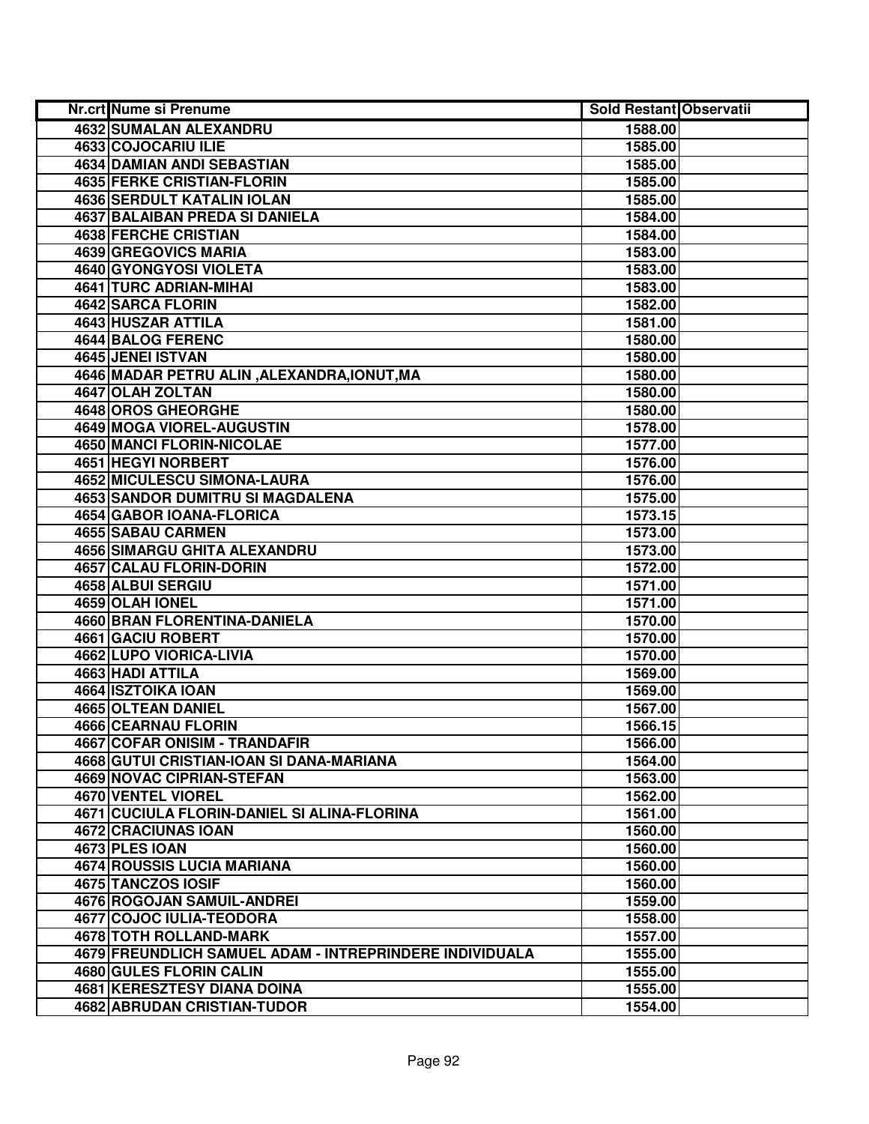| Nr.crt Nume si Prenume                                  | <b>Sold Restant Observatii</b> |  |
|---------------------------------------------------------|--------------------------------|--|
| 4632 SUMALAN ALEXANDRU                                  | 1588.00                        |  |
| 4633 COJOCARIU ILIE                                     | 1585.00                        |  |
| 4634 DAMIAN ANDI SEBASTIAN                              | 1585.00                        |  |
| 4635 FERKE CRISTIAN-FLORIN                              | 1585.00                        |  |
| <b>4636 SERDULT KATALIN IOLAN</b>                       | 1585.00                        |  |
| 4637 BALAIBAN PREDA SI DANIELA                          | 1584.00                        |  |
| 4638 FERCHE CRISTIAN                                    | 1584.00                        |  |
| 4639 GREGOVICS MARIA                                    | 1583.00                        |  |
| 4640 GYONGYOSI VIOLETA                                  | 1583.00                        |  |
| 4641 TURC ADRIAN-MIHAI                                  | 1583.00                        |  |
| 4642 SARCA FLORIN                                       | 1582.00                        |  |
| 4643 HUSZAR ATTILA                                      | 1581.00                        |  |
| 4644 BALOG FERENC                                       | 1580.00                        |  |
| 4645 JENEI ISTVAN                                       | 1580.00                        |  |
| 4646 MADAR PETRU ALIN, ALEXANDRA, IONUT, MA             | 1580.00                        |  |
| 4647 OLAH ZOLTAN                                        | 1580.00                        |  |
| 4648 OROS GHEORGHE                                      | 1580.00                        |  |
| 4649 MOGA VIOREL-AUGUSTIN                               | 1578.00                        |  |
| 4650 MANCI FLORIN-NICOLAE                               | 1577.00                        |  |
| 4651 HEGYI NORBERT                                      | 1576.00                        |  |
| 4652 MICULESCU SIMONA-LAURA                             | 1576.00                        |  |
| 4653 SANDOR DUMITRU SI MAGDALENA                        | 1575.00                        |  |
| 4654 GABOR IOANA-FLORICA                                | 1573.15                        |  |
| <b>4655 SABAU CARMEN</b>                                | 1573.00                        |  |
| 4656 SIMARGU GHITA ALEXANDRU                            | 1573.00                        |  |
| 4657 CALAU FLORIN-DORIN                                 | 1572.00                        |  |
| 4658 ALBUI SERGIU                                       | 1571.00                        |  |
| 4659 OLAH IONEL                                         | 1571.00                        |  |
| 4660 BRAN FLORENTINA-DANIELA                            | 1570.00                        |  |
| 4661 GACIU ROBERT                                       | 1570.00                        |  |
| 4662 LUPO VIORICA-LIVIA                                 | 1570.00                        |  |
| 4663 HADI ATTILA                                        | 1569.00                        |  |
| 4664 ISZTOIKA IOAN                                      | 1569.00                        |  |
| 4665 OLTEAN DANIEL                                      | 1567.00                        |  |
| <b>4666 CEARNAU FLORIN</b>                              | 1566.15                        |  |
| 4667 COFAR ONISIM - TRANDAFIR                           | 1566.00                        |  |
| 4668 GUTUI CRISTIAN-IOAN SI DANA-MARIANA                | 1564.00                        |  |
| <b>4669 NOVAC CIPRIAN-STEFAN</b>                        | 1563.00                        |  |
| 4670 VENTEL VIOREL                                      | 1562.00                        |  |
| 4671 CUCIULA FLORIN-DANIEL SI ALINA-FLORINA             | 1561.00                        |  |
| <b>4672 CRACIUNAS IOAN</b>                              | 1560.00                        |  |
| 4673 PLES IOAN                                          | 1560.00                        |  |
| 4674 ROUSSIS LUCIA MARIANA                              | 1560.00                        |  |
| 4675 TANCZOS IOSIF                                      | 1560.00                        |  |
| 4676 ROGOJAN SAMUIL-ANDREI                              | 1559.00                        |  |
| 4677 COJOC IULIA-TEODORA                                | 1558.00                        |  |
| 4678 TOTH ROLLAND-MARK                                  | 1557.00                        |  |
| 4679 FREUNDLICH SAMUEL ADAM - INTREPRINDERE INDIVIDUALA | 1555.00                        |  |
| 4680 GULES FLORIN CALIN                                 | 1555.00                        |  |
| 4681 KERESZTESY DIANA DOINA                             | 1555.00                        |  |
| 4682 ABRUDAN CRISTIAN-TUDOR                             | 1554.00                        |  |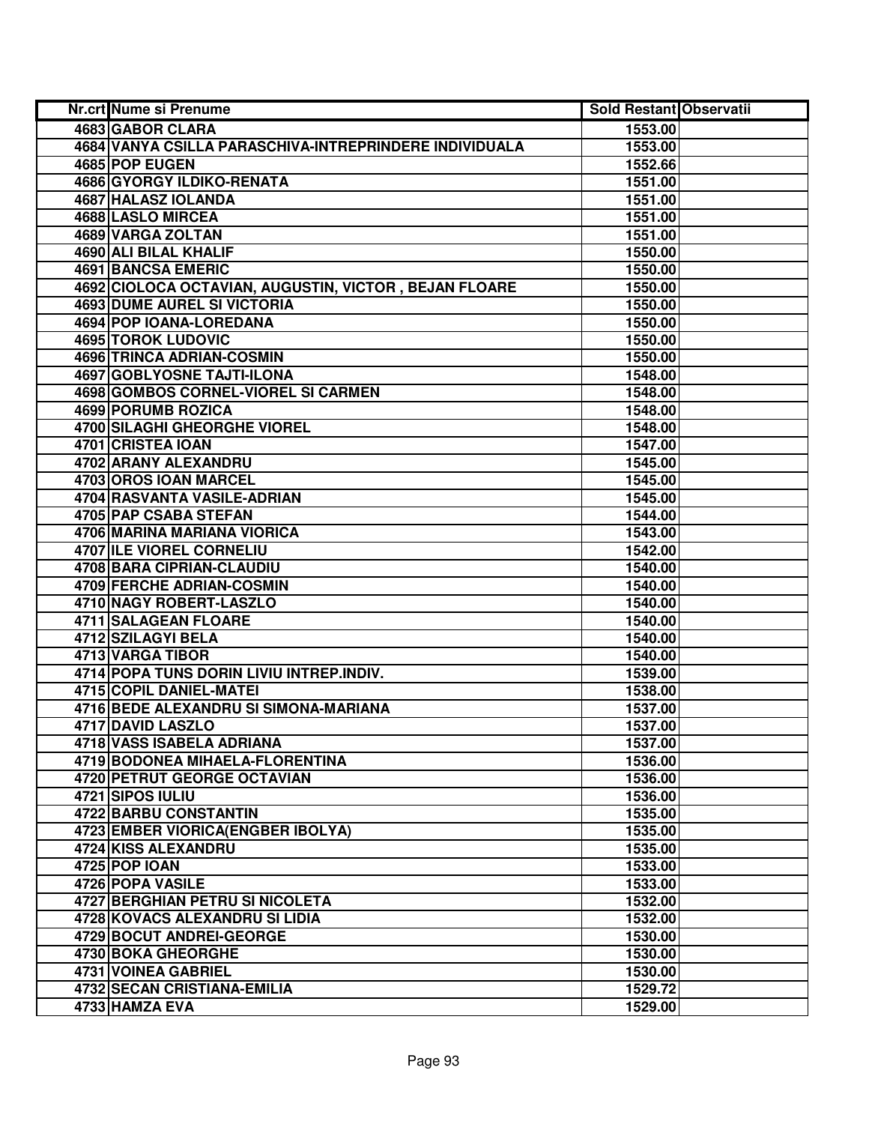| Nr.crt Nume si Prenume                                 | <b>Sold Restant Observatii</b> |  |
|--------------------------------------------------------|--------------------------------|--|
| 4683 GABOR CLARA                                       | 1553.00                        |  |
| 4684 VANYA CSILLA PARASCHIVA-INTREPRINDERE INDIVIDUALA | 1553.00                        |  |
| 4685 POP EUGEN                                         | 1552.66                        |  |
| 4686 GYORGY ILDIKO-RENATA                              | 1551.00                        |  |
| 4687 HALASZ IOLANDA                                    | 1551.00                        |  |
| 4688 LASLO MIRCEA                                      | 1551.00                        |  |
| 4689 VARGA ZOLTAN                                      | 1551.00                        |  |
| 4690 ALI BILAL KHALIF                                  | 1550.00                        |  |
| <b>4691 BANCSA EMERIC</b>                              | 1550.00                        |  |
| 4692 CIOLOCA OCTAVIAN, AUGUSTIN, VICTOR, BEJAN FLOARE  | 1550.00                        |  |
| <b>4693 DUME AUREL SI VICTORIA</b>                     | 1550.00                        |  |
| 4694 POP IOANA-LOREDANA                                | 1550.00                        |  |
| <b>4695 TOROK LUDOVIC</b>                              | 1550.00                        |  |
| <b>4696 TRINCA ADRIAN-COSMIN</b>                       | 1550.00                        |  |
| 4697 GOBLYOSNE TAJTI-ILONA                             | 1548.00                        |  |
| 4698 GOMBOS CORNEL-VIOREL SI CARMEN                    | 1548.00                        |  |
| 4699 PORUMB ROZICA                                     | 1548.00                        |  |
| 4700 SILAGHI GHEORGHE VIOREL                           | 1548.00                        |  |
| 4701 CRISTEA IOAN                                      | 1547.00                        |  |
| 4702 ARANY ALEXANDRU                                   | 1545.00                        |  |
| 4703 OROS IOAN MARCEL                                  | 1545.00                        |  |
| 4704 RASVANTA VASILE-ADRIAN                            | 1545.00                        |  |
| 4705 PAP CSABA STEFAN                                  | 1544.00                        |  |
| 4706 MARINA MARIANA VIORICA                            | 1543.00                        |  |
| 4707 ILE VIOREL CORNELIU                               | 1542.00                        |  |
| 4708 BARA CIPRIAN-CLAUDIU                              | 1540.00                        |  |
| 4709 FERCHE ADRIAN-COSMIN                              | 1540.00                        |  |
| 4710 NAGY ROBERT-LASZLO                                | 1540.00                        |  |
| 4711 SALAGEAN FLOARE                                   | 1540.00                        |  |
| 4712 SZILAGYI BELA                                     | 1540.00                        |  |
| 4713 VARGA TIBOR                                       | 1540.00                        |  |
| 4714 POPA TUNS DORIN LIVIU INTREP.INDIV.               | 1539.00                        |  |
| 4715 COPIL DANIEL-MATEI                                | 1538.00                        |  |
| 4716 BEDE ALEXANDRU SI SIMONA-MARIANA                  | 1537.00                        |  |
| 4717 DAVID LASZLO                                      | 1537.00                        |  |
| 4718 VASS ISABELA ADRIANA                              | 1537.00                        |  |
| 4719 BODONEA MIHAELA-FLORENTINA                        | 1536.00                        |  |
| 4720 PETRUT GEORGE OCTAVIAN                            | 1536.00                        |  |
| 4721 SIPOS IULIU                                       | 1536.00                        |  |
| 4722 BARBU CONSTANTIN                                  | 1535.00                        |  |
| 4723 EMBER VIORICA (ENGBER IBOLYA)                     | 1535.00                        |  |
| 4724 KISS ALEXANDRU                                    | 1535.00                        |  |
| <b>4725 POP IOAN</b>                                   | 1533.00                        |  |
| 4726 POPA VASILE                                       | 1533.00                        |  |
| 4727 BERGHIAN PETRU SI NICOLETA                        | 1532.00                        |  |
| 4728 KOVACS ALEXANDRU SI LIDIA                         | 1532.00                        |  |
| 4729 BOCUT ANDREI-GEORGE                               | 1530.00                        |  |
| 4730 BOKA GHEORGHE                                     | 1530.00                        |  |
| 4731 VOINEA GABRIEL                                    | 1530.00                        |  |
| 4732 SECAN CRISTIANA-EMILIA                            | 1529.72                        |  |
| 4733 HAMZA EVA                                         | 1529.00                        |  |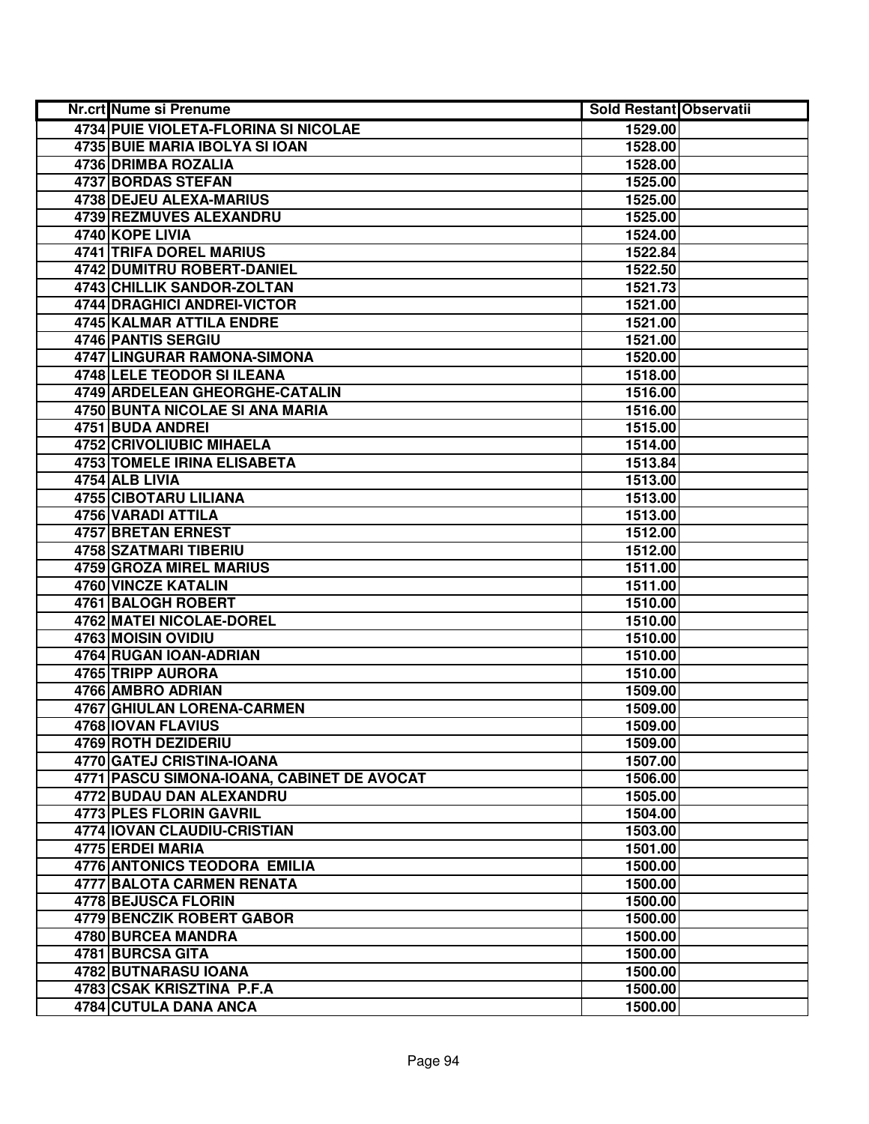| Nr.crt Nume si Prenume                     | <b>Sold Restant Observatii</b> |  |
|--------------------------------------------|--------------------------------|--|
| 4734 PUIE VIOLETA-FLORINA SI NICOLAE       | 1529.00                        |  |
| 4735 BUIE MARIA IBOLYA SI IOAN             | 1528.00                        |  |
| 4736 DRIMBA ROZALIA                        | 1528.00                        |  |
| 4737 BORDAS STEFAN                         | 1525.00                        |  |
| <b>4738 DEJEU ALEXA-MARIUS</b>             | 1525.00                        |  |
| <b>4739 REZMUVES ALEXANDRU</b>             | 1525.00                        |  |
| 4740 KOPE LIVIA                            | 1524.00                        |  |
| <b>4741 TRIFA DOREL MARIUS</b>             | 1522.84                        |  |
| <b>4742 DUMITRU ROBERT-DANIEL</b>          | 1522.50                        |  |
| <b>4743 CHILLIK SANDOR-ZOLTAN</b>          | 1521.73                        |  |
| 4744 DRAGHICI ANDREI-VICTOR                | 1521.00                        |  |
| 4745 KALMAR ATTILA ENDRE                   | 1521.00                        |  |
| 4746 PANTIS SERGIU                         | 1521.00                        |  |
| 4747 LINGURAR RAMONA-SIMONA                | 1520.00                        |  |
| 4748 LELE TEODOR SI ILEANA                 | 1518.00                        |  |
| 4749 ARDELEAN GHEORGHE-CATALIN             | 1516.00                        |  |
| 4750 BUNTA NICOLAE SI ANA MARIA            | 1516.00                        |  |
| 4751 BUDA ANDREI                           | 1515.00                        |  |
| 4752 CRIVOLIUBIC MIHAELA                   | 1514.00                        |  |
| 4753 TOMELE IRINA ELISABETA                | 1513.84                        |  |
| 4754 ALB LIVIA                             | 1513.00                        |  |
| 4755 CIBOTARU LILIANA                      | 1513.00                        |  |
| 4756 VARADI ATTILA                         | 1513.00                        |  |
| 4757 BRETAN ERNEST                         | 1512.00                        |  |
| 4758 SZATMARI TIBERIU                      | 1512.00                        |  |
| 4759 GROZA MIREL MARIUS                    | 1511.00                        |  |
| 4760 VINCZE KATALIN                        | 1511.00                        |  |
| 4761 BALOGH ROBERT                         | 1510.00                        |  |
| 4762 MATEI NICOLAE-DOREL                   | 1510.00                        |  |
| 4763 MOISIN OVIDIU                         | 1510.00                        |  |
| 4764 RUGAN IOAN-ADRIAN                     | 1510.00                        |  |
| 4765 TRIPP AURORA                          | 1510.00                        |  |
| 4766 AMBRO ADRIAN                          | 1509.00                        |  |
| <b>4767 GHIULAN LORENA-CARMEN</b>          | 1509.00                        |  |
| 4768 IOVAN FLAVIUS                         | 1509.00                        |  |
| 4769 ROTH DEZIDERIU                        | 1509.00                        |  |
| <b>4770 GATEJ CRISTINA-IOANA</b>           | 1507.00                        |  |
| 4771 PASCU SIMONA-IOANA, CABINET DE AVOCAT | 1506.00                        |  |
| <b>4772 BUDAU DAN ALEXANDRU</b>            | 1505.00                        |  |
| 4773 PLES FLORIN GAVRIL                    | 1504.00                        |  |
| 4774 IOVAN CLAUDIU-CRISTIAN                | 1503.00                        |  |
| 4775 ERDEI MARIA                           | 1501.00                        |  |
| 4776 ANTONICS TEODORA EMILIA               | 1500.00                        |  |
| <b>4777 BALOTA CARMEN RENATA</b>           | 1500.00                        |  |
| 4778 BEJUSCA FLORIN                        | 1500.00                        |  |
| 4779 BENCZIK ROBERT GABOR                  | 1500.00                        |  |
| 4780 BURCEA MANDRA                         | 1500.00                        |  |
| 4781 BURCSA GITA                           | 1500.00                        |  |
| 4782 BUTNARASU IOANA                       | 1500.00                        |  |
| 4783 CSAK KRISZTINA P.F.A                  | 1500.00                        |  |
| 4784 CUTULA DANA ANCA                      | 1500.00                        |  |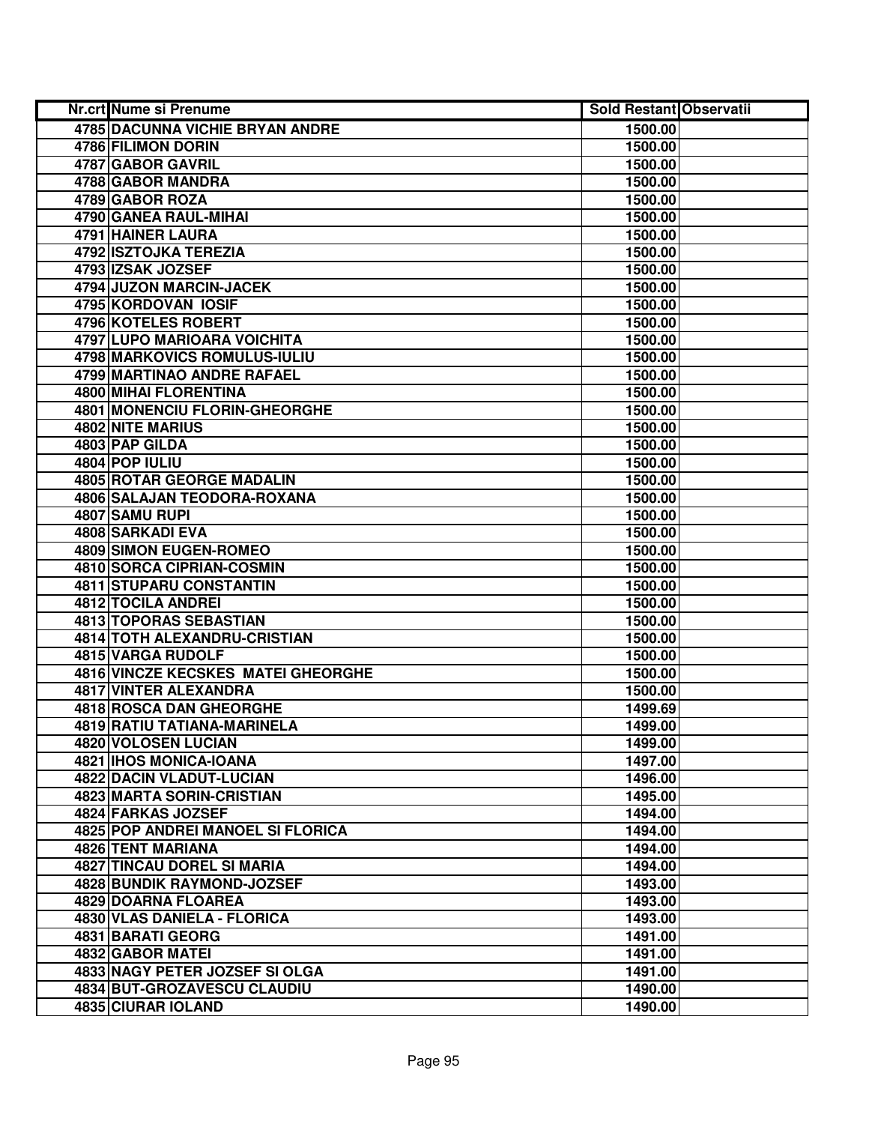| Nr.crt Nume si Prenume                    | <b>Sold Restant Observatii</b> |  |
|-------------------------------------------|--------------------------------|--|
| <b>4785 DACUNNA VICHIE BRYAN ANDRE</b>    | 1500.00                        |  |
| 4786 FILIMON DORIN                        | 1500.00                        |  |
| 4787 GABOR GAVRIL                         | 1500.00                        |  |
| 4788 GABOR MANDRA                         | 1500.00                        |  |
| 4789 GABOR ROZA                           | 1500.00                        |  |
| 4790 GANEA RAUL-MIHAI                     | 1500.00                        |  |
| 4791 HAINER LAURA                         | 1500.00                        |  |
| 4792 ISZTOJKA TEREZIA                     | 1500.00                        |  |
| 4793 IZSAK JOZSEF                         | 1500.00                        |  |
| 4794 JUZON MARCIN-JACEK                   | 1500.00                        |  |
| 4795 KORDOVAN IOSIF                       | 1500.00                        |  |
| <b>4796 KOTELES ROBERT</b>                | 1500.00                        |  |
| 4797 LUPO MARIOARA VOICHITA               | 1500.00                        |  |
| 4798 MARKOVICS ROMULUS-IULIU              | 1500.00                        |  |
| 4799 MARTINAO ANDRE RAFAEL                | 1500.00                        |  |
| 4800 MIHAI FLORENTINA                     | 1500.00                        |  |
| 4801 MONENCIU FLORIN-GHEORGHE             | 1500.00                        |  |
| 4802 NITE MARIUS                          | 1500.00                        |  |
| 4803 PAP GILDA                            | 1500.00                        |  |
| 4804 POP IULIU                            | 1500.00                        |  |
| 4805 ROTAR GEORGE MADALIN                 | 1500.00                        |  |
| 4806 SALAJAN TEODORA-ROXANA               | 1500.00                        |  |
| 4807 SAMU RUPI                            | 1500.00                        |  |
| 4808 SARKADI EVA                          | 1500.00                        |  |
| 4809 SIMON EUGEN-ROMEO                    | 1500.00                        |  |
| 4810 SORCA CIPRIAN-COSMIN                 | 1500.00                        |  |
| 4811 STUPARU CONSTANTIN                   | 1500.00                        |  |
| 4812 TOCILA ANDREI                        | 1500.00                        |  |
| 4813 TOPORAS SEBASTIAN                    | 1500.00                        |  |
| 4814 TOTH ALEXANDRU-CRISTIAN              | 1500.00                        |  |
| 4815 VARGA RUDOLF                         | 1500.00                        |  |
| <b>4816 VINCZE KECSKES MATEI GHEORGHE</b> | 1500.00                        |  |
| <b>4817 VINTER ALEXANDRA</b>              | 1500.00                        |  |
| <b>4818 ROSCA DAN GHEORGHE</b>            | 1499.69                        |  |
| <b>4819 RATIU TATIANA-MARINELA</b>        | 1499.00                        |  |
| <b>4820 VOLOSEN LUCIAN</b>                | 1499.00                        |  |
| 4821 IHOS MONICA-IOANA                    | 1497.00                        |  |
| 4822 DACIN VLADUT-LUCIAN                  | 1496.00                        |  |
| <b>4823 MARTA SORIN-CRISTIAN</b>          | 1495.00                        |  |
| 4824 FARKAS JOZSEF                        | 1494.00                        |  |
| 4825 POP ANDREI MANOEL SI FLORICA         | 1494.00                        |  |
| 4826 TENT MARIANA                         | 1494.00                        |  |
| 4827 TINCAU DOREL SI MARIA                | 1494.00                        |  |
| 4828 BUNDIK RAYMOND-JOZSEF                | 1493.00                        |  |
| 4829 DOARNA FLOAREA                       | 1493.00                        |  |
| 4830 VLAS DANIELA - FLORICA               | 1493.00                        |  |
| 4831 BARATI GEORG                         | 1491.00                        |  |
| 4832 GABOR MATEI                          | 1491.00                        |  |
| 4833 NAGY PETER JOZSEF SI OLGA            | 1491.00                        |  |
| 4834 BUT-GROZAVESCU CLAUDIU               | 1490.00                        |  |
| 4835 CIURAR IOLAND                        | 1490.00                        |  |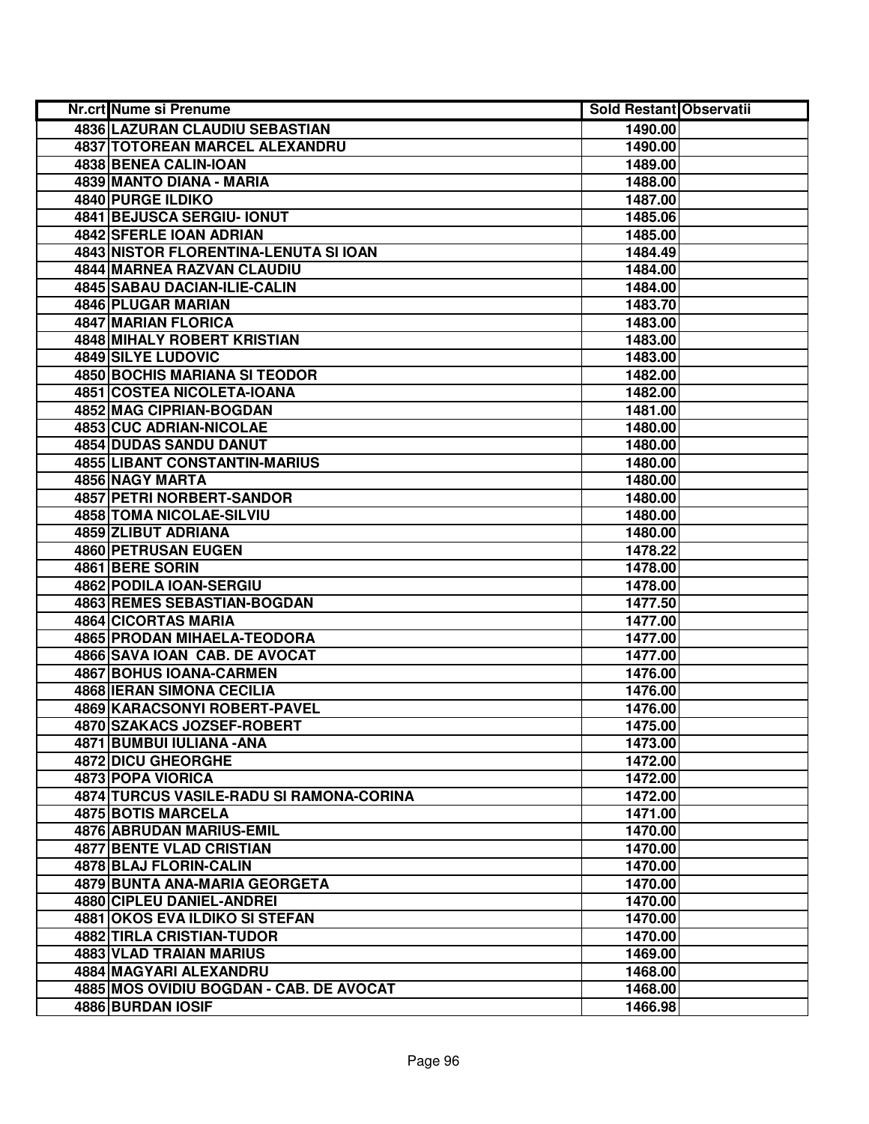| <b>Nr.crt Nume si Prenume</b>            | <b>Sold Restant Observatii</b> |  |
|------------------------------------------|--------------------------------|--|
| 4836 LAZURAN CLAUDIU SEBASTIAN           | 1490.00                        |  |
| 4837 TOTOREAN MARCEL ALEXANDRU           | 1490.00                        |  |
| 4838 BENEA CALIN-IOAN                    | 1489.00                        |  |
| 4839 MANTO DIANA - MARIA                 | 1488.00                        |  |
| 4840 PURGE ILDIKO                        | 1487.00                        |  |
| 4841 BEJUSCA SERGIU- IONUT               | 1485.06                        |  |
| 4842 SFERLE IOAN ADRIAN                  | 1485.00                        |  |
| 4843 NISTOR FLORENTINA-LENUTA SI IOAN    | 1484.49                        |  |
| 4844 MARNEA RAZVAN CLAUDIU               | 1484.00                        |  |
| 4845 SABAU DACIAN-ILIE-CALIN             | 1484.00                        |  |
| 4846 PLUGAR MARIAN                       | 1483.70                        |  |
| 4847 MARIAN FLORICA                      | 1483.00                        |  |
| 4848 MIHALY ROBERT KRISTIAN              | 1483.00                        |  |
| 4849 SILYE LUDOVIC                       | 1483.00                        |  |
| 4850 BOCHIS MARIANA SI TEODOR            | 1482.00                        |  |
| 4851 COSTEA NICOLETA-IOANA               | 1482.00                        |  |
| 4852 MAG CIPRIAN-BOGDAN                  | 1481.00                        |  |
| 4853 CUC ADRIAN-NICOLAE                  | 1480.00                        |  |
| 4854 DUDAS SANDU DANUT                   | 1480.00                        |  |
| <b>4855 LIBANT CONSTANTIN-MARIUS</b>     | 1480.00                        |  |
| 4856 NAGY MARTA                          | 1480.00                        |  |
| 4857 PETRI NORBERT-SANDOR                | 1480.00                        |  |
| 4858 TOMA NICOLAE-SILVIU                 | 1480.00                        |  |
| 4859 ZLIBUT ADRIANA                      | 1480.00                        |  |
| 4860 PETRUSAN EUGEN                      | 1478.22                        |  |
| 4861 BERE SORIN                          | 1478.00                        |  |
| 4862 PODILA IOAN-SERGIU                  | 1478.00                        |  |
| 4863 REMES SEBASTIAN-BOGDAN              | 1477.50                        |  |
| 4864 CICORTAS MARIA                      | 1477.00                        |  |
| 4865 PRODAN MIHAELA-TEODORA              | 1477.00                        |  |
| 4866 SAVA IOAN CAB. DE AVOCAT            | 1477.00                        |  |
| 4867 BOHUS IOANA-CARMEN                  | 1476.00                        |  |
| <b>4868 IERAN SIMONA CECILIA</b>         | 1476.00                        |  |
| 4869 KARACSONYI ROBERT-PAVEL             | 1476.00                        |  |
| 4870 SZAKACS JOZSEF-ROBERT               | 1475.00                        |  |
| 4871 BUMBUI IULIANA - ANA                | 1473.00                        |  |
| <b>4872 DICU GHEORGHE</b>                | 1472.00                        |  |
| 4873 POPA VIORICA                        | 1472.00                        |  |
| 4874 TURCUS VASILE-RADU SI RAMONA-CORINA | 1472.00                        |  |
| 4875 BOTIS MARCELA                       | 1471.00                        |  |
| 4876 ABRUDAN MARIUS-EMIL                 | 1470.00                        |  |
| <b>4877 BENTE VLAD CRISTIAN</b>          | 1470.00                        |  |
| 4878 BLAJ FLORIN-CALIN                   | 1470.00                        |  |
| 4879 BUNTA ANA-MARIA GEORGETA            | 1470.00                        |  |
| 4880 CIPLEU DANIEL-ANDREI                | 1470.00                        |  |
| 4881 OKOS EVA ILDIKO SI STEFAN           | 1470.00                        |  |
| 4882 TIRLA CRISTIAN-TUDOR                | 1470.00                        |  |
| 4883 VLAD TRAIAN MARIUS                  | 1469.00                        |  |
| 4884 MAGYARI ALEXANDRU                   | 1468.00                        |  |
| 4885 MOS OVIDIU BOGDAN - CAB. DE AVOCAT  | 1468.00                        |  |
| 4886 BURDAN IOSIF                        | 1466.98                        |  |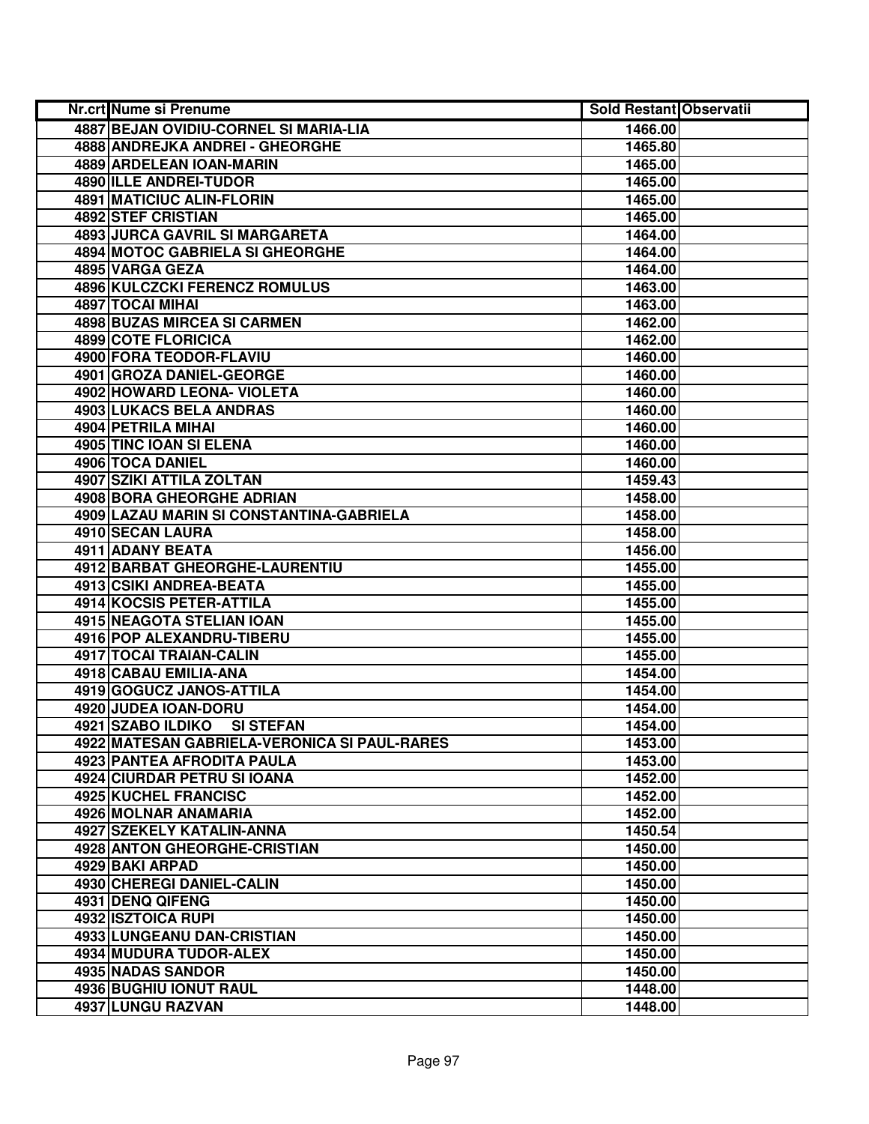| Nr.crt Nume si Prenume                       | <b>Sold Restant Observatii</b> |  |
|----------------------------------------------|--------------------------------|--|
| 4887 BEJAN OVIDIU-CORNEL SI MARIA-LIA        | 1466.00                        |  |
| 4888 ANDREJKA ANDREI - GHEORGHE              | 1465.80                        |  |
| 4889 ARDELEAN IOAN-MARIN                     | 1465.00                        |  |
| 4890 ILLE ANDREI-TUDOR                       | 1465.00                        |  |
| <b>4891 MATICIUC ALIN-FLORIN</b>             | 1465.00                        |  |
| 4892 STEF CRISTIAN                           | 1465.00                        |  |
| 4893 JURCA GAVRIL SI MARGARETA               | 1464.00                        |  |
| <b>4894 MOTOC GABRIELA SI GHEORGHE</b>       | 1464.00                        |  |
| 4895 VARGA GEZA                              | 1464.00                        |  |
| <b>4896 KULCZCKI FERENCZ ROMULUS</b>         | 1463.00                        |  |
| 4897 TOCAI MIHAI                             | 1463.00                        |  |
| 4898 BUZAS MIRCEA SI CARMEN                  | 1462.00                        |  |
| 4899 COTE FLORICICA                          | 1462.00                        |  |
| 4900 FORA TEODOR-FLAVIU                      | 1460.00                        |  |
| 4901 GROZA DANIEL-GEORGE                     | 1460.00                        |  |
| 4902 HOWARD LEONA- VIOLETA                   | 1460.00                        |  |
| 4903 LUKACS BELA ANDRAS                      | 1460.00                        |  |
| 4904 PETRILA MIHAI                           | 1460.00                        |  |
| 4905 TINC IOAN SI ELENA                      | 1460.00                        |  |
| 4906 TOCA DANIEL                             | 1460.00                        |  |
| 4907 SZIKI ATTILA ZOLTAN                     | 1459.43                        |  |
| <b>4908 BORA GHEORGHE ADRIAN</b>             | 1458.00                        |  |
| 4909 LAZAU MARIN SI CONSTANTINA-GABRIELA     | 1458.00                        |  |
| 4910 SECAN LAURA                             | 1458.00                        |  |
| 4911 ADANY BEATA                             | 1456.00                        |  |
| 4912 BARBAT GHEORGHE-LAURENTIU               | 1455.00                        |  |
| 4913 CSIKI ANDREA-BEATA                      | 1455.00                        |  |
| 4914 KOCSIS PETER-ATTILA                     | 1455.00                        |  |
| 4915 NEAGOTA STELIAN IOAN                    | 1455.00                        |  |
| 4916 POP ALEXANDRU-TIBERU                    | 1455.00                        |  |
| 4917 TOCAI TRAIAN-CALIN                      | 1455.00                        |  |
| 4918 CABAU EMILIA-ANA                        | 1454.00                        |  |
| 4919 GOGUCZ JANOS-ATTILA                     | 1454.00                        |  |
| 4920 JUDEA IOAN-DORU                         | 1454.00                        |  |
| 4921 SZABO ILDIKO<br><b>SI STEFAN</b>        | 1454.00                        |  |
| 4922 MATESAN GABRIELA-VERONICA SI PAUL-RARES | 1453.00                        |  |
| 4923 PANTEA AFRODITA PAULA                   | 1453.00                        |  |
| 4924 CIURDAR PETRU SI IOANA                  | 1452.00                        |  |
| <b>4925 KUCHEL FRANCISC</b>                  | 1452.00                        |  |
| 4926 MOLNAR ANAMARIA                         | 1452.00                        |  |
| 4927 SZEKELY KATALIN-ANNA                    | 1450.54                        |  |
| <b>4928 ANTON GHEORGHE-CRISTIAN</b>          | 1450.00                        |  |
| 4929 BAKI ARPAD                              | 1450.00                        |  |
| 4930 CHEREGI DANIEL-CALIN                    | 1450.00                        |  |
| 4931 DENQ QIFENG                             | 1450.00                        |  |
| 4932 ISZTOICA RUPI                           | 1450.00                        |  |
| 4933 LUNGEANU DAN-CRISTIAN                   | 1450.00                        |  |
| 4934 MUDURA TUDOR-ALEX                       | 1450.00                        |  |
| 4935 NADAS SANDOR                            | 1450.00                        |  |
| 4936 BUGHIU IONUT RAUL                       | 1448.00                        |  |
| 4937 LUNGU RAZVAN                            | 1448.00                        |  |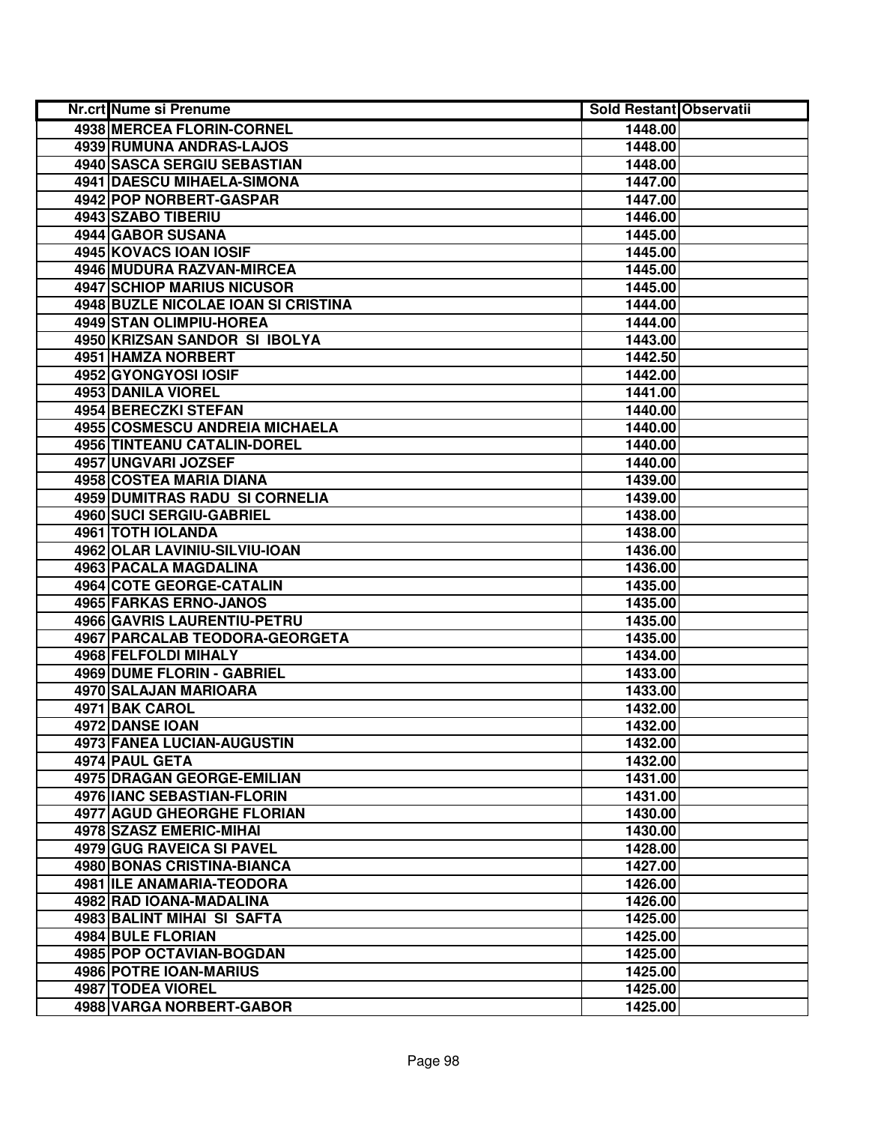| Nr.crt Nume si Prenume            |                                     | <b>Sold Restant Observatii</b> |  |
|-----------------------------------|-------------------------------------|--------------------------------|--|
| 4938 MERCEA FLORIN-CORNEL         |                                     | 1448.00                        |  |
| 4939 RUMUNA ANDRAS-LAJOS          |                                     | 1448.00                        |  |
| 4940 SASCA SERGIU SEBASTIAN       |                                     | 1448.00                        |  |
| 4941 DAESCU MIHAELA-SIMONA        |                                     | 1447.00                        |  |
| <b>4942 POP NORBERT-GASPAR</b>    |                                     | 1447.00                        |  |
| 4943 SZABO TIBERIU                |                                     | 1446.00                        |  |
| 4944 GABOR SUSANA                 |                                     | 1445.00                        |  |
| 4945 KOVACS IOAN IOSIF            |                                     | 1445.00                        |  |
| 4946 MUDURA RAZVAN-MIRCEA         |                                     | 1445.00                        |  |
| <b>4947 SCHIOP MARIUS NICUSOR</b> |                                     | 1445.00                        |  |
|                                   | 4948 BUZLE NICOLAE IOAN SI CRISTINA | 1444.00                        |  |
| 4949 STAN OLIMPIU-HOREA           |                                     | 1444.00                        |  |
| 4950 KRIZSAN SANDOR SI IBOLYA     |                                     | 1443.00                        |  |
| 4951 HAMZA NORBERT                |                                     | 1442.50                        |  |
| 4952 GYONGYOSI IOSIF              |                                     | 1442.00                        |  |
| <b>4953 DANILA VIOREL</b>         |                                     | 1441.00                        |  |
| 4954 BERECZKI STEFAN              |                                     | 1440.00                        |  |
| 4955 COSMESCU ANDREIA MICHAELA    |                                     | 1440.00                        |  |
| 4956 TINTEANU CATALIN-DOREL       |                                     | 1440.00                        |  |
| 4957 UNGVARI JOZSEF               |                                     | 1440.00                        |  |
| 4958 COSTEA MARIA DIANA           |                                     | 1439.00                        |  |
| 4959 DUMITRAS RADU SI CORNELIA    |                                     | 1439.00                        |  |
| 4960 SUCI SERGIU-GABRIEL          |                                     | 1438.00                        |  |
| 4961 TOTH IOLANDA                 |                                     | 1438.00                        |  |
| 4962 OLAR LAVINIU-SILVIU-IOAN     |                                     | 1436.00                        |  |
| 4963 PACALA MAGDALINA             |                                     | 1436.00                        |  |
| 4964 COTE GEORGE-CATALIN          |                                     | 1435.00                        |  |
| 4965 FARKAS ERNO-JANOS            |                                     | 1435.00                        |  |
| 4966 GAVRIS LAURENTIU-PETRU       |                                     | 1435.00                        |  |
| 4967 PARCALAB TEODORA-GEORGETA    |                                     | 1435.00                        |  |
| 4968 FELFOLDI MIHALY              |                                     | 1434.00                        |  |
| <b>4969 DUME FLORIN - GABRIEL</b> |                                     | 1433.00                        |  |
| 4970 SALAJAN MARIOARA             |                                     | 1433.00                        |  |
| 4971 BAK CAROL                    |                                     | 1432.00                        |  |
| 4972 DANSE IOAN                   |                                     | 1432.00                        |  |
| 4973 FANEA LUCIAN-AUGUSTIN        |                                     | 1432.00                        |  |
| 4974 PAUL GETA                    |                                     | 1432.00                        |  |
| 4975 DRAGAN GEORGE-EMILIAN        |                                     | 1431.00                        |  |
| 4976 IANC SEBASTIAN-FLORIN        |                                     | 1431.00                        |  |
| <b>4977 AGUD GHEORGHE FLORIAN</b> |                                     | 1430.00                        |  |
| 4978 SZASZ EMERIC-MIHAI           |                                     | 1430.00                        |  |
| 4979 GUG RAVEICA SI PAVEL         |                                     | 1428.00                        |  |
| 4980 BONAS CRISTINA-BIANCA        |                                     | 1427.00                        |  |
| 4981 ILE ANAMARIA-TEODORA         |                                     | 1426.00                        |  |
| 4982 RAD IOANA-MADALINA           |                                     | 1426.00                        |  |
| 4983 BALINT MIHAI SI SAFTA        |                                     | 1425.00                        |  |
| 4984 BULE FLORIAN                 |                                     | 1425.00                        |  |
| 4985 POP OCTAVIAN-BOGDAN          |                                     | 1425.00                        |  |
| 4986 POTRE IOAN-MARIUS            |                                     | 1425.00                        |  |
| 4987 TODEA VIOREL                 |                                     | 1425.00                        |  |
| 4988 VARGA NORBERT-GABOR          |                                     | 1425.00                        |  |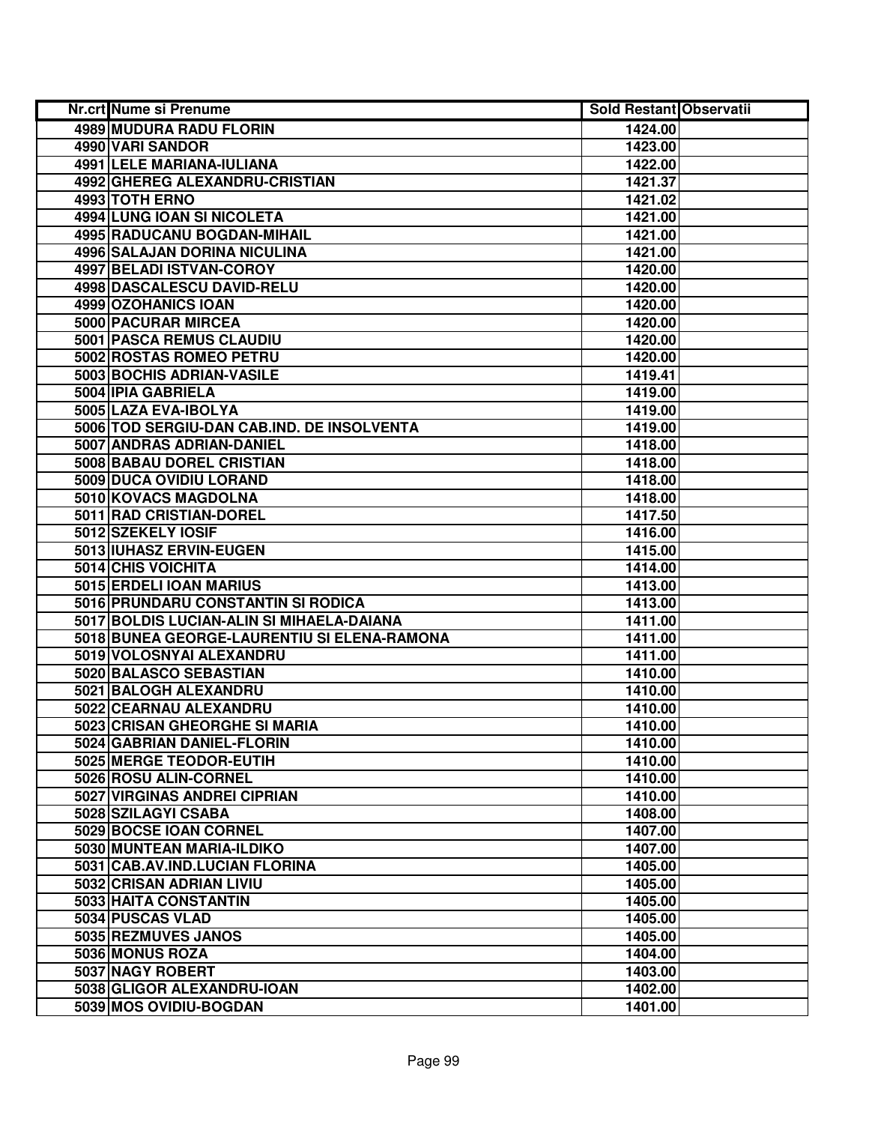| Nr.crt Nume si Prenume                      | <b>Sold Restant Observatii</b> |  |
|---------------------------------------------|--------------------------------|--|
| 4989 MUDURA RADU FLORIN                     | 1424.00                        |  |
| 4990 VARI SANDOR                            | 1423.00                        |  |
| 4991 LELE MARIANA-IULIANA                   | 1422.00                        |  |
| 4992 GHEREG ALEXANDRU-CRISTIAN              | 1421.37                        |  |
| 4993 TOTH ERNO                              | 1421.02                        |  |
| 4994 LUNG IOAN SI NICOLETA                  | 1421.00                        |  |
| 4995 RADUCANU BOGDAN-MIHAIL                 | 1421.00                        |  |
| 4996 SALAJAN DORINA NICULINA                | 1421.00                        |  |
| 4997 BELADI ISTVAN-COROY                    | 1420.00                        |  |
| <b>4998 DASCALESCU DAVID-RELU</b>           | 1420.00                        |  |
| 4999 OZOHANICS IOAN                         | 1420.00                        |  |
| 5000 PACURAR MIRCEA                         | 1420.00                        |  |
| 5001 PASCA REMUS CLAUDIU                    | 1420.00                        |  |
| 5002 ROSTAS ROMEO PETRU                     | 1420.00                        |  |
| 5003 BOCHIS ADRIAN-VASILE                   | 1419.41                        |  |
| 5004 IPIA GABRIELA                          | 1419.00                        |  |
| 5005 LAZA EVA-IBOLYA                        | 1419.00                        |  |
| 5006 TOD SERGIU-DAN CAB.IND. DE INSOLVENTA  | 1419.00                        |  |
| 5007 ANDRAS ADRIAN-DANIEL                   | 1418.00                        |  |
| 5008 BABAU DOREL CRISTIAN                   | 1418.00                        |  |
| 5009 DUCA OVIDIU LORAND                     | 1418.00                        |  |
| 5010 KOVACS MAGDOLNA                        | 1418.00                        |  |
| 5011 RAD CRISTIAN-DOREL                     | 1417.50                        |  |
| 5012 SZEKELY IOSIF                          | 1416.00                        |  |
| 5013 IUHASZ ERVIN-EUGEN                     | 1415.00                        |  |
| 5014 CHIS VOICHITA                          | 1414.00                        |  |
| 5015 ERDELI IOAN MARIUS                     | 1413.00                        |  |
| 5016 PRUNDARU CONSTANTIN SI RODICA          | 1413.00                        |  |
| 5017 BOLDIS LUCIAN-ALIN SI MIHAELA-DAIANA   | 1411.00                        |  |
| 5018 BUNEA GEORGE-LAURENTIU SI ELENA-RAMONA | 1411.00                        |  |
| 5019 VOLOSNYAI ALEXANDRU                    | 1411.00                        |  |
| 5020 BALASCO SEBASTIAN                      | 1410.00                        |  |
| 5021 BALOGH ALEXANDRU                       | 1410.00                        |  |
| 5022 CEARNAU ALEXANDRU                      | 1410.00                        |  |
| 5023 CRISAN GHEORGHE SI MARIA               | 1410.00                        |  |
| 5024 GABRIAN DANIEL-FLORIN                  | 1410.00                        |  |
| 5025 MERGE TEODOR-EUTIH                     | 1410.00                        |  |
| 5026 ROSU ALIN-CORNEL                       | 1410.00                        |  |
| <b>5027 VIRGINAS ANDREI CIPRIAN</b>         | 1410.00                        |  |
| 5028 SZILAGYI CSABA                         | 1408.00                        |  |
| 5029 BOCSE IOAN CORNEL                      | 1407.00                        |  |
| 5030 MUNTEAN MARIA-ILDIKO                   | 1407.00                        |  |
| 5031 CAB.AV.IND.LUCIAN FLORINA              | 1405.00                        |  |
| 5032 CRISAN ADRIAN LIVIU                    | 1405.00                        |  |
| 5033 HAITA CONSTANTIN                       | 1405.00                        |  |
| 5034 PUSCAS VLAD                            | 1405.00                        |  |
| 5035 REZMUVES JANOS                         | 1405.00                        |  |
| 5036 MONUS ROZA                             | 1404.00                        |  |
| 5037 NAGY ROBERT                            | 1403.00                        |  |
| 5038 GLIGOR ALEXANDRU-IOAN                  | 1402.00                        |  |
| 5039 MOS OVIDIU-BOGDAN                      | 1401.00                        |  |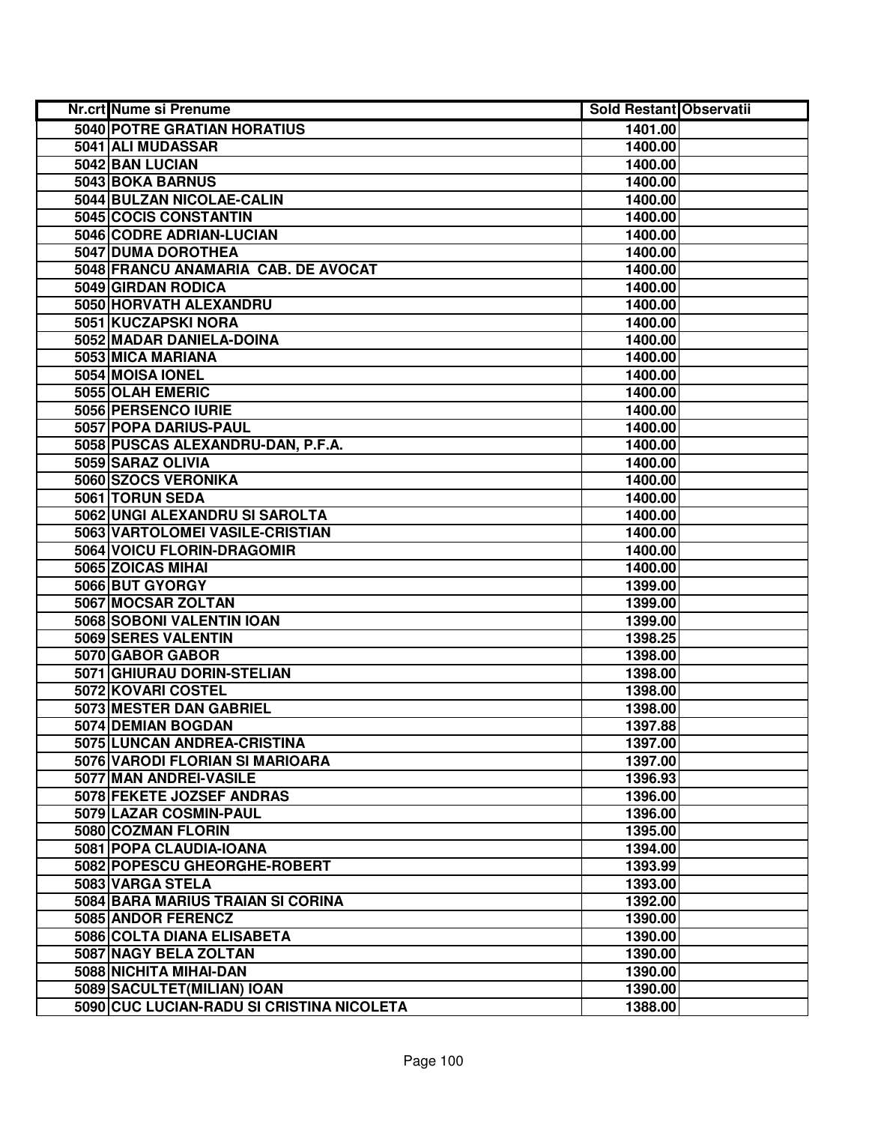| <b>Nr.crt Nume si Prenume</b>             | <b>Sold Restant Observatii</b> |  |
|-------------------------------------------|--------------------------------|--|
| 5040 POTRE GRATIAN HORATIUS               | 1401.00                        |  |
| 5041 ALI MUDASSAR                         | 1400.00                        |  |
| 5042 BAN LUCIAN                           | 1400.00                        |  |
| 5043 BOKA BARNUS                          | 1400.00                        |  |
| 5044 BULZAN NICOLAE-CALIN                 | 1400.00                        |  |
| 5045 COCIS CONSTANTIN                     | 1400.00                        |  |
| 5046 CODRE ADRIAN-LUCIAN                  | 1400.00                        |  |
| 5047 DUMA DOROTHEA                        | 1400.00                        |  |
| 5048 FRANCU ANAMARIA CAB. DE AVOCAT       | 1400.00                        |  |
| 5049 GIRDAN RODICA                        | 1400.00                        |  |
| 5050 HORVATH ALEXANDRU                    | 1400.00                        |  |
| 5051 KUCZAPSKI NORA                       | 1400.00                        |  |
| 5052 MADAR DANIELA-DOINA                  | 1400.00                        |  |
| 5053 MICA MARIANA                         | 1400.00                        |  |
| 5054 MOISA IONEL                          | 1400.00                        |  |
| 5055 OLAH EMERIC                          | 1400.00                        |  |
| 5056 PERSENCO IURIE                       | 1400.00                        |  |
| 5057 POPA DARIUS-PAUL                     | 1400.00                        |  |
| 5058 PUSCAS ALEXANDRU-DAN, P.F.A.         | 1400.00                        |  |
| 5059 SARAZ OLIVIA                         | 1400.00                        |  |
| 5060 SZOCS VERONIKA                       | 1400.00                        |  |
| 5061 TORUN SEDA                           | 1400.00                        |  |
| 5062 UNGI ALEXANDRU SI SAROLTA            | 1400.00                        |  |
| 5063 VARTOLOMEI VASILE-CRISTIAN           | 1400.00                        |  |
| 5064 VOICU FLORIN-DRAGOMIR                | 1400.00                        |  |
| 5065 ZOICAS MIHAI                         | 1400.00                        |  |
| 5066 BUT GYORGY                           | 1399.00                        |  |
| 5067 MOCSAR ZOLTAN                        | 1399.00                        |  |
| 5068 SOBONI VALENTIN IOAN                 | 1399.00                        |  |
| 5069 SERES VALENTIN                       | 1398.25                        |  |
| 5070 GABOR GABOR                          | 1398.00                        |  |
| 5071 GHIURAU DORIN-STELIAN                | 1398.00                        |  |
| 5072 KOVARI COSTEL                        | 1398.00                        |  |
| 5073 MESTER DAN GABRIEL                   | 1398.00                        |  |
| 5074 DEMIAN BOGDAN                        | 1397.88                        |  |
| 5075 LUNCAN ANDREA-CRISTINA               | 1397.00                        |  |
| 5076 VARODI FLORIAN SI MARIOARA           | 1397.00                        |  |
| 5077 MAN ANDREI-VASILE                    | 1396.93                        |  |
| 5078 FEKETE JOZSEF ANDRAS                 | 1396.00                        |  |
| 5079 LAZAR COSMIN-PAUL                    | 1396.00                        |  |
| 5080 COZMAN FLORIN                        | 1395.00                        |  |
| 5081 POPA CLAUDIA-IOANA                   | 1394.00                        |  |
| 5082 POPESCU GHEORGHE-ROBERT              | 1393.99                        |  |
| 5083 VARGA STELA                          | 1393.00                        |  |
| 5084 BARA MARIUS TRAIAN SI CORINA         | 1392.00                        |  |
| 5085 ANDOR FERENCZ                        | 1390.00                        |  |
| 5086 COLTA DIANA ELISABETA                | 1390.00                        |  |
| 5087 NAGY BELA ZOLTAN                     | 1390.00                        |  |
| 5088 NICHITA MIHAI-DAN                    | 1390.00                        |  |
| 5089 SACULTET (MILIAN) IOAN               | 1390.00                        |  |
| 5090 CUC LUCIAN-RADU SI CRISTINA NICOLETA | 1388.00                        |  |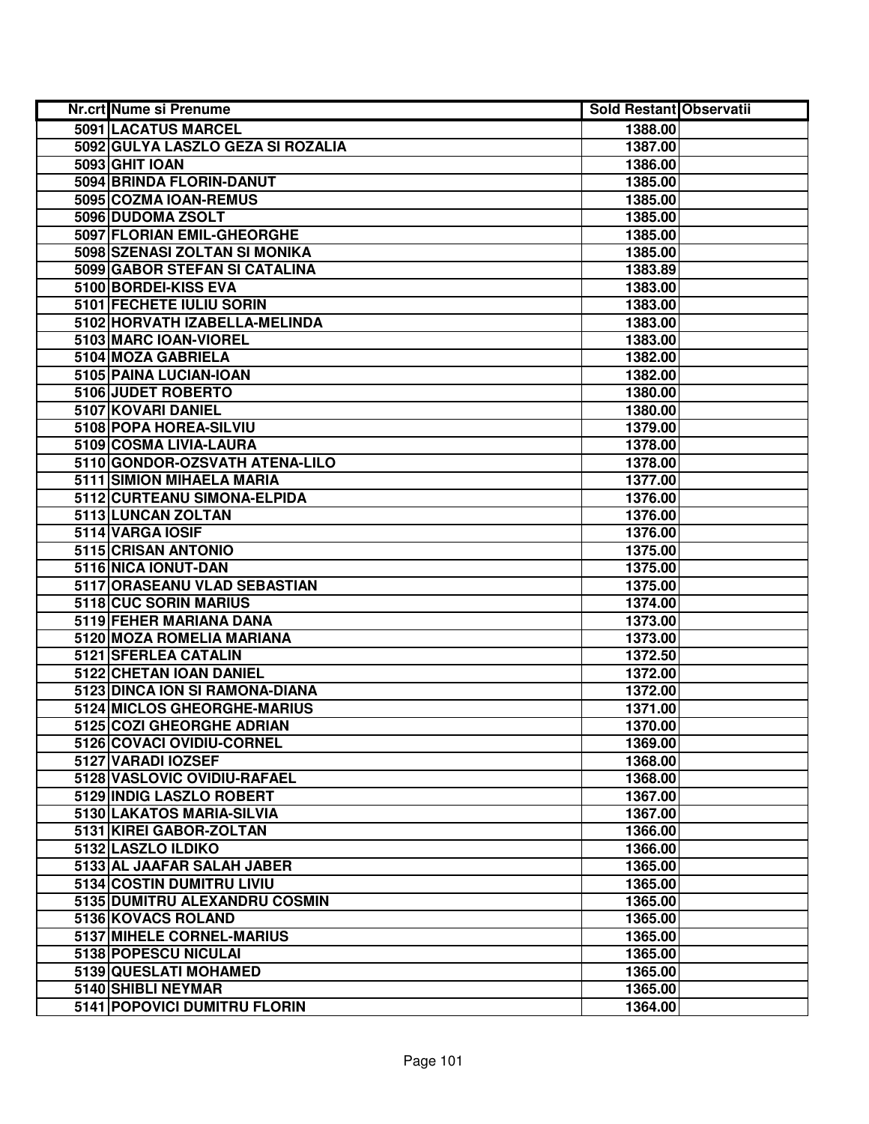| Nr.crt Nume si Prenume            | <b>Sold Restant Observatii</b> |  |
|-----------------------------------|--------------------------------|--|
| 5091 LACATUS MARCEL               | 1388.00                        |  |
| 5092 GULYA LASZLO GEZA SI ROZALIA | 1387.00                        |  |
| 5093 GHIT IOAN                    | 1386.00                        |  |
| 5094 BRINDA FLORIN-DANUT          | 1385.00                        |  |
| 5095 COZMA IOAN-REMUS             | 1385.00                        |  |
| 5096 DUDOMA ZSOLT                 | 1385.00                        |  |
| 5097 FLORIAN EMIL-GHEORGHE        | 1385.00                        |  |
| 5098 SZENASI ZOLTAN SI MONIKA     | 1385.00                        |  |
| 5099 GABOR STEFAN SI CATALINA     | 1383.89                        |  |
| 5100 BORDEI-KISS EVA              | 1383.00                        |  |
| 5101 FECHETE IULIU SORIN          | 1383.00                        |  |
| 5102 HORVATH IZABELLA-MELINDA     | 1383.00                        |  |
| 5103 MARC IOAN-VIOREL             | 1383.00                        |  |
| 5104 MOZA GABRIELA                | 1382.00                        |  |
| 5105 PAINA LUCIAN-IOAN            | 1382.00                        |  |
| 5106 JUDET ROBERTO                | 1380.00                        |  |
| 5107 KOVARI DANIEL                | 1380.00                        |  |
| 5108 POPA HOREA-SILVIU            | 1379.00                        |  |
| 5109 COSMA LIVIA-LAURA            | 1378.00                        |  |
| 5110 GONDOR-OZSVATH ATENA-LILO    | 1378.00                        |  |
| 5111 SIMION MIHAELA MARIA         | 1377.00                        |  |
| 5112 CURTEANU SIMONA-ELPIDA       | 1376.00                        |  |
| 5113 LUNCAN ZOLTAN                | 1376.00                        |  |
| 5114 VARGA IOSIF                  | 1376.00                        |  |
| 5115 CRISAN ANTONIO               | 1375.00                        |  |
| 5116 NICA IONUT-DAN               | 1375.00                        |  |
| 5117 ORASEANU VLAD SEBASTIAN      | 1375.00                        |  |
| 5118 CUC SORIN MARIUS             | 1374.00                        |  |
| 5119 FEHER MARIANA DANA           | 1373.00                        |  |
| 5120 MOZA ROMELIA MARIANA         | 1373.00                        |  |
| 5121 SFERLEA CATALIN              | 1372.50                        |  |
| 5122 CHETAN IOAN DANIEL           | 1372.00                        |  |
| 5123 DINCA ION SI RAMONA-DIANA    | 1372.00                        |  |
| 5124 MICLOS GHEORGHE-MARIUS       | 1371.00                        |  |
| 5125 COZI GHEORGHE ADRIAN         | 1370.00                        |  |
| 5126 COVACI OVIDIU-CORNEL         | 1369.00                        |  |
| 5127 VARADI IOZSEF                | 1368.00                        |  |
| 5128 VASLOVIC OVIDIU-RAFAEL       | 1368.00                        |  |
| 5129 INDIG LASZLO ROBERT          | 1367.00                        |  |
| 5130 LAKATOS MARIA-SILVIA         | 1367.00                        |  |
| 5131 KIREI GABOR-ZOLTAN           | 1366.00                        |  |
| 5132 LASZLO ILDIKO                | 1366.00                        |  |
| 5133 AL JAAFAR SALAH JABER        | 1365.00                        |  |
| 5134 COSTIN DUMITRU LIVIU         | 1365.00                        |  |
| 5135 DUMITRU ALEXANDRU COSMIN     | 1365.00                        |  |
| 5136 KOVACS ROLAND                | 1365.00                        |  |
| 5137 MIHELE CORNEL-MARIUS         | 1365.00                        |  |
| 5138 POPESCU NICULAI              | 1365.00                        |  |
| 5139 QUESLATI MOHAMED             | 1365.00                        |  |
| 5140 SHIBLI NEYMAR                | 1365.00                        |  |
| 5141 POPOVICI DUMITRU FLORIN      | 1364.00                        |  |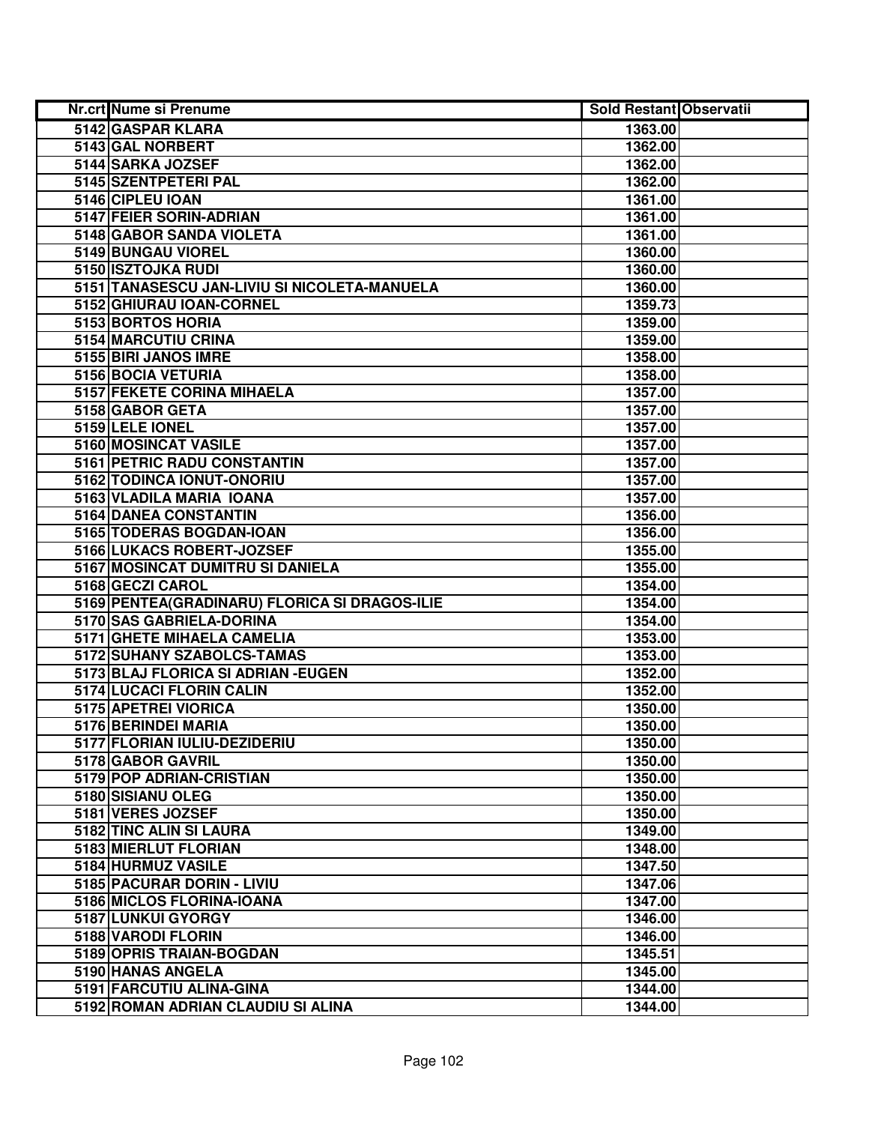| <b>Nr.crt Nume si Prenume</b>                 | <b>Sold Restant Observatii</b> |  |
|-----------------------------------------------|--------------------------------|--|
| 5142 GASPAR KLARA                             | 1363.00                        |  |
| 5143 GAL NORBERT                              | 1362.00                        |  |
| 5144 SARKA JOZSEF                             | 1362.00                        |  |
| 5145 SZENTPETERI PAL                          | 1362.00                        |  |
| 5146 CIPLEU IOAN                              | 1361.00                        |  |
| 5147 FEIER SORIN-ADRIAN                       | 1361.00                        |  |
| 5148 GABOR SANDA VIOLETA                      | 1361.00                        |  |
| 5149 BUNGAU VIOREL                            | 1360.00                        |  |
| 5150 ISZTOJKA RUDI                            | 1360.00                        |  |
| 5151 TANASESCU JAN-LIVIU SI NICOLETA-MANUELA  | 1360.00                        |  |
| 5152 GHIURAU IOAN-CORNEL                      | 1359.73                        |  |
| 5153 BORTOS HORIA                             | 1359.00                        |  |
| 5154 MARCUTIU CRINA                           | 1359.00                        |  |
| 5155 BIRI JANOS IMRE                          | 1358.00                        |  |
| 5156 BOCIA VETURIA                            | 1358.00                        |  |
| 5157 FEKETE CORINA MIHAELA                    | 1357.00                        |  |
| 5158 GABOR GETA                               | 1357.00                        |  |
| 5159 LELE IONEL                               | 1357.00                        |  |
| 5160 MOSINCAT VASILE                          | 1357.00                        |  |
| 5161 PETRIC RADU CONSTANTIN                   | 1357.00                        |  |
| 5162 TODINCA IONUT-ONORIU                     | 1357.00                        |  |
| 5163 VLADILA MARIA IOANA                      | 1357.00                        |  |
| <b>5164 DANEA CONSTANTIN</b>                  | 1356.00                        |  |
| 5165 TODERAS BOGDAN-IOAN                      | 1356.00                        |  |
| 5166 LUKACS ROBERT-JOZSEF                     | 1355.00                        |  |
| 5167 MOSINCAT DUMITRU SI DANIELA              | 1355.00                        |  |
| 5168 GECZI CAROL                              | 1354.00                        |  |
| 5169 PENTEA(GRADINARU) FLORICA SI DRAGOS-ILIE | 1354.00                        |  |
| 5170 SAS GABRIELA-DORINA                      | 1354.00                        |  |
| 5171 GHETE MIHAELA CAMELIA                    | 1353.00                        |  |
| 5172 SUHANY SZABOLCS-TAMAS                    | 1353.00                        |  |
| 5173 BLAJ FLORICA SI ADRIAN - EUGEN           | 1352.00                        |  |
| 5174 LUCACI FLORIN CALIN                      | 1352.00                        |  |
| 5175 APETREI VIORICA                          | 1350.00                        |  |
| 5176 BERINDEI MARIA                           | 1350.00                        |  |
| 5177 FLORIAN IULIU-DEZIDERIU                  | 1350.00                        |  |
| 5178 GABOR GAVRIL                             | 1350.00                        |  |
| 5179 POP ADRIAN-CRISTIAN                      | 1350.00                        |  |
| 5180 SISIANU OLEG                             | 1350.00                        |  |
| 5181 VERES JOZSEF                             | 1350.00                        |  |
| 5182 TINC ALIN SI LAURA                       | 1349.00                        |  |
| 5183 MIERLUT FLORIAN                          | 1348.00                        |  |
| 5184 HURMUZ VASILE                            | 1347.50                        |  |
| 5185 PACURAR DORIN - LIVIU                    | 1347.06                        |  |
| 5186 MICLOS FLORINA-IOANA                     | 1347.00                        |  |
| 5187 LUNKUI GYORGY                            | 1346.00                        |  |
| 5188 VARODI FLORIN                            | 1346.00                        |  |
| 5189 OPRIS TRAIAN-BOGDAN                      | 1345.51                        |  |
| 5190 HANAS ANGELA                             | 1345.00                        |  |
| 5191 FARCUTIU ALINA-GINA                      | 1344.00                        |  |
| 5192 ROMAN ADRIAN CLAUDIU SI ALINA            | 1344.00                        |  |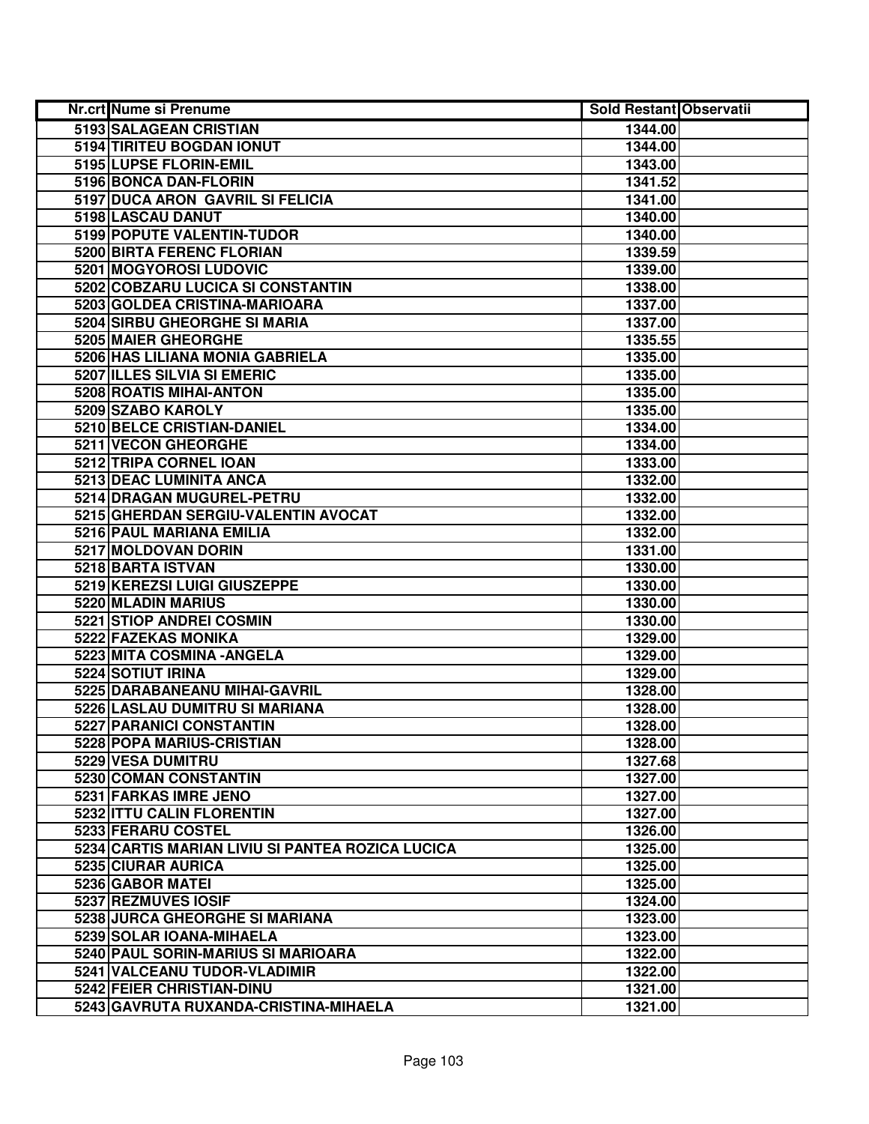| Nr.crt Nume si Prenume                           | <b>Sold Restant Observatii</b> |  |
|--------------------------------------------------|--------------------------------|--|
| 5193 SALAGEAN CRISTIAN                           | 1344.00                        |  |
| 5194 TIRITEU BOGDAN IONUT                        | 1344.00                        |  |
| 5195 LUPSE FLORIN-EMIL                           | 1343.00                        |  |
| 5196 BONCA DAN-FLORIN                            | 1341.52                        |  |
| 5197 DUCA ARON GAVRIL SI FELICIA                 | 1341.00                        |  |
| 5198 LASCAU DANUT                                | 1340.00                        |  |
| 5199 POPUTE VALENTIN-TUDOR                       | 1340.00                        |  |
| <b>5200 BIRTA FERENC FLORIAN</b>                 | 1339.59                        |  |
| 5201 MOGYOROSI LUDOVIC                           | 1339.00                        |  |
| 5202 COBZARU LUCICA SI CONSTANTIN                | 1338.00                        |  |
| 5203 GOLDEA CRISTINA-MARIOARA                    | 1337.00                        |  |
| 5204 SIRBU GHEORGHE SI MARIA                     | 1337.00                        |  |
| 5205 MAIER GHEORGHE                              | 1335.55                        |  |
| 5206 HAS LILIANA MONIA GABRIELA                  | 1335.00                        |  |
| 5207 ILLES SILVIA SI EMERIC                      | 1335.00                        |  |
| 5208 ROATIS MIHAI-ANTON                          | 1335.00                        |  |
| 5209 SZABO KAROLY                                | 1335.00                        |  |
| 5210 BELCE CRISTIAN-DANIEL                       | 1334.00                        |  |
| 5211 VECON GHEORGHE                              | 1334.00                        |  |
| 5212 TRIPA CORNEL IOAN                           | 1333.00                        |  |
| 5213 DEAC LUMINITA ANCA                          | 1332.00                        |  |
| 5214 DRAGAN MUGUREL-PETRU                        | 1332.00                        |  |
| 5215 GHERDAN SERGIU-VALENTIN AVOCAT              | 1332.00                        |  |
| 5216 PAUL MARIANA EMILIA                         | 1332.00                        |  |
| 5217 MOLDOVAN DORIN                              | 1331.00                        |  |
| 5218 BARTA ISTVAN                                | 1330.00                        |  |
| 5219 KEREZSI LUIGI GIUSZEPPE                     | 1330.00                        |  |
| 5220 MLADIN MARIUS                               | 1330.00                        |  |
| 5221 STIOP ANDREI COSMIN                         | 1330.00                        |  |
| 5222 FAZEKAS MONIKA                              | 1329.00                        |  |
| 5223 MITA COSMINA - ANGELA                       | 1329.00                        |  |
| 5224 SOTIUT IRINA                                | 1329.00                        |  |
| 5225 DARABANEANU MIHAI-GAVRIL                    | 1328.00                        |  |
| 5226 LASLAU DUMITRU SI MARIANA                   | 1328.00                        |  |
| <b>5227 PARANICI CONSTANTIN</b>                  | 1328.00                        |  |
| 5228 POPA MARIUS-CRISTIAN                        | 1328.00                        |  |
| 5229 VESA DUMITRU                                | 1327.68                        |  |
| 5230 COMAN CONSTANTIN                            | 1327.00                        |  |
| 5231 FARKAS IMRE JENO                            | 1327.00                        |  |
| 5232 ITTU CALIN FLORENTIN                        | 1327.00                        |  |
| 5233 FERARU COSTEL                               | 1326.00                        |  |
| 5234 CARTIS MARIAN LIVIU SI PANTEA ROZICA LUCICA | 1325.00                        |  |
| 5235 CIURAR AURICA                               | 1325.00                        |  |
| 5236 GABOR MATEI                                 | 1325.00                        |  |
| 5237 REZMUVES IOSIF                              | 1324.00                        |  |
| 5238 JURCA GHEORGHE SI MARIANA                   | 1323.00                        |  |
| 5239 SOLAR IOANA-MIHAELA                         | 1323.00                        |  |
| 5240 PAUL SORIN-MARIUS SI MARIOARA               | 1322.00                        |  |
| 5241 VALCEANU TUDOR-VLADIMIR                     | 1322.00                        |  |
| 5242 FEIER CHRISTIAN-DINU                        | 1321.00                        |  |
| 5243 GAVRUTA RUXANDA-CRISTINA-MIHAELA            | 1321.00                        |  |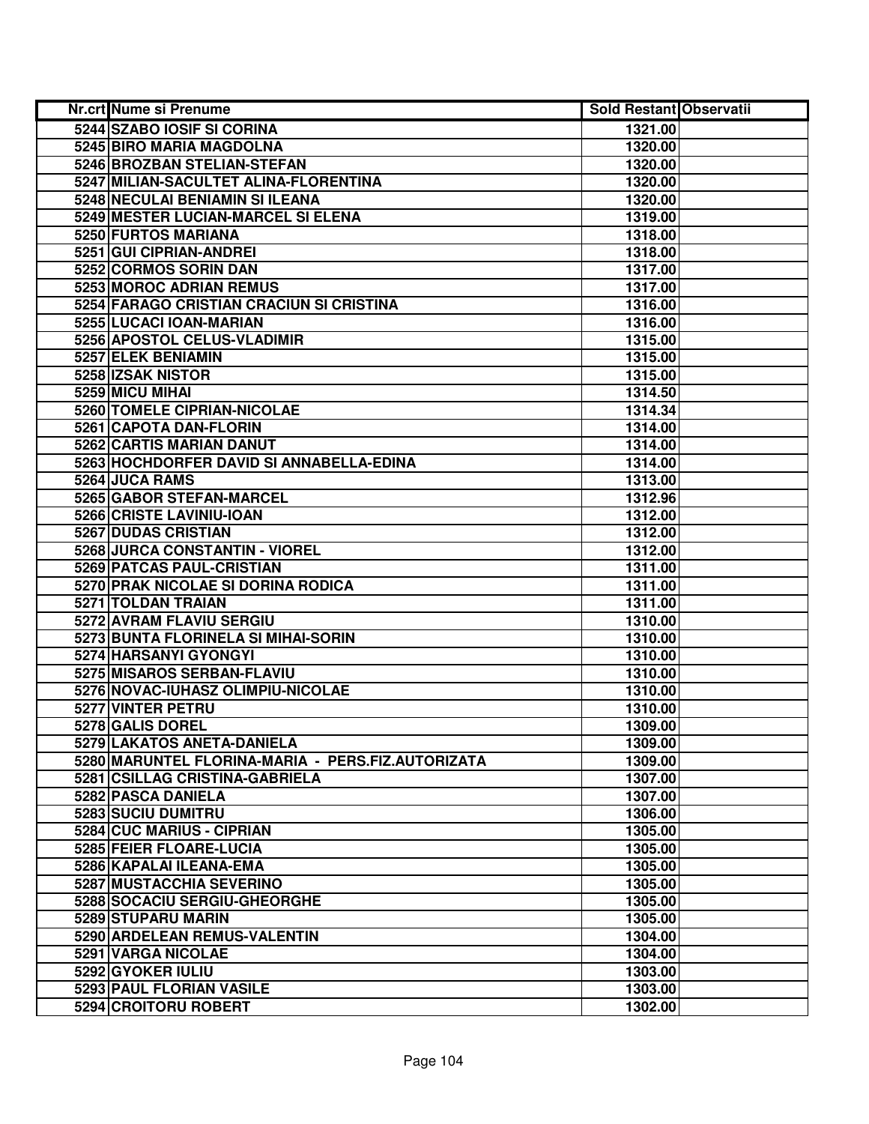| Nr.crt Nume si Prenume                            | <b>Sold Restant Observatii</b> |  |
|---------------------------------------------------|--------------------------------|--|
| 5244 SZABO IOSIF SI CORINA                        | 1321.00                        |  |
| 5245 BIRO MARIA MAGDOLNA                          | 1320.00                        |  |
| 5246 BROZBAN STELIAN-STEFAN                       | 1320.00                        |  |
| 5247 MILIAN-SACULTET ALINA-FLORENTINA             | 1320.00                        |  |
| 5248 NECULAI BENIAMIN SI ILEANA                   | 1320.00                        |  |
| 5249 MESTER LUCIAN-MARCEL SI ELENA                | 1319.00                        |  |
| 5250 FURTOS MARIANA                               | 1318.00                        |  |
| 5251 GUI CIPRIAN-ANDREI                           | 1318.00                        |  |
| 5252 CORMOS SORIN DAN                             | 1317.00                        |  |
| 5253 MOROC ADRIAN REMUS                           | 1317.00                        |  |
| 5254 FARAGO CRISTIAN CRACIUN SI CRISTINA          | 1316.00                        |  |
| 5255 LUCACI IOAN-MARIAN                           | 1316.00                        |  |
| 5256 APOSTOL CELUS-VLADIMIR                       | 1315.00                        |  |
| 5257 ELEK BENIAMIN                                | 1315.00                        |  |
| 5258 IZSAK NISTOR                                 | 1315.00                        |  |
| 5259 MICU MIHAI                                   | 1314.50                        |  |
| 5260 TOMELE CIPRIAN-NICOLAE                       | 1314.34                        |  |
| 5261 CAPOTA DAN-FLORIN                            | 1314.00                        |  |
| 5262 CARTIS MARIAN DANUT                          | 1314.00                        |  |
| 5263 HOCHDORFER DAVID SI ANNABELLA-EDINA          | 1314.00                        |  |
| 5264 JUCA RAMS                                    | 1313.00                        |  |
| 5265 GABOR STEFAN-MARCEL                          | 1312.96                        |  |
| 5266 CRISTE LAVINIU-IOAN                          | 1312.00                        |  |
| 5267 DUDAS CRISTIAN                               | 1312.00                        |  |
| 5268 JURCA CONSTANTIN - VIOREL                    | 1312.00                        |  |
| 5269 PATCAS PAUL-CRISTIAN                         | 1311.00                        |  |
| 5270 PRAK NICOLAE SI DORINA RODICA                | 1311.00                        |  |
| 5271 TOLDAN TRAIAN                                | 1311.00                        |  |
| 5272 AVRAM FLAVIU SERGIU                          | 1310.00                        |  |
| 5273 BUNTA FLORINELA SI MIHAI-SORIN               | 1310.00                        |  |
| 5274 HARSANYI GYONGYI                             | 1310.00                        |  |
| 5275 MISAROS SERBAN-FLAVIU                        | 1310.00                        |  |
| 5276 NOVAC-IUHASZ OLIMPIU-NICOLAE                 | 1310.00                        |  |
| 5277 VINTER PETRU                                 | 1310.00                        |  |
| 5278 GALIS DOREL                                  | 1309.00                        |  |
| 5279 LAKATOS ANETA-DANIELA                        | 1309.00                        |  |
| 5280 MARUNTEL FLORINA-MARIA - PERS.FIZ.AUTORIZATA | 1309.00                        |  |
| 5281 CSILLAG CRISTINA-GABRIELA                    | 1307.00                        |  |
| 5282 PASCA DANIELA                                | 1307.00                        |  |
| 5283 SUCIU DUMITRU                                | 1306.00                        |  |
| 5284 CUC MARIUS - CIPRIAN                         | 1305.00                        |  |
| 5285 FEIER FLOARE-LUCIA                           | 1305.00                        |  |
| 5286 KAPALAI ILEANA-EMA                           | 1305.00                        |  |
| 5287 MUSTACCHIA SEVERINO                          | 1305.00                        |  |
| 5288 SOCACIU SERGIU-GHEORGHE                      | 1305.00                        |  |
| 5289 STUPARU MARIN                                | 1305.00                        |  |
| 5290 ARDELEAN REMUS-VALENTIN                      | 1304.00                        |  |
| 5291 VARGA NICOLAE                                | 1304.00                        |  |
| 5292 GYOKER IULIU                                 | 1303.00                        |  |
| 5293 PAUL FLORIAN VASILE                          | 1303.00                        |  |
| 5294 CROITORU ROBERT                              | 1302.00                        |  |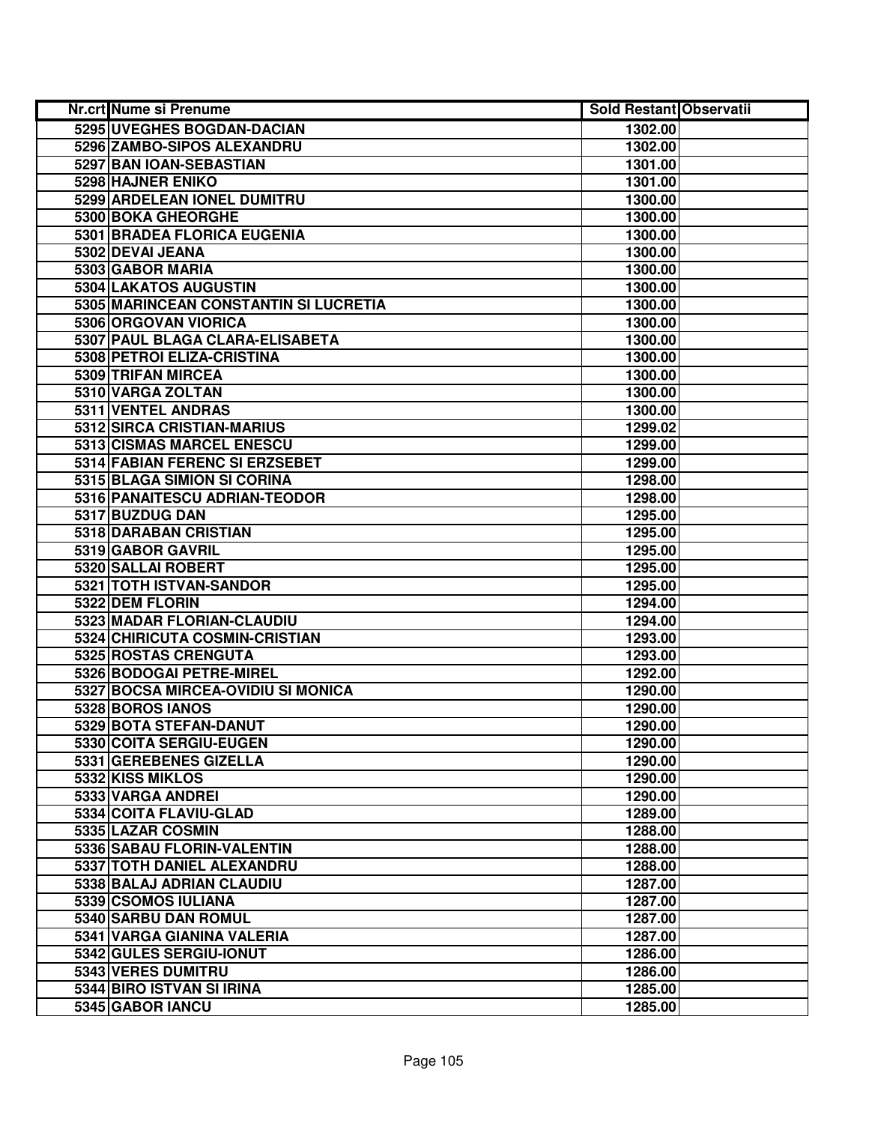| <b>Nr.crt Nume si Prenume</b>         | <b>Sold Restant Observatii</b> |  |
|---------------------------------------|--------------------------------|--|
| 5295 UVEGHES BOGDAN-DACIAN            | 1302.00                        |  |
| 5296 ZAMBO-SIPOS ALEXANDRU            | 1302.00                        |  |
| 5297 BAN IOAN-SEBASTIAN               | 1301.00                        |  |
| 5298 HAJNER ENIKO                     | 1301.00                        |  |
| 5299 ARDELEAN IONEL DUMITRU           | 1300.00                        |  |
| 5300 BOKA GHEORGHE                    | 1300.00                        |  |
| 5301 BRADEA FLORICA EUGENIA           | 1300.00                        |  |
| 5302 DEVAI JEANA                      | 1300.00                        |  |
| 5303 GABOR MARIA                      | 1300.00                        |  |
| 5304 LAKATOS AUGUSTIN                 | 1300.00                        |  |
| 5305 MARINCEAN CONSTANTIN SI LUCRETIA | 1300.00                        |  |
| 5306 ORGOVAN VIORICA                  | 1300.00                        |  |
| 5307 PAUL BLAGA CLARA-ELISABETA       | 1300.00                        |  |
| 5308 PETROI ELIZA-CRISTINA            | 1300.00                        |  |
| 5309 TRIFAN MIRCEA                    | 1300.00                        |  |
| 5310 VARGA ZOLTAN                     | 1300.00                        |  |
| 5311 VENTEL ANDRAS                    | 1300.00                        |  |
| 5312 SIRCA CRISTIAN-MARIUS            | 1299.02                        |  |
| 5313 CISMAS MARCEL ENESCU             | 1299.00                        |  |
| 5314 FABIAN FERENC SI ERZSEBET        | 1299.00                        |  |
| 5315 BLAGA SIMION SI CORINA           | 1298.00                        |  |
| 5316 PANAITESCU ADRIAN-TEODOR         | 1298.00                        |  |
| 5317 BUZDUG DAN                       | 1295.00                        |  |
| 5318 DARABAN CRISTIAN                 | 1295.00                        |  |
| 5319 GABOR GAVRIL                     | 1295.00                        |  |
| 5320 SALLAI ROBERT                    | 1295.00                        |  |
| 5321 TOTH ISTVAN-SANDOR               | 1295.00                        |  |
| 5322 DEM FLORIN                       | 1294.00                        |  |
| 5323 MADAR FLORIAN-CLAUDIU            | 1294.00                        |  |
| 5324 CHIRICUTA COSMIN-CRISTIAN        | 1293.00                        |  |
| 5325 ROSTAS CRENGUTA                  | 1293.00                        |  |
| 5326 BODOGAI PETRE-MIREL              | 1292.00                        |  |
| 5327 BOCSA MIRCEA-OVIDIU SI MONICA    | 1290.00                        |  |
| 5328 BOROS IANOS                      | 1290.00                        |  |
| 5329 BOTA STEFAN-DANUT                | 1290.00                        |  |
| 5330 COITA SERGIU-EUGEN               | 1290.00                        |  |
| 5331 GEREBENES GIZELLA                | 1290.00                        |  |
| 5332 KISS MIKLOS                      | 1290.00                        |  |
| 5333 VARGA ANDREI                     | 1290.00                        |  |
| 5334 COITA FLAVIU-GLAD                | 1289.00                        |  |
| 5335 LAZAR COSMIN                     | 1288.00                        |  |
| 5336 SABAU FLORIN-VALENTIN            | 1288.00                        |  |
| 5337 TOTH DANIEL ALEXANDRU            | 1288.00                        |  |
| 5338 BALAJ ADRIAN CLAUDIU             | 1287.00                        |  |
| 5339 CSOMOS IULIANA                   | 1287.00                        |  |
| 5340 SARBU DAN ROMUL                  | 1287.00                        |  |
| 5341 VARGA GIANINA VALERIA            | 1287.00                        |  |
| 5342 GULES SERGIU-IONUT               | 1286.00                        |  |
| 5343 VERES DUMITRU                    | 1286.00                        |  |
| 5344 BIRO ISTVAN SI IRINA             | 1285.00                        |  |
| 5345 GABOR IANCU                      | 1285.00                        |  |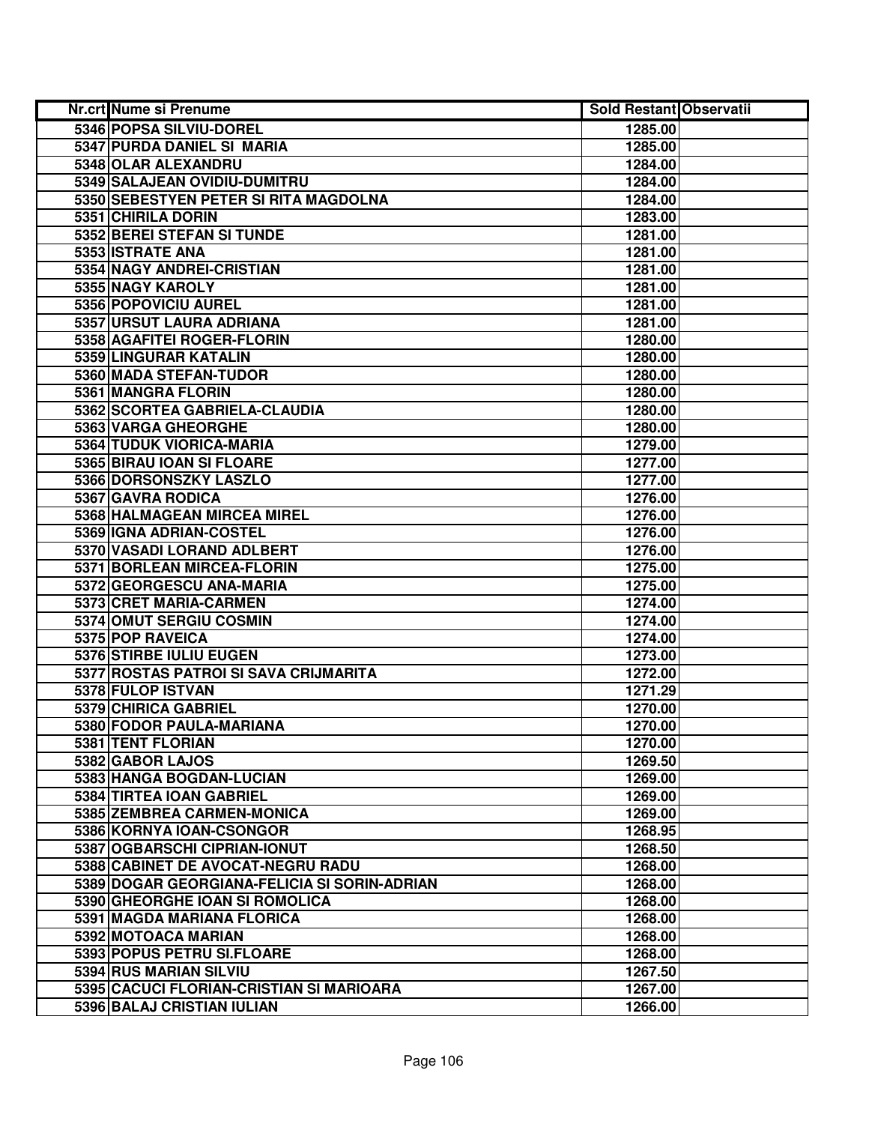| Nr.crt Nume si Prenume                       | <b>Sold Restant Observatii</b> |  |
|----------------------------------------------|--------------------------------|--|
| 5346 POPSA SILVIU-DOREL                      | 1285.00                        |  |
| 5347 PURDA DANIEL SI MARIA                   | 1285.00                        |  |
| 5348 OLAR ALEXANDRU                          | 1284.00                        |  |
| 5349 SALAJEAN OVIDIU-DUMITRU                 | 1284.00                        |  |
| 5350 SEBESTYEN PETER SI RITA MAGDOLNA        | 1284.00                        |  |
| 5351 CHIRILA DORIN                           | 1283.00                        |  |
| 5352 BEREI STEFAN SI TUNDE                   | 1281.00                        |  |
| 5353 ISTRATE ANA                             | 1281.00                        |  |
| 5354 NAGY ANDREI-CRISTIAN                    | 1281.00                        |  |
| 5355 NAGY KAROLY                             | 1281.00                        |  |
| 5356 POPOVICIU AUREL                         | 1281.00                        |  |
| 5357 URSUT LAURA ADRIANA                     | 1281.00                        |  |
| 5358 AGAFITEI ROGER-FLORIN                   | 1280.00                        |  |
| 5359 LINGURAR KATALIN                        | 1280.00                        |  |
| 5360 MADA STEFAN-TUDOR                       | 1280.00                        |  |
| 5361 MANGRA FLORIN                           | 1280.00                        |  |
| 5362 SCORTEA GABRIELA-CLAUDIA                | 1280.00                        |  |
| 5363 VARGA GHEORGHE                          | 1280.00                        |  |
| 5364 TUDUK VIORICA-MARIA                     | 1279.00                        |  |
| 5365 BIRAU IOAN SI FLOARE                    | 1277.00                        |  |
| 5366 DORSONSZKY LASZLO                       | 1277.00                        |  |
| 5367 GAVRA RODICA                            | 1276.00                        |  |
| 5368 HALMAGEAN MIRCEA MIREL                  | 1276.00                        |  |
| 5369 IGNA ADRIAN-COSTEL                      | 1276.00                        |  |
| 5370 VASADI LORAND ADLBERT                   | 1276.00                        |  |
| 5371 BORLEAN MIRCEA-FLORIN                   | 1275.00                        |  |
| 5372 GEORGESCU ANA-MARIA                     | 1275.00                        |  |
| 5373 CRET MARIA-CARMEN                       | 1274.00                        |  |
| 5374 OMUT SERGIU COSMIN                      | 1274.00                        |  |
| 5375 POP RAVEICA                             | 1274.00                        |  |
| 5376 STIRBE IULIU EUGEN                      | 1273.00                        |  |
| 5377 ROSTAS PATROI SI SAVA CRIJMARITA        | 1272.00                        |  |
| 5378 FULOP ISTVAN                            | 1271.29                        |  |
| 5379 CHIRICA GABRIEL                         | 1270.00                        |  |
| 5380 FODOR PAULA-MARIANA                     | 1270.00                        |  |
| 5381 TENT FLORIAN                            | 1270.00                        |  |
| 5382 GABOR LAJOS                             | 1269.50                        |  |
| 5383 HANGA BOGDAN-LUCIAN                     | 1269.00                        |  |
| 5384 TIRTEA IOAN GABRIEL                     | 1269.00                        |  |
| 5385 ZEMBREA CARMEN-MONICA                   | 1269.00                        |  |
| 5386 KORNYA IOAN-CSONGOR                     | 1268.95                        |  |
| 5387 OGBARSCHI CIPRIAN-IONUT                 | 1268.50                        |  |
| 5388 CABINET DE AVOCAT-NEGRU RADU            | 1268.00                        |  |
| 5389 DOGAR GEORGIANA-FELICIA SI SORIN-ADRIAN | 1268.00                        |  |
| 5390 GHEORGHE IOAN SI ROMOLICA               | 1268.00                        |  |
| 5391 MAGDA MARIANA FLORICA                   | 1268.00                        |  |
| 5392 MOTOACA MARIAN                          | 1268.00                        |  |
| 5393 POPUS PETRU SI.FLOARE                   | 1268.00                        |  |
| 5394 RUS MARIAN SILVIU                       | 1267.50                        |  |
| 5395 CACUCI FLORIAN-CRISTIAN SI MARIOARA     | 1267.00                        |  |
| 5396 BALAJ CRISTIAN IULIAN                   | 1266.00                        |  |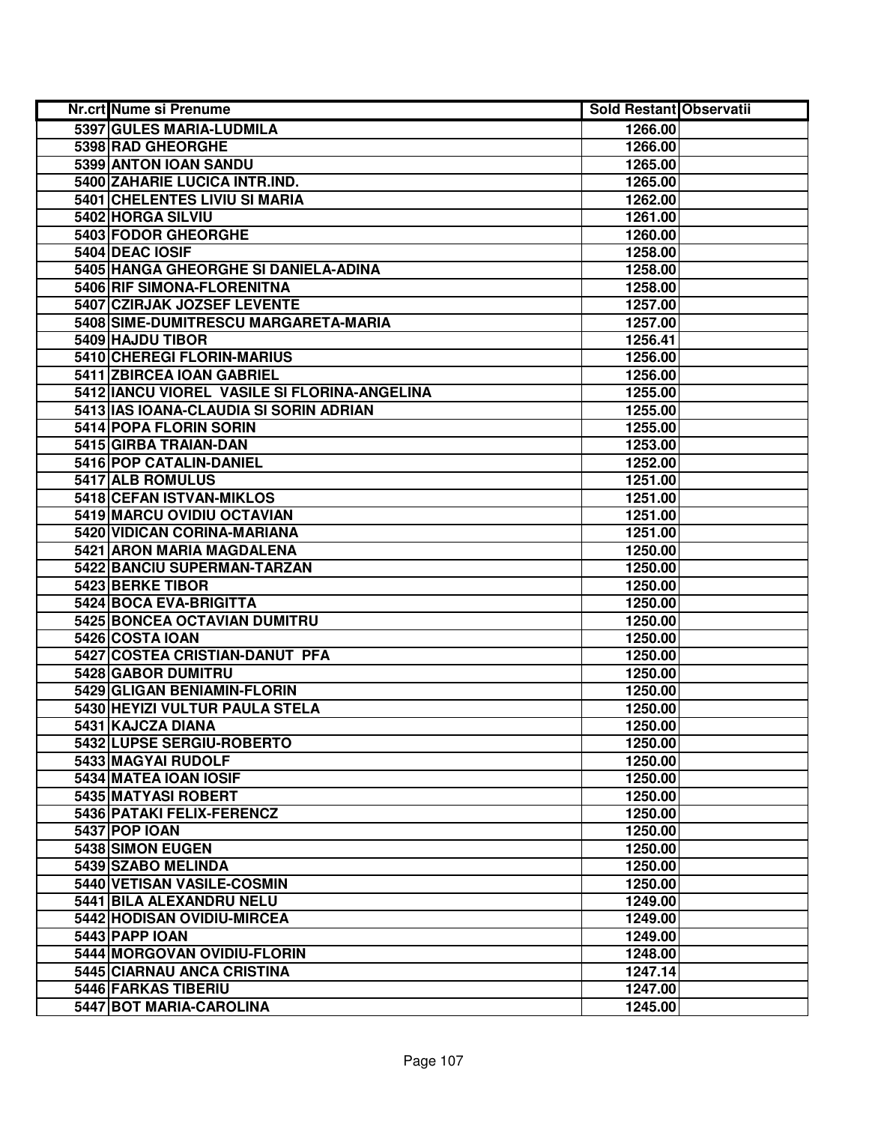| Nr.crt Nume si Prenume                       | <b>Sold Restant Observatii</b> |  |
|----------------------------------------------|--------------------------------|--|
| 5397 GULES MARIA-LUDMILA                     | 1266.00                        |  |
| 5398 RAD GHEORGHE                            | 1266.00                        |  |
| 5399 ANTON IOAN SANDU                        | 1265.00                        |  |
| 5400 ZAHARIE LUCICA INTR.IND.                | 1265.00                        |  |
| 5401 CHELENTES LIVIU SI MARIA                | 1262.00                        |  |
| 5402 HORGA SILVIU                            | 1261.00                        |  |
| 5403 FODOR GHEORGHE                          | 1260.00                        |  |
| 5404 DEAC IOSIF                              | 1258.00                        |  |
| 5405 HANGA GHEORGHE SI DANIELA-ADINA         | 1258.00                        |  |
| 5406 RIF SIMONA-FLORENITNA                   | 1258.00                        |  |
| 5407 CZIRJAK JOZSEF LEVENTE                  | 1257.00                        |  |
| 5408 SIME-DUMITRESCU MARGARETA-MARIA         | 1257.00                        |  |
| 5409 HAJDU TIBOR                             | 1256.41                        |  |
| 5410 CHEREGI FLORIN-MARIUS                   | 1256.00                        |  |
| 5411 ZBIRCEA IOAN GABRIEL                    | 1256.00                        |  |
| 5412 IANCU VIOREL VASILE SI FLORINA-ANGELINA | 1255.00                        |  |
| 5413 IAS IOANA-CLAUDIA SI SORIN ADRIAN       | 1255.00                        |  |
| 5414 POPA FLORIN SORIN                       | 1255.00                        |  |
| 5415 GIRBA TRAIAN-DAN                        | 1253.00                        |  |
| 5416 POP CATALIN-DANIEL                      | 1252.00                        |  |
| 5417 ALB ROMULUS                             | 1251.00                        |  |
| 5418 CEFAN ISTVAN-MIKLOS                     | 1251.00                        |  |
| 5419 MARCU OVIDIU OCTAVIAN                   | 1251.00                        |  |
| 5420 VIDICAN CORINA-MARIANA                  | 1251.00                        |  |
| 5421 ARON MARIA MAGDALENA                    | 1250.00                        |  |
| 5422 BANCIU SUPERMAN-TARZAN                  | 1250.00                        |  |
| 5423 BERKE TIBOR                             | 1250.00                        |  |
| 5424 BOCA EVA-BRIGITTA                       | 1250.00                        |  |
| 5425 BONCEA OCTAVIAN DUMITRU                 | 1250.00                        |  |
| 5426 COSTA IOAN                              | 1250.00                        |  |
| 5427 COSTEA CRISTIAN-DANUT PFA               | 1250.00                        |  |
| 5428 GABOR DUMITRU                           | 1250.00                        |  |
| 5429 GLIGAN BENIAMIN-FLORIN                  | 1250.00                        |  |
| 5430 HEYIZI VULTUR PAULA STELA               | 1250.00                        |  |
| 5431 KAJCZA DIANA                            | 1250.00                        |  |
| 5432 LUPSE SERGIU-ROBERTO                    | 1250.00                        |  |
| 5433 MAGYAI RUDOLF                           | 1250.00                        |  |
| 5434 MATEA IOAN IOSIF                        | 1250.00                        |  |
| 5435 MATYASI ROBERT                          | 1250.00                        |  |
| 5436 PATAKI FELIX-FERENCZ                    | 1250.00                        |  |
| <b>5437 POP IOAN</b>                         | 1250.00                        |  |
| 5438 SIMON EUGEN                             | 1250.00                        |  |
| 5439 SZABO MELINDA                           | 1250.00                        |  |
| 5440 VETISAN VASILE-COSMIN                   | 1250.00                        |  |
| 5441 BILA ALEXANDRU NELU                     | 1249.00                        |  |
| 5442 HODISAN OVIDIU-MIRCEA                   | 1249.00                        |  |
| 5443 PAPP IOAN                               | 1249.00                        |  |
| 5444 MORGOVAN OVIDIU-FLORIN                  | 1248.00                        |  |
| 5445 CIARNAU ANCA CRISTINA                   | 1247.14                        |  |
| 5446 FARKAS TIBERIU                          | 1247.00                        |  |
| 5447 BOT MARIA-CAROLINA                      | 1245.00                        |  |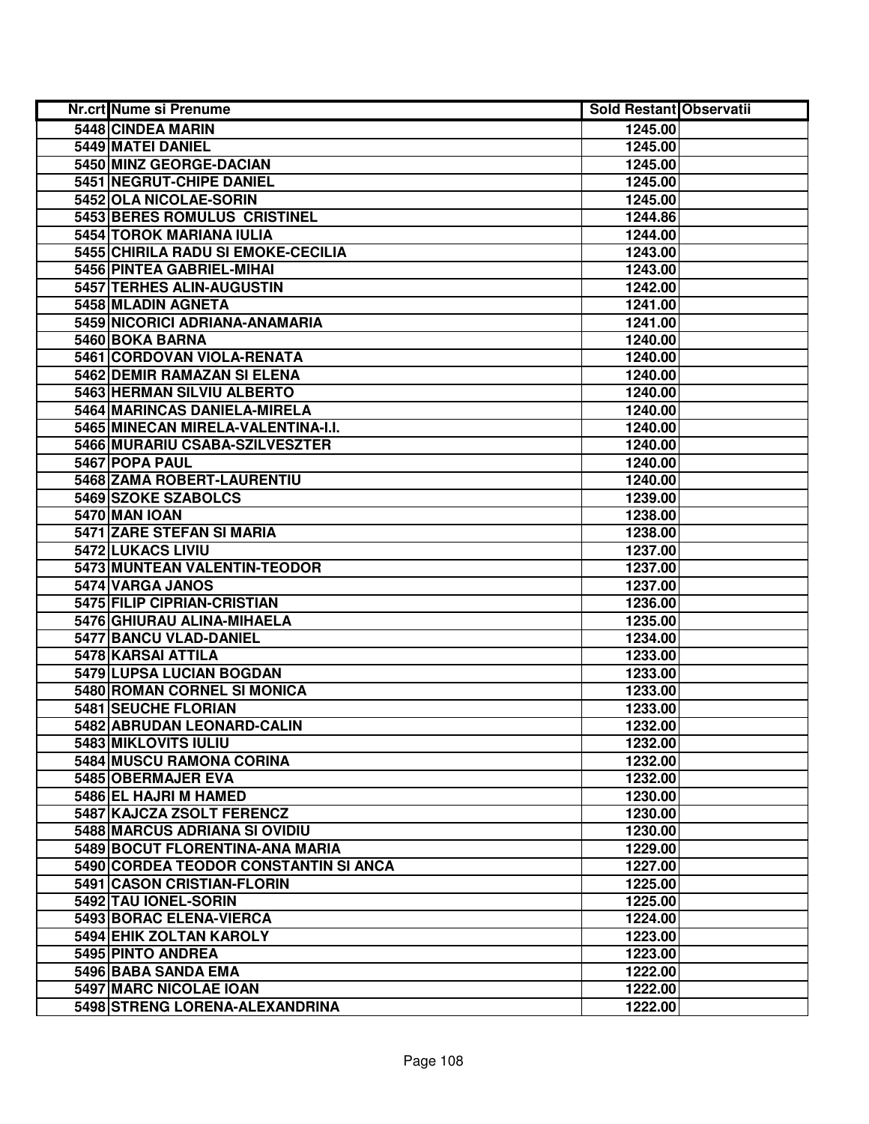| <b>Nr.crt Nume si Prenume</b>         | <b>Sold Restant Observatii</b> |  |
|---------------------------------------|--------------------------------|--|
| 5448 CINDEA MARIN                     | 1245.00                        |  |
| <b>5449 MATEI DANIEL</b>              | 1245.00                        |  |
| 5450 MINZ GEORGE-DACIAN               | 1245.00                        |  |
| 5451 NEGRUT-CHIPE DANIEL              | 1245.00                        |  |
| 5452 OLA NICOLAE-SORIN                | 1245.00                        |  |
| 5453 BERES ROMULUS CRISTINEL          | 1244.86                        |  |
| 5454 TOROK MARIANA IULIA              | 1244.00                        |  |
| 5455 CHIRILA RADU SI EMOKE-CECILIA    | 1243.00                        |  |
| 5456 PINTEA GABRIEL-MIHAI             | 1243.00                        |  |
| 5457 TERHES ALIN-AUGUSTIN             | 1242.00                        |  |
| 5458 MLADIN AGNETA                    | 1241.00                        |  |
| 5459 NICORICI ADRIANA-ANAMARIA        | 1241.00                        |  |
| 5460 BOKA BARNA                       | 1240.00                        |  |
| 5461 CORDOVAN VIOLA-RENATA            | 1240.00                        |  |
| 5462 DEMIR RAMAZAN SI ELENA           | 1240.00                        |  |
| 5463 HERMAN SILVIU ALBERTO            | 1240.00                        |  |
| 5464 MARINCAS DANIELA-MIRELA          | 1240.00                        |  |
| 5465 MINECAN MIRELA-VALENTINA-I.I.    | 1240.00                        |  |
| 5466 MURARIU CSABA-SZILVESZTER        | 1240.00                        |  |
| 5467 POPA PAUL                        | 1240.00                        |  |
| 5468 ZAMA ROBERT-LAURENTIU            | 1240.00                        |  |
| 5469 SZOKE SZABOLCS                   | 1239.00                        |  |
| 5470 MAN IOAN                         | 1238.00                        |  |
| 5471 ZARE STEFAN SI MARIA             | 1238.00                        |  |
| 5472 LUKACS LIVIU                     | 1237.00                        |  |
| 5473 MUNTEAN VALENTIN-TEODOR          | 1237.00                        |  |
| 5474 VARGA JANOS                      | 1237.00                        |  |
| 5475 FILIP CIPRIAN-CRISTIAN           | 1236.00                        |  |
| 5476 GHIURAU ALINA-MIHAELA            | 1235.00                        |  |
| 5477 BANCU VLAD-DANIEL                | 1234.00                        |  |
| 5478 KARSAI ATTILA                    | 1233.00                        |  |
| 5479 LUPSA LUCIAN BOGDAN              | 1233.00                        |  |
| 5480 ROMAN CORNEL SI MONICA           | 1233.00                        |  |
| 5481 SEUCHE FLORIAN                   | 1233.00                        |  |
| 5482 ABRUDAN LEONARD-CALIN            | 1232.00                        |  |
| 5483 MIKLOVITS IULIU                  | 1232.00                        |  |
| 5484 MUSCU RAMONA CORINA              | 1232.00                        |  |
| 5485 OBERMAJER EVA                    | 1232.00                        |  |
| 5486 EL HAJRI M HAMED                 | 1230.00                        |  |
| 5487 KAJCZA ZSOLT FERENCZ             | 1230.00                        |  |
| 5488 MARCUS ADRIANA SI OVIDIU         | 1230.00                        |  |
| 5489 BOCUT FLORENTINA-ANA MARIA       | 1229.00                        |  |
| 5490 CORDEA TEODOR CONSTANTIN SI ANCA | 1227.00                        |  |
| 5491 CASON CRISTIAN-FLORIN            | 1225.00                        |  |
| 5492 TAU IONEL-SORIN                  | 1225.00                        |  |
| 5493 BORAC ELENA-VIERCA               | 1224.00                        |  |
| 5494 EHIK ZOLTAN KAROLY               | 1223.00                        |  |
| 5495 PINTO ANDREA                     | 1223.00                        |  |
| 5496 BABA SANDA EMA                   | 1222.00                        |  |
| 5497 MARC NICOLAE IOAN                | 1222.00                        |  |
| 5498 STRENG LORENA-ALEXANDRINA        | 1222.00                        |  |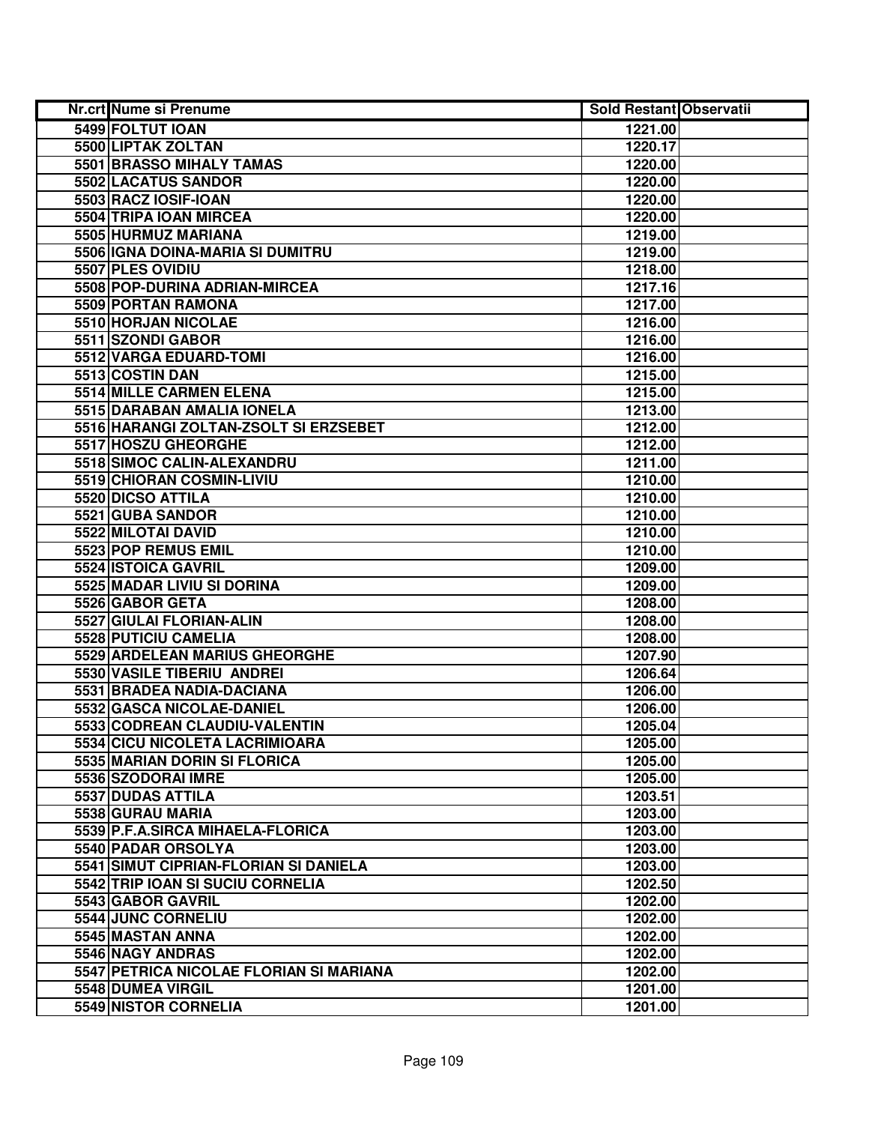| Nr.crt Nume si Prenume                  | <b>Sold Restant Observatii</b> |  |
|-----------------------------------------|--------------------------------|--|
| 5499 FOLTUT IOAN                        | 1221.00                        |  |
| 5500 LIPTAK ZOLTAN                      | 1220.17                        |  |
| 5501 BRASSO MIHALY TAMAS                | 1220.00                        |  |
| 5502 LACATUS SANDOR                     | 1220.00                        |  |
| 5503 RACZ IOSIF-IOAN                    | 1220.00                        |  |
| 5504 TRIPA IOAN MIRCEA                  | 1220.00                        |  |
| 5505 HURMUZ MARIANA                     | 1219.00                        |  |
| 5506 IGNA DOINA-MARIA SI DUMITRU        | 1219.00                        |  |
| 5507 PLES OVIDIU                        | 1218.00                        |  |
| 5508 POP-DURINA ADRIAN-MIRCEA           | 1217.16                        |  |
| 5509 PORTAN RAMONA                      | 1217.00                        |  |
| 5510 HORJAN NICOLAE                     | 1216.00                        |  |
| 5511 SZONDI GABOR                       | 1216.00                        |  |
| 5512 VARGA EDUARD-TOMI                  | 1216.00                        |  |
| 5513 COSTIN DAN                         | 1215.00                        |  |
| 5514 MILLE CARMEN ELENA                 | 1215.00                        |  |
| 5515 DARABAN AMALIA IONELA              | 1213.00                        |  |
| 5516 HARANGI ZOLTAN-ZSOLT SI ERZSEBET   | 1212.00                        |  |
| 5517 HOSZU GHEORGHE                     | 1212.00                        |  |
| 5518 SIMOC CALIN-ALEXANDRU              | 1211.00                        |  |
| 5519 CHIORAN COSMIN-LIVIU               | 1210.00                        |  |
| 5520 DICSO ATTILA                       | 1210.00                        |  |
| 5521 GUBA SANDOR                        | 1210.00                        |  |
| 5522 MILOTAI DAVID                      | 1210.00                        |  |
| 5523 POP REMUS EMIL                     | 1210.00                        |  |
| 5524 ISTOICA GAVRIL                     | 1209.00                        |  |
| 5525 MADAR LIVIU SI DORINA              | 1209.00                        |  |
| 5526 GABOR GETA                         | 1208.00                        |  |
| 5527 GIULAI FLORIAN-ALIN                | 1208.00                        |  |
| 5528 PUTICIU CAMELIA                    | 1208.00                        |  |
| 5529 ARDELEAN MARIUS GHEORGHE           | 1207.90                        |  |
| <b>5530 VASILE TIBERIU ANDREI</b>       | 1206.64                        |  |
| 5531 BRADEA NADIA-DACIANA               | 1206.00                        |  |
| 5532 GASCA NICOLAE-DANIEL               | 1206.00                        |  |
| 5533 CODREAN CLAUDIU-VALENTIN           | 1205.04                        |  |
| 5534 CICU NICOLETA LACRIMIOARA          | 1205.00                        |  |
| 5535 MARIAN DORIN SI FLORICA            | 1205.00                        |  |
| 5536 SZODORAI IMRE                      | 1205.00                        |  |
| 5537 DUDAS ATTILA                       | 1203.51                        |  |
| 5538 GURAU MARIA                        | 1203.00                        |  |
| 5539 P.F.A.SIRCA MIHAELA-FLORICA        | 1203.00                        |  |
| 5540 PADAR ORSOLYA                      | 1203.00                        |  |
| 5541 SIMUT CIPRIAN-FLORIAN SI DANIELA   | 1203.00                        |  |
| 5542 TRIP IOAN SI SUCIU CORNELIA        | 1202.50                        |  |
| 5543 GABOR GAVRIL                       | 1202.00                        |  |
| 5544 JUNC CORNELIU                      | 1202.00                        |  |
| 5545 MASTAN ANNA                        | 1202.00                        |  |
| 5546 NAGY ANDRAS                        | 1202.00                        |  |
| 5547 PETRICA NICOLAE FLORIAN SI MARIANA | 1202.00                        |  |
| 5548 DUMEA VIRGIL                       | 1201.00                        |  |
| 5549 NISTOR CORNELIA                    | 1201.00                        |  |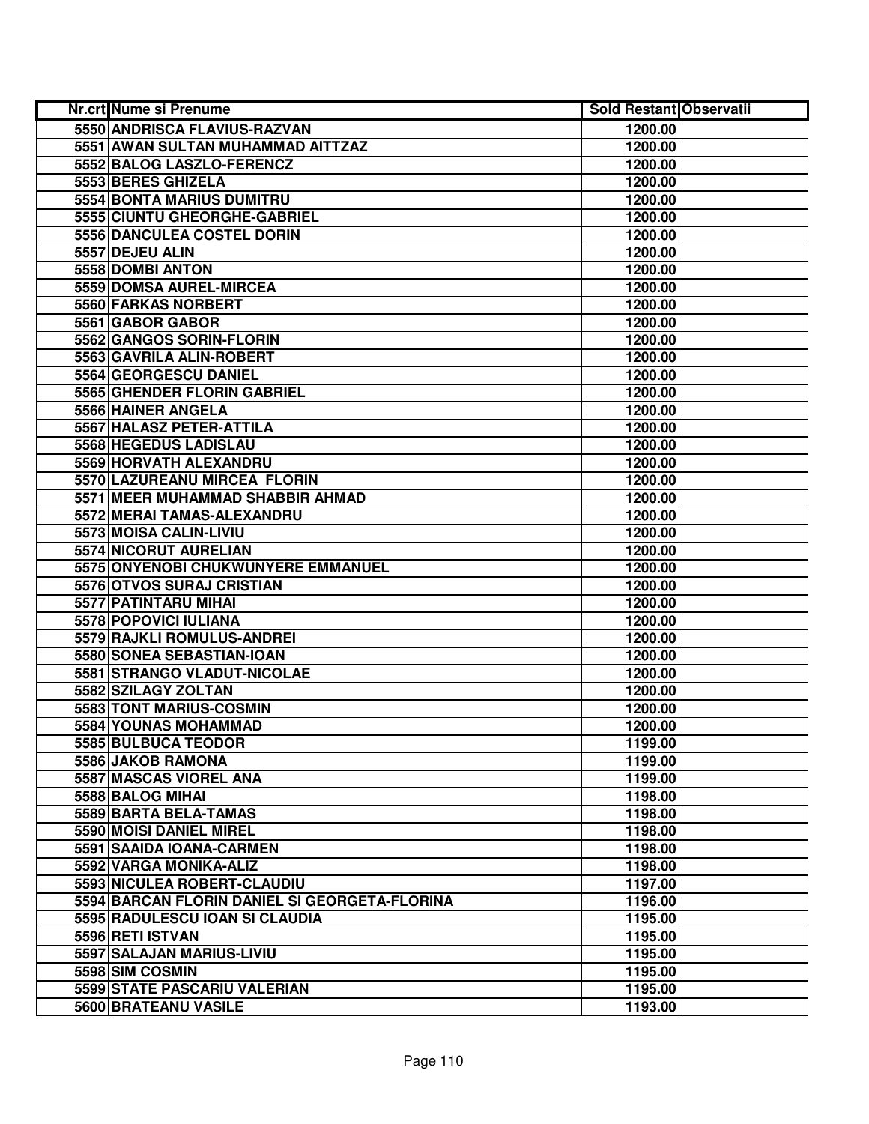| <b>Nr.crt Nume si Prenume</b>                 | <b>Sold Restant Observatii</b> |  |
|-----------------------------------------------|--------------------------------|--|
| 5550 ANDRISCA FLAVIUS-RAZVAN                  | 1200.00                        |  |
| 5551 AWAN SULTAN MUHAMMAD AITTZAZ             | 1200.00                        |  |
| 5552 BALOG LASZLO-FERENCZ                     | 1200.00                        |  |
| 5553 BERES GHIZELA                            | 1200.00                        |  |
| <b>5554 BONTA MARIUS DUMITRU</b>              | 1200.00                        |  |
| 5555 CIUNTU GHEORGHE-GABRIEL                  | 1200.00                        |  |
| 5556 DANCULEA COSTEL DORIN                    | 1200.00                        |  |
| 5557 DEJEU ALIN                               | 1200.00                        |  |
| 5558 DOMBI ANTON                              | 1200.00                        |  |
| 5559 DOMSA AUREL-MIRCEA                       | 1200.00                        |  |
| 5560 FARKAS NORBERT                           | 1200.00                        |  |
| 5561 GABOR GABOR                              | 1200.00                        |  |
| 5562 GANGOS SORIN-FLORIN                      | 1200.00                        |  |
| 5563 GAVRILA ALIN-ROBERT                      | 1200.00                        |  |
| 5564 GEORGESCU DANIEL                         | 1200.00                        |  |
| 5565 GHENDER FLORIN GABRIEL                   | 1200.00                        |  |
| 5566 HAINER ANGELA                            | 1200.00                        |  |
| 5567 HALASZ PETER-ATTILA                      | 1200.00                        |  |
| 5568 HEGEDUS LADISLAU                         | 1200.00                        |  |
| 5569 HORVATH ALEXANDRU                        | 1200.00                        |  |
| 5570 LAZUREANU MIRCEA FLORIN                  | 1200.00                        |  |
| 5571 MEER MUHAMMAD SHABBIR AHMAD              | 1200.00                        |  |
| 5572 MERAI TAMAS-ALEXANDRU                    | 1200.00                        |  |
| 5573 MOISA CALIN-LIVIU                        | 1200.00                        |  |
| 5574 NICORUT AURELIAN                         | 1200.00                        |  |
| 5575 ONYENOBI CHUKWUNYERE EMMANUEL            | 1200.00                        |  |
| 5576 OTVOS SURAJ CRISTIAN                     | 1200.00                        |  |
| 5577 PATINTARU MIHAI                          | 1200.00                        |  |
| 5578 POPOVICI IULIANA                         | 1200.00                        |  |
| 5579 RAJKLI ROMULUS-ANDREI                    | 1200.00                        |  |
| 5580 SONEA SEBASTIAN-IOAN                     | 1200.00                        |  |
| 5581 STRANGO VLADUT-NICOLAE                   | 1200.00                        |  |
| 5582 SZILAGY ZOLTAN                           | 1200.00                        |  |
| 5583 TONT MARIUS-COSMIN                       | 1200.00                        |  |
| 5584 YOUNAS MOHAMMAD                          | 1200.00                        |  |
| 5585 BULBUCA TEODOR                           | 1199.00                        |  |
| 5586 JAKOB RAMONA                             | 1199.00                        |  |
| <b>5587 MASCAS VIOREL ANA</b>                 | 1199.00                        |  |
| 5588 BALOG MIHAI                              | 1198.00                        |  |
| 5589 BARTA BELA-TAMAS                         | 1198.00                        |  |
| 5590 MOISI DANIEL MIREL                       | 1198.00                        |  |
| 5591 SAAIDA IOANA-CARMEN                      | 1198.00                        |  |
| 5592 VARGA MONIKA-ALIZ                        | 1198.00                        |  |
| 5593 NICULEA ROBERT-CLAUDIU                   | 1197.00                        |  |
| 5594 BARCAN FLORIN DANIEL SI GEORGETA-FLORINA | 1196.00                        |  |
| 5595 RADULESCU IOAN SI CLAUDIA                | 1195.00                        |  |
| 5596 RETI ISTVAN                              | 1195.00                        |  |
| 5597 SALAJAN MARIUS-LIVIU                     | 1195.00                        |  |
| 5598 SIM COSMIN                               | 1195.00                        |  |
| 5599 STATE PASCARIU VALERIAN                  | 1195.00                        |  |
| 5600 BRATEANU VASILE                          | 1193.00                        |  |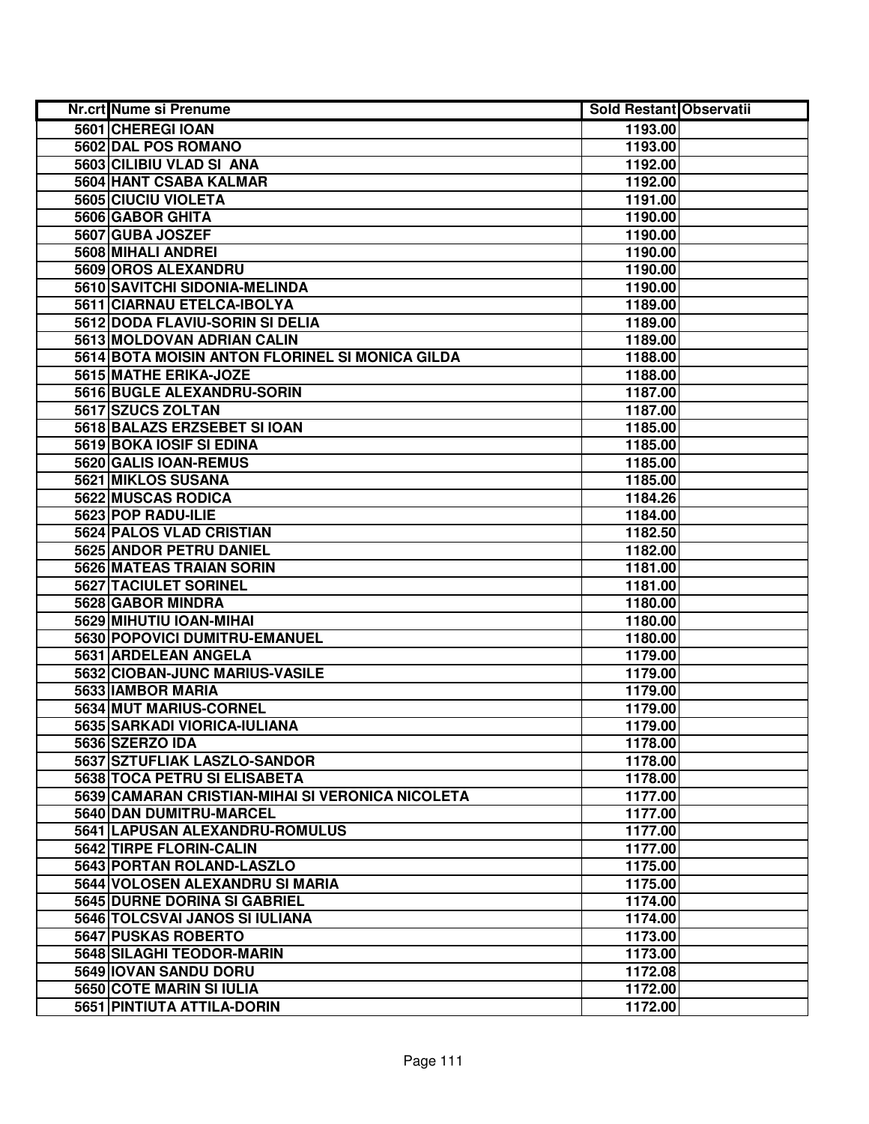| Nr.crt Nume si Prenume                           | <b>Sold Restant Observatii</b> |  |
|--------------------------------------------------|--------------------------------|--|
| 5601 CHEREGI IOAN                                | 1193.00                        |  |
| 5602 DAL POS ROMANO                              | 1193.00                        |  |
| 5603 CILIBIU VLAD SI ANA                         | 1192.00                        |  |
| 5604 HANT CSABA KALMAR                           | 1192.00                        |  |
| 5605 CIUCIU VIOLETA                              | 1191.00                        |  |
| 5606 GABOR GHITA                                 | 1190.00                        |  |
| 5607 GUBA JOSZEF                                 | 1190.00                        |  |
| 5608 MIHALI ANDREI                               | 1190.00                        |  |
| 5609 OROS ALEXANDRU                              | 1190.00                        |  |
| 5610 SAVITCHI SIDONIA-MELINDA                    | 1190.00                        |  |
| 5611 CIARNAU ETELCA-IBOLYA                       | 1189.00                        |  |
| 5612 DODA FLAVIU-SORIN SI DELIA                  | 1189.00                        |  |
| 5613 MOLDOVAN ADRIAN CALIN                       | 1189.00                        |  |
| 5614 BOTA MOISIN ANTON FLORINEL SI MONICA GILDA  | 1188.00                        |  |
| 5615 MATHE ERIKA-JOZE                            | 1188.00                        |  |
| 5616 BUGLE ALEXANDRU-SORIN                       | 1187.00                        |  |
| 5617 SZUCS ZOLTAN                                | 1187.00                        |  |
| 5618 BALAZS ERZSEBET SI IOAN                     | 1185.00                        |  |
| 5619 BOKA IOSIF SI EDINA                         | 1185.00                        |  |
| 5620 GALIS IOAN-REMUS                            | 1185.00                        |  |
| 5621 MIKLOS SUSANA                               | 1185.00                        |  |
| 5622 MUSCAS RODICA                               | 1184.26                        |  |
| 5623 POP RADU-ILIE                               | 1184.00                        |  |
| <b>5624 PALOS VLAD CRISTIAN</b>                  | 1182.50                        |  |
| 5625 ANDOR PETRU DANIEL                          | 1182.00                        |  |
| 5626 MATEAS TRAIAN SORIN                         | 1181.00                        |  |
| 5627 TACIULET SORINEL                            | 1181.00                        |  |
| 5628 GABOR MINDRA                                | 1180.00                        |  |
| 5629 MIHUTIU IOAN-MIHAI                          | 1180.00                        |  |
| 5630 POPOVICI DUMITRU-EMANUEL                    | 1180.00                        |  |
| 5631 ARDELEAN ANGELA                             | 1179.00                        |  |
| 5632 CIOBAN-JUNC MARIUS-VASILE                   | 1179.00                        |  |
| 5633 IAMBOR MARIA                                | 1179.00                        |  |
| 5634 MUT MARIUS-CORNEL                           | 1179.00                        |  |
| 5635 SARKADI VIORICA-IULIANA                     | 1179.00                        |  |
| 5636 SZERZO IDA                                  | 1178.00                        |  |
| 5637 SZTUFLIAK LASZLO-SANDOR                     | 1178.00                        |  |
| 5638 TOCA PETRU SI ELISABETA                     | 1178.00                        |  |
| 5639 CAMARAN CRISTIAN-MIHAI SI VERONICA NICOLETA | 1177.00                        |  |
| 5640 DAN DUMITRU-MARCEL                          | 1177.00                        |  |
| 5641 LAPUSAN ALEXANDRU-ROMULUS                   | 1177.00                        |  |
| 5642 TIRPE FLORIN-CALIN                          | 1177.00                        |  |
| 5643 PORTAN ROLAND-LASZLO                        | 1175.00                        |  |
| 5644 VOLOSEN ALEXANDRU SI MARIA                  | 1175.00                        |  |
| 5645 DURNE DORINA SI GABRIEL                     | 1174.00                        |  |
| 5646 TOLCSVAI JANOS SI IULIANA                   | 1174.00                        |  |
| 5647 PUSKAS ROBERTO                              | 1173.00                        |  |
| 5648 SILAGHI TEODOR-MARIN                        | 1173.00                        |  |
| 5649 IOVAN SANDU DORU                            | 1172.08                        |  |
| 5650 COTE MARIN SI IULIA                         | 1172.00                        |  |
| 5651 PINTIUTA ATTILA-DORIN                       | 1172.00                        |  |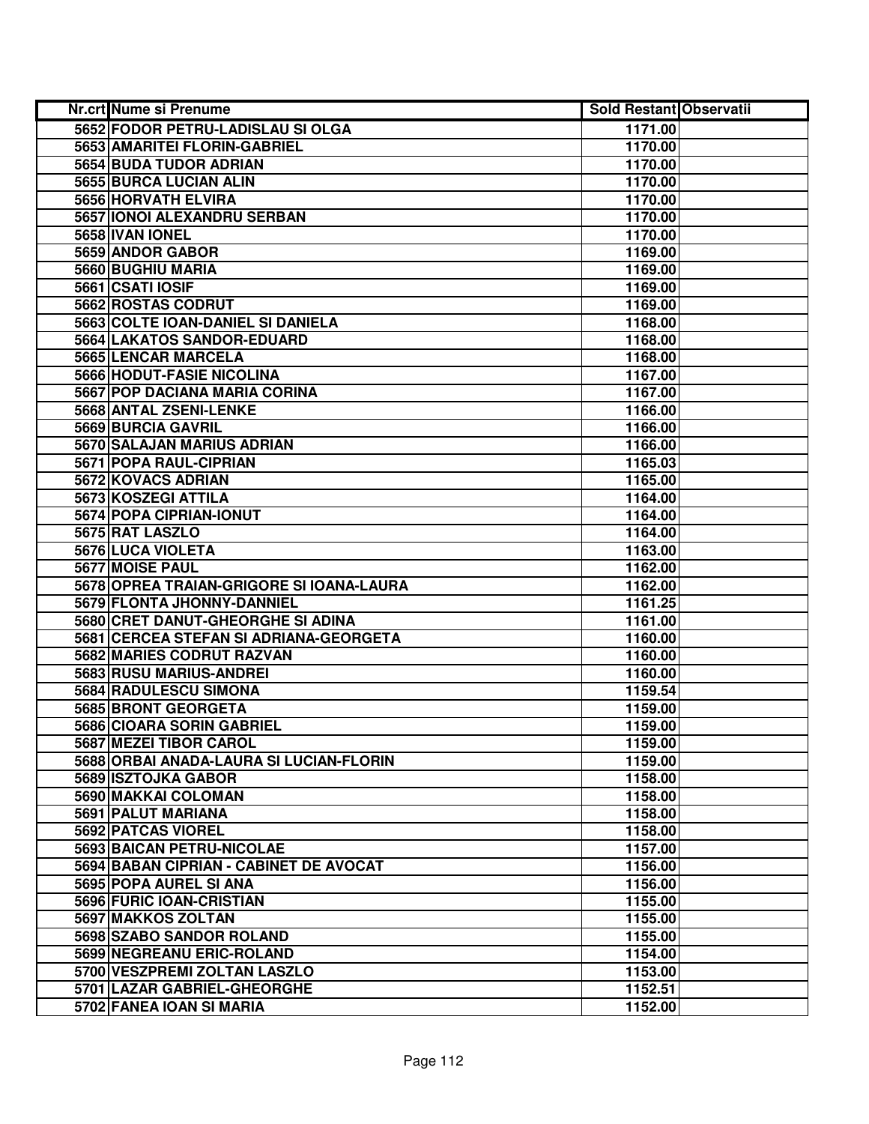| Nr.crt Nume si Prenume                   | <b>Sold Restant Observatii</b> |  |
|------------------------------------------|--------------------------------|--|
| 5652 FODOR PETRU-LADISLAU SI OLGA        | 1171.00                        |  |
| 5653 AMARITEI FLORIN-GABRIEL             | 1170.00                        |  |
| 5654 BUDA TUDOR ADRIAN                   | 1170.00                        |  |
| 5655 BURCA LUCIAN ALIN                   | 1170.00                        |  |
| 5656 HORVATH ELVIRA                      | 1170.00                        |  |
| 5657 IONOI ALEXANDRU SERBAN              | 1170.00                        |  |
| 5658 IVAN IONEL                          | 1170.00                        |  |
| 5659 ANDOR GABOR                         | 1169.00                        |  |
| <b>5660 BUGHIU MARIA</b>                 | 1169.00                        |  |
| 5661 CSATI IOSIF                         | 1169.00                        |  |
| 5662 ROSTAS CODRUT                       | 1169.00                        |  |
| 5663 COLTE IOAN-DANIEL SI DANIELA        | 1168.00                        |  |
| 5664 LAKATOS SANDOR-EDUARD               | 1168.00                        |  |
| 5665 LENCAR MARCELA                      | 1168.00                        |  |
| 5666 HODUT-FASIE NICOLINA                | 1167.00                        |  |
| 5667 POP DACIANA MARIA CORINA            | 1167.00                        |  |
| 5668 ANTAL ZSENI-LENKE                   | 1166.00                        |  |
| 5669 BURCIA GAVRIL                       | 1166.00                        |  |
| 5670 SALAJAN MARIUS ADRIAN               | 1166.00                        |  |
| 5671 POPA RAUL-CIPRIAN                   | 1165.03                        |  |
| 5672 KOVACS ADRIAN                       | 1165.00                        |  |
| 5673 KOSZEGI ATTILA                      | 1164.00                        |  |
| 5674 POPA CIPRIAN-IONUT                  | 1164.00                        |  |
| 5675 RAT LASZLO                          | 1164.00                        |  |
| 5676 LUCA VIOLETA                        | 1163.00                        |  |
| 5677 MOISE PAUL                          | 1162.00                        |  |
| 5678 OPREA TRAIAN-GRIGORE SI IOANA-LAURA | 1162.00                        |  |
| 5679 FLONTA JHONNY-DANNIEL               | 1161.25                        |  |
| 5680 CRET DANUT-GHEORGHE SI ADINA        | 1161.00                        |  |
| 5681 CERCEA STEFAN SI ADRIANA-GEORGETA   | 1160.00                        |  |
| 5682 MARIES CODRUT RAZVAN                | 1160.00                        |  |
| 5683 RUSU MARIUS-ANDREI                  | 1160.00                        |  |
| 5684 RADULESCU SIMONA                    | 1159.54                        |  |
| 5685 BRONT GEORGETA                      | 1159.00                        |  |
| <b>5686 CIOARA SORIN GABRIEL</b>         | 1159.00                        |  |
| 5687 MEZEI TIBOR CAROL                   | 1159.00                        |  |
| 5688 ORBAI ANADA-LAURA SI LUCIAN-FLORIN  | 1159.00                        |  |
| 5689 ISZTOJKA GABOR                      | 1158.00                        |  |
| 5690 MAKKAI COLOMAN                      | 1158.00                        |  |
| 5691 PALUT MARIANA                       | 1158.00                        |  |
| 5692 PATCAS VIOREL                       | 1158.00                        |  |
| 5693 BAICAN PETRU-NICOLAE                | 1157.00                        |  |
| 5694 BABAN CIPRIAN - CABINET DE AVOCAT   | 1156.00                        |  |
| 5695 POPA AUREL SI ANA                   | 1156.00                        |  |
| 5696 FURIC IOAN-CRISTIAN                 | 1155.00                        |  |
| 5697 MAKKOS ZOLTAN                       | 1155.00                        |  |
| 5698 SZABO SANDOR ROLAND                 | 1155.00                        |  |
| 5699 NEGREANU ERIC-ROLAND                | 1154.00                        |  |
| 5700 VESZPREMI ZOLTAN LASZLO             | 1153.00                        |  |
| 5701 LAZAR GABRIEL-GHEORGHE              | 1152.51                        |  |
| 5702 FANEA IOAN SI MARIA                 | 1152.00                        |  |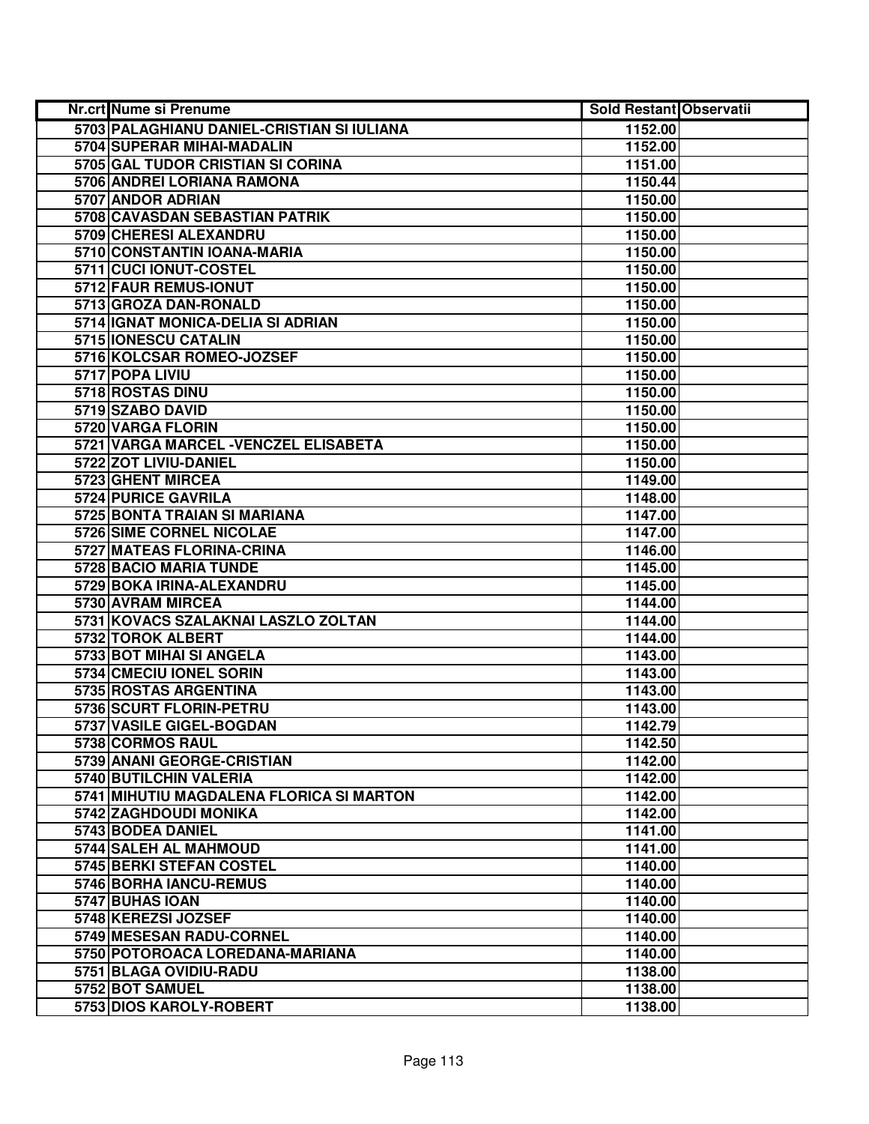| Nr.crt Nume si Prenume                     | <b>Sold Restant Observatii</b> |  |
|--------------------------------------------|--------------------------------|--|
| 5703 PALAGHIANU DANIEL-CRISTIAN SI IULIANA | 1152.00                        |  |
| 5704 SUPERAR MIHAI-MADALIN                 | 1152.00                        |  |
| 5705 GAL TUDOR CRISTIAN SI CORINA          | 1151.00                        |  |
| 5706 ANDREI LORIANA RAMONA                 | 1150.44                        |  |
| 5707 ANDOR ADRIAN                          | 1150.00                        |  |
| 5708 CAVASDAN SEBASTIAN PATRIK             | 1150.00                        |  |
| 5709 CHERESI ALEXANDRU                     | 1150.00                        |  |
| 5710 CONSTANTIN IOANA-MARIA                | 1150.00                        |  |
| 5711 CUCI IONUT-COSTEL                     | 1150.00                        |  |
| 5712 FAUR REMUS-IONUT                      | 1150.00                        |  |
| 5713 GROZA DAN-RONALD                      | 1150.00                        |  |
| 5714 IGNAT MONICA-DELIA SI ADRIAN          | 1150.00                        |  |
| 5715 IONESCU CATALIN                       | 1150.00                        |  |
| 5716 KOLCSAR ROMEO-JOZSEF                  | 1150.00                        |  |
| 5717 POPA LIVIU                            | 1150.00                        |  |
| 5718 ROSTAS DINU                           | 1150.00                        |  |
| 5719 SZABO DAVID                           | 1150.00                        |  |
| 5720 VARGA FLORIN                          | 1150.00                        |  |
| 5721 VARGA MARCEL - VENCZEL ELISABETA      | 1150.00                        |  |
| 5722 ZOT LIVIU-DANIEL                      | 1150.00                        |  |
| 5723 GHENT MIRCEA                          | 1149.00                        |  |
| 5724 PURICE GAVRILA                        | 1148.00                        |  |
| 5725 BONTA TRAIAN SI MARIANA               | 1147.00                        |  |
| 5726 SIME CORNEL NICOLAE                   | 1147.00                        |  |
| 5727 MATEAS FLORINA-CRINA                  | 1146.00                        |  |
| 5728 BACIO MARIA TUNDE                     | 1145.00                        |  |
| 5729 BOKA IRINA-ALEXANDRU                  | 1145.00                        |  |
| 5730 AVRAM MIRCEA                          | 1144.00                        |  |
| 5731 KOVACS SZALAKNAI LASZLO ZOLTAN        | 1144.00                        |  |
| 5732 TOROK ALBERT                          | 1144.00                        |  |
| 5733 BOT MIHAI SI ANGELA                   | 1143.00                        |  |
| 5734 CMECIU IONEL SORIN                    | 1143.00                        |  |
| 5735 ROSTAS ARGENTINA                      | 1143.00                        |  |
| 5736 SCURT FLORIN-PETRU                    | 1143.00                        |  |
| 5737 VASILE GIGEL-BOGDAN                   | 1142.79                        |  |
| 5738 CORMOS RAUL                           | 1142.50                        |  |
| 5739 ANANI GEORGE-CRISTIAN                 | 1142.00                        |  |
| 5740 BUTILCHIN VALERIA                     | 1142.00                        |  |
| 5741 MIHUTIU MAGDALENA FLORICA SI MARTON   | 1142.00                        |  |
| 5742 ZAGHDOUDI MONIKA                      | 1142.00                        |  |
| 5743 BODEA DANIEL                          | 1141.00                        |  |
| 5744 SALEH AL MAHMOUD                      | 1141.00                        |  |
| 5745 BERKI STEFAN COSTEL                   | 1140.00                        |  |
| 5746 BORHA IANCU-REMUS                     | 1140.00                        |  |
| 5747 BUHAS IOAN                            | 1140.00                        |  |
| 5748 KEREZSI JOZSEF                        | 1140.00                        |  |
| 5749 MESESAN RADU-CORNEL                   | 1140.00                        |  |
| 5750 POTOROACA LOREDANA-MARIANA            | 1140.00                        |  |
| 5751 BLAGA OVIDIU-RADU                     | 1138.00                        |  |
| 5752 BOT SAMUEL                            | 1138.00                        |  |
| 5753 DIOS KAROLY-ROBERT                    | 1138.00                        |  |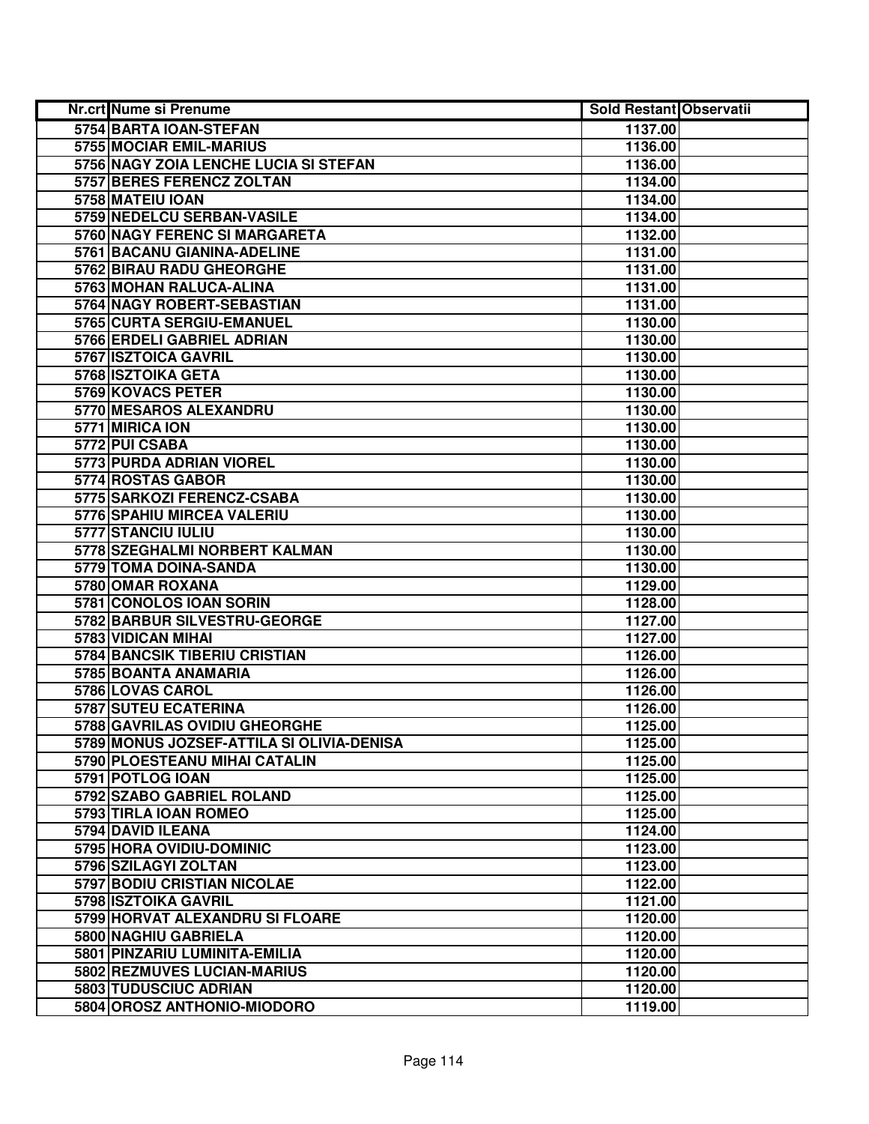| <b>Nr.crt Nume si Prenume</b>             | <b>Sold Restant Observatii</b> |  |
|-------------------------------------------|--------------------------------|--|
| 5754 BARTA IOAN-STEFAN                    | 1137.00                        |  |
| 5755 MOCIAR EMIL-MARIUS                   | 1136.00                        |  |
| 5756 NAGY ZOIA LENCHE LUCIA SI STEFAN     | 1136.00                        |  |
| 5757 BERES FERENCZ ZOLTAN                 | 1134.00                        |  |
| 5758 MATEIU IOAN                          | 1134.00                        |  |
| 5759 NEDELCU SERBAN-VASILE                | 1134.00                        |  |
| 5760 NAGY FERENC SI MARGARETA             | 1132.00                        |  |
| 5761 BACANU GIANINA-ADELINE               | 1131.00                        |  |
| <b>5762 BIRAU RADU GHEORGHE</b>           | 1131.00                        |  |
| 5763 MOHAN RALUCA-ALINA                   | 1131.00                        |  |
| 5764 NAGY ROBERT-SEBASTIAN                | 1131.00                        |  |
| 5765 CURTA SERGIU-EMANUEL                 | 1130.00                        |  |
| 5766 ERDELI GABRIEL ADRIAN                | 1130.00                        |  |
| 5767 ISZTOICA GAVRIL                      | 1130.00                        |  |
| 5768 ISZTOIKA GETA                        | 1130.00                        |  |
| 5769 KOVACS PETER                         | 1130.00                        |  |
| 5770 MESAROS ALEXANDRU                    | 1130.00                        |  |
| 5771 MIRICA ION                           | 1130.00                        |  |
| 5772 PUI CSABA                            | 1130.00                        |  |
| 5773 PURDA ADRIAN VIOREL                  | 1130.00                        |  |
| 5774 ROSTAS GABOR                         | 1130.00                        |  |
| 5775 SARKOZI FERENCZ-CSABA                | 1130.00                        |  |
| 5776 SPAHIU MIRCEA VALERIU                | 1130.00                        |  |
| 5777 STANCIU IULIU                        | 1130.00                        |  |
| 5778 SZEGHALMI NORBERT KALMAN             | 1130.00                        |  |
| 5779 TOMA DOINA-SANDA                     | 1130.00                        |  |
| 5780 OMAR ROXANA                          | 1129.00                        |  |
| 5781 CONOLOS IOAN SORIN                   | 1128.00                        |  |
| 5782 BARBUR SILVESTRU-GEORGE              | 1127.00                        |  |
| 5783 VIDICAN MIHAI                        | 1127.00                        |  |
| 5784 BANCSIK TIBERIU CRISTIAN             | 1126.00                        |  |
| 5785 BOANTA ANAMARIA                      | 1126.00                        |  |
| 5786 LOVAS CAROL                          | 1126.00                        |  |
| 5787 SUTEU ECATERINA                      | 1126.00                        |  |
| 5788 GAVRILAS OVIDIU GHEORGHE             | 1125.00                        |  |
| 5789 MONUS JOZSEF-ATTILA SI OLIVIA-DENISA | 1125.00                        |  |
| 5790 PLOESTEANU MIHAI CATALIN             | 1125.00                        |  |
| 5791 POTLOG IOAN                          | 1125.00                        |  |
| 5792 SZABO GABRIEL ROLAND                 | 1125.00                        |  |
| 5793 TIRLA IOAN ROMEO                     | 1125.00                        |  |
| 5794 DAVID ILEANA                         | 1124.00                        |  |
| 5795 HORA OVIDIU-DOMINIC                  | 1123.00                        |  |
| 5796 SZILAGYI ZOLTAN                      | 1123.00                        |  |
| 5797 BODIU CRISTIAN NICOLAE               | 1122.00                        |  |
| 5798 ISZTOIKA GAVRIL                      | 1121.00                        |  |
| 5799 HORVAT ALEXANDRU SI FLOARE           | 1120.00                        |  |
| 5800 NAGHIU GABRIELA                      | 1120.00                        |  |
| 5801 PINZARIU LUMINITA-EMILIA             | 1120.00                        |  |
| 5802 REZMUVES LUCIAN-MARIUS               | 1120.00                        |  |
| 5803 TUDUSCIUC ADRIAN                     | 1120.00                        |  |
| 5804 OROSZ ANTHONIO-MIODORO               | 1119.00                        |  |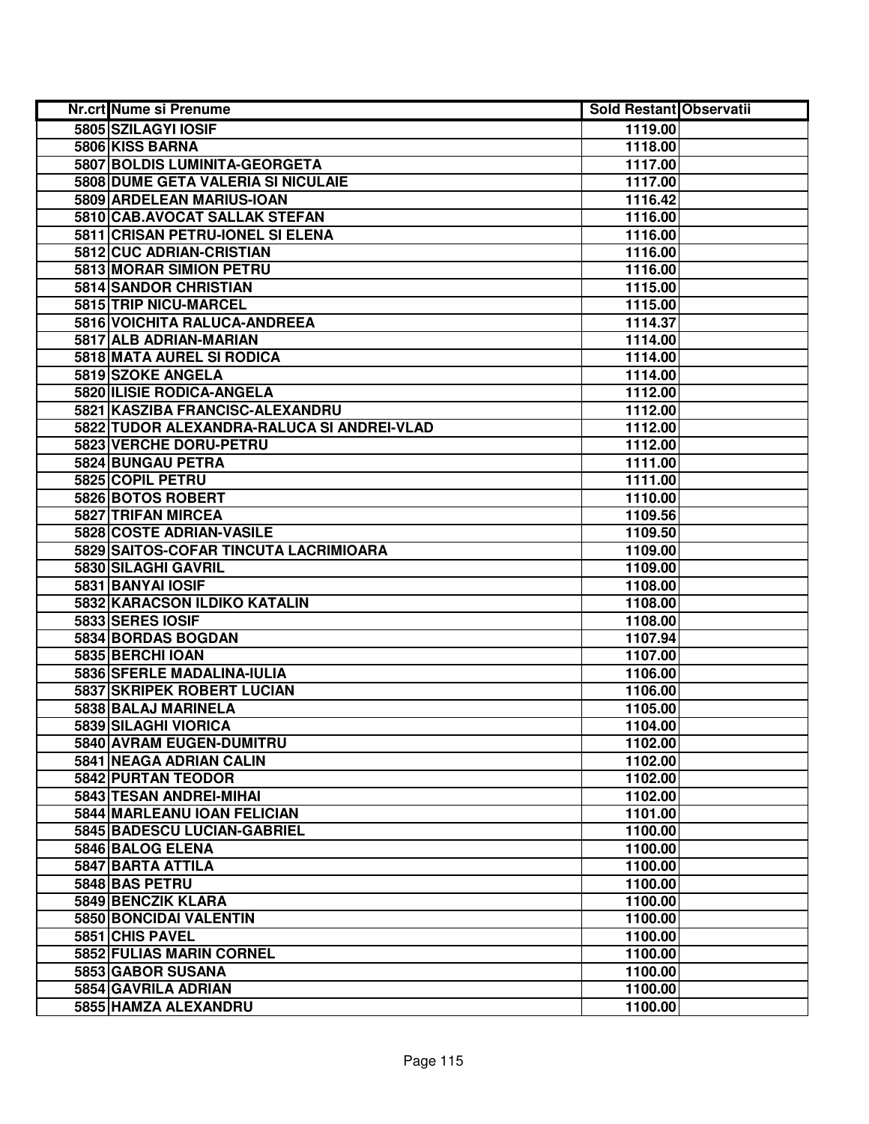| <b>Nr.crt Nume si Prenume</b>              | <b>Sold Restant Observatii</b> |  |
|--------------------------------------------|--------------------------------|--|
| 5805 SZILAGYI IOSIF                        | 1119.00                        |  |
| 5806 KISS BARNA                            | 1118.00                        |  |
| 5807 BOLDIS LUMINITA-GEORGETA              | 1117.00                        |  |
| 5808 DUME GETA VALERIA SI NICULAIE         | 1117.00                        |  |
| 5809 ARDELEAN MARIUS-IOAN                  | 1116.42                        |  |
| 5810 CAB.AVOCAT SALLAK STEFAN              | 1116.00                        |  |
| 5811 CRISAN PETRU-IONEL SI ELENA           | 1116.00                        |  |
| 5812 CUC ADRIAN-CRISTIAN                   | 1116.00                        |  |
| 5813 MORAR SIMION PETRU                    | 1116.00                        |  |
| 5814 SANDOR CHRISTIAN                      | 1115.00                        |  |
| 5815 TRIP NICU-MARCEL                      | 1115.00                        |  |
| 5816 VOICHITA RALUCA-ANDREEA               | 1114.37                        |  |
| 5817 ALB ADRIAN-MARIAN                     | 1114.00                        |  |
| 5818 MATA AUREL SI RODICA                  | 1114.00                        |  |
| 5819 SZOKE ANGELA                          | 1114.00                        |  |
| 5820 ILISIE RODICA-ANGELA                  | 1112.00                        |  |
| 5821 KASZIBA FRANCISC-ALEXANDRU            | 1112.00                        |  |
| 5822 TUDOR ALEXANDRA-RALUCA SI ANDREI-VLAD | 1112.00                        |  |
| 5823 VERCHE DORU-PETRU                     | 1112.00                        |  |
| 5824 BUNGAU PETRA                          | 1111.00                        |  |
| 5825 COPIL PETRU                           | 1111.00                        |  |
| 5826 BOTOS ROBERT                          | 1110.00                        |  |
| 5827 TRIFAN MIRCEA                         | 1109.56                        |  |
| 5828 COSTE ADRIAN-VASILE                   | 1109.50                        |  |
| 5829 SAITOS-COFAR TINCUTA LACRIMIOARA      | 1109.00                        |  |
| 5830 SILAGHI GAVRIL                        | 1109.00                        |  |
| 5831 BANYAI IOSIF                          | 1108.00                        |  |
| 5832 KARACSON ILDIKO KATALIN               | 1108.00                        |  |
| 5833 SERES IOSIF                           | 1108.00                        |  |
| 5834 BORDAS BOGDAN                         | 1107.94                        |  |
| 5835 BERCHI IOAN                           | 1107.00                        |  |
| 5836 SFERLE MADALINA-IULIA                 | 1106.00                        |  |
| <b>5837 SKRIPEK ROBERT LUCIAN</b>          | 1106.00                        |  |
| 5838 BALAJ MARINELA                        | 1105.00                        |  |
| 5839 SILAGHI VIORICA                       | 1104.00                        |  |
| 5840 AVRAM EUGEN-DUMITRU                   | 1102.00                        |  |
| 5841 NEAGA ADRIAN CALIN                    | 1102.00                        |  |
| 5842 PURTAN TEODOR                         | 1102.00                        |  |
| 5843 TESAN ANDREI-MIHAI                    | 1102.00                        |  |
| 5844 MARLEANU IOAN FELICIAN                | 1101.00                        |  |
| 5845 BADESCU LUCIAN-GABRIEL                | 1100.00                        |  |
| 5846 BALOG ELENA                           | 1100.00                        |  |
| 5847 BARTA ATTILA                          | 1100.00                        |  |
| 5848 BAS PETRU                             | 1100.00                        |  |
| 5849 BENCZIK KLARA                         | 1100.00                        |  |
| 5850 BONCIDAI VALENTIN                     | 1100.00                        |  |
| 5851 CHIS PAVEL                            | 1100.00                        |  |
| 5852 FULIAS MARIN CORNEL                   | 1100.00                        |  |
| 5853 GABOR SUSANA                          | 1100.00                        |  |
| 5854 GAVRILA ADRIAN                        | 1100.00                        |  |
| 5855 HAMZA ALEXANDRU                       | 1100.00                        |  |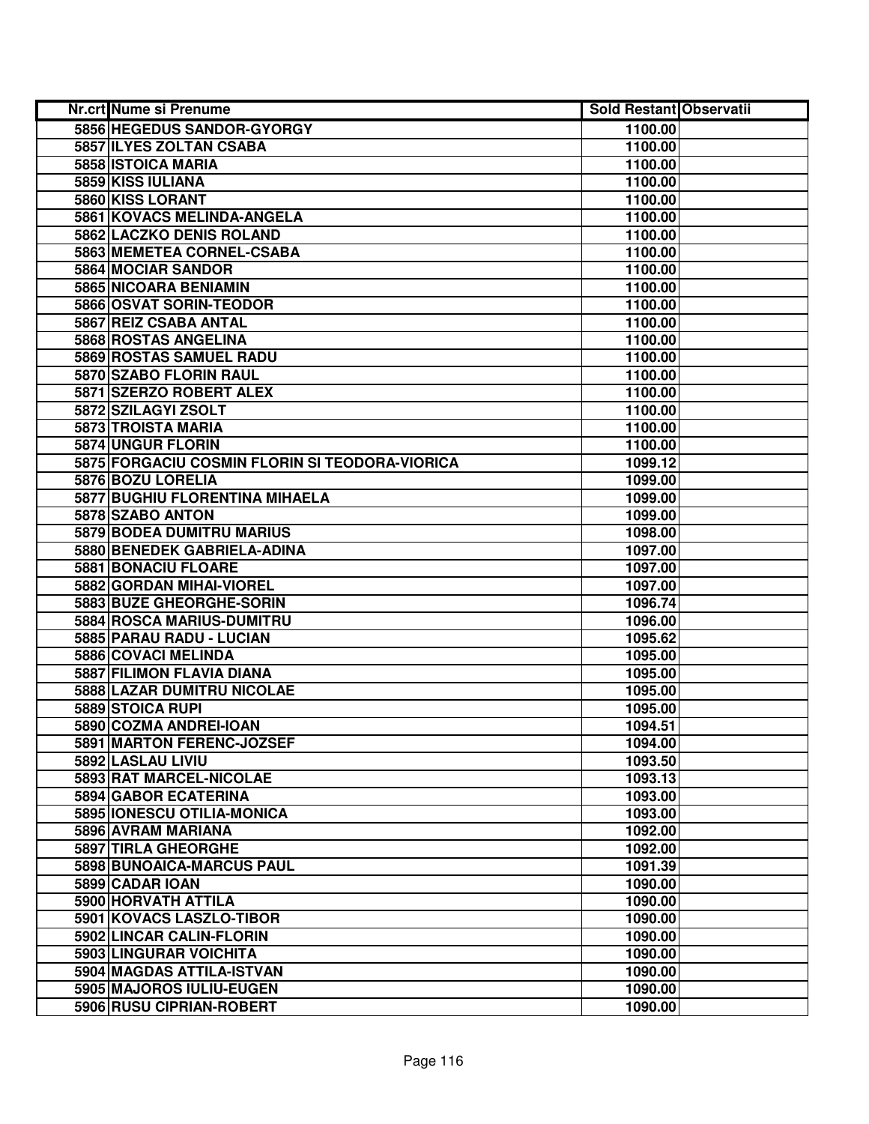| Nr.crt Nume si Prenume                         | <b>Sold Restant Observatii</b> |  |
|------------------------------------------------|--------------------------------|--|
| 5856 HEGEDUS SANDOR-GYORGY                     | 1100.00                        |  |
| 5857 ILYES ZOLTAN CSABA                        | 1100.00                        |  |
| 5858 ISTOICA MARIA                             | 1100.00                        |  |
| 5859 KISS IULIANA                              | 1100.00                        |  |
| 5860 KISS LORANT                               | 1100.00                        |  |
| 5861 KOVACS MELINDA-ANGELA                     | 1100.00                        |  |
| 5862 LACZKO DENIS ROLAND                       | 1100.00                        |  |
| 5863 MEMETEA CORNEL-CSABA                      | 1100.00                        |  |
| 5864 MOCIAR SANDOR                             | 1100.00                        |  |
| 5865 NICOARA BENIAMIN                          | 1100.00                        |  |
| 5866 OSVAT SORIN-TEODOR                        | 1100.00                        |  |
| 5867 REIZ CSABA ANTAL                          | 1100.00                        |  |
| 5868 ROSTAS ANGELINA                           | 1100.00                        |  |
| 5869 ROSTAS SAMUEL RADU                        | 1100.00                        |  |
| 5870 SZABO FLORIN RAUL                         | 1100.00                        |  |
| 5871 SZERZO ROBERT ALEX                        | 1100.00                        |  |
| 5872 SZILAGYI ZSOLT                            | 1100.00                        |  |
| 5873 TROISTA MARIA                             | 1100.00                        |  |
| 5874 UNGUR FLORIN                              | 1100.00                        |  |
| 5875 FORGACIU COSMIN FLORIN SI TEODORA-VIORICA | 1099.12                        |  |
| 5876 BOZU LORELIA                              | 1099.00                        |  |
| 5877 BUGHIU FLORENTINA MIHAELA                 | 1099.00                        |  |
| 5878 SZABO ANTON                               | 1099.00                        |  |
| 5879 BODEA DUMITRU MARIUS                      | 1098.00                        |  |
| 5880 BENEDEK GABRIELA-ADINA                    | 1097.00                        |  |
| 5881 BONACIU FLOARE                            | 1097.00                        |  |
| 5882 GORDAN MIHAI-VIOREL                       | 1097.00                        |  |
| 5883 BUZE GHEORGHE-SORIN                       | 1096.74                        |  |
| 5884 ROSCA MARIUS-DUMITRU                      | 1096.00                        |  |
| 5885 PARAU RADU - LUCIAN                       | 1095.62                        |  |
| 5886 COVACI MELINDA                            | 1095.00                        |  |
| 5887 FILIMON FLAVIA DIANA                      | 1095.00                        |  |
| 5888 LAZAR DUMITRU NICOLAE                     | 1095.00                        |  |
| 5889 STOICA RUPI                               | 1095.00                        |  |
| 5890 COZMA ANDREI-IOAN                         | 1094.51                        |  |
| 5891 MARTON FERENC-JOZSEF                      | 1094.00                        |  |
| 5892 LASLAU LIVIU                              | 1093.50                        |  |
| 5893 RAT MARCEL-NICOLAE                        | 1093.13                        |  |
| 5894 GABOR ECATERINA                           | 1093.00                        |  |
| 5895 IONESCU OTILIA-MONICA                     | 1093.00                        |  |
| 5896 AVRAM MARIANA                             | 1092.00                        |  |
| 5897 TIRLA GHEORGHE                            | 1092.00                        |  |
| 5898 BUNOAICA-MARCUS PAUL                      | 1091.39                        |  |
| 5899 CADAR IOAN                                | 1090.00                        |  |
| 5900 HORVATH ATTILA                            | 1090.00                        |  |
| 5901 KOVACS LASZLO-TIBOR                       | 1090.00                        |  |
| 5902 LINCAR CALIN-FLORIN                       | 1090.00                        |  |
| 5903 LINGURAR VOICHITA                         | 1090.00                        |  |
| 5904 MAGDAS ATTILA-ISTVAN                      | 1090.00                        |  |
| 5905 MAJOROS IULIU-EUGEN                       | 1090.00                        |  |
| 5906 RUSU CIPRIAN-ROBERT                       | 1090.00                        |  |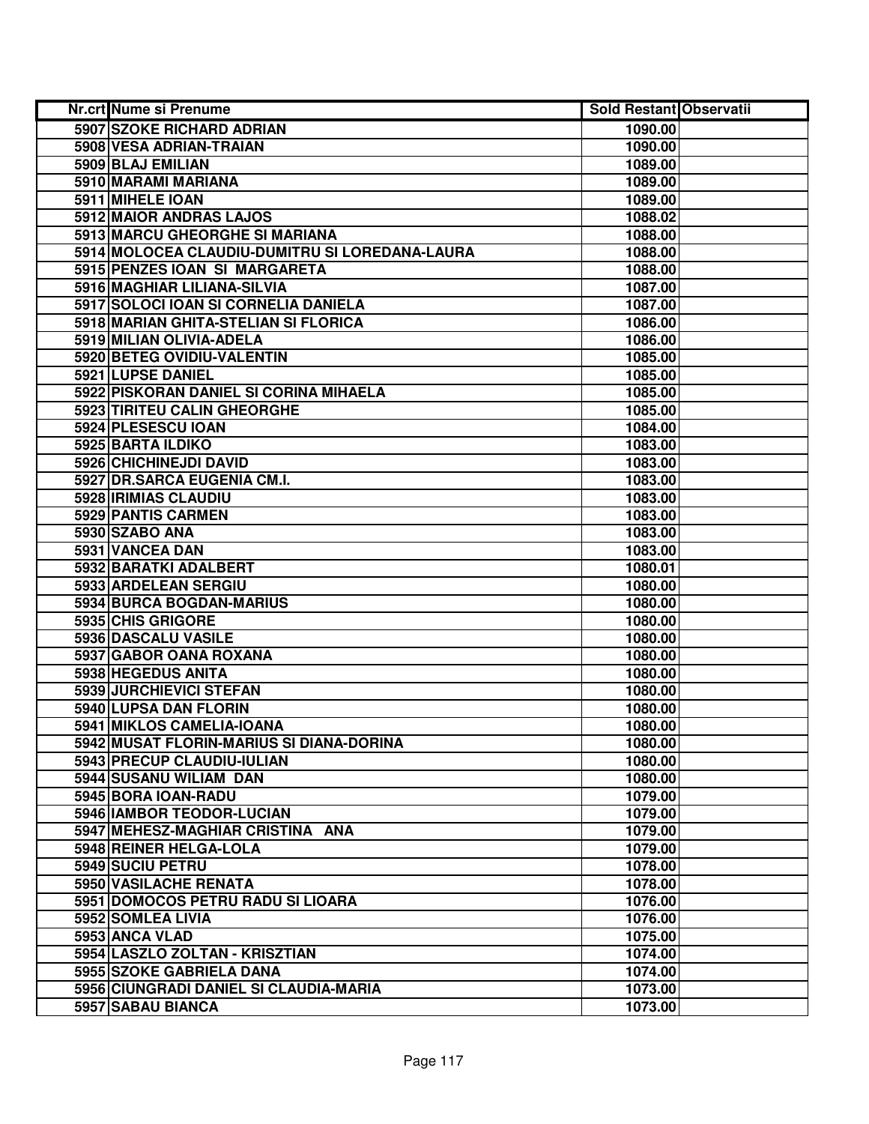| Nr.crt Nume si Prenume                         | <b>Sold Restant Observatii</b> |  |
|------------------------------------------------|--------------------------------|--|
| 5907 SZOKE RICHARD ADRIAN                      | 1090.00                        |  |
| 5908 VESA ADRIAN-TRAIAN                        | 1090.00                        |  |
| 5909 BLAJ EMILIAN                              | 1089.00                        |  |
| 5910 MARAMI MARIANA                            | 1089.00                        |  |
| 5911 MIHELE IOAN                               | 1089.00                        |  |
| 5912 MAIOR ANDRAS LAJOS                        | 1088.02                        |  |
| 5913 MARCU GHEORGHE SI MARIANA                 | 1088.00                        |  |
| 5914 MOLOCEA CLAUDIU-DUMITRU SI LOREDANA-LAURA | 1088.00                        |  |
| 5915 PENZES IOAN SI MARGARETA                  | 1088.00                        |  |
| 5916 MAGHIAR LILIANA-SILVIA                    | 1087.00                        |  |
| 5917 SOLOCI IOAN SI CORNELIA DANIELA           | 1087.00                        |  |
| 5918 MARIAN GHITA-STELIAN SI FLORICA           | 1086.00                        |  |
| 5919 MILIAN OLIVIA-ADELA                       | 1086.00                        |  |
| 5920 BETEG OVIDIU-VALENTIN                     | 1085.00                        |  |
| 5921 LUPSE DANIEL                              | 1085.00                        |  |
| 5922 PISKORAN DANIEL SI CORINA MIHAELA         | 1085.00                        |  |
| 5923 TIRITEU CALIN GHEORGHE                    | 1085.00                        |  |
| 5924 PLESESCU IOAN                             | 1084.00                        |  |
| 5925 BARTA ILDIKO                              | 1083.00                        |  |
| 5926 CHICHINEJDI DAVID                         | 1083.00                        |  |
| 5927 DR.SARCA EUGENIA CM.I.                    | 1083.00                        |  |
| 5928 IRIMIAS CLAUDIU                           | 1083.00                        |  |
| 5929 PANTIS CARMEN                             | 1083.00                        |  |
| 5930 SZABO ANA                                 | 1083.00                        |  |
| 5931 VANCEA DAN                                | 1083.00                        |  |
| 5932 BARATKI ADALBERT                          | 1080.01                        |  |
| 5933 ARDELEAN SERGIU                           | 1080.00                        |  |
| 5934 BURCA BOGDAN-MARIUS                       | 1080.00                        |  |
| 5935 CHIS GRIGORE                              | 1080.00                        |  |
| 5936 DASCALU VASILE                            | 1080.00                        |  |
| 5937 GABOR OANA ROXANA                         | 1080.00                        |  |
| 5938 HEGEDUS ANITA                             | 1080.00                        |  |
| 5939 JURCHIEVICI STEFAN                        | 1080.00                        |  |
| 5940 LUPSA DAN FLORIN                          | 1080.00                        |  |
| 5941 MIKLOS CAMELIA-IOANA                      | 1080.00                        |  |
| 5942 MUSAT FLORIN-MARIUS SI DIANA-DORINA       | 1080.00                        |  |
| 5943 PRECUP CLAUDIU-IULIAN                     | 1080.00                        |  |
| 5944 SUSANU WILIAM DAN                         | 1080.00                        |  |
| 5945 BORA IOAN-RADU                            | 1079.00                        |  |
| 5946 IAMBOR TEODOR-LUCIAN                      | 1079.00                        |  |
| 5947 MEHESZ-MAGHIAR CRISTINA ANA               | 1079.00                        |  |
| 5948 REINER HELGA-LOLA                         | 1079.00                        |  |
| 5949 SUCIU PETRU                               | 1078.00                        |  |
| 5950 VASILACHE RENATA                          | 1078.00                        |  |
| 5951 DOMOCOS PETRU RADU SI LIOARA              | 1076.00                        |  |
| 5952 SOMLEA LIVIA                              | 1076.00                        |  |
| 5953 ANCA VLAD                                 | 1075.00                        |  |
| 5954 LASZLO ZOLTAN - KRISZTIAN                 | 1074.00                        |  |
| 5955 SZOKE GABRIELA DANA                       | 1074.00                        |  |
| 5956 CIUNGRADI DANIEL SI CLAUDIA-MARIA         | 1073.00                        |  |
| 5957 SABAU BIANCA                              | 1073.00                        |  |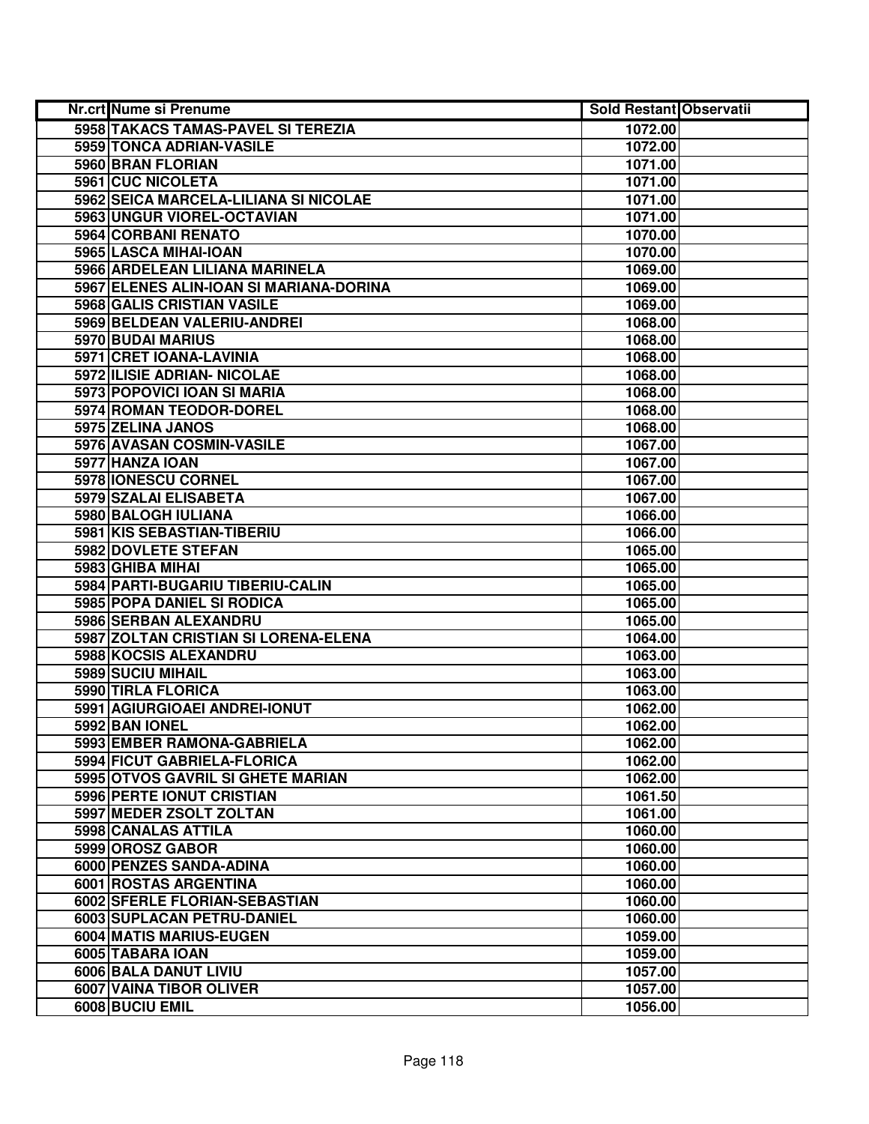| <b>Nr.crt Nume si Prenume</b>           | <b>Sold Restant Observatii</b> |  |
|-----------------------------------------|--------------------------------|--|
| 5958 TAKACS TAMAS-PAVEL SI TEREZIA      | 1072.00                        |  |
| 5959 TONCA ADRIAN-VASILE                | 1072.00                        |  |
| 5960 BRAN FLORIAN                       | 1071.00                        |  |
| 5961 CUC NICOLETA                       | 1071.00                        |  |
| 5962 SEICA MARCELA-LILIANA SI NICOLAE   | 1071.00                        |  |
| 5963 UNGUR VIOREL-OCTAVIAN              | 1071.00                        |  |
| 5964 CORBANI RENATO                     | 1070.00                        |  |
| 5965 LASCA MIHAI-IOAN                   | 1070.00                        |  |
| 5966 ARDELEAN LILIANA MARINELA          | 1069.00                        |  |
| 5967 ELENES ALIN-IOAN SI MARIANA-DORINA | 1069.00                        |  |
| 5968 GALIS CRISTIAN VASILE              | 1069.00                        |  |
| 5969 BELDEAN VALERIU-ANDREI             | 1068.00                        |  |
| 5970 BUDAI MARIUS                       | 1068.00                        |  |
| 5971 CRET IOANA-LAVINIA                 | 1068.00                        |  |
| 5972 ILISIE ADRIAN- NICOLAE             | 1068.00                        |  |
| 5973 POPOVICI IOAN SI MARIA             | 1068.00                        |  |
| 5974 ROMAN TEODOR-DOREL                 | 1068.00                        |  |
| 5975 ZELINA JANOS                       | 1068.00                        |  |
| 5976 AVASAN COSMIN-VASILE               | 1067.00                        |  |
| 5977 HANZA IOAN                         | 1067.00                        |  |
| 5978 IONESCU CORNEL                     | 1067.00                        |  |
| 5979 SZALAI ELISABETA                   | 1067.00                        |  |
| 5980 BALOGH IULIANA                     | 1066.00                        |  |
| 5981 KIS SEBASTIAN-TIBERIU              | 1066.00                        |  |
| 5982 DOVLETE STEFAN                     | 1065.00                        |  |
| 5983 GHIBA MIHAI                        | 1065.00                        |  |
| 5984 PARTI-BUGARIU TIBERIU-CALIN        | 1065.00                        |  |
| 5985 POPA DANIEL SI RODICA              | 1065.00                        |  |
| 5986 SERBAN ALEXANDRU                   | 1065.00                        |  |
| 5987 ZOLTAN CRISTIAN SI LORENA-ELENA    | 1064.00                        |  |
| 5988 KOCSIS ALEXANDRU                   | 1063.00                        |  |
| 5989 SUCIU MIHAIL                       | 1063.00                        |  |
| 5990 TIRLA FLORICA                      | 1063.00                        |  |
| 5991 AGIURGIOAEI ANDREI-IONUT           | 1062.00                        |  |
| 5992 BAN IONEL                          | 1062.00                        |  |
| 5993 EMBER RAMONA-GABRIELA              | 1062.00                        |  |
| 5994 FICUT GABRIELA-FLORICA             | 1062.00                        |  |
| 5995 OTVOS GAVRIL SI GHETE MARIAN       | 1062.00                        |  |
| 5996 PERTE IONUT CRISTIAN               | 1061.50                        |  |
| 5997 MEDER ZSOLT ZOLTAN                 | 1061.00                        |  |
| 5998 CANALAS ATTILA                     | 1060.00                        |  |
| 5999 OROSZ GABOR                        | 1060.00                        |  |
| 6000 PENZES SANDA-ADINA                 | 1060.00                        |  |
| 6001 ROSTAS ARGENTINA                   | 1060.00                        |  |
| 6002 SFERLE FLORIAN-SEBASTIAN           | 1060.00                        |  |
| 6003 SUPLACAN PETRU-DANIEL              | 1060.00                        |  |
| 6004 MATIS MARIUS-EUGEN                 | 1059.00                        |  |
| 6005 TABARA IOAN                        | 1059.00                        |  |
| 6006 BALA DANUT LIVIU                   | 1057.00                        |  |
| 6007 VAINA TIBOR OLIVER                 | 1057.00                        |  |
| 6008 BUCIU EMIL                         | 1056.00                        |  |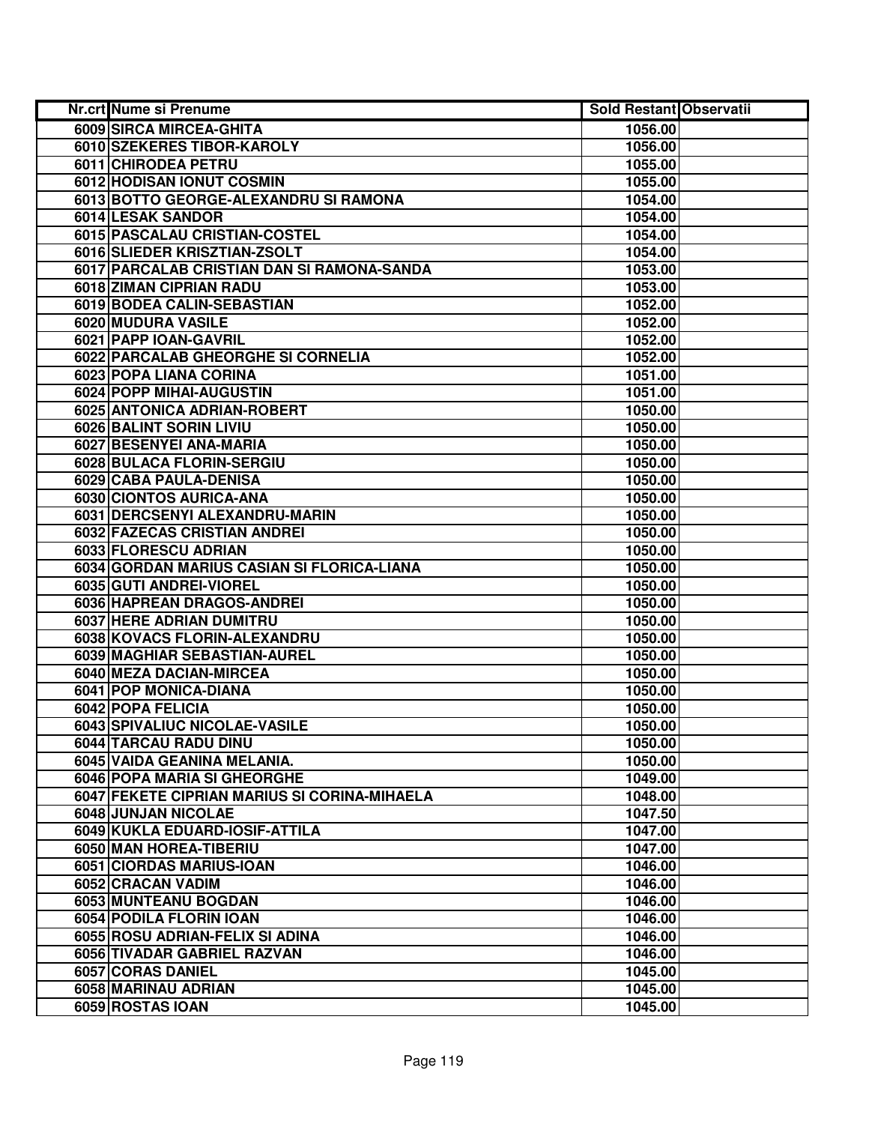| <b>Nr.crt Nume si Prenume</b>                | <b>Sold Restant Observatii</b> |  |
|----------------------------------------------|--------------------------------|--|
| 6009 SIRCA MIRCEA-GHITA                      | 1056.00                        |  |
| 6010 SZEKERES TIBOR-KAROLY                   | 1056.00                        |  |
| 6011 CHIRODEA PETRU                          | 1055.00                        |  |
| 6012 HODISAN IONUT COSMIN                    | 1055.00                        |  |
| 6013 BOTTO GEORGE-ALEXANDRU SI RAMONA        | 1054.00                        |  |
| 6014 LESAK SANDOR                            | 1054.00                        |  |
| 6015 PASCALAU CRISTIAN-COSTEL                | 1054.00                        |  |
| 6016 SLIEDER KRISZTIAN-ZSOLT                 | 1054.00                        |  |
| 6017 PARCALAB CRISTIAN DAN SI RAMONA-SANDA   | 1053.00                        |  |
| 6018 ZIMAN CIPRIAN RADU                      | 1053.00                        |  |
| 6019 BODEA CALIN-SEBASTIAN                   | 1052.00                        |  |
| 6020 MUDURA VASILE                           | 1052.00                        |  |
| 6021 PAPP IOAN-GAVRIL                        | 1052.00                        |  |
| 6022 PARCALAB GHEORGHE SI CORNELIA           | 1052.00                        |  |
| 6023 POPA LIANA CORINA                       | 1051.00                        |  |
| 6024 POPP MIHAI-AUGUSTIN                     | 1051.00                        |  |
| 6025 ANTONICA ADRIAN-ROBERT                  | 1050.00                        |  |
| 6026 BALINT SORIN LIVIU                      | 1050.00                        |  |
| 6027 BESENYEI ANA-MARIA                      | 1050.00                        |  |
| 6028 BULACA FLORIN-SERGIU                    | 1050.00                        |  |
| 6029 CABA PAULA-DENISA                       | 1050.00                        |  |
| 6030 CIONTOS AURICA-ANA                      | 1050.00                        |  |
| 6031 DERCSENYI ALEXANDRU-MARIN               | 1050.00                        |  |
| 6032 FAZECAS CRISTIAN ANDREI                 | 1050.00                        |  |
| 6033 FLORESCU ADRIAN                         | 1050.00                        |  |
| 6034 GORDAN MARIUS CASIAN SI FLORICA-LIANA   | 1050.00                        |  |
| 6035 GUTI ANDREI-VIOREL                      | 1050.00                        |  |
| 6036 HAPREAN DRAGOS-ANDREI                   | 1050.00                        |  |
| 6037 HERE ADRIAN DUMITRU                     | 1050.00                        |  |
| 6038 KOVACS FLORIN-ALEXANDRU                 | 1050.00                        |  |
| 6039 MAGHIAR SEBASTIAN-AUREL                 | 1050.00                        |  |
| 6040 MEZA DACIAN-MIRCEA                      | 1050.00                        |  |
| 6041 POP MONICA-DIANA                        | 1050.00                        |  |
| 6042 POPA FELICIA                            | 1050.00                        |  |
| 6043 SPIVALIUC NICOLAE-VASILE                | 1050.00                        |  |
| 6044 TARCAU RADU DINU                        | 1050.00                        |  |
| 6045 VAIDA GEANINA MELANIA.                  | 1050.00                        |  |
| <b>6046 POPA MARIA SI GHEORGHE</b>           | 1049.00                        |  |
| 6047 FEKETE CIPRIAN MARIUS SI CORINA-MIHAELA | 1048.00                        |  |
| 6048 JUNJAN NICOLAE                          | 1047.50                        |  |
| 6049 KUKLA EDUARD-IOSIF-ATTILA               | 1047.00                        |  |
| 6050 MAN HOREA-TIBERIU                       | 1047.00                        |  |
| 6051 CIORDAS MARIUS-IOAN                     | 1046.00                        |  |
| 6052 CRACAN VADIM                            | 1046.00                        |  |
| 6053 MUNTEANU BOGDAN                         | 1046.00                        |  |
| 6054 PODILA FLORIN IOAN                      | 1046.00                        |  |
| 6055 ROSU ADRIAN-FELIX SI ADINA              | 1046.00                        |  |
| 6056 TIVADAR GABRIEL RAZVAN                  | 1046.00                        |  |
| 6057 CORAS DANIEL                            | 1045.00                        |  |
| 6058 MARINAU ADRIAN                          | 1045.00                        |  |
| 6059 ROSTAS IOAN                             | 1045.00                        |  |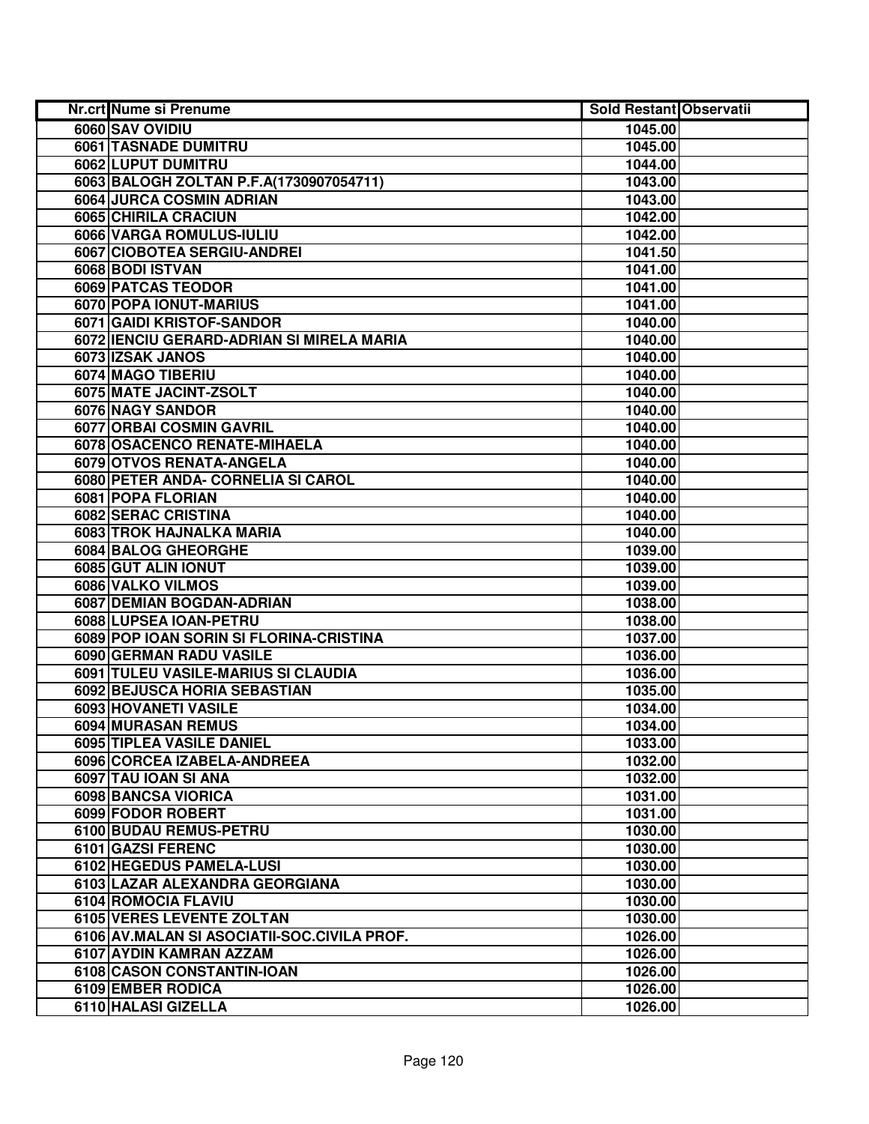| Nr.crt Nume si Prenume                              | <b>Sold Restant Observatii</b> |  |
|-----------------------------------------------------|--------------------------------|--|
| 6060 SAV OVIDIU                                     | 1045.00                        |  |
| 6061 TASNADE DUMITRU                                | 1045.00                        |  |
| 6062 LUPUT DUMITRU                                  | 1044.00                        |  |
| 6063 BALOGH ZOLTAN P.F.A(1730907054711)             | 1043.00                        |  |
| 6064 JURCA COSMIN ADRIAN                            | 1043.00                        |  |
| 6065 CHIRILA CRACIUN                                | 1042.00                        |  |
| 6066 VARGA ROMULUS-IULIU                            | 1042.00                        |  |
| 6067 CIOBOTEA SERGIU-ANDREI                         | 1041.50                        |  |
| 6068 BODI ISTVAN                                    | 1041.00                        |  |
| 6069 PATCAS TEODOR                                  | 1041.00                        |  |
| 6070 POPA IONUT-MARIUS                              | 1041.00                        |  |
| 6071 GAIDI KRISTOF-SANDOR                           | 1040.00                        |  |
| 6072 IENCIU GERARD-ADRIAN SI MIRELA MARIA           | 1040.00                        |  |
| 6073 IZSAK JANOS                                    | 1040.00                        |  |
| 6074 MAGO TIBERIU                                   | 1040.00                        |  |
| 6075 MATE JACINT-ZSOLT                              | 1040.00                        |  |
| 6076 NAGY SANDOR                                    | 1040.00                        |  |
| <b>6077 ORBAI COSMIN GAVRIL</b>                     | 1040.00                        |  |
| 6078 OSACENCO RENATE-MIHAELA                        | 1040.00                        |  |
| 6079 OTVOS RENATA-ANGELA                            | 1040.00                        |  |
| 6080 PETER ANDA- CORNELIA SI CAROL                  | 1040.00                        |  |
| 6081 POPA FLORIAN                                   | 1040.00                        |  |
| 6082 SERAC CRISTINA                                 | 1040.00                        |  |
| 6083 TROK HAJNALKA MARIA                            | 1040.00                        |  |
| 6084 BALOG GHEORGHE                                 | 1039.00                        |  |
| 6085 GUT ALIN IONUT                                 | 1039.00                        |  |
| 6086 VALKO VILMOS                                   | 1039.00                        |  |
| 6087 DEMIAN BOGDAN-ADRIAN                           | 1038.00                        |  |
| 6088 LUPSEA IOAN-PETRU                              | 1038.00                        |  |
| 6089 POP IOAN SORIN SI FLORINA-CRISTINA             | 1037.00                        |  |
| 6090 GERMAN RADU VASILE                             | 1036.00                        |  |
| 6091 TULEU VASILE-MARIUS SI CLAUDIA                 | 1036.00                        |  |
| 6092 BEJUSCA HORIA SEBASTIAN                        | 1035.00                        |  |
| 6093 HOVANETI VASILE                                | 1034.00                        |  |
| 6094 MURASAN REMUS                                  | 1034.00                        |  |
| 6095 TIPLEA VASILE DANIEL                           | 1033.00<br>1032.00             |  |
| 6096 CORCEA IZABELA-ANDREEA<br>6097 TAU IOAN SI ANA | 1032.00                        |  |
| 6098 BANCSA VIORICA                                 | 1031.00                        |  |
| 6099 FODOR ROBERT                                   | 1031.00                        |  |
| 6100 BUDAU REMUS-PETRU                              | 1030.00                        |  |
| 6101 GAZSI FERENC                                   | 1030.00                        |  |
| 6102 HEGEDUS PAMELA-LUSI                            | 1030.00                        |  |
| 6103 LAZAR ALEXANDRA GEORGIANA                      | 1030.00                        |  |
| 6104 ROMOCIA FLAVIU                                 | 1030.00                        |  |
| 6105 VERES LEVENTE ZOLTAN                           | 1030.00                        |  |
| 6106 AV.MALAN SI ASOCIATII-SOC.CIVILA PROF.         | 1026.00                        |  |
| 6107 AYDIN KAMRAN AZZAM                             | 1026.00                        |  |
| 6108 CASON CONSTANTIN-IOAN                          | 1026.00                        |  |
| 6109 EMBER RODICA                                   | 1026.00                        |  |
| 6110 HALASI GIZELLA                                 | 1026.00                        |  |
|                                                     |                                |  |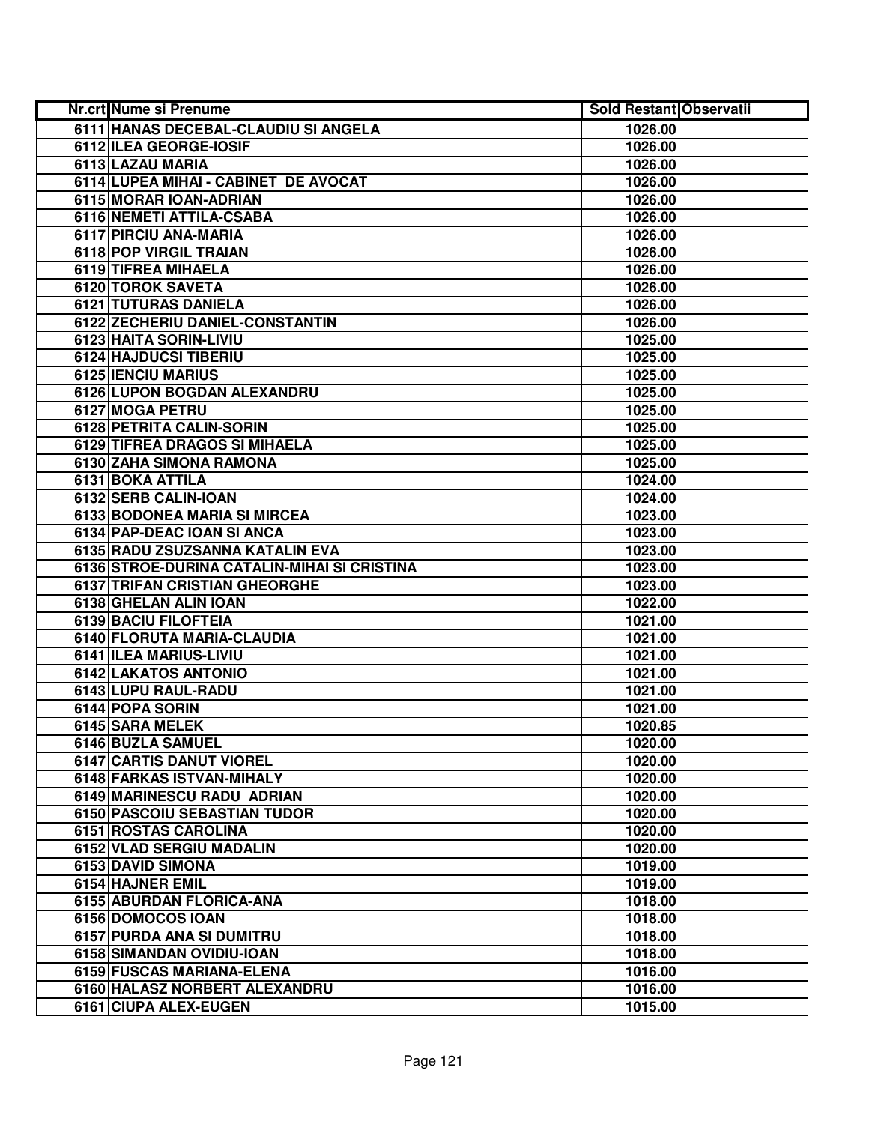| Nr.crt Nume si Prenume                      | <b>Sold Restant Observatii</b> |  |
|---------------------------------------------|--------------------------------|--|
| 6111 HANAS DECEBAL-CLAUDIU SI ANGELA        | 1026.00                        |  |
| 6112 ILEA GEORGE-IOSIF                      | 1026.00                        |  |
| 6113 LAZAU MARIA                            | 1026.00                        |  |
| 6114 LUPEA MIHAI - CABINET DE AVOCAT        | 1026.00                        |  |
| 6115 MORAR IOAN-ADRIAN                      | 1026.00                        |  |
| 6116 NEMETI ATTILA-CSABA                    | 1026.00                        |  |
| 6117 PIRCIU ANA-MARIA                       | 1026.00                        |  |
| 6118 POP VIRGIL TRAIAN                      | 1026.00                        |  |
| 6119 TIFREA MIHAELA                         | 1026.00                        |  |
| 6120 TOROK SAVETA                           | 1026.00                        |  |
| 6121 TUTURAS DANIELA                        | 1026.00                        |  |
| 6122 ZECHERIU DANIEL-CONSTANTIN             | 1026.00                        |  |
| 6123 HAITA SORIN-LIVIU                      | 1025.00                        |  |
| 6124 HAJDUCSI TIBERIU                       | 1025.00                        |  |
| 6125 IENCIU MARIUS                          | 1025.00                        |  |
| 6126 LUPON BOGDAN ALEXANDRU                 | 1025.00                        |  |
| 6127 MOGA PETRU                             | 1025.00                        |  |
| 6128 PETRITA CALIN-SORIN                    | 1025.00                        |  |
| 6129 TIFREA DRAGOS SI MIHAELA               | 1025.00                        |  |
| 6130 ZAHA SIMONA RAMONA                     | 1025.00                        |  |
| 6131 BOKA ATTILA                            | 1024.00                        |  |
| 6132 SERB CALIN-IOAN                        | 1024.00                        |  |
| 6133 BODONEA MARIA SI MIRCEA                | 1023.00                        |  |
| 6134 PAP-DEAC IOAN SI ANCA                  | 1023.00                        |  |
| 6135 RADU ZSUZSANNA KATALIN EVA             | 1023.00                        |  |
| 6136 STROE-DURINA CATALIN-MIHAI SI CRISTINA | 1023.00                        |  |
| 6137 TRIFAN CRISTIAN GHEORGHE               | 1023.00                        |  |
| 6138 GHELAN ALIN IOAN                       | 1022.00                        |  |
| 6139 BACIU FILOFTEIA                        | 1021.00                        |  |
| 6140 FLORUTA MARIA-CLAUDIA                  | 1021.00                        |  |
| 6141 ILEA MARIUS-LIVIU                      | 1021.00                        |  |
| 6142 LAKATOS ANTONIO                        | 1021.00                        |  |
| 6143 LUPU RAUL-RADU                         | 1021.00                        |  |
| 6144 POPA SORIN                             | 1021.00                        |  |
| 6145 SARA MELEK                             | 1020.85                        |  |
| 6146 BUZLA SAMUEL                           | 1020.00                        |  |
| <b>6147 CARTIS DANUT VIOREL</b>             | 1020.00                        |  |
| 6148 FARKAS ISTVAN-MIHALY                   | 1020.00                        |  |
| 6149 MARINESCU RADU ADRIAN                  | 1020.00                        |  |
| 6150 PASCOIU SEBASTIAN TUDOR                | 1020.00                        |  |
| 6151 ROSTAS CAROLINA                        | 1020.00                        |  |
| 6152 VLAD SERGIU MADALIN                    | 1020.00                        |  |
| 6153 DAVID SIMONA                           | 1019.00                        |  |
| 6154 HAJNER EMIL                            | 1019.00                        |  |
| 6155 ABURDAN FLORICA-ANA                    | 1018.00                        |  |
| 6156 DOMOCOS IOAN                           | 1018.00                        |  |
| 6157 PURDA ANA SI DUMITRU                   | 1018.00                        |  |
| 6158 SIMANDAN OVIDIU-IOAN                   | 1018.00                        |  |
| 6159 FUSCAS MARIANA-ELENA                   | 1016.00                        |  |
| 6160 HALASZ NORBERT ALEXANDRU               | 1016.00                        |  |
| 6161 CIUPA ALEX-EUGEN                       | 1015.00                        |  |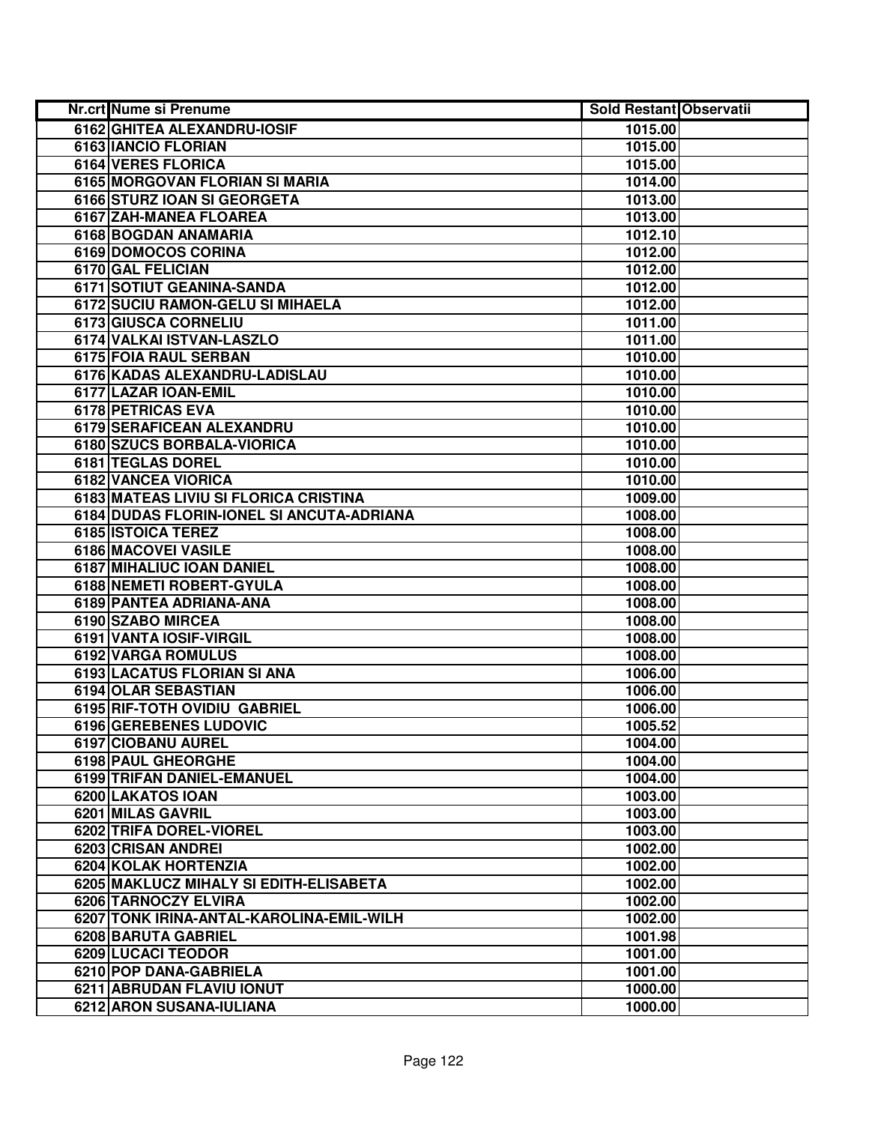| Nr.crt Nume si Prenume                    | <b>Sold Restant Observatii</b> |
|-------------------------------------------|--------------------------------|
| 6162 GHITEA ALEXANDRU-IOSIF               | 1015.00                        |
| 6163 IANCIO FLORIAN                       | 1015.00                        |
| 6164 VERES FLORICA                        | 1015.00                        |
| 6165 MORGOVAN FLORIAN SI MARIA            | 1014.00                        |
| 6166 STURZ IOAN SI GEORGETA               | 1013.00                        |
| 6167 ZAH-MANEA FLOAREA                    | 1013.00                        |
| 6168 BOGDAN ANAMARIA                      | 1012.10                        |
| 6169 DOMOCOS CORINA                       | 1012.00                        |
| 6170 GAL FELICIAN                         | 1012.00                        |
| 6171 SOTIUT GEANINA-SANDA                 | 1012.00                        |
| 6172 SUCIU RAMON-GELU SI MIHAELA          | 1012.00                        |
| 6173 GIUSCA CORNELIU                      | 1011.00                        |
| 6174 VALKAI ISTVAN-LASZLO                 | 1011.00                        |
| 6175 FOIA RAUL SERBAN                     | 1010.00                        |
| 6176 KADAS ALEXANDRU-LADISLAU             | 1010.00                        |
| 6177 LAZAR IOAN-EMIL                      | 1010.00                        |
| 6178 PETRICAS EVA                         | 1010.00                        |
| 6179 SERAFICEAN ALEXANDRU                 | 1010.00                        |
| 6180 SZUCS BORBALA-VIORICA                | 1010.00                        |
| 6181 TEGLAS DOREL                         | 1010.00                        |
| 6182 VANCEA VIORICA                       | 1010.00                        |
| 6183 MATEAS LIVIU SI FLORICA CRISTINA     | 1009.00                        |
| 6184 DUDAS FLORIN-IONEL SI ANCUTA-ADRIANA | 1008.00                        |
| 6185 ISTOICA TEREZ                        | 1008.00                        |
| 6186 MACOVEI VASILE                       | 1008.00                        |
| 6187 MIHALIUC IOAN DANIEL                 | 1008.00                        |
| 6188 NEMETI ROBERT-GYULA                  | 1008.00                        |
| 6189 PANTEA ADRIANA-ANA                   | 1008.00                        |
| 6190 SZABO MIRCEA                         | 1008.00                        |
| 6191 VANTA IOSIF-VIRGIL                   | 1008.00                        |
| 6192 VARGA ROMULUS                        | 1008.00                        |
| 6193 LACATUS FLORIAN SI ANA               | 1006.00                        |
| 6194 OLAR SEBASTIAN                       | 1006.00                        |
| 6195 RIF-TOTH OVIDIU GABRIEL              | 1006.00                        |
| 6196 GEREBENES LUDOVIC                    | 1005.52                        |
| 6197 CIOBANU AUREL                        | 1004.00                        |
| 6198 PAUL GHEORGHE                        | 1004.00                        |
| <b>6199 TRIFAN DANIEL-EMANUEL</b>         | 1004.00                        |
| 6200 LAKATOS IOAN                         | 1003.00                        |
| 6201 MILAS GAVRIL                         | 1003.00                        |
| 6202 TRIFA DOREL-VIOREL                   | 1003.00                        |
| 6203 CRISAN ANDREI                        | 1002.00                        |
| 6204 KOLAK HORTENZIA                      | 1002.00                        |
| 6205 MAKLUCZ MIHALY SI EDITH-ELISABETA    | 1002.00                        |
| 6206 TARNOCZY ELVIRA                      | 1002.00                        |
| 6207 TONK IRINA-ANTAL-KAROLINA-EMIL-WILH  | 1002.00                        |
| 6208 BARUTA GABRIEL                       | 1001.98                        |
| 6209 LUCACI TEODOR                        | 1001.00                        |
| 6210 POP DANA-GABRIELA                    | 1001.00                        |
| 6211 ABRUDAN FLAVIU IONUT                 | 1000.00                        |
| 6212 ARON SUSANA-IULIANA                  | 1000.00                        |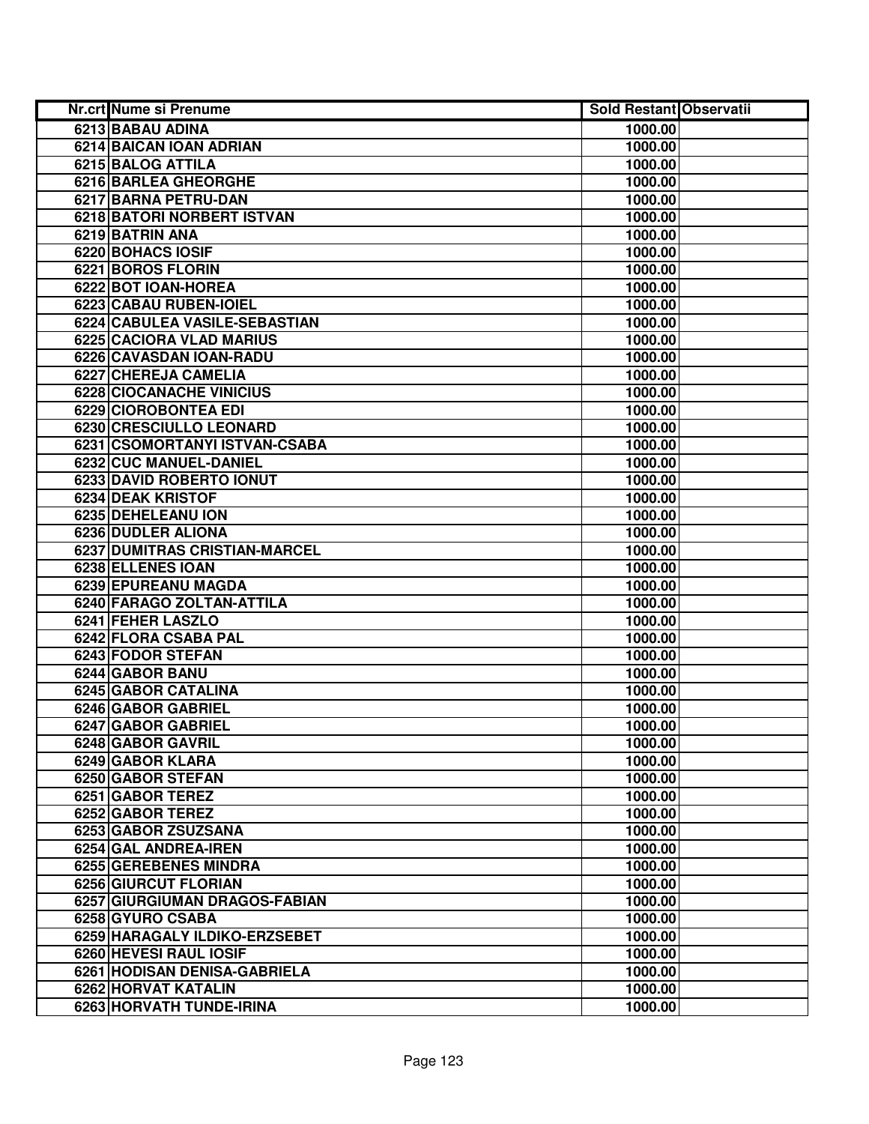| Nr.crt Nume si Prenume          | <b>Sold Restant Observatii</b> |  |
|---------------------------------|--------------------------------|--|
| 6213 BABAU ADINA                | 1000.00                        |  |
| <b>6214 BAICAN IOAN ADRIAN</b>  | 1000.00                        |  |
| 6215 BALOG ATTILA               | 1000.00                        |  |
| 6216 BARLEA GHEORGHE            | 1000.00                        |  |
| 6217 BARNA PETRU-DAN            | 1000.00                        |  |
| 6218 BATORI NORBERT ISTVAN      | 1000.00                        |  |
| 6219 BATRIN ANA                 | 1000.00                        |  |
| 6220 BOHACS IOSIF               | 1000.00                        |  |
| 6221 BOROS FLORIN               | 1000.00                        |  |
| 6222 BOT IOAN-HOREA             | 1000.00                        |  |
| 6223 CABAU RUBEN-IOIEL          | 1000.00                        |  |
| 6224 CABULEA VASILE-SEBASTIAN   | 1000.00                        |  |
| <b>6225 CACIORA VLAD MARIUS</b> | 1000.00                        |  |
| 6226 CAVASDAN IOAN-RADU         | 1000.00                        |  |
| 6227 CHEREJA CAMELIA            | 1000.00                        |  |
| 6228 CIOCANACHE VINICIUS        | 1000.00                        |  |
| 6229 CIOROBONTEA EDI            | 1000.00                        |  |
| 6230 CRESCIULLO LEONARD         | 1000.00                        |  |
| 6231 CSOMORTANYI ISTVAN-CSABA   | 1000.00                        |  |
| 6232 CUC MANUEL-DANIEL          | 1000.00                        |  |
| 6233 DAVID ROBERTO IONUT        | 1000.00                        |  |
| 6234 DEAK KRISTOF               | 1000.00                        |  |
| 6235 DEHELEANU ION              | 1000.00                        |  |
| 6236 DUDLER ALIONA              | 1000.00                        |  |
| 6237 DUMITRAS CRISTIAN-MARCEL   | 1000.00                        |  |
| 6238 ELLENES IOAN               | 1000.00                        |  |
| 6239 EPUREANU MAGDA             | 1000.00                        |  |
| 6240 FARAGO ZOLTAN-ATTILA       | 1000.00                        |  |
| 6241 FEHER LASZLO               | 1000.00                        |  |
| 6242 FLORA CSABA PAL            | 1000.00                        |  |
| 6243 FODOR STEFAN               | 1000.00                        |  |
| 6244 GABOR BANU                 | 1000.00                        |  |
| <b>6245 GABOR CATALINA</b>      | 1000.00                        |  |
| 6246 GABOR GABRIEL              | 1000.00                        |  |
| 6247 GABOR GABRIEL              | 1000.00                        |  |
| 6248 GABOR GAVRIL               | 1000.00                        |  |
| 6249 GABOR KLARA                | 1000.00                        |  |
| 6250 GABOR STEFAN               | 1000.00                        |  |
| 6251 GABOR TEREZ                | 1000.00                        |  |
| 6252 GABOR TEREZ                | 1000.00                        |  |
| 6253 GABOR ZSUZSANA             | 1000.00                        |  |
| 6254 GAL ANDREA-IREN            | 1000.00                        |  |
| 6255 GEREBENES MINDRA           | 1000.00                        |  |
| 6256 GIURCUT FLORIAN            | 1000.00                        |  |
| 6257 GIURGIUMAN DRAGOS-FABIAN   | 1000.00                        |  |
| 6258 GYURO CSABA                | 1000.00                        |  |
| 6259 HARAGALY ILDIKO-ERZSEBET   | 1000.00                        |  |
| 6260 HEVESI RAUL IOSIF          | 1000.00                        |  |
| 6261 HODISAN DENISA-GABRIELA    | 1000.00                        |  |
| 6262 HORVAT KATALIN             | 1000.00                        |  |
| 6263 HORVATH TUNDE-IRINA        | 1000.00                        |  |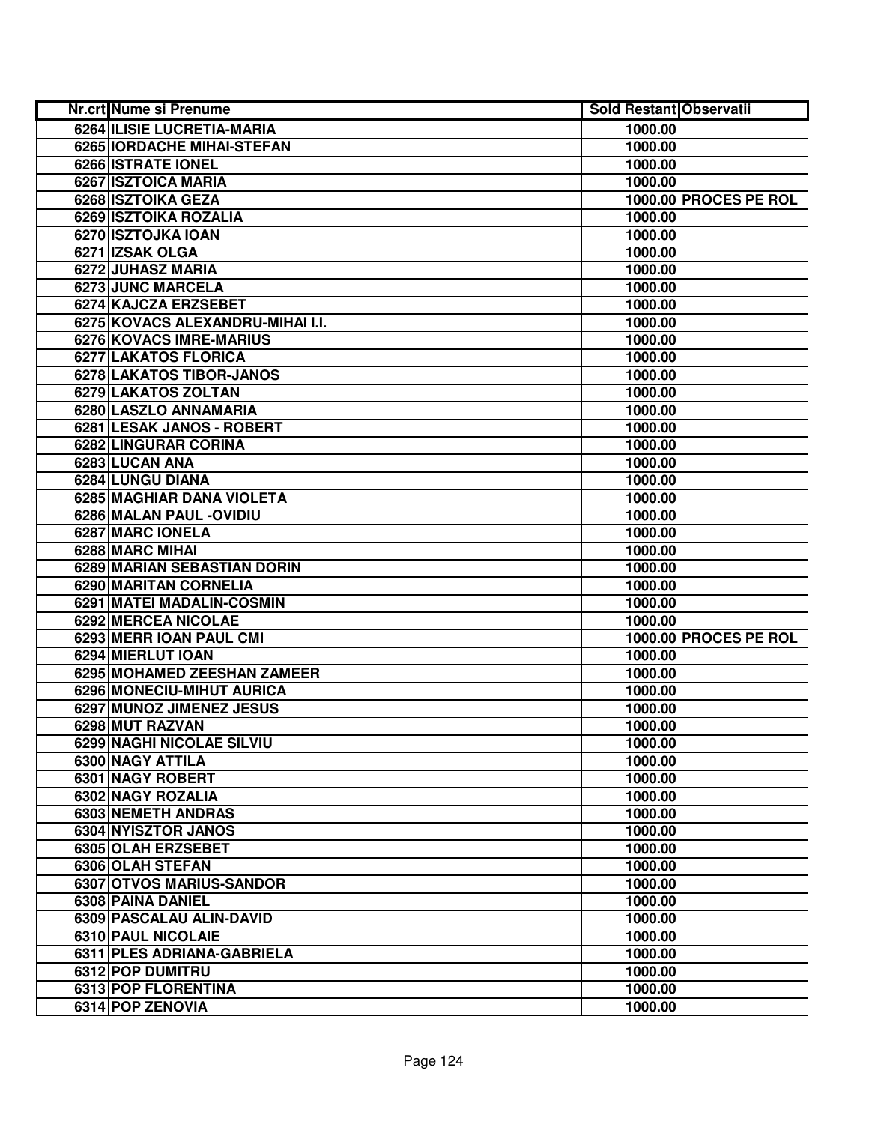| Nr.crt Nume si Prenume            | <b>Sold Restant Observatii</b> |                       |
|-----------------------------------|--------------------------------|-----------------------|
| <b>6264 ILISIE LUCRETIA-MARIA</b> | 1000.00                        |                       |
| 6265 IORDACHE MIHAI-STEFAN        | 1000.00                        |                       |
| 6266 ISTRATE IONEL                | 1000.00                        |                       |
| 6267 ISZTOICA MARIA               | 1000.00                        |                       |
| 6268 ISZTOIKA GEZA                |                                | 1000.00 PROCES PE ROL |
| 6269 ISZTOIKA ROZALIA             | 1000.00                        |                       |
| 6270 ISZTOJKA IOAN                | 1000.00                        |                       |
| 6271 IZSAK OLGA                   | 1000.00                        |                       |
| 6272 JUHASZ MARIA                 | 1000.00                        |                       |
| 6273 JUNC MARCELA                 | 1000.00                        |                       |
| 6274 KAJCZA ERZSEBET              | 1000.00                        |                       |
| 6275 KOVACS ALEXANDRU-MIHAI I.I.  | 1000.00                        |                       |
| <b>6276 KOVACS IMRE-MARIUS</b>    | 1000.00                        |                       |
| 6277 LAKATOS FLORICA              | 1000.00                        |                       |
| 6278 LAKATOS TIBOR-JANOS          | 1000.00                        |                       |
| 6279 LAKATOS ZOLTAN               | 1000.00                        |                       |
| 6280 LASZLO ANNAMARIA             | 1000.00                        |                       |
| 6281 LESAK JANOS - ROBERT         | 1000.00                        |                       |
| 6282 LINGURAR CORINA              | 1000.00                        |                       |
| 6283 LUCAN ANA                    | 1000.00                        |                       |
| 6284 LUNGU DIANA                  | 1000.00                        |                       |
| 6285 MAGHIAR DANA VIOLETA         | 1000.00                        |                       |
| 6286 MALAN PAUL - OVIDIU          | 1000.00                        |                       |
| 6287 MARC IONELA                  | 1000.00                        |                       |
| 6288 MARC MIHAI                   | 1000.00                        |                       |
| 6289 MARIAN SEBASTIAN DORIN       | 1000.00                        |                       |
| 6290 MARITAN CORNELIA             | 1000.00                        |                       |
| 6291 MATEI MADALIN-COSMIN         | 1000.00                        |                       |
| 6292 MERCEA NICOLAE               | 1000.00                        |                       |
| 6293 MERR IOAN PAUL CMI           |                                | 1000.00 PROCES PE ROL |
| 6294 MIERLUT IOAN                 | 1000.00                        |                       |
| 6295 MOHAMED ZEESHAN ZAMEER       | 1000.00                        |                       |
| 6296 MONECIU-MIHUT AURICA         | 1000.00                        |                       |
| <b>6297 MUNOZ JIMENEZ JESUS</b>   | 1000.00                        |                       |
| 6298 MUT RAZVAN                   | 1000.00                        |                       |
| 6299 NAGHI NICOLAE SILVIU         | 1000.00                        |                       |
| 6300 NAGY ATTILA                  | 1000.00                        |                       |
| 6301 NAGY ROBERT                  | 1000.00                        |                       |
| 6302 NAGY ROZALIA                 | 1000.00                        |                       |
| 6303 NEMETH ANDRAS                | 1000.00                        |                       |
| 6304 NYISZTOR JANOS               | 1000.00                        |                       |
| 6305 OLAH ERZSEBET                | 1000.00                        |                       |
| 6306 OLAH STEFAN                  | 1000.00                        |                       |
| 6307 OTVOS MARIUS-SANDOR          | 1000.00                        |                       |
| 6308 PAINA DANIEL                 | 1000.00                        |                       |
| 6309 PASCALAU ALIN-DAVID          | 1000.00                        |                       |
| 6310 PAUL NICOLAIE                | 1000.00                        |                       |
| 6311 PLES ADRIANA-GABRIELA        | 1000.00                        |                       |
| 6312 POP DUMITRU                  | 1000.00                        |                       |
| 6313 POP FLORENTINA               | 1000.00                        |                       |
| 6314 POP ZENOVIA                  | 1000.00                        |                       |